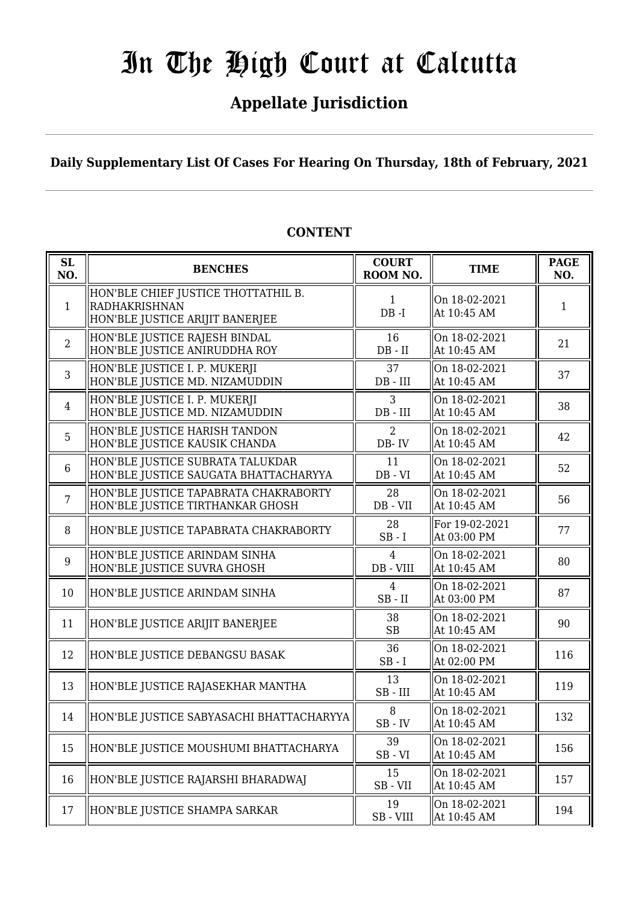# In The High Court at Calcutta

### **Appellate Jurisdiction**

**Daily Supplementary List Of Cases For Hearing On Thursday, 18th of February, 2021**

| SL<br>NO.      | <b>BENCHES</b>                                                                          | <b>COURT</b><br>ROOM NO.      | <b>TIME</b>                   | <b>PAGE</b><br>NO. |
|----------------|-----------------------------------------------------------------------------------------|-------------------------------|-------------------------------|--------------------|
| $\mathbf{1}$   | HON'BLE CHIEF JUSTICE THOTTATHIL B.<br>RADHAKRISHNAN<br>HON'BLE JUSTICE ARIJIT BANERJEE | $\mathbf{1}$<br>$DB - I$      | On 18-02-2021<br>At 10:45 AM  | 1                  |
| $\overline{2}$ | HON'BLE JUSTICE RAJESH BINDAL<br>HON'BLE JUSTICE ANIRUDDHA ROY                          | 16<br>$DB - II$               | On 18-02-2021<br>At 10:45 AM  | 21                 |
| $\overline{3}$ | HON'BLE JUSTICE I. P. MUKERJI<br>HON'BLE JUSTICE MD. NIZAMUDDIN                         | 37<br>$DB$ - $III$            | On 18-02-2021<br>At 10:45 AM  | 37                 |
| $\overline{4}$ | HON'BLE JUSTICE I. P. MUKERJI<br>HON'BLE JUSTICE MD. NIZAMUDDIN                         | 3<br>$DB$ - $III$             | On 18-02-2021<br>At 10:45 AM  | 38                 |
| 5              | HON'BLE JUSTICE HARISH TANDON<br>HON'BLE JUSTICE KAUSIK CHANDA                          | $\overline{2}$<br>DB-IV       | On 18-02-2021<br>At 10:45 AM  | 42                 |
| 6              | HON'BLE JUSTICE SUBRATA TALUKDAR<br>HON'BLE JUSTICE SAUGATA BHATTACHARYYA               | 11<br>$DB - VI$               | On 18-02-2021<br>At 10:45 AM  | 52                 |
| $\overline{7}$ | HON'BLE JUSTICE TAPABRATA CHAKRABORTY <br>HON'BLE JUSTICE TIRTHANKAR GHOSH              | 28<br>DB - VII                | On 18-02-2021<br>At 10:45 AM  | 56                 |
| 8              | HON'BLE JUSTICE TAPABRATA CHAKRABORTY                                                   | 28<br>$SB - I$                | For 19-02-2021<br>At 03:00 PM | 77                 |
| 9              | HON'BLE JUSTICE ARINDAM SINHA<br>HON'BLE JUSTICE SUVRA GHOSH                            | $\overline{4}$<br>$DB - VIII$ | On 18-02-2021<br>At 10:45 AM  | 80                 |
| 10             | HON'BLE JUSTICE ARINDAM SINHA                                                           | 4<br>$SB$ - $II$              | On 18-02-2021<br>At 03:00 PM  | 87                 |
| 11             | HON'BLE JUSTICE ARIJIT BANERJEE                                                         | 38<br><b>SB</b>               | On 18-02-2021<br>At 10:45 AM  | 90                 |
| 12             | HON'BLE JUSTICE DEBANGSU BASAK                                                          | 36<br>$SB - I$                | On 18-02-2021<br>At 02:00 PM  | 116                |
| 13             | HON'BLE JUSTICE RAJASEKHAR MANTHA                                                       | 13<br>$SB$ - $III$            | On 18-02-2021<br>At 10:45 AM  | 119                |
| 14             | HON'BLE JUSTICE SABYASACHI BHATTACHARYYA                                                | 8<br>$SB$ - $IV$              | On 18-02-2021<br>At 10:45 AM  | 132                |
| 15             | HON'BLE JUSTICE MOUSHUMI BHATTACHARYA                                                   | 39<br>$SB - VI$               | On 18-02-2021<br>At 10:45 AM  | 156                |
| 16             | HON'BLE JUSTICE RAJARSHI BHARADWAJ                                                      | 15<br>$SB - VII$              | On 18-02-2021<br>At 10:45 AM  | 157                |
| 17             | HON'BLE JUSTICE SHAMPA SARKAR                                                           | 19<br>SB-VIII                 | On 18-02-2021<br>At 10:45 AM  | 194                |

#### **CONTENT**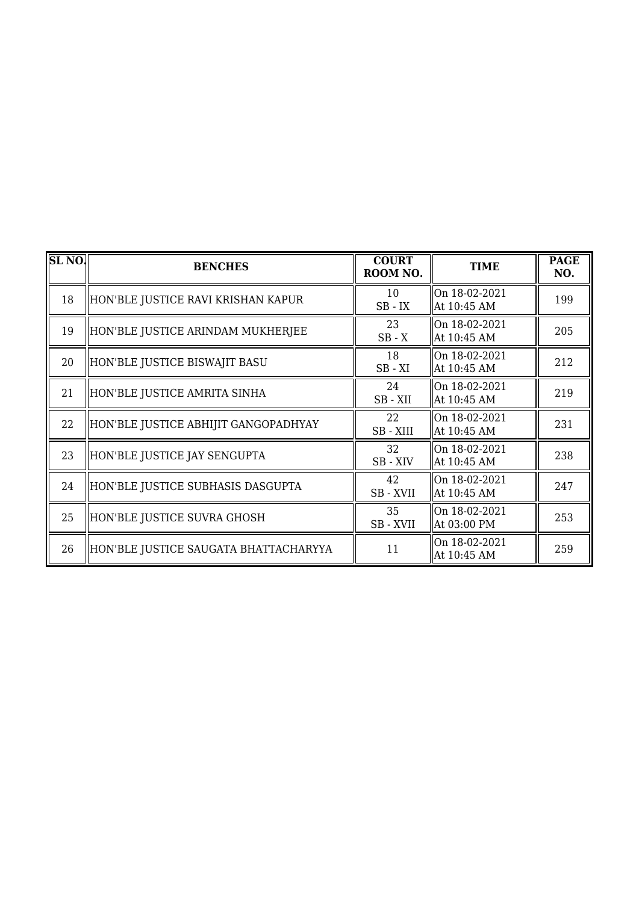| SL <sub>NO</sub> | <b>BENCHES</b>                        | <b>COURT</b><br>ROOM NO. | <b>TIME</b>                  | <b>PAGE</b><br>NO. |
|------------------|---------------------------------------|--------------------------|------------------------------|--------------------|
| 18               | HON'BLE JUSTICE RAVI KRISHAN KAPUR    | 10<br>$SB$ - $IX$        | On 18-02-2021<br>At 10:45 AM | 199                |
| 19               | HON'BLE JUSTICE ARINDAM MUKHERJEE     | 23<br>$SB - X$           | On 18-02-2021<br>At 10:45 AM | 205                |
| 20               | HON'BLE JUSTICE BISWAJIT BASU         | 18<br>$SB - XI$          | On 18-02-2021<br>At 10:45 AM | 212                |
| 21               | HON'BLE JUSTICE AMRITA SINHA          | 24<br>SB-XII             | On 18-02-2021<br>At 10:45 AM | 219                |
| 22               | HON'BLE JUSTICE ABHIJIT GANGOPADHYAY  | 22<br>SB-XIII            | On 18-02-2021<br>At 10:45 AM | 231                |
| 23               | HON'BLE JUSTICE JAY SENGUPTA          | 32<br>SB-XIV             | On 18-02-2021<br>At 10:45 AM | 238                |
| 24               | HON'BLE JUSTICE SUBHASIS DASGUPTA     | 42<br>SB - XVII          | On 18-02-2021<br>At 10:45 AM | 247                |
| 25               | HON'BLE JUSTICE SUVRA GHOSH           | 35<br>SB - XVII          | On 18-02-2021<br>At 03:00 PM | 253                |
| 26               | HON'BLE JUSTICE SAUGATA BHATTACHARYYA | 11                       | On 18-02-2021<br>At 10:45 AM | 259                |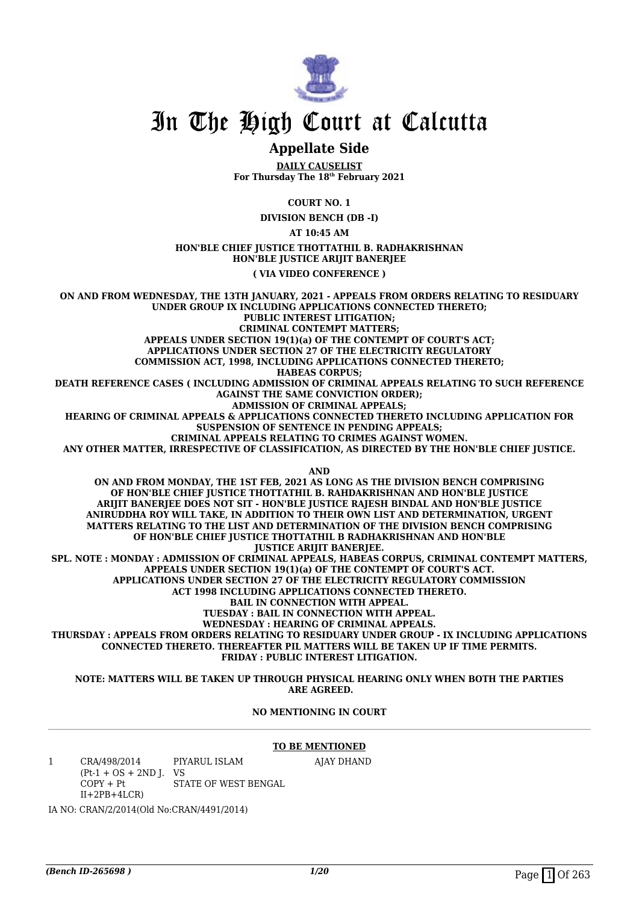

## In The High Court at Calcutta

#### **Appellate Side**

**DAILY CAUSELIST For Thursday The 18th February 2021**

**COURT NO. 1**

**DIVISION BENCH (DB -I)**

**AT 10:45 AM**

#### **HON'BLE CHIEF JUSTICE THOTTATHIL B. RADHAKRISHNAN HON'BLE JUSTICE ARIJIT BANERJEE**

**( VIA VIDEO CONFERENCE )**

**ON AND FROM WEDNESDAY, THE 13TH JANUARY, 2021 - APPEALS FROM ORDERS RELATING TO RESIDUARY UNDER GROUP IX INCLUDING APPLICATIONS CONNECTED THERETO; PUBLIC INTEREST LITIGATION; CRIMINAL CONTEMPT MATTERS; APPEALS UNDER SECTION 19(1)(a) OF THE CONTEMPT OF COURT'S ACT; APPLICATIONS UNDER SECTION 27 OF THE ELECTRICITY REGULATORY COMMISSION ACT, 1998, INCLUDING APPLICATIONS CONNECTED THERETO; HABEAS CORPUS; DEATH REFERENCE CASES ( INCLUDING ADMISSION OF CRIMINAL APPEALS RELATING TO SUCH REFERENCE AGAINST THE SAME CONVICTION ORDER); ADMISSION OF CRIMINAL APPEALS; HEARING OF CRIMINAL APPEALS & APPLICATIONS CONNECTED THERETO INCLUDING APPLICATION FOR SUSPENSION OF SENTENCE IN PENDING APPEALS; CRIMINAL APPEALS RELATING TO CRIMES AGAINST WOMEN. ANY OTHER MATTER, IRRESPECTIVE OF CLASSIFICATION, AS DIRECTED BY THE HON'BLE CHIEF JUSTICE. AND ON AND FROM MONDAY, THE 1ST FEB, 2021 AS LONG AS THE DIVISION BENCH COMPRISING OF HON'BLE CHIEF JUSTICE THOTTATHIL B. RAHDAKRISHNAN AND HON'BLE JUSTICE ARIJIT BANERJEE DOES NOT SIT - HON'BLE JUSTICE RAJESH BINDAL AND HON'BLE JUSTICE ANIRUDDHA ROY WILL TAKE, IN ADDITION TO THEIR OWN LIST AND DETERMINATION, URGENT MATTERS RELATING TO THE LIST AND DETERMINATION OF THE DIVISION BENCH COMPRISING OF HON'BLE CHIEF JUSTICE THOTTATHIL B RADHAKRISHNAN AND HON'BLE** *JUSTICE ARIJIT BANERIEE.* **SPL. NOTE : MONDAY : ADMISSION OF CRIMINAL APPEALS, HABEAS CORPUS, CRIMINAL CONTEMPT MATTERS, APPEALS UNDER SECTION 19(1)(a) OF THE CONTEMPT OF COURT'S ACT. APPLICATIONS UNDER SECTION 27 OF THE ELECTRICITY REGULATORY COMMISSION ACT 1998 INCLUDING APPLICATIONS CONNECTED THERETO. BAIL IN CONNECTION WITH APPEAL. TUESDAY : BAIL IN CONNECTION WITH APPEAL. WEDNESDAY : HEARING OF CRIMINAL APPEALS. THURSDAY : APPEALS FROM ORDERS RELATING TO RESIDUARY UNDER GROUP - IX INCLUDING APPLICATIONS**

**CONNECTED THERETO. THEREAFTER PIL MATTERS WILL BE TAKEN UP IF TIME PERMITS. FRIDAY : PUBLIC INTEREST LITIGATION.**

**NOTE: MATTERS WILL BE TAKEN UP THROUGH PHYSICAL HEARING ONLY WHEN BOTH THE PARTIES ARE AGREED.**

#### **NO MENTIONING IN COURT**

#### **TO BE MENTIONED**

AJAY DHAND

1 CRA/498/2014  $(Pt-1 + OS + 2ND J. VS$  $COPY + Pt$  $II+2PB+4LCR$ PIYARUL ISLAM STATE OF WEST BENGAL

IA NO: CRAN/2/2014(Old No:CRAN/4491/2014)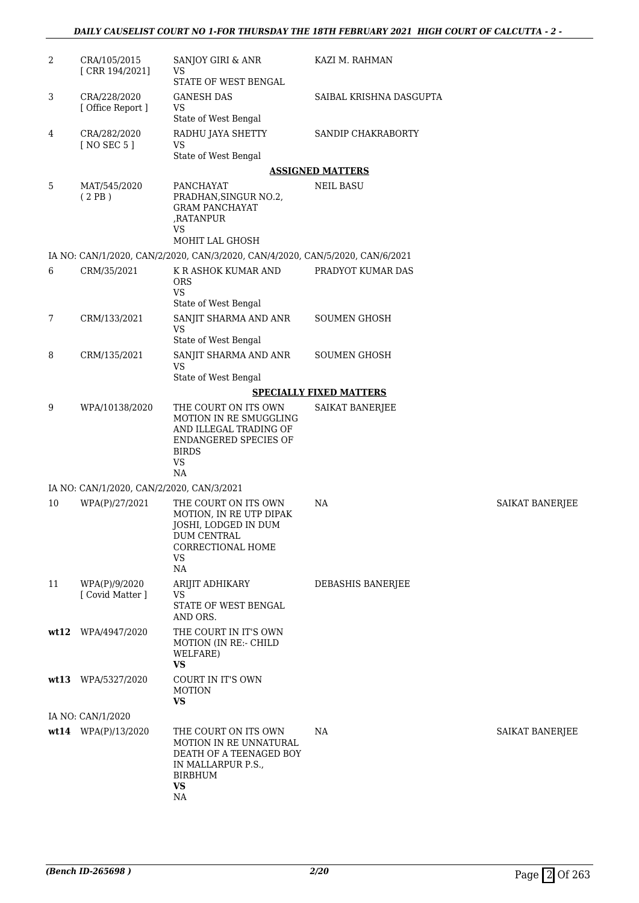#### *DAILY CAUSELIST COURT NO 1-FOR THURSDAY THE 18TH FEBRUARY 2021 HIGH COURT OF CALCUTTA - 2 -*

| 2  | CRA/105/2015<br>[CRR 194/2021]            | SANJOY GIRI & ANR<br><b>VS</b><br>STATE OF WEST BENGAL                                                                               | KAZI M. RAHMAN                 |                        |
|----|-------------------------------------------|--------------------------------------------------------------------------------------------------------------------------------------|--------------------------------|------------------------|
| 3  | CRA/228/2020<br>[ Office Report ]         | <b>GANESH DAS</b><br><b>VS</b><br>State of West Bengal                                                                               | SAIBAL KRISHNA DASGUPTA        |                        |
| 4  | CRA/282/2020<br>[ NO SEC 5 ]              | RADHU JAYA SHETTY<br><b>VS</b><br>State of West Bengal                                                                               | SANDIP CHAKRABORTY             |                        |
|    |                                           |                                                                                                                                      | <b>ASSIGNED MATTERS</b>        |                        |
| 5  | MAT/545/2020                              | PANCHAYAT                                                                                                                            | <b>NEIL BASU</b>               |                        |
|    | (2PB)                                     | PRADHAN, SINGUR NO.2,<br><b>GRAM PANCHAYAT</b><br>,RATANPUR<br><b>VS</b><br>MOHIT LAL GHOSH                                          |                                |                        |
|    |                                           |                                                                                                                                      |                                |                        |
| 6  |                                           | IA NO: CAN/1/2020, CAN/2/2020, CAN/3/2020, CAN/4/2020, CAN/5/2020, CAN/6/2021                                                        | PRADYOT KUMAR DAS              |                        |
|    | CRM/35/2021                               | K R ASHOK KUMAR AND<br><b>ORS</b><br><b>VS</b>                                                                                       |                                |                        |
|    |                                           | State of West Bengal                                                                                                                 |                                |                        |
| 7  | CRM/133/2021                              | SANJIT SHARMA AND ANR<br><b>VS</b><br>State of West Bengal                                                                           | <b>SOUMEN GHOSH</b>            |                        |
| 8  | CRM/135/2021                              | SANJIT SHARMA AND ANR<br><b>VS</b>                                                                                                   | <b>SOUMEN GHOSH</b>            |                        |
|    |                                           | State of West Bengal                                                                                                                 |                                |                        |
|    |                                           |                                                                                                                                      | <b>SPECIALLY FIXED MATTERS</b> |                        |
| 9  | WPA/10138/2020                            | THE COURT ON ITS OWN<br>MOTION IN RE SMUGGLING<br>AND ILLEGAL TRADING OF<br>ENDANGERED SPECIES OF<br><b>BIRDS</b><br><b>VS</b><br>NA | SAIKAT BANERJEE                |                        |
|    | IA NO: CAN/1/2020, CAN/2/2020, CAN/3/2021 |                                                                                                                                      |                                |                        |
| 10 | WPA(P)/27/2021                            | THE COURT ON ITS OWN                                                                                                                 | NA                             | SAIKAT BANERJEE        |
|    |                                           | MOTION, IN RE UTP DIPAK<br>JOSHI, LODGED IN DUM<br>DUM CENTRAL<br><b>CORRECTIONAL HOME</b><br>VS<br>NA                               |                                |                        |
| 11 | WPA(P)/9/2020                             | ARIJIT ADHIKARY                                                                                                                      | DEBASHIS BANERJEE              |                        |
|    | [ Covid Matter ]                          | <b>VS</b><br>STATE OF WEST BENGAL<br>AND ORS.                                                                                        |                                |                        |
|    | wt12 WPA/4947/2020                        | THE COURT IN IT'S OWN<br><b>MOTION (IN RE:- CHILD</b><br>WELFARE)<br><b>VS</b>                                                       |                                |                        |
|    | wt13 WPA/5327/2020                        | COURT IN IT'S OWN<br><b>MOTION</b><br><b>VS</b>                                                                                      |                                |                        |
|    | IA NO: CAN/1/2020                         |                                                                                                                                      |                                |                        |
|    | wt14 WPA(P)/13/2020                       | THE COURT ON ITS OWN<br>MOTION IN RE UNNATURAL<br>DEATH OF A TEENAGED BOY<br>IN MALLARPUR P.S.,<br><b>BIRBHUM</b><br><b>VS</b><br>NA | NA                             | <b>SAIKAT BANERJEE</b> |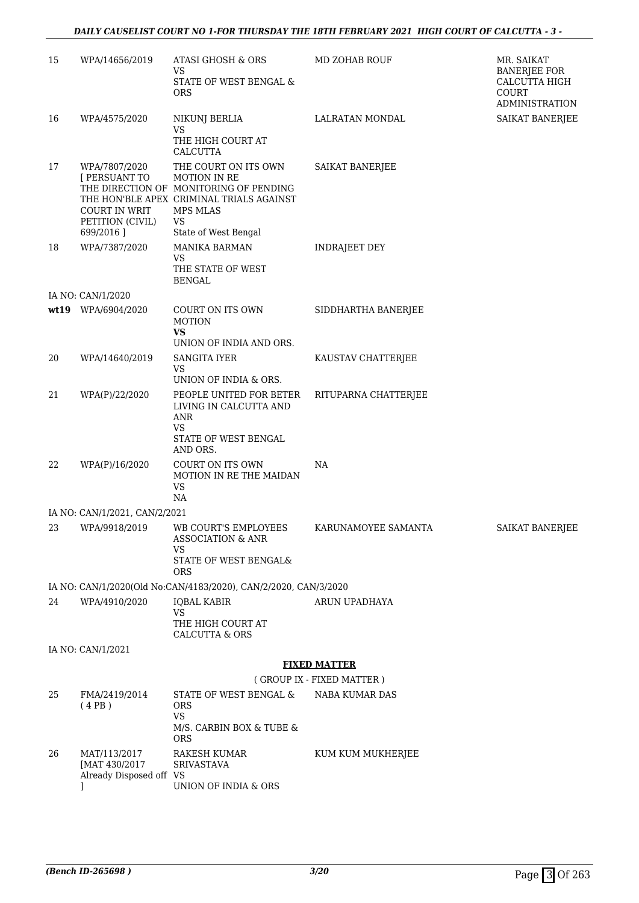| 15 | WPA/14656/2019                                                                   | <b>ATASI GHOSH &amp; ORS</b><br><b>VS</b><br>STATE OF WEST BENGAL &<br><b>ORS</b>                                                                                           | <b>MD ZOHAB ROUF</b>      | MR. SAIKAT<br><b>BANERJEE FOR</b><br>CALCUTTA HIGH<br>COURT<br><b>ADMINISTRATION</b> |
|----|----------------------------------------------------------------------------------|-----------------------------------------------------------------------------------------------------------------------------------------------------------------------------|---------------------------|--------------------------------------------------------------------------------------|
| 16 | WPA/4575/2020                                                                    | NIKUNJ BERLIA<br>VS<br>THE HIGH COURT AT<br>CALCUTTA                                                                                                                        | <b>LALRATAN MONDAL</b>    | <b>SAIKAT BANERJEE</b>                                                               |
| 17 | WPA/7807/2020<br>[ PERSUANT TO<br>COURT IN WRIT<br>PETITION (CIVIL)<br>699/2016] | THE COURT ON ITS OWN<br><b>MOTION IN RE</b><br>THE DIRECTION OF MONITORING OF PENDING<br>THE HON'BLE APEX CRIMINAL TRIALS AGAINST<br>MPS MLAS<br>VS<br>State of West Bengal | SAIKAT BANERJEE           |                                                                                      |
| 18 | WPA/7387/2020                                                                    | MANIKA BARMAN<br>VS<br>THE STATE OF WEST<br><b>BENGAL</b>                                                                                                                   | <b>INDRAJEET DEY</b>      |                                                                                      |
|    | IA NO: CAN/1/2020                                                                |                                                                                                                                                                             |                           |                                                                                      |
|    | wt19 WPA/6904/2020                                                               | COURT ON ITS OWN<br><b>MOTION</b><br><b>VS</b>                                                                                                                              | SIDDHARTHA BANERJEE       |                                                                                      |
|    |                                                                                  | UNION OF INDIA AND ORS.                                                                                                                                                     |                           |                                                                                      |
| 20 | WPA/14640/2019                                                                   | <b>SANGITA IYER</b><br>VS<br>UNION OF INDIA & ORS.                                                                                                                          | KAUSTAV CHATTERJEE        |                                                                                      |
| 21 | WPA(P)/22/2020                                                                   | PEOPLE UNITED FOR BETER<br>LIVING IN CALCUTTA AND<br>ANR<br><b>VS</b><br>STATE OF WEST BENGAL<br>AND ORS.                                                                   | RITUPARNA CHATTERJEE      |                                                                                      |
| 22 | WPA(P)/16/2020                                                                   | COURT ON ITS OWN<br>MOTION IN RE THE MAIDAN<br><b>VS</b><br>NA                                                                                                              | NA                        |                                                                                      |
|    | IA NO: CAN/1/2021, CAN/2/2021                                                    |                                                                                                                                                                             |                           |                                                                                      |
| 23 | WPA/9918/2019                                                                    | WB COURT'S EMPLOYEES<br><b>ASSOCIATION &amp; ANR</b><br>VS<br>STATE OF WEST BENGAL&                                                                                         | KARUNAMOYEE SAMANTA       | SAIKAT BANERJEE                                                                      |
|    |                                                                                  | <b>ORS</b>                                                                                                                                                                  |                           |                                                                                      |
| 24 | WPA/4910/2020                                                                    | IA NO: CAN/1/2020(Old No:CAN/4183/2020), CAN/2/2020, CAN/3/2020<br><b>IQBAL KABIR</b>                                                                                       | ARUN UPADHAYA             |                                                                                      |
|    |                                                                                  | <b>VS</b><br>THE HIGH COURT AT<br><b>CALCUTTA &amp; ORS</b>                                                                                                                 |                           |                                                                                      |
|    | IA NO: CAN/1/2021                                                                |                                                                                                                                                                             |                           |                                                                                      |
|    |                                                                                  |                                                                                                                                                                             | <b>FIXED MATTER</b>       |                                                                                      |
|    |                                                                                  |                                                                                                                                                                             | (GROUP IX - FIXED MATTER) |                                                                                      |
| 25 | FMA/2419/2014<br>(4PB)                                                           | STATE OF WEST BENGAL &<br><b>ORS</b><br>VS                                                                                                                                  | NABA KUMAR DAS            |                                                                                      |
|    |                                                                                  | M/S. CARBIN BOX & TUBE &<br><b>ORS</b>                                                                                                                                      |                           |                                                                                      |
| 26 | MAT/113/2017<br>[MAT 430/2017<br>Already Disposed off VS                         | RAKESH KUMAR<br><b>SRIVASTAVA</b><br>UNION OF INDIA & ORS                                                                                                                   | KUM KUM MUKHERJEE         |                                                                                      |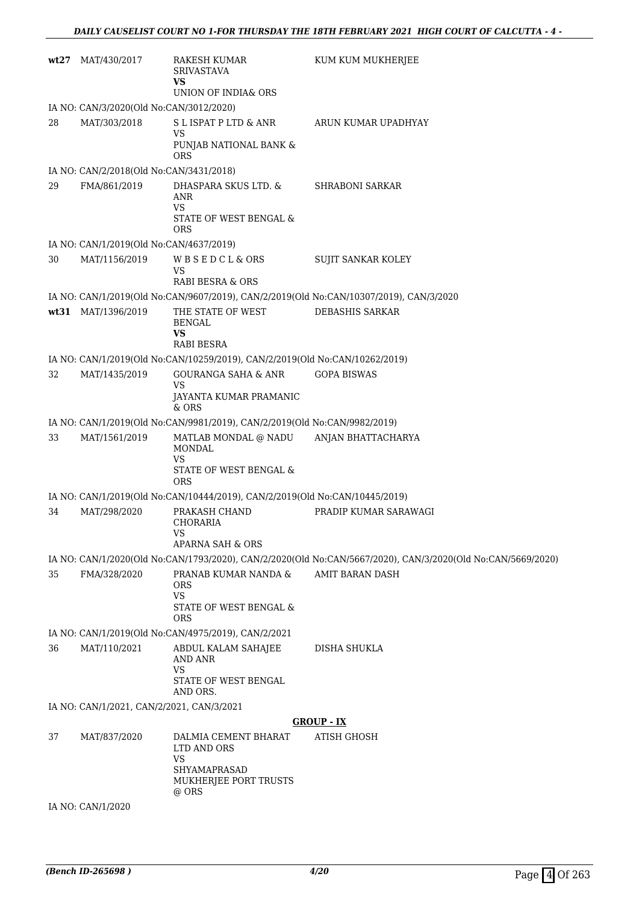|    | $wt27$ MAT/430/2017                       | RAKESH KUMAR<br><b>SRIVASTAVA</b><br><b>VS</b><br>UNION OF INDIA& ORS                   | KUM KUM MUKHERJEE                                                                                           |
|----|-------------------------------------------|-----------------------------------------------------------------------------------------|-------------------------------------------------------------------------------------------------------------|
|    | IA NO: CAN/3/2020(Old No:CAN/3012/2020)   |                                                                                         |                                                                                                             |
| 28 | MAT/303/2018                              | S L ISPAT P LTD & ANR                                                                   | ARUN KUMAR UPADHYAY                                                                                         |
|    |                                           | VS<br>PUNJAB NATIONAL BANK &<br><b>ORS</b>                                              |                                                                                                             |
|    | IA NO: CAN/2/2018(Old No:CAN/3431/2018)   |                                                                                         |                                                                                                             |
| 29 | FMA/861/2019                              | DHASPARA SKUS LTD. &<br>ANR<br><b>VS</b>                                                | SHRABONI SARKAR                                                                                             |
|    |                                           | STATE OF WEST BENGAL &<br><b>ORS</b>                                                    |                                                                                                             |
|    | IA NO: CAN/1/2019(Old No:CAN/4637/2019)   |                                                                                         |                                                                                                             |
| 30 | MAT/1156/2019                             | WBSEDCL&ORS<br>VS                                                                       | <b>SUJIT SANKAR KOLEY</b>                                                                                   |
|    |                                           | <b>RABI BESRA &amp; ORS</b>                                                             |                                                                                                             |
|    |                                           |                                                                                         | IA NO: CAN/1/2019(Old No:CAN/9607/2019), CAN/2/2019(Old No:CAN/10307/2019), CAN/3/2020                      |
|    | wt31 MAT/1396/2019                        | THE STATE OF WEST<br><b>BENGAL</b><br><b>VS</b>                                         | DEBASHIS SARKAR                                                                                             |
|    |                                           | RABI BESRA                                                                              |                                                                                                             |
|    |                                           | IA NO: CAN/1/2019(Old No:CAN/10259/2019), CAN/2/2019(Old No:CAN/10262/2019)             |                                                                                                             |
| 32 | MAT/1435/2019                             | <b>GOURANGA SAHA &amp; ANR</b><br>VS<br>JAYANTA KUMAR PRAMANIC<br>$&$ ORS               | <b>GOPA BISWAS</b>                                                                                          |
|    |                                           | IA NO: CAN/1/2019(Old No:CAN/9981/2019), CAN/2/2019(Old No:CAN/9982/2019)               |                                                                                                             |
| 33 | MAT/1561/2019                             | MATLAB MONDAL @ NADU<br><b>MONDAL</b><br><b>VS</b>                                      | ANJAN BHATTACHARYA                                                                                          |
|    |                                           | STATE OF WEST BENGAL &<br><b>ORS</b>                                                    |                                                                                                             |
|    |                                           | IA NO: CAN/1/2019(Old No:CAN/10444/2019), CAN/2/2019(Old No:CAN/10445/2019)             |                                                                                                             |
| 34 | MAT/298/2020                              | PRAKASH CHAND<br><b>CHORARIA</b><br>VS<br>APARNA SAH & ORS                              | PRADIP KUMAR SARAWAGI                                                                                       |
|    |                                           |                                                                                         | IA NO: CAN/1/2020(Old No:CAN/1793/2020), CAN/2/2020(Old No:CAN/5667/2020), CAN/3/2020(Old No:CAN/5669/2020) |
| 35 | FMA/328/2020                              | PRANAB KUMAR NANDA &<br><b>ORS</b><br><b>VS</b><br>STATE OF WEST BENGAL &<br><b>ORS</b> | AMIT BARAN DASH                                                                                             |
|    |                                           | IA NO: CAN/1/2019(Old No:CAN/4975/2019), CAN/2/2021                                     |                                                                                                             |
| 36 | MAT/110/2021                              | ABDUL KALAM SAHAJEE<br>AND ANR                                                          | DISHA SHUKLA                                                                                                |
|    |                                           | <b>VS</b><br>STATE OF WEST BENGAL<br>AND ORS.                                           |                                                                                                             |
|    | IA NO: CAN/1/2021, CAN/2/2021, CAN/3/2021 |                                                                                         |                                                                                                             |
|    |                                           |                                                                                         | <b>GROUP - IX</b>                                                                                           |
| 37 | MAT/837/2020                              | DALMIA CEMENT BHARAT<br>LTD AND ORS<br>VS<br>SHYAMAPRASAD                               | <b>ATISH GHOSH</b>                                                                                          |
|    |                                           | MUKHERJEE PORT TRUSTS<br>@ ORS                                                          |                                                                                                             |
|    | IA NO: CAN/1/2020                         |                                                                                         |                                                                                                             |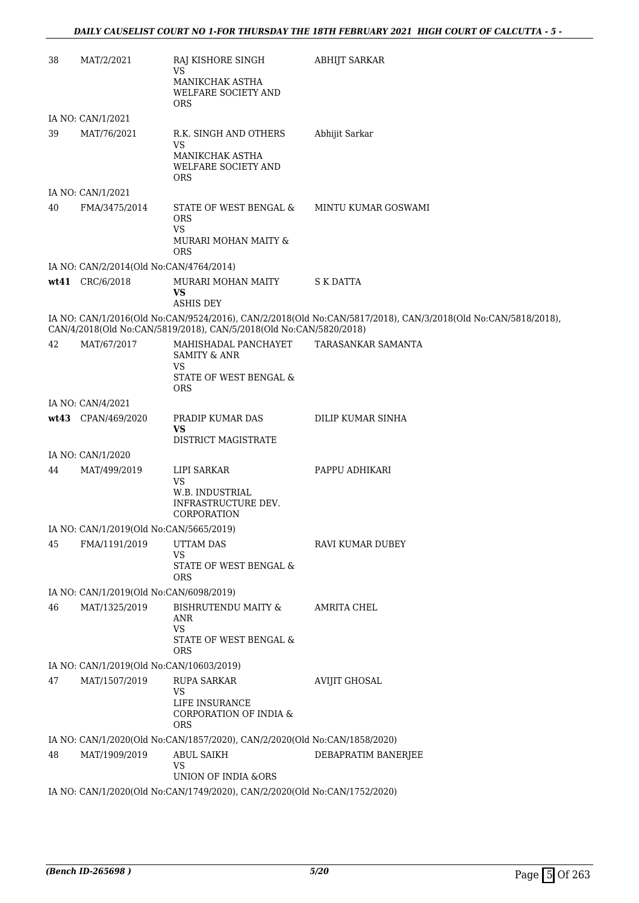| 38 | MAT/2/2021                                                                | RAJ KISHORE SINGH<br><b>VS</b><br>MANIKCHAK ASTHA<br>WELFARE SOCIETY AND<br><b>ORS</b>  | <b>ABHIJT SARKAR</b>                                                                                         |  |
|----|---------------------------------------------------------------------------|-----------------------------------------------------------------------------------------|--------------------------------------------------------------------------------------------------------------|--|
|    | IA NO: CAN/1/2021                                                         |                                                                                         |                                                                                                              |  |
| 39 | MAT/76/2021                                                               | R.K. SINGH AND OTHERS<br><b>VS</b>                                                      | Abhijit Sarkar                                                                                               |  |
|    |                                                                           | MANIKCHAK ASTHA<br>WELFARE SOCIETY AND<br><b>ORS</b>                                    |                                                                                                              |  |
|    | IA NO: CAN/1/2021                                                         |                                                                                         |                                                                                                              |  |
| 40 | FMA/3475/2014                                                             | STATE OF WEST BENGAL &<br><b>ORS</b><br><b>VS</b><br>MURARI MOHAN MAITY &<br><b>ORS</b> | MINTU KUMAR GOSWAMI                                                                                          |  |
|    | IA NO: CAN/2/2014(Old No:CAN/4764/2014)                                   |                                                                                         |                                                                                                              |  |
|    | wt41 CRC/6/2018                                                           | MURARI MOHAN MAITY<br>VS<br><b>ASHIS DEY</b>                                            | <b>S K DATTA</b>                                                                                             |  |
|    |                                                                           | CAN/4/2018(Old No:CAN/5819/2018), CAN/5/2018(Old No:CAN/5820/2018)                      | IA NO: CAN/1/2016(Old No:CAN/9524/2016), CAN/2/2018(Old No:CAN/5817/2018), CAN/3/2018(Old No:CAN/5818/2018), |  |
| 42 | MAT/67/2017                                                               | MAHISHADAL PANCHAYET<br><b>SAMITY &amp; ANR</b>                                         | TARASANKAR SAMANTA                                                                                           |  |
|    |                                                                           | VS<br>STATE OF WEST BENGAL &<br><b>ORS</b>                                              |                                                                                                              |  |
|    | IA NO: CAN/4/2021                                                         |                                                                                         |                                                                                                              |  |
|    | wt43 CPAN/469/2020                                                        | PRADIP KUMAR DAS<br><b>VS</b><br>DISTRICT MAGISTRATE                                    | DILIP KUMAR SINHA                                                                                            |  |
|    | IA NO: CAN/1/2020                                                         |                                                                                         |                                                                                                              |  |
| 44 | MAT/499/2019                                                              | LIPI SARKAR                                                                             | PAPPU ADHIKARI                                                                                               |  |
|    |                                                                           | VS.<br>W.B. INDUSTRIAL<br>INFRASTRUCTURE DEV.<br>CORPORATION                            |                                                                                                              |  |
|    | IA NO: CAN/1/2019(Old No:CAN/5665/2019)                                   |                                                                                         |                                                                                                              |  |
| 45 | FMA/1191/2019                                                             | <b>UTTAM DAS</b>                                                                        | RAVI KUMAR DUBEY                                                                                             |  |
|    |                                                                           | VS<br>STATE OF WEST BENGAL &<br><b>ORS</b>                                              |                                                                                                              |  |
|    | IA NO: CAN/1/2019(Old No:CAN/6098/2019)                                   |                                                                                         |                                                                                                              |  |
| 46 | MAT/1325/2019                                                             | <b>BISHRUTENDU MAITY &amp;</b><br>ANR<br>VS                                             | AMRITA CHEL                                                                                                  |  |
|    |                                                                           | STATE OF WEST BENGAL &<br>ORS                                                           |                                                                                                              |  |
|    | IA NO: CAN/1/2019(Old No:CAN/10603/2019)                                  |                                                                                         |                                                                                                              |  |
| 47 | MAT/1507/2019                                                             | <b>RUPA SARKAR</b><br>VS                                                                | <b>AVIJIT GHOSAL</b>                                                                                         |  |
|    |                                                                           | LIFE INSURANCE<br>CORPORATION OF INDIA &<br><b>ORS</b>                                  |                                                                                                              |  |
|    |                                                                           | IA NO: CAN/1/2020(Old No:CAN/1857/2020), CAN/2/2020(Old No:CAN/1858/2020)               |                                                                                                              |  |
| 48 | MAT/1909/2019                                                             | <b>ABUL SAIKH</b><br>VS<br>UNION OF INDIA &ORS                                          | DEBAPRATIM BANERJEE                                                                                          |  |
|    |                                                                           |                                                                                         |                                                                                                              |  |
|    | IA NO: CAN/1/2020(Old No:CAN/1749/2020), CAN/2/2020(Old No:CAN/1752/2020) |                                                                                         |                                                                                                              |  |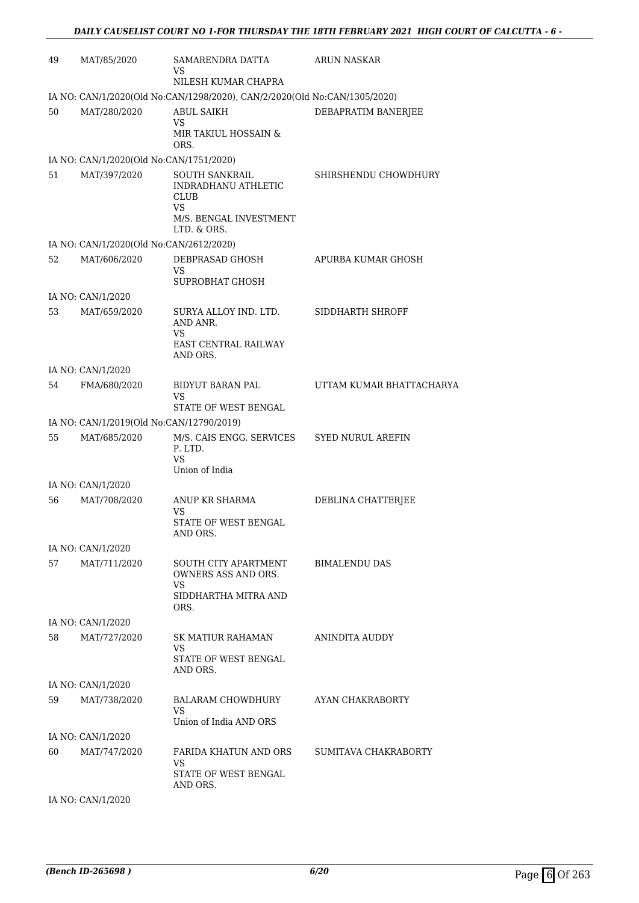| 49 | MAT/85/2020                              | SAMARENDRA DATTA<br>VS<br>NILESH KUMAR CHAPRA                             | <b>ARUN NASKAR</b>       |
|----|------------------------------------------|---------------------------------------------------------------------------|--------------------------|
|    |                                          | IA NO: CAN/1/2020(Old No:CAN/1298/2020), CAN/2/2020(Old No:CAN/1305/2020) |                          |
| 50 | MAT/280/2020                             | <b>ABUL SAIKH</b><br><b>VS</b><br>MIR TAKIUL HOSSAIN &<br>ORS.            | DEBAPRATIM BANERJEE      |
|    | IA NO: CAN/1/2020(Old No:CAN/1751/2020)  |                                                                           |                          |
| 51 | MAT/397/2020                             | <b>SOUTH SANKRAIL</b><br>INDRADHANU ATHLETIC<br>CLUB<br><b>VS</b>         | SHIRSHENDU CHOWDHURY     |
|    |                                          | M/S. BENGAL INVESTMENT<br>LTD. & ORS.                                     |                          |
|    | IA NO: CAN/1/2020(Old No:CAN/2612/2020)  |                                                                           |                          |
| 52 | MAT/606/2020                             | DEBPRASAD GHOSH<br>VS                                                     | APURBA KUMAR GHOSH       |
|    |                                          | SUPROBHAT GHOSH                                                           |                          |
|    | IA NO: CAN/1/2020                        |                                                                           |                          |
| 53 | MAT/659/2020                             | SURYA ALLOY IND. LTD.<br>AND ANR.                                         | SIDDHARTH SHROFF         |
|    |                                          | VS<br><b>EAST CENTRAL RAILWAY</b><br>AND ORS.                             |                          |
|    | IA NO: CAN/1/2020                        |                                                                           |                          |
| 54 | FMA/680/2020                             | <b>BIDYUT BARAN PAL</b><br>VS                                             | UTTAM KUMAR BHATTACHARYA |
|    |                                          | STATE OF WEST BENGAL                                                      |                          |
|    | IA NO: CAN/1/2019(Old No:CAN/12790/2019) |                                                                           |                          |
| 55 | MAT/685/2020                             | M/S. CAIS ENGG. SERVICES<br>P. LTD.<br><b>VS</b>                          | <b>SYED NURUL AREFIN</b> |
|    |                                          | Union of India                                                            |                          |
|    | IA NO: CAN/1/2020                        |                                                                           |                          |
| 56 | MAT/708/2020                             | ANUP KR SHARMA<br>VS                                                      | DEBLINA CHATTERJEE       |
|    |                                          | STATE OF WEST BENGAL<br>AND ORS.                                          |                          |
|    | IA NO: CAN/1/2020                        |                                                                           |                          |
| 57 | MAT/711/2020                             | SOUTH CITY APARTMENT<br>OWNERS ASS AND ORS.                               | <b>BIMALENDU DAS</b>     |
|    |                                          | VS<br>SIDDHARTHA MITRA AND<br>ORS.                                        |                          |
|    | IA NO: CAN/1/2020                        |                                                                           |                          |
| 58 | MAT/727/2020                             | SK MATIUR RAHAMAN<br>VS                                                   | ANINDITA AUDDY           |
|    |                                          | STATE OF WEST BENGAL<br>AND ORS.                                          |                          |
|    | IA NO: CAN/1/2020                        |                                                                           |                          |
| 59 | MAT/738/2020                             | BALARAM CHOWDHURY<br><b>VS</b>                                            | AYAN CHAKRABORTY         |
|    |                                          | Union of India AND ORS                                                    |                          |
|    | IA NO: CAN/1/2020                        |                                                                           |                          |
| 60 | MAT/747/2020                             | FARIDA KHATUN AND ORS<br>VS.<br>STATE OF WEST BENGAL                      | SUMITAVA CHAKRABORTY     |
|    |                                          | AND ORS.                                                                  |                          |
|    | IA NO: CAN/1/2020                        |                                                                           |                          |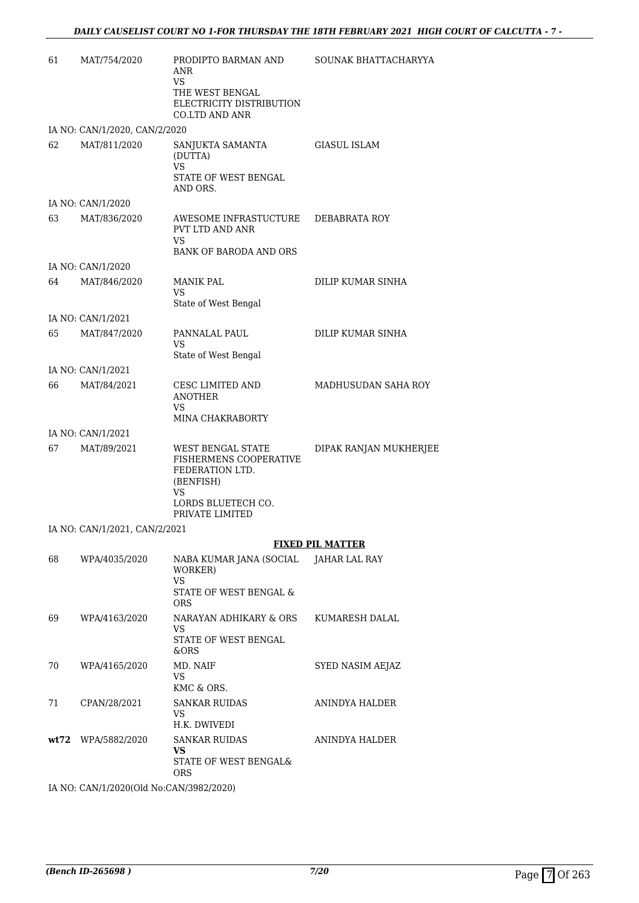| 61   | MAT/754/2020                  | PRODIPTO BARMAN AND<br>ANR<br>VS<br>THE WEST BENGAL<br>ELECTRICITY DISTRIBUTION<br><b>CO.LTD AND ANR</b>                   | SOUNAK BHATTACHARYYA    |
|------|-------------------------------|----------------------------------------------------------------------------------------------------------------------------|-------------------------|
|      | IA NO: CAN/1/2020, CAN/2/2020 |                                                                                                                            |                         |
| 62   | MAT/811/2020                  | SANJUKTA SAMANTA<br>(DUTTA)<br><b>VS</b><br>STATE OF WEST BENGAL<br>AND ORS.                                               | <b>GIASUL ISLAM</b>     |
|      | IA NO: CAN/1/2020             |                                                                                                                            |                         |
| 63   | MAT/836/2020                  | AWESOME INFRASTUCTURE<br>PVT LTD AND ANR<br><b>VS</b><br><b>BANK OF BARODA AND ORS</b>                                     | DEBABRATA ROY           |
|      | IA NO: CAN/1/2020             |                                                                                                                            |                         |
| 64   | MAT/846/2020                  | <b>MANIK PAL</b><br><b>VS</b><br>State of West Bengal                                                                      | DILIP KUMAR SINHA       |
|      | IA NO: CAN/1/2021             |                                                                                                                            |                         |
| 65   | MAT/847/2020                  | PANNALAL PAUL<br><b>VS</b><br>State of West Bengal                                                                         | DILIP KUMAR SINHA       |
|      | IA NO: CAN/1/2021             |                                                                                                                            |                         |
| 66   | MAT/84/2021                   | CESC LIMITED AND<br><b>ANOTHER</b><br>VS.<br>MINA CHAKRABORTY                                                              | MADHUSUDAN SAHA ROY     |
|      | IA NO: CAN/1/2021             |                                                                                                                            |                         |
| 67   | MAT/89/2021                   | WEST BENGAL STATE<br>FISHERMENS COOPERATIVE<br>FEDERATION LTD.<br>(BENFISH)<br>VS<br>LORDS BLUETECH CO.<br>PRIVATE LIMITED | DIPAK RANJAN MUKHERJEE  |
|      | IA NO: CAN/1/2021, CAN/2/2021 |                                                                                                                            |                         |
|      |                               |                                                                                                                            | <b>FIXED PIL MATTER</b> |
| 68   | WPA/4035/2020                 | NABA KUMAR JANA (SOCIAL<br>WORKER)<br><b>VS</b><br>STATE OF WEST BENGAL &<br><b>ORS</b>                                    | JAHAR LAL RAY           |
| 69   | WPA/4163/2020                 | NARAYAN ADHIKARY & ORS<br>VS<br>STATE OF WEST BENGAL<br>&ORS                                                               | KUMARESH DALAL          |
| 70   | WPA/4165/2020                 | MD. NAIF<br>VS<br>KMC & ORS.                                                                                               | SYED NASIM AEJAZ        |
| 71   | CPAN/28/2021                  | <b>SANKAR RUIDAS</b><br>VS.<br>H.K. DWIVEDI                                                                                | ANINDYA HALDER          |
| wt72 | WPA/5882/2020                 | <b>SANKAR RUIDAS</b><br>VS.                                                                                                | ANINDYA HALDER          |

STATE OF WEST BENGAL&

ORS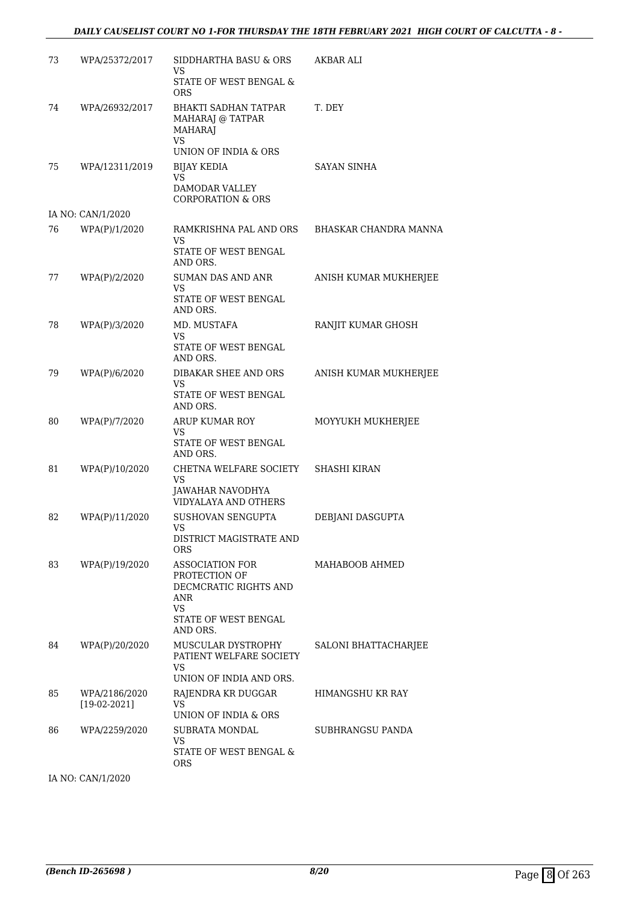| 73 | WPA/25372/2017                  | SIDDHARTHA BASU & ORS<br>VS                                                                                              | AKBAR ALI             |
|----|---------------------------------|--------------------------------------------------------------------------------------------------------------------------|-----------------------|
|    |                                 | STATE OF WEST BENGAL &<br><b>ORS</b>                                                                                     |                       |
| 74 | WPA/26932/2017                  | <b>BHAKTI SADHAN TATPAR</b><br>MAHARAJ @ TATPAR<br><b>MAHARAJ</b><br>VS                                                  | T. DEY                |
|    |                                 | UNION OF INDIA & ORS                                                                                                     |                       |
| 75 | WPA/12311/2019                  | <b>BIJAY KEDIA</b><br><b>VS</b><br><b>DAMODAR VALLEY</b><br><b>CORPORATION &amp; ORS</b>                                 | <b>SAYAN SINHA</b>    |
|    | IA NO: CAN/1/2020               |                                                                                                                          |                       |
| 76 | WPA(P)/1/2020                   | RAMKRISHNA PAL AND ORS BHASKAR CHANDRA MANNA<br><b>VS</b><br>STATE OF WEST BENGAL                                        |                       |
|    |                                 | AND ORS.                                                                                                                 |                       |
| 77 | WPA(P)/2/2020                   | SUMAN DAS AND ANR<br>VS<br>STATE OF WEST BENGAL<br>AND ORS.                                                              | ANISH KUMAR MUKHERJEE |
| 78 | WPA(P)/3/2020                   | MD. MUSTAFA                                                                                                              | RANJIT KUMAR GHOSH    |
|    |                                 | <b>VS</b><br>STATE OF WEST BENGAL<br>AND ORS.                                                                            |                       |
| 79 | WPA(P)/6/2020                   | DIBAKAR SHEE AND ORS                                                                                                     | ANISH KUMAR MUKHERJEE |
|    |                                 | VS<br>STATE OF WEST BENGAL<br>AND ORS.                                                                                   |                       |
| 80 | WPA(P)/7/2020                   | ARUP KUMAR ROY                                                                                                           | MOYYUKH MUKHERJEE     |
|    |                                 | VS<br>STATE OF WEST BENGAL<br>AND ORS.                                                                                   |                       |
| 81 | WPA(P)/10/2020                  | CHETNA WELFARE SOCIETY<br>VS<br>JAWAHAR NAVODHYA                                                                         | <b>SHASHI KIRAN</b>   |
| 82 | WPA(P)/11/2020                  | VIDYALAYA AND OTHERS<br><b>SUSHOVAN SENGUPTA</b>                                                                         | DEBJANI DASGUPTA      |
|    |                                 | VS<br>DISTRICT MAGISTRATE AND<br><b>ORS</b>                                                                              |                       |
| 83 | WPA(P)/19/2020                  | <b>ASSOCIATION FOR</b><br>PROTECTION OF<br>DECMCRATIC RIGHTS AND<br>ANR<br><b>VS</b><br>STATE OF WEST BENGAL<br>AND ORS. | MAHABOOB AHMED        |
| 84 | WPA(P)/20/2020                  | MUSCULAR DYSTROPHY<br>PATIENT WELFARE SOCIETY<br>VS.<br>UNION OF INDIA AND ORS.                                          | SALONI BHATTACHARJEE  |
| 85 | WPA/2186/2020<br>$[19-02-2021]$ | RAJENDRA KR DUGGAR<br><b>VS</b>                                                                                          | HIMANGSHU KR RAY      |
|    |                                 | UNION OF INDIA & ORS                                                                                                     |                       |
| 86 | WPA/2259/2020                   | SUBRATA MONDAL<br>VS<br>STATE OF WEST BENGAL &<br><b>ORS</b>                                                             | SUBHRANGSU PANDA      |
|    | IA NO: CAN/1/2020               |                                                                                                                          |                       |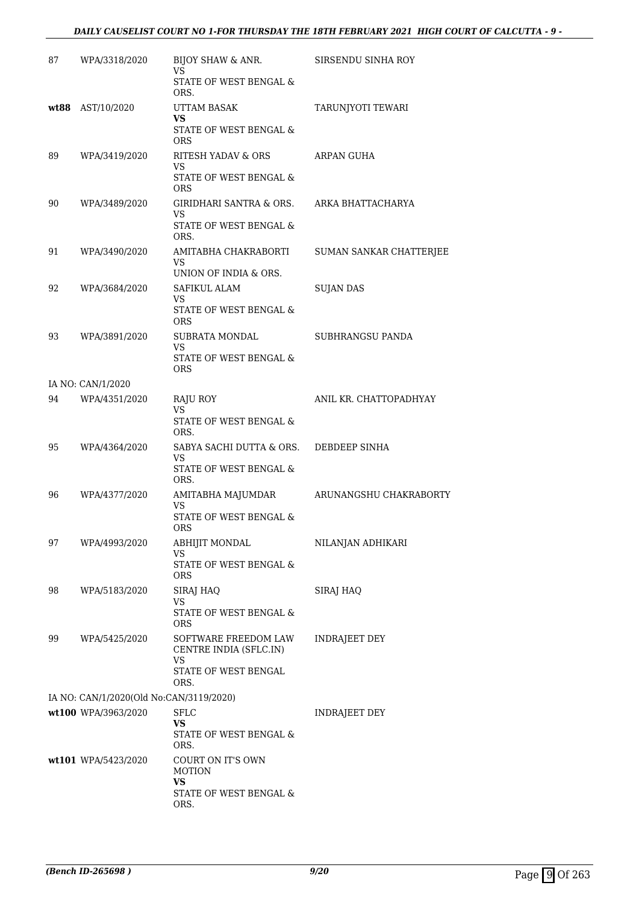#### *DAILY CAUSELIST COURT NO 1-FOR THURSDAY THE 18TH FEBRUARY 2021 HIGH COURT OF CALCUTTA - 9 -*

| 87 | WPA/3318/2020                           | BIJOY SHAW & ANR.<br>VS                              | SIRSENDU SINHA ROY      |
|----|-----------------------------------------|------------------------------------------------------|-------------------------|
|    |                                         | STATE OF WEST BENGAL &<br>ORS.                       |                         |
|    | wt88 AST/10/2020                        | <b>UTTAM BASAK</b>                                   | TARUNJYOTI TEWARI       |
|    |                                         | VS<br>STATE OF WEST BENGAL &<br><b>ORS</b>           |                         |
| 89 | WPA/3419/2020                           | RITESH YADAV & ORS                                   | ARPAN GUHA              |
|    |                                         | VS<br>STATE OF WEST BENGAL &<br><b>ORS</b>           |                         |
| 90 | WPA/3489/2020                           | GIRIDHARI SANTRA & ORS.                              | ARKA BHATTACHARYA       |
|    |                                         | VS<br>STATE OF WEST BENGAL &<br>ORS.                 |                         |
| 91 | WPA/3490/2020                           | AMITABHA CHAKRABORTI<br>VS                           | SUMAN SANKAR CHATTERJEE |
|    |                                         | UNION OF INDIA & ORS.                                |                         |
| 92 | WPA/3684/2020                           | <b>SAFIKUL ALAM</b>                                  | <b>SUJAN DAS</b>        |
|    |                                         | VS.<br>STATE OF WEST BENGAL &<br>ORS                 |                         |
| 93 | WPA/3891/2020                           | SUBRATA MONDAL                                       | SUBHRANGSU PANDA        |
|    |                                         | VS<br>STATE OF WEST BENGAL &<br><b>ORS</b>           |                         |
|    | IA NO: CAN/1/2020                       |                                                      |                         |
| 94 | WPA/4351/2020                           | RAJU ROY<br>VS                                       | ANIL KR. CHATTOPADHYAY  |
|    |                                         | STATE OF WEST BENGAL &<br>ORS.                       |                         |
| 95 | WPA/4364/2020                           | SABYA SACHI DUTTA & ORS.<br>VS                       | DEBDEEP SINHA           |
|    |                                         | STATE OF WEST BENGAL &<br>ORS.                       |                         |
| 96 | WPA/4377/2020                           | AMITABHA MAJUMDAR<br>VS                              | ARUNANGSHU CHAKRABORTY  |
|    |                                         | STATE OF WEST BENGAL &<br>ORS                        |                         |
| 97 | WPA/4993/2020                           | ABHIJIT MONDAL<br>VS                                 | NILANJAN ADHIKARI       |
|    |                                         | STATE OF WEST BENGAL &<br>ORS                        |                         |
| 98 | WPA/5183/2020                           | SIRAJ HAQ<br>VS                                      | SIRAJ HAQ               |
|    |                                         | STATE OF WEST BENGAL &<br>ORS                        |                         |
| 99 | WPA/5425/2020                           | SOFTWARE FREEDOM LAW<br>CENTRE INDIA (SFLC.IN)<br>VS | <b>INDRAJEET DEY</b>    |
|    |                                         | STATE OF WEST BENGAL<br>ORS.                         |                         |
|    | IA NO: CAN/1/2020(Old No:CAN/3119/2020) |                                                      |                         |
|    | wt100 WPA/3963/2020                     | <b>SFLC</b><br>VS                                    | <b>INDRAJEET DEY</b>    |
|    |                                         | STATE OF WEST BENGAL &<br>ORS.                       |                         |
|    | wt101 WPA/5423/2020                     | COURT ON IT'S OWN<br><b>MOTION</b><br><b>VS</b>      |                         |
|    |                                         | STATE OF WEST BENGAL &<br>ORS.                       |                         |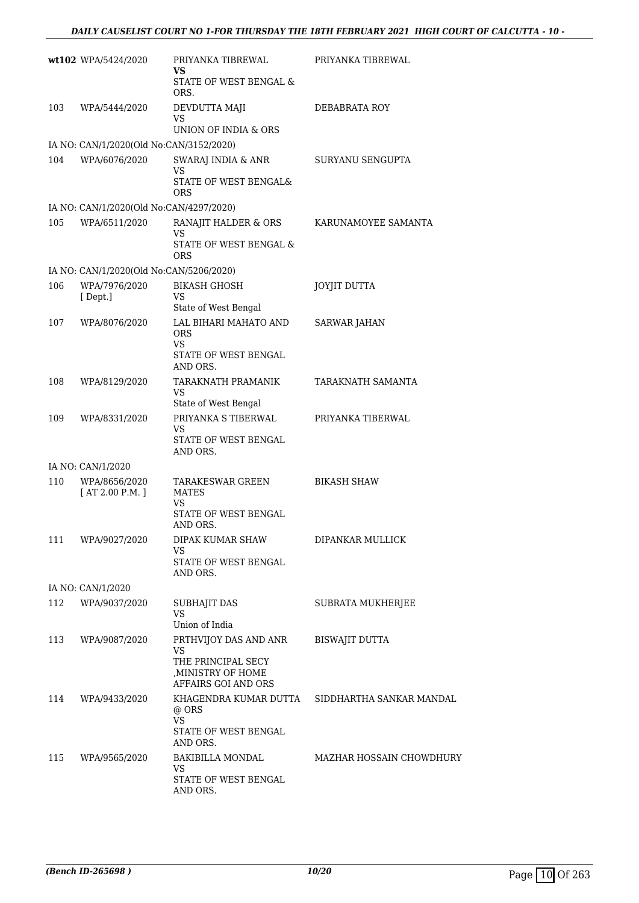|     | wt102 WPA/5424/2020                     | PRIYANKA TIBREWAL<br>VS                                     | PRIYANKA TIBREWAL        |
|-----|-----------------------------------------|-------------------------------------------------------------|--------------------------|
|     |                                         | STATE OF WEST BENGAL &<br>ORS.                              |                          |
| 103 | WPA/5444/2020                           | DEVDUTTA MAJI<br>VS<br>UNION OF INDIA & ORS                 | DEBABRATA ROY            |
|     | IA NO: CAN/1/2020(Old No:CAN/3152/2020) |                                                             |                          |
| 104 | WPA/6076/2020                           | SWARAJ INDIA & ANR<br><b>VS</b>                             | SURYANU SENGUPTA         |
|     |                                         | STATE OF WEST BENGAL&<br><b>ORS</b>                         |                          |
|     | IA NO: CAN/1/2020(Old No:CAN/4297/2020) |                                                             |                          |
| 105 | WPA/6511/2020                           | RANAJIT HALDER & ORS<br><b>VS</b><br>STATE OF WEST BENGAL & | KARUNAMOYEE SAMANTA      |
|     |                                         | <b>ORS</b>                                                  |                          |
|     | IA NO: CAN/1/2020(Old No:CAN/5206/2020) |                                                             |                          |
| 106 | WPA/7976/2020<br>[Dept.]                | <b>BIKASH GHOSH</b><br>VS                                   | <b>JOYJIT DUTTA</b>      |
|     |                                         | State of West Bengal                                        |                          |
| 107 | WPA/8076/2020                           | LAL BIHARI MAHATO AND<br><b>ORS</b><br><b>VS</b>            | <b>SARWAR JAHAN</b>      |
|     |                                         | STATE OF WEST BENGAL<br>AND ORS.                            |                          |
| 108 | WPA/8129/2020                           | TARAKNATH PRAMANIK<br>VS                                    | TARAKNATH SAMANTA        |
|     |                                         | State of West Bengal                                        |                          |
| 109 | WPA/8331/2020                           | PRIYANKA S TIBERWAL<br>VS<br>STATE OF WEST BENGAL           | PRIYANKA TIBERWAL        |
|     |                                         | AND ORS.                                                    |                          |
|     | IA NO: CAN/1/2020                       |                                                             |                          |
| 110 | WPA/8656/2020<br>[AT 2.00 P.M.]         | TARAKESWAR GREEN<br><b>MATES</b><br>VS                      | <b>BIKASH SHAW</b>       |
|     |                                         | STATE OF WEST BENGAL<br>AND ORS.                            |                          |
| 111 | WPA/9027/2020                           | DIPAK KUMAR SHAW                                            | DIPANKAR MULLICK         |
|     |                                         | <b>VS</b><br>STATE OF WEST BENGAL<br>AND ORS.               |                          |
|     | IA NO: CAN/1/2020                       |                                                             |                          |
| 112 | WPA/9037/2020                           | SUBHAJIT DAS<br><b>VS</b>                                   | SUBRATA MUKHERJEE        |
|     |                                         | Union of India                                              |                          |
| 113 | WPA/9087/2020                           | PRTHVIJOY DAS AND ANR<br>VS<br>THE PRINCIPAL SECY           | <b>BISWAJIT DUTTA</b>    |
|     |                                         | , MINISTRY OF HOME<br>AFFAIRS GOI AND ORS                   |                          |
| 114 | WPA/9433/2020                           | KHAGENDRA KUMAR DUTTA<br>@ ORS                              | SIDDHARTHA SANKAR MANDAL |
|     |                                         | <b>VS</b><br>STATE OF WEST BENGAL<br>AND ORS.               |                          |
| 115 | WPA/9565/2020                           | BAKIBILLA MONDAL<br><b>VS</b>                               | MAZHAR HOSSAIN CHOWDHURY |
|     |                                         | STATE OF WEST BENGAL<br>AND ORS.                            |                          |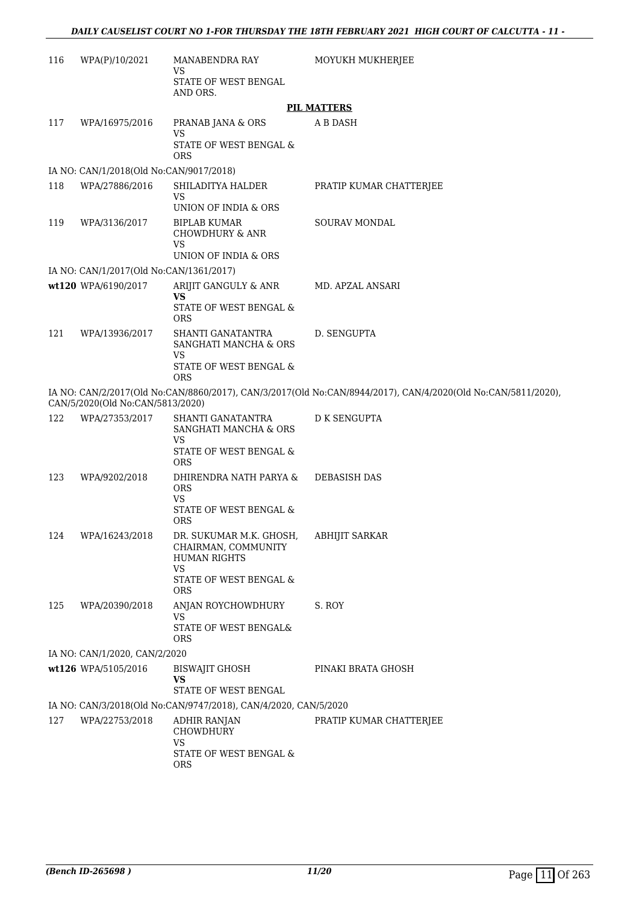| 116 | WPA(P)/10/2021                          | MANABENDRA RAY                                                                     | MOYUKH MUKHERJEE                                                                                             |  |  |
|-----|-----------------------------------------|------------------------------------------------------------------------------------|--------------------------------------------------------------------------------------------------------------|--|--|
|     |                                         | VS<br>STATE OF WEST BENGAL<br>AND ORS.                                             |                                                                                                              |  |  |
|     | <b>PIL MATTERS</b>                      |                                                                                    |                                                                                                              |  |  |
| 117 | WPA/16975/2016                          | PRANAB JANA & ORS<br><b>VS</b>                                                     | A B DASH                                                                                                     |  |  |
|     |                                         | STATE OF WEST BENGAL &<br><b>ORS</b>                                               |                                                                                                              |  |  |
|     | IA NO: CAN/1/2018(Old No:CAN/9017/2018) |                                                                                    |                                                                                                              |  |  |
| 118 | WPA/27886/2016                          | SHILADITYA HALDER<br><b>VS</b>                                                     | PRATIP KUMAR CHATTERJEE                                                                                      |  |  |
|     |                                         | UNION OF INDIA & ORS                                                               |                                                                                                              |  |  |
| 119 | WPA/3136/2017                           | <b>BIPLAB KUMAR</b><br><b>CHOWDHURY &amp; ANR</b><br>VS                            | <b>SOURAV MONDAL</b>                                                                                         |  |  |
|     |                                         | UNION OF INDIA & ORS                                                               |                                                                                                              |  |  |
|     | IA NO: CAN/1/2017(Old No:CAN/1361/2017) |                                                                                    |                                                                                                              |  |  |
|     | wt120 WPA/6190/2017                     | ARIJIT GANGULY & ANR<br><b>VS</b>                                                  | MD. APZAL ANSARI                                                                                             |  |  |
|     |                                         | STATE OF WEST BENGAL &<br><b>ORS</b>                                               |                                                                                                              |  |  |
| 121 | WPA/13936/2017                          | SHANTI GANATANTRA<br>SANGHATI MANCHA & ORS<br>VS                                   | D. SENGUPTA                                                                                                  |  |  |
|     |                                         | STATE OF WEST BENGAL $\&$<br><b>ORS</b>                                            |                                                                                                              |  |  |
|     | CAN/5/2020(Old No:CAN/5813/2020)        |                                                                                    | IA NO: CAN/2/2017(Old No:CAN/8860/2017), CAN/3/2017(Old No:CAN/8944/2017), CAN/4/2020(Old No:CAN/5811/2020), |  |  |
| 122 | WPA/27353/2017                          | SHANTI GANATANTRA<br>SANGHATI MANCHA & ORS<br><b>VS</b>                            | <b>D K SENGUPTA</b>                                                                                          |  |  |
|     |                                         | STATE OF WEST BENGAL &<br><b>ORS</b>                                               |                                                                                                              |  |  |
| 123 | WPA/9202/2018                           | DHIRENDRA NATH PARYA &<br><b>ORS</b><br><b>VS</b>                                  | <b>DEBASISH DAS</b>                                                                                          |  |  |
|     |                                         | STATE OF WEST BENGAL &<br><b>ORS</b>                                               |                                                                                                              |  |  |
| 124 | WPA/16243/2018                          | DR. SUKUMAR M.K. GHOSH,<br>CHAIRMAN, COMMUNITY<br><b>HUMAN RIGHTS</b><br><b>VS</b> | <b>ABHIJIT SARKAR</b>                                                                                        |  |  |
|     |                                         | STATE OF WEST BENGAL &<br><b>ORS</b>                                               |                                                                                                              |  |  |
| 125 | WPA/20390/2018                          | ANJAN ROYCHOWDHURY<br><b>VS</b><br>STATE OF WEST BENGAL&<br><b>ORS</b>             | S. ROY                                                                                                       |  |  |
|     | IA NO: CAN/1/2020, CAN/2/2020           |                                                                                    |                                                                                                              |  |  |
|     | wt126 WPA/5105/2016                     | BISWAJIT GHOSH<br><b>VS</b>                                                        | PINAKI BRATA GHOSH                                                                                           |  |  |
|     |                                         | STATE OF WEST BENGAL                                                               |                                                                                                              |  |  |
|     |                                         | IA NO: CAN/3/2018(Old No:CAN/9747/2018), CAN/4/2020, CAN/5/2020                    |                                                                                                              |  |  |
| 127 | WPA/22753/2018                          | ADHIR RANJAN<br><b>CHOWDHURY</b><br><b>VS</b>                                      | PRATIP KUMAR CHATTERJEE                                                                                      |  |  |
|     |                                         | STATE OF WEST BENGAL &<br><b>ORS</b>                                               |                                                                                                              |  |  |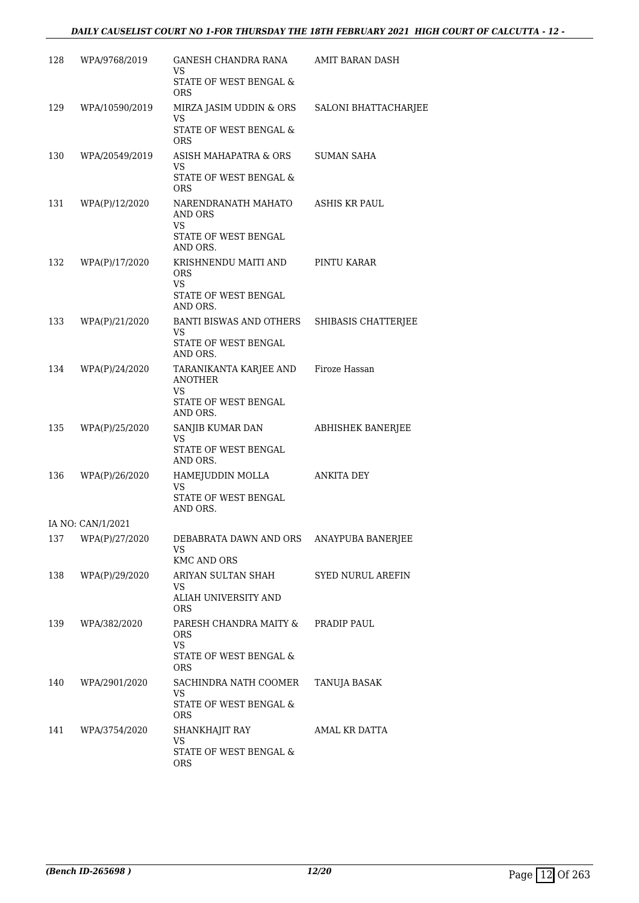#### *DAILY CAUSELIST COURT NO 1-FOR THURSDAY THE 18TH FEBRUARY 2021 HIGH COURT OF CALCUTTA - 12 -*

| 128 | WPA/9768/2019     | GANESH CHANDRA RANA<br>VS<br>STATE OF WEST BENGAL & | AMIT BARAN DASH          |
|-----|-------------------|-----------------------------------------------------|--------------------------|
|     |                   | <b>ORS</b>                                          |                          |
| 129 | WPA/10590/2019    | MIRZA JASIM UDDIN & ORS<br>VS                       | SALONI BHATTACHARJEE     |
|     |                   | STATE OF WEST BENGAL &<br><b>ORS</b>                |                          |
| 130 | WPA/20549/2019    | ASISH MAHAPATRA & ORS<br>VS                         | <b>SUMAN SAHA</b>        |
|     |                   | <b>STATE OF WEST BENGAL &amp;</b><br><b>ORS</b>     |                          |
| 131 | WPA(P)/12/2020    | NARENDRANATH MAHATO<br>AND ORS                      | ASHIS KR PAUL            |
|     |                   | <b>VS</b><br>STATE OF WEST BENGAL<br>AND ORS.       |                          |
| 132 | WPA(P)/17/2020    | KRISHNENDU MAITI AND<br><b>ORS</b><br>VS            | PINTU KARAR              |
|     |                   | STATE OF WEST BENGAL<br>AND ORS.                    |                          |
| 133 | WPA(P)/21/2020    | BANTI BISWAS AND OTHERS<br>VS                       | SHIBASIS CHATTERJEE      |
|     |                   | STATE OF WEST BENGAL<br>AND ORS.                    |                          |
| 134 | WPA(P)/24/2020    | TARANIKANTA KARJEE AND<br>ANOTHER<br><b>VS</b>      | Firoze Hassan            |
|     |                   | STATE OF WEST BENGAL<br>AND ORS.                    |                          |
| 135 | WPA(P)/25/2020    | SANJIB KUMAR DAN<br>VS                              | <b>ABHISHEK BANERJEE</b> |
|     |                   | STATE OF WEST BENGAL<br>AND ORS.                    |                          |
| 136 | WPA(P)/26/2020    | HAMEJUDDIN MOLLA<br>VS                              | <b>ANKITA DEY</b>        |
|     |                   | STATE OF WEST BENGAL<br>AND ORS.                    |                          |
|     | IA NO: CAN/1/2021 |                                                     |                          |
| 137 | WPA(P)/27/2020    | DEBABRATA DAWN AND ORS<br><b>VS</b>                 | ANAYPUBA BANERJEE        |
| 138 | WPA(P)/29/2020    | <b>KMC AND ORS</b><br>ARIYAN SULTAN SHAH            | <b>SYED NURUL AREFIN</b> |
|     |                   | VS<br>ALIAH UNIVERSITY AND<br><b>ORS</b>            |                          |
| 139 | WPA/382/2020      | PARESH CHANDRA MAITY &<br><b>ORS</b>                | PRADIP PAUL              |
|     |                   | <b>VS</b><br>STATE OF WEST BENGAL &<br><b>ORS</b>   |                          |
| 140 | WPA/2901/2020     | SACHINDRA NATH COOMER                               | TANUJA BASAK             |
|     |                   | VS<br>STATE OF WEST BENGAL &<br>ORS.                |                          |
| 141 | WPA/3754/2020     | SHANKHAJIT RAY                                      | AMAL KR DATTA            |
|     |                   | <b>VS</b><br>STATE OF WEST BENGAL &<br>ORS          |                          |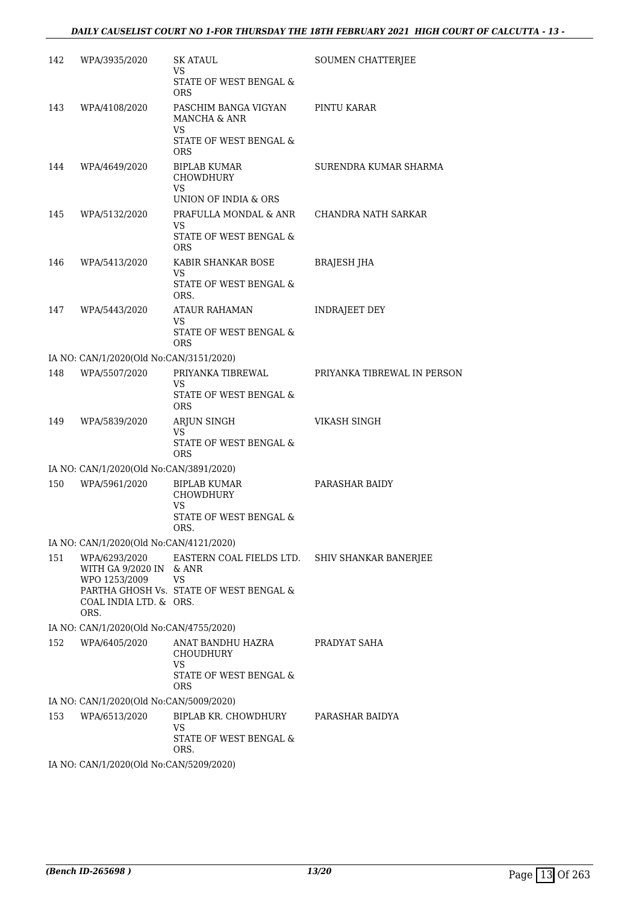| 142 | WPA/3935/2020                                             | SK ATAUL<br>VS                                       | SOUMEN CHATTERJEE           |
|-----|-----------------------------------------------------------|------------------------------------------------------|-----------------------------|
|     |                                                           | STATE OF WEST BENGAL &<br><b>ORS</b>                 |                             |
| 143 | WPA/4108/2020                                             | PASCHIM BANGA VIGYAN<br>MANCHA & ANR<br>VS           | PINTU KARAR                 |
|     |                                                           | STATE OF WEST BENGAL &<br><b>ORS</b>                 |                             |
| 144 | WPA/4649/2020                                             | <b>BIPLAB KUMAR</b><br><b>CHOWDHURY</b><br>VS        | SURENDRA KUMAR SHARMA       |
|     |                                                           | UNION OF INDIA & ORS                                 |                             |
| 145 | WPA/5132/2020                                             | PRAFULLA MONDAL & ANR<br>VS                          | CHANDRA NATH SARKAR         |
|     |                                                           | STATE OF WEST BENGAL &<br><b>ORS</b>                 |                             |
| 146 | WPA/5413/2020                                             | KABIR SHANKAR BOSE<br>VS                             | BRAJESH JHA                 |
|     |                                                           | STATE OF WEST BENGAL &<br>ORS.                       |                             |
| 147 | WPA/5443/2020                                             | <b>ATAUR RAHAMAN</b><br>VS                           | INDRAJEET DEY               |
|     |                                                           | STATE OF WEST BENGAL &<br><b>ORS</b>                 |                             |
|     | IA NO: CAN/1/2020(Old No:CAN/3151/2020)                   |                                                      |                             |
| 148 | WPA/5507/2020                                             | PRIYANKA TIBREWAL<br>VS                              | PRIYANKA TIBREWAL IN PERSON |
|     |                                                           | STATE OF WEST BENGAL &<br><b>ORS</b>                 |                             |
| 149 | WPA/5839/2020                                             | ARJUN SINGH<br>VS                                    | <b>VIKASH SINGH</b>         |
|     |                                                           | STATE OF WEST BENGAL &<br><b>ORS</b>                 |                             |
|     | IA NO: CAN/1/2020(Old No:CAN/3891/2020)                   |                                                      |                             |
| 150 | WPA/5961/2020                                             | <b>BIPLAB KUMAR</b><br>CHOWDHURY<br>VS               | PARASHAR BAIDY              |
|     |                                                           | STATE OF WEST BENGAL &<br>ORS.                       |                             |
|     | IA NO: CAN/1/2020(Old No:CAN/4121/2020)                   |                                                      |                             |
| 151 | WPA/6293/2020<br>WITH GA 9/2020 IN & ANR<br>WPO 1253/2009 | EASTERN COAL FIELDS LTD. SHIV SHANKAR BANERJEE<br>VS |                             |
|     | COAL INDIA LTD. & ORS.<br>ORS.                            | PARTHA GHOSH Vs. STATE OF WEST BENGAL &              |                             |
|     | IA NO: CAN/1/2020(Old No:CAN/4755/2020)                   |                                                      |                             |
| 152 | WPA/6405/2020                                             | ANAT BANDHU HAZRA<br>CHOUDHURY<br>VS                 | PRADYAT SAHA                |
|     |                                                           | STATE OF WEST BENGAL &<br><b>ORS</b>                 |                             |
|     | IA NO: CAN/1/2020(Old No:CAN/5009/2020)                   |                                                      |                             |
| 153 | WPA/6513/2020                                             | BIPLAB KR. CHOWDHURY<br>VS                           | PARASHAR BAIDYA             |
|     |                                                           | STATE OF WEST BENGAL &<br>ORS.                       |                             |
|     | IA NO: CAN/1/2020(Old No:CAN/5209/2020)                   |                                                      |                             |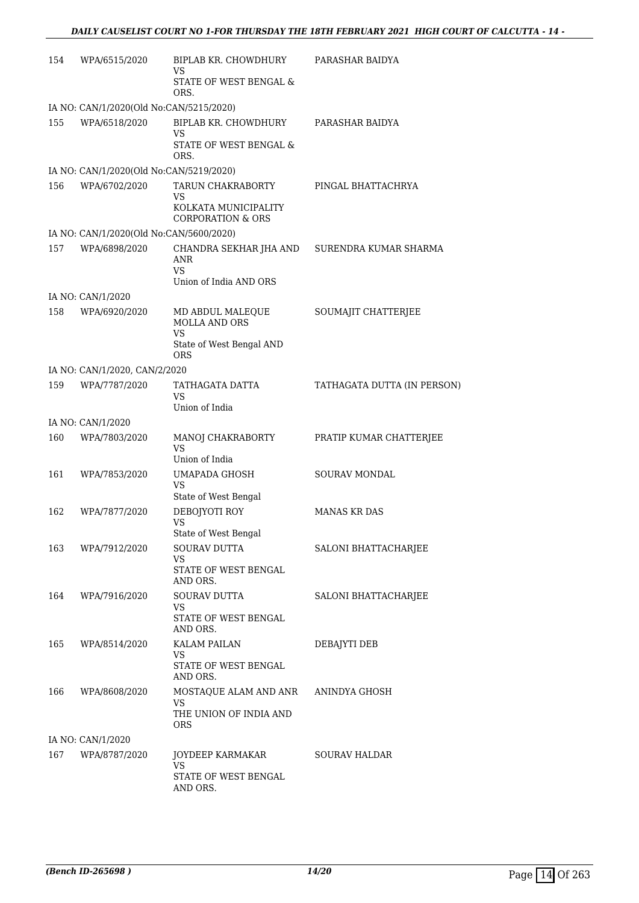| 154 | WPA/6515/2020                           | <b>BIPLAB KR. CHOWDHURY</b><br>VS.                   | PARASHAR BAIDYA             |  |  |
|-----|-----------------------------------------|------------------------------------------------------|-----------------------------|--|--|
|     |                                         | STATE OF WEST BENGAL &<br>ORS.                       |                             |  |  |
|     | IA NO: CAN/1/2020(Old No:CAN/5215/2020) |                                                      |                             |  |  |
| 155 | WPA/6518/2020                           | BIPLAB KR. CHOWDHURY<br><b>VS</b>                    | PARASHAR BAIDYA             |  |  |
|     |                                         | STATE OF WEST BENGAL &<br>ORS.                       |                             |  |  |
|     | IA NO: CAN/1/2020(Old No:CAN/5219/2020) |                                                      |                             |  |  |
| 156 | WPA/6702/2020                           | TARUN CHAKRABORTY<br><b>VS</b>                       | PINGAL BHATTACHRYA          |  |  |
|     |                                         | KOLKATA MUNICIPALITY<br><b>CORPORATION &amp; ORS</b> |                             |  |  |
|     | IA NO: CAN/1/2020(Old No:CAN/5600/2020) |                                                      |                             |  |  |
| 157 | WPA/6898/2020                           | CHANDRA SEKHAR JHA AND<br>ANR                        | SURENDRA KUMAR SHARMA       |  |  |
|     |                                         | VS.<br>Union of India AND ORS                        |                             |  |  |
|     | IA NO: CAN/1/2020                       |                                                      |                             |  |  |
| 158 | WPA/6920/2020                           | MD ABDUL MALEOUE<br><b>MOLLA AND ORS</b>             | SOUMAJIT CHATTERJEE         |  |  |
|     |                                         | VS<br>State of West Bengal AND<br>ORS                |                             |  |  |
|     | IA NO: CAN/1/2020, CAN/2/2020           |                                                      |                             |  |  |
| 159 | WPA/7787/2020                           | TATHAGATA DATTA<br>VS                                | TATHAGATA DUTTA (IN PERSON) |  |  |
|     |                                         | Union of India                                       |                             |  |  |
|     | IA NO: CAN/1/2020                       |                                                      |                             |  |  |
| 160 | WPA/7803/2020                           | MANOJ CHAKRABORTY<br>VS.<br>Union of India           | PRATIP KUMAR CHATTERJEE     |  |  |
| 161 | WPA/7853/2020                           | UMAPADA GHOSH                                        | <b>SOURAV MONDAL</b>        |  |  |
|     |                                         | VS<br>State of West Bengal                           |                             |  |  |
| 162 | WPA/7877/2020                           | DEBOJYOTI ROY<br>VS                                  | <b>MANAS KR DAS</b>         |  |  |
|     |                                         | State of West Bengal                                 |                             |  |  |
| 163 | WPA/7912/2020                           | SOURAV DUTTA<br>VS                                   | SALONI BHATTACHARJEE        |  |  |
|     |                                         | STATE OF WEST BENGAL<br>AND ORS.                     |                             |  |  |
| 164 | WPA/7916/2020                           | <b>SOURAV DUTTA</b><br>VS                            | SALONI BHATTACHARJEE        |  |  |
|     |                                         | STATE OF WEST BENGAL<br>AND ORS.                     |                             |  |  |
| 165 | WPA/8514/2020                           | <b>KALAM PAILAN</b>                                  | DEBAJYTI DEB                |  |  |
|     |                                         | VS<br>STATE OF WEST BENGAL<br>AND ORS.               |                             |  |  |
| 166 | WPA/8608/2020                           | MOSTAQUE ALAM AND ANR<br>VS                          | ANINDYA GHOSH               |  |  |
|     |                                         | THE UNION OF INDIA AND<br>ORS.                       |                             |  |  |
|     | IA NO: CAN/1/2020                       |                                                      |                             |  |  |
| 167 | WPA/8787/2020                           | JOYDEEP KARMAKAR<br>VS                               | SOURAV HALDAR               |  |  |
|     |                                         | STATE OF WEST BENGAL<br>AND ORS.                     |                             |  |  |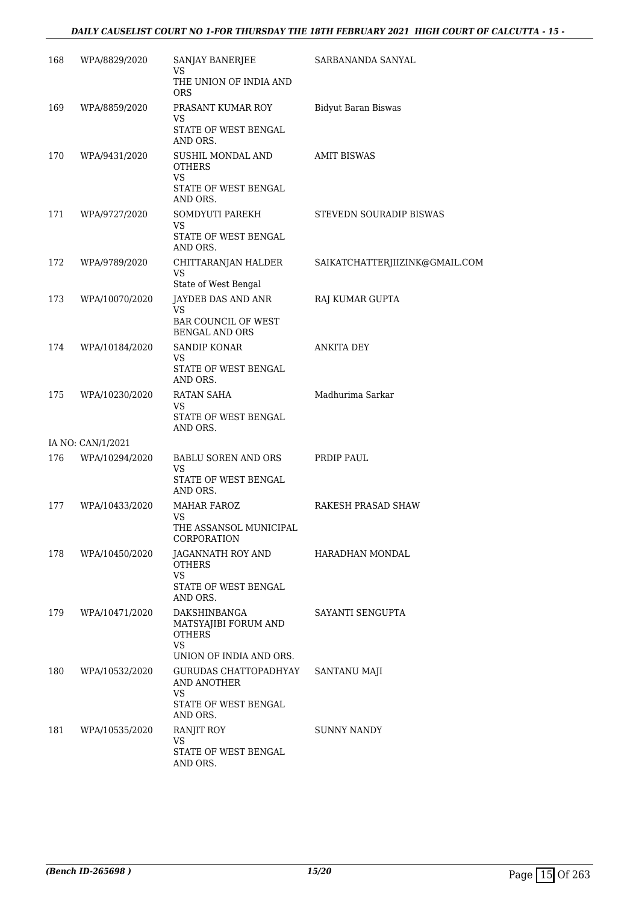#### *DAILY CAUSELIST COURT NO 1-FOR THURSDAY THE 18TH FEBRUARY 2021 HIGH COURT OF CALCUTTA - 15 -*

| 168 | WPA/8829/2020     | SANJAY BANERJEE<br>VS<br>THE UNION OF INDIA AND                                         | SARBANANDA SANYAL              |
|-----|-------------------|-----------------------------------------------------------------------------------------|--------------------------------|
|     |                   | <b>ORS</b>                                                                              |                                |
| 169 | WPA/8859/2020     | PRASANT KUMAR ROY<br>VS                                                                 | <b>Bidyut Baran Biswas</b>     |
|     |                   | STATE OF WEST BENGAL<br>AND ORS.                                                        |                                |
| 170 | WPA/9431/2020     | SUSHIL MONDAL AND<br><b>OTHERS</b><br>VS<br>STATE OF WEST BENGAL<br>AND ORS.            | <b>AMIT BISWAS</b>             |
| 171 | WPA/9727/2020     | SOMDYUTI PAREKH<br>VS<br>STATE OF WEST BENGAL<br>AND ORS.                               | STEVEDN SOURADIP BISWAS        |
| 172 | WPA/9789/2020     | CHITTARANJAN HALDER<br><b>VS</b>                                                        | SAIKATCHATTERJIIZINK@GMAIL.COM |
|     |                   | State of West Bengal                                                                    |                                |
| 173 | WPA/10070/2020    | JAYDEB DAS AND ANR<br><b>VS</b><br><b>BAR COUNCIL OF WEST</b>                           | RAJ KUMAR GUPTA                |
| 174 | WPA/10184/2020    | <b>BENGAL AND ORS</b><br><b>SANDIP KONAR</b>                                            | <b>ANKITA DEY</b>              |
|     |                   | VS<br>STATE OF WEST BENGAL<br>AND ORS.                                                  |                                |
| 175 | WPA/10230/2020    | RATAN SAHA<br>VS<br>STATE OF WEST BENGAL<br>AND ORS.                                    | Madhurima Sarkar               |
|     | IA NO: CAN/1/2021 |                                                                                         |                                |
| 176 | WPA/10294/2020    | BABLU SOREN AND ORS<br>VS                                                               | PRDIP PAUL                     |
|     |                   | STATE OF WEST BENGAL<br>AND ORS.                                                        |                                |
| 177 | WPA/10433/2020    | <b>MAHAR FAROZ</b><br>VS.                                                               | RAKESH PRASAD SHAW             |
|     |                   | THE ASSANSOL MUNICIPAL<br>CORPORATION                                                   |                                |
| 178 | WPA/10450/2020    | JAGANNATH ROY AND<br><b>OTHERS</b><br><b>VS</b>                                         | HARADHAN MONDAL                |
|     |                   | STATE OF WEST BENGAL<br>AND ORS.                                                        |                                |
| 179 | WPA/10471/2020    | DAKSHINBANGA<br>MATSYAJIBI FORUM AND<br><b>OTHERS</b><br>VS.<br>UNION OF INDIA AND ORS. | SAYANTI SENGUPTA               |
| 180 | WPA/10532/2020    | GURUDAS CHATTOPADHYAY<br>AND ANOTHER<br><b>VS</b><br>STATE OF WEST BENGAL<br>AND ORS.   | SANTANU MAJI                   |
| 181 | WPA/10535/2020    | RANJIT ROY<br>VS<br>STATE OF WEST BENGAL<br>AND ORS.                                    | SUNNY NANDY                    |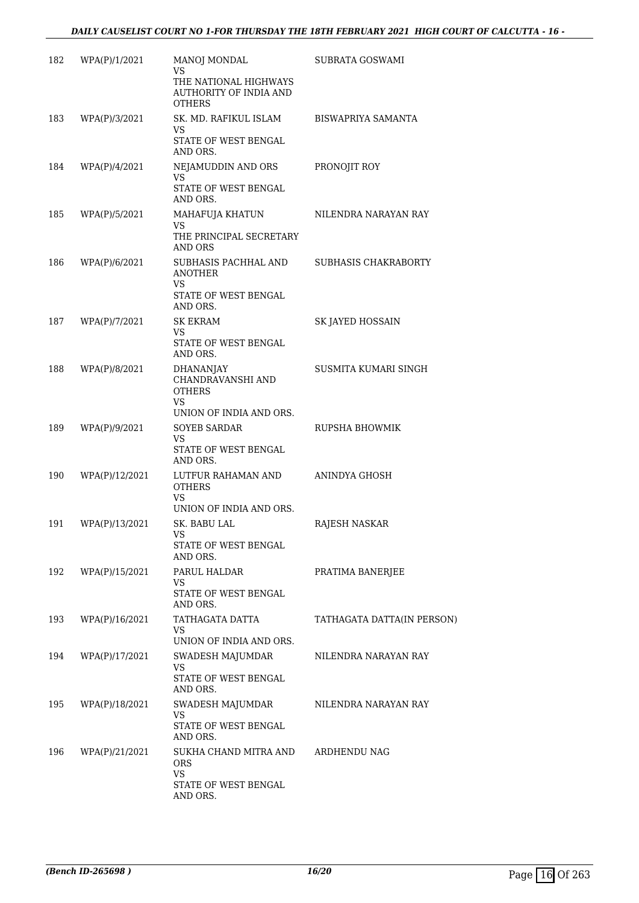| 182 | WPA(P)/1/2021  | MANOJ MONDAL<br><b>VS</b><br>THE NATIONAL HIGHWAYS<br><b>AUTHORITY OF INDIA AND</b><br><b>OTHERS</b> | SUBRATA GOSWAMI            |
|-----|----------------|------------------------------------------------------------------------------------------------------|----------------------------|
| 183 | WPA(P)/3/2021  | SK. MD. RAFIKUL ISLAM<br>VS<br>STATE OF WEST BENGAL                                                  | BISWAPRIYA SAMANTA         |
|     |                | AND ORS.                                                                                             |                            |
| 184 | WPA(P)/4/2021  | NEJAMUDDIN AND ORS<br>VS.                                                                            | PRONOJIT ROY               |
|     |                | STATE OF WEST BENGAL<br>AND ORS.                                                                     |                            |
| 185 | WPA(P)/5/2021  | MAHAFUJA KHATUN<br><b>VS</b>                                                                         | NILENDRA NARAYAN RAY       |
|     |                | THE PRINCIPAL SECRETARY<br>AND ORS                                                                   |                            |
| 186 | WPA(P)/6/2021  | SUBHASIS PACHHAL AND<br><b>ANOTHER</b><br>VS                                                         | SUBHASIS CHAKRABORTY       |
|     |                | STATE OF WEST BENGAL<br>AND ORS.                                                                     |                            |
| 187 | WPA(P)/7/2021  | <b>SK EKRAM</b><br>VS.                                                                               | SK JAYED HOSSAIN           |
|     |                | STATE OF WEST BENGAL<br>AND ORS.                                                                     |                            |
| 188 | WPA(P)/8/2021  | DHANANJAY<br>CHANDRAVANSHI AND<br><b>OTHERS</b><br><b>VS</b><br>UNION OF INDIA AND ORS.              | SUSMITA KUMARI SINGH       |
| 189 | WPA(P)/9/2021  | <b>SOYEB SARDAR</b>                                                                                  | RUPSHA BHOWMIK             |
|     |                | VS<br>STATE OF WEST BENGAL<br>AND ORS.                                                               |                            |
| 190 | WPA(P)/12/2021 | LUTFUR RAHAMAN AND<br><b>OTHERS</b><br>VS<br>UNION OF INDIA AND ORS.                                 | ANINDYA GHOSH              |
| 191 | WPA(P)/13/2021 | SK. BABU LAL                                                                                         | RAJESH NASKAR              |
|     |                | STATE OF WEST BENGAL<br>AND ORS.                                                                     |                            |
| 192 | WPA(P)/15/2021 | PARUL HALDAR                                                                                         | PRATIMA BANERJEE           |
|     |                | VS<br>STATE OF WEST BENGAL<br>AND ORS.                                                               |                            |
| 193 | WPA(P)/16/2021 | TATHAGATA DATTA<br><b>VS</b>                                                                         | TATHAGATA DATTA(IN PERSON) |
|     |                | UNION OF INDIA AND ORS.                                                                              |                            |
| 194 | WPA(P)/17/2021 | SWADESH MAJUMDAR<br><b>VS</b>                                                                        | NILENDRA NARAYAN RAY       |
|     |                | STATE OF WEST BENGAL<br>AND ORS.                                                                     |                            |
| 195 | WPA(P)/18/2021 | SWADESH MAJUMDAR                                                                                     | NILENDRA NARAYAN RAY       |
|     |                | VS.<br>STATE OF WEST BENGAL<br>AND ORS.                                                              |                            |
| 196 | WPA(P)/21/2021 | SUKHA CHAND MITRA AND<br>ORS.                                                                        | ARDHENDU NAG               |
|     |                | <b>VS</b><br>STATE OF WEST BENGAL<br>AND ORS.                                                        |                            |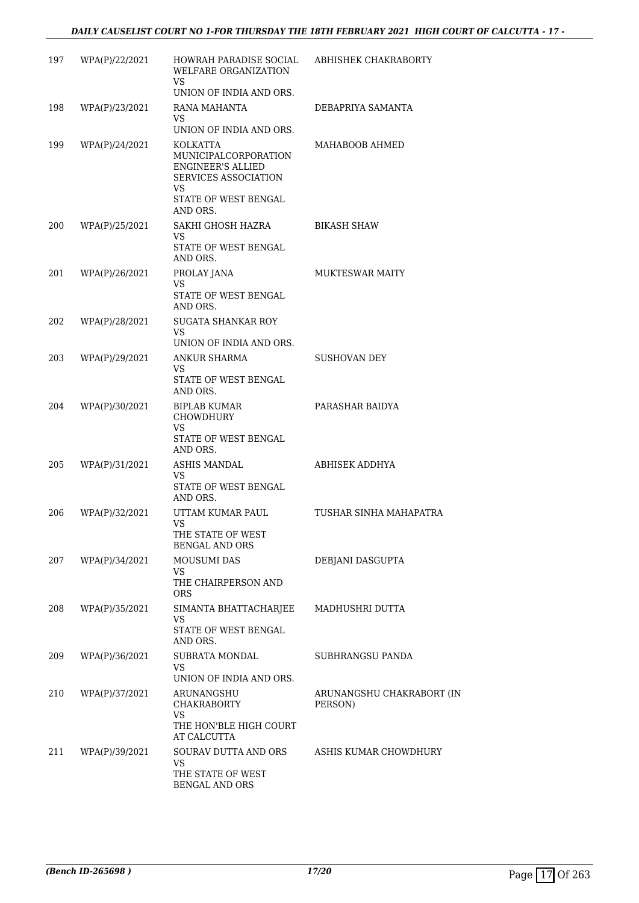| 197 | WPA(P)/22/2021 | HOWRAH PARADISE SOCIAL<br>WELFARE ORGANIZATION<br>VS.                                         | ABHISHEK CHAKRABORTY             |
|-----|----------------|-----------------------------------------------------------------------------------------------|----------------------------------|
|     |                | UNION OF INDIA AND ORS.                                                                       |                                  |
| 198 | WPA(P)/23/2021 | RANA MAHANTA<br>VS.<br>UNION OF INDIA AND ORS.                                                | DEBAPRIYA SAMANTA                |
| 199 | WPA(P)/24/2021 | KOLKATTA<br>MUNICIPALCORPORATION<br><b>ENGINEER'S ALLIED</b><br>SERVICES ASSOCIATION<br>VS    | MAHABOOB AHMED                   |
|     |                | STATE OF WEST BENGAL<br>AND ORS.                                                              |                                  |
| 200 | WPA(P)/25/2021 | SAKHI GHOSH HAZRA<br>VS.<br>STATE OF WEST BENGAL<br>AND ORS.                                  | <b>BIKASH SHAW</b>               |
| 201 | WPA(P)/26/2021 | PROLAY JANA<br>VS<br>STATE OF WEST BENGAL<br>AND ORS.                                         | <b>MUKTESWAR MAITY</b>           |
| 202 | WPA(P)/28/2021 | <b>SUGATA SHANKAR ROY</b><br>VS<br>UNION OF INDIA AND ORS.                                    |                                  |
| 203 | WPA(P)/29/2021 | ANKUR SHARMA<br><b>VS</b><br>STATE OF WEST BENGAL                                             | <b>SUSHOVAN DEY</b>              |
| 204 | WPA(P)/30/2021 | AND ORS.<br><b>BIPLAB KUMAR</b><br>CHOWDHURY<br><b>VS</b><br>STATE OF WEST BENGAL<br>AND ORS. | PARASHAR BAIDYA                  |
| 205 | WPA(P)/31/2021 | ASHIS MANDAL<br><b>VS</b><br>STATE OF WEST BENGAL<br>AND ORS.                                 | ABHISEK ADDHYA                   |
| 206 | WPA(P)/32/2021 | UTTAM KUMAR PAUL<br>VS<br>THE STATE OF WEST<br><b>BENGAL AND ORS</b>                          | TUSHAR SINHA MAHAPATRA           |
| 207 | WPA(P)/34/2021 | <b>MOUSUMI DAS</b><br>VS<br>THE CHAIRPERSON AND<br><b>ORS</b>                                 | DEBJANI DASGUPTA                 |
| 208 | WPA(P)/35/2021 | SIMANTA BHATTACHARJEE<br>VS<br>STATE OF WEST BENGAL<br>AND ORS.                               | MADHUSHRI DUTTA                  |
| 209 | WPA(P)/36/2021 | <b>SUBRATA MONDAL</b><br>VS<br>UNION OF INDIA AND ORS.                                        | SUBHRANGSU PANDA                 |
| 210 | WPA(P)/37/2021 | ARUNANGSHU<br>CHAKRABORTY<br>VS<br>THE HON'BLE HIGH COURT                                     | ARUNANGSHU CHAKRABORT<br>PERSON) |
| 211 | WPA(P)/39/2021 | AT CALCUTTA<br>SOURAV DUTTA AND ORS<br>VS<br>THE STATE OF WEST<br>BENGAL AND ORS              | ASHIS KUMAR CHOWDHURY            |

 $(IN)$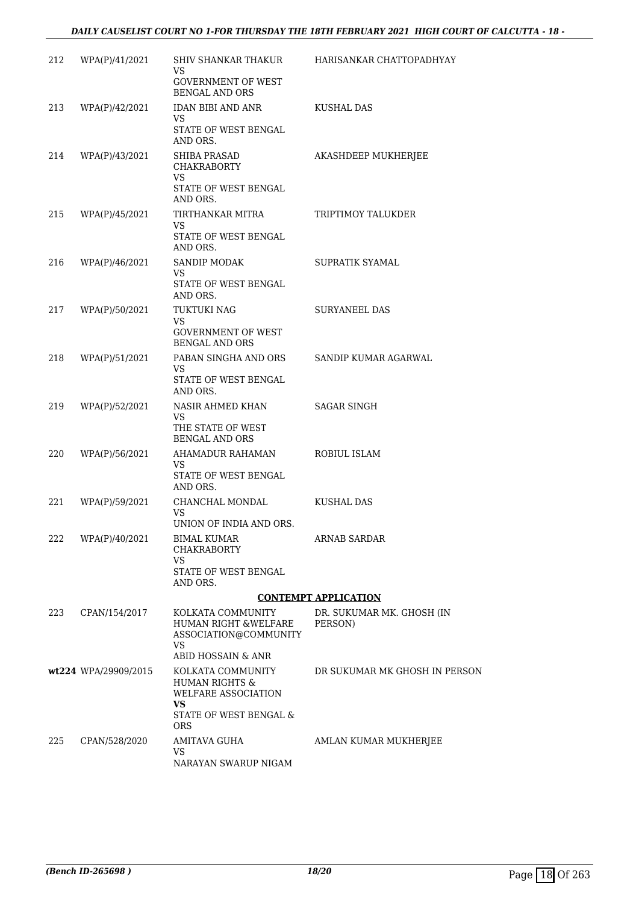#### DAILY CAUSELIST COURT NO 1-FOR THURSDAY THE 18TH FEBRUARY 2021 HIGH COURT OF CALCUTTA - 18 -

| 212 | WPA(P)/41/2021       | SHIV SHANKAR THAKUR<br>VS<br><b>GOVERNMENT OF WEST</b><br><b>BENGAL AND ORS</b>                        | HARISANKAR CHATTOPADHYAY             |
|-----|----------------------|--------------------------------------------------------------------------------------------------------|--------------------------------------|
| 213 | WPA(P)/42/2021       | IDAN BIBI AND ANR<br>VS<br>STATE OF WEST BENGAL<br>AND ORS.                                            | KUSHAL DAS                           |
| 214 | WPA(P)/43/2021       | SHIBA PRASAD<br><b>CHAKRABORTY</b><br>VS<br>STATE OF WEST BENGAL<br>AND ORS.                           | AKASHDEEP MUKHERJEE                  |
| 215 | WPA(P)/45/2021       | TIRTHANKAR MITRA<br>VS<br>STATE OF WEST BENGAL<br>AND ORS.                                             | TRIPTIMOY TALUKDER                   |
| 216 | WPA(P)/46/2021       | <b>SANDIP MODAK</b><br>VS<br>STATE OF WEST BENGAL<br>AND ORS.                                          | SUPRATIK SYAMAL                      |
| 217 | WPA(P)/50/2021       | TUKTUKI NAG<br>VS<br><b>GOVERNMENT OF WEST</b><br><b>BENGAL AND ORS</b>                                | <b>SURYANEEL DAS</b>                 |
| 218 | WPA(P)/51/2021       | PABAN SINGHA AND ORS<br>VS.<br>STATE OF WEST BENGAL<br>AND ORS.                                        | SANDIP KUMAR AGARWAL                 |
| 219 | WPA(P)/52/2021       | NASIR AHMED KHAN<br>VS<br>THE STATE OF WEST<br><b>BENGAL AND ORS</b>                                   | <b>SAGAR SINGH</b>                   |
| 220 | WPA(P)/56/2021       | AHAMADUR RAHAMAN<br>VS<br>STATE OF WEST BENGAL<br>AND ORS.                                             | ROBIUL ISLAM                         |
| 221 | WPA(P)/59/2021       | CHANCHAL MONDAL<br>VS<br>UNION OF INDIA AND ORS.                                                       | KUSHAL DAS                           |
| 222 | WPA(P)/40/2021       | <b>BIMAL KUMAR</b><br><b>CHAKRABORTY</b><br>VS<br>STATE OF WEST BENGAL                                 | <b>ARNAB SARDAR</b>                  |
|     |                      | AND ORS.                                                                                               | <b>CONTEMPT APPLICATION</b>          |
| 223 | CPAN/154/2017        | KOLKATA COMMUNITY<br>HUMAN RIGHT & WELFARE<br>ASSOCIATION@COMMUNITY<br><b>VS</b><br>ABID HOSSAIN & ANR | DR. SUKUMAR MK. GHOSH (IN<br>PERSON) |
|     | wt224 WPA/29909/2015 | KOLKATA COMMUNITY<br><b>HUMAN RIGHTS &amp;</b><br>WELFARE ASSOCIATION<br>VS<br>STATE OF WEST BENGAL &  | DR SUKUMAR MK GHOSH IN PERSON        |
| 225 | CPAN/528/2020        | <b>ORS</b><br><b>AMITAVA GUHA</b><br><b>VS</b><br>NARAYAN SWARUP NIGAM                                 | AMLAN KUMAR MUKHERJEE                |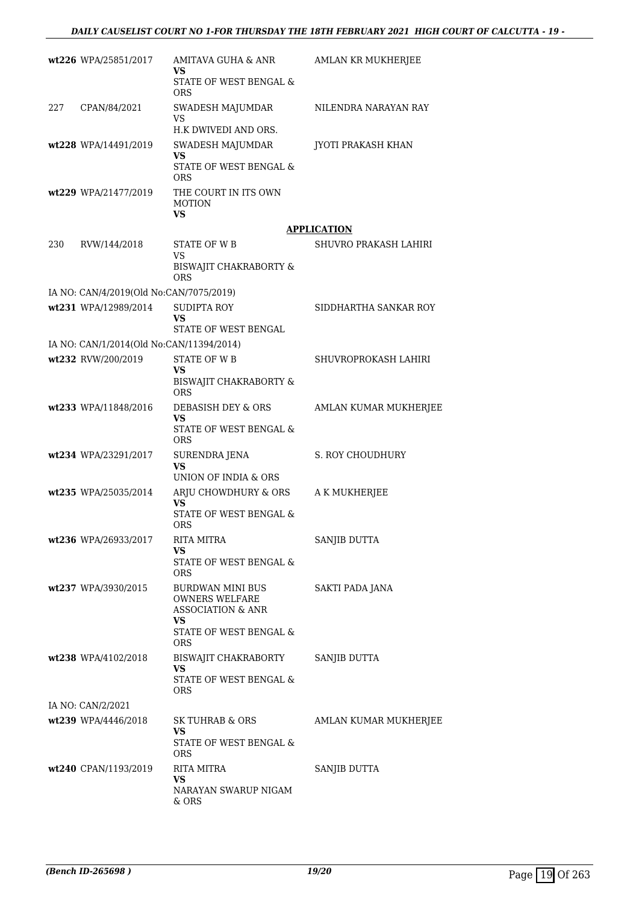|     | wt226 WPA/25851/2017                     | AMITAVA GUHA & ANR<br>VS                                                  | AMLAN KR MUKHERJEE    |
|-----|------------------------------------------|---------------------------------------------------------------------------|-----------------------|
|     |                                          | STATE OF WEST BENGAL &<br><b>ORS</b>                                      |                       |
| 227 | CPAN/84/2021                             | SWADESH MAJUMDAR<br><b>VS</b>                                             | NILENDRA NARAYAN RAY  |
|     |                                          | H.K DWIVEDI AND ORS.                                                      |                       |
|     | wt228 WPA/14491/2019                     | SWADESH MAJUMDAR<br>VS<br><b>STATE OF WEST BENGAL &amp;</b>               | JYOTI PRAKASH KHAN    |
|     | wt229 WPA/21477/2019                     | <b>ORS</b><br>THE COURT IN ITS OWN<br><b>MOTION</b><br><b>VS</b>          |                       |
|     |                                          |                                                                           | <b>APPLICATION</b>    |
| 230 | RVW/144/2018                             | STATE OF W B<br>VS                                                        | SHUVRO PRAKASH LAHIRI |
|     |                                          | BISWAJIT CHAKRABORTY &<br><b>ORS</b>                                      |                       |
|     | IA NO: CAN/4/2019(Old No:CAN/7075/2019)  |                                                                           |                       |
|     | wt231 WPA/12989/2014                     | <b>SUDIPTA ROY</b><br>VS                                                  | SIDDHARTHA SANKAR ROY |
|     |                                          | STATE OF WEST BENGAL                                                      |                       |
|     | IA NO: CAN/1/2014(Old No:CAN/11394/2014) |                                                                           |                       |
|     | wt232 RVW/200/2019                       | <b>STATE OF WB</b><br>VS                                                  | SHUVROPROKASH LAHIRI  |
|     |                                          | BISWAJIT CHAKRABORTY &<br><b>ORS</b>                                      |                       |
|     | wt233 WPA/11848/2016                     | DEBASISH DEY & ORS<br>VS                                                  | AMLAN KUMAR MUKHERJEE |
|     |                                          | STATE OF WEST BENGAL &<br><b>ORS</b>                                      |                       |
|     | wt234 WPA/23291/2017                     | <b>SURENDRA JENA</b><br>VS<br>UNION OF INDIA & ORS                        | S. ROY CHOUDHURY      |
|     | wt235 WPA/25035/2014                     | ARJU CHOWDHURY & ORS                                                      | A K MUKHERJEE         |
|     |                                          | <b>VS</b><br>STATE OF WEST BENGAL &                                       |                       |
|     |                                          | <b>ORS</b>                                                                |                       |
|     | wt236 WPA/26933/2017                     | <b>RITA MITRA</b>                                                         | SANJIB DUTTA          |
|     |                                          | VS.<br><b>STATE OF WEST BENGAL &amp;</b><br><b>ORS</b>                    |                       |
|     | wt237 WPA/3930/2015                      | BURDWAN MINI BUS<br><b>OWNERS WELFARE</b><br><b>ASSOCIATION &amp; ANR</b> | SAKTI PADA JANA       |
|     |                                          | VS<br>STATE OF WEST BENGAL &<br><b>ORS</b>                                |                       |
|     | wt238 WPA/4102/2018                      | BISWAJIT CHAKRABORTY<br>VS                                                | SANJIB DUTTA          |
|     |                                          | STATE OF WEST BENGAL &<br>ORS.                                            |                       |
|     | IA NO: CAN/2/2021                        |                                                                           |                       |
|     | wt239 WPA/4446/2018                      | SK TUHRAB & ORS                                                           | AMLAN KUMAR MUKHERJEE |
|     |                                          | VS.<br>STATE OF WEST BENGAL &<br><b>ORS</b>                               |                       |
|     | wt240 CPAN/1193/2019                     | <b>RITA MITRA</b><br>VS                                                   | SANJIB DUTTA          |
|     |                                          | NARAYAN SWARUP NIGAM<br>& ORS                                             |                       |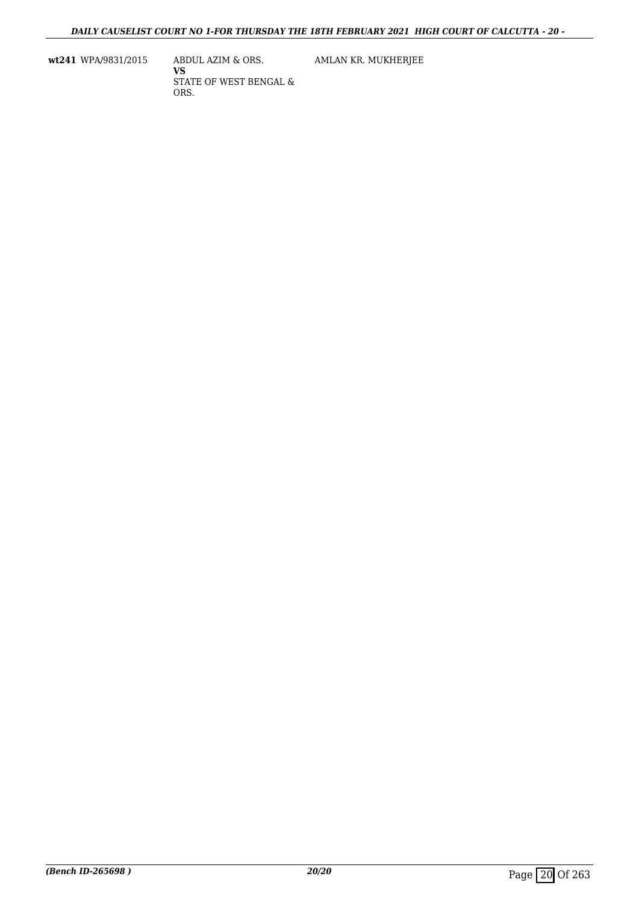**wt241** WPA/9831/2015 ABDUL AZIM & ORS.

**VS** STATE OF WEST BENGAL & ORS.

AMLAN KR. MUKHERJEE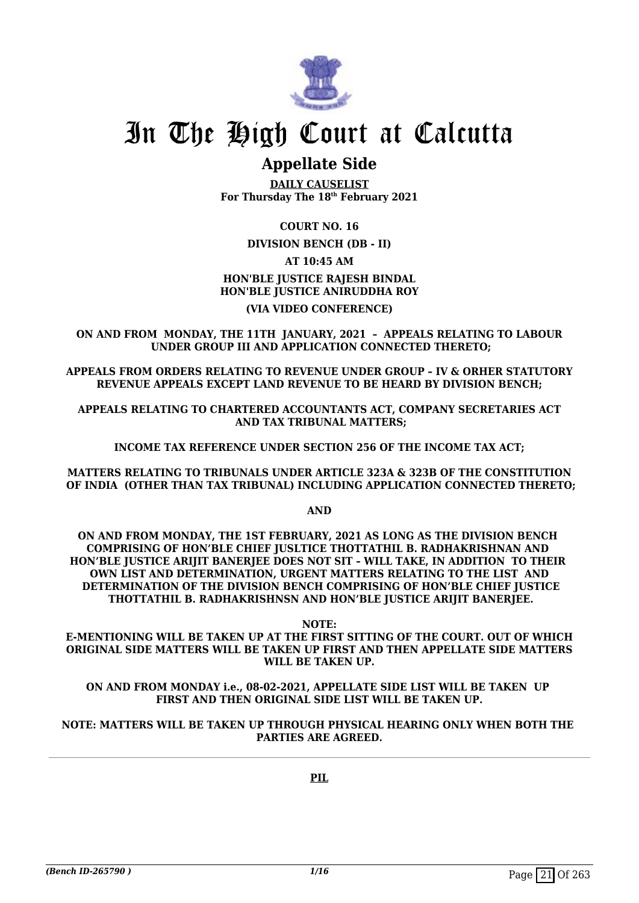

## In The High Court at Calcutta

### **Appellate Side**

**DAILY CAUSELIST For Thursday The 18th February 2021**

#### **COURT NO. 16**

**DIVISION BENCH (DB - II)**

#### **AT 10:45 AM HON'BLE JUSTICE RAJESH BINDAL HON'BLE JUSTICE ANIRUDDHA ROY**

#### **(VIA VIDEO CONFERENCE)**

**ON AND FROM MONDAY, THE 11TH JANUARY, 2021 – APPEALS RELATING TO LABOUR UNDER GROUP III AND APPLICATION CONNECTED THERETO;**

**APPEALS FROM ORDERS RELATING TO REVENUE UNDER GROUP – IV & ORHER STATUTORY REVENUE APPEALS EXCEPT LAND REVENUE TO BE HEARD BY DIVISION BENCH;**

**APPEALS RELATING TO CHARTERED ACCOUNTANTS ACT, COMPANY SECRETARIES ACT AND TAX TRIBUNAL MATTERS;**

**INCOME TAX REFERENCE UNDER SECTION 256 OF THE INCOME TAX ACT;**

**MATTERS RELATING TO TRIBUNALS UNDER ARTICLE 323A & 323B OF THE CONSTITUTION OF INDIA (OTHER THAN TAX TRIBUNAL) INCLUDING APPLICATION CONNECTED THERETO;**

**AND**

**ON AND FROM MONDAY, THE 1ST FEBRUARY, 2021 AS LONG AS THE DIVISION BENCH COMPRISING OF HON'BLE CHIEF JUSLTICE THOTTATHIL B. RADHAKRISHNAN AND HON'BLE JUSTICE ARIJIT BANERJEE DOES NOT SIT – WILL TAKE, IN ADDITION TO THEIR OWN LIST AND DETERMINATION, URGENT MATTERS RELATING TO THE LIST AND DETERMINATION OF THE DIVISION BENCH COMPRISING OF HON'BLE CHIEF JUSTICE THOTTATHIL B. RADHAKRISHNSN AND HON'BLE JUSTICE ARIJIT BANERJEE.**

**NOTE:**

**E-MENTIONING WILL BE TAKEN UP AT THE FIRST SITTING OF THE COURT. OUT OF WHICH ORIGINAL SIDE MATTERS WILL BE TAKEN UP FIRST AND THEN APPELLATE SIDE MATTERS WILL BE TAKEN UP.**

**ON AND FROM MONDAY i.e., 08-02-2021, APPELLATE SIDE LIST WILL BE TAKEN UP FIRST AND THEN ORIGINAL SIDE LIST WILL BE TAKEN UP.**

#### **NOTE: MATTERS WILL BE TAKEN UP THROUGH PHYSICAL HEARING ONLY WHEN BOTH THE PARTIES ARE AGREED.**

**PIL**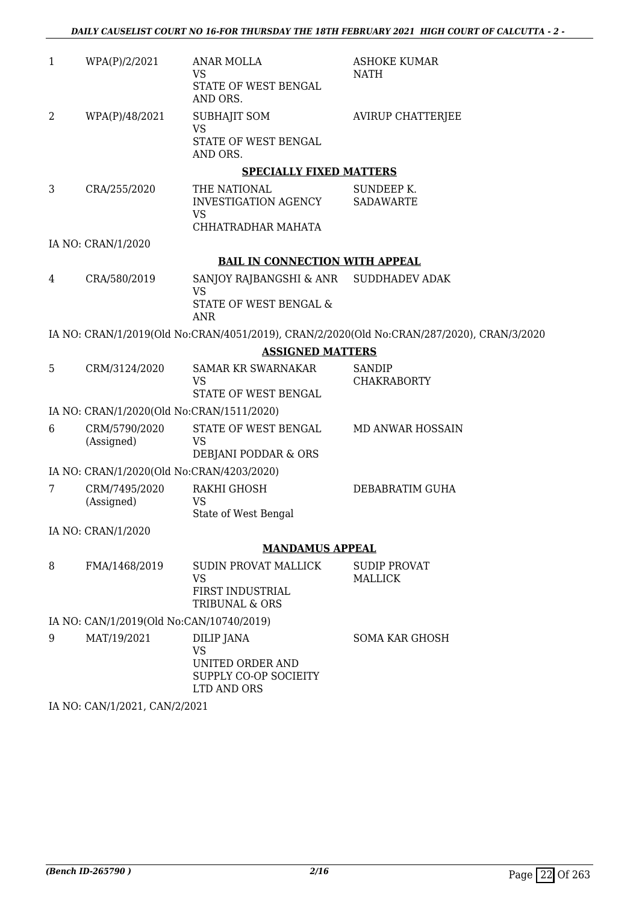| $\mathbf{1}$ | WPA(P)/2/2021                             | ANAR MOLLA<br>VS                                                        | <b>ASHOKE KUMAR</b><br><b>NATH</b>                                                        |
|--------------|-------------------------------------------|-------------------------------------------------------------------------|-------------------------------------------------------------------------------------------|
|              |                                           | STATE OF WEST BENGAL<br>AND ORS.                                        |                                                                                           |
| 2            | WPA(P)/48/2021                            | <b>SUBHAJIT SOM</b><br><b>VS</b>                                        | <b>AVIRUP CHATTERJEE</b>                                                                  |
|              |                                           | STATE OF WEST BENGAL<br>AND ORS.                                        |                                                                                           |
|              |                                           | <b>SPECIALLY FIXED MATTERS</b>                                          |                                                                                           |
| 3            | CRA/255/2020                              | THE NATIONAL<br>INVESTIGATION AGENCY<br><b>VS</b><br>CHHATRADHAR MAHATA | SUNDEEP K.<br><b>SADAWARTE</b>                                                            |
|              | IA NO: CRAN/1/2020                        |                                                                         |                                                                                           |
|              |                                           | <b>BAIL IN CONNECTION WITH APPEAL</b>                                   |                                                                                           |
| 4            | CRA/580/2019                              | SANJOY RAJBANGSHI & ANR SUDDHADEV ADAK<br><b>VS</b>                     |                                                                                           |
|              |                                           | STATE OF WEST BENGAL &<br><b>ANR</b>                                    |                                                                                           |
|              |                                           |                                                                         | IA NO: CRAN/1/2019(Old No:CRAN/4051/2019), CRAN/2/2020(Old No:CRAN/287/2020), CRAN/3/2020 |
|              |                                           | <b>ASSIGNED MATTERS</b>                                                 |                                                                                           |
| 5            | CRM/3124/2020                             | <b>SAMAR KR SWARNAKAR</b><br><b>VS</b><br>STATE OF WEST BENGAL          | <b>SANDIP</b><br><b>CHAKRABORTY</b>                                                       |
|              | IA NO: CRAN/1/2020(Old No:CRAN/1511/2020) |                                                                         |                                                                                           |
| 6            | CRM/5790/2020<br>(Assigned)               | STATE OF WEST BENGAL<br><b>VS</b>                                       | <b>MD ANWAR HOSSAIN</b>                                                                   |
|              |                                           | DEBJANI PODDAR & ORS                                                    |                                                                                           |
|              | IA NO: CRAN/1/2020(Old No:CRAN/4203/2020) |                                                                         |                                                                                           |
| 7            | CRM/7495/2020<br>(Assigned)               | RAKHI GHOSH<br><b>VS</b>                                                | DEBABRATIM GUHA                                                                           |
|              |                                           | State of West Bengal                                                    |                                                                                           |
|              | IA NO: CRAN/1/2020                        |                                                                         |                                                                                           |
|              |                                           | <b>MANDAMUS APPEAL</b>                                                  |                                                                                           |
| 8            | FMA/1468/2019                             | SUDIN PROVAT MALLICK<br>VS<br><b>FIRST INDUSTRIAL</b>                   | <b>SUDIP PROVAT</b><br><b>MALLICK</b>                                                     |
|              |                                           | TRIBUNAL & ORS                                                          |                                                                                           |
|              | IA NO: CAN/1/2019(Old No:CAN/10740/2019)  |                                                                         |                                                                                           |
| 9            | MAT/19/2021                               | DILIP JANA<br><b>VS</b>                                                 | <b>SOMA KAR GHOSH</b>                                                                     |
|              |                                           | UNITED ORDER AND<br>SUPPLY CO-OP SOCIEITY<br>LTD AND ORS                |                                                                                           |
|              | IA NO. CANI/1/2021 CANI/2/2021            |                                                                         |                                                                                           |

IA NO: CAN/1/2021, CAN/2/2021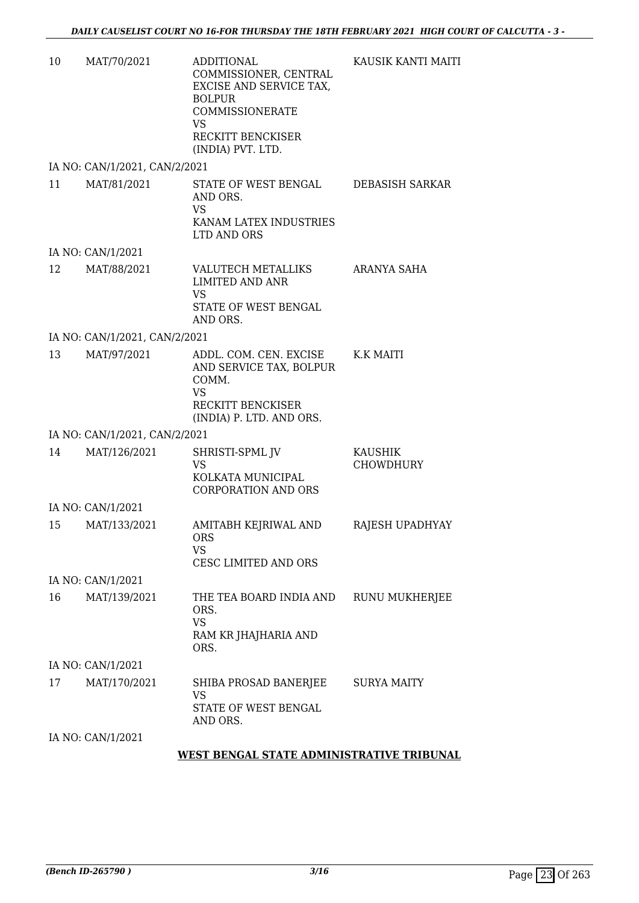| 10 | MAT/70/2021                   | <b>ADDITIONAL</b><br>COMMISSIONER, CENTRAL<br>EXCISE AND SERVICE TAX,<br><b>BOLPUR</b><br>COMMISSIONERATE<br>VS<br>RECKITT BENCKISER<br>(INDIA) PVT. LTD. | KAUSIK KANTI MAITI                 |
|----|-------------------------------|-----------------------------------------------------------------------------------------------------------------------------------------------------------|------------------------------------|
|    | IA NO: CAN/1/2021, CAN/2/2021 |                                                                                                                                                           |                                    |
| 11 | MAT/81/2021                   | STATE OF WEST BENGAL<br>AND ORS.<br><b>VS</b><br>KANAM LATEX INDUSTRIES<br>LTD AND ORS                                                                    | DEBASISH SARKAR                    |
|    | IA NO: CAN/1/2021             |                                                                                                                                                           |                                    |
| 12 | MAT/88/2021                   | VALUTECH METALLIKS<br><b>LIMITED AND ANR</b><br>VS<br>STATE OF WEST BENGAL<br>AND ORS.                                                                    | ARANYA SAHA                        |
|    | IA NO: CAN/1/2021, CAN/2/2021 |                                                                                                                                                           |                                    |
| 13 | MAT/97/2021                   | ADDL. COM. CEN. EXCISE<br>AND SERVICE TAX, BOLPUR<br>COMM.<br><b>VS</b><br>RECKITT BENCKISER<br>(INDIA) P. LTD. AND ORS.                                  | K.K MAITI                          |
|    | IA NO: CAN/1/2021, CAN/2/2021 |                                                                                                                                                           |                                    |
| 14 | MAT/126/2021                  | SHRISTI-SPML JV<br><b>VS</b><br>KOLKATA MUNICIPAL<br><b>CORPORATION AND ORS</b>                                                                           | <b>KAUSHIK</b><br><b>CHOWDHURY</b> |
|    | IA NO: CAN/1/2021             |                                                                                                                                                           |                                    |
| 15 | MAT/133/2021                  | AMITABH KEJRIWAL AND<br><b>ORS</b><br>VS.<br><b>CESC LIMITED AND ORS</b>                                                                                  | RAJESH UPADHYAY                    |
|    | IA NO: CAN/1/2021             |                                                                                                                                                           |                                    |
| 16 | MAT/139/2021                  | THE TEA BOARD INDIA AND<br>ORS.<br><b>VS</b><br>RAM KR JHAJHARIA AND<br>ORS.                                                                              | RUNU MUKHERJEE                     |
|    | IA NO: CAN/1/2021             |                                                                                                                                                           |                                    |
| 17 | MAT/170/2021                  | SHIBA PROSAD BANERJEE<br><b>VS</b><br>STATE OF WEST BENGAL<br>AND ORS.                                                                                    | <b>SURYA MAITY</b>                 |
|    | IA NO: CAN/1/2021             |                                                                                                                                                           |                                    |

#### **WEST BENGAL STATE ADMINISTRATIVE TRIBUNAL**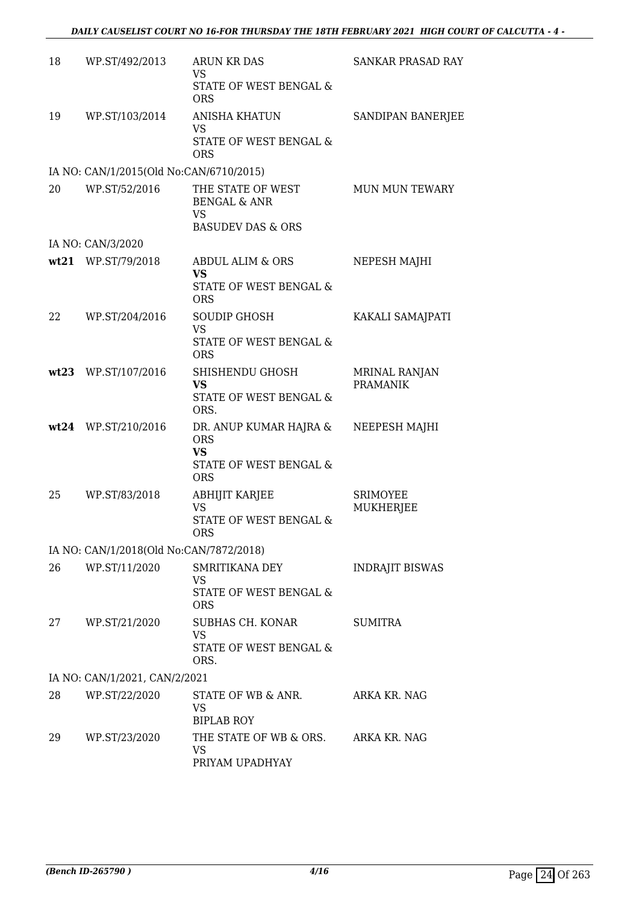| 18 | WP.ST/492/2013                          | <b>ARUN KR DAS</b><br>VS<br>STATE OF WEST BENGAL &<br><b>ORS</b>                                  | <b>SANKAR PRASAD RAY</b>                |
|----|-----------------------------------------|---------------------------------------------------------------------------------------------------|-----------------------------------------|
| 19 | WP.ST/103/2014                          | <b>ANISHA KHATUN</b><br><b>VS</b><br>STATE OF WEST BENGAL &<br><b>ORS</b>                         | SANDIPAN BANERJEE                       |
|    | IA NO: CAN/1/2015(Old No:CAN/6710/2015) |                                                                                                   |                                         |
| 20 | WP.ST/52/2016                           | THE STATE OF WEST<br><b>BENGAL &amp; ANR</b><br><b>VS</b>                                         | <b>MUN MUN TEWARY</b>                   |
|    | IA NO: CAN/3/2020                       | <b>BASUDEV DAS &amp; ORS</b>                                                                      |                                         |
|    | wt21 WP.ST/79/2018                      | ABDUL ALIM & ORS                                                                                  | NEPESH MAJHI                            |
|    |                                         | <b>VS</b><br>STATE OF WEST BENGAL &<br><b>ORS</b>                                                 |                                         |
| 22 | WP.ST/204/2016                          | <b>SOUDIP GHOSH</b><br><b>VS</b>                                                                  | KAKALI SAMAJPATI                        |
|    |                                         | STATE OF WEST BENGAL &<br><b>ORS</b>                                                              |                                         |
|    | wt23 WP.ST/107/2016                     | SHISHENDU GHOSH<br>VS.<br>STATE OF WEST BENGAL &                                                  | <b>MRINAL RANJAN</b><br><b>PRAMANIK</b> |
|    | wt24 WP.ST/210/2016                     | ORS.<br>DR. ANUP KUMAR HAJRA &<br><b>ORS</b><br><b>VS</b><br>STATE OF WEST BENGAL &<br><b>ORS</b> | NEEPESH MAJHI                           |
| 25 | WP.ST/83/2018                           | <b>ABHIJIT KARJEE</b><br><b>VS</b><br>STATE OF WEST BENGAL &<br>ORS                               | SRIMOYEE<br>MUKHERJEE                   |
|    | IA NO: CAN/1/2018(Old No:CAN/7872/2018) |                                                                                                   |                                         |
| 26 | WP.ST/11/2020                           | SMRITIKANA DEY<br>VS<br>STATE OF WEST BENGAL &                                                    | <b>INDRAJIT BISWAS</b>                  |
| 27 | WP.ST/21/2020                           | <b>ORS</b><br>SUBHAS CH. KONAR<br>VS<br>STATE OF WEST BENGAL &<br>ORS.                            | <b>SUMITRA</b>                          |
|    | IA NO: CAN/1/2021, CAN/2/2021           |                                                                                                   |                                         |
| 28 | WP.ST/22/2020                           | STATE OF WB & ANR.<br>VS<br><b>BIPLAB ROY</b>                                                     | ARKA KR. NAG                            |
| 29 | WP.ST/23/2020                           | THE STATE OF WB & ORS. ARKA KR. NAG<br><b>VS</b><br>PRIYAM UPADHYAY                               |                                         |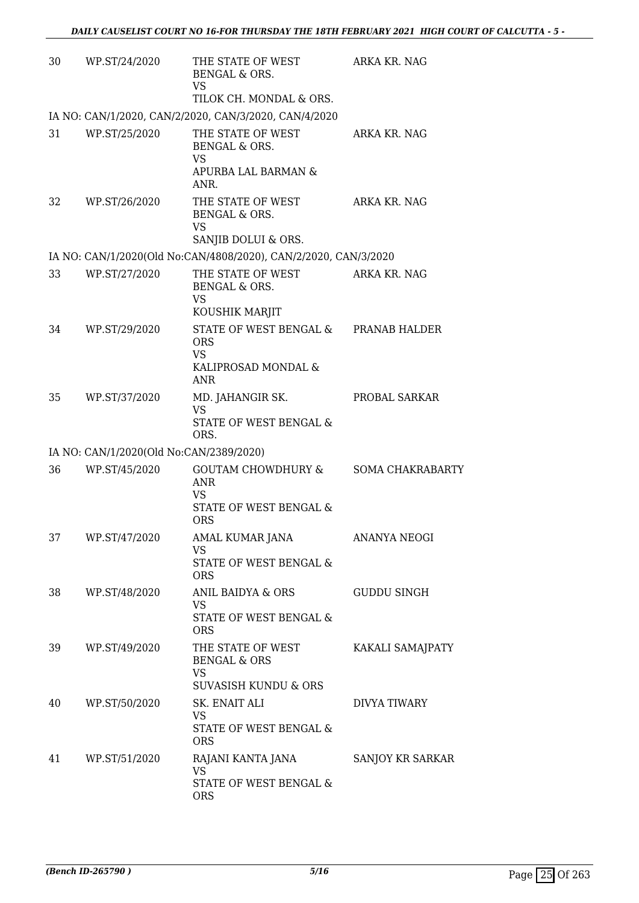| 30 | WP.ST/24/2020                           | THE STATE OF WEST<br>BENGAL & ORS.<br>VS<br>TILOK CH. MONDAL & ORS.                                  | ARKA KR. NAG        |
|----|-----------------------------------------|------------------------------------------------------------------------------------------------------|---------------------|
|    |                                         | IA NO: CAN/1/2020, CAN/2/2020, CAN/3/2020, CAN/4/2020                                                |                     |
| 31 | WP.ST/25/2020                           | THE STATE OF WEST<br>BENGAL & ORS.<br>VS<br>APURBA LAL BARMAN &<br>ANR.                              | ARKA KR. NAG        |
| 32 | WP.ST/26/2020                           | THE STATE OF WEST<br>BENGAL & ORS.<br><b>VS</b><br>SANJIB DOLUI & ORS.                               | ARKA KR. NAG        |
|    |                                         | IA NO: CAN/1/2020(Old No:CAN/4808/2020), CAN/2/2020, CAN/3/2020                                      |                     |
| 33 | WP.ST/27/2020                           | THE STATE OF WEST<br>BENGAL & ORS.<br>VS<br>KOUSHIK MARJIT                                           | ARKA KR. NAG        |
| 34 | WP.ST/29/2020                           | STATE OF WEST BENGAL & PRANAB HALDER<br><b>ORS</b><br><b>VS</b><br>KALIPROSAD MONDAL &<br><b>ANR</b> |                     |
| 35 | WP.ST/37/2020                           | MD. JAHANGIR SK.<br><b>VS</b><br>STATE OF WEST BENGAL &<br>ORS.                                      | PROBAL SARKAR       |
|    | IA NO: CAN/1/2020(Old No:CAN/2389/2020) |                                                                                                      |                     |
| 36 | WP.ST/45/2020                           | GOUTAM CHOWDHURY & SOMA CHAKRABARTY<br>ANR<br><b>VS</b><br>STATE OF WEST BENGAL &<br><b>ORS</b>      |                     |
| 37 | WP.ST/47/2020                           | AMAL KUMAR JANA<br>VS<br>STATE OF WEST BENGAL &<br><b>ORS</b>                                        | <b>ANANYA NEOGI</b> |
| 38 | WP.ST/48/2020                           | ANIL BAIDYA & ORS<br>VS<br>STATE OF WEST BENGAL &<br><b>ORS</b>                                      | <b>GUDDU SINGH</b>  |
| 39 | WP.ST/49/2020                           | THE STATE OF WEST<br><b>BENGAL &amp; ORS</b><br>VS<br><b>SUVASISH KUNDU &amp; ORS</b>                | KAKALI SAMAJPATY    |
| 40 | WP.ST/50/2020                           | SK. ENAIT ALI<br>VS<br>STATE OF WEST BENGAL &<br><b>ORS</b>                                          | DIVYA TIWARY        |
| 41 | WP.ST/51/2020                           | RAJANI KANTA JANA<br><b>VS</b><br>STATE OF WEST BENGAL &<br><b>ORS</b>                               | SANJOY KR SARKAR    |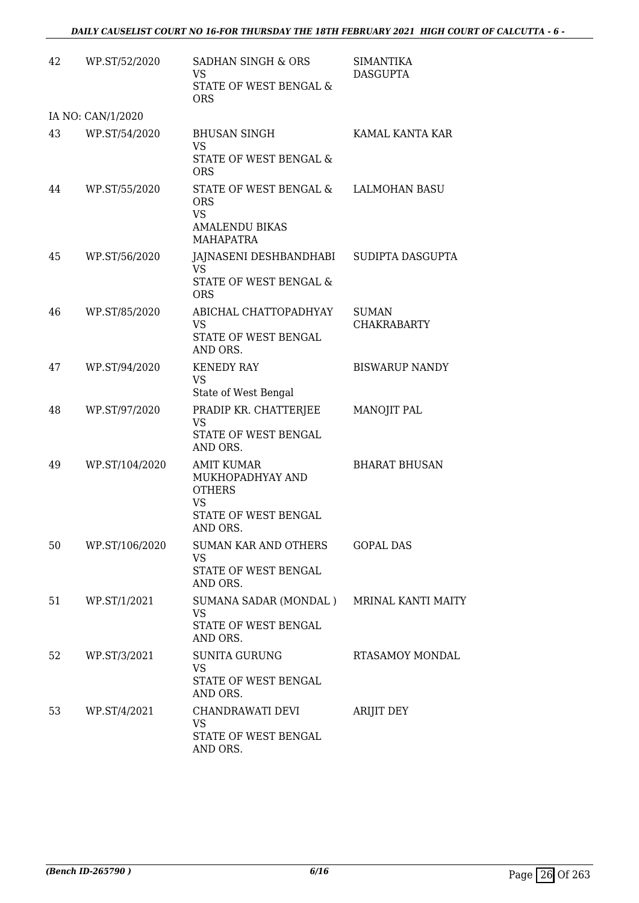| 42 | WP.ST/52/2020     | SADHAN SINGH & ORS<br><b>VS</b><br>STATE OF WEST BENGAL &<br><b>ORS</b>                                 | <b>SIMANTIKA</b><br><b>DASGUPTA</b> |
|----|-------------------|---------------------------------------------------------------------------------------------------------|-------------------------------------|
|    | IA NO: CAN/1/2020 |                                                                                                         |                                     |
| 43 | WP.ST/54/2020     | <b>BHUSAN SINGH</b><br><b>VS</b><br>STATE OF WEST BENGAL &<br><b>ORS</b>                                | KAMAL KANTA KAR                     |
| 44 | WP.ST/55/2020     | STATE OF WEST BENGAL & LALMOHAN BASU<br><b>ORS</b><br>VS<br><b>AMALENDU BIKAS</b><br><b>MAHAPATRA</b>   |                                     |
| 45 | WP.ST/56/2020     | JAJNASENI DESHBANDHABI SUDIPTA DASGUPTA<br>VS.<br>STATE OF WEST BENGAL &<br><b>ORS</b>                  |                                     |
| 46 | WP.ST/85/2020     | ABICHAL CHATTOPADHYAY<br><b>VS</b><br>STATE OF WEST BENGAL<br>AND ORS.                                  | <b>SUMAN</b><br><b>CHAKRABARTY</b>  |
| 47 | WP.ST/94/2020     | <b>KENEDY RAY</b><br>VS<br>State of West Bengal                                                         | <b>BISWARUP NANDY</b>               |
| 48 | WP.ST/97/2020     | PRADIP KR. CHATTERJEE<br><b>VS</b><br>STATE OF WEST BENGAL<br>AND ORS.                                  | <b>MANOJIT PAL</b>                  |
| 49 | WP.ST/104/2020    | <b>AMIT KUMAR</b><br>MUKHOPADHYAY AND<br><b>OTHERS</b><br><b>VS</b><br>STATE OF WEST BENGAL<br>AND ORS. | <b>BHARAT BHUSAN</b>                |
| 50 | WP.ST/106/2020    | SUMAN KAR AND OTHERS<br>VS<br>STATE OF WEST BENGAL<br>AND ORS.                                          | <b>GOPAL DAS</b>                    |
| 51 | WP.ST/1/2021      | SUMANA SADAR (MONDAL) MRINAL KANTI MAITY<br><b>VS</b><br>STATE OF WEST BENGAL<br>AND ORS.               |                                     |
| 52 | WP.ST/3/2021      | <b>SUNITA GURUNG</b><br><b>VS</b><br>STATE OF WEST BENGAL<br>AND ORS.                                   | RTASAMOY MONDAL                     |
| 53 | WP.ST/4/2021      | CHANDRAWATI DEVI<br><b>VS</b><br>STATE OF WEST BENGAL<br>AND ORS.                                       | <b>ARIJIT DEY</b>                   |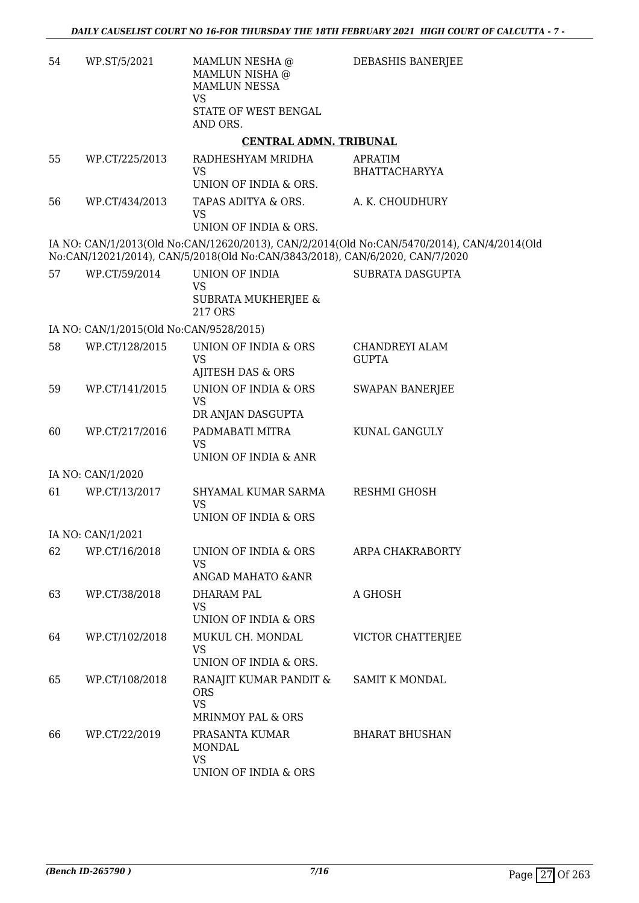| 54 | WP.ST/5/2021                            | MAMLUN NESHA @<br>MAMLUN NISHA @<br><b>MAMLUN NESSA</b><br><b>VS</b><br>STATE OF WEST BENGAL<br>AND ORS.                                      | DEBASHIS BANERJEE                                                                          |
|----|-----------------------------------------|-----------------------------------------------------------------------------------------------------------------------------------------------|--------------------------------------------------------------------------------------------|
|    |                                         | <b>CENTRAL ADMN. TRIBUNAL</b>                                                                                                                 |                                                                                            |
| 55 | WP.CT/225/2013                          | RADHESHYAM MRIDHA<br><b>VS</b><br>UNION OF INDIA & ORS.                                                                                       | <b>APRATIM</b><br><b>BHATTACHARYYA</b>                                                     |
| 56 | WP.CT/434/2013                          | TAPAS ADITYA & ORS.<br><b>VS</b>                                                                                                              | A. K. CHOUDHURY                                                                            |
|    |                                         | UNION OF INDIA & ORS.                                                                                                                         | IA NO: CAN/1/2013(Old No:CAN/12620/2013), CAN/2/2014(Old No:CAN/5470/2014), CAN/4/2014(Old |
| 57 | WP.CT/59/2014                           | No:CAN/12021/2014), CAN/5/2018(Old No:CAN/3843/2018), CAN/6/2020, CAN/7/2020<br>UNION OF INDIA<br><b>VS</b><br>SUBRATA MUKHERJEE &<br>217 ORS | <b>SUBRATA DASGUPTA</b>                                                                    |
|    | IA NO: CAN/1/2015(Old No:CAN/9528/2015) |                                                                                                                                               |                                                                                            |
| 58 | WP.CT/128/2015                          | UNION OF INDIA & ORS<br>VS<br>AJITESH DAS & ORS                                                                                               | CHANDREYI ALAM<br><b>GUPTA</b>                                                             |
| 59 | WP.CT/141/2015                          | UNION OF INDIA & ORS<br><b>VS</b><br>DR ANJAN DASGUPTA                                                                                        | <b>SWAPAN BANERJEE</b>                                                                     |
| 60 | WP.CT/217/2016                          | PADMABATI MITRA<br>VS<br>UNION OF INDIA & ANR                                                                                                 | KUNAL GANGULY                                                                              |
|    | IA NO: CAN/1/2020                       |                                                                                                                                               |                                                                                            |
| 61 | WP.CT/13/2017                           | SHYAMAL KUMAR SARMA<br><b>VS</b>                                                                                                              | RESHMI GHOSH                                                                               |
|    |                                         | <b>UNION OF INDIA &amp; ORS</b>                                                                                                               |                                                                                            |
|    | IA NO: CAN/1/2021                       |                                                                                                                                               |                                                                                            |
| 62 | WP.CT/16/2018                           | UNION OF INDIA & ORS<br>VS<br>ANGAD MAHATO & ANR                                                                                              | ARPA CHAKRABORTY                                                                           |
| 63 | WP.CT/38/2018                           | DHARAM PAL<br>VS<br>UNION OF INDIA & ORS                                                                                                      | A GHOSH                                                                                    |
| 64 | WP.CT/102/2018                          | MUKUL CH. MONDAL<br>VS<br>UNION OF INDIA & ORS.                                                                                               | VICTOR CHATTERJEE                                                                          |
| 65 | WP.CT/108/2018                          | RANAJIT KUMAR PANDIT &<br><b>ORS</b><br><b>VS</b>                                                                                             | SAMIT K MONDAL                                                                             |
| 66 | WP.CT/22/2019                           | MRINMOY PAL & ORS<br>PRASANTA KUMAR<br>MONDAL<br><b>VS</b><br>UNION OF INDIA & ORS                                                            | <b>BHARAT BHUSHAN</b>                                                                      |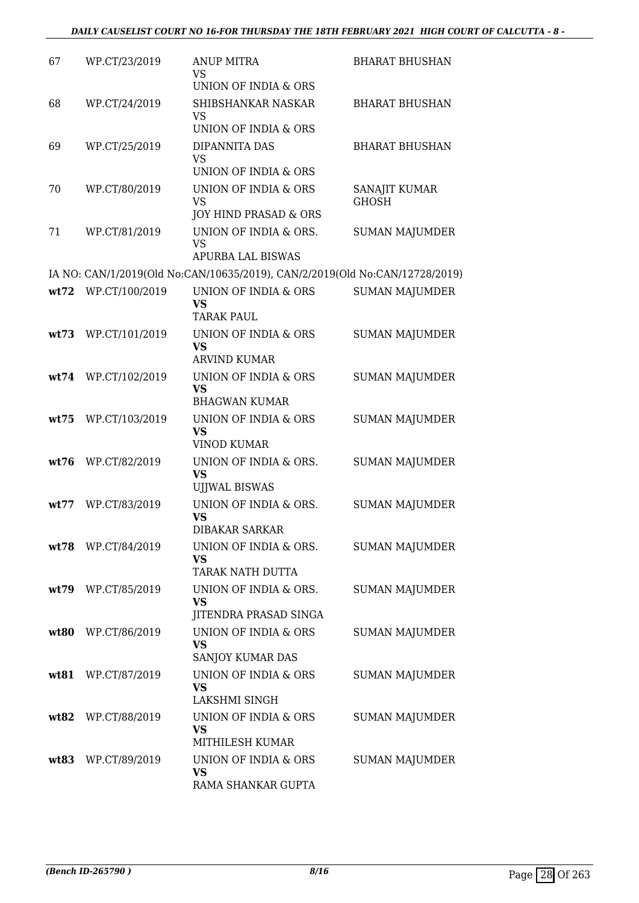| 67   | WP.CT/23/2019       | <b>ANUP MITRA</b><br>VS<br>UNION OF INDIA & ORS                                         | <b>BHARAT BHUSHAN</b>         |
|------|---------------------|-----------------------------------------------------------------------------------------|-------------------------------|
| 68   | WP.CT/24/2019       | SHIBSHANKAR NASKAR<br>VS<br>UNION OF INDIA & ORS                                        | <b>BHARAT BHUSHAN</b>         |
| 69   | WP.CT/25/2019       | DIPANNITA DAS<br><b>VS</b>                                                              | <b>BHARAT BHUSHAN</b>         |
| 70   | WP.CT/80/2019       | UNION OF INDIA & ORS<br>UNION OF INDIA & ORS<br><b>VS</b>                               | SANAJIT KUMAR<br><b>GHOSH</b> |
| 71   | WP.CT/81/2019       | JOY HIND PRASAD & ORS<br>UNION OF INDIA & ORS.<br><b>VS</b><br><b>APURBA LAL BISWAS</b> | <b>SUMAN MAJUMDER</b>         |
|      |                     | IA NO: CAN/1/2019(Old No:CAN/10635/2019), CAN/2/2019(Old No:CAN/12728/2019)             |                               |
|      | wt72 WP.CT/100/2019 | UNION OF INDIA & ORS                                                                    | <b>SUMAN MAJUMDER</b>         |
|      |                     | <b>VS</b><br><b>TARAK PAUL</b>                                                          |                               |
| wt73 | WP.CT/101/2019      | UNION OF INDIA & ORS<br><b>VS</b><br><b>ARVIND KUMAR</b>                                | <b>SUMAN MAJUMDER</b>         |
| wt74 | WP.CT/102/2019      | UNION OF INDIA & ORS<br><b>VS</b><br><b>BHAGWAN KUMAR</b>                               | <b>SUMAN MAJUMDER</b>         |
| wt75 | WP.CT/103/2019      | UNION OF INDIA & ORS<br><b>VS</b><br><b>VINOD KUMAR</b>                                 | <b>SUMAN MAJUMDER</b>         |
| wt76 | WP.CT/82/2019       | UNION OF INDIA & ORS.<br><b>VS</b><br><b>UJJWAL BISWAS</b>                              | <b>SUMAN MAJUMDER</b>         |
| wt77 | WP.CT/83/2019       | UNION OF INDIA & ORS.<br><b>VS</b><br><b>DIBAKAR SARKAR</b>                             | <b>SUMAN MAJUMDER</b>         |
|      | wt78 WP.CT/84/2019  | UNION OF INDIA & ORS.<br><b>VS</b><br><b>TARAK NATH DUTTA</b>                           | <b>SUMAN MAJUMDER</b>         |
|      | wt79 WP.CT/85/2019  | UNION OF INDIA & ORS.<br>VS<br>JITENDRA PRASAD SINGA                                    | <b>SUMAN MAJUMDER</b>         |
|      | wt80 WP.CT/86/2019  | UNION OF INDIA & ORS<br><b>VS</b><br>SANJOY KUMAR DAS                                   | <b>SUMAN MAJUMDER</b>         |
| wt81 | WP.CT/87/2019       | UNION OF INDIA & ORS<br>VS<br>LAKSHMI SINGH                                             | <b>SUMAN MAJUMDER</b>         |
|      | wt82 WP.CT/88/2019  | UNION OF INDIA & ORS<br><b>VS</b><br>MITHILESH KUMAR                                    | <b>SUMAN MAJUMDER</b>         |
|      | wt83 WP.CT/89/2019  | UNION OF INDIA & ORS<br>VS<br>RAMA SHANKAR GUPTA                                        | <b>SUMAN MAJUMDER</b>         |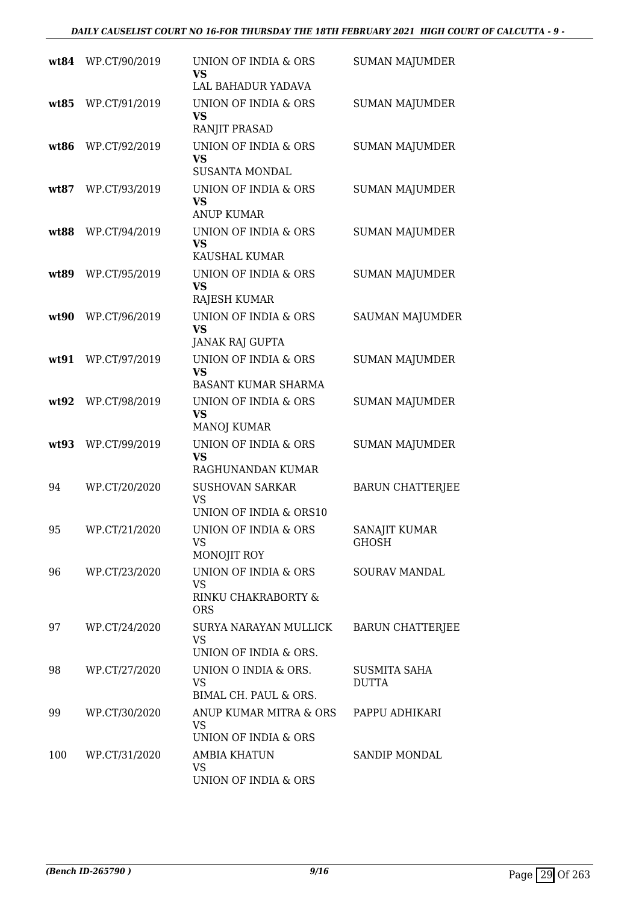| wt84 | WP.CT/90/2019 | UNION OF INDIA & ORS<br>VS<br>LAL BAHADUR YADAVA                           | <b>SUMAN MAJUMDER</b>        |
|------|---------------|----------------------------------------------------------------------------|------------------------------|
| wt85 | WP.CT/91/2019 | UNION OF INDIA & ORS<br><b>VS</b><br>RANJIT PRASAD                         | <b>SUMAN MAJUMDER</b>        |
| wt86 | WP.CT/92/2019 | UNION OF INDIA & ORS<br>VS<br><b>SUSANTA MONDAL</b>                        | <b>SUMAN MAJUMDER</b>        |
| wt87 | WP.CT/93/2019 | UNION OF INDIA & ORS<br><b>VS</b><br><b>ANUP KUMAR</b>                     | <b>SUMAN MAJUMDER</b>        |
| wt88 | WP.CT/94/2019 | UNION OF INDIA & ORS<br><b>VS</b><br>KAUSHAL KUMAR                         | <b>SUMAN MAJUMDER</b>        |
| wt89 | WP.CT/95/2019 | UNION OF INDIA & ORS<br><b>VS</b><br><b>RAJESH KUMAR</b>                   | <b>SUMAN MAJUMDER</b>        |
| wt90 | WP.CT/96/2019 | <b>UNION OF INDIA &amp; ORS</b><br><b>VS</b><br><b>JANAK RAJ GUPTA</b>     | <b>SAUMAN MAJUMDER</b>       |
| wt91 | WP.CT/97/2019 | <b>UNION OF INDIA &amp; ORS</b><br><b>VS</b><br><b>BASANT KUMAR SHARMA</b> | <b>SUMAN MAJUMDER</b>        |
| wt92 | WP.CT/98/2019 | UNION OF INDIA & ORS<br><b>VS</b><br><b>MANOJ KUMAR</b>                    | <b>SUMAN MAJUMDER</b>        |
| wt93 | WP.CT/99/2019 | UNION OF INDIA & ORS<br><b>VS</b><br>RAGHUNANDAN KUMAR                     | <b>SUMAN MAJUMDER</b>        |
| 94   | WP.CT/20/2020 | <b>SUSHOVAN SARKAR</b><br><b>VS</b><br>UNION OF INDIA & ORS10              | <b>BARUN CHATTERJEE</b>      |
| 95   | WP.CT/21/2020 | UNION OF INDIA & ORS<br>VS<br>MONOJIT ROY                                  | SANAJIT KUMAR<br>GHOSH       |
| 96   | WP.CT/23/2020 | UNION OF INDIA & ORS<br><b>VS</b><br>RINKU CHAKRABORTY &<br><b>ORS</b>     | <b>SOURAV MANDAL</b>         |
| 97   | WP.CT/24/2020 | SURYA NARAYAN MULLICK<br><b>VS</b><br>UNION OF INDIA & ORS.                | <b>BARUN CHATTERJEE</b>      |
| 98   | WP.CT/27/2020 | UNION O INDIA & ORS.<br>VS<br>BIMAL CH. PAUL & ORS.                        | <b>SUSMITA SAHA</b><br>DUTTA |
| 99   | WP.CT/30/2020 | ANUP KUMAR MITRA & ORS<br>VS<br>UNION OF INDIA & ORS                       | PAPPU ADHIKARI               |
| 100  | WP.CT/31/2020 | <b>AMBIA KHATUN</b><br><b>VS</b><br>UNION OF INDIA & ORS                   | SANDIP MONDAL                |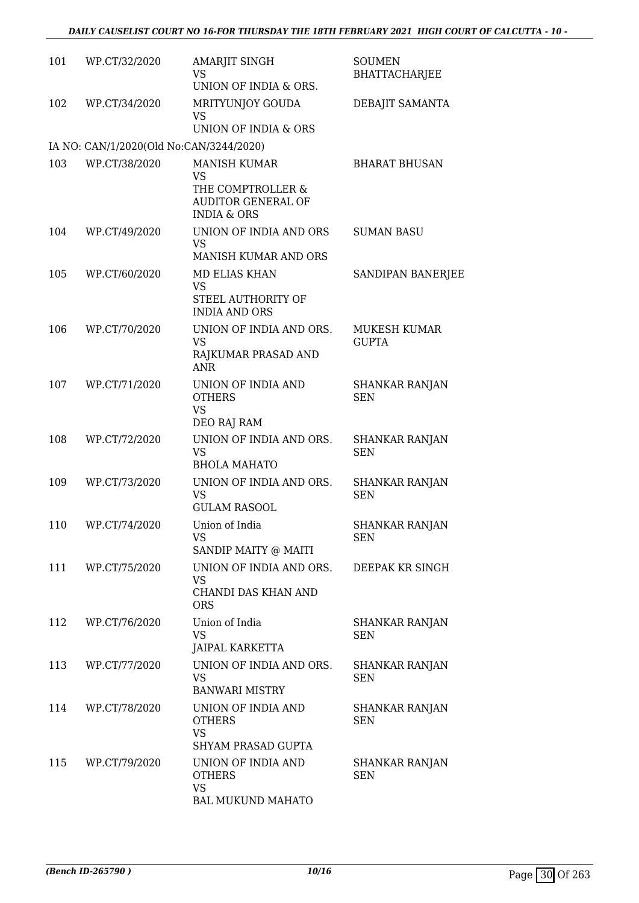| 101 | WP.CT/32/2020                           | AMARJIT SINGH<br>VS<br>UNION OF INDIA & ORS.                                                          | <b>SOUMEN</b><br><b>BHATTACHARJEE</b> |
|-----|-----------------------------------------|-------------------------------------------------------------------------------------------------------|---------------------------------------|
| 102 | WP.CT/34/2020                           | MRITYUNJOY GOUDA<br><b>VS</b><br>UNION OF INDIA & ORS                                                 | DEBAJIT SAMANTA                       |
|     | IA NO: CAN/1/2020(Old No:CAN/3244/2020) |                                                                                                       |                                       |
| 103 | WP.CT/38/2020                           | <b>MANISH KUMAR</b><br>VS<br>THE COMPTROLLER &<br><b>AUDITOR GENERAL OF</b><br><b>INDIA &amp; ORS</b> | <b>BHARAT BHUSAN</b>                  |
| 104 | WP.CT/49/2020                           | UNION OF INDIA AND ORS<br><b>VS</b><br>MANISH KUMAR AND ORS                                           | <b>SUMAN BASU</b>                     |
| 105 | WP.CT/60/2020                           | MD ELIAS KHAN<br><b>VS</b><br>STEEL AUTHORITY OF<br><b>INDIA AND ORS</b>                              | SANDIPAN BANERJEE                     |
| 106 | WP.CT/70/2020                           | UNION OF INDIA AND ORS.<br>VS<br>RAJKUMAR PRASAD AND<br><b>ANR</b>                                    | MUKESH KUMAR<br><b>GUPTA</b>          |
| 107 | WP.CT/71/2020                           | UNION OF INDIA AND<br><b>OTHERS</b><br><b>VS</b><br>DEO RAJ RAM                                       | <b>SHANKAR RANJAN</b><br><b>SEN</b>   |
| 108 | WP.CT/72/2020                           | UNION OF INDIA AND ORS.<br><b>VS</b><br><b>BHOLA MAHATO</b>                                           | <b>SHANKAR RANJAN</b><br><b>SEN</b>   |
| 109 | WP.CT/73/2020                           | UNION OF INDIA AND ORS.<br><b>VS</b><br><b>GULAM RASOOL</b>                                           | <b>SHANKAR RANJAN</b><br><b>SEN</b>   |
| 110 | WP.CT/74/2020                           | Union of India<br><b>VS</b><br>SANDIP MAITY @ MAITI                                                   | <b>SHANKAR RANJAN</b><br><b>SEN</b>   |
| 111 | WP.CT/75/2020                           | UNION OF INDIA AND ORS.<br>VS<br>CHANDI DAS KHAN AND<br><b>ORS</b>                                    | DEEPAK KR SINGH                       |
| 112 | WP.CT/76/2020                           | Union of India<br><b>VS</b><br>JAIPAL KARKETTA                                                        | SHANKAR RANJAN<br><b>SEN</b>          |
| 113 | WP.CT/77/2020                           | UNION OF INDIA AND ORS.<br>VS<br><b>BANWARI MISTRY</b>                                                | <b>SHANKAR RANJAN</b><br><b>SEN</b>   |
| 114 | WP.CT/78/2020                           | UNION OF INDIA AND<br><b>OTHERS</b><br><b>VS</b><br>SHYAM PRASAD GUPTA                                | SHANKAR RANJAN<br><b>SEN</b>          |
| 115 | WP.CT/79/2020                           | UNION OF INDIA AND<br><b>OTHERS</b><br><b>VS</b><br><b>BAL MUKUND MAHATO</b>                          | SHANKAR RANJAN<br>SEN                 |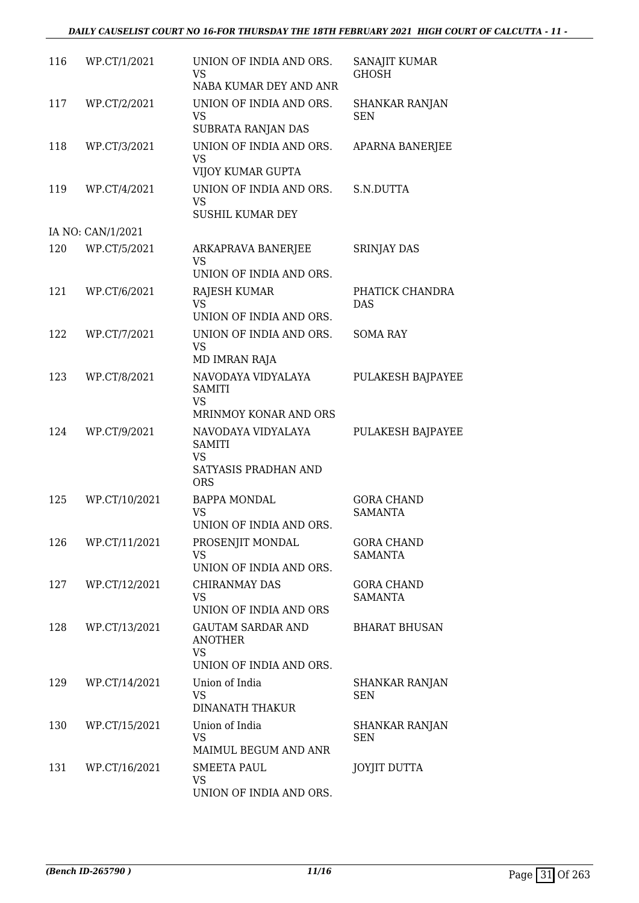#### *DAILY CAUSELIST COURT NO 16-FOR THURSDAY THE 18TH FEBRUARY 2021 HIGH COURT OF CALCUTTA - 11 -*

| 116 | WP.CT/1/2021      | UNION OF INDIA AND ORS.<br>VS.<br>NABA KUMAR DEY AND ANR                           | SANAJIT KUMAR<br><b>GHOSH</b>       |
|-----|-------------------|------------------------------------------------------------------------------------|-------------------------------------|
| 117 | WP.CT/2/2021      | UNION OF INDIA AND ORS.<br><b>VS</b><br>SUBRATA RANJAN DAS                         | <b>SHANKAR RANJAN</b><br><b>SEN</b> |
| 118 | WP.CT/3/2021      | UNION OF INDIA AND ORS.<br><b>VS</b><br>VIJOY KUMAR GUPTA                          | APARNA BANERJEE                     |
| 119 | WP.CT/4/2021      | UNION OF INDIA AND ORS.<br><b>VS</b><br>SUSHIL KUMAR DEY                           | S.N.DUTTA                           |
|     | IA NO: CAN/1/2021 |                                                                                    |                                     |
| 120 | WP.CT/5/2021      | ARKAPRAVA BANERJEE<br><b>VS</b><br>UNION OF INDIA AND ORS.                         | <b>SRINJAY DAS</b>                  |
| 121 | WP.CT/6/2021      | <b>RAJESH KUMAR</b><br><b>VS</b><br>UNION OF INDIA AND ORS.                        | PHATICK CHANDRA<br><b>DAS</b>       |
| 122 | WP.CT/7/2021      | UNION OF INDIA AND ORS.<br><b>VS</b><br>MD IMRAN RAJA                              | <b>SOMA RAY</b>                     |
| 123 | WP.CT/8/2021      | NAVODAYA VIDYALAYA<br><b>SAMITI</b><br><b>VS</b><br>MRINMOY KONAR AND ORS          | PULAKESH BAJPAYEE                   |
| 124 | WP.CT/9/2021      | NAVODAYA VIDYALAYA<br><b>SAMITI</b><br>VS<br>SATYASIS PRADHAN AND<br><b>ORS</b>    | PULAKESH BAJPAYEE                   |
| 125 | WP.CT/10/2021     | <b>BAPPA MONDAL</b><br><b>VS</b><br>UNION OF INDIA AND ORS.                        | <b>GORA CHAND</b><br><b>SAMANTA</b> |
| 126 | WP.CT/11/2021     | PROSENJIT MONDAL<br><b>VS</b><br>UNION OF INDIA AND ORS.                           | <b>GORA CHAND</b><br><b>SAMANTA</b> |
| 127 | WP.CT/12/2021     | CHIRANMAY DAS<br><b>VS</b><br>UNION OF INDIA AND ORS                               | <b>GORA CHAND</b><br><b>SAMANTA</b> |
| 128 | WP.CT/13/2021     | <b>GAUTAM SARDAR AND</b><br><b>ANOTHER</b><br><b>VS</b><br>UNION OF INDIA AND ORS. | <b>BHARAT BHUSAN</b>                |
| 129 | WP.CT/14/2021     | Union of India<br><b>VS</b><br><b>DINANATH THAKUR</b>                              | SHANKAR RANJAN<br><b>SEN</b>        |
| 130 | WP.CT/15/2021     | Union of India<br><b>VS</b><br>MAIMUL BEGUM AND ANR                                | SHANKAR RANJAN<br><b>SEN</b>        |
| 131 | WP.CT/16/2021     | <b>SMEETA PAUL</b><br><b>VS</b><br>UNION OF INDIA AND ORS.                         | <b>JOYJIT DUTTA</b>                 |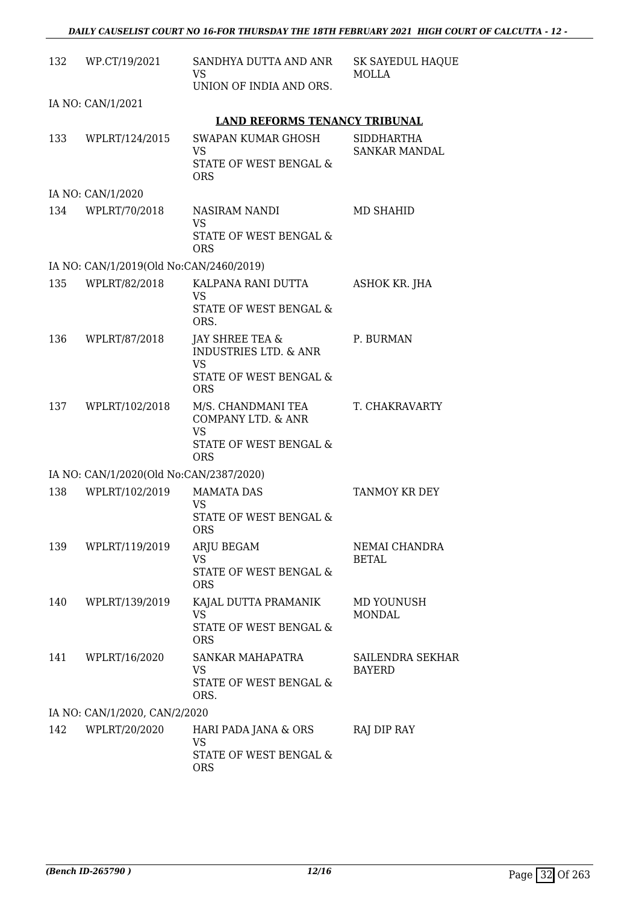| 132 | WP.CT/19/2021                           | SANDHYA DUTTA AND ANR<br>VS<br>UNION OF INDIA AND ORS.                                                   | <b>SK SAYEDUL HAQUE</b><br>MOLLA          |
|-----|-----------------------------------------|----------------------------------------------------------------------------------------------------------|-------------------------------------------|
|     | IA NO: CAN/1/2021                       |                                                                                                          |                                           |
|     |                                         | <b>LAND REFORMS TENANCY TRIBUNAL</b>                                                                     |                                           |
| 133 | WPLRT/124/2015                          | SWAPAN KUMAR GHOSH<br>VS<br>STATE OF WEST BENGAL &<br><b>ORS</b>                                         | <b>SIDDHARTHA</b><br><b>SANKAR MANDAL</b> |
|     | IA NO: CAN/1/2020                       |                                                                                                          |                                           |
| 134 | WPLRT/70/2018                           | NASIRAM NANDI<br><b>VS</b><br>STATE OF WEST BENGAL &<br><b>ORS</b>                                       | MD SHAHID                                 |
|     | IA NO: CAN/1/2019(Old No:CAN/2460/2019) |                                                                                                          |                                           |
| 135 | WPLRT/82/2018                           | KALPANA RANI DUTTA<br>VS<br>STATE OF WEST BENGAL &<br>ORS.                                               | <b>ASHOK KR. JHA</b>                      |
| 136 | WPLRT/87/2018                           | JAY SHREE TEA &<br><b>INDUSTRIES LTD. &amp; ANR</b><br><b>VS</b><br>STATE OF WEST BENGAL &<br><b>ORS</b> | P. BURMAN                                 |
| 137 | WPLRT/102/2018                          | M/S. CHANDMANI TEA<br>COMPANY LTD. & ANR<br><b>VS</b><br>STATE OF WEST BENGAL &<br><b>ORS</b>            | T. CHAKRAVARTY                            |
|     | IA NO: CAN/1/2020(Old No:CAN/2387/2020) |                                                                                                          |                                           |
| 138 | WPLRT/102/2019                          | <b>MAMATA DAS</b><br><b>VS</b><br>STATE OF WEST BENGAL &<br><b>ORS</b>                                   | TANMOY KR DEY                             |
| 139 | WPLRT/119/2019                          | ARJU BEGAM<br><b>VS</b><br>STATE OF WEST BENGAL &<br><b>ORS</b>                                          | NEMAI CHANDRA<br><b>BETAL</b>             |
| 140 | WPLRT/139/2019                          | KAJAL DUTTA PRAMANIK<br><b>VS</b><br>STATE OF WEST BENGAL &<br><b>ORS</b>                                | MD YOUNUSH<br><b>MONDAL</b>               |
| 141 | WPLRT/16/2020                           | SANKAR MAHAPATRA<br>VS<br>STATE OF WEST BENGAL &<br>ORS.                                                 | SAILENDRA SEKHAR<br><b>BAYERD</b>         |
|     | IA NO: CAN/1/2020, CAN/2/2020           |                                                                                                          |                                           |
| 142 | WPLRT/20/2020                           | HARI PADA JANA & ORS<br><b>VS</b><br>STATE OF WEST BENGAL &<br><b>ORS</b>                                | RAJ DIP RAY                               |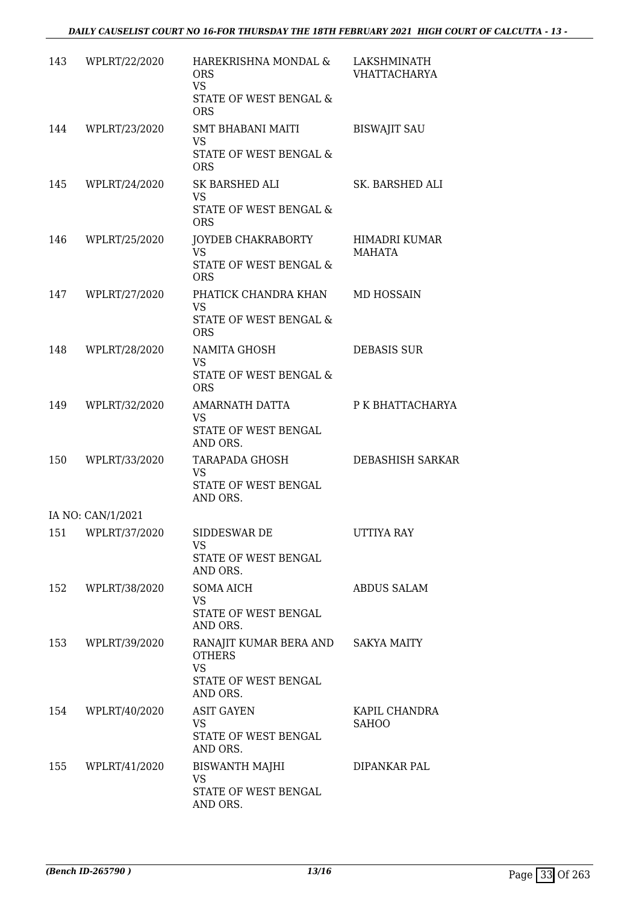| 143 | WPLRT/22/2020     | HAREKRISHNA MONDAL &<br><b>ORS</b><br><b>VS</b><br>STATE OF WEST BENGAL &<br><b>ORS</b>              | LAKSHMINATH<br><b>VHATTACHARYA</b> |
|-----|-------------------|------------------------------------------------------------------------------------------------------|------------------------------------|
|     | 144 WPLRT/23/2020 | SMT BHABANI MAITI<br><b>VS</b><br>STATE OF WEST BENGAL &<br><b>ORS</b>                               | <b>BISWAJIT SAU</b>                |
|     | 145 WPLRT/24/2020 | SK BARSHED ALI<br><b>VS</b><br>STATE OF WEST BENGAL &<br><b>ORS</b>                                  | SK. BARSHED ALI                    |
|     | 146 WPLRT/25/2020 | JOYDEB CHAKRABORTY<br><b>VS</b><br>STATE OF WEST BENGAL &<br><b>ORS</b>                              | HIMADRI KUMAR<br>MAHATA            |
|     | 147 WPLRT/27/2020 | PHATICK CHANDRA KHAN<br>VS.<br>STATE OF WEST BENGAL &<br><b>ORS</b>                                  | MD HOSSAIN                         |
| 148 | WPLRT/28/2020     | NAMITA GHOSH<br><b>VS</b><br>STATE OF WEST BENGAL &<br><b>ORS</b>                                    | <b>DEBASIS SUR</b>                 |
| 149 | WPLRT/32/2020     | AMARNATH DATTA<br>VS.<br>STATE OF WEST BENGAL<br>AND ORS.                                            | P K BHATTACHARYA                   |
|     | 150 WPLRT/33/2020 | TARAPADA GHOSH<br><b>VS</b><br>STATE OF WEST BENGAL<br>AND ORS.                                      | DEBASHISH SARKAR                   |
|     | IA NO: CAN/1/2021 |                                                                                                      |                                    |
|     | 151 WPLRT/37/2020 | SIDDESWAR DE<br>VS<br>STATE OF WEST BENGAL<br>AND ORS.                                               | UTTIYA RAY                         |
|     | 152 WPLRT/38/2020 | <b>SOMA AICH</b><br>VS<br>STATE OF WEST BENGAL<br>AND ORS.                                           | <b>ABDUS SALAM</b>                 |
|     | 153 WPLRT/39/2020 | RANAJIT KUMAR BERA AND SAKYA MAITY<br><b>OTHERS</b><br><b>VS</b><br>STATE OF WEST BENGAL<br>AND ORS. |                                    |
|     | 154 WPLRT/40/2020 | <b>ASIT GAYEN</b><br>VS.<br>STATE OF WEST BENGAL<br>AND ORS.                                         | KAPIL CHANDRA<br><b>SAHOO</b>      |
|     | 155 WPLRT/41/2020 | <b>BISWANTH MAJHI</b><br>VS<br>STATE OF WEST BENGAL<br>AND ORS.                                      | DIPANKAR PAL                       |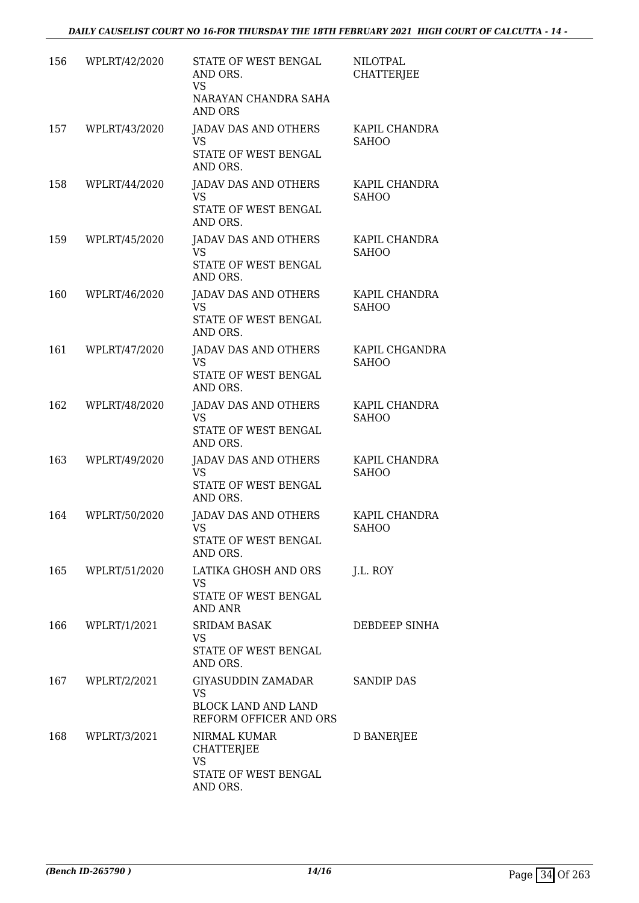| 156 | WPLRT/42/2020 | STATE OF WEST BENGAL<br>AND ORS.<br>VS<br>NARAYAN CHANDRA SAHA<br><b>AND ORS</b>        | <b>NILOTPAL</b><br><b>CHATTERIEE</b> |
|-----|---------------|-----------------------------------------------------------------------------------------|--------------------------------------|
| 157 | WPLRT/43/2020 | <b>JADAV DAS AND OTHERS</b><br>VS<br>STATE OF WEST BENGAL<br>AND ORS.                   | KAPIL CHANDRA<br><b>SAHOO</b>        |
| 158 | WPLRT/44/2020 | <b>JADAV DAS AND OTHERS</b><br><b>VS</b><br>STATE OF WEST BENGAL<br>AND ORS.            | KAPIL CHANDRA<br><b>SAHOO</b>        |
| 159 | WPLRT/45/2020 | JADAV DAS AND OTHERS<br><b>VS</b><br>STATE OF WEST BENGAL<br>AND ORS.                   | KAPIL CHANDRA<br><b>SAHOO</b>        |
| 160 | WPLRT/46/2020 | <b>JADAV DAS AND OTHERS</b><br><b>VS</b><br>STATE OF WEST BENGAL<br>AND ORS.            | KAPIL CHANDRA<br><b>SAHOO</b>        |
| 161 | WPLRT/47/2020 | <b>JADAV DAS AND OTHERS</b><br><b>VS</b><br>STATE OF WEST BENGAL<br>AND ORS.            | KAPIL CHGANDRA<br><b>SAHOO</b>       |
| 162 | WPLRT/48/2020 | <b>JADAV DAS AND OTHERS</b><br><b>VS</b><br>STATE OF WEST BENGAL<br>AND ORS.            | KAPIL CHANDRA<br><b>SAHOO</b>        |
| 163 | WPLRT/49/2020 | JADAV DAS AND OTHERS<br>VS<br>STATE OF WEST BENGAL<br>AND ORS.                          | KAPIL CHANDRA<br><b>SAHOO</b>        |
| 164 | WPLRT/50/2020 | <b>JADAV DAS AND OTHERS</b><br><b>VS</b><br>STATE OF WEST BENGAL<br>AND ORS.            | KAPIL CHANDRA<br><b>SAHOO</b>        |
| 165 | WPLRT/51/2020 | LATIKA GHOSH AND ORS<br><b>VS</b><br>STATE OF WEST BENGAL<br><b>AND ANR</b>             | J.L. ROY                             |
| 166 | WPLRT/1/2021  | <b>SRIDAM BASAK</b><br>VS<br>STATE OF WEST BENGAL<br>AND ORS.                           | DEBDEEP SINHA                        |
| 167 | WPLRT/2/2021  | GIYASUDDIN ZAMADAR<br><b>VS</b><br><b>BLOCK LAND AND LAND</b><br>REFORM OFFICER AND ORS | <b>SANDIP DAS</b>                    |
| 168 | WPLRT/3/2021  | NIRMAL KUMAR<br><b>CHATTERJEE</b><br>VS<br>STATE OF WEST BENGAL<br>AND ORS.             | D BANERJEE                           |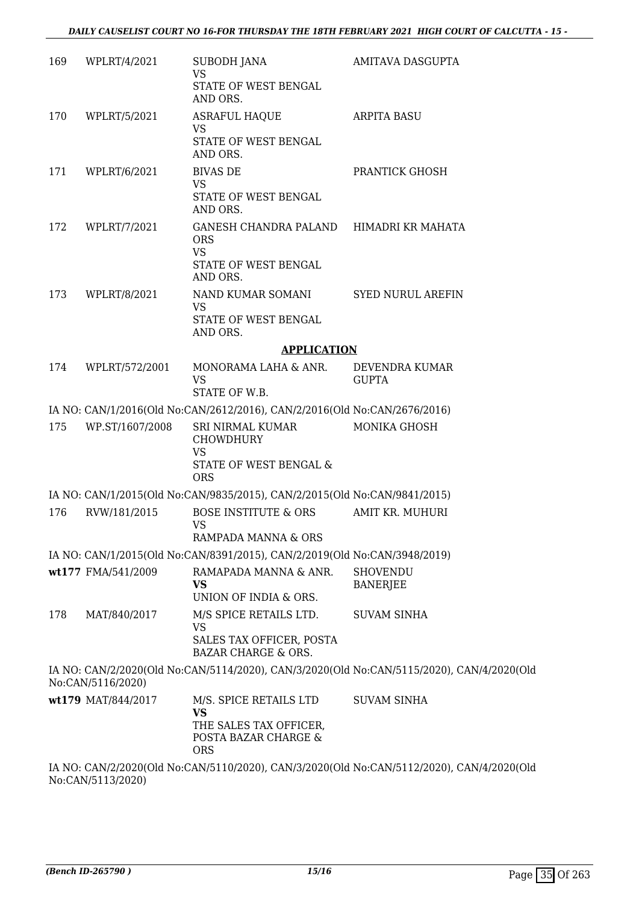| 169 | WPLRT/4/2021       | SUBODH JANA<br><b>VS</b>                                                                           | <b>AMITAVA DASGUPTA</b>                                                                   |
|-----|--------------------|----------------------------------------------------------------------------------------------------|-------------------------------------------------------------------------------------------|
|     |                    | STATE OF WEST BENGAL<br>AND ORS.                                                                   |                                                                                           |
| 170 | WPLRT/5/2021       | <b>ASRAFUL HAQUE</b><br><b>VS</b>                                                                  | <b>ARPITA BASU</b>                                                                        |
|     |                    | STATE OF WEST BENGAL<br>AND ORS.                                                                   |                                                                                           |
| 171 | WPLRT/6/2021       | <b>BIVAS DE</b><br><b>VS</b>                                                                       | PRANTICK GHOSH                                                                            |
|     |                    | STATE OF WEST BENGAL<br>AND ORS.                                                                   |                                                                                           |
| 172 | WPLRT/7/2021       | GANESH CHANDRA PALAND HIMADRI KR MAHATA<br><b>ORS</b><br><b>VS</b>                                 |                                                                                           |
|     |                    | STATE OF WEST BENGAL<br>AND ORS.                                                                   |                                                                                           |
| 173 | WPLRT/8/2021       | NAND KUMAR SOMANI<br><b>VS</b>                                                                     | <b>SYED NURUL AREFIN</b>                                                                  |
|     |                    | STATE OF WEST BENGAL<br>AND ORS.                                                                   |                                                                                           |
|     |                    | <b>APPLICATION</b>                                                                                 |                                                                                           |
| 174 | WPLRT/572/2001     | MONORAMA LAHA & ANR.<br><b>VS</b><br>STATE OF W.B.                                                 | DEVENDRA KUMAR<br><b>GUPTA</b>                                                            |
|     |                    | IA NO: CAN/1/2016(Old No:CAN/2612/2016), CAN/2/2016(Old No:CAN/2676/2016)                          |                                                                                           |
| 175 | WP.ST/1607/2008    | SRI NIRMAL KUMAR<br><b>CHOWDHURY</b>                                                               | MONIKA GHOSH                                                                              |
|     |                    | <b>VS</b><br><b>STATE OF WEST BENGAL &amp;</b><br><b>ORS</b>                                       |                                                                                           |
|     |                    | IA NO: CAN/1/2015(Old No:CAN/9835/2015), CAN/2/2015(Old No:CAN/9841/2015)                          |                                                                                           |
| 176 | RVW/181/2015       | <b>BOSE INSTITUTE &amp; ORS</b><br><b>VS</b>                                                       | AMIT KR. MUHURI                                                                           |
|     |                    | RAMPADA MANNA & ORS                                                                                |                                                                                           |
|     |                    | IA NO: CAN/1/2015(Old No:CAN/8391/2015), CAN/2/2019(Old No:CAN/3948/2019)<br>RAMAPADA MANNA & ANR. |                                                                                           |
|     | wt177 FMA/541/2009 | VS<br>UNION OF INDIA & ORS.                                                                        | <b>SHOVENDU</b><br><b>BANERJEE</b>                                                        |
| 178 | MAT/840/2017       | M/S SPICE RETAILS LTD.                                                                             | <b>SUVAM SINHA</b>                                                                        |
|     |                    | <b>VS</b>                                                                                          |                                                                                           |
|     |                    | SALES TAX OFFICER, POSTA<br><b>BAZAR CHARGE &amp; ORS.</b>                                         |                                                                                           |
|     | No:CAN/5116/2020)  |                                                                                                    | IA NO: CAN/2/2020(Old No:CAN/5114/2020), CAN/3/2020(Old No:CAN/5115/2020), CAN/4/2020(Old |
|     | wt179 MAT/844/2017 | M/S. SPICE RETAILS LTD<br><b>VS</b><br>THE SALES TAX OFFICER,<br>POSTA BAZAR CHARGE &              | <b>SUVAM SINHA</b>                                                                        |
|     |                    | <b>ORS</b>                                                                                         | IA NO. CANIGROPOLO No CANIE110/2020), CANIGROPOLO No CANIE112/2020, CANIA (2020) OI       |

IA NO: CAN/2/2020(Old No:CAN/5110/2020), CAN/3/2020(Old No:CAN/5112/2020), CAN/4/2020(Old No:CAN/5113/2020)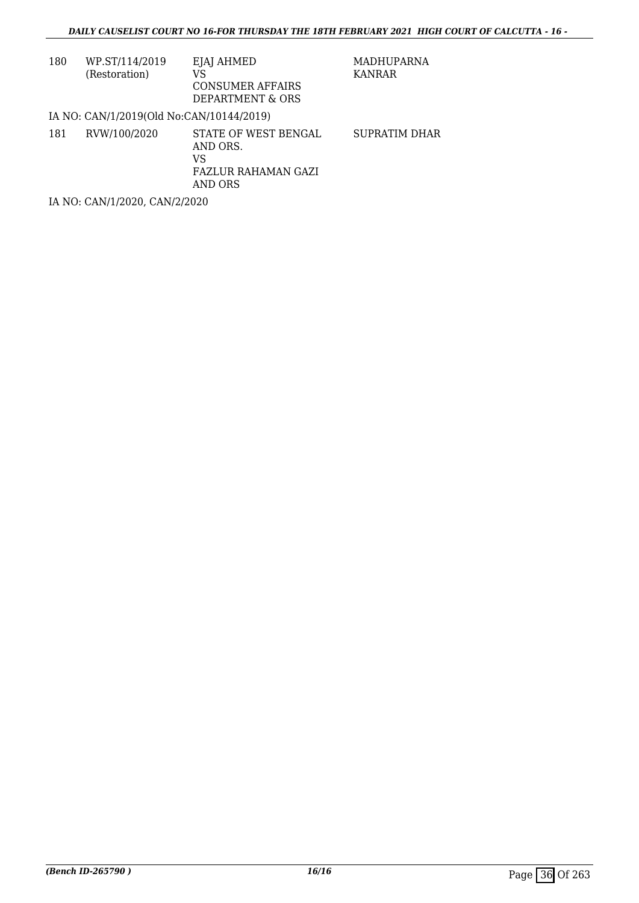| 180 | WP.ST/114/2019<br>(Restoration)          | EJAJ AHMED<br>VS<br>CONSUMER AFFAIRS<br>DEPARTMENT & ORS                        | MADHUPARNA<br>KANRAR |
|-----|------------------------------------------|---------------------------------------------------------------------------------|----------------------|
|     | IA NO: CAN/1/2019(Old No:CAN/10144/2019) |                                                                                 |                      |
| 181 | RVW/100/2020                             | STATE OF WEST BENGAL<br>AND ORS.<br>VS<br><b>FAZLUR RAHAMAN GAZI</b><br>AND ORS | SUPRATIM DHAR        |
|     | IA NO: CAN/1/2020, CAN/2/2020            |                                                                                 |                      |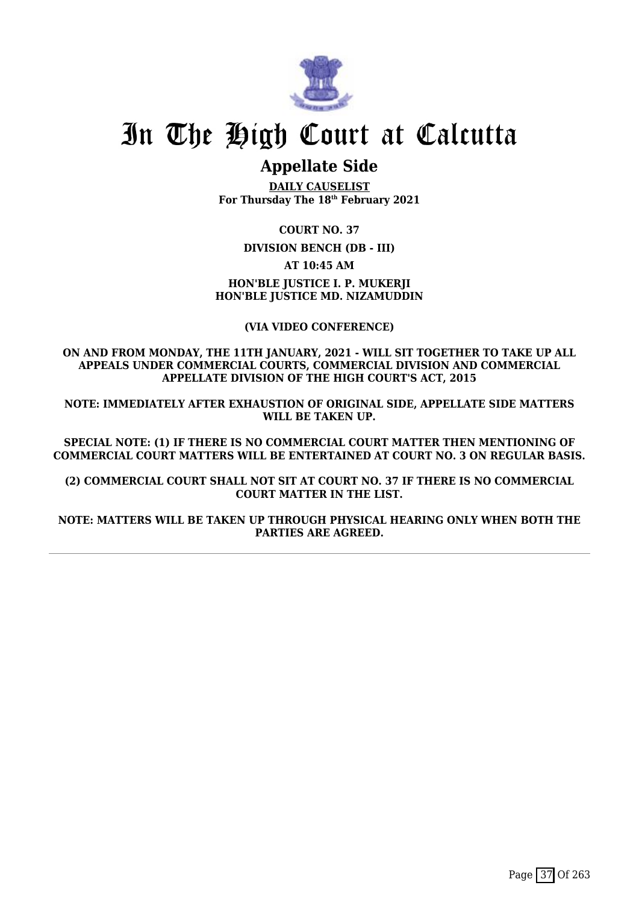

## **Appellate Side**

**DAILY CAUSELIST For Thursday The 18th February 2021**

**COURT NO. 37**

**DIVISION BENCH (DB - III)**

**AT 10:45 AM**

**HON'BLE JUSTICE I. P. MUKERJI HON'BLE JUSTICE MD. NIZAMUDDIN**

**(VIA VIDEO CONFERENCE)**

**ON AND FROM MONDAY, THE 11TH JANUARY, 2021 - WILL SIT TOGETHER TO TAKE UP ALL APPEALS UNDER COMMERCIAL COURTS, COMMERCIAL DIVISION AND COMMERCIAL APPELLATE DIVISION OF THE HIGH COURT'S ACT, 2015**

**NOTE: IMMEDIATELY AFTER EXHAUSTION OF ORIGINAL SIDE, APPELLATE SIDE MATTERS WILL BE TAKEN UP.**

**SPECIAL NOTE: (1) IF THERE IS NO COMMERCIAL COURT MATTER THEN MENTIONING OF COMMERCIAL COURT MATTERS WILL BE ENTERTAINED AT COURT NO. 3 ON REGULAR BASIS.**

**(2) COMMERCIAL COURT SHALL NOT SIT AT COURT NO. 37 IF THERE IS NO COMMERCIAL COURT MATTER IN THE LIST.**

**NOTE: MATTERS WILL BE TAKEN UP THROUGH PHYSICAL HEARING ONLY WHEN BOTH THE PARTIES ARE AGREED.**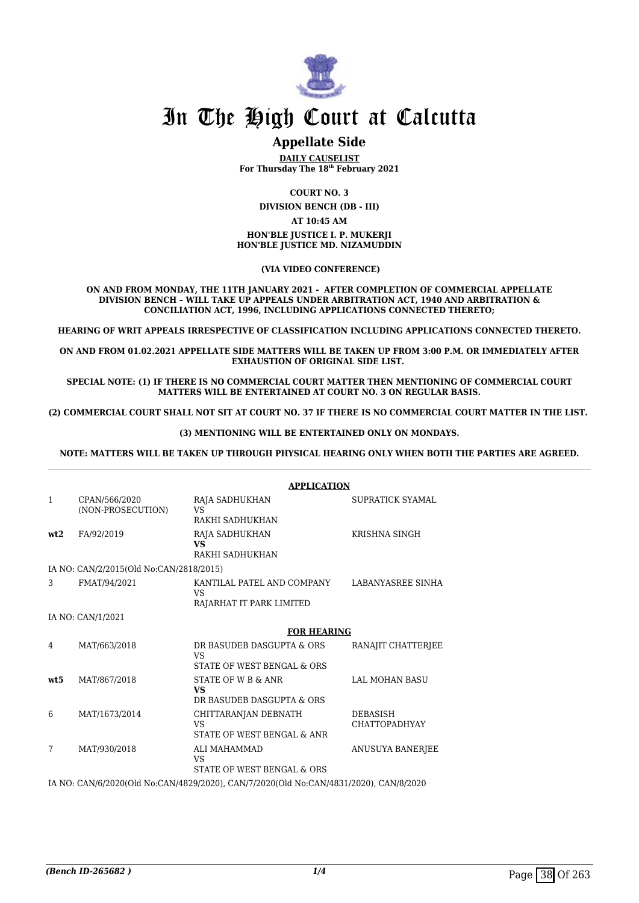

### **Appellate Side**

**DAILY CAUSELIST For Thursday The 18th February 2021**

**COURT NO. 3**

**DIVISION BENCH (DB - III)**

#### **AT 10:45 AM**

**HON'BLE JUSTICE I. P. MUKERJI HON'BLE JUSTICE MD. NIZAMUDDIN**

 **(VIA VIDEO CONFERENCE)**

**ON AND FROM MONDAY, THE 11TH JANUARY 2021 - AFTER COMPLETION OF COMMERCIAL APPELLATE DIVISION BENCH – WILL TAKE UP APPEALS UNDER ARBITRATION ACT, 1940 AND ARBITRATION & CONCILIATION ACT, 1996, INCLUDING APPLICATIONS CONNECTED THERETO;**

**HEARING OF WRIT APPEALS IRRESPECTIVE OF CLASSIFICATION INCLUDING APPLICATIONS CONNECTED THERETO.**

**ON AND FROM 01.02.2021 APPELLATE SIDE MATTERS WILL BE TAKEN UP FROM 3:00 P.M. OR IMMEDIATELY AFTER EXHAUSTION OF ORIGINAL SIDE LIST.** 

**SPECIAL NOTE: (1) IF THERE IS NO COMMERCIAL COURT MATTER THEN MENTIONING OF COMMERCIAL COURT MATTERS WILL BE ENTERTAINED AT COURT NO. 3 ON REGULAR BASIS.**

**(2) COMMERCIAL COURT SHALL NOT SIT AT COURT NO. 37 IF THERE IS NO COMMERCIAL COURT MATTER IN THE LIST.** 

#### **(3) MENTIONING WILL BE ENTERTAINED ONLY ON MONDAYS.**

**NOTE: MATTERS WILL BE TAKEN UP THROUGH PHYSICAL HEARING ONLY WHEN BOTH THE PARTIES ARE AGREED.**

|                 |                                         | <b>APPLICATION</b>                                                                    |                                         |
|-----------------|-----------------------------------------|---------------------------------------------------------------------------------------|-----------------------------------------|
| 1               | CPAN/566/2020<br>(NON-PROSECUTION)      | RAJA SADHUKHAN<br>VS.                                                                 | SUPRATICK SYAMAL                        |
|                 |                                         | RAKHI SADHUKHAN                                                                       |                                         |
| wt2             | FA/92/2019                              | RAJA SADHUKHAN<br><b>VS</b>                                                           | KRISHNA SINGH                           |
|                 |                                         | RAKHI SADHUKHAN                                                                       |                                         |
|                 | IA NO: CAN/2/2015(Old No:CAN/2818/2015) |                                                                                       |                                         |
| 3               | FMAT/94/2021                            | KANTILAL PATEL AND COMPANY<br><b>VS</b>                                               | LABANYASREE SINHA                       |
|                 |                                         | RAJARHAT IT PARK LIMITED                                                              |                                         |
|                 | IA NO: CAN/1/2021                       |                                                                                       |                                         |
|                 |                                         | <b>FOR HEARING</b>                                                                    |                                         |
| 4               | MAT/663/2018                            | DR BASUDEB DASGUPTA & ORS<br><b>VS</b>                                                | RANAJIT CHATTERJEE                      |
|                 |                                         | STATE OF WEST BENGAL & ORS                                                            |                                         |
| wt <sub>5</sub> | MAT/867/2018                            | STATE OF W B & ANR<br><b>VS</b>                                                       | <b>LAL MOHAN BASU</b>                   |
|                 |                                         | DR BASUDEB DASGUPTA & ORS                                                             |                                         |
| 6               | MAT/1673/2014                           | CHITTARANJAN DEBNATH<br>VS                                                            | <b>DEBASISH</b><br><b>CHATTOPADHYAY</b> |
|                 |                                         | STATE OF WEST BENGAL & ANR                                                            |                                         |
| 7               | MAT/930/2018                            | ALI MAHAMMAD<br><b>VS</b>                                                             | ANUSUYA BANERJEE                        |
|                 |                                         | STATE OF WEST BENGAL & ORS                                                            |                                         |
|                 |                                         | IA NO: CAN/6/2020(Old No:CAN/4829/2020), CAN/7/2020(Old No:CAN/4831/2020), CAN/8/2020 |                                         |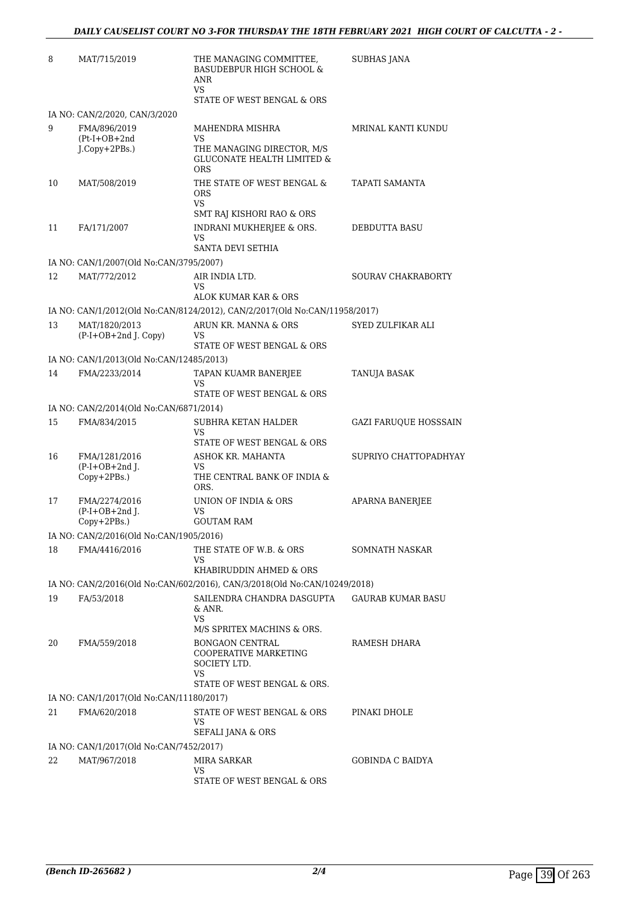| 8  | MAT/715/2019                                        | THE MANAGING COMMITTEE,<br><b>BASUDEBPUR HIGH SCHOOL &amp;</b><br>ANR<br><b>VS</b><br>STATE OF WEST BENGAL & ORS | <b>SUBHAS JANA</b>           |
|----|-----------------------------------------------------|------------------------------------------------------------------------------------------------------------------|------------------------------|
|    | IA NO: CAN/2/2020, CAN/3/2020                       |                                                                                                                  |                              |
| 9  | FMA/896/2019<br>$(Pt-I+OB+2nd$<br>J.Copy+2PBs.)     | MAHENDRA MISHRA<br>VS.<br>THE MANAGING DIRECTOR, M/S<br><b>GLUCONATE HEALTH LIMITED &amp;</b><br><b>ORS</b>      | MRINAL KANTI KUNDU           |
| 10 | MAT/508/2019                                        | THE STATE OF WEST BENGAL &<br><b>ORS</b><br>VS.<br>SMT RAJ KISHORI RAO & ORS                                     | <b>TAPATI SAMANTA</b>        |
| 11 | FA/171/2007                                         | INDRANI MUKHERJEE & ORS.<br>VS<br>SANTA DEVI SETHIA                                                              | DEBDUTTA BASU                |
|    | IA NO: CAN/1/2007(Old No:CAN/3795/2007)             |                                                                                                                  |                              |
| 12 | MAT/772/2012                                        | AIR INDIA LTD.<br>VS<br>ALOK KUMAR KAR & ORS                                                                     | <b>SOURAV CHAKRABORTY</b>    |
|    |                                                     | IA NO: CAN/1/2012(Old No:CAN/8124/2012), CAN/2/2017(Old No:CAN/11958/2017)                                       |                              |
| 13 | MAT/1820/2013<br>$(P-I+OB+2nd J. Copy)$             | ARUN KR. MANNA & ORS<br>VS<br>STATE OF WEST BENGAL & ORS                                                         | SYED ZULFIKAR ALI            |
|    | IA NO: CAN/1/2013(Old No:CAN/12485/2013)            |                                                                                                                  |                              |
| 14 | FMA/2233/2014                                       | TAPAN KUAMR BANERJEE<br>VS<br>STATE OF WEST BENGAL & ORS                                                         | TANUJA BASAK                 |
|    | IA NO: CAN/2/2014(Old No:CAN/6871/2014)             |                                                                                                                  |                              |
| 15 | FMA/834/2015                                        | SUBHRA KETAN HALDER<br>VS.<br>STATE OF WEST BENGAL & ORS                                                         | <b>GAZI FARUQUE HOSSSAIN</b> |
| 16 | FMA/1281/2016<br>$(P-I+OB+2nd$ J.<br>$Copy+2PBs.$ ) | ASHOK KR. MAHANTA<br>VS<br>THE CENTRAL BANK OF INDIA &<br>ORS.                                                   | SUPRIYO CHATTOPADHYAY        |
| 17 | FMA/2274/2016<br>$(P-I+OB+2nd$ J.<br>$Copy+2PBs.$ ) | UNION OF INDIA & ORS<br>VS<br><b>GOUTAM RAM</b>                                                                  | APARNA BANERJEE              |
|    | IA NO: CAN/2/2016(Old No:CAN/1905/2016)             |                                                                                                                  |                              |
| 18 | FMA/4416/2016                                       | THE STATE OF W.B. & ORS<br>VS.<br>KHABIRUDDIN AHMED & ORS                                                        | <b>SOMNATH NASKAR</b>        |
|    |                                                     | IA NO: CAN/2/2016(Old No:CAN/602/2016), CAN/3/2018(Old No:CAN/10249/2018)                                        |                              |
| 19 | FA/53/2018                                          | SAILENDRA CHANDRA DASGUPTA<br>& ANR.<br>VS                                                                       | <b>GAURAB KUMAR BASU</b>     |
| 20 | FMA/559/2018                                        | M/S SPRITEX MACHINS & ORS.<br><b>BONGAON CENTRAL</b><br><b>COOPERATIVE MARKETING</b><br>SOCIETY LTD.<br>VS.      | RAMESH DHARA                 |
|    |                                                     | STATE OF WEST BENGAL & ORS.                                                                                      |                              |
|    | IA NO: CAN/1/2017(Old No:CAN/11180/2017)            |                                                                                                                  |                              |
| 21 | FMA/620/2018                                        | STATE OF WEST BENGAL & ORS<br>VS<br>SEFALI JANA & ORS                                                            | PINAKI DHOLE                 |
|    | IA NO: CAN/1/2017(Old No:CAN/7452/2017)             |                                                                                                                  |                              |
| 22 | MAT/967/2018                                        | MIRA SARKAR<br>VS<br>STATE OF WEST BENGAL & ORS                                                                  | <b>GOBINDA C BAIDYA</b>      |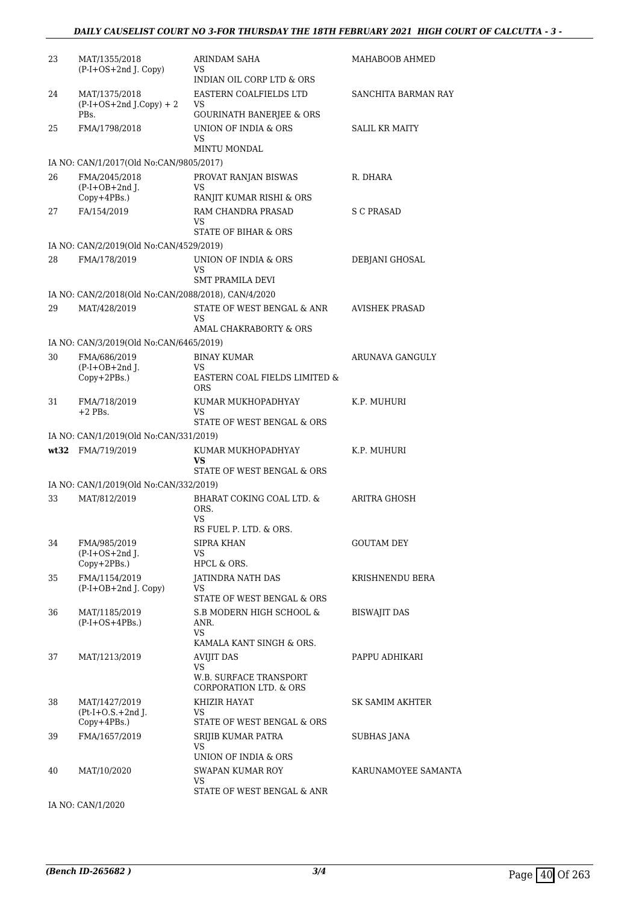| 23 | MAT/1355/2018<br>(P-I+OS+2nd J. Copy)               | ARINDAM SAHA<br>VS.<br>INDIAN OIL CORP LTD & ORS                             | MAHABOOB AHMED        |
|----|-----------------------------------------------------|------------------------------------------------------------------------------|-----------------------|
| 24 | MAT/1375/2018<br>$(P-I+OS+2nd J.Copy) + 2$<br>PBs.  | EASTERN COALFIELDS LTD<br>VS<br><b>GOURINATH BANERJEE &amp; ORS</b>          | SANCHITA BARMAN RAY   |
| 25 | FMA/1798/2018                                       | UNION OF INDIA & ORS<br>VS<br>MINTU MONDAL                                   | <b>SALIL KR MAITY</b> |
|    | IA NO: CAN/1/2017(Old No:CAN/9805/2017)             |                                                                              |                       |
| 26 | FMA/2045/2018<br>$(P-I+OB+2nd$ J.                   | PROVAT RANJAN BISWAS<br>VS                                                   | R. DHARA              |
|    | $Copy+4PBs.$ )                                      | RANJIT KUMAR RISHI & ORS                                                     |                       |
| 27 | FA/154/2019                                         | RAM CHANDRA PRASAD<br>VS<br>STATE OF BIHAR & ORS                             | S C PRASAD            |
|    | IA NO: CAN/2/2019(Old No:CAN/4529/2019)             |                                                                              |                       |
| 28 | FMA/178/2019                                        | UNION OF INDIA & ORS<br>VS                                                   | DEBJANI GHOSAL        |
|    |                                                     | <b>SMT PRAMILA DEVI</b>                                                      |                       |
|    | IA NO: CAN/2/2018(Old No:CAN/2088/2018), CAN/4/2020 |                                                                              |                       |
| 29 | MAT/428/2019                                        | STATE OF WEST BENGAL & ANR<br>VS<br>AMAL CHAKRABORTY & ORS                   | <b>AVISHEK PRASAD</b> |
|    | IA NO: CAN/3/2019(Old No:CAN/6465/2019)             |                                                                              |                       |
| 30 | FMA/686/2019                                        | <b>BINAY KUMAR</b>                                                           | ARUNAVA GANGULY       |
|    | $(P-I+OB+2nd J.$<br>Copy+2PBs.)                     | VS.<br>EASTERN COAL FIELDS LIMITED &<br><b>ORS</b>                           |                       |
| 31 | FMA/718/2019<br>$+2$ PBs.                           | KUMAR MUKHOPADHYAY<br><b>VS</b>                                              | K.P. MUHURI           |
|    |                                                     | STATE OF WEST BENGAL & ORS                                                   |                       |
|    | IA NO: CAN/1/2019(Old No:CAN/331/2019)              |                                                                              |                       |
|    | wt32 FMA/719/2019                                   | KUMAR MUKHOPADHYAY<br>VS<br>STATE OF WEST BENGAL & ORS                       | K.P. MUHURI           |
|    | IA NO: CAN/1/2019(Old No:CAN/332/2019)              |                                                                              |                       |
| 33 | MAT/812/2019                                        | BHARAT COKING COAL LTD. &<br>ORS.<br>VS                                      | ARITRA GHOSH          |
|    |                                                     | RS FUEL P. LTD. & ORS.                                                       |                       |
| 34 | FMA/985/2019<br>$(P-I+OS+2nd)$ .<br>Copy+2PBs.)     | SIPRA KHAN<br>VS<br>HPCL & ORS.                                              | <b>GOUTAM DEY</b>     |
| 35 | FMA/1154/2019<br>(P-I+OB+2nd J. Copy)               | JATINDRA NATH DAS<br>VS                                                      | KRISHNENDU BERA       |
|    |                                                     | STATE OF WEST BENGAL & ORS                                                   |                       |
| 36 | MAT/1185/2019<br>$(P-I+OS+4PBs.)$                   | S.B MODERN HIGH SCHOOL &<br>ANR.<br>VS<br>KAMALA KANT SINGH & ORS.           | <b>BISWAJIT DAS</b>   |
| 37 | MAT/1213/2019                                       | <b>AVIJIT DAS</b><br>VS.<br>W.B. SURFACE TRANSPORT<br>CORPORATION LTD. & ORS | PAPPU ADHIKARI        |
| 38 | MAT/1427/2019<br>$Pt-I+O.S.+2nd$ J.<br>Copy+4PBs.)  | KHIZIR HAYAT<br>VS<br>STATE OF WEST BENGAL & ORS                             | SK SAMIM AKHTER       |
| 39 | FMA/1657/2019                                       | SRIJIB KUMAR PATRA<br><b>VS</b>                                              | SUBHAS JANA           |
| 40 | MAT/10/2020                                         | UNION OF INDIA & ORS<br>SWAPAN KUMAR ROY<br>VS<br>STATE OF WEST BENGAL & ANR | KARUNAMOYEE SAMANTA   |

IA NO: CAN/1/2020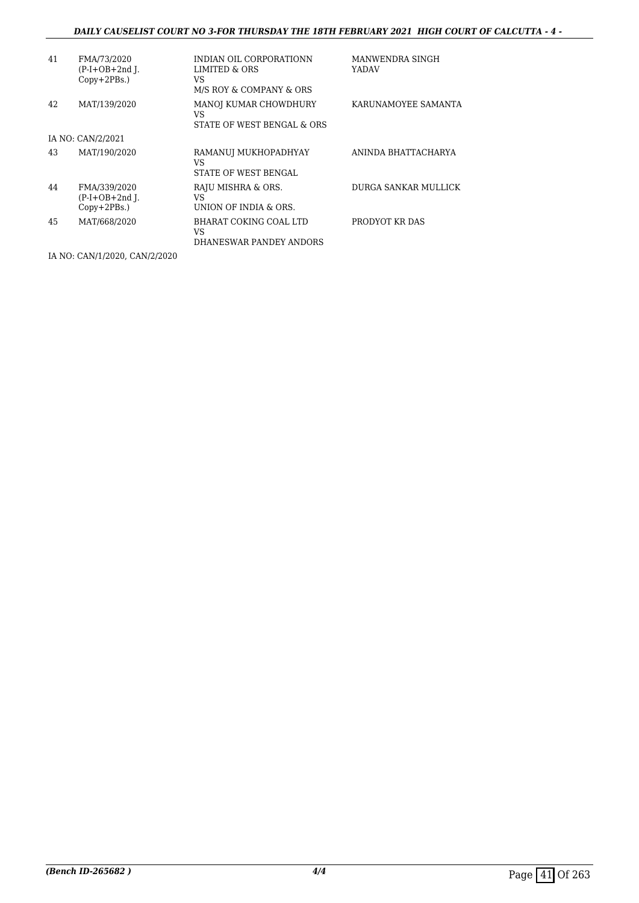#### *DAILY CAUSELIST COURT NO 3-FOR THURSDAY THE 18TH FEBRUARY 2021 HIGH COURT OF CALCUTTA - 4 -*

| 41 | FMA/73/2020<br>$(P-I+OB+2nd I.$<br>$Copy+2PBs.$ )  | INDIAN OIL CORPORATIONN<br>LIMITED & ORS<br>VS<br>M/S ROY & COMPANY & ORS | MANWENDRA SINGH<br>YADAV |
|----|----------------------------------------------------|---------------------------------------------------------------------------|--------------------------|
| 42 | MAT/139/2020                                       | MANOJ KUMAR CHOWDHURY<br>VS<br>STATE OF WEST BENGAL & ORS                 | KARUNAMOYEE SAMANTA      |
|    | IA NO: CAN/2/2021                                  |                                                                           |                          |
| 43 | MAT/190/2020                                       | RAMANUI MUKHOPADHYAY<br>VS<br>STATE OF WEST BENGAL                        | ANINDA BHATTACHARYA      |
| 44 | FMA/339/2020<br>$(P-I+OB+2nd I.$<br>$Copy+2PBs.$ ) | RAJU MISHRA & ORS.<br>VS<br>UNION OF INDIA & ORS.                         | DURGA SANKAR MULLICK     |
| 45 | MAT/668/2020                                       | BHARAT COKING COAL LTD<br>VS<br>DHANESWAR PANDEY ANDORS                   | PRODYOT KR DAS           |

IA NO: CAN/1/2020, CAN/2/2020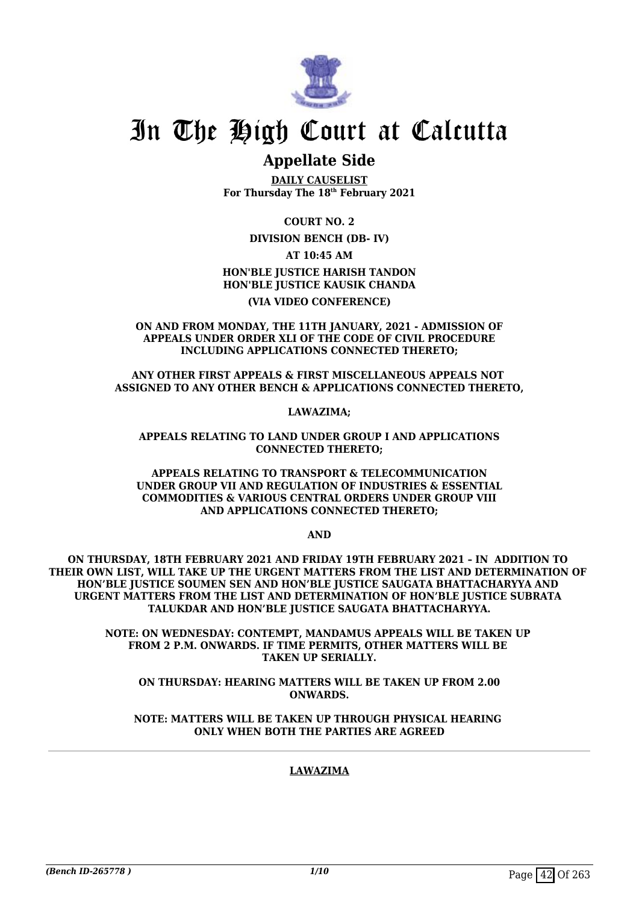

### **Appellate Side**

**DAILY CAUSELIST For Thursday The 18th February 2021**

**COURT NO. 2**

**DIVISION BENCH (DB- IV)**

**AT 10:45 AM**

**HON'BLE JUSTICE HARISH TANDON HON'BLE JUSTICE KAUSIK CHANDA**

**(VIA VIDEO CONFERENCE)**

**ON AND FROM MONDAY, THE 11TH JANUARY, 2021 - ADMISSION OF APPEALS UNDER ORDER XLI OF THE CODE OF CIVIL PROCEDURE INCLUDING APPLICATIONS CONNECTED THERETO;**

**ANY OTHER FIRST APPEALS & FIRST MISCELLANEOUS APPEALS NOT ASSIGNED TO ANY OTHER BENCH & APPLICATIONS CONNECTED THERETO,**

**LAWAZIMA;**

**APPEALS RELATING TO LAND UNDER GROUP I AND APPLICATIONS CONNECTED THERETO;**

**APPEALS RELATING TO TRANSPORT & TELECOMMUNICATION UNDER GROUP VII AND REGULATION OF INDUSTRIES & ESSENTIAL COMMODITIES & VARIOUS CENTRAL ORDERS UNDER GROUP VIII AND APPLICATIONS CONNECTED THERETO;**

**AND**

**ON THURSDAY, 18TH FEBRUARY 2021 AND FRIDAY 19TH FEBRUARY 2021 – IN ADDITION TO THEIR OWN LIST, WILL TAKE UP THE URGENT MATTERS FROM THE LIST AND DETERMINATION OF HON'BLE JUSTICE SOUMEN SEN AND HON'BLE JUSTICE SAUGATA BHATTACHARYYA AND URGENT MATTERS FROM THE LIST AND DETERMINATION OF HON'BLE JUSTICE SUBRATA TALUKDAR AND HON'BLE JUSTICE SAUGATA BHATTACHARYYA.**

> **NOTE: ON WEDNESDAY: CONTEMPT, MANDAMUS APPEALS WILL BE TAKEN UP FROM 2 P.M. ONWARDS. IF TIME PERMITS, OTHER MATTERS WILL BE TAKEN UP SERIALLY.**

**ON THURSDAY: HEARING MATTERS WILL BE TAKEN UP FROM 2.00 ONWARDS.**

**NOTE: MATTERS WILL BE TAKEN UP THROUGH PHYSICAL HEARING ONLY WHEN BOTH THE PARTIES ARE AGREED**

#### **LAWAZIMA**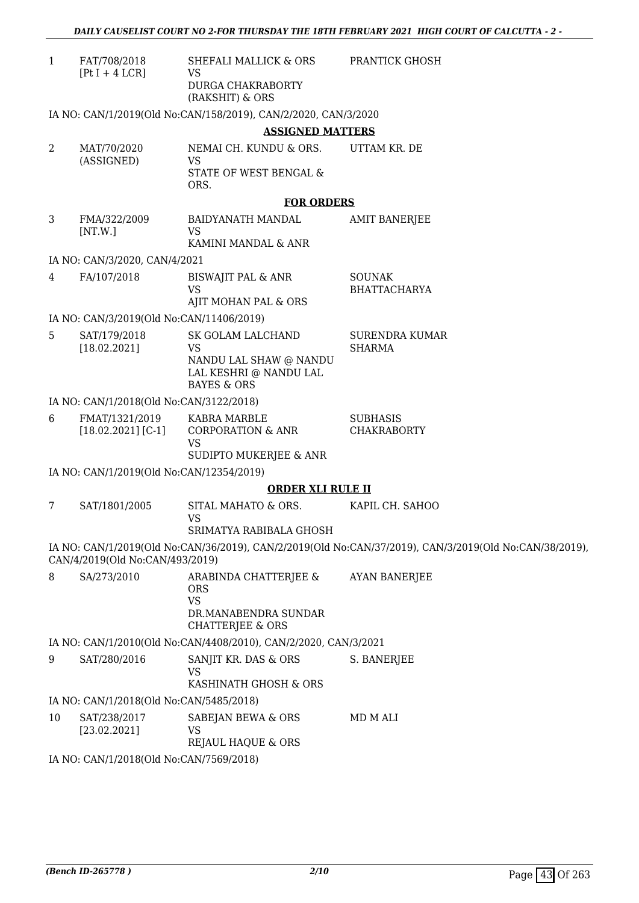| FAT/708/2018    | SHEFALI MALLICK & ORS | <b>PRANTICK GHOSH</b> |
|-----------------|-----------------------|-----------------------|
| $[PtI + 4 LCR]$ | VS.                   |                       |
|                 | DURGA CHAKRABORTY     |                       |
|                 | (RAKSHIT) & ORS       |                       |

IA NO: CAN/1/2019(Old No:CAN/158/2019), CAN/2/2020, CAN/3/2020

#### **ASSIGNED MATTERS**

| MAT/70/2020 | NEMAI CH. KUNDU & ORS. | UTTAM KR. DE |
|-------------|------------------------|--------------|
| (ASSIGNED)  | VS.                    |              |
|             | STATE OF WEST BENGAL & |              |
|             | ORS.                   |              |

#### **FOR ORDERS**

3 FMA/322/2009 [NT.W.] BAIDYANATH MANDAL VS KAMINI MANDAL & ANR AMIT BANERJEE

#### IA NO: CAN/3/2020, CAN/4/2021

| 4 | FA/107/2018 | BISWAJIT PAL & ANR<br>VS<br>AJIT MOHAN PAL & ORS | SOUNAK<br>BHATTACHARYA |
|---|-------------|--------------------------------------------------|------------------------|
|   |             |                                                  |                        |

#### IA NO: CAN/3/2019(Old No:CAN/11406/2019)

| SAT/179/2018 | SK GOLAM LALCHAND      | SURENDRA KUMAR |
|--------------|------------------------|----------------|
| [18.02.2021] | VS                     | SHARMA         |
|              | NANDU LAL SHAW @ NANDU |                |
|              | LAL KESHRI @ NANDU LAL |                |
|              | BAYES & ORS            |                |
|              |                        |                |

#### IA NO: CAN/1/2018(Old No:CAN/3122/2018)

| 6 | FMAT/1321/2019       | KABRA MARBLE           | SUBHASIS    |
|---|----------------------|------------------------|-------------|
|   | $[18.02.2021]$ [C-1] | CORPORATION & ANR      | CHAKRABORTY |
|   |                      | VS                     |             |
|   |                      | SUDIPTO MUKERJEE & ANR |             |

IA NO: CAN/1/2019(Old No:CAN/12354/2019)

#### **ORDER XLI RULE II**

7 SAT/1801/2005 SITAL MAHATO & ORS. VS KAPIL CH. SAHOO

#### SRIMATYA RABIBALA GHOSH

IA NO: CAN/1/2019(Old No:CAN/36/2019), CAN/2/2019(Old No:CAN/37/2019), CAN/3/2019(Old No:CAN/38/2019), CAN/4/2019(Old No:CAN/493/2019)

| 8 | SA/273/2010 | ARABINDA CHATTERJEE &<br>ORS<br>VS<br>DR.MANABENDRA SUNDAR<br>CHATTERIEE & ORS | AYAN BANERJEE |
|---|-------------|--------------------------------------------------------------------------------|---------------|
|   |             |                                                                                |               |

### IA NO: CAN/1/2010(Old No:CAN/4408/2010), CAN/2/2020, CAN/3/2021

9 SAT/280/2016 SANJIT KR. DAS & ORS VS KASHINATH GHOSH & ORS S. BANERJEE

#### IA NO: CAN/1/2018(Old No:CAN/5485/2018)

10 SAT/238/2017 [23.02.2021] SABEJAN BEWA & ORS VS REJAUL HAQUE & ORS MD M ALI

IA NO: CAN/1/2018(Old No:CAN/7569/2018)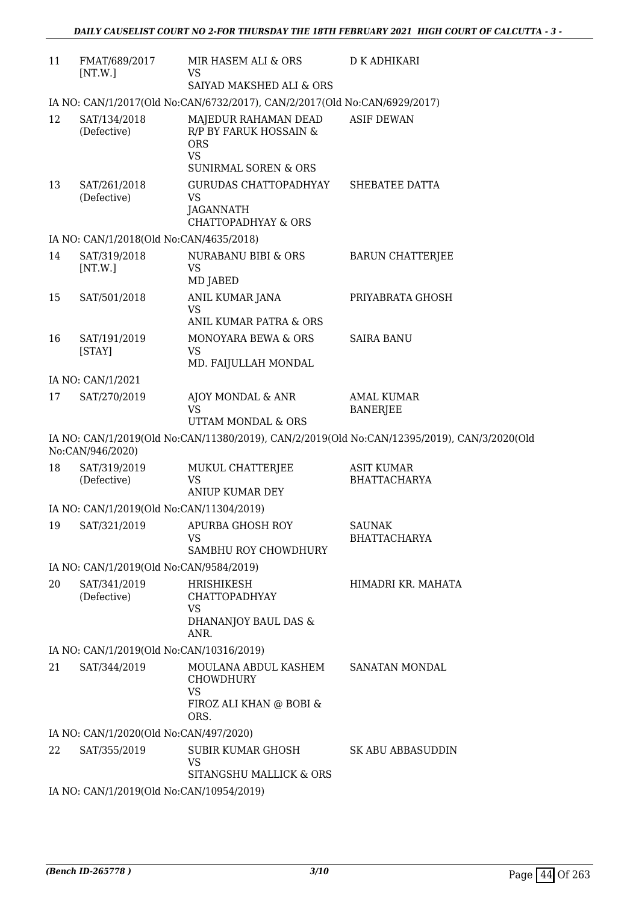| 11 | FMAT/689/2017<br>[NT.W.]                 | MIR HASEM ALI & ORS<br>VS<br>SAIYAD MAKSHED ALI & ORS                                                                       | D K ADHIKARI                                                                                |
|----|------------------------------------------|-----------------------------------------------------------------------------------------------------------------------------|---------------------------------------------------------------------------------------------|
|    |                                          | IA NO: CAN/1/2017(Old No:CAN/6732/2017), CAN/2/2017(Old No:CAN/6929/2017)                                                   |                                                                                             |
| 12 | SAT/134/2018<br>(Defective)              | MAJEDUR RAHAMAN DEAD<br>R/P BY FARUK HOSSAIN &<br><b>ORS</b><br><b>VS</b>                                                   | <b>ASIF DEWAN</b>                                                                           |
| 13 | SAT/261/2018<br>(Defective)              | <b>SUNIRMAL SOREN &amp; ORS</b><br><b>GURUDAS CHATTOPADHYAY</b><br>VS<br><b>JAGANNATH</b><br><b>CHATTOPADHYAY &amp; ORS</b> | SHEBATEE DATTA                                                                              |
|    | IA NO: CAN/1/2018(Old No:CAN/4635/2018)  |                                                                                                                             |                                                                                             |
| 14 | SAT/319/2018<br>[NT.W.]                  | NURABANU BIBI & ORS<br><b>VS</b>                                                                                            | <b>BARUN CHATTERJEE</b>                                                                     |
| 15 | SAT/501/2018                             | MD JABED<br>ANIL KUMAR JANA<br><b>VS</b>                                                                                    | PRIYABRATA GHOSH                                                                            |
|    |                                          | ANIL KUMAR PATRA & ORS                                                                                                      |                                                                                             |
| 16 | SAT/191/2019<br>[STAY]                   | MONOYARA BEWA & ORS<br><b>VS</b><br>MD. FAIJULLAH MONDAL                                                                    | <b>SAIRA BANU</b>                                                                           |
|    | IA NO: CAN/1/2021                        |                                                                                                                             |                                                                                             |
| 17 | SAT/270/2019                             | AJOY MONDAL & ANR<br><b>VS</b>                                                                                              | <b>AMAL KUMAR</b><br><b>BANERJEE</b>                                                        |
|    |                                          | UTTAM MONDAL & ORS                                                                                                          |                                                                                             |
|    | No:CAN/946/2020)                         |                                                                                                                             | IA NO: CAN/1/2019(Old No:CAN/11380/2019), CAN/2/2019(Old No:CAN/12395/2019), CAN/3/2020(Old |
| 18 | SAT/319/2019<br>(Defective)              | MUKUL CHATTERJEE<br><b>VS</b><br><b>ANIUP KUMAR DEY</b>                                                                     | <b>ASIT KUMAR</b><br><b>BHATTACHARYA</b>                                                    |
|    | IA NO: CAN/1/2019(Old No:CAN/11304/2019) |                                                                                                                             |                                                                                             |
| 19 | SAT/321/2019                             | APURBA GHOSH ROY<br><b>VS</b><br>SAMBHU ROY CHOWDHURY                                                                       | <b>SAUNAK</b><br><b>BHATTACHARYA</b>                                                        |
|    | IA NO: CAN/1/2019(Old No:CAN/9584/2019)  |                                                                                                                             |                                                                                             |
| 20 | SAT/341/2019<br>(Defective)              | HRISHIKESH<br><b>CHATTOPADHYAY</b><br><b>VS</b>                                                                             | HIMADRI KR. MAHATA                                                                          |
|    |                                          | DHANANJOY BAUL DAS &<br>ANR.                                                                                                |                                                                                             |
|    | IA NO: CAN/1/2019(Old No:CAN/10316/2019) |                                                                                                                             |                                                                                             |
| 21 | SAT/344/2019                             | MOULANA ABDUL KASHEM<br><b>CHOWDHURY</b><br><b>VS</b><br>FIROZ ALI KHAN @ BOBI &<br>ORS.                                    | SANATAN MONDAL                                                                              |
|    | IA NO: CAN/1/2020(Old No:CAN/497/2020)   |                                                                                                                             |                                                                                             |
| 22 | SAT/355/2019                             | <b>SUBIR KUMAR GHOSH</b><br>VS<br>SITANGSHU MALLICK & ORS                                                                   | <b>SK ABU ABBASUDDIN</b>                                                                    |
|    | IA NO: CAN/1/2019(Old No:CAN/10954/2019) |                                                                                                                             |                                                                                             |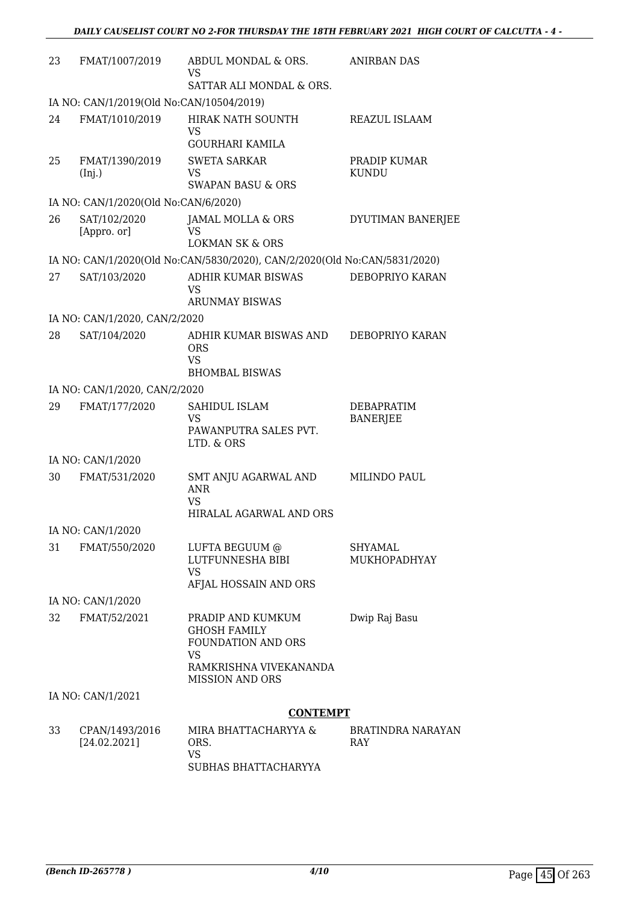| 23 | FMAT/1007/2019                           | ABDUL MONDAL & ORS.<br><b>VS</b><br>SATTAR ALI MONDAL & ORS.                                                                    | <b>ANIRBAN DAS</b>                   |
|----|------------------------------------------|---------------------------------------------------------------------------------------------------------------------------------|--------------------------------------|
|    | IA NO: CAN/1/2019(Old No:CAN/10504/2019) |                                                                                                                                 |                                      |
| 24 | FMAT/1010/2019                           | HIRAK NATH SOUNTH<br><b>VS</b><br><b>GOURHARI KAMILA</b>                                                                        | REAZUL ISLAAM                        |
| 25 | FMAT/1390/2019<br>(Inj.)                 | <b>SWETA SARKAR</b><br>VS.<br><b>SWAPAN BASU &amp; ORS</b>                                                                      | PRADIP KUMAR<br><b>KUNDU</b>         |
|    | IA NO: CAN/1/2020(Old No:CAN/6/2020)     |                                                                                                                                 |                                      |
| 26 | SAT/102/2020<br>[Appro. or]              | JAMAL MOLLA & ORS<br>VS<br><b>LOKMAN SK &amp; ORS</b>                                                                           | DYUTIMAN BANERJEE                    |
|    |                                          | IA NO: CAN/1/2020(Old No:CAN/5830/2020), CAN/2/2020(Old No:CAN/5831/2020)                                                       |                                      |
| 27 | SAT/103/2020                             | ADHIR KUMAR BISWAS<br>VS<br><b>ARUNMAY BISWAS</b>                                                                               | DEBOPRIYO KARAN                      |
|    | IA NO: CAN/1/2020, CAN/2/2020            |                                                                                                                                 |                                      |
| 28 | SAT/104/2020                             | ADHIR KUMAR BISWAS AND<br><b>ORS</b><br><b>VS</b><br><b>BHOMBAL BISWAS</b>                                                      | DEBOPRIYO KARAN                      |
|    | IA NO: CAN/1/2020, CAN/2/2020            |                                                                                                                                 |                                      |
| 29 | FMAT/177/2020                            | SAHIDUL ISLAM<br><b>VS</b><br>PAWANPUTRA SALES PVT.<br>LTD. & ORS                                                               | <b>DEBAPRATIM</b><br><b>BANERJEE</b> |
|    | IA NO: CAN/1/2020                        |                                                                                                                                 |                                      |
| 30 | FMAT/531/2020                            | SMT ANJU AGARWAL AND<br><b>ANR</b><br>VS.<br>HIRALAL AGARWAL AND ORS                                                            | <b>MILINDO PAUL</b>                  |
|    | IA NO: CAN/1/2020                        |                                                                                                                                 |                                      |
| 31 | FMAT/550/2020                            | LUFTA BEGUUM @<br>LUTFUNNESHA BIBI<br><b>VS</b><br>AFJAL HOSSAIN AND ORS                                                        | <b>SHYAMAL</b><br>MUKHOPADHYAY       |
|    | IA NO: CAN/1/2020                        |                                                                                                                                 |                                      |
| 32 | FMAT/52/2021                             | PRADIP AND KUMKUM<br><b>GHOSH FAMILY</b><br>FOUNDATION AND ORS<br><b>VS</b><br>RAMKRISHNA VIVEKANANDA<br><b>MISSION AND ORS</b> | Dwip Raj Basu                        |
|    | IA NO: CAN/1/2021                        |                                                                                                                                 |                                      |
|    |                                          | <b>CONTEMPT</b>                                                                                                                 |                                      |
| 33 | CPAN/1493/2016<br>[24.02.2021]           | MIRA BHATTACHARYYA &<br>ORS.<br><b>VS</b><br>SUBHAS BHATTACHARYYA                                                               | <b>BRATINDRA NARAYAN</b><br>RAY      |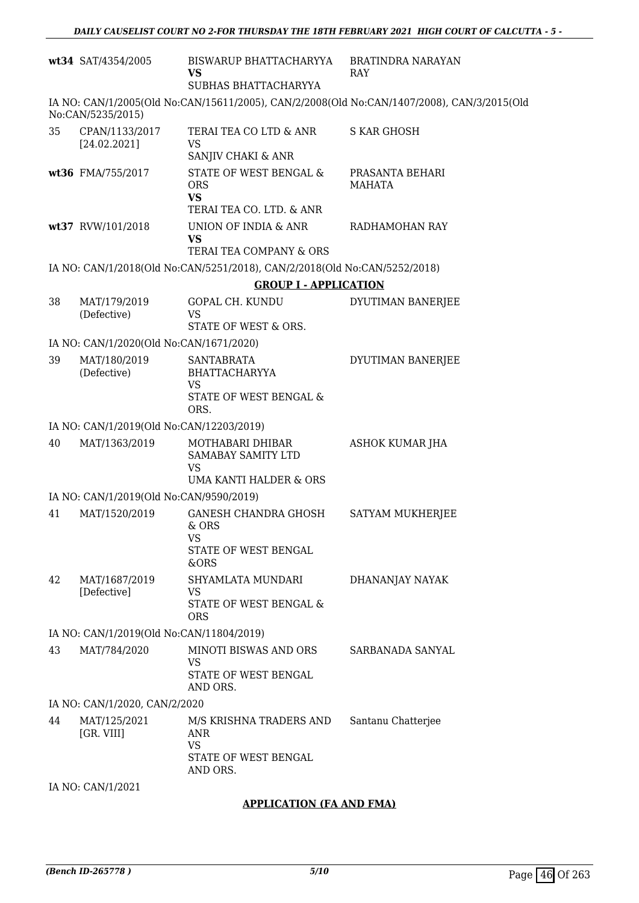| wt34 SAT/4354/2005                       | BISWARUP BHATTACHARYYA<br>VS<br>SUBHAS BHATTACHARYYA                                                | BRATINDRA NARAYAN<br>RAY                                                                   |  |  |
|------------------------------------------|-----------------------------------------------------------------------------------------------------|--------------------------------------------------------------------------------------------|--|--|
| No:CAN/5235/2015)                        |                                                                                                     | IA NO: CAN/1/2005(Old No:CAN/15611/2005), CAN/2/2008(Old No:CAN/1407/2008), CAN/3/2015(Old |  |  |
| 35<br>CPAN/1133/2017<br>[24.02.2021]     | TERAI TEA CO LTD & ANR<br><b>VS</b>                                                                 | <b>S KAR GHOSH</b>                                                                         |  |  |
| wt36 FMA/755/2017                        | SANJIV CHAKI & ANR<br>STATE OF WEST BENGAL &<br><b>ORS</b><br><b>VS</b><br>TERAI TEA CO. LTD. & ANR | PRASANTA BEHARI<br><b>MAHATA</b>                                                           |  |  |
| wt37 RVW/101/2018                        | UNION OF INDIA & ANR<br><b>VS</b><br>TERAI TEA COMPANY & ORS                                        | RADHAMOHAN RAY                                                                             |  |  |
|                                          | IA NO: CAN/1/2018(Old No:CAN/5251/2018), CAN/2/2018(Old No:CAN/5252/2018)                           |                                                                                            |  |  |
|                                          | <b>GROUP I - APPLICATION</b>                                                                        |                                                                                            |  |  |
| 38<br>MAT/179/2019                       | <b>GOPAL CH. KUNDU</b>                                                                              | DYUTIMAN BANERJEE                                                                          |  |  |
| (Defective)                              | <b>VS</b><br>STATE OF WEST & ORS.                                                                   |                                                                                            |  |  |
| IA NO: CAN/1/2020(Old No:CAN/1671/2020)  |                                                                                                     |                                                                                            |  |  |
| MAT/180/2019<br>39<br>(Defective)        | <b>SANTABRATA</b><br><b>BHATTACHARYYA</b><br>VS<br>STATE OF WEST BENGAL &<br>ORS.                   | DYUTIMAN BANERJEE                                                                          |  |  |
| IA NO: CAN/1/2019(Old No:CAN/12203/2019) |                                                                                                     |                                                                                            |  |  |
| MAT/1363/2019<br>40                      | MOTHABARI DHIBAR<br>SAMABAY SAMITY LTD<br><b>VS</b>                                                 | <b>ASHOK KUMAR JHA</b>                                                                     |  |  |
|                                          | <b>UMA KANTI HALDER &amp; ORS</b>                                                                   |                                                                                            |  |  |
| IA NO: CAN/1/2019(Old No:CAN/9590/2019)  |                                                                                                     |                                                                                            |  |  |
| 41<br>MAT/1520/2019                      | GANESH CHANDRA GHOSH<br>$&$ ORS<br>VS<br>STATE OF WEST BENGAL<br>&ORS                               | SATYAM MUKHERJEE                                                                           |  |  |
| 42<br>MAT/1687/2019<br>[Defective]       | SHYAMLATA MUNDARI<br>VS<br>STATE OF WEST BENGAL &<br><b>ORS</b>                                     | DHANANJAY NAYAK                                                                            |  |  |
| IA NO: CAN/1/2019(Old No:CAN/11804/2019) |                                                                                                     |                                                                                            |  |  |
| 43<br>MAT/784/2020                       | MINOTI BISWAS AND ORS<br>VS                                                                         | SARBANADA SANYAL                                                                           |  |  |
|                                          | STATE OF WEST BENGAL<br>AND ORS.                                                                    |                                                                                            |  |  |
| IA NO: CAN/1/2020, CAN/2/2020            |                                                                                                     |                                                                                            |  |  |
| 44<br>MAT/125/2021<br>[GR. VIII]         | M/S KRISHNA TRADERS AND<br>ANR<br><b>VS</b><br>STATE OF WEST BENGAL<br>AND ORS.                     | Santanu Chatterjee                                                                         |  |  |
| IA NO: CAN/1/2021                        |                                                                                                     |                                                                                            |  |  |

#### **APPLICATION (FA AND FMA)**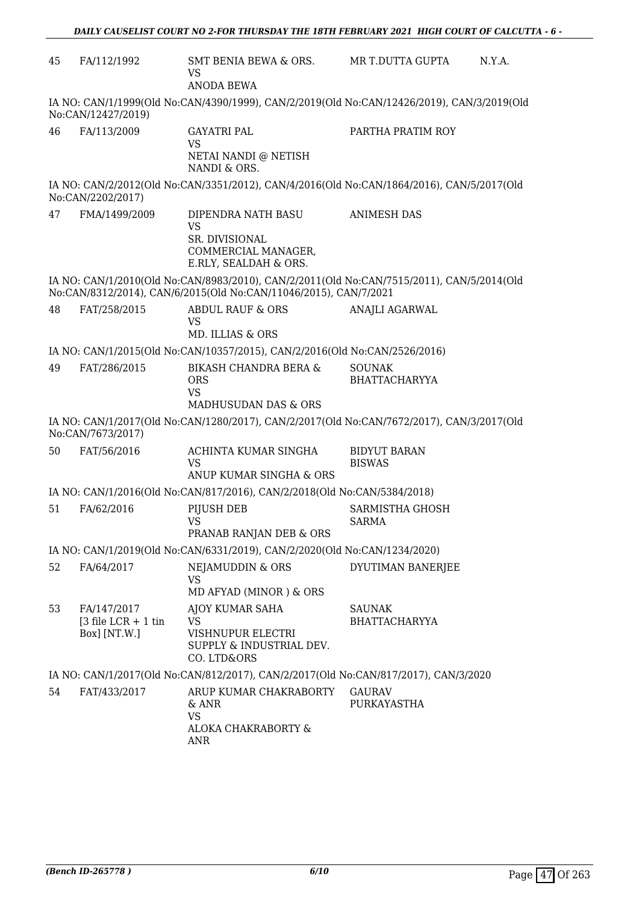| 45                                                                                                             | FA/112/1992                                         | SMT BENIA BEWA & ORS.<br><b>VS</b><br><b>ANODA BEWA</b>                                           | MR T.DUTTA GUPTA<br>N.Y.A.                                                                 |  |
|----------------------------------------------------------------------------------------------------------------|-----------------------------------------------------|---------------------------------------------------------------------------------------------------|--------------------------------------------------------------------------------------------|--|
|                                                                                                                | No:CAN/12427/2019)                                  |                                                                                                   | IA NO: CAN/1/1999(Old No:CAN/4390/1999), CAN/2/2019(Old No:CAN/12426/2019), CAN/3/2019(Old |  |
| 46                                                                                                             | FA/113/2009                                         | <b>GAYATRI PAL</b><br><b>VS</b><br>NETAI NANDI @ NETISH<br>NANDI & ORS.                           | PARTHA PRATIM ROY                                                                          |  |
|                                                                                                                | No:CAN/2202/2017)                                   |                                                                                                   | IA NO: CAN/2/2012(Old No:CAN/3351/2012), CAN/4/2016(Old No:CAN/1864/2016), CAN/5/2017(Old  |  |
| 47                                                                                                             | FMA/1499/2009                                       | DIPENDRA NATH BASU<br><b>VS</b><br>SR. DIVISIONAL<br>COMMERCIAL MANAGER,<br>E.RLY, SEALDAH & ORS. | <b>ANIMESH DAS</b>                                                                         |  |
|                                                                                                                |                                                     | No:CAN/8312/2014), CAN/6/2015(Old No:CAN/11046/2015), CAN/7/2021                                  | IA NO: CAN/1/2010(Old No:CAN/8983/2010), CAN/2/2011(Old No:CAN/7515/2011), CAN/5/2014(Old  |  |
| 48                                                                                                             | FAT/258/2015                                        | <b>ABDUL RAUF &amp; ORS</b><br>VS<br>MD. ILLIAS & ORS                                             | <b>ANAJLI AGARWAL</b>                                                                      |  |
|                                                                                                                |                                                     | IA NO: CAN/1/2015(Old No:CAN/10357/2015), CAN/2/2016(Old No:CAN/2526/2016)                        |                                                                                            |  |
| 49                                                                                                             | FAT/286/2015                                        | <b>BIKASH CHANDRA BERA &amp;</b><br><b>ORS</b><br><b>VS</b><br>MADHUSUDAN DAS & ORS               | <b>SOUNAK</b><br><b>BHATTACHARYYA</b>                                                      |  |
| IA NO: CAN/1/2017(Old No:CAN/1280/2017), CAN/2/2017(Old No:CAN/7672/2017), CAN/3/2017(Old<br>No:CAN/7673/2017) |                                                     |                                                                                                   |                                                                                            |  |
| 50                                                                                                             | FAT/56/2016                                         | ACHINTA KUMAR SINGHA<br><b>VS</b><br>ANUP KUMAR SINGHA & ORS                                      | <b>BIDYUT BARAN</b><br><b>BISWAS</b>                                                       |  |
|                                                                                                                |                                                     | IA NO: CAN/1/2016(Old No:CAN/817/2016), CAN/2/2018(Old No:CAN/5384/2018)                          |                                                                                            |  |
| 51                                                                                                             | FA/62/2016                                          | PIJUSH DEB<br><b>VS</b><br>PRANAB RANJAN DEB & ORS                                                | SARMISTHA GHOSH<br><b>SARMA</b>                                                            |  |
|                                                                                                                |                                                     | IA NO: CAN/1/2019(Old No:CAN/6331/2019), CAN/2/2020(Old No:CAN/1234/2020)                         |                                                                                            |  |
| 52                                                                                                             | FA/64/2017                                          | NEJAMUDDIN & ORS<br><b>VS</b><br>MD AFYAD (MINOR) & ORS                                           | DYUTIMAN BANERJEE                                                                          |  |
| 53                                                                                                             | FA/147/2017<br>$3$ file LCR + 1 tin<br>Box] [NT.W.] | AJOY KUMAR SAHA<br><b>VS</b><br>VISHNUPUR ELECTRI<br>SUPPLY & INDUSTRIAL DEV.<br>CO. LTD&ORS      | <b>SAUNAK</b><br><b>BHATTACHARYYA</b>                                                      |  |
|                                                                                                                |                                                     | IA NO: CAN/1/2017(Old No:CAN/812/2017), CAN/2/2017(Old No:CAN/817/2017), CAN/3/2020               |                                                                                            |  |
| 54                                                                                                             | FAT/433/2017                                        | ARUP KUMAR CHAKRABORTY<br>& ANR<br><b>VS</b><br>ALOKA CHAKRABORTY &<br>ANR                        | <b>GAURAV</b><br>PURKAYASTHA                                                               |  |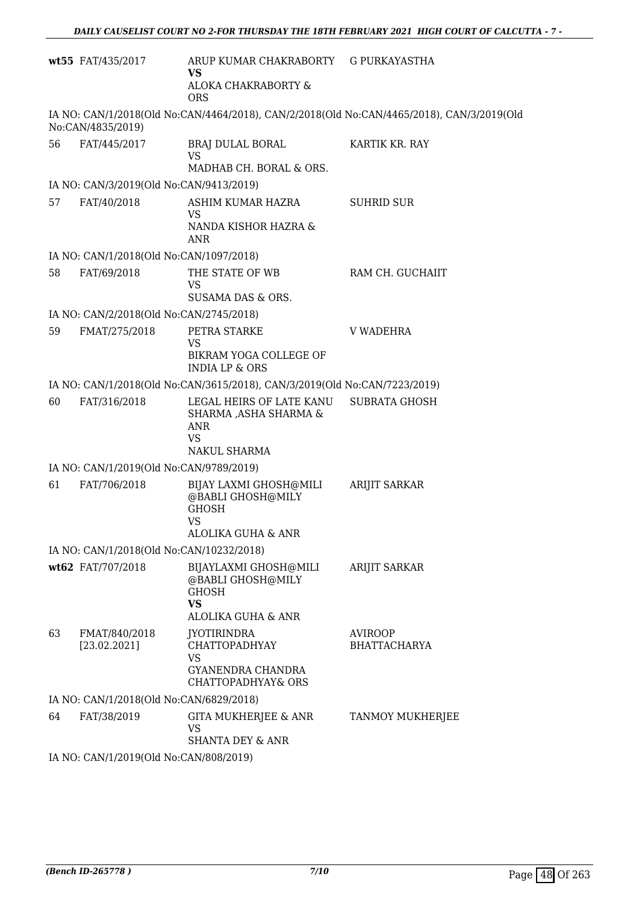|    | wt55 FAT/435/2017                                      | ARUP KUMAR CHAKRABORTY G PURKAYASTHA<br><b>VS</b>                                             |                                                                                           |
|----|--------------------------------------------------------|-----------------------------------------------------------------------------------------------|-------------------------------------------------------------------------------------------|
|    |                                                        | ALOKA CHAKRABORTY &<br><b>ORS</b>                                                             |                                                                                           |
|    | No:CAN/4835/2019)                                      |                                                                                               | IA NO: CAN/1/2018(Old No:CAN/4464/2018), CAN/2/2018(Old No:CAN/4465/2018), CAN/3/2019(Old |
| 56 | FAT/445/2017                                           | BRAJ DULAL BORAL<br><b>VS</b>                                                                 | KARTIK KR. RAY                                                                            |
|    |                                                        | MADHAB CH. BORAL & ORS.                                                                       |                                                                                           |
|    | IA NO: CAN/3/2019(Old No:CAN/9413/2019)                |                                                                                               |                                                                                           |
| 57 | FAT/40/2018                                            | ASHIM KUMAR HAZRA<br><b>VS</b><br>NANDA KISHOR HAZRA &<br><b>ANR</b>                          | <b>SUHRID SUR</b>                                                                         |
|    | IA NO: CAN/1/2018(Old No:CAN/1097/2018)                |                                                                                               |                                                                                           |
| 58 | FAT/69/2018                                            | THE STATE OF WB<br><b>VS</b>                                                                  | RAM CH. GUCHAIIT                                                                          |
|    |                                                        | SUSAMA DAS & ORS.                                                                             |                                                                                           |
|    | IA NO: CAN/2/2018(Old No:CAN/2745/2018)                |                                                                                               |                                                                                           |
| 59 | FMAT/275/2018                                          | PETRA STARKE<br><b>VS</b>                                                                     | <b>V WADEHRA</b>                                                                          |
|    |                                                        | BIKRAM YOGA COLLEGE OF<br><b>INDIA LP &amp; ORS</b>                                           |                                                                                           |
|    |                                                        | IA NO: CAN/1/2018(Old No:CAN/3615/2018), CAN/3/2019(Old No:CAN/7223/2019)                     |                                                                                           |
| 60 | FAT/316/2018                                           | LEGAL HEIRS OF LATE KANU<br>SHARMA , ASHA SHARMA &<br><b>ANR</b><br><b>VS</b><br>NAKUL SHARMA | <b>SUBRATA GHOSH</b>                                                                      |
|    | IA NO: CAN/1/2019(Old No:CAN/9789/2019)                |                                                                                               |                                                                                           |
| 61 | FAT/706/2018                                           | BIJAY LAXMI GHOSH@MILI<br>@BABLI GHOSH@MILY<br><b>GHOSH</b><br><b>VS</b>                      | <b>ARIJIT SARKAR</b>                                                                      |
|    |                                                        | <b>ALOLIKA GUHA &amp; ANR</b>                                                                 |                                                                                           |
|    | IA NO: CAN/1/2018(Old No:CAN/10232/2018)               |                                                                                               |                                                                                           |
|    | wt62 FAT/707/2018                                      | BIJAYLAXMI GHOSH@MILI<br>@BABLI GHOSH@MILY<br><b>GHOSH</b><br><b>VS</b><br>ALOLIKA GUHA & ANR | <b>ARIJIT SARKAR</b>                                                                      |
| 63 | FMAT/840/2018                                          | JYOTIRINDRA                                                                                   | <b>AVIROOP</b>                                                                            |
|    | [23.02.2021]                                           | <b>CHATTOPADHYAY</b><br><b>VS</b><br>GYANENDRA CHANDRA<br><b>CHATTOPADHYAY&amp; ORS</b>       | <b>BHATTACHARYA</b>                                                                       |
|    | IA NO: CAN/1/2018(Old No:CAN/6829/2018)                |                                                                                               |                                                                                           |
| 64 | FAT/38/2019                                            | GITA MUKHERJEE & ANR<br>VS                                                                    | TANMOY MUKHERJEE                                                                          |
|    |                                                        | <b>SHANTA DEY &amp; ANR</b>                                                                   |                                                                                           |
|    | IA NO $\cdot$ CANI1/2019(Old No $\cdot$ CANI/808/2019) |                                                                                               |                                                                                           |

IA NO: CAN/1/2019(Old No:CAN/808/2019)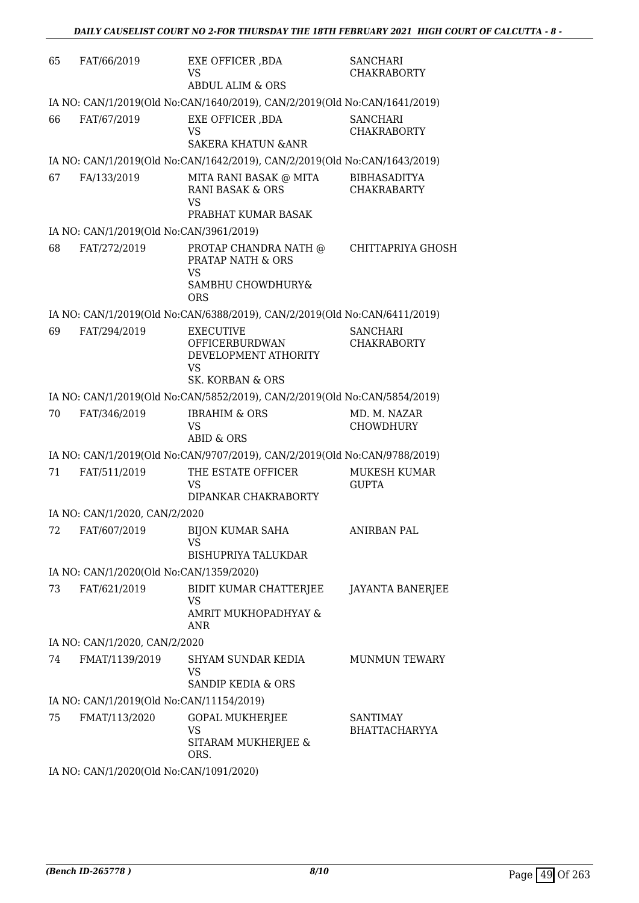| 65 | FAT/66/2019                              | EXE OFFICER , BDA<br><b>VS</b><br><b>ABDUL ALIM &amp; ORS</b>                                         | <b>SANCHARI</b><br><b>CHAKRABORTY</b>     |
|----|------------------------------------------|-------------------------------------------------------------------------------------------------------|-------------------------------------------|
|    |                                          | IA NO: CAN/1/2019(Old No:CAN/1640/2019), CAN/2/2019(Old No:CAN/1641/2019)                             |                                           |
| 66 | FAT/67/2019                              | EXE OFFICER , BDA<br><b>VS</b><br><b>SAKERA KHATUN &amp; ANR</b>                                      | <b>SANCHARI</b><br><b>CHAKRABORTY</b>     |
|    |                                          | IA NO: CAN/1/2019(Old No:CAN/1642/2019), CAN/2/2019(Old No:CAN/1643/2019)                             |                                           |
| 67 | FA/133/2019                              | MITA RANI BASAK @ MITA<br><b>RANI BASAK &amp; ORS</b><br><b>VS</b>                                    | <b>BIBHASADITYA</b><br><b>CHAKRABARTY</b> |
|    | IA NO: CAN/1/2019(Old No:CAN/3961/2019)  | PRABHAT KUMAR BASAK                                                                                   |                                           |
| 68 | FAT/272/2019                             | PROTAP CHANDRA NATH @<br><b>PRATAP NATH &amp; ORS</b><br><b>VS</b><br>SAMBHU CHOWDHURY&<br><b>ORS</b> | <b>CHITTAPRIYA GHOSH</b>                  |
|    |                                          | IA NO: CAN/1/2019(Old No:CAN/6388/2019), CAN/2/2019(Old No:CAN/6411/2019)                             |                                           |
| 69 | FAT/294/2019                             | <b>EXECUTIVE</b><br><b>OFFICERBURDWAN</b><br>DEVELOPMENT ATHORITY<br><b>VS</b><br>SK. KORBAN & ORS    | <b>SANCHARI</b><br><b>CHAKRABORTY</b>     |
|    |                                          | IA NO: CAN/1/2019(Old No:CAN/5852/2019), CAN/2/2019(Old No:CAN/5854/2019)                             |                                           |
| 70 | FAT/346/2019                             | <b>IBRAHIM &amp; ORS</b><br><b>VS</b><br>ABID & ORS                                                   | MD. M. NAZAR<br><b>CHOWDHURY</b>          |
|    |                                          | IA NO: CAN/1/2019(Old No:CAN/9707/2019), CAN/2/2019(Old No:CAN/9788/2019)                             |                                           |
| 71 | FAT/511/2019                             | THE ESTATE OFFICER<br><b>VS</b><br>DIPANKAR CHAKRABORTY                                               | MUKESH KUMAR<br><b>GUPTA</b>              |
|    | IA NO: CAN/1/2020, CAN/2/2020            |                                                                                                       |                                           |
|    |                                          | 72 FAT/607/2019 BIJON KUMAR SAHA<br>VS<br><b>BISHUPRIYA TALUKDAR</b>                                  | <b>ANIRBAN PAL</b>                        |
|    | IA NO: CAN/1/2020(Old No:CAN/1359/2020)  |                                                                                                       |                                           |
| 73 | FAT/621/2019                             | BIDIT KUMAR CHATTERJEE<br><b>VS</b><br>AMRIT MUKHOPADHYAY &<br><b>ANR</b>                             | <b>JAYANTA BANERJEE</b>                   |
|    | IA NO: CAN/1/2020, CAN/2/2020            |                                                                                                       |                                           |
| 74 | FMAT/1139/2019                           | SHYAM SUNDAR KEDIA<br><b>VS</b>                                                                       | <b>MUNMUN TEWARY</b>                      |
|    |                                          | <b>SANDIP KEDIA &amp; ORS</b>                                                                         |                                           |
|    | IA NO: CAN/1/2019(Old No:CAN/11154/2019) |                                                                                                       |                                           |
| 75 | FMAT/113/2020                            | <b>GOPAL MUKHERJEE</b><br>VS<br>SITARAM MUKHERJEE &<br>ORS.                                           | <b>SANTIMAY</b><br><b>BHATTACHARYYA</b>   |
|    | IA NO: CAN/1/2020(Old No:CAN/1091/2020)  |                                                                                                       |                                           |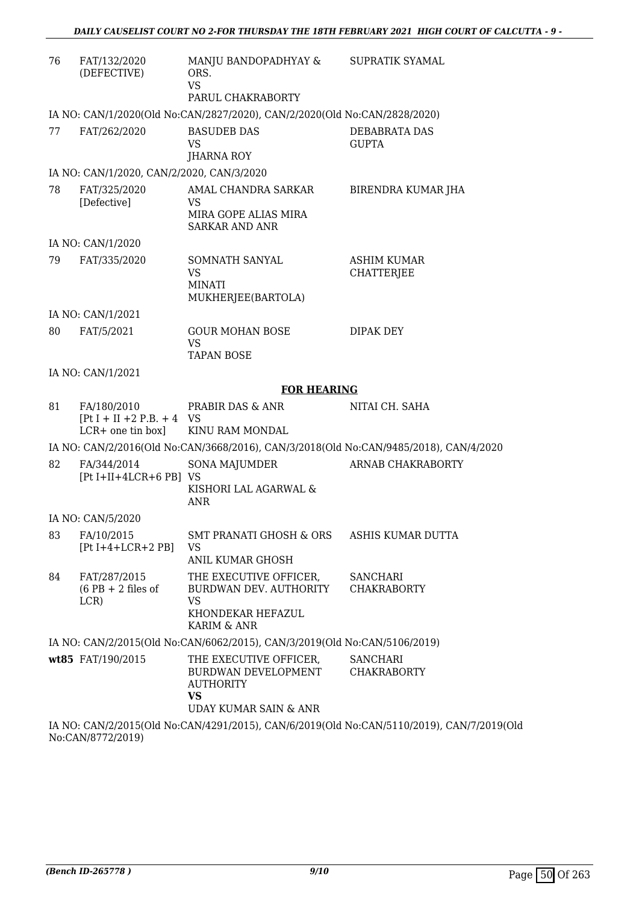| 76 | FAT/132/2020<br>(DEFECTIVE)                                       | MANJU BANDOPADHYAY &<br>ORS.<br><b>VS</b><br>PARUL CHAKRABORTY                                          | SUPRATIK SYAMAL                                                                           |  |
|----|-------------------------------------------------------------------|---------------------------------------------------------------------------------------------------------|-------------------------------------------------------------------------------------------|--|
|    |                                                                   | IA NO: CAN/1/2020(Old No:CAN/2827/2020), CAN/2/2020(Old No:CAN/2828/2020)                               |                                                                                           |  |
| 77 | FAT/262/2020                                                      | <b>BASUDEB DAS</b><br><b>VS</b><br><b>JHARNA ROY</b>                                                    | DEBABRATA DAS<br><b>GUPTA</b>                                                             |  |
|    | IA NO: CAN/1/2020, CAN/2/2020, CAN/3/2020                         |                                                                                                         |                                                                                           |  |
| 78 | FAT/325/2020<br>[Defective]                                       | AMAL CHANDRA SARKAR<br>VS<br>MIRA GOPE ALIAS MIRA<br><b>SARKAR AND ANR</b>                              | BIRENDRA KUMAR JHA                                                                        |  |
|    | IA NO: CAN/1/2020                                                 |                                                                                                         |                                                                                           |  |
| 79 | FAT/335/2020                                                      | SOMNATH SANYAL<br><b>VS</b><br><b>MINATI</b><br>MUKHERJEE(BARTOLA)                                      | <b>ASHIM KUMAR</b><br><b>CHATTERJEE</b>                                                   |  |
|    | IA NO: CAN/1/2021                                                 |                                                                                                         |                                                                                           |  |
| 80 | FAT/5/2021                                                        | <b>GOUR MOHAN BOSE</b><br><b>VS</b><br><b>TAPAN BOSE</b>                                                | <b>DIPAK DEY</b>                                                                          |  |
|    | IA NO: CAN/1/2021                                                 |                                                                                                         |                                                                                           |  |
|    |                                                                   | <b>FOR HEARING</b>                                                                                      |                                                                                           |  |
| 81 | FA/180/2010<br>$[Pt I + II + 2 P.B. + 4 VS]$<br>LCR+ one tin box] | PRABIR DAS & ANR<br>KINU RAM MONDAL                                                                     | NITAI CH. SAHA                                                                            |  |
|    |                                                                   | IA NO: CAN/2/2016(Old No:CAN/3668/2016), CAN/3/2018(Old No:CAN/9485/2018), CAN/4/2020                   |                                                                                           |  |
| 82 | FA/344/2014<br>$[Pt I+II+4LCR+6 PB]$ VS                           | <b>SONA MAJUMDER</b><br>KISHORI LAL AGARWAL &<br><b>ANR</b>                                             | ARNAB CHAKRABORTY                                                                         |  |
|    | IA NO: CAN/5/2020                                                 |                                                                                                         |                                                                                           |  |
|    | 83 FA/10/2015<br>$[Pt I+4+LCR+2 PB]$                              | SMT PRANATI GHOSH & ORS ASHIS KUMAR DUTTA<br>VS.<br><b>ANIL KUMAR GHOSH</b>                             |                                                                                           |  |
| 84 | FAT/287/2015<br>$(6$ PB + 2 files of<br>LCR)                      | THE EXECUTIVE OFFICER,<br>BURDWAN DEV. AUTHORITY<br>VS<br>KHONDEKAR HEFAZUL<br>KARIM & ANR              | SANCHARI<br><b>CHAKRABORTY</b>                                                            |  |
|    |                                                                   | IA NO: CAN/2/2015(Old No:CAN/6062/2015), CAN/3/2019(Old No:CAN/5106/2019)                               |                                                                                           |  |
|    | wt85 FAT/190/2015                                                 | THE EXECUTIVE OFFICER,<br>BURDWAN DEVELOPMENT<br><b>AUTHORITY</b><br><b>VS</b><br>UDAY KUMAR SAIN & ANR | <b>SANCHARI</b><br><b>CHAKRABORTY</b>                                                     |  |
|    |                                                                   |                                                                                                         | IA NO: CAN/2/2015(Old No:CAN/4291/2015), CAN/6/2019(Old No:CAN/5110/2019), CAN/7/2019(Old |  |

No:CAN/8772/2019)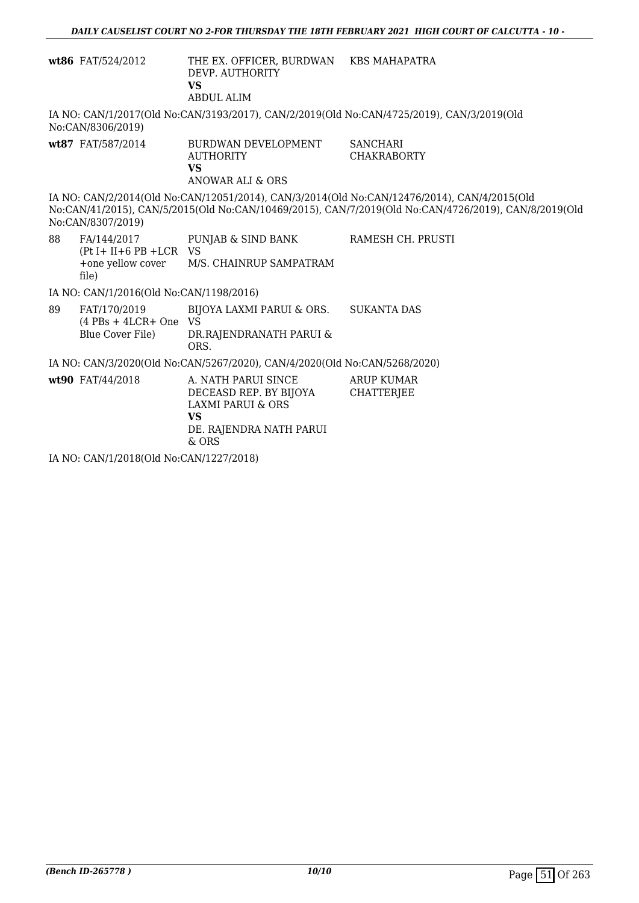|    | wt86 FAT/524/2012                                                  | THE EX. OFFICER, BURDWAN KBS MAHAPATRA<br>DEVP. AUTHORITY<br><b>VS</b><br><b>ABDUL ALIM</b>                                      |                                                                                                                                                                                                     |
|----|--------------------------------------------------------------------|----------------------------------------------------------------------------------------------------------------------------------|-----------------------------------------------------------------------------------------------------------------------------------------------------------------------------------------------------|
|    | No:CAN/8306/2019)                                                  |                                                                                                                                  | IA NO: CAN/1/2017(Old No:CAN/3193/2017), CAN/2/2019(Old No:CAN/4725/2019), CAN/3/2019(Old                                                                                                           |
|    | wt87 FAT/587/2014                                                  | BURDWAN DEVELOPMENT<br><b>AUTHORITY</b><br><b>VS</b><br>ANOWAR ALI & ORS                                                         | <b>SANCHARI</b><br><b>CHAKRABORTY</b>                                                                                                                                                               |
|    | No:CAN/8307/2019)                                                  |                                                                                                                                  | IA NO: CAN/2/2014(Old No:CAN/12051/2014), CAN/3/2014(Old No:CAN/12476/2014), CAN/4/2015(Old<br>No:CAN/41/2015), CAN/5/2015(Old No:CAN/10469/2015), CAN/7/2019(Old No:CAN/4726/2019), CAN/8/2019(Old |
| 88 | $(Pt I + II + 6 PB + LCR$ VS<br>+one yellow cover<br>file)         | FA/144/2017 PUNJAB & SIND BANK<br>M/S. CHAINRUP SAMPATRAM                                                                        | RAMESH CH. PRUSTI                                                                                                                                                                                   |
|    | IA NO: CAN/1/2016(Old No:CAN/1198/2016)                            |                                                                                                                                  |                                                                                                                                                                                                     |
| 89 | FAT/170/2019<br>$(4$ PBs + 4LCR+ One VS<br><b>Blue Cover File)</b> | BIJOYA LAXMI PARUI & ORS.<br>DR.RAJENDRANATH PARUI &<br>ORS.                                                                     | <b>SUKANTA DAS</b>                                                                                                                                                                                  |
|    |                                                                    | IA NO: CAN/3/2020(Old No:CAN/5267/2020), CAN/4/2020(Old No:CAN/5268/2020)                                                        |                                                                                                                                                                                                     |
|    | wt90 FAT/44/2018                                                   | A. NATH PARUI SINCE<br>DECEASD REP. BY BIJOYA<br><b>LAXMI PARUI &amp; ORS</b><br><b>VS</b><br>DE. RAJENDRA NATH PARUI<br>$&$ ORS | <b>ARUP KUMAR</b><br><b>CHATTERIEE</b>                                                                                                                                                              |
|    | IA NO: CAN/1/2018(Old No:CAN/1227/2018)                            |                                                                                                                                  |                                                                                                                                                                                                     |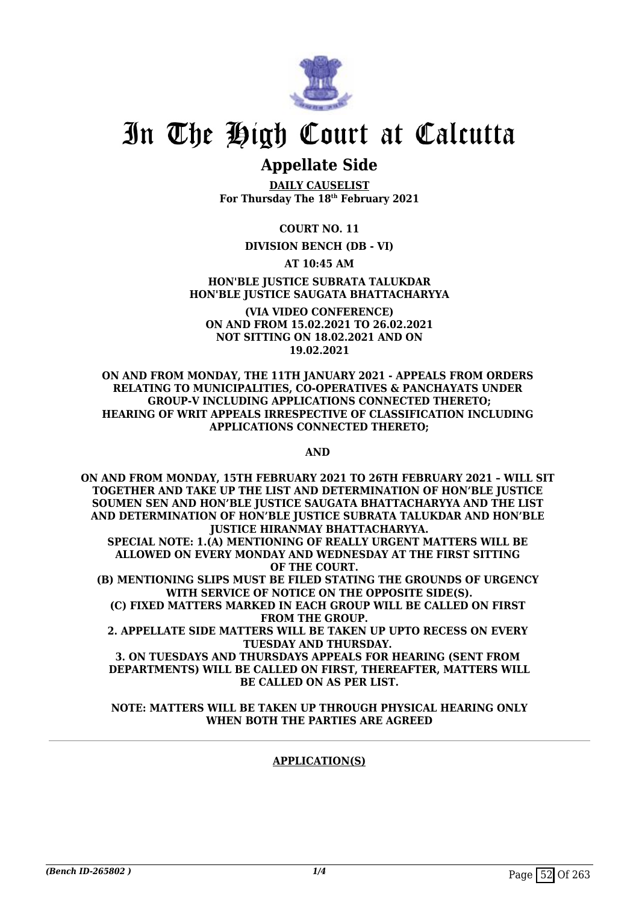

### **Appellate Side**

**DAILY CAUSELIST For Thursday The 18th February 2021**

**COURT NO. 11**

#### **DIVISION BENCH (DB - VI)**

**AT 10:45 AM**

**HON'BLE JUSTICE SUBRATA TALUKDAR HON'BLE JUSTICE SAUGATA BHATTACHARYYA**

**(VIA VIDEO CONFERENCE) ON AND FROM 15.02.2021 TO 26.02.2021 NOT SITTING ON 18.02.2021 AND ON 19.02.2021**

**ON AND FROM MONDAY, THE 11TH JANUARY 2021 - APPEALS FROM ORDERS RELATING TO MUNICIPALITIES, CO-OPERATIVES & PANCHAYATS UNDER GROUP-V INCLUDING APPLICATIONS CONNECTED THERETO; HEARING OF WRIT APPEALS IRRESPECTIVE OF CLASSIFICATION INCLUDING APPLICATIONS CONNECTED THERETO;**

**AND** 

**ON AND FROM MONDAY, 15TH FEBRUARY 2021 TO 26TH FEBRUARY 2021 – WILL SIT TOGETHER AND TAKE UP THE LIST AND DETERMINATION OF HON'BLE JUSTICE SOUMEN SEN AND HON'BLE JUSTICE SAUGATA BHATTACHARYYA AND THE LIST AND DETERMINATION OF HON'BLE JUSTICE SUBRATA TALUKDAR AND HON'BLE JUSTICE HIRANMAY BHATTACHARYYA. SPECIAL NOTE: 1.(A) MENTIONING OF REALLY URGENT MATTERS WILL BE ALLOWED ON EVERY MONDAY AND WEDNESDAY AT THE FIRST SITTING OF THE COURT. (B) MENTIONING SLIPS MUST BE FILED STATING THE GROUNDS OF URGENCY WITH SERVICE OF NOTICE ON THE OPPOSITE SIDE(S). (C) FIXED MATTERS MARKED IN EACH GROUP WILL BE CALLED ON FIRST FROM THE GROUP. 2. APPELLATE SIDE MATTERS WILL BE TAKEN UP UPTO RECESS ON EVERY TUESDAY AND THURSDAY. 3. ON TUESDAYS AND THURSDAYS APPEALS FOR HEARING (SENT FROM DEPARTMENTS) WILL BE CALLED ON FIRST, THEREAFTER, MATTERS WILL BE CALLED ON AS PER LIST.**

**NOTE: MATTERS WILL BE TAKEN UP THROUGH PHYSICAL HEARING ONLY WHEN BOTH THE PARTIES ARE AGREED**

### **APPLICATION(S)**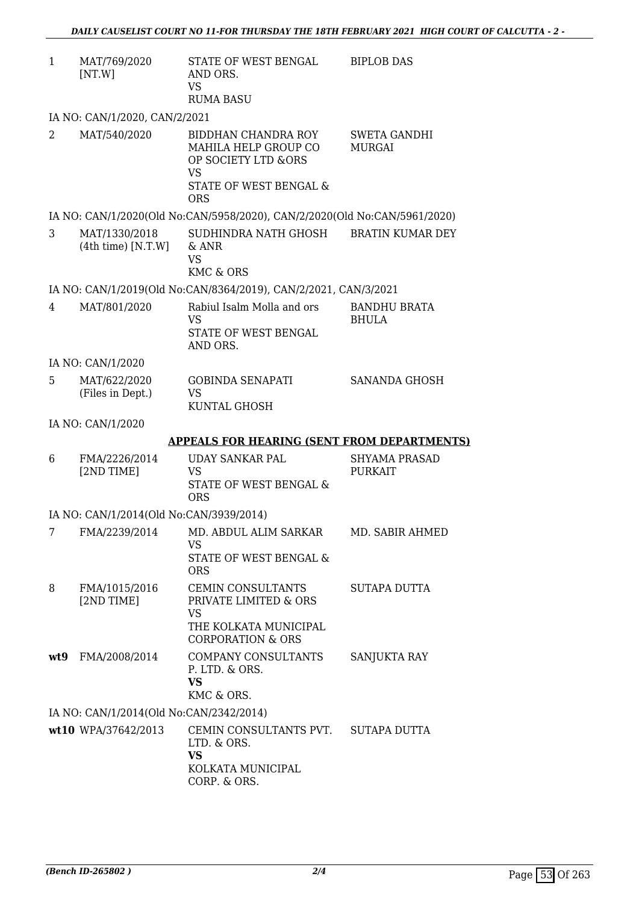| 1              | MAT/769/2020<br>[NT.W]                  | STATE OF WEST BENGAL<br>AND ORS.<br><b>VS</b><br><b>RUMA BASU</b>                                                       | <b>BIPLOB DAS</b>                      |
|----------------|-----------------------------------------|-------------------------------------------------------------------------------------------------------------------------|----------------------------------------|
|                | IA NO: CAN/1/2020, CAN/2/2021           |                                                                                                                         |                                        |
| 2              | MAT/540/2020                            | BIDDHAN CHANDRA ROY<br>MAHILA HELP GROUP CO<br>OP SOCIETY LTD &ORS<br><b>VS</b><br>STATE OF WEST BENGAL &<br><b>ORS</b> | <b>SWETA GANDHI</b><br><b>MURGAI</b>   |
|                |                                         | IA NO: CAN/1/2020(Old No:CAN/5958/2020), CAN/2/2020(Old No:CAN/5961/2020)                                               |                                        |
| 3              | MAT/1330/2018<br>$(4th$ time) [N.T.W]   | SUDHINDRA NATH GHOSH<br>$\&$ ANR<br><b>VS</b><br><b>KMC &amp; ORS</b>                                                   | <b>BRATIN KUMAR DEY</b>                |
|                |                                         | IA NO: CAN/1/2019(Old No:CAN/8364/2019), CAN/2/2021, CAN/3/2021                                                         |                                        |
| 4              | MAT/801/2020                            | Rabiul Isalm Molla and ors<br><b>VS</b><br>STATE OF WEST BENGAL<br>AND ORS.                                             | <b>BANDHU BRATA</b><br><b>BHULA</b>    |
|                | IA NO: CAN/1/2020                       |                                                                                                                         |                                        |
| 5              | MAT/622/2020<br>(Files in Dept.)        | <b>GOBINDA SENAPATI</b><br><b>VS</b><br>KUNTAL GHOSH                                                                    | SANANDA GHOSH                          |
|                | IA NO: CAN/1/2020                       |                                                                                                                         |                                        |
|                |                                         | <b>APPEALS FOR HEARING (SENT FROM DEPARTMENTS)</b>                                                                      |                                        |
| 6              | FMA/2226/2014<br>[2ND TIME]             | <b>UDAY SANKAR PAL</b><br><b>VS</b><br>STATE OF WEST BENGAL &<br><b>ORS</b>                                             | <b>SHYAMA PRASAD</b><br><b>PURKAIT</b> |
|                | IA NO: CAN/1/2014(Old No:CAN/3939/2014) |                                                                                                                         |                                        |
| 7 <sup>7</sup> |                                         | FMA/2239/2014 MD. ABDUL ALIM SARKAR MD. SABIR AHMED<br>VS<br>STATE OF WEST BENGAL &<br><b>ORS</b>                       |                                        |
| 8              | FMA/1015/2016<br>[2ND TIME]             | <b>CEMIN CONSULTANTS</b><br>PRIVATE LIMITED & ORS<br><b>VS</b><br>THE KOLKATA MUNICIPAL<br><b>CORPORATION &amp; ORS</b> | SUTAPA DUTTA                           |
| wt9            | FMA/2008/2014                           | COMPANY CONSULTANTS<br>P. LTD. & ORS.<br><b>VS</b><br>KMC & ORS.                                                        | <b>SANJUKTA RAY</b>                    |
|                | IA NO: CAN/1/2014(Old No:CAN/2342/2014) |                                                                                                                         |                                        |
|                | wt10 WPA/37642/2013                     | CEMIN CONSULTANTS PVT.<br>LTD. & ORS.<br><b>VS</b><br>KOLKATA MUNICIPAL<br>CORP. & ORS.                                 | SUTAPA DUTTA                           |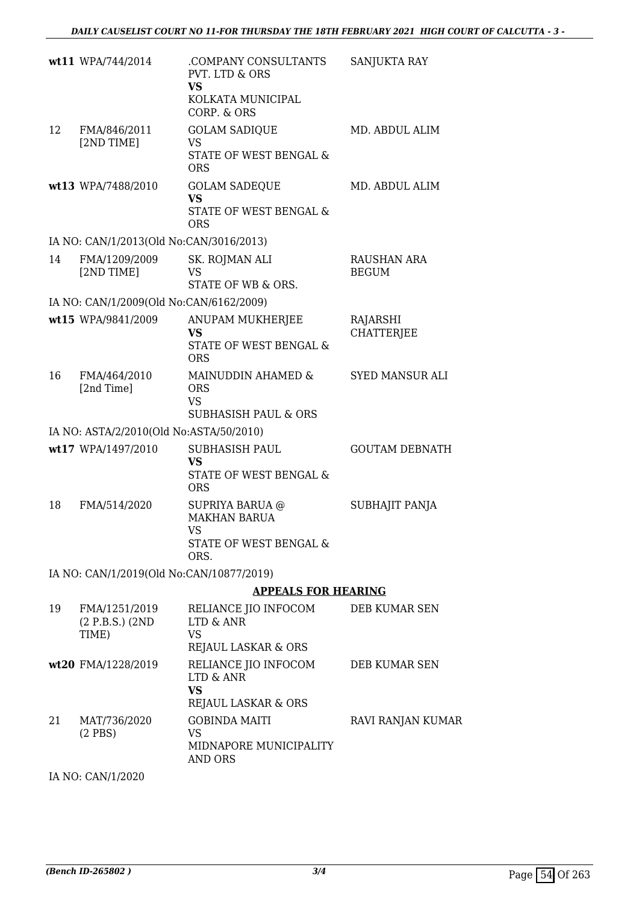|    | wt11 WPA/744/2014                          | .COMPANY CONSULTANTS<br><b>PVT. LTD &amp; ORS</b><br><b>VS</b><br>KOLKATA MUNICIPAL<br>CORP. & ORS | SANJUKTA RAY                  |
|----|--------------------------------------------|----------------------------------------------------------------------------------------------------|-------------------------------|
| 12 | FMA/846/2011<br>[2ND TIME]                 | <b>GOLAM SADIQUE</b><br><b>VS</b><br>STATE OF WEST BENGAL &<br><b>ORS</b>                          | MD. ABDUL ALIM                |
|    | wt13 WPA/7488/2010                         | <b>GOLAM SADEQUE</b><br><b>VS</b><br>STATE OF WEST BENGAL &<br><b>ORS</b>                          | MD. ABDUL ALIM                |
|    | IA NO: CAN/1/2013(Old No:CAN/3016/2013)    |                                                                                                    |                               |
| 14 | FMA/1209/2009<br>[2ND TIME]                | SK. ROJMAN ALI<br><b>VS</b><br>STATE OF WB & ORS.                                                  | RAUSHAN ARA<br><b>BEGUM</b>   |
|    | IA NO: CAN/1/2009(Old No:CAN/6162/2009)    |                                                                                                    |                               |
|    | wt15 WPA/9841/2009                         | <b>ANUPAM MUKHERJEE</b><br>VS.<br><b>STATE OF WEST BENGAL &amp;</b><br><b>ORS</b>                  | RAJARSHI<br><b>CHATTERJEE</b> |
| 16 | FMA/464/2010<br>[2nd Time]                 | MAINUDDIN AHAMED &<br><b>ORS</b><br><b>VS</b><br><b>SUBHASISH PAUL &amp; ORS</b>                   | <b>SYED MANSUR ALI</b>        |
|    | IA NO: ASTA/2/2010(Old No:ASTA/50/2010)    |                                                                                                    |                               |
|    | wt17 WPA/1497/2010                         | <b>SUBHASISH PAUL</b><br><b>VS</b><br>STATE OF WEST BENGAL &<br><b>ORS</b>                         | <b>GOUTAM DEBNATH</b>         |
| 18 | FMA/514/2020                               | SUPRIYA BARUA @<br><b>MAKHAN BARUA</b><br>VS<br>STATE OF WEST BENGAL &<br>ORS.                     | SUBHAJIT PANJA                |
|    | IA NO: CAN/1/2019(Old No:CAN/10877/2019)   |                                                                                                    |                               |
|    |                                            | <b>APPEALS FOR HEARING</b>                                                                         |                               |
| 19 | FMA/1251/2019<br>(2 P.B.S.) (2ND)<br>TIME) | RELIANCE JIO INFOCOM<br>LTD & ANR<br>VS<br>REJAUL LASKAR & ORS                                     | DEB KUMAR SEN                 |
|    | wt20 FMA/1228/2019                         | RELIANCE JIO INFOCOM<br>LTD & ANR<br><b>VS</b><br>REJAUL LASKAR & ORS                              | DEB KUMAR SEN                 |
| 21 | MAT/736/2020<br>$(2$ PBS $)$               | <b>GOBINDA MAITI</b><br><b>VS</b><br>MIDNAPORE MUNICIPALITY<br>AND ORS                             | RAVI RANJAN KUMAR             |

IA NO: CAN/1/2020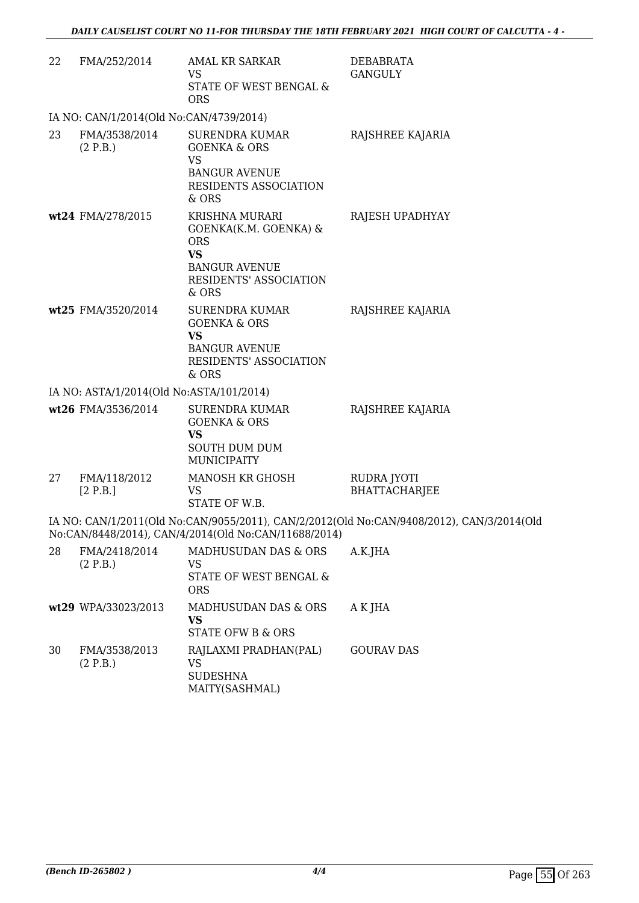| 22 | FMA/252/2014                             | <b>AMAL KR SARKAR</b><br>VS<br>STATE OF WEST BENGAL &<br><b>ORS</b>                                                                  | <b>DEBABRATA</b><br><b>GANGULY</b>                                                        |
|----|------------------------------------------|--------------------------------------------------------------------------------------------------------------------------------------|-------------------------------------------------------------------------------------------|
|    | IA NO: CAN/1/2014(Old No:CAN/4739/2014)  |                                                                                                                                      |                                                                                           |
| 23 | FMA/3538/2014<br>(2 P.B.)                | <b>SURENDRA KUMAR</b><br><b>GOENKA &amp; ORS</b><br><b>VS</b><br><b>BANGUR AVENUE</b><br>RESIDENTS ASSOCIATION<br>& ORS              | RAJSHREE KAJARIA                                                                          |
|    | wt24 FMA/278/2015                        | <b>KRISHNA MURARI</b><br>GOENKA(K.M. GOENKA) &<br><b>ORS</b><br><b>VS</b><br><b>BANGUR AVENUE</b><br>RESIDENTS' ASSOCIATION<br>& ORS | RAJESH UPADHYAY                                                                           |
|    | wt25 FMA/3520/2014                       | SURENDRA KUMAR<br><b>GOENKA &amp; ORS</b><br><b>VS</b><br><b>BANGUR AVENUE</b><br>RESIDENTS' ASSOCIATION<br>& ORS                    | RAJSHREE KAJARIA                                                                          |
|    | IA NO: ASTA/1/2014(Old No:ASTA/101/2014) |                                                                                                                                      |                                                                                           |
|    | wt26 FMA/3536/2014                       | <b>SURENDRA KUMAR</b><br><b>GOENKA &amp; ORS</b><br><b>VS</b><br><b>SOUTH DUM DUM</b><br><b>MUNICIPAITY</b>                          | RAJSHREE KAJARIA                                                                          |
| 27 | FMA/118/2012<br>[2 P.B.]                 | MANOSH KR GHOSH<br>VS<br>STATE OF W.B.                                                                                               | RUDRA JYOTI<br><b>BHATTACHARJEE</b>                                                       |
|    |                                          | No:CAN/8448/2014), CAN/4/2014(Old No:CAN/11688/2014)                                                                                 | IA NO: CAN/1/2011(Old No:CAN/9055/2011), CAN/2/2012(Old No:CAN/9408/2012), CAN/3/2014(Old |
| 28 | FMA/2418/2014<br>(2 P.B.)                | MADHUSUDAN DAS & ORS<br>VS<br>STATE OF WEST BENGAL &<br><b>ORS</b>                                                                   | A.K.JHA                                                                                   |
|    | wt29 WPA/33023/2013                      | MADHUSUDAN DAS & ORS<br><b>VS</b><br><b>STATE OFW B &amp; ORS</b>                                                                    | A K JHA                                                                                   |
| 30 | FMA/3538/2013<br>(2 P.B.)                | RAJLAXMI PRADHAN(PAL)<br>VS<br><b>SUDESHNA</b><br>MAITY(SASHMAL)                                                                     | <b>GOURAV DAS</b>                                                                         |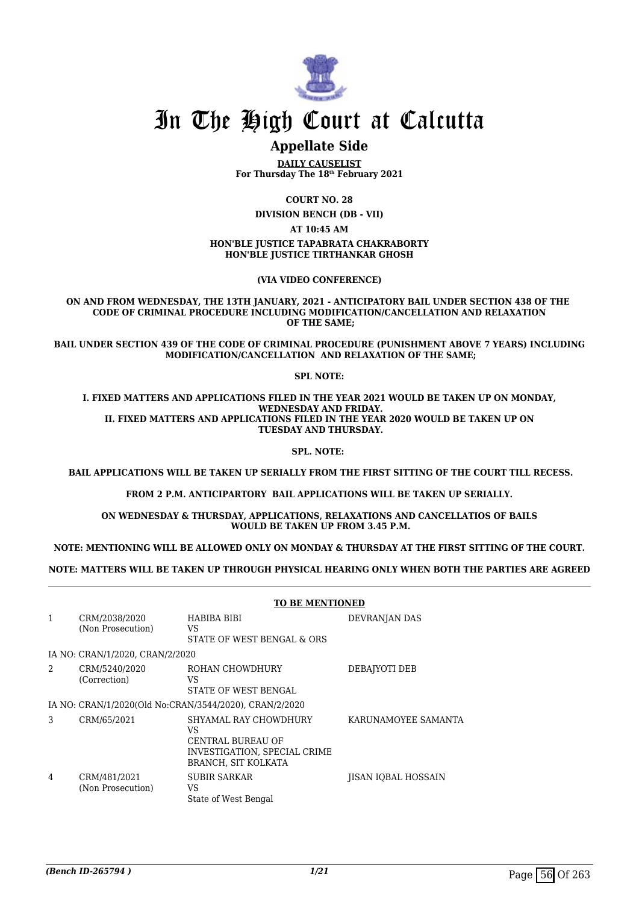

### **Appellate Side**

**DAILY CAUSELIST For Thursday The 18th February 2021**

**COURT NO. 28**

**DIVISION BENCH (DB - VII)**

**AT 10:45 AM**

**HON'BLE JUSTICE TAPABRATA CHAKRABORTY HON'BLE JUSTICE TIRTHANKAR GHOSH**

**(VIA VIDEO CONFERENCE)**

**ON AND FROM WEDNESDAY, THE 13TH JANUARY, 2021 - ANTICIPATORY BAIL UNDER SECTION 438 OF THE CODE OF CRIMINAL PROCEDURE INCLUDING MODIFICATION/CANCELLATION AND RELAXATION OF THE SAME;**

**BAIL UNDER SECTION 439 OF THE CODE OF CRIMINAL PROCEDURE (PUNISHMENT ABOVE 7 YEARS) INCLUDING MODIFICATION/CANCELLATION AND RELAXATION OF THE SAME;**

**SPL NOTE:**

**I. FIXED MATTERS AND APPLICATIONS FILED IN THE YEAR 2021 WOULD BE TAKEN UP ON MONDAY, WEDNESDAY AND FRIDAY. II. FIXED MATTERS AND APPLICATIONS FILED IN THE YEAR 2020 WOULD BE TAKEN UP ON TUESDAY AND THURSDAY.**

**SPL. NOTE:** 

 **BAIL APPLICATIONS WILL BE TAKEN UP SERIALLY FROM THE FIRST SITTING OF THE COURT TILL RECESS.**

**FROM 2 P.M. ANTICIPARTORY BAIL APPLICATIONS WILL BE TAKEN UP SERIALLY.**

**ON WEDNESDAY & THURSDAY, APPLICATIONS, RELAXATIONS AND CANCELLATIOS OF BAILS WOULD BE TAKEN UP FROM 3.45 P.M.**

**NOTE: MENTIONING WILL BE ALLOWED ONLY ON MONDAY & THURSDAY AT THE FIRST SITTING OF THE COURT.**

**NOTE: MATTERS WILL BE TAKEN UP THROUGH PHYSICAL HEARING ONLY WHEN BOTH THE PARTIES ARE AGREED**

|                |                                    | <b>TO BE MENTIONED</b>                                                                                         |                            |  |
|----------------|------------------------------------|----------------------------------------------------------------------------------------------------------------|----------------------------|--|
| $\mathbf{1}$   | CRM/2038/2020<br>(Non Prosecution) | HABIBA BIBI<br>VS.<br>STATE OF WEST BENGAL & ORS                                                               | DEVRANJAN DAS              |  |
|                | IA NO: CRAN/1/2020, CRAN/2/2020    |                                                                                                                |                            |  |
| $\mathfrak{D}$ | CRM/5240/2020<br>(Correction)      | ROHAN CHOWDHURY<br>VS<br>STATE OF WEST BENGAL                                                                  | DEBAJYOTI DEB              |  |
|                |                                    | IA NO: CRAN/1/2020(Old No:CRAN/3544/2020), CRAN/2/2020                                                         |                            |  |
| 3              | CRM/65/2021                        | SHYAMAL RAY CHOWDHURY<br>VS<br>CENTRAL BUREAU OF<br>INVESTIGATION, SPECIAL CRIME<br><b>BRANCH. SIT KOLKATA</b> | KARUNAMOYEE SAMANTA        |  |
| 4              | CRM/481/2021<br>(Non Prosecution)  | <b>SUBIR SARKAR</b><br>VS<br>State of West Bengal                                                              | <b>IISAN IOBAL HOSSAIN</b> |  |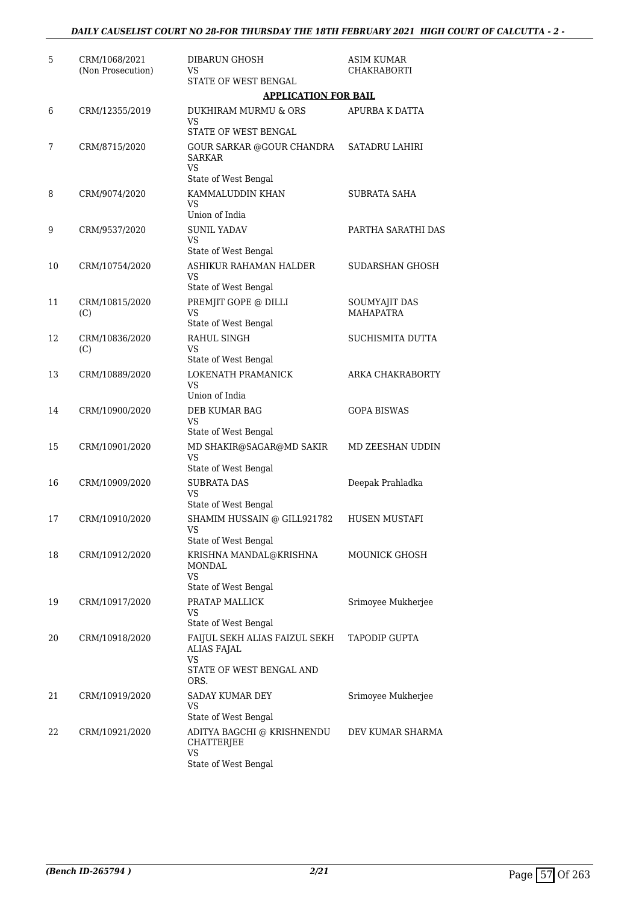| 5  | CRM/1068/2021<br>(Non Prosecution) | DIBARUN GHOSH<br>VS                                                                                     | <b>ASIM KUMAR</b><br><b>CHAKRABORTI</b> |
|----|------------------------------------|---------------------------------------------------------------------------------------------------------|-----------------------------------------|
|    |                                    | STATE OF WEST BENGAL<br><b>APPLICATION FOR BAIL</b>                                                     |                                         |
| 6  | CRM/12355/2019                     | DUKHIRAM MURMU & ORS<br>VS                                                                              | APURBA K DATTA                          |
| 7  | CRM/8715/2020                      | STATE OF WEST BENGAL<br><b>GOUR SARKAR @GOUR CHANDRA</b><br><b>SARKAR</b><br>VS<br>State of West Bengal | <b>SATADRU LAHIRI</b>                   |
| 8  | CRM/9074/2020                      | KAMMALUDDIN KHAN<br>VS<br>Union of India                                                                | SUBRATA SAHA                            |
| 9  | CRM/9537/2020                      | <b>SUNIL YADAV</b><br>VS<br>State of West Bengal                                                        | PARTHA SARATHI DAS                      |
| 10 | CRM/10754/2020                     | ASHIKUR RAHAMAN HALDER<br>VS<br>State of West Bengal                                                    | SUDARSHAN GHOSH                         |
| 11 | CRM/10815/2020<br>(C)              | PREMJIT GOPE @ DILLI<br>VS<br>State of West Bengal                                                      | SOUMYAJIT DAS<br><b>MAHAPATRA</b>       |
| 12 | CRM/10836/2020<br>(C)              | RAHUL SINGH<br>VS<br>State of West Bengal                                                               | <b>SUCHISMITA DUTTA</b>                 |
| 13 | CRM/10889/2020                     | LOKENATH PRAMANICK<br>VS<br>Union of India                                                              | ARKA CHAKRABORTY                        |
| 14 | CRM/10900/2020                     | DEB KUMAR BAG<br><b>VS</b><br>State of West Bengal                                                      | <b>GOPA BISWAS</b>                      |
| 15 | CRM/10901/2020                     | MD SHAKIR@SAGAR@MD SAKIR<br>VS<br>State of West Bengal                                                  | MD ZEESHAN UDDIN                        |
| 16 | CRM/10909/2020                     | <b>SUBRATA DAS</b><br>VS<br>State of West Bengal                                                        | Deepak Prahladka                        |
| 17 | CRM/10910/2020                     | SHAMIM HUSSAIN @ GILL921782<br>VS<br>State of West Bengal                                               | <b>HUSEN MUSTAFI</b>                    |
| 18 | CRM/10912/2020                     | KRISHNA MANDAL@KRISHNA<br><b>MONDAL</b><br>VS<br>State of West Bengal                                   | <b>MOUNICK GHOSH</b>                    |
| 19 | CRM/10917/2020                     | PRATAP MALLICK<br>VS<br>State of West Bengal                                                            | Srimoyee Mukherjee                      |
| 20 | CRM/10918/2020                     | FAIJUL SEKH ALIAS FAIZUL SEKH<br><b>ALIAS FAJAL</b><br>VS<br>STATE OF WEST BENGAL AND<br>ORS.           | <b>TAPODIP GUPTA</b>                    |
| 21 | CRM/10919/2020                     | SADAY KUMAR DEY<br>VS<br>State of West Bengal                                                           | Srimoyee Mukherjee                      |
| 22 | CRM/10921/2020                     | ADITYA BAGCHI @ KRISHNENDU<br>CHATTERJEE<br>VS<br>State of West Bengal                                  | DEV KUMAR SHARMA                        |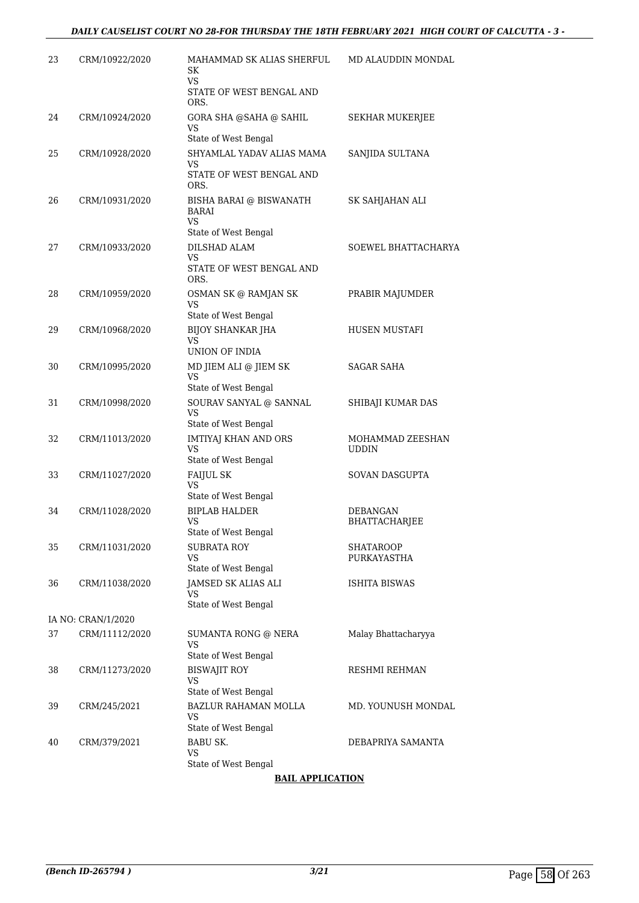| 23 | CRM/10922/2020     | MAHAMMAD SK ALIAS SHERFUL<br>SK<br><b>VS</b><br>STATE OF WEST BENGAL AND | MD ALAUDDIN MONDAL               |
|----|--------------------|--------------------------------------------------------------------------|----------------------------------|
| 24 | CRM/10924/2020     | ORS.<br>GORA SHA @SAHA @ SAHIL<br>VS<br>State of West Bengal             | SEKHAR MUKERJEE                  |
| 25 | CRM/10928/2020     | SHYAMLAL YADAV ALIAS MAMA<br>VS<br>STATE OF WEST BENGAL AND<br>ORS.      | SANJIDA SULTANA                  |
| 26 | CRM/10931/2020     | BISHA BARAI @ BISWANATH<br><b>BARAI</b><br>VS<br>State of West Bengal    | SK SAHJAHAN ALI                  |
| 27 | CRM/10933/2020     | DILSHAD ALAM<br>VS<br>STATE OF WEST BENGAL AND<br>ORS.                   | SOEWEL BHATTACHARYA              |
| 28 | CRM/10959/2020     | OSMAN SK @ RAMJAN SK<br>VS<br>State of West Bengal                       | PRABIR MAJUMDER                  |
| 29 | CRM/10968/2020     | <b>BIJOY SHANKAR JHA</b><br>VS<br>UNION OF INDIA                         | HUSEN MUSTAFI                    |
| 30 | CRM/10995/2020     | MD JIEM ALI @ JIEM SK<br><b>VS</b><br>State of West Bengal               | <b>SAGAR SAHA</b>                |
| 31 | CRM/10998/2020     | SOURAV SANYAL @ SANNAL<br>VS<br>State of West Bengal                     | SHIBAJI KUMAR DAS                |
| 32 | CRM/11013/2020     | <b>IMTIYAJ KHAN AND ORS</b><br>VS.<br>State of West Bengal               | MOHAMMAD ZEESHAN<br><b>UDDIN</b> |
| 33 | CRM/11027/2020     | <b>FAIJUL SK</b><br>VS<br>State of West Bengal                           | SOVAN DASGUPTA                   |
| 34 | CRM/11028/2020     | <b>BIPLAB HALDER</b><br><b>VS</b><br>State of West Bengal                | <b>DEBANGAN</b><br>BHATTACHARJEE |
| 35 | CRM/11031/2020     | <b>SUBRATA ROY</b><br>VS<br>State of West Bengal                         | <b>SHATAROOP</b><br>PURKAYASTHA  |
| 36 | CRM/11038/2020     | JAMSED SK ALIAS ALI<br>VS<br>State of West Bengal                        | ISHITA BISWAS                    |
|    | IA NO: CRAN/1/2020 |                                                                          |                                  |
| 37 | CRM/11112/2020     | SUMANTA RONG @ NERA<br>VS<br>State of West Bengal                        | Malay Bhattacharyya              |
| 38 | CRM/11273/2020     | <b>BISWAJIT ROY</b><br><b>VS</b><br>State of West Bengal                 | RESHMI REHMAN                    |
| 39 | CRM/245/2021       | BAZLUR RAHAMAN MOLLA<br>VS<br>State of West Bengal                       | MD. YOUNUSH MONDAL               |
| 40 | CRM/379/2021       | <b>BABU SK.</b><br><b>VS</b><br>State of West Bengal                     | DEBAPRIYA SAMANTA                |

#### **BAIL APPLICATION**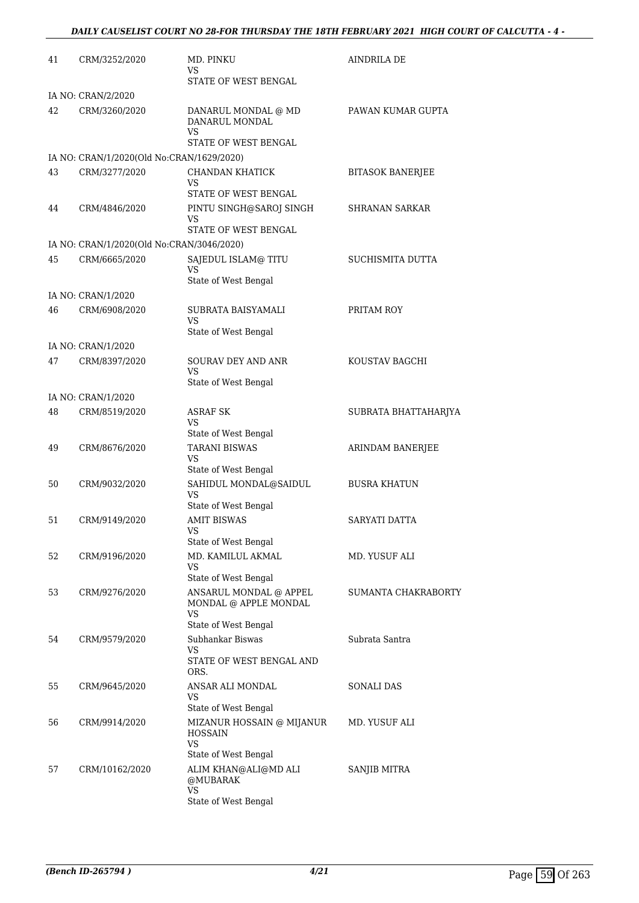| 41 | CRM/3252/2020                                              | MD. PINKU<br>VS<br>STATE OF WEST BENGAL                                                | <b>AINDRILA DE</b>      |
|----|------------------------------------------------------------|----------------------------------------------------------------------------------------|-------------------------|
|    | IA NO: CRAN/2/2020                                         |                                                                                        |                         |
| 42 | CRM/3260/2020                                              | DANARUL MONDAL @ MD<br>DANARUL MONDAL<br>VS                                            | PAWAN KUMAR GUPTA       |
|    |                                                            | STATE OF WEST BENGAL                                                                   |                         |
|    | IA NO: CRAN/1/2020(Old No:CRAN/1629/2020)                  |                                                                                        |                         |
| 43 | CRM/3277/2020                                              | CHANDAN KHATICK<br>VS<br>STATE OF WEST BENGAL                                          | <b>BITASOK BANERJEE</b> |
| 44 | CRM/4846/2020                                              | PINTU SINGH@SAROJ SINGH<br>VS                                                          | <b>SHRANAN SARKAR</b>   |
|    |                                                            | STATE OF WEST BENGAL                                                                   |                         |
| 45 | IA NO: CRAN/1/2020(Old No:CRAN/3046/2020)<br>CRM/6665/2020 | SAJEDUL ISLAM@ TITU                                                                    | SUCHISMITA DUTTA        |
|    |                                                            | VS<br>State of West Bengal                                                             |                         |
|    | IA NO: CRAN/1/2020                                         |                                                                                        |                         |
| 46 | CRM/6908/2020                                              | SUBRATA BAISYAMALI<br>VS<br>State of West Bengal                                       | PRITAM ROY              |
|    | IA NO: CRAN/1/2020                                         |                                                                                        |                         |
| 47 | CRM/8397/2020                                              | <b>SOURAV DEY AND ANR</b><br>VS<br>State of West Bengal                                | KOUSTAV BAGCHI          |
|    | IA NO: CRAN/1/2020                                         |                                                                                        |                         |
| 48 | CRM/8519/2020                                              | <b>ASRAF SK</b><br>VS                                                                  | SUBRATA BHATTAHARJYA    |
|    |                                                            | State of West Bengal                                                                   |                         |
| 49 | CRM/8676/2020                                              | <b>TARANI BISWAS</b><br>VS<br>State of West Bengal                                     | ARINDAM BANERJEE        |
| 50 | CRM/9032/2020                                              | SAHIDUL MONDAL@SAIDUL<br><b>VS</b><br>State of West Bengal                             | <b>BUSRA KHATUN</b>     |
| 51 | CRM/9149/2020                                              | <b>AMIT BISWAS</b><br>VS.<br>State of West Bengal                                      | SARYATI DATTA           |
| 52 | CRM/9196/2020                                              | MD. KAMILUL AKMAL<br>VS<br>State of West Bengal                                        | MD. YUSUF ALI           |
| 53 | CRM/9276/2020                                              | ANSARUL MONDAL @ APPEL<br>MONDAL @ APPLE MONDAL<br>VS<br>State of West Bengal          | SUMANTA CHAKRABORTY     |
| 54 | CRM/9579/2020                                              | Subhankar Biswas                                                                       | Subrata Santra          |
|    |                                                            | VS<br>STATE OF WEST BENGAL AND<br>ORS.                                                 |                         |
| 55 | CRM/9645/2020                                              | ANSAR ALI MONDAL<br>VS                                                                 | <b>SONALI DAS</b>       |
| 56 | CRM/9914/2020                                              | State of West Bengal<br>MIZANUR HOSSAIN @ MIJANUR<br><b>HOSSAIN</b><br>VS              | MD. YUSUF ALI           |
| 57 | CRM/10162/2020                                             | State of West Bengal<br>ALIM KHAN@ALI@MD ALI<br>@MUBARAK<br>VS<br>State of West Bengal | SANJIB MITRA            |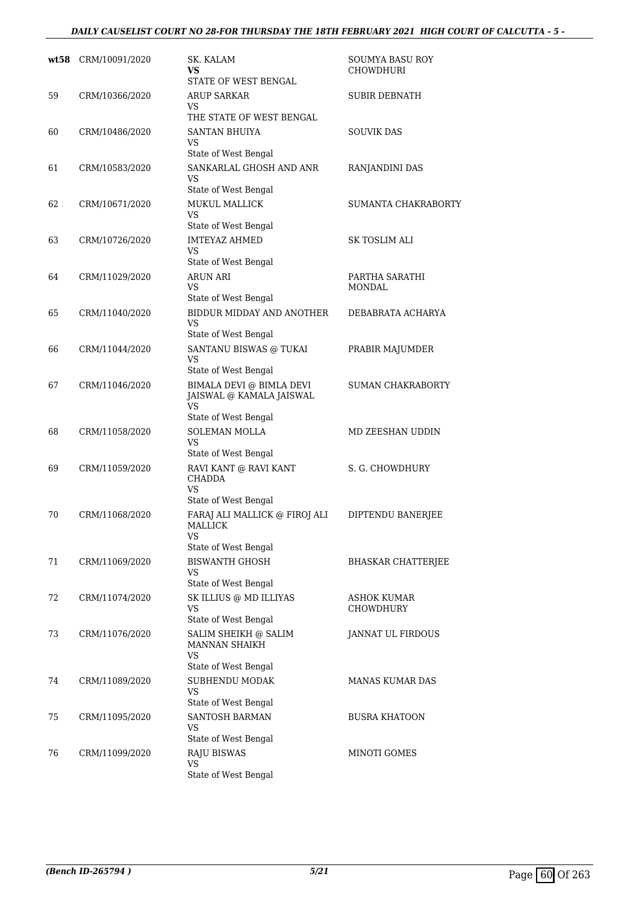#### *DAILY CAUSELIST COURT NO 28-FOR THURSDAY THE 18TH FEBRUARY 2021 HIGH COURT OF CALCUTTA - 5 -*

| wt58 | CRM/10091/2020 | SK. KALAM<br>VS<br>STATE OF WEST BENGAL                                            | SOUMYA BASU ROY<br><b>CHOWDHURI</b> |
|------|----------------|------------------------------------------------------------------------------------|-------------------------------------|
| 59   | CRM/10366/2020 | <b>ARUP SARKAR</b><br>VS<br>THE STATE OF WEST BENGAL                               | SUBIR DEBNATH                       |
| 60   | CRM/10486/2020 | <b>SANTAN BHUIYA</b><br>VS<br>State of West Bengal                                 | <b>SOUVIK DAS</b>                   |
| 61   | CRM/10583/2020 | SANKARLAL GHOSH AND ANR<br>VS<br>State of West Bengal                              | RANJANDINI DAS                      |
| 62   | CRM/10671/2020 | <b>MUKUL MALLICK</b><br><b>VS</b><br>State of West Bengal                          | <b>SUMANTA CHAKRABORTY</b>          |
| 63   | CRM/10726/2020 | <b>IMTEYAZ AHMED</b><br><b>VS</b><br>State of West Bengal                          | SK TOSLIM ALI                       |
| 64   | CRM/11029/2020 | <b>ARUN ARI</b><br>VS<br>State of West Bengal                                      | PARTHA SARATHI<br>MONDAL            |
| 65   | CRM/11040/2020 | BIDDUR MIDDAY AND ANOTHER<br>VS<br>State of West Bengal                            | DEBABRATA ACHARYA                   |
| 66   | CRM/11044/2020 | SANTANU BISWAS @ TUKAI<br>VS<br>State of West Bengal                               | PRABIR MAJUMDER                     |
| 67   | CRM/11046/2020 | BIMALA DEVI @ BIMLA DEVI<br>JAISWAL @ KAMALA JAISWAL<br>VS<br>State of West Bengal | <b>SUMAN CHAKRABORTY</b>            |
| 68   | CRM/11058/2020 | <b>SOLEMAN MOLLA</b><br>VS.<br>State of West Bengal                                | MD ZEESHAN UDDIN                    |
| 69   | CRM/11059/2020 | RAVI KANT @ RAVI KANT<br>CHADDA<br><b>VS</b><br>State of West Bengal               | S. G. CHOWDHURY                     |
| 70   | CRM/11068/2020 | FARAJ ALI MALLICK @ FIROJ ALI<br><b>MALLICK</b><br>VS<br>State of West Bengal      | DIPTENDU BANERJEE                   |
| 71   | CRM/11069/2020 | <b>BISWANTH GHOSH</b><br>VS<br>State of West Bengal                                | <b>BHASKAR CHATTERJEE</b>           |
| 72   | CRM/11074/2020 | SK ILLIUS @ MD ILLIYAS<br>VS<br>State of West Bengal                               | ASHOK KUMAR<br><b>CHOWDHURY</b>     |
| 73   | CRM/11076/2020 | SALIM SHEIKH @ SALIM<br>MANNAN SHAIKH<br><b>VS</b><br>State of West Bengal         | JANNAT UL FIRDOUS                   |
| 74   | CRM/11089/2020 | SUBHENDU MODAK<br>VS<br>State of West Bengal                                       | MANAS KUMAR DAS                     |
| 75   | CRM/11095/2020 | SANTOSH BARMAN<br>VS<br>State of West Bengal                                       | <b>BUSRA KHATOON</b>                |
| 76   | CRM/11099/2020 | <b>RAJU BISWAS</b><br>VS<br>State of West Bengal                                   | MINOTI GOMES                        |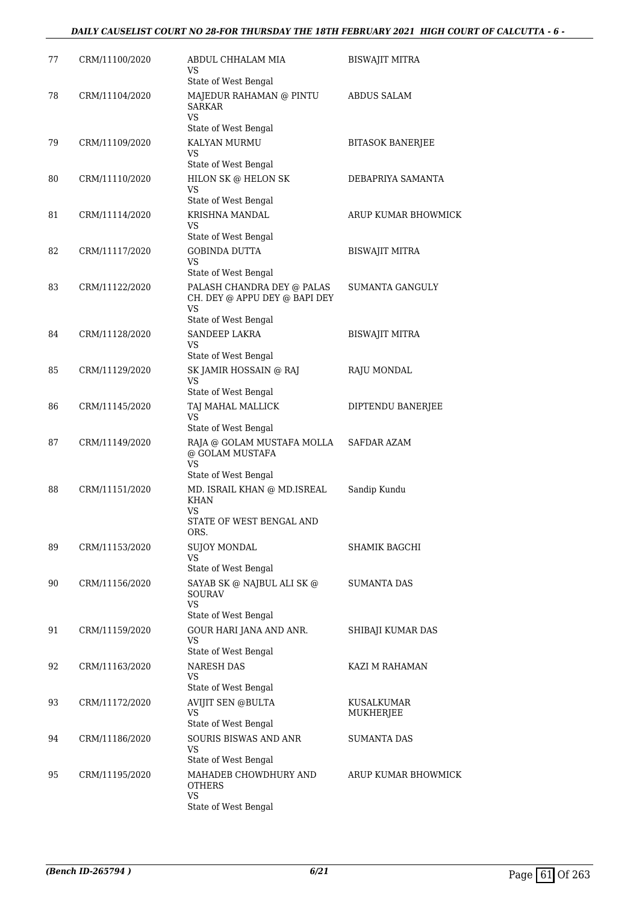#### *DAILY CAUSELIST COURT NO 28-FOR THURSDAY THE 18TH FEBRUARY 2021 HIGH COURT OF CALCUTTA - 6 -*

| 77 | CRM/11100/2020 | ABDUL CHHALAM MIA<br>VS<br>State of West Bengal                                           | BISWAJIT MITRA          |
|----|----------------|-------------------------------------------------------------------------------------------|-------------------------|
| 78 | CRM/11104/2020 | MAJEDUR RAHAMAN @ PINTU<br><b>SARKAR</b><br>VS.<br>State of West Bengal                   | <b>ABDUS SALAM</b>      |
| 79 | CRM/11109/2020 | KALYAN MURMU<br>VS<br>State of West Bengal                                                | <b>BITASOK BANERJEE</b> |
| 80 | CRM/11110/2020 | HILON SK @ HELON SK<br>VS                                                                 | DEBAPRIYA SAMANTA       |
| 81 | CRM/11114/2020 | State of West Bengal<br>KRISHNA MANDAL<br>VS<br>State of West Bengal                      | ARUP KUMAR BHOWMICK     |
| 82 | CRM/11117/2020 | <b>GOBINDA DUTTA</b><br><b>VS</b><br>State of West Bengal                                 | <b>BISWAJIT MITRA</b>   |
| 83 | CRM/11122/2020 | PALASH CHANDRA DEY @ PALAS<br>CH. DEY @ APPU DEY @ BAPI DEY<br>VS<br>State of West Bengal | <b>SUMANTA GANGULY</b>  |
| 84 | CRM/11128/2020 | <b>SANDEEP LAKRA</b><br>VS<br>State of West Bengal                                        | <b>BISWAJIT MITRA</b>   |
| 85 | CRM/11129/2020 | SK JAMIR HOSSAIN @ RAJ<br>VS<br>State of West Bengal                                      | RAJU MONDAL             |
| 86 | CRM/11145/2020 | TAJ MAHAL MALLICK<br>VS<br>State of West Bengal                                           | DIPTENDU BANERJEE       |
| 87 | CRM/11149/2020 | RAJA @ GOLAM MUSTAFA MOLLA<br>@ GOLAM MUSTAFA<br>VS<br>State of West Bengal               | SAFDAR AZAM             |
| 88 | CRM/11151/2020 | MD. ISRAIL KHAN @ MD.ISREAL<br><b>KHAN</b><br>VS<br>STATE OF WEST BENGAL AND<br>ORS.      | Sandip Kundu            |
| 89 | CRM/11153/2020 | SUJOY MONDAL<br>VS<br>State of West Bengal                                                | SHAMIK BAGCHI           |
| 90 | CRM/11156/2020 | SAYAB SK @ NAJBUL ALI SK @<br>SOURAV<br>VS.<br>State of West Bengal                       | SUMANTA DAS             |
| 91 | CRM/11159/2020 | GOUR HARI JANA AND ANR.<br><b>VS</b><br>State of West Bengal                              | SHIBAJI KUMAR DAS       |
| 92 | CRM/11163/2020 | <b>NARESH DAS</b><br>VS.<br>State of West Bengal                                          | KAZI M RAHAMAN          |
| 93 | CRM/11172/2020 | <b>AVIJIT SEN @BULTA</b><br>VS<br>State of West Bengal                                    | KUSALKUMAR<br>MUKHERJEE |
| 94 | CRM/11186/2020 | SOURIS BISWAS AND ANR<br>VS<br>State of West Bengal                                       | <b>SUMANTA DAS</b>      |
| 95 | CRM/11195/2020 | MAHADEB CHOWDHURY AND<br>OTHERS<br>VS.<br>State of West Bengal                            | ARUP KUMAR BHOWMICK     |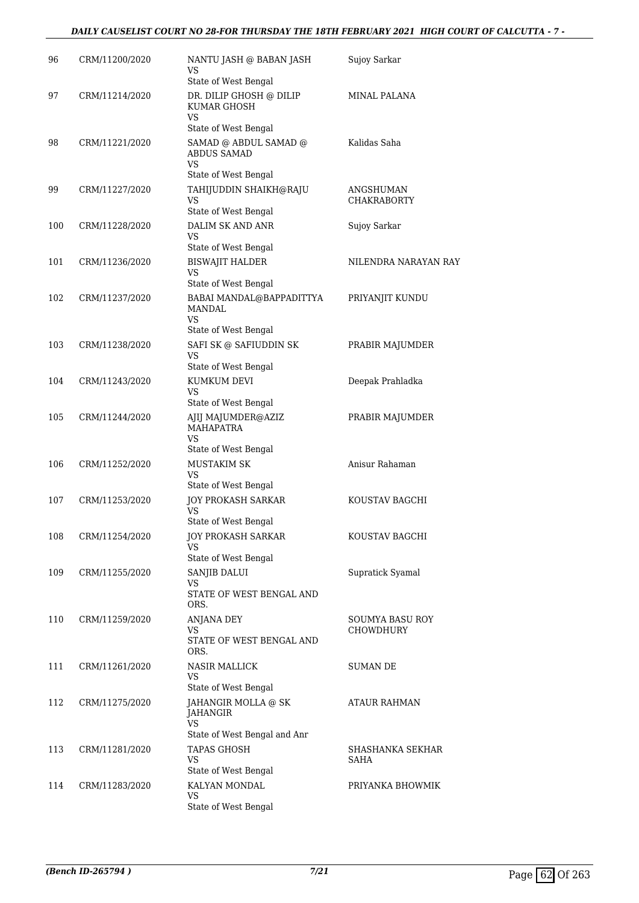#### *DAILY CAUSELIST COURT NO 28-FOR THURSDAY THE 18TH FEBRUARY 2021 HIGH COURT OF CALCUTTA - 7 -*

| 96  | CRM/11200/2020 | NANTU JASH @ BABAN JASH<br>VS                                             | Sujoy Sarkar                    |
|-----|----------------|---------------------------------------------------------------------------|---------------------------------|
|     |                | State of West Bengal                                                      |                                 |
| 97  | CRM/11214/2020 | DR. DILIP GHOSH @ DILIP<br>KUMAR GHOSH<br>VS                              | MINAL PALANA                    |
|     |                | State of West Bengal                                                      |                                 |
| 98  | CRM/11221/2020 | SAMAD @ ABDUL SAMAD @<br><b>ABDUS SAMAD</b><br>VS<br>State of West Bengal | Kalidas Saha                    |
| 99  | CRM/11227/2020 | TAHIJUDDIN SHAIKH@RAJU<br>VS                                              | ANGSHUMAN<br><b>CHAKRABORTY</b> |
|     |                | State of West Bengal                                                      |                                 |
| 100 | CRM/11228/2020 | DALIM SK AND ANR<br>VS<br>State of West Bengal                            | Sujoy Sarkar                    |
|     |                |                                                                           |                                 |
| 101 | CRM/11236/2020 | <b>BISWAJIT HALDER</b><br><b>VS</b><br>State of West Bengal               | NILENDRA NARAYAN RAY            |
| 102 | CRM/11237/2020 | BABAI MANDAL@BAPPADITTYA                                                  | PRIYANJIT KUNDU                 |
|     |                | MANDAL<br>VS                                                              |                                 |
|     |                | State of West Bengal                                                      |                                 |
| 103 | CRM/11238/2020 | SAFI SK @ SAFIUDDIN SK<br>VS                                              | PRABIR MAJUMDER                 |
|     |                | State of West Bengal                                                      |                                 |
| 104 | CRM/11243/2020 | KUMKUM DEVI<br>VS<br>State of West Bengal                                 | Deepak Prahladka                |
| 105 | CRM/11244/2020 | AJIJ MAJUMDER@AZIZ                                                        | PRABIR MAJUMDER                 |
|     |                | MAHAPATRA<br><b>VS</b>                                                    |                                 |
|     |                | State of West Bengal                                                      |                                 |
| 106 | CRM/11252/2020 | <b>MUSTAKIM SK</b><br>VS                                                  | Anisur Rahaman                  |
|     |                | State of West Bengal                                                      |                                 |
| 107 | CRM/11253/2020 | <b>JOY PROKASH SARKAR</b><br>VS<br>State of West Bengal                   | KOUSTAV BAGCHI                  |
| 108 | CRM/11254/2020 | JOY PROKASH SARKAR                                                        | KOUSTAV BAGCHI                  |
|     |                | VS<br>State of West Bengal                                                |                                 |
| 109 | CRM/11255/2020 | SANJIB DALUI                                                              | Supratick Syamal                |
|     |                | VS<br>STATE OF WEST BENGAL AND<br>ORS.                                    |                                 |
| 110 | CRM/11259/2020 | ANJANA DEY                                                                | <b>SOUMYA BASU ROY</b>          |
|     |                | VS                                                                        | CHOWDHURY                       |
|     |                | STATE OF WEST BENGAL AND<br>ORS.                                          |                                 |
| 111 | CRM/11261/2020 | <b>NASIR MALLICK</b><br>VS                                                | <b>SUMAN DE</b>                 |
|     |                | State of West Bengal                                                      |                                 |
| 112 | CRM/11275/2020 | JAHANGIR MOLLA @ SK<br>JAHANGIR<br>VS                                     | ATAUR RAHMAN                    |
|     |                | State of West Bengal and Anr                                              |                                 |
| 113 | CRM/11281/2020 | <b>TAPAS GHOSH</b><br>VS                                                  | SHASHANKA SEKHAR<br>SAHA        |
|     |                | State of West Bengal                                                      |                                 |
| 114 | CRM/11283/2020 | KALYAN MONDAL<br>VS<br>State of West Bengal                               | PRIYANKA BHOWMIK                |
|     |                |                                                                           |                                 |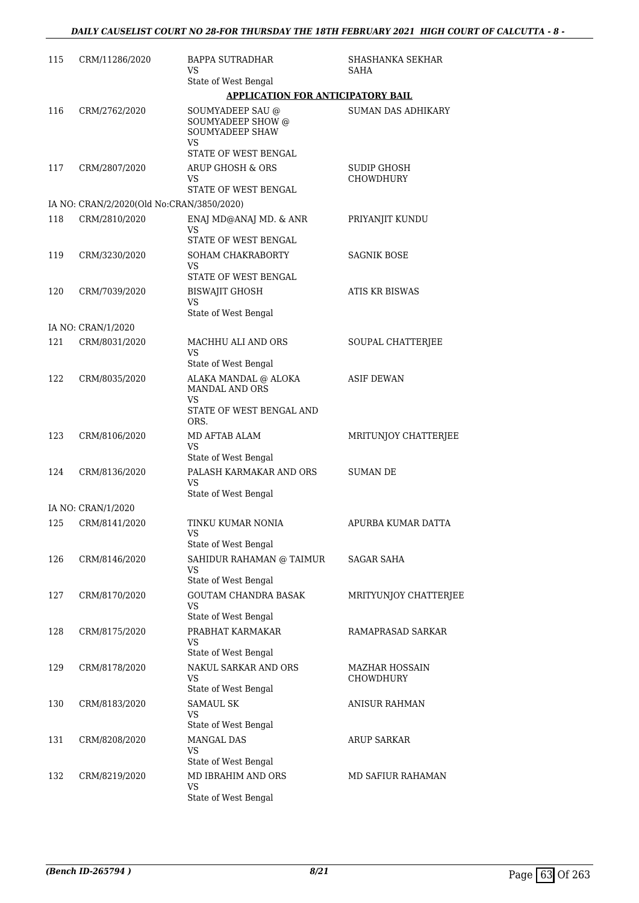| 115 | CRM/11286/2020                            | <b>BAPPA SUTRADHAR</b><br>VS.<br>State of West Bengal                                                 | SHASHANKA SEKHAR<br>SAHA           |
|-----|-------------------------------------------|-------------------------------------------------------------------------------------------------------|------------------------------------|
|     |                                           | <b>APPLICATION FOR ANTICIPATORY BAIL</b>                                                              |                                    |
| 116 | CRM/2762/2020                             | SOUMYADEEP SAU @<br><b>SOUMYADEEP SHOW @</b><br><b>SOUMYADEEP SHAW</b><br>VS.<br>STATE OF WEST BENGAL | <b>SUMAN DAS ADHIKARY</b>          |
| 117 | CRM/2807/2020                             | <b>ARUP GHOSH &amp; ORS</b><br>VS<br>STATE OF WEST BENGAL                                             | <b>SUDIP GHOSH</b><br>CHOWDHURY    |
|     | IA NO: CRAN/2/2020(Old No:CRAN/3850/2020) |                                                                                                       |                                    |
| 118 | CRM/2810/2020                             | ENAJ MD@ANAJ MD. & ANR<br>VS<br>STATE OF WEST BENGAL                                                  | PRIYANJIT KUNDU                    |
| 119 | CRM/3230/2020                             | SOHAM CHAKRABORTY<br>VS<br>STATE OF WEST BENGAL                                                       | SAGNIK BOSE                        |
| 120 | CRM/7039/2020                             | BISWAJIT GHOSH<br><b>VS</b><br>State of West Bengal                                                   | <b>ATIS KR BISWAS</b>              |
|     | IA NO: CRAN/1/2020                        |                                                                                                       |                                    |
| 121 | CRM/8031/2020                             | MACHHU ALI AND ORS<br>VS<br>State of West Bengal                                                      | SOUPAL CHATTERJEE                  |
| 122 | CRM/8035/2020                             | ALAKA MANDAL @ ALOKA<br>MANDAL AND ORS<br>VS.<br>STATE OF WEST BENGAL AND<br>ORS.                     | <b>ASIF DEWAN</b>                  |
| 123 | CRM/8106/2020                             | MD AFTAB ALAM<br>VS.<br>State of West Bengal                                                          | MRITUNJOY CHATTERJEE               |
| 124 | CRM/8136/2020                             | PALASH KARMAKAR AND ORS<br>VS.<br>State of West Bengal                                                | <b>SUMAN DE</b>                    |
|     | IA NO: CRAN/1/2020                        |                                                                                                       |                                    |
| 125 | CRM/8141/2020                             | TINKU KUMAR NONIA<br>VS<br>State of West Bengal                                                       | APURBA KUMAR DATTA                 |
| 126 | CRM/8146/2020                             | SAHIDUR RAHAMAN @ TAIMUR<br>VS.<br>State of West Bengal                                               | SAGAR SAHA                         |
| 127 | CRM/8170/2020                             | <b>GOUTAM CHANDRA BASAK</b><br>VS<br>State of West Bengal                                             | MRITYUNJOY CHATTERJEE              |
| 128 | CRM/8175/2020                             | PRABHAT KARMAKAR<br>VS<br>State of West Bengal                                                        | RAMAPRASAD SARKAR                  |
| 129 | CRM/8178/2020                             | NAKUL SARKAR AND ORS<br>VS<br>State of West Bengal                                                    | MAZHAR HOSSAIN<br><b>CHOWDHURY</b> |
| 130 | CRM/8183/2020                             | <b>SAMAUL SK</b><br>VS<br>State of West Bengal                                                        | <b>ANISUR RAHMAN</b>               |
| 131 | CRM/8208/2020                             | MANGAL DAS<br><b>VS</b><br>State of West Bengal                                                       | ARUP SARKAR                        |
| 132 | CRM/8219/2020                             | MD IBRAHIM AND ORS<br><b>VS</b><br>State of West Bengal                                               | MD SAFIUR RAHAMAN                  |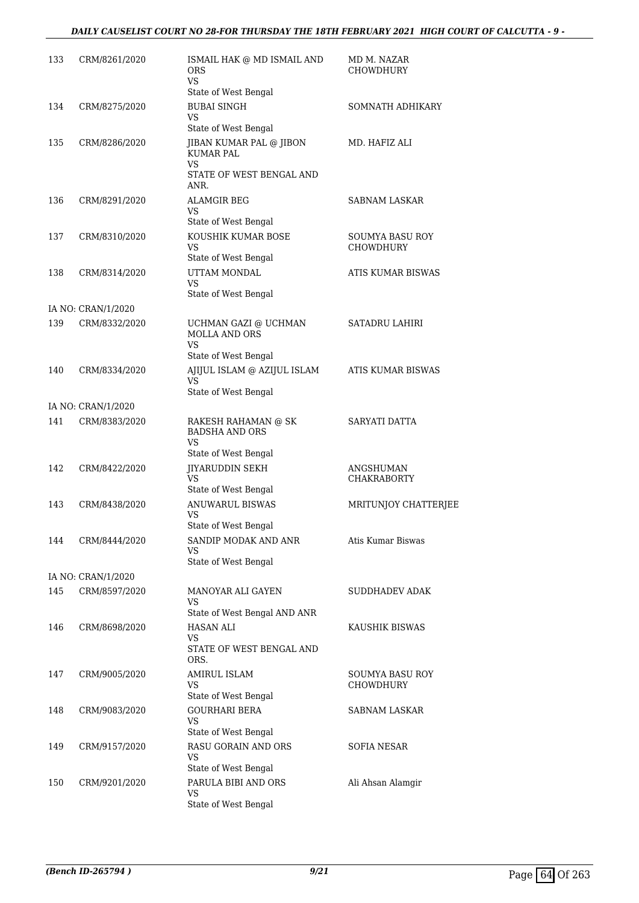#### *DAILY CAUSELIST COURT NO 28-FOR THURSDAY THE 18TH FEBRUARY 2021 HIGH COURT OF CALCUTTA - 9 -*

| 133 | CRM/8261/2020      | ISMAIL HAK @ MD ISMAIL AND<br><b>ORS</b><br>VS.                                       | MD M. NAZAR<br><b>CHOWDHURY</b>     |
|-----|--------------------|---------------------------------------------------------------------------------------|-------------------------------------|
| 134 | CRM/8275/2020      | State of West Bengal<br><b>BUBAI SINGH</b><br><b>VS</b>                               | SOMNATH ADHIKARY                    |
|     |                    | State of West Bengal                                                                  |                                     |
| 135 | CRM/8286/2020      | JIBAN KUMAR PAL @ JIBON<br><b>KUMAR PAL</b><br>VS<br>STATE OF WEST BENGAL AND<br>ANR. | MD. HAFIZ ALI                       |
| 136 | CRM/8291/2020      | <b>ALAMGIR BEG</b><br>VS<br>State of West Bengal                                      | SABNAM LASKAR                       |
| 137 | CRM/8310/2020      | KOUSHIK KUMAR BOSE<br>VS.<br>State of West Bengal                                     | SOUMYA BASU ROY<br><b>CHOWDHURY</b> |
| 138 | CRM/8314/2020      | UTTAM MONDAL<br>VS<br>State of West Bengal                                            | ATIS KUMAR BISWAS                   |
|     | IA NO: CRAN/1/2020 |                                                                                       |                                     |
| 139 | CRM/8332/2020      | UCHMAN GAZI @ UCHMAN<br><b>MOLLA AND ORS</b><br>VS.                                   | SATADRU LAHIRI                      |
|     |                    | State of West Bengal                                                                  |                                     |
| 140 | CRM/8334/2020      | AJIJUL ISLAM @ AZIJUL ISLAM<br>VS                                                     | ATIS KUMAR BISWAS                   |
|     |                    | State of West Bengal                                                                  |                                     |
|     | IA NO: CRAN/1/2020 |                                                                                       |                                     |
| 141 | CRM/8383/2020      | RAKESH RAHAMAN @ SK<br><b>BADSHA AND ORS</b><br>VS                                    | SARYATI DATTA                       |
|     |                    | State of West Bengal                                                                  |                                     |
| 142 | CRM/8422/2020      | <b>JIYARUDDIN SEKH</b><br>VS.<br>State of West Bengal                                 | ANGSHUMAN<br><b>CHAKRABORTY</b>     |
| 143 | CRM/8438/2020      | <b>ANUWARUL BISWAS</b><br>VS                                                          | MRITUNJOY CHATTERJEE                |
| 144 | CRM/8444/2020      | State of West Bengal<br>SANDIP MODAK AND ANR<br>VS.<br>State of West Bengal           | Atis Kumar Biswas                   |
|     | IA NO: CRAN/1/2020 |                                                                                       |                                     |
| 145 | CRM/8597/2020      | MANOYAR ALI GAYEN<br>VS                                                               | SUDDHADEV ADAK                      |
| 146 | CRM/8698/2020      | State of West Bengal AND ANR<br><b>HASAN ALI</b>                                      | KAUSHIK BISWAS                      |
|     |                    | VS.<br>STATE OF WEST BENGAL AND<br>ORS.                                               |                                     |
| 147 | CRM/9005/2020      | <b>AMIRUL ISLAM</b><br>VS<br>State of West Bengal                                     | <b>SOUMYA BASU ROY</b><br>CHOWDHURY |
| 148 | CRM/9083/2020      | <b>GOURHARI BERA</b><br>VS.<br>State of West Bengal                                   | SABNAM LASKAR                       |
| 149 | CRM/9157/2020      | RASU GORAIN AND ORS<br>VS<br>State of West Bengal                                     | SOFIA NESAR                         |
| 150 | CRM/9201/2020      | PARULA BIBI AND ORS<br>VS<br>State of West Bengal                                     | Ali Ahsan Alamgir                   |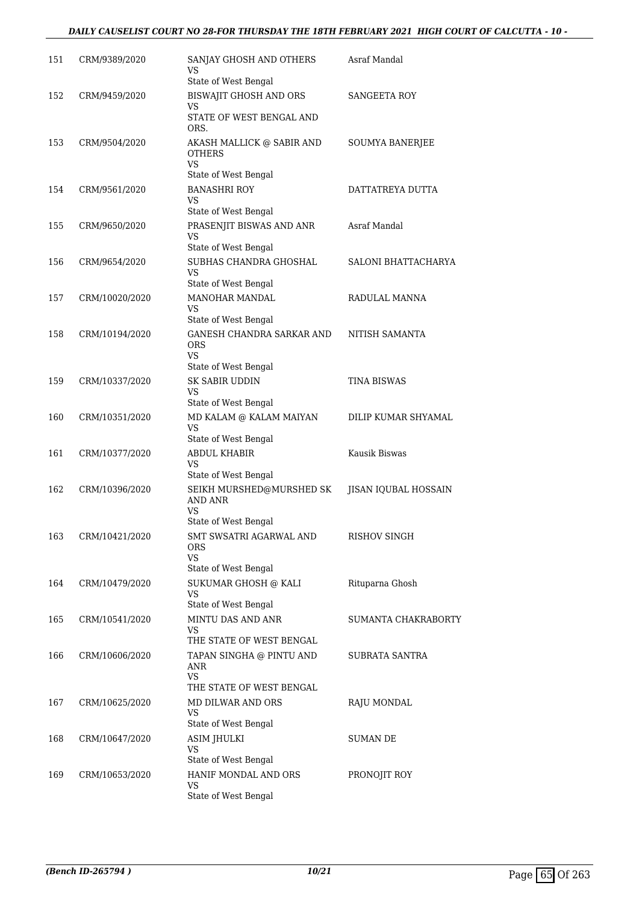#### *DAILY CAUSELIST COURT NO 28-FOR THURSDAY THE 18TH FEBRUARY 2021 HIGH COURT OF CALCUTTA - 10 -*

| 151 | CRM/9389/2020  | SANJAY GHOSH AND OTHERS<br>VS<br>State of West Bengal                                              | Asraf Mandal         |
|-----|----------------|----------------------------------------------------------------------------------------------------|----------------------|
| 152 | CRM/9459/2020  | BISWAJIT GHOSH AND ORS<br>VS                                                                       | SANGEETA ROY         |
| 153 | CRM/9504/2020  | STATE OF WEST BENGAL AND<br>ORS.<br>AKASH MALLICK @ SABIR AND                                      | SOUMYA BANERJEE      |
|     |                | <b>OTHERS</b><br><b>VS</b><br>State of West Bengal                                                 |                      |
| 154 | CRM/9561/2020  | <b>BANASHRI ROY</b><br>VS                                                                          | DATTATREYA DUTTA     |
|     |                | State of West Bengal                                                                               |                      |
| 155 | CRM/9650/2020  | PRASENJIT BISWAS AND ANR<br>VS<br>State of West Bengal                                             | Asraf Mandal         |
| 156 | CRM/9654/2020  | SUBHAS CHANDRA GHOSHAL<br>VS<br>State of West Bengal                                               | SALONI BHATTACHARYA  |
| 157 | CRM/10020/2020 | <b>MANOHAR MANDAL</b><br><b>VS</b><br>State of West Bengal                                         | RADULAL MANNA        |
| 158 | CRM/10194/2020 | <b>GANESH CHANDRA SARKAR AND</b><br><b>ORS</b><br><b>VS</b><br>State of West Bengal                | NITISH SAMANTA       |
| 159 | CRM/10337/2020 | SK SABIR UDDIN<br>VS                                                                               | <b>TINA BISWAS</b>   |
| 160 | CRM/10351/2020 | State of West Bengal<br>MD KALAM @ KALAM MAIYAN<br>VS<br>State of West Bengal                      | DILIP KUMAR SHYAMAL  |
| 161 | CRM/10377/2020 | ABDUL KHABIR<br>VS                                                                                 | Kausik Biswas        |
|     |                | State of West Bengal                                                                               |                      |
| 162 | CRM/10396/2020 | SEIKH MURSHED@MURSHED SK<br><b>AND ANR</b><br>VS                                                   | JISAN IQUBAL HOSSAIN |
| 163 | CRM/10421/2020 | State of West Bengal<br>SMT SWSATRI AGARWAL AND<br><b>ORS</b><br><b>VS</b><br>State of West Bengal | RISHOV SINGH         |
| 164 | CRM/10479/2020 | SUKUMAR GHOSH @ KALI<br>VS                                                                         | Rituparna Ghosh      |
|     |                | State of West Bengal                                                                               |                      |
| 165 | CRM/10541/2020 | MINTU DAS AND ANR<br>VS<br>THE STATE OF WEST BENGAL                                                | SUMANTA CHAKRABORTY  |
| 166 | CRM/10606/2020 | TAPAN SINGHA @ PINTU AND<br>ANR<br><b>VS</b>                                                       | SUBRATA SANTRA       |
| 167 | CRM/10625/2020 | THE STATE OF WEST BENGAL<br>MD DILWAR AND ORS<br>VS                                                | RAJU MONDAL          |
| 168 | CRM/10647/2020 | State of West Bengal<br><b>ASIM JHULKI</b><br>VS                                                   | <b>SUMAN DE</b>      |
| 169 | CRM/10653/2020 | State of West Bengal<br>HANIF MONDAL AND ORS<br>VS<br>State of West Bengal                         | PRONOJIT ROY         |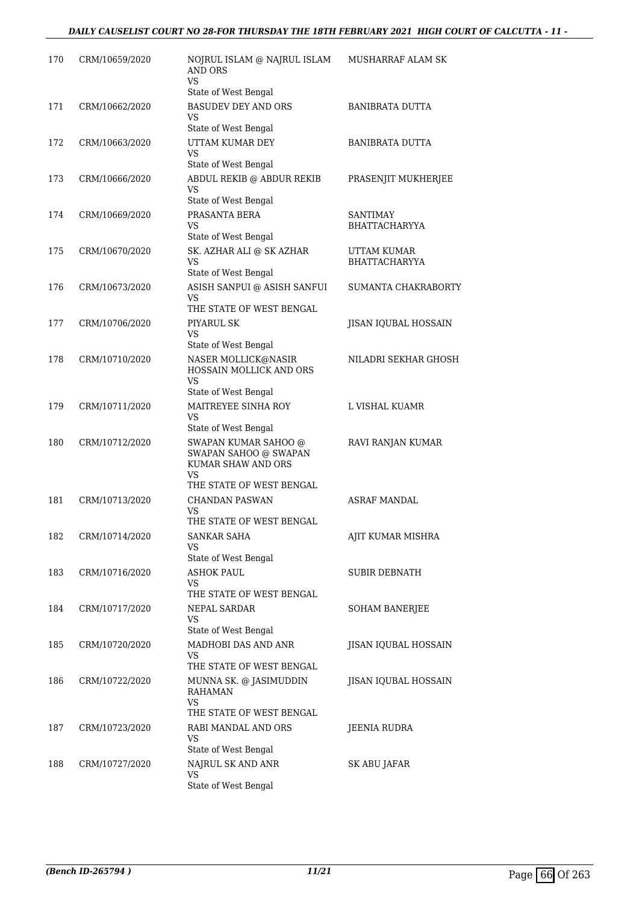| 170 | CRM/10659/2020 | NOJRUL ISLAM @ NAJRUL ISLAM<br><b>AND ORS</b><br>VS                                                   | MUSHARRAF ALAM SK                       |
|-----|----------------|-------------------------------------------------------------------------------------------------------|-----------------------------------------|
| 171 | CRM/10662/2020 | State of West Bengal<br><b>BASUDEV DEY AND ORS</b><br>VS                                              | <b>BANIBRATA DUTTA</b>                  |
| 172 | CRM/10663/2020 | State of West Bengal<br>UTTAM KUMAR DEY<br>VS                                                         | <b>BANIBRATA DUTTA</b>                  |
| 173 | CRM/10666/2020 | State of West Bengal<br>ABDUL REKIB @ ABDUR REKIB<br>VS                                               | PRASENJIT MUKHERJEE                     |
| 174 | CRM/10669/2020 | State of West Bengal<br>PRASANTA BERA<br>VS<br>State of West Bengal                                   | <b>SANTIMAY</b><br><b>BHATTACHARYYA</b> |
| 175 | CRM/10670/2020 | SK. AZHAR ALI @ SK AZHAR<br>VS.<br>State of West Bengal                                               | UTTAM KUMAR<br><b>BHATTACHARYYA</b>     |
| 176 | CRM/10673/2020 | ASISH SANPUI @ ASISH SANFUI<br>VS                                                                     | SUMANTA CHAKRABORTY                     |
| 177 | CRM/10706/2020 | THE STATE OF WEST BENGAL<br>PIYARUL SK<br>VS<br>State of West Bengal                                  | JISAN IQUBAL HOSSAIN                    |
| 178 | CRM/10710/2020 | NASER MOLLICK@NASIR<br>HOSSAIN MOLLICK AND ORS<br>VS                                                  | NILADRI SEKHAR GHOSH                    |
| 179 | CRM/10711/2020 | State of West Bengal<br>MAITREYEE SINHA ROY<br>VS<br>State of West Bengal                             | L VISHAL KUAMR                          |
| 180 | CRM/10712/2020 | SWAPAN KUMAR SAHOO @<br>SWAPAN SAHOO @ SWAPAN<br>KUMAR SHAW AND ORS<br>VS<br>THE STATE OF WEST BENGAL | RAVI RANJAN KUMAR                       |
| 181 | CRM/10713/2020 | <b>CHANDAN PASWAN</b><br>VS<br>THE STATE OF WEST BENGAL                                               | <b>ASRAF MANDAL</b>                     |
| 182 | CRM/10714/2020 | SANKAR SAHA<br>VS                                                                                     | AJIT KUMAR MISHRA                       |
| 183 | CRM/10716/2020 | State of West Bengal<br><b>ASHOK PAUL</b><br>VS<br>THE STATE OF WEST BENGAL                           | <b>SUBIR DEBNATH</b>                    |
| 184 | CRM/10717/2020 | NEPAL SARDAR<br>VS<br>State of West Bengal                                                            | <b>SOHAM BANERJEE</b>                   |
| 185 | CRM/10720/2020 | MADHOBI DAS AND ANR<br>VS.<br>THE STATE OF WEST BENGAL                                                | JISAN IQUBAL HOSSAIN                    |
| 186 | CRM/10722/2020 | MUNNA SK. @ JASIMUDDIN<br>RAHAMAN<br>VS<br>THE STATE OF WEST BENGAL                                   | JISAN IQUBAL HOSSAIN                    |
| 187 | CRM/10723/2020 | RABI MANDAL AND ORS<br>VS<br>State of West Bengal                                                     | JEENIA RUDRA                            |
| 188 | CRM/10727/2020 | NAJRUL SK AND ANR<br>VS<br>State of West Bengal                                                       | SK ABU JAFAR                            |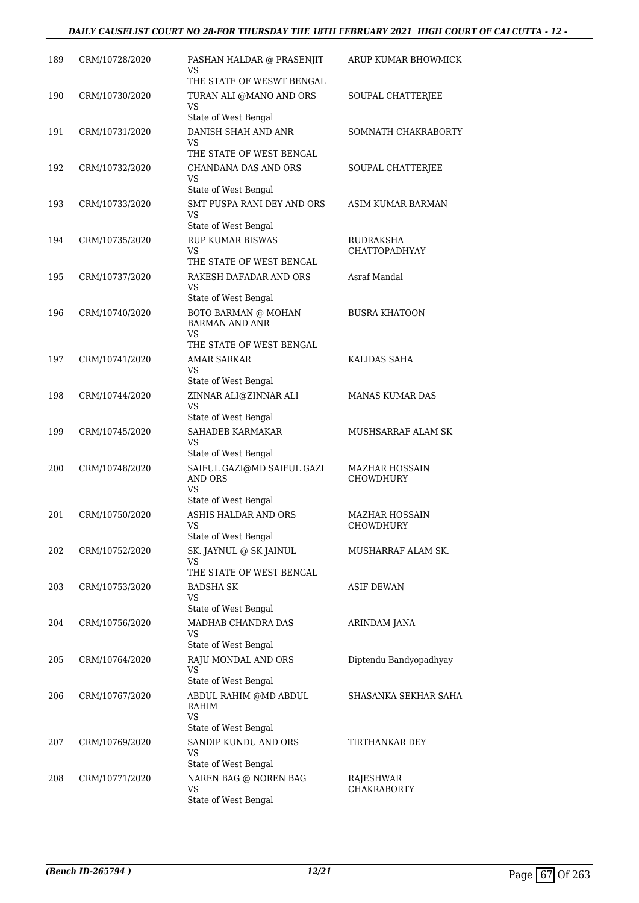#### *DAILY CAUSELIST COURT NO 28-FOR THURSDAY THE 18TH FEBRUARY 2021 HIGH COURT OF CALCUTTA - 12 -*

| 189 | CRM/10728/2020 | PASHAN HALDAR @ PRASENJIT<br>VS<br>THE STATE OF WESWT BENGAL                | ARUP KUMAR BHOWMICK                       |
|-----|----------------|-----------------------------------------------------------------------------|-------------------------------------------|
| 190 | CRM/10730/2020 | TURAN ALI @MANO AND ORS<br>VS                                               | SOUPAL CHATTERJEE                         |
| 191 | CRM/10731/2020 | State of West Bengal<br>DANISH SHAH AND ANR<br>VS.                          | SOMNATH CHAKRABORTY                       |
| 192 | CRM/10732/2020 | THE STATE OF WEST BENGAL<br>CHANDANA DAS AND ORS<br>VS                      | SOUPAL CHATTERJEE                         |
| 193 | CRM/10733/2020 | State of West Bengal<br>SMT PUSPA RANI DEY AND ORS<br>VS                    | ASIM KUMAR BARMAN                         |
| 194 | CRM/10735/2020 | State of West Bengal<br><b>RUP KUMAR BISWAS</b><br>VS                       | RUDRAKSHA<br><b>CHATTOPADHYAY</b>         |
| 195 | CRM/10737/2020 | THE STATE OF WEST BENGAL<br>RAKESH DAFADAR AND ORS<br>VS                    | Asraf Mandal                              |
| 196 | CRM/10740/2020 | State of West Bengal<br><b>BOTO BARMAN @ MOHAN</b><br><b>BARMAN AND ANR</b> | <b>BUSRA KHATOON</b>                      |
| 197 | CRM/10741/2020 | VS<br>THE STATE OF WEST BENGAL<br><b>AMAR SARKAR</b>                        | KALIDAS SAHA                              |
| 198 | CRM/10744/2020 | VS<br>State of West Bengal<br>ZINNAR ALI@ZINNAR ALI                         | <b>MANAS KUMAR DAS</b>                    |
| 199 | CRM/10745/2020 | VS<br>State of West Bengal<br>SAHADEB KARMAKAR                              | MUSHSARRAF ALAM SK                        |
|     |                | VS<br>State of West Bengal                                                  |                                           |
| 200 | CRM/10748/2020 | SAIFUL GAZI@MD SAIFUL GAZI<br><b>AND ORS</b><br>VS<br>State of West Bengal  | MAZHAR HOSSAIN<br><b>CHOWDHURY</b>        |
| 201 | CRM/10750/2020 | ASHIS HALDAR AND ORS<br>VS<br>State of West Bengal                          | <b>MAZHAR HOSSAIN</b><br><b>CHOWDHURY</b> |
| 202 | CRM/10752/2020 | SK. JAYNUL @ SK JAINUL<br>VS.<br>THE STATE OF WEST BENGAL                   | MUSHARRAF ALAM SK.                        |
| 203 | CRM/10753/2020 | BADSHA SK<br>VS<br>State of West Bengal                                     | <b>ASIF DEWAN</b>                         |
| 204 | CRM/10756/2020 | MADHAB CHANDRA DAS<br>VS<br>State of West Bengal                            | ARINDAM JANA                              |
| 205 | CRM/10764/2020 | RAJU MONDAL AND ORS<br>VS<br>State of West Bengal                           | Diptendu Bandyopadhyay                    |
| 206 | CRM/10767/2020 | ABDUL RAHIM @MD ABDUL<br>RAHIM<br><b>VS</b>                                 | SHASANKA SEKHAR SAHA                      |
| 207 | CRM/10769/2020 | State of West Bengal<br>SANDIP KUNDU AND ORS<br>VS<br>State of West Bengal  | TIRTHANKAR DEY                            |
| 208 | CRM/10771/2020 | NAREN BAG @ NOREN BAG<br>VS<br>State of West Bengal                         | RAJESHWAR<br><b>CHAKRABORTY</b>           |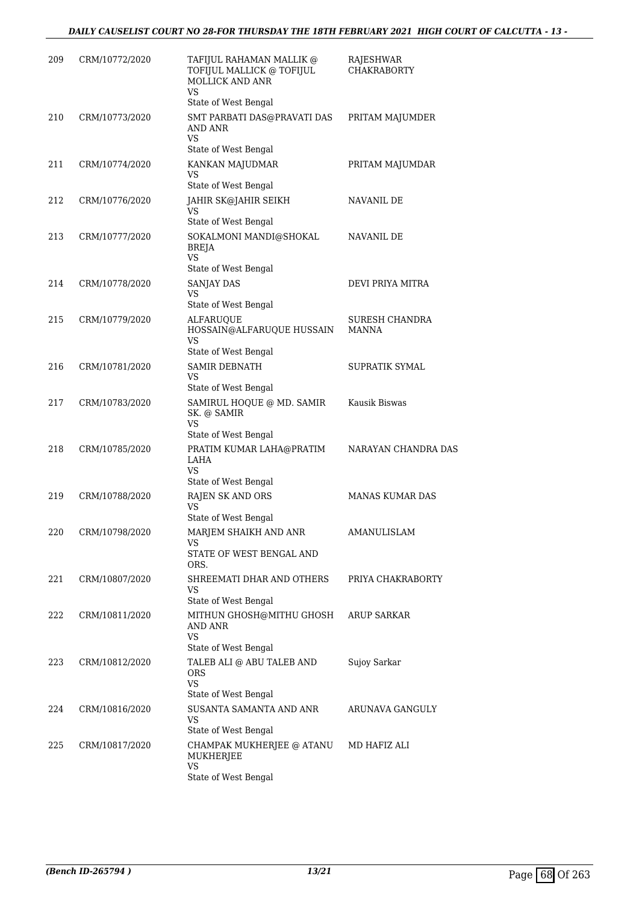| 209 | CRM/10772/2020 | TAFIJUL RAHAMAN MALLIK @<br>TOFIJUL MALLICK @ TOFIJUL<br>MOLLICK AND ANR<br><b>VS</b> | RAJESHWAR<br><b>CHAKRABORTY</b> |
|-----|----------------|---------------------------------------------------------------------------------------|---------------------------------|
|     |                | State of West Bengal                                                                  |                                 |
| 210 | CRM/10773/2020 | SMT PARBATI DAS@PRAVATI DAS<br>AND ANR<br>VS                                          | PRITAM MAJUMDER                 |
|     |                | State of West Bengal                                                                  |                                 |
| 211 | CRM/10774/2020 | KANKAN MAJUDMAR<br>VS<br>State of West Bengal                                         | PRITAM MAJUMDAR                 |
| 212 | CRM/10776/2020 | JAHIR SK@JAHIR SEIKH<br>VS                                                            | NAVANIL DE                      |
|     |                | State of West Bengal                                                                  |                                 |
| 213 | CRM/10777/2020 | SOKALMONI MANDI@SHOKAL<br><b>BREJA</b><br>VS                                          | NAVANIL DE                      |
| 214 | CRM/10778/2020 | State of West Bengal<br>SANJAY DAS                                                    | DEVI PRIYA MITRA                |
|     |                | VS<br>State of West Bengal                                                            |                                 |
| 215 | CRM/10779/2020 | <b>ALFARUQUE</b>                                                                      | SURESH CHANDRA                  |
|     |                | HOSSAIN@ALFARUQUE HUSSAIN<br>VS                                                       | MANNA                           |
|     |                | State of West Bengal                                                                  |                                 |
| 216 | CRM/10781/2020 | <b>SAMIR DEBNATH</b><br>VS<br>State of West Bengal                                    | SUPRATIK SYMAL                  |
| 217 | CRM/10783/2020 | SAMIRUL HOQUE @ MD. SAMIR<br>SK. @ SAMIR<br>VS                                        | Kausik Biswas                   |
|     |                | State of West Bengal                                                                  |                                 |
| 218 | CRM/10785/2020 | PRATIM KUMAR LAHA@PRATIM<br>LAHA<br><b>VS</b><br>State of West Bengal                 | NARAYAN CHANDRA DAS             |
| 219 | CRM/10788/2020 | RAJEN SK AND ORS                                                                      | MANAS KUMAR DAS                 |
|     |                | VS<br>State of West Bengal                                                            |                                 |
| 220 | CRM/10798/2020 | MARJEM SHAIKH AND ANR                                                                 | AMANULISLAM                     |
|     |                | VS<br>STATE OF WEST BENGAL AND<br>ORS.                                                |                                 |
| 221 | CRM/10807/2020 | SHREEMATI DHAR AND OTHERS                                                             | PRIYA CHAKRABORTY               |
|     |                | VS<br>State of West Bengal                                                            |                                 |
| 222 | CRM/10811/2020 | MITHUN GHOSH@MITHU GHOSH<br>AND ANR<br>VS                                             | ARUP SARKAR                     |
|     |                | State of West Bengal                                                                  |                                 |
| 223 | CRM/10812/2020 | TALEB ALI @ ABU TALEB AND<br><b>ORS</b><br><b>VS</b><br>State of West Bengal          | Sujoy Sarkar                    |
| 224 | CRM/10816/2020 | SUSANTA SAMANTA AND ANR                                                               | ARUNAVA GANGULY                 |
|     |                | VS<br>State of West Bengal                                                            |                                 |
| 225 | CRM/10817/2020 | CHAMPAK MUKHERJEE @ ATANU<br>MUKHERJEE<br><b>VS</b>                                   | MD HAFIZ ALI                    |
|     |                | State of West Bengal                                                                  |                                 |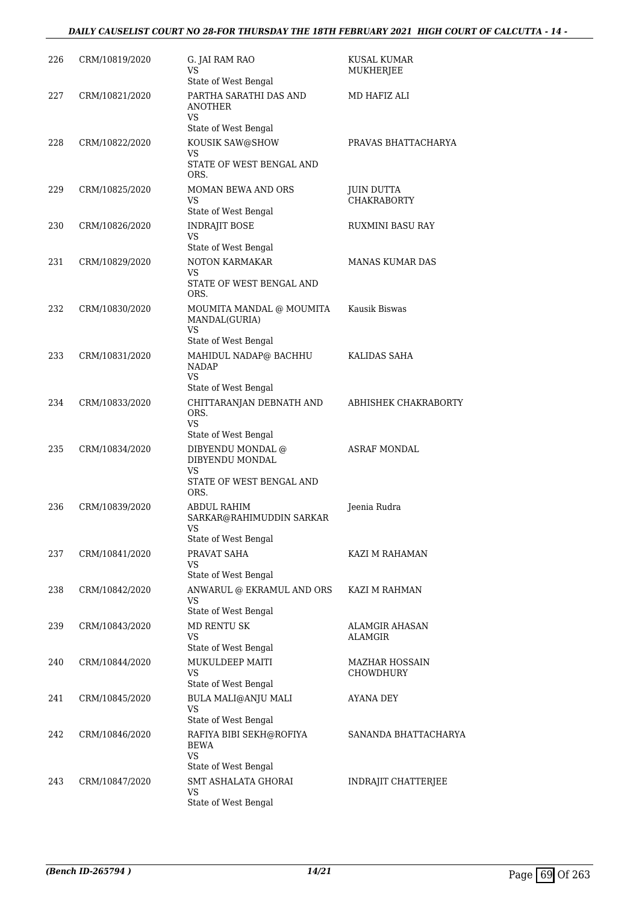#### *DAILY CAUSELIST COURT NO 28-FOR THURSDAY THE 18TH FEBRUARY 2021 HIGH COURT OF CALCUTTA - 14 -*

| 226 | CRM/10819/2020 | G. JAI RAM RAO<br>VS<br>State of West Bengal                                                           | KUSAL KUMAR<br>MUKHERJEE                |
|-----|----------------|--------------------------------------------------------------------------------------------------------|-----------------------------------------|
| 227 | CRM/10821/2020 | PARTHA SARATHI DAS AND<br>ANOTHER<br>VS                                                                | MD HAFIZ ALI                            |
| 228 | CRM/10822/2020 | State of West Bengal<br>KOUSIK SAW@SHOW<br>VS<br>STATE OF WEST BENGAL AND<br>ORS.                      | PRAVAS BHATTACHARYA                     |
| 229 | CRM/10825/2020 | MOMAN BEWA AND ORS<br>VS<br>State of West Bengal                                                       | <b>JUIN DUTTA</b><br><b>CHAKRABORTY</b> |
| 230 | CRM/10826/2020 | <b>INDRAJIT BOSE</b><br>VS<br>State of West Bengal                                                     | RUXMINI BASU RAY                        |
| 231 | CRM/10829/2020 | <b>NOTON KARMAKAR</b><br>VS<br>STATE OF WEST BENGAL AND<br>ORS.                                        | <b>MANAS KUMAR DAS</b>                  |
| 232 | CRM/10830/2020 | MOUMITA MANDAL @ MOUMITA<br>MANDAL(GURIA)<br>VS<br>State of West Bengal                                | Kausik Biswas                           |
| 233 | CRM/10831/2020 | MAHIDUL NADAP@ BACHHU<br><b>NADAP</b><br>VS                                                            | KALIDAS SAHA                            |
| 234 | CRM/10833/2020 | State of West Bengal<br>CHITTARANJAN DEBNATH AND<br>ORS.<br>VS                                         | ABHISHEK CHAKRABORTY                    |
| 235 | CRM/10834/2020 | State of West Bengal<br>DIBYENDU MONDAL @<br>DIBYENDU MONDAL<br>VS<br>STATE OF WEST BENGAL AND<br>ORS. | <b>ASRAF MONDAL</b>                     |
| 236 | CRM/10839/2020 | ABDUL RAHIM<br>SARKAR@RAHIMUDDIN SARKAR<br>VS<br>State of West Bengal                                  | Jeenia Rudra                            |
| 237 | CRM/10841/2020 | PRAVAT SAHA<br>VS<br>State of West Bengal                                                              | KAZI M RAHAMAN                          |
| 238 | CRM/10842/2020 | ANWARUL @ EKRAMUL AND ORS<br><b>VS</b><br>State of West Bengal                                         | KAZI M RAHMAN                           |
| 239 | CRM/10843/2020 | <b>MD RENTU SK</b><br>VS<br>State of West Bengal                                                       | <b>ALAMGIR AHASAN</b><br><b>ALAMGIR</b> |
| 240 | CRM/10844/2020 | MUKULDEEP MAITI<br><b>VS</b><br>State of West Bengal                                                   | <b>MAZHAR HOSSAIN</b><br>CHOWDHURY      |
| 241 | CRM/10845/2020 | BULA MALI@ANJU MALI<br>VS<br>State of West Bengal                                                      | AYANA DEY                               |
| 242 | CRM/10846/2020 | RAFIYA BIBI SEKH@ROFIYA<br><b>BEWA</b><br><b>VS</b><br>State of West Bengal                            | SANANDA BHATTACHARYA                    |
| 243 | CRM/10847/2020 | SMT ASHALATA GHORAI<br>VS<br>State of West Bengal                                                      | INDRAJIT CHATTERJEE                     |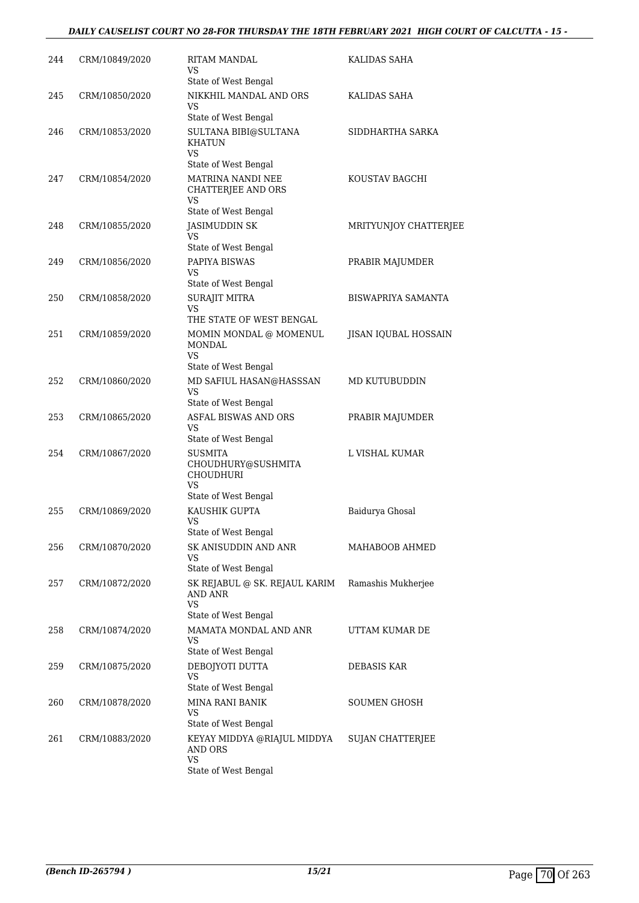#### *DAILY CAUSELIST COURT NO 28-FOR THURSDAY THE 18TH FEBRUARY 2021 HIGH COURT OF CALCUTTA - 15 -*

| 244 | CRM/10849/2020 | RITAM MANDAL<br>VS<br>State of West Bengal                                             | KALIDAS SAHA              |
|-----|----------------|----------------------------------------------------------------------------------------|---------------------------|
| 245 | CRM/10850/2020 | NIKKHIL MANDAL AND ORS<br>VS                                                           | KALIDAS SAHA              |
| 246 | CRM/10853/2020 | State of West Bengal<br>SULTANA BIBI@SULTANA<br>KHATUN                                 | SIDDHARTHA SARKA          |
| 247 | CRM/10854/2020 | VS<br>State of West Bengal<br>MATRINA NANDI NEE<br>CHATTERJEE AND ORS<br>VS            | KOUSTAV BAGCHI            |
| 248 | CRM/10855/2020 | State of West Bengal<br>JASIMUDDIN SK<br>VS.                                           | MRITYUNJOY CHATTERJEE     |
| 249 | CRM/10856/2020 | State of West Bengal<br>PAPIYA BISWAS<br>VS.                                           | PRABIR MAJUMDER           |
| 250 | CRM/10858/2020 | State of West Bengal<br>SURAJIT MITRA<br>VS                                            | <b>BISWAPRIYA SAMANTA</b> |
| 251 | CRM/10859/2020 | THE STATE OF WEST BENGAL<br>MOMIN MONDAL @ MOMENUL<br><b>MONDAL</b><br><b>VS</b>       | JISAN IQUBAL HOSSAIN      |
| 252 | CRM/10860/2020 | State of West Bengal<br>MD SAFIUL HASAN@HASSSAN<br>VS<br>State of West Bengal          | MD KUTUBUDDIN             |
| 253 | CRM/10865/2020 | <b>ASFAL BISWAS AND ORS</b><br>VS<br>State of West Bengal                              | PRABIR MAJUMDER           |
| 254 | CRM/10867/2020 | <b>SUSMITA</b><br>CHOUDHURY@SUSHMITA<br><b>CHOUDHURI</b><br>VS<br>State of West Bengal | L VISHAL KUMAR            |
| 255 | CRM/10869/2020 | KAUSHIK GUPTA<br>VS<br>State of West Bengal                                            | Baidurya Ghosal           |
| 256 | CRM/10870/2020 | SK ANISUDDIN AND ANR<br>VS<br>State of West Bengal                                     | MAHABOOB AHMED            |
| 257 | CRM/10872/2020 | SK REJABUL @ SK. REJAUL KARIM<br>AND ANR<br><b>VS</b>                                  | Ramashis Mukherjee        |
| 258 | CRM/10874/2020 | State of West Bengal<br>MAMATA MONDAL AND ANR<br>VS<br>State of West Bengal            | UTTAM KUMAR DE            |
| 259 | CRM/10875/2020 | DEBOJYOTI DUTTA<br>VS<br>State of West Bengal                                          | DEBASIS KAR               |
| 260 | CRM/10878/2020 | MINA RANI BANIK<br>VS<br>State of West Bengal                                          | SOUMEN GHOSH              |
| 261 | CRM/10883/2020 | KEYAY MIDDYA @RIAJUL MIDDYA<br>AND ORS<br>VS<br>State of West Bengal                   | <b>SUJAN CHATTERJEE</b>   |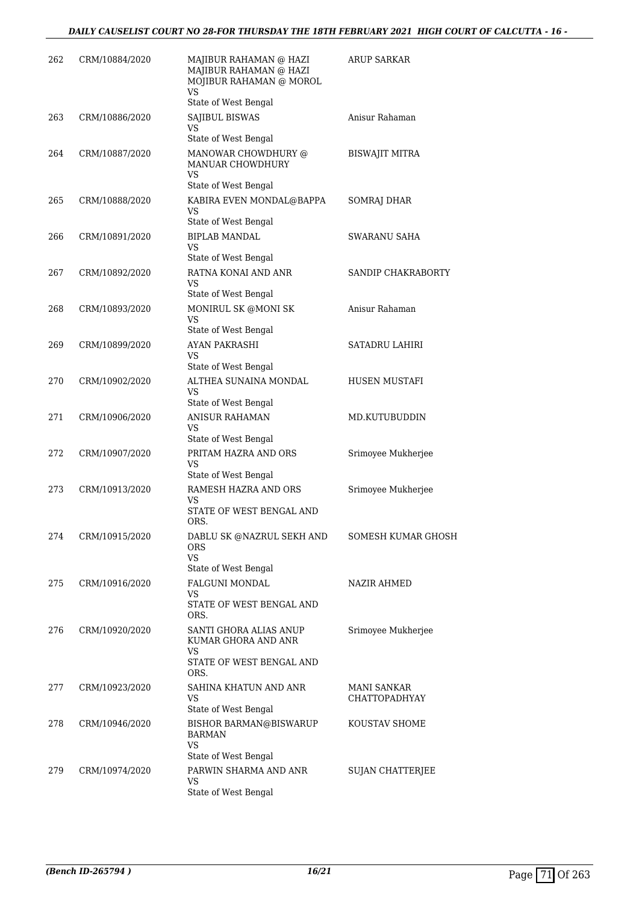| 262 | CRM/10884/2020 | MAJIBUR RAHAMAN @ HAZI<br>MAJIBUR RAHAMAN @ HAZI<br>MOJIBUR RAHAMAN @ MOROL<br>VS<br>State of West Bengal | <b>ARUP SARKAR</b>                  |
|-----|----------------|-----------------------------------------------------------------------------------------------------------|-------------------------------------|
| 263 | CRM/10886/2020 | SAJIBUL BISWAS<br>VS.<br>State of West Bengal                                                             | Anisur Rahaman                      |
| 264 | CRM/10887/2020 | MANOWAR CHOWDHURY @<br>MANUAR CHOWDHURY<br>VS<br>State of West Bengal                                     | BISWAJIT MITRA                      |
| 265 | CRM/10888/2020 | KABIRA EVEN MONDAL@BAPPA<br><b>VS</b><br>State of West Bengal                                             | SOMRAJ DHAR                         |
| 266 | CRM/10891/2020 | <b>BIPLAB MANDAL</b><br>VS<br>State of West Bengal                                                        | <b>SWARANU SAHA</b>                 |
| 267 | CRM/10892/2020 | RATNA KONAI AND ANR<br>VS<br>State of West Bengal                                                         | SANDIP CHAKRABORTY                  |
| 268 | CRM/10893/2020 | MONIRUL SK @MONI SK<br>VS<br>State of West Bengal                                                         | Anisur Rahaman                      |
| 269 | CRM/10899/2020 | <b>AYAN PAKRASHI</b><br>VS<br>State of West Bengal                                                        | <b>SATADRU LAHIRI</b>               |
| 270 | CRM/10902/2020 | ALTHEA SUNAINA MONDAL<br>VS<br>State of West Bengal                                                       | HUSEN MUSTAFI                       |
| 271 | CRM/10906/2020 | <b>ANISUR RAHAMAN</b><br><b>VS</b><br>State of West Bengal                                                | MD.KUTUBUDDIN                       |
| 272 | CRM/10907/2020 | PRITAM HAZRA AND ORS<br>VS<br>State of West Bengal                                                        | Srimoyee Mukherjee                  |
| 273 | CRM/10913/2020 | RAMESH HAZRA AND ORS<br>VS<br>STATE OF WEST BENGAL AND<br>ORS.                                            | Srimoyee Mukherjee                  |
| 274 | CRM/10915/2020 | DABLU SK @NAZRUL SEKH AND<br><b>ORS</b><br><b>VS</b><br>State of West Bengal                              | SOMESH KUMAR GHOSH                  |
| 275 | CRM/10916/2020 | FALGUNI MONDAL<br>VS.<br>STATE OF WEST BENGAL AND<br>ORS.                                                 | <b>NAZIR AHMED</b>                  |
| 276 | CRM/10920/2020 | SANTI GHORA ALIAS ANUP<br>KUMAR GHORA AND ANR<br>VS<br>STATE OF WEST BENGAL AND<br>ORS.                   | Srimoyee Mukherjee                  |
| 277 | CRM/10923/2020 | SAHINA KHATUN AND ANR<br>VS<br>State of West Bengal                                                       | MANI SANKAR<br><b>CHATTOPADHYAY</b> |
| 278 | CRM/10946/2020 | <b>BISHOR BARMAN@BISWARUP</b><br><b>BARMAN</b><br><b>VS</b><br>State of West Bengal                       | KOUSTAV SHOME                       |
| 279 | CRM/10974/2020 | PARWIN SHARMA AND ANR<br>VS<br>State of West Bengal                                                       | <b>SUJAN CHATTERJEE</b>             |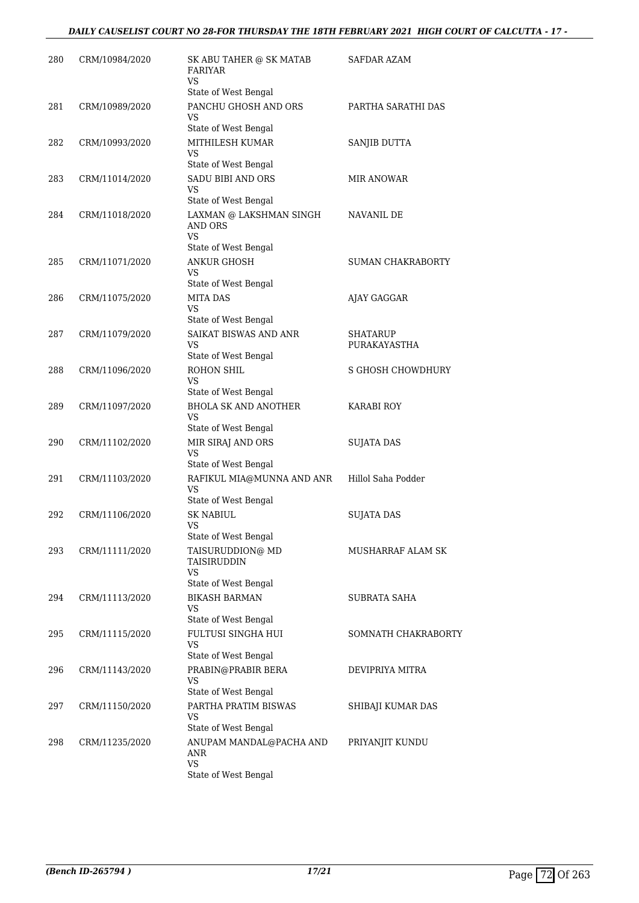| 280 | CRM/10984/2020 | SK ABU TAHER @ SK MATAB<br><b>FARIYAR</b><br>VS<br>State of West Bengal       | <b>SAFDAR AZAM</b>              |
|-----|----------------|-------------------------------------------------------------------------------|---------------------------------|
| 281 | CRM/10989/2020 | PANCHU GHOSH AND ORS<br>VS                                                    | PARTHA SARATHI DAS              |
| 282 | CRM/10993/2020 | State of West Bengal<br>MITHILESH KUMAR<br>VS                                 | SANJIB DUTTA                    |
| 283 | CRM/11014/2020 | State of West Bengal<br><b>SADU BIBI AND ORS</b><br><b>VS</b>                 | <b>MIR ANOWAR</b>               |
| 284 | CRM/11018/2020 | State of West Bengal<br>LAXMAN @ LAKSHMAN SINGH<br>AND ORS<br><b>VS</b>       | NAVANIL DE                      |
| 285 | CRM/11071/2020 | State of West Bengal<br><b>ANKUR GHOSH</b><br>VS<br>State of West Bengal      | <b>SUMAN CHAKRABORTY</b>        |
| 286 | CRM/11075/2020 | <b>MITA DAS</b><br>VS<br>State of West Bengal                                 | AJAY GAGGAR                     |
| 287 | CRM/11079/2020 | SAIKAT BISWAS AND ANR<br>VS<br>State of West Bengal                           | <b>SHATARUP</b><br>PURAKAYASTHA |
| 288 | CRM/11096/2020 | ROHON SHIL<br>VS<br>State of West Bengal                                      | <b>S GHOSH CHOWDHURY</b>        |
| 289 | CRM/11097/2020 | <b>BHOLA SK AND ANOTHER</b><br>VS                                             | <b>KARABI ROY</b>               |
| 290 | CRM/11102/2020 | State of West Bengal<br>MIR SIRAJ AND ORS<br><b>VS</b>                        | <b>SUJATA DAS</b>               |
| 291 | CRM/11103/2020 | State of West Bengal<br>RAFIKUL MIA@MUNNA AND ANR<br><b>VS</b>                | Hillol Saha Podder              |
| 292 | CRM/11106/2020 | State of West Bengal<br><b>SK NABIUL</b><br><b>VS</b><br>State of West Bengal | SUJATA DAS                      |
| 293 | CRM/11111/2020 | TAISURUDDION@ MD<br>TAISIRUDDIN<br>VS                                         | MUSHARRAF ALAM SK               |
| 294 | CRM/11113/2020 | State of West Bengal<br><b>BIKASH BARMAN</b><br>VS                            | <b>SUBRATA SAHA</b>             |
| 295 | CRM/11115/2020 | State of West Bengal<br><b>FULTUSI SINGHA HUI</b><br><b>VS</b>                | SOMNATH CHAKRABORTY             |
| 296 | CRM/11143/2020 | State of West Bengal<br>PRABIN@PRABIR BERA<br>VS<br>State of West Bengal      | DEVIPRIYA MITRA                 |
| 297 | CRM/11150/2020 | PARTHA PRATIM BISWAS<br><b>VS</b><br>State of West Bengal                     | SHIBAJI KUMAR DAS               |
| 298 | CRM/11235/2020 | ANUPAM MANDAL@PACHA AND<br>ANR<br><b>VS</b><br>State of West Bengal           | PRIYANJIT KUNDU                 |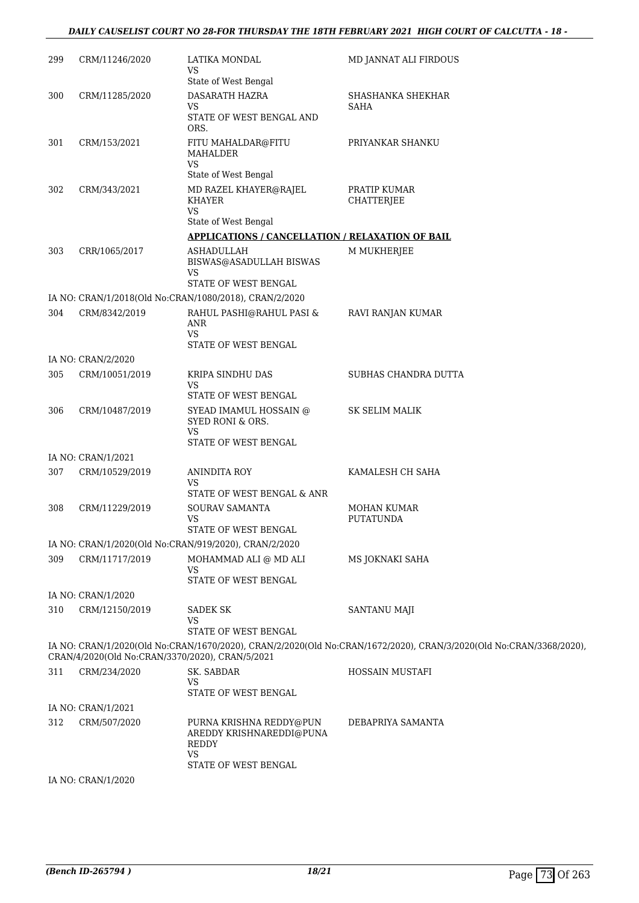### *DAILY CAUSELIST COURT NO 28-FOR THURSDAY THE 18TH FEBRUARY 2021 HIGH COURT OF CALCUTTA - 18 -*

| 299 | CRM/11246/2020     | LATIKA MONDAL<br>VS                                                             | MD JANNAT ALI FIRDOUS                                                                                              |
|-----|--------------------|---------------------------------------------------------------------------------|--------------------------------------------------------------------------------------------------------------------|
|     |                    | State of West Bengal                                                            |                                                                                                                    |
| 300 | CRM/11285/2020     | DASARATH HAZRA<br>VS                                                            | SHASHANKA SHEKHAR<br><b>SAHA</b>                                                                                   |
|     |                    | STATE OF WEST BENGAL AND<br>ORS.                                                |                                                                                                                    |
| 301 | CRM/153/2021       | FITU MAHALDAR@FITU<br>MAHALDER<br><b>VS</b>                                     | PRIYANKAR SHANKU                                                                                                   |
|     |                    | State of West Bengal                                                            |                                                                                                                    |
| 302 | CRM/343/2021       | MD RAZEL KHAYER@RAJEL<br><b>KHAYER</b><br><b>VS</b>                             | PRATIP KUMAR<br><b>CHATTERJEE</b>                                                                                  |
|     |                    | State of West Bengal                                                            |                                                                                                                    |
|     |                    | <b>APPLICATIONS / CANCELLATION / RELAXATION OF BAIL</b>                         |                                                                                                                    |
| 303 | CRR/1065/2017      | <b>ASHADULLAH</b><br>BISWAS@ASADULLAH BISWAS<br>VS                              | M MUKHERJEE                                                                                                        |
|     |                    | STATE OF WEST BENGAL                                                            |                                                                                                                    |
|     |                    | IA NO: CRAN/1/2018(Old No:CRAN/1080/2018), CRAN/2/2020                          |                                                                                                                    |
| 304 | CRM/8342/2019      | RAHUL PASHI@RAHUL PASI &<br>ANR<br><b>VS</b>                                    | RAVI RANJAN KUMAR                                                                                                  |
|     |                    | STATE OF WEST BENGAL                                                            |                                                                                                                    |
|     | IA NO: CRAN/2/2020 |                                                                                 |                                                                                                                    |
| 305 | CRM/10051/2019     | KRIPA SINDHU DAS<br>VS                                                          | SUBHAS CHANDRA DUTTA                                                                                               |
| 306 | CRM/10487/2019     | STATE OF WEST BENGAL<br>SYEAD IMAMUL HOSSAIN @<br>SYED RONI & ORS.<br><b>VS</b> | <b>SK SELIM MALIK</b>                                                                                              |
|     |                    | STATE OF WEST BENGAL                                                            |                                                                                                                    |
|     | IA NO: CRAN/1/2021 |                                                                                 |                                                                                                                    |
| 307 | CRM/10529/2019     | <b>ANINDITA ROY</b><br>VS<br>STATE OF WEST BENGAL & ANR                         | KAMALESH CH SAHA                                                                                                   |
| 308 | CRM/11229/2019     | SOURAV SAMANTA<br><b>VS</b><br>STATE OF WEST BENGAL                             | <b>MOHAN KUMAR</b><br><b>PUTATUNDA</b>                                                                             |
|     |                    | IA NO: CRAN/1/2020(Old No:CRAN/919/2020), CRAN/2/2020                           |                                                                                                                    |
| 309 | CRM/11717/2019     | MOHAMMAD ALI @ MD ALI<br><b>VS</b>                                              | MS JOKNAKI SAHA                                                                                                    |
|     |                    | STATE OF WEST BENGAL                                                            |                                                                                                                    |
|     | IA NO: CRAN/1/2020 |                                                                                 |                                                                                                                    |
| 310 | CRM/12150/2019     | <b>SADEK SK</b><br>VS<br>STATE OF WEST BENGAL                                   | SANTANU MAJI                                                                                                       |
|     |                    | CRAN/4/2020(Old No:CRAN/3370/2020), CRAN/5/2021                                 | IA NO: CRAN/1/2020(Old No:CRAN/1670/2020), CRAN/2/2020(Old No:CRAN/1672/2020), CRAN/3/2020(Old No:CRAN/3368/2020), |
| 311 | CRM/234/2020       | SK. SABDAR<br>VS.<br>STATE OF WEST BENGAL                                       | HOSSAIN MUSTAFI                                                                                                    |
|     | IA NO: CRAN/1/2021 |                                                                                 |                                                                                                                    |
| 312 | CRM/507/2020       | PURNA KRISHNA REDDY@PUN<br>AREDDY KRISHNAREDDI@PUNA<br>REDDY<br><b>VS</b>       | DEBAPRIYA SAMANTA                                                                                                  |
|     |                    | STATE OF WEST BENGAL                                                            |                                                                                                                    |
|     | IA NO: CRAN/1/2020 |                                                                                 |                                                                                                                    |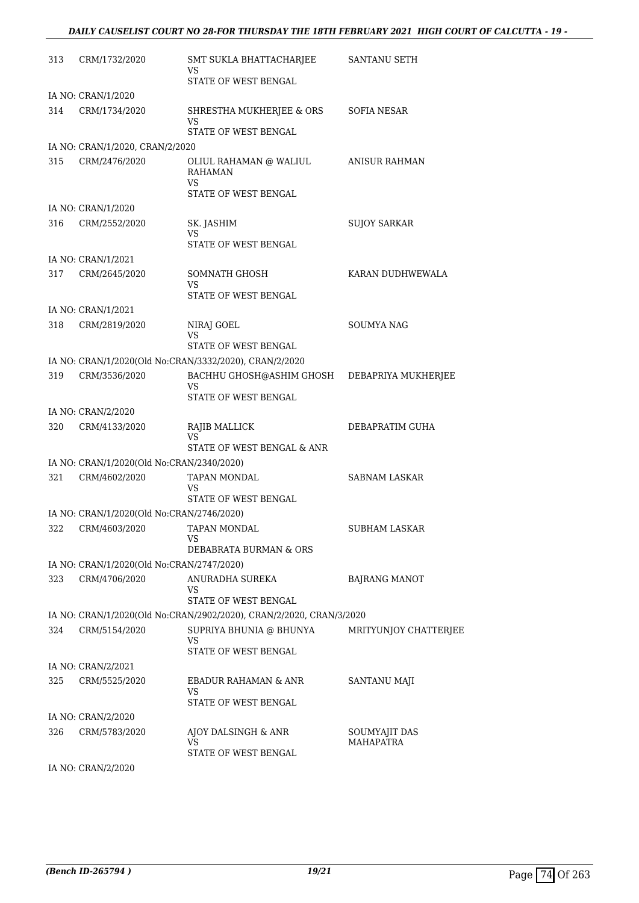| 313 | CRM/1732/2020                             | SMT SUKLA BHATTACHARJEE                                             | SANTANU SETH                      |
|-----|-------------------------------------------|---------------------------------------------------------------------|-----------------------------------|
|     |                                           | VS<br>STATE OF WEST BENGAL                                          |                                   |
|     | IA NO: CRAN/1/2020                        |                                                                     |                                   |
| 314 | CRM/1734/2020                             | SHRESTHA MUKHERJEE & ORS<br>VS<br>STATE OF WEST BENGAL              | SOFIA NESAR                       |
|     | IA NO: CRAN/1/2020, CRAN/2/2020           |                                                                     |                                   |
|     |                                           |                                                                     |                                   |
| 315 | CRM/2476/2020                             | OLIUL RAHAMAN @ WALIUL<br><b>RAHAMAN</b><br>VS.                     | ANISUR RAHMAN                     |
|     |                                           | STATE OF WEST BENGAL                                                |                                   |
|     | IA NO: CRAN/1/2020                        |                                                                     |                                   |
| 316 | CRM/2552/2020                             | SK. JASHIM                                                          | <b>SUJOY SARKAR</b>               |
|     |                                           | VS                                                                  |                                   |
|     |                                           | STATE OF WEST BENGAL                                                |                                   |
|     | IA NO: CRAN/1/2021                        |                                                                     |                                   |
| 317 | CRM/2645/2020                             | SOMNATH GHOSH<br><b>VS</b>                                          | KARAN DUDHWEWALA                  |
|     |                                           | STATE OF WEST BENGAL                                                |                                   |
|     | IA NO: CRAN/1/2021                        |                                                                     |                                   |
| 318 | CRM/2819/2020                             | NIRAJ GOEL<br>VS                                                    | <b>SOUMYA NAG</b>                 |
|     |                                           | STATE OF WEST BENGAL                                                |                                   |
|     |                                           | IA NO: CRAN/1/2020(Old No:CRAN/3332/2020), CRAN/2/2020              |                                   |
| 319 | CRM/3536/2020                             | BACHHU GHOSH@ASHIM GHOSH<br>VS                                      | DEBAPRIYA MUKHERJEE               |
|     |                                           | STATE OF WEST BENGAL                                                |                                   |
|     | IA NO: CRAN/2/2020                        |                                                                     |                                   |
| 320 | CRM/4133/2020                             | RAJIB MALLICK                                                       | DEBAPRATIM GUHA                   |
|     |                                           | VS.<br>STATE OF WEST BENGAL & ANR                                   |                                   |
|     |                                           |                                                                     |                                   |
|     | IA NO: CRAN/1/2020(Old No:CRAN/2340/2020) |                                                                     | <b>SABNAM LASKAR</b>              |
| 321 | CRM/4602/2020                             | TAPAN MONDAL<br>VS                                                  |                                   |
|     |                                           | STATE OF WEST BENGAL                                                |                                   |
|     | IA NO: CRAN/1/2020(Old No:CRAN/2746/2020) |                                                                     |                                   |
|     | 322 CRM/4603/2020                         | TAPAN MONDAL<br>VS                                                  | <b>SUBHAM LASKAR</b>              |
|     |                                           | DEBABRATA BURMAN & ORS                                              |                                   |
|     | IA NO: CRAN/1/2020(Old No:CRAN/2747/2020) |                                                                     |                                   |
| 323 | CRM/4706/2020                             | ANURADHA SUREKA<br>VS                                               | <b>BAJRANG MANOT</b>              |
|     |                                           | STATE OF WEST BENGAL                                                |                                   |
|     |                                           | IA NO: CRAN/1/2020(Old No:CRAN/2902/2020), CRAN/2/2020, CRAN/3/2020 |                                   |
| 324 | CRM/5154/2020                             | SUPRIYA BHUNIA @ BHUNYA<br><b>VS</b>                                | MRITYUNJOY CHATTERJEE             |
|     |                                           | STATE OF WEST BENGAL                                                |                                   |
|     | IA NO: CRAN/2/2021                        |                                                                     |                                   |
| 325 | CRM/5525/2020                             | EBADUR RAHAMAN & ANR<br>VS                                          | SANTANU MAJI                      |
|     |                                           | STATE OF WEST BENGAL                                                |                                   |
|     | IA NO: CRAN/2/2020                        |                                                                     |                                   |
| 326 | CRM/5783/2020                             | AJOY DALSINGH & ANR<br>VS                                           | SOUMYAJIT DAS<br><b>MAHAPATRA</b> |
|     |                                           | STATE OF WEST BENGAL                                                |                                   |
|     | IA NO: CRAN/2/2020                        |                                                                     |                                   |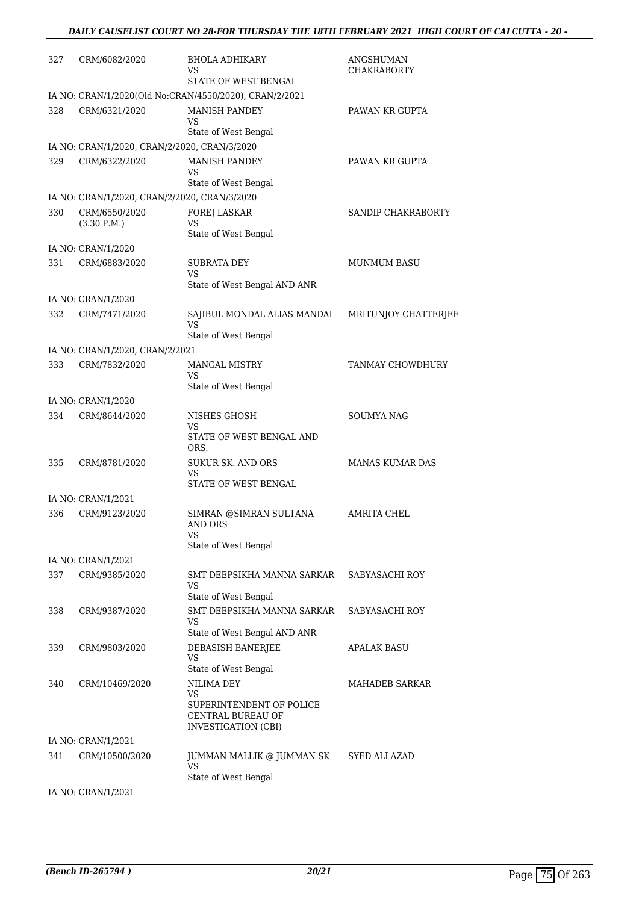| 327 | CRM/6082/2020                                | <b>BHOLA ADHIKARY</b><br>VS<br>STATE OF WEST BENGAL                  | ANGSHUMAN<br><b>CHAKRABORTY</b> |
|-----|----------------------------------------------|----------------------------------------------------------------------|---------------------------------|
|     |                                              | IA NO: CRAN/1/2020(Old No:CRAN/4550/2020), CRAN/2/2021               |                                 |
| 328 | CRM/6321/2020                                | <b>MANISH PANDEY</b><br>VS                                           | PAWAN KR GUPTA                  |
|     |                                              | State of West Bengal                                                 |                                 |
|     | IA NO: CRAN/1/2020, CRAN/2/2020, CRAN/3/2020 |                                                                      |                                 |
| 329 | CRM/6322/2020                                | <b>MANISH PANDEY</b><br>VS<br>State of West Bengal                   | PAWAN KR GUPTA                  |
|     | IA NO: CRAN/1/2020, CRAN/2/2020, CRAN/3/2020 |                                                                      |                                 |
| 330 | CRM/6550/2020<br>(3.30 P.M.)                 | FOREJ LASKAR<br>VS<br>State of West Bengal                           | SANDIP CHAKRABORTY              |
|     | IA NO: CRAN/1/2020                           |                                                                      |                                 |
| 331 | CRM/6883/2020                                | <b>SUBRATA DEY</b><br>VS                                             | <b>MUNMUM BASU</b>              |
|     |                                              | State of West Bengal AND ANR                                         |                                 |
|     | IA NO: CRAN/1/2020                           |                                                                      |                                 |
| 332 | CRM/7471/2020                                | SAJIBUL MONDAL ALIAS MANDAL<br>VS                                    | MRITUNJOY CHATTERJEE            |
|     |                                              | State of West Bengal                                                 |                                 |
|     | IA NO: CRAN/1/2020, CRAN/2/2021              |                                                                      |                                 |
| 333 | CRM/7832/2020                                | <b>MANGAL MISTRY</b><br>VS<br>State of West Bengal                   | TANMAY CHOWDHURY                |
|     | IA NO: CRAN/1/2020                           |                                                                      |                                 |
| 334 | CRM/8644/2020                                | NISHES GHOSH<br>VS                                                   | <b>SOUMYA NAG</b>               |
|     |                                              | STATE OF WEST BENGAL AND<br>ORS.                                     |                                 |
| 335 | CRM/8781/2020                                | <b>SUKUR SK. AND ORS</b><br>VS<br>STATE OF WEST BENGAL               | <b>MANAS KUMAR DAS</b>          |
|     | IA NO: CRAN/1/2021                           |                                                                      |                                 |
| 336 | CRM/9123/2020                                | SIMRAN @SIMRAN SULTANA                                               | <b>AMRITA CHEL</b>              |
|     |                                              | <b>AND ORS</b><br>VS<br>State of West Bengal                         |                                 |
|     | IA NO: CRAN/1/2021                           |                                                                      |                                 |
| 337 | CRM/9385/2020                                | SMT DEEPSIKHA MANNA SARKAR<br>VS                                     | SABYASACHI ROY                  |
|     |                                              | State of West Bengal                                                 |                                 |
| 338 | CRM/9387/2020                                | SMT DEEPSIKHA MANNA SARKAR<br>VS<br>State of West Bengal AND ANR     | SABYASACHI ROY                  |
| 339 | CRM/9803/2020                                | DEBASISH BANERJEE<br>VS                                              | APALAK BASU                     |
|     |                                              | State of West Bengal                                                 |                                 |
| 340 | CRM/10469/2020                               | NILIMA DEY<br>VS                                                     | MAHADEB SARKAR                  |
|     |                                              | SUPERINTENDENT OF POLICE<br>CENTRAL BUREAU OF<br>INVESTIGATION (CBI) |                                 |
|     | IA NO: CRAN/1/2021                           |                                                                      |                                 |
| 341 | CRM/10500/2020                               | JUMMAN MALLIK @ JUMMAN SK<br><b>VS</b>                               | SYED ALI AZAD                   |
|     |                                              | State of West Bengal                                                 |                                 |

IA NO: CRAN/1/2021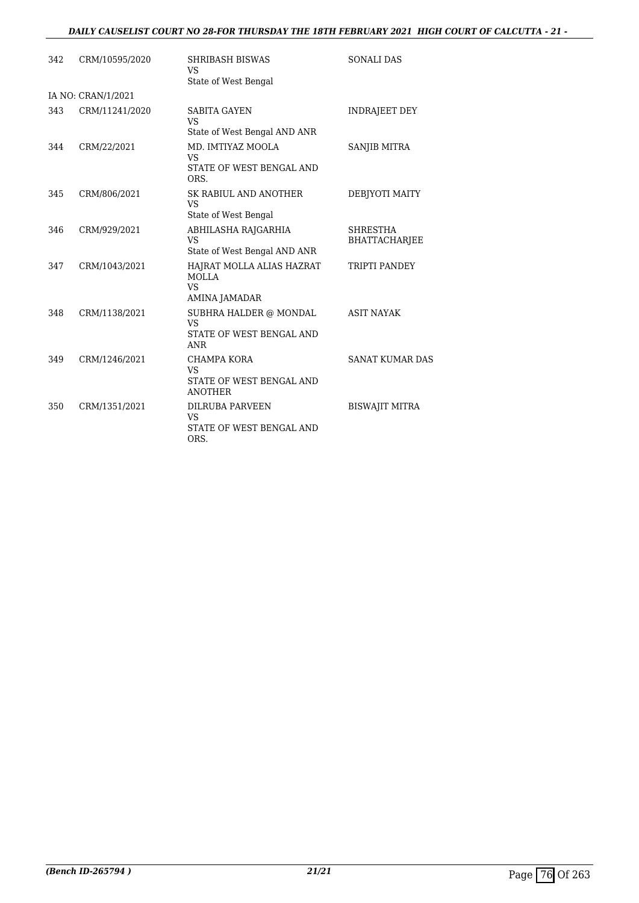# *DAILY CAUSELIST COURT NO 28-FOR THURSDAY THE 18TH FEBRUARY 2021 HIGH COURT OF CALCUTTA - 21 -*

| 342 | CRM/10595/2020     | <b>SHRIBASH BISWAS</b><br><b>VS</b>                                           | <b>SONALI DAS</b>                |
|-----|--------------------|-------------------------------------------------------------------------------|----------------------------------|
|     |                    | State of West Bengal                                                          |                                  |
|     | IA NO: CRAN/1/2021 |                                                                               |                                  |
| 343 | CRM/11241/2020     | <b>SABITA GAYEN</b><br><b>VS</b><br>State of West Bengal AND ANR              | <b>INDRAJEET DEY</b>             |
| 344 | CRM/22/2021        | MD. IMTIYAZ MOOLA<br><b>VS</b><br>STATE OF WEST BENGAL AND<br>ORS.            | SANJIB MITRA                     |
| 345 | CRM/806/2021       | SK RABIUL AND ANOTHER<br><b>VS</b><br>State of West Bengal                    | DEBJYOTI MAITY                   |
| 346 | CRM/929/2021       | ABHILASHA RAJGARHIA<br><b>VS</b><br>State of West Bengal AND ANR              | <b>SHRESTHA</b><br>BHATTACHARJEE |
| 347 | CRM/1043/2021      | HAJRAT MOLLA ALIAS HAZRAT<br><b>MOLLA</b><br><b>VS</b><br>AMINA JAMADAR       | TRIPTI PANDEY                    |
| 348 | CRM/1138/2021      | SUBHRA HALDER @ MONDAL<br><b>VS</b><br>STATE OF WEST BENGAL AND<br><b>ANR</b> | <b>ASIT NAYAK</b>                |
| 349 | CRM/1246/2021      | <b>CHAMPA KORA</b><br><b>VS</b><br>STATE OF WEST BENGAL AND<br><b>ANOTHER</b> | <b>SANAT KUMAR DAS</b>           |
| 350 | CRM/1351/2021      | <b>DILRUBA PARVEEN</b><br><b>VS</b><br>STATE OF WEST BENGAL AND<br>ORS.       | <b>BISWAJIT MITRA</b>            |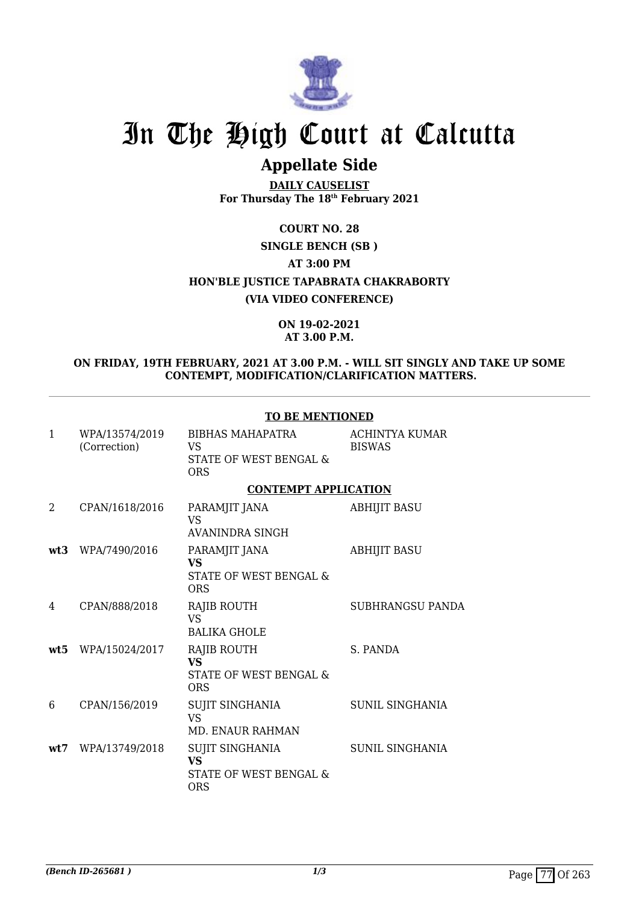

# **Appellate Side**

**DAILY CAUSELIST For Thursday The 18th February 2021**

**COURT NO. 28**

# **SINGLE BENCH (SB )**

**AT 3:00 PM**

**HON'BLE JUSTICE TAPABRATA CHAKRABORTY**

**(VIA VIDEO CONFERENCE)**

**ON 19-02-2021 AT 3.00 P.M.**

# **ON FRIDAY, 19TH FEBRUARY, 2021 AT 3.00 P.M. - WILL SIT SINGLY AND TAKE UP SOME CONTEMPT, MODIFICATION/CLARIFICATION MATTERS.**

|              |                                | TO BE MENTIONED                                                         |                                 |
|--------------|--------------------------------|-------------------------------------------------------------------------|---------------------------------|
| $\mathbf{1}$ | WPA/13574/2019<br>(Correction) | BIBHAS MAHAPATRA<br><b>VS</b><br>STATE OF WEST BENGAL &<br><b>ORS</b>   | ACHINTYA KUMAR<br><b>BISWAS</b> |
|              |                                | <b>CONTEMPT APPLICATION</b>                                             |                                 |
| 2            | CPAN/1618/2016                 | PARAMJIT JANA<br><b>VS</b><br>AVANINDRA SINGH                           | <b>ABHIJIT BASU</b>             |
| wt3          | WPA/7490/2016                  | PARAMJIT JANA<br><b>VS</b><br>STATE OF WEST BENGAL &<br><b>ORS</b>      | <b>ABHIJIT BASU</b>             |
| 4            | CPAN/888/2018                  | RAJIB ROUTH<br><b>VS</b><br><b>BALIKA GHOLE</b>                         | <b>SUBHRANGSU PANDA</b>         |
| wt5          | WPA/15024/2017                 | <b>RAJIB ROUTH</b><br><b>VS</b><br>STATE OF WEST BENGAL &<br><b>ORS</b> | S. PANDA                        |
| 6            | CPAN/156/2019                  | SUJIT SINGHANIA<br><b>VS</b><br><b>MD. ENAUR RAHMAN</b>                 | SUNIL SINGHANIA                 |
| wt.7         | WPA/13749/2018                 | SUJIT SINGHANIA<br><b>VS</b><br>STATE OF WEST BENGAL &<br><b>ORS</b>    | SUNIL SINGHANIA                 |

# **TO BE MENTIONED**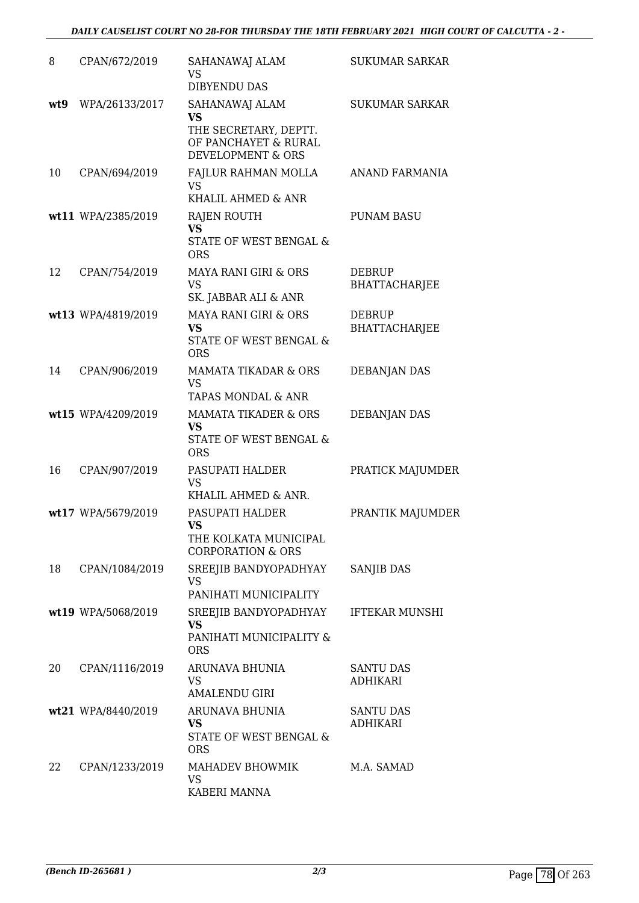| 8   | CPAN/672/2019      | SAHANAWAJ ALAM<br>VS.<br><b>DIBYENDU DAS</b>                                                      | <b>SUKUMAR SARKAR</b>                 |
|-----|--------------------|---------------------------------------------------------------------------------------------------|---------------------------------------|
| wt9 | WPA/26133/2017     | SAHANAWAJ ALAM<br><b>VS</b><br>THE SECRETARY, DEPTT.<br>OF PANCHAYET & RURAL<br>DEVELOPMENT & ORS | <b>SUKUMAR SARKAR</b>                 |
| 10  | CPAN/694/2019      | FAJLUR RAHMAN MOLLA<br><b>VS</b><br>KHALIL AHMED & ANR                                            | ANAND FARMANIA                        |
|     | wt11 WPA/2385/2019 | RAJEN ROUTH<br><b>VS</b><br>STATE OF WEST BENGAL &<br><b>ORS</b>                                  | <b>PUNAM BASU</b>                     |
| 12  | CPAN/754/2019      | <b>MAYA RANI GIRI &amp; ORS</b><br><b>VS</b><br>SK. JABBAR ALI & ANR                              | <b>DEBRUP</b><br>BHATTACHARJEE        |
|     | wt13 WPA/4819/2019 | MAYA RANI GIRI & ORS<br>VS<br>STATE OF WEST BENGAL &<br><b>ORS</b>                                | <b>DEBRUP</b><br><b>BHATTACHARJEE</b> |
| 14  | CPAN/906/2019      | <b>MAMATA TIKADAR &amp; ORS</b><br><b>VS</b><br>TAPAS MONDAL & ANR                                | <b>DEBANJAN DAS</b>                   |
|     | wt15 WPA/4209/2019 | <b>MAMATA TIKADER &amp; ORS</b><br><b>VS</b><br>STATE OF WEST BENGAL &<br><b>ORS</b>              | <b>DEBANJAN DAS</b>                   |
| 16  | CPAN/907/2019      | PASUPATI HALDER<br>VS.<br>KHALIL AHMED & ANR.                                                     | PRATICK MAJUMDER                      |
|     | wt17 WPA/5679/2019 | PASUPATI HALDER<br><b>VS</b><br>THE KOLKATA MUNICIPAL<br><b>CORPORATION &amp; ORS</b>             | PRANTIK MAJUMDER                      |
| 18  | CPAN/1084/2019     | SREEJIB BANDYOPADHYAY<br><b>VS</b><br>PANIHATI MUNICIPALITY                                       | SANJIB DAS                            |
|     | wt19 WPA/5068/2019 | SREEJIB BANDYOPADHYAY<br><b>VS</b><br>PANIHATI MUNICIPALITY &<br><b>ORS</b>                       | <b>IFTEKAR MUNSHI</b>                 |
| 20  | CPAN/1116/2019     | ARUNAVA BHUNIA<br><b>VS</b><br><b>AMALENDU GIRI</b>                                               | <b>SANTU DAS</b><br><b>ADHIKARI</b>   |
|     | wt21 WPA/8440/2019 | ARUNAVA BHUNIA<br>VS<br>STATE OF WEST BENGAL &<br><b>ORS</b>                                      | <b>SANTU DAS</b><br><b>ADHIKARI</b>   |
| 22  | CPAN/1233/2019     | MAHADEV BHOWMIK<br><b>VS</b><br>KABERI MANNA                                                      | M.A. SAMAD                            |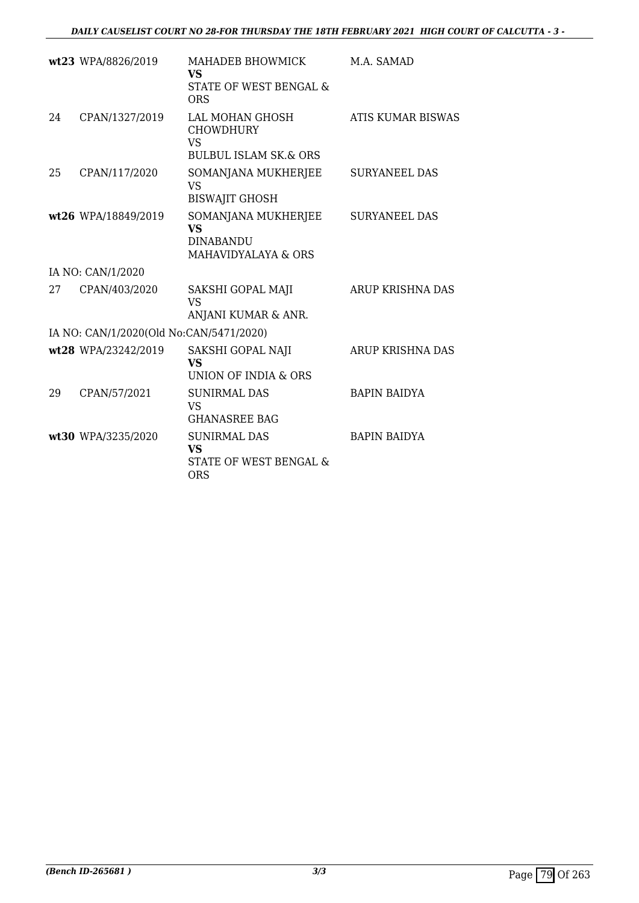|    | wt23 WPA/8826/2019                      | MAHADEB BHOWMICK<br>VS<br>STATE OF WEST BENGAL &                                                   | M.A. SAMAD               |
|----|-----------------------------------------|----------------------------------------------------------------------------------------------------|--------------------------|
| 24 | CPAN/1327/2019                          | <b>ORS</b><br>LAL MOHAN GHOSH<br><b>CHOWDHURY</b><br><b>VS</b><br><b>BULBUL ISLAM SK.&amp; ORS</b> | <b>ATIS KUMAR BISWAS</b> |
| 25 | CPAN/117/2020                           | SOMANJANA MUKHERJEE<br><b>VS</b><br><b>BISWAJIT GHOSH</b>                                          | <b>SURYANEEL DAS</b>     |
|    | wt26 WPA/18849/2019                     | SOMANJANA MUKHERJEE<br><b>VS</b><br><b>DINABANDU</b><br>MAHAVIDYALAYA & ORS                        | <b>SURYANEEL DAS</b>     |
|    | IA NO: CAN/1/2020                       |                                                                                                    |                          |
| 27 | CPAN/403/2020                           | SAKSHI GOPAL MAJI<br><b>VS</b><br>ANJANI KUMAR & ANR.                                              | ARUP KRISHNA DAS         |
|    | IA NO: CAN/1/2020(Old No:CAN/5471/2020) |                                                                                                    |                          |
|    | wt28 WPA/23242/2019                     | SAKSHI GOPAL NAJI<br><b>VS</b><br>UNION OF INDIA & ORS                                             | <b>ARUP KRISHNA DAS</b>  |
| 29 | CPAN/57/2021                            | <b>SUNIRMAL DAS</b><br><b>VS</b><br><b>GHANASREE BAG</b>                                           | <b>BAPIN BAIDYA</b>      |
|    | wt30 WPA/3235/2020                      | <b>SUNIRMAL DAS</b><br><b>VS</b><br><b>STATE OF WEST BENGAL &amp;</b><br><b>ORS</b>                | <b>BAPIN BAIDYA</b>      |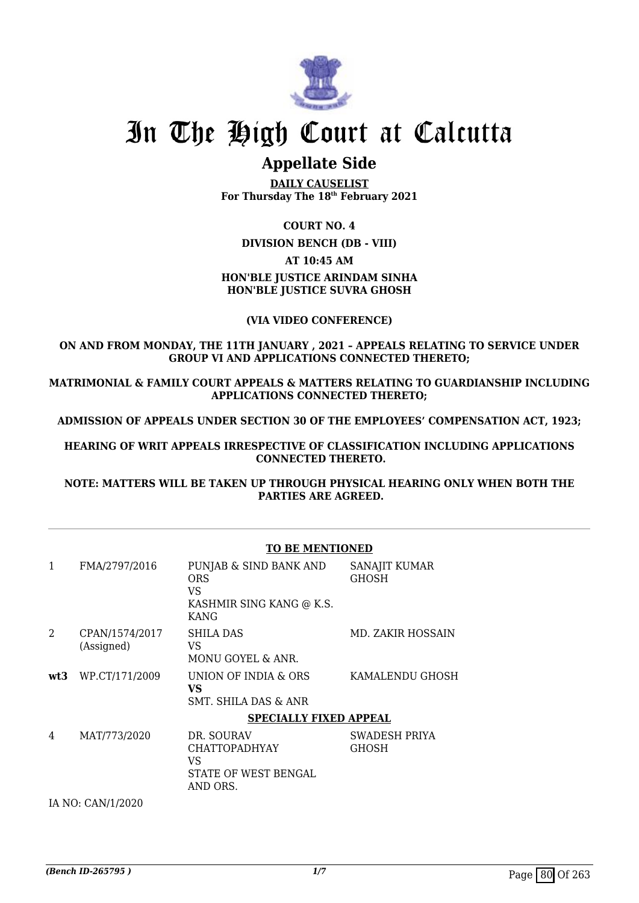

# **Appellate Side**

**DAILY CAUSELIST For Thursday The 18th February 2021**

# **COURT NO. 4**

**DIVISION BENCH (DB - VIII)**

## **AT 10:45 AM**

# **HON'BLE JUSTICE ARINDAM SINHA HON'BLE JUSTICE SUVRA GHOSH**

# **(VIA VIDEO CONFERENCE)**

# **ON AND FROM MONDAY, THE 11TH JANUARY , 2021 – APPEALS RELATING TO SERVICE UNDER GROUP VI AND APPLICATIONS CONNECTED THERETO;**

**MATRIMONIAL & FAMILY COURT APPEALS & MATTERS RELATING TO GUARDIANSHIP INCLUDING APPLICATIONS CONNECTED THERETO;**

**ADMISSION OF APPEALS UNDER SECTION 30 OF THE EMPLOYEES' COMPENSATION ACT, 1923;**

**HEARING OF WRIT APPEALS IRRESPECTIVE OF CLASSIFICATION INCLUDING APPLICATIONS CONNECTED THERETO.**

**NOTE: MATTERS WILL BE TAKEN UP THROUGH PHYSICAL HEARING ONLY WHEN BOTH THE PARTIES ARE AGREED.**

|                | <b>TO BE MENTIONED</b>       |                                                                                 |                               |
|----------------|------------------------------|---------------------------------------------------------------------------------|-------------------------------|
| $\mathbf{1}$   | FMA/2797/2016                | PUNJAB & SIND BANK AND<br><b>ORS</b><br>VS.<br>KASHMIR SING KANG @ K.S.<br>KANG | SANAJIT KUMAR<br><b>GHOSH</b> |
| $\overline{2}$ | CPAN/1574/2017<br>(Assigned) | SHILA DAS<br>VS<br>MONU GOYEL & ANR.                                            | MD. ZAKIR HOSSAIN             |
|                | wt3 WP.CT/171/2009           | UNION OF INDIA & ORS<br>VS<br>SMT. SHILA DAS & ANR                              | KAMALENDU GHOSH               |
|                |                              | <b>SPECIALLY FIXED APPEAL</b>                                                   |                               |
| 4              | MAT/773/2020                 | DR. SOURAV<br><b>CHATTOPADHYAY</b><br>VS<br>STATE OF WEST BENGAL<br>AND ORS.    | SWADESH PRIYA<br><b>GHOSH</b> |

IA NO: CAN/1/2020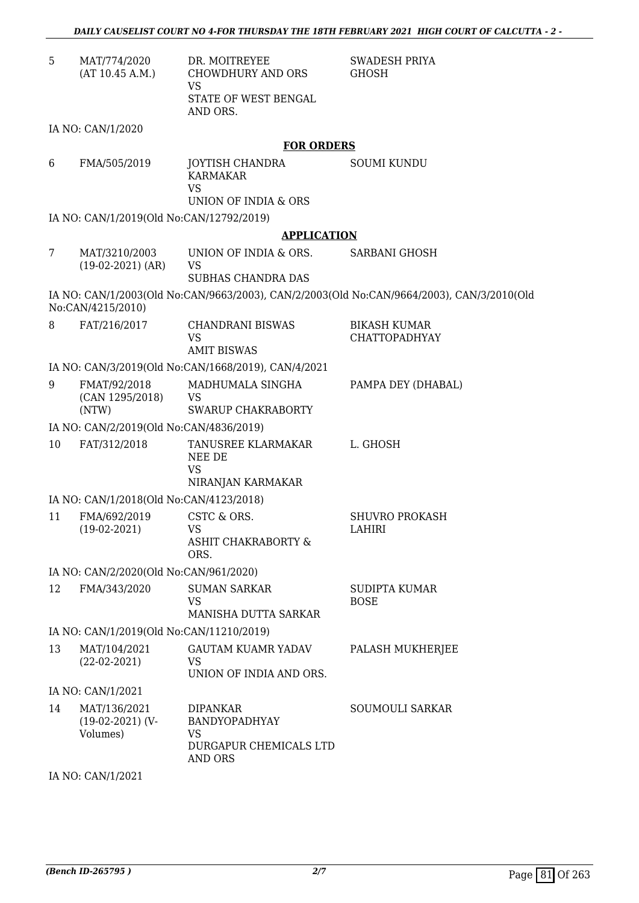| 5  | MAT/774/2020<br>(AT 10.45 A.M.)                | DR. MOITREYEE<br><b>CHOWDHURY AND ORS</b><br>VS                                | <b>SWADESH PRIYA</b><br><b>GHOSH</b>                                                      |
|----|------------------------------------------------|--------------------------------------------------------------------------------|-------------------------------------------------------------------------------------------|
|    |                                                | STATE OF WEST BENGAL<br>AND ORS.                                               |                                                                                           |
|    | IA NO: CAN/1/2020                              |                                                                                |                                                                                           |
|    |                                                | <b>FOR ORDERS</b>                                                              |                                                                                           |
| 6  | FMA/505/2019                                   | <b>JOYTISH CHANDRA</b><br><b>KARMAKAR</b><br><b>VS</b><br>UNION OF INDIA & ORS | <b>SOUMI KUNDU</b>                                                                        |
|    | IA NO: CAN/1/2019(Old No:CAN/12792/2019)       |                                                                                |                                                                                           |
|    |                                                | <b>APPLICATION</b>                                                             |                                                                                           |
| 7  | MAT/3210/2003<br>$(19-02-2021)$ (AR)           | UNION OF INDIA & ORS.<br>VS                                                    | <b>SARBANI GHOSH</b>                                                                      |
|    |                                                | <b>SUBHAS CHANDRA DAS</b>                                                      |                                                                                           |
|    | No:CAN/4215/2010)                              |                                                                                | IA NO: CAN/1/2003(Old No:CAN/9663/2003), CAN/2/2003(Old No:CAN/9664/2003), CAN/3/2010(Old |
| 8  | FAT/216/2017                                   | <b>CHANDRANI BISWAS</b><br><b>VS</b>                                           | <b>BIKASH KUMAR</b><br><b>CHATTOPADHYAY</b>                                               |
|    |                                                | <b>AMIT BISWAS</b>                                                             |                                                                                           |
|    |                                                | IA NO: CAN/3/2019(Old No:CAN/1668/2019), CAN/4/2021                            |                                                                                           |
| 9  | FMAT/92/2018<br>(CAN 1295/2018)                | MADHUMALA SINGHA<br><b>VS</b>                                                  | PAMPA DEY (DHABAL)                                                                        |
|    | (NTW)                                          | <b>SWARUP CHAKRABORTY</b>                                                      |                                                                                           |
|    | IA NO: CAN/2/2019(Old No:CAN/4836/2019)        |                                                                                |                                                                                           |
| 10 | FAT/312/2018                                   | TANUSREE KLARMAKAR<br>NEE DE<br><b>VS</b><br>NIRANJAN KARMAKAR                 | L. GHOSH                                                                                  |
|    | IA NO: CAN/1/2018(Old No:CAN/4123/2018)        |                                                                                |                                                                                           |
| 11 | FMA/692/2019                                   | CSTC & ORS.                                                                    | <b>SHUVRO PROKASH</b>                                                                     |
|    | $(19-02-2021)$                                 | VS<br><b>ASHIT CHAKRABORTY &amp;</b><br>ORS.                                   | LAHIRI                                                                                    |
|    | IA NO: CAN/2/2020(Old No:CAN/961/2020)         |                                                                                |                                                                                           |
| 12 | FMA/343/2020                                   | <b>SUMAN SARKAR</b><br>VS                                                      | SUDIPTA KUMAR<br><b>BOSE</b>                                                              |
|    |                                                | MANISHA DUTTA SARKAR                                                           |                                                                                           |
|    | IA NO: CAN/1/2019(Old No:CAN/11210/2019)       |                                                                                |                                                                                           |
| 13 | MAT/104/2021<br>$(22-02-2021)$                 | <b>GAUTAM KUAMR YADAV</b><br>VS.<br>UNION OF INDIA AND ORS.                    | PALASH MUKHERJEE                                                                          |
|    | IA NO: CAN/1/2021                              |                                                                                |                                                                                           |
| 14 | MAT/136/2021<br>$(19-02-2021)$ (V-<br>Volumes) | <b>DIPANKAR</b><br>BANDYOPADHYAY<br><b>VS</b>                                  | SOUMOULI SARKAR                                                                           |
|    |                                                | DURGAPUR CHEMICALS LTD<br>AND ORS                                              |                                                                                           |

IA NO: CAN/1/2021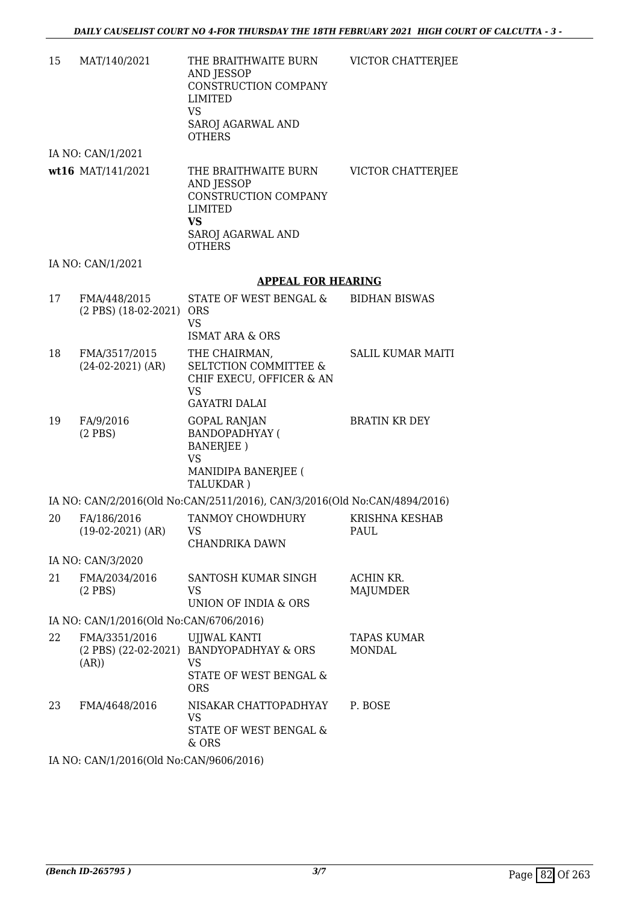| 15 | MAT/140/2021                             | THE BRAITHWAITE BURN<br>AND JESSOP<br>CONSTRUCTION COMPANY<br>LIMITED<br><b>VS</b><br>SAROJ AGARWAL AND<br><b>OTHERS</b> | VICTOR CHATTERJEE                   |
|----|------------------------------------------|--------------------------------------------------------------------------------------------------------------------------|-------------------------------------|
|    | IA NO: CAN/1/2021                        |                                                                                                                          |                                     |
|    | wt16 MAT/141/2021                        | THE BRAITHWAITE BURN<br>AND JESSOP<br>CONSTRUCTION COMPANY<br>LIMITED<br><b>VS</b><br>SAROJ AGARWAL AND<br><b>OTHERS</b> | VICTOR CHATTERJEE                   |
|    | IA NO: CAN/1/2021                        |                                                                                                                          |                                     |
|    |                                          | <b>APPEAL FOR HEARING</b>                                                                                                |                                     |
| 17 | FMA/448/2015<br>(2 PBS) (18-02-2021) ORS | STATE OF WEST BENGAL &<br><b>VS</b><br><b>ISMAT ARA &amp; ORS</b>                                                        | <b>BIDHAN BISWAS</b>                |
| 18 | FMA/3517/2015<br>$(24-02-2021)$ (AR)     | THE CHAIRMAN,<br><b>SELTCTION COMMITTEE &amp;</b><br>CHIF EXECU, OFFICER & AN<br><b>VS</b><br><b>GAYATRI DALAI</b>       | <b>SALIL KUMAR MAITI</b>            |
| 19 | FA/9/2016<br>$(2$ PBS)                   | GOPAL RANJAN<br><b>BANDOPADHYAY (</b><br>BANERJEE)<br><b>VS</b><br>MANIDIPA BANERJEE (<br>TALUKDAR)                      | <b>BRATIN KR DEY</b>                |
|    |                                          | IA NO: CAN/2/2016(Old No:CAN/2511/2016), CAN/3/2016(Old No:CAN/4894/2016)                                                |                                     |
| 20 | FA/186/2016<br>$(19-02-2021)$ (AR)       | <b>TANMOY CHOWDHURY</b><br>VS -<br>CHANDRIKA DAWN                                                                        | KRISHNA KESHAB<br>PAUL              |
|    | IA NO: CAN/3/2020                        |                                                                                                                          |                                     |
| 21 | FMA/2034/2016<br>$(2$ PBS)               | SANTOSH KUMAR SINGH<br><b>VS</b><br>UNION OF INDIA & ORS                                                                 | ACHIN KR.<br>MAJUMDER               |
|    | IA NO: CAN/1/2016(Old No:CAN/6706/2016)  |                                                                                                                          |                                     |
| 22 | FMA/3351/2016<br>(AR))                   | <b>UJJWAL KANTI</b><br>(2 PBS) (22-02-2021) BANDYOPADHYAY & ORS<br><b>VS</b><br>STATE OF WEST BENGAL &<br><b>ORS</b>     | <b>TAPAS KUMAR</b><br><b>MONDAL</b> |
| 23 | FMA/4648/2016                            | NISAKAR CHATTOPADHYAY<br><b>VS</b><br>STATE OF WEST BENGAL &<br>& ORS                                                    | P. BOSE                             |

IA NO: CAN/1/2016(Old No:CAN/9606/2016)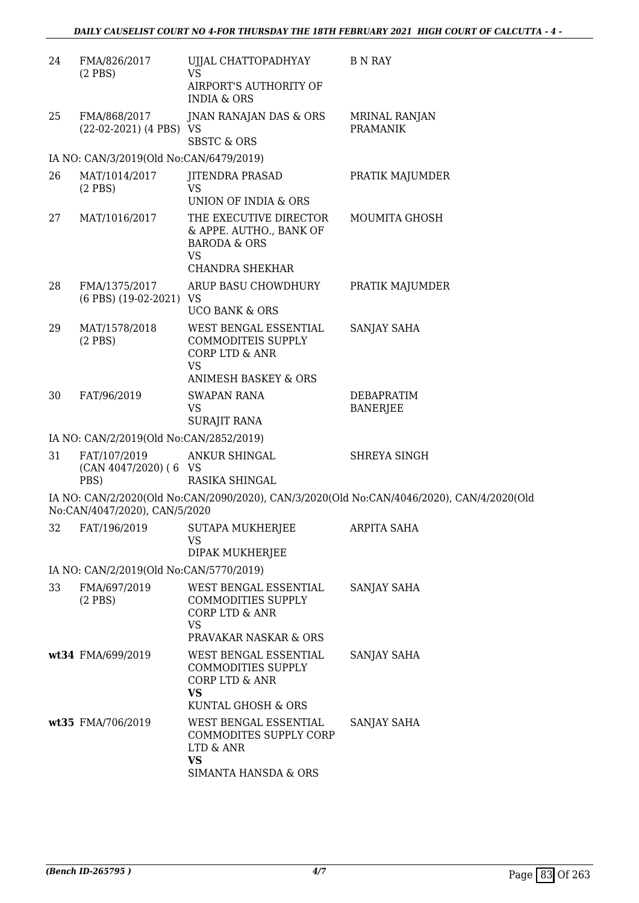| 24 | FMA/826/2017<br>$(2$ PBS $)$             | UJJAL CHATTOPADHYAY<br>VS                                                                                    | <b>B N RAY</b>                                                                            |
|----|------------------------------------------|--------------------------------------------------------------------------------------------------------------|-------------------------------------------------------------------------------------------|
|    |                                          | AIRPORT'S AUTHORITY OF<br><b>INDIA &amp; ORS</b>                                                             |                                                                                           |
| 25 | FMA/868/2017<br>(22-02-2021) (4 PBS) VS  | JNAN RANAJAN DAS & ORS<br><b>SBSTC &amp; ORS</b>                                                             | <b>MRINAL RANJAN</b><br><b>PRAMANIK</b>                                                   |
|    | IA NO: CAN/3/2019(Old No:CAN/6479/2019)  |                                                                                                              |                                                                                           |
| 26 | MAT/1014/2017<br>$(2$ PBS $)$            | <b>JITENDRA PRASAD</b><br>VS<br>UNION OF INDIA & ORS                                                         | PRATIK MAJUMDER                                                                           |
| 27 | MAT/1016/2017                            | THE EXECUTIVE DIRECTOR<br>& APPE. AUTHO., BANK OF<br><b>BARODA &amp; ORS</b><br>VS<br><b>CHANDRA SHEKHAR</b> | MOUMITA GHOSH                                                                             |
| 28 | FMA/1375/2017<br>(6 PBS) (19-02-2021) VS | ARUP BASU CHOWDHURY<br><b>UCO BANK &amp; ORS</b>                                                             | PRATIK MAJUMDER                                                                           |
| 29 | MAT/1578/2018<br>$(2$ PBS $)$            | WEST BENGAL ESSENTIAL<br>COMMODITEIS SUPPLY<br><b>CORP LTD &amp; ANR</b><br>VS                               | SANJAY SAHA                                                                               |
| 30 | FAT/96/2019                              | ANIMESH BASKEY & ORS<br><b>SWAPAN RANA</b><br>VS<br>SURAJIT RANA                                             | DEBAPRATIM<br><b>BANERJEE</b>                                                             |
|    | IA NO: CAN/2/2019(Old No:CAN/2852/2019)  |                                                                                                              |                                                                                           |
| 31 | FAT/107/2019                             | ANKUR SHINGAL                                                                                                | SHREYA SINGH                                                                              |
|    | (CAN 4047/2020) (6 VS<br>PBS)            | RASIKA SHINGAL                                                                                               |                                                                                           |
|    | No:CAN/4047/2020), CAN/5/2020            |                                                                                                              | IA NO: CAN/2/2020(Old No:CAN/2090/2020), CAN/3/2020(Old No:CAN/4046/2020), CAN/4/2020(Old |
| 32 | FAT/196/2019                             | <b>SUTAPA MUKHERJEE</b><br>VS.<br>DIPAK MUKHERJEE                                                            | <b>ARPITA SAHA</b>                                                                        |
|    | IA NO: CAN/2/2019(Old No:CAN/5770/2019)  |                                                                                                              |                                                                                           |
| 33 | FMA/697/2019<br>$(2$ PBS $)$             | WEST BENGAL ESSENTIAL<br><b>COMMODITIES SUPPLY</b><br><b>CORP LTD &amp; ANR</b><br><b>VS</b>                 | <b>SANJAY SAHA</b>                                                                        |
|    |                                          | PRAVAKAR NASKAR & ORS                                                                                        |                                                                                           |
|    | wt34 FMA/699/2019                        | WEST BENGAL ESSENTIAL<br><b>COMMODITIES SUPPLY</b><br>CORP LTD & ANR<br><b>VS</b><br>KUNTAL GHOSH & ORS      | <b>SANJAY SAHA</b>                                                                        |
|    | wt35 FMA/706/2019                        | WEST BENGAL ESSENTIAL<br>COMMODITES SUPPLY CORP<br>LTD & ANR<br><b>VS</b><br>SIMANTA HANSDA & ORS            | SANJAY SAHA                                                                               |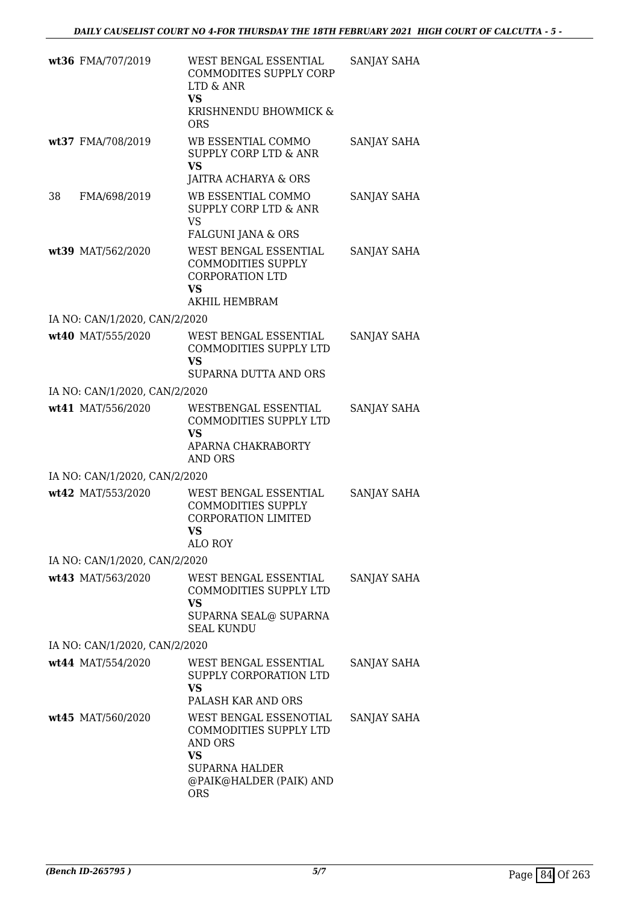|    | wt36 FMA/707/2019             | WEST BENGAL ESSENTIAL<br>COMMODITES SUPPLY CORP<br>LTD & ANR<br><b>VS</b><br>KRISHNENDU BHOWMICK &<br><b>ORS</b>                    | SANJAY SAHA |
|----|-------------------------------|-------------------------------------------------------------------------------------------------------------------------------------|-------------|
|    | wt37 FMA/708/2019             | WB ESSENTIAL COMMO<br><b>SUPPLY CORP LTD &amp; ANR</b><br>VS<br>JAITRA ACHARYA & ORS                                                | SANJAY SAHA |
| 38 | FMA/698/2019                  | WB ESSENTIAL COMMO<br>SUPPLY CORP LTD & ANR<br><b>VS</b><br>FALGUNI JANA & ORS                                                      | SANJAY SAHA |
|    | wt39 MAT/562/2020             | WEST BENGAL ESSENTIAL<br><b>COMMODITIES SUPPLY</b><br><b>CORPORATION LTD</b><br><b>VS</b><br>AKHIL HEMBRAM                          | SANJAY SAHA |
|    | IA NO: CAN/1/2020, CAN/2/2020 |                                                                                                                                     |             |
|    | wt40 MAT/555/2020             | WEST BENGAL ESSENTIAL<br><b>COMMODITIES SUPPLY LTD</b><br><b>VS</b><br>SUPARNA DUTTA AND ORS                                        | SANJAY SAHA |
|    | IA NO: CAN/1/2020, CAN/2/2020 |                                                                                                                                     |             |
|    | wt41 MAT/556/2020             | WESTBENGAL ESSENTIAL                                                                                                                | SANJAY SAHA |
|    |                               | COMMODITIES SUPPLY LTD<br><b>VS</b><br>APARNA CHAKRABORTY<br>AND ORS                                                                |             |
|    | IA NO: CAN/1/2020, CAN/2/2020 |                                                                                                                                     |             |
|    | wt42 MAT/553/2020             | WEST BENGAL ESSENTIAL<br><b>COMMODITIES SUPPLY</b><br><b>CORPORATION LIMITED</b><br>VS —<br><b>ALO ROY</b>                          | SANJAY SAHA |
|    | IA NO: CAN/1/2020, CAN/2/2020 |                                                                                                                                     |             |
|    | wt43 MAT/563/2020             | WEST BENGAL ESSENTIAL<br>COMMODITIES SUPPLY LTD<br>VS<br>SUPARNA SEAL@ SUPARNA<br><b>SEAL KUNDU</b>                                 | SANJAY SAHA |
|    | IA NO: CAN/1/2020, CAN/2/2020 |                                                                                                                                     |             |
|    | wt44 MAT/554/2020             | WEST BENGAL ESSENTIAL<br>SUPPLY CORPORATION LTD<br>VS<br>PALASH KAR AND ORS                                                         | SANJAY SAHA |
|    | wt45 MAT/560/2020             | WEST BENGAL ESSENOTIAL<br>COMMODITIES SUPPLY LTD<br>AND ORS<br>VS<br><b>SUPARNA HALDER</b><br>@PAIK@HALDER (PAIK) AND<br><b>ORS</b> | SANJAY SAHA |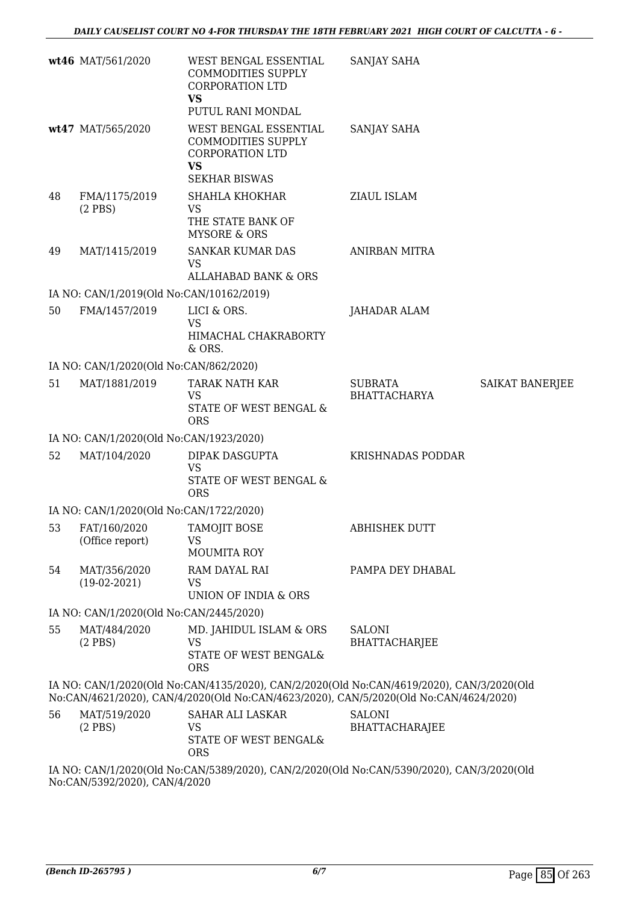|    | wt46 MAT/561/2020                        | WEST BENGAL ESSENTIAL<br><b>COMMODITIES SUPPLY</b><br><b>CORPORATION LTD</b><br>VS<br>PUTUL RANI MONDAL                                                                            | SANJAY SAHA                            |                 |
|----|------------------------------------------|------------------------------------------------------------------------------------------------------------------------------------------------------------------------------------|----------------------------------------|-----------------|
|    | wt47 MAT/565/2020                        | WEST BENGAL ESSENTIAL<br><b>COMMODITIES SUPPLY</b><br><b>CORPORATION LTD</b><br><b>VS</b><br><b>SEKHAR BISWAS</b>                                                                  | SANJAY SAHA                            |                 |
| 48 | FMA/1175/2019<br>$(2$ PBS $)$            | <b>SHAHLA KHOKHAR</b><br>VS<br>THE STATE BANK OF<br><b>MYSORE &amp; ORS</b>                                                                                                        | ZIAUL ISLAM                            |                 |
| 49 | MAT/1415/2019                            | <b>SANKAR KUMAR DAS</b><br><b>VS</b><br><b>ALLAHABAD BANK &amp; ORS</b>                                                                                                            | <b>ANIRBAN MITRA</b>                   |                 |
|    | IA NO: CAN/1/2019(Old No:CAN/10162/2019) |                                                                                                                                                                                    |                                        |                 |
| 50 | FMA/1457/2019                            | LICI & ORS.<br><b>VS</b><br>HIMACHAL CHAKRABORTY<br>& ORS.                                                                                                                         | JAHADAR ALAM                           |                 |
|    | IA NO: CAN/1/2020(Old No:CAN/862/2020)   |                                                                                                                                                                                    |                                        |                 |
| 51 | MAT/1881/2019                            | TARAK NATH KAR                                                                                                                                                                     | <b>SUBRATA</b>                         | SAIKAT BANERJEE |
|    |                                          | VS.<br>STATE OF WEST BENGAL &<br><b>ORS</b>                                                                                                                                        | BHATTACHARYA                           |                 |
|    | IA NO: CAN/1/2020(Old No:CAN/1923/2020)  |                                                                                                                                                                                    |                                        |                 |
| 52 | MAT/104/2020                             | DIPAK DASGUPTA<br><b>VS</b><br>STATE OF WEST BENGAL &<br><b>ORS</b>                                                                                                                | KRISHNADAS PODDAR                      |                 |
|    | IA NO: CAN/1/2020(Old No:CAN/1722/2020)  |                                                                                                                                                                                    |                                        |                 |
| 53 | FAT/160/2020<br>(Office report)          | TAMOJIT BOSE<br><b>VS</b><br><b>MOUMITA ROY</b>                                                                                                                                    | ABHISHEK DUTT                          |                 |
| 54 | MAT/356/2020<br>$(19-02-2021)$           | RAM DAYAL RAI<br>VS<br>UNION OF INDIA & ORS                                                                                                                                        | PAMPA DEY DHABAL                       |                 |
|    | IA NO: CAN/1/2020(Old No:CAN/2445/2020)  |                                                                                                                                                                                    |                                        |                 |
| 55 | MAT/484/2020<br>$(2$ PBS)                | MD. JAHIDUL ISLAM & ORS<br><b>VS</b><br>STATE OF WEST BENGAL&<br><b>ORS</b>                                                                                                        | <b>SALONI</b><br><b>BHATTACHARJEE</b>  |                 |
|    |                                          | IA NO: CAN/1/2020(Old No:CAN/4135/2020), CAN/2/2020(Old No:CAN/4619/2020), CAN/3/2020(Old<br>No:CAN/4621/2020), CAN/4/2020(Old No:CAN/4623/2020), CAN/5/2020(Old No:CAN/4624/2020) |                                        |                 |
| 56 | MAT/519/2020<br>$(2$ PBS)                | <b>SAHAR ALI LASKAR</b><br><b>VS</b><br>STATE OF WEST BENGAL&<br><b>ORS</b>                                                                                                        | <b>SALONI</b><br><b>BHATTACHARAJEE</b> |                 |
|    | No:CAN/5392/2020), CAN/4/2020            | IA NO: CAN/1/2020(Old No:CAN/5389/2020), CAN/2/2020(Old No:CAN/5390/2020), CAN/3/2020(Old                                                                                          |                                        |                 |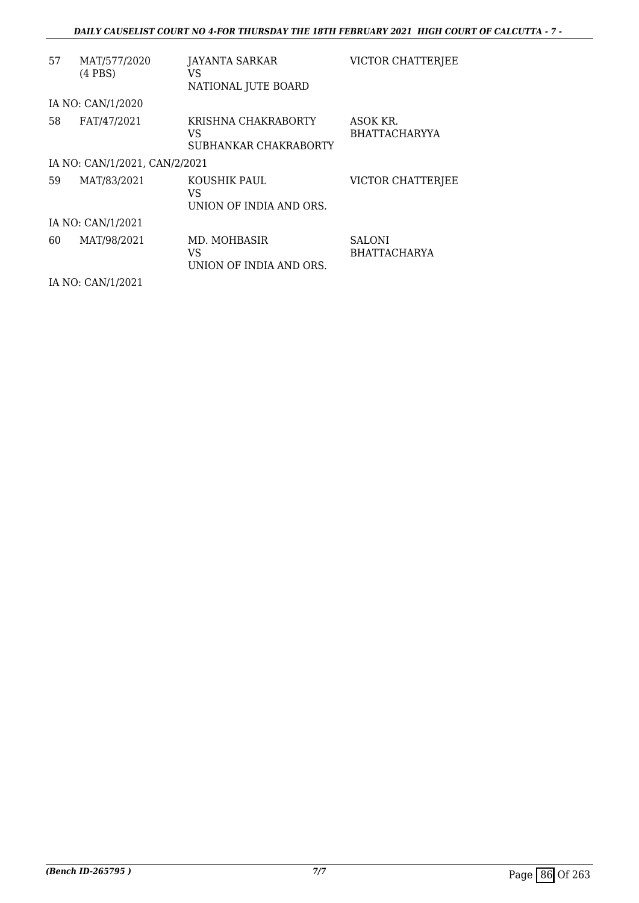| 57 | MAT/577/2020<br>$(4$ PBS $)$  | JAYANTA SARKAR<br>VS                               | <b>VICTOR CHATTERJEE</b>             |
|----|-------------------------------|----------------------------------------------------|--------------------------------------|
|    |                               | NATIONAL JUTE BOARD                                |                                      |
|    | IA NO: CAN/1/2020             |                                                    |                                      |
| 58 | FAT/47/2021                   | KRISHNA CHAKRABORTY<br>VS<br>SUBHANKAR CHAKRABORTY | ASOK KR.<br><b>BHATTACHARYYA</b>     |
|    | IA NO: CAN/1/2021, CAN/2/2021 |                                                    |                                      |
| 59 | MAT/83/2021                   | KOUSHIK PAUL<br>VS<br>UNION OF INDIA AND ORS.      | <b>VICTOR CHATTERJEE</b>             |
|    | IA NO: CAN/1/2021             |                                                    |                                      |
| 60 | MAT/98/2021                   | MD. MOHBASIR<br>VS<br>UNION OF INDIA AND ORS.      | <b>SALONI</b><br><b>BHATTACHARYA</b> |

IA NO: CAN/1/2021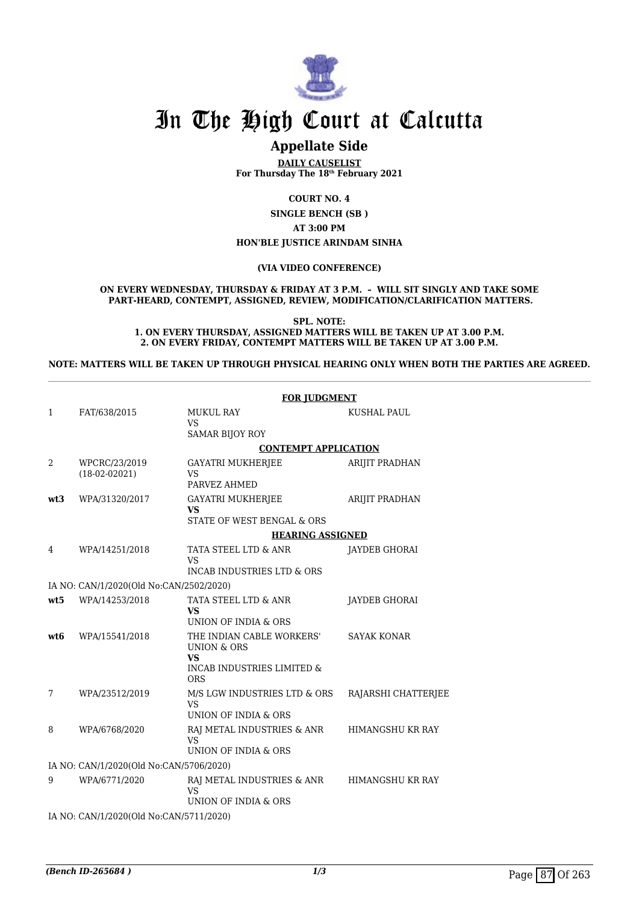

# **Appellate Side**

**DAILY CAUSELIST For Thursday The 18th February 2021**

**COURT NO. 4**

**SINGLE BENCH (SB ) AT 3:00 PM HON'BLE JUSTICE ARINDAM SINHA**

#### **(VIA VIDEO CONFERENCE)**

#### **ON EVERY WEDNESDAY, THURSDAY & FRIDAY AT 3 P.M. – WILL SIT SINGLY AND TAKE SOME PART-HEARD, CONTEMPT, ASSIGNED, REVIEW, MODIFICATION/CLARIFICATION MATTERS.**

**SPL. NOTE: 1. ON EVERY THURSDAY, ASSIGNED MATTERS WILL BE TAKEN UP AT 3.00 P.M. 2. ON EVERY FRIDAY, CONTEMPT MATTERS WILL BE TAKEN UP AT 3.00 P.M.**

**NOTE: MATTERS WILL BE TAKEN UP THROUGH PHYSICAL HEARING ONLY WHEN BOTH THE PARTIES ARE AGREED.**

|                 |                                         | <b>FOR JUDGMENT</b>                                                                                                     |                         |
|-----------------|-----------------------------------------|-------------------------------------------------------------------------------------------------------------------------|-------------------------|
| 1               | FAT/638/2015                            | <b>MUKUL RAY</b><br><b>VS</b><br><b>SAMAR BIJOY ROY</b>                                                                 | KUSHAL PAUL             |
|                 |                                         | <b>CONTEMPT APPLICATION</b>                                                                                             |                         |
| $\overline{2}$  | WPCRC/23/2019<br>$(18-02-02021)$        | <b>GAYATRI MUKHERJEE</b><br><b>VS</b><br>PARVEZ AHMED                                                                   | ARIJIT PRADHAN          |
| wt3             | WPA/31320/2017                          | <b>GAYATRI MUKHERJEE</b><br><b>VS</b><br>STATE OF WEST BENGAL & ORS                                                     | ARIJIT PRADHAN          |
|                 |                                         | <b>HEARING ASSIGNED</b>                                                                                                 |                         |
| 4               | WPA/14251/2018                          | TATA STEEL LTD & ANR<br><b>VS</b><br>INCAB INDUSTRIES LTD & ORS                                                         | JAYDEB GHORAI           |
|                 | IA NO: CAN/1/2020(Old No:CAN/2502/2020) |                                                                                                                         |                         |
| wt5             | WPA/14253/2018                          | TATA STEEL LTD & ANR<br><b>VS</b><br>UNION OF INDIA & ORS                                                               | <b>JAYDEB GHORAI</b>    |
| wt <sub>6</sub> | WPA/15541/2018                          | THE INDIAN CABLE WORKERS'<br><b>UNION &amp; ORS</b><br><b>VS</b><br><b>INCAB INDUSTRIES LIMITED &amp;</b><br><b>ORS</b> | <b>SAYAK KONAR</b>      |
| 7               | WPA/23512/2019                          | M/S LGW INDUSTRIES LTD & ORS<br><b>VS</b><br>UNION OF INDIA & ORS                                                       | RAJARSHI CHATTERJEE     |
| 8               | WPA/6768/2020                           | RAJ METAL INDUSTRIES & ANR<br><b>VS</b><br>UNION OF INDIA & ORS                                                         | HIMANGSHU KR RAY        |
|                 | IA NO: CAN/1/2020(Old No:CAN/5706/2020) |                                                                                                                         |                         |
| 9               | WPA/6771/2020                           | RAJ METAL INDUSTRIES & ANR<br><b>VS</b><br>UNION OF INDIA & ORS                                                         | <b>HIMANGSHU KR RAY</b> |
|                 | IA NO: CAN/1/2020(Old No:CAN/5711/2020) |                                                                                                                         |                         |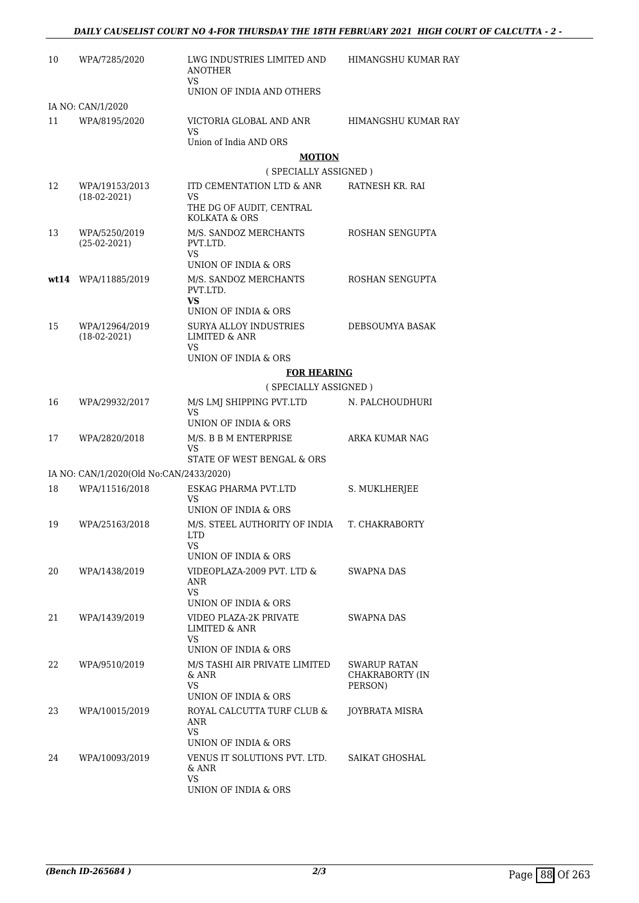| 10 | WPA/7285/2020                           | LWG INDUSTRIES LIMITED AND<br>ANOTHER                     | HIMANGSHU KUMAR RAY                    |  |  |
|----|-----------------------------------------|-----------------------------------------------------------|----------------------------------------|--|--|
|    |                                         | VS.<br>UNION OF INDIA AND OTHERS                          |                                        |  |  |
|    | IA NO: CAN/1/2020                       |                                                           |                                        |  |  |
| 11 | WPA/8195/2020                           | VICTORIA GLOBAL AND ANR<br>VS                             | HIMANGSHU KUMAR RAY                    |  |  |
|    |                                         | Union of India AND ORS                                    |                                        |  |  |
|    |                                         | <b>MOTION</b>                                             |                                        |  |  |
|    |                                         | (SPECIALLY ASSIGNED)                                      |                                        |  |  |
| 12 | WPA/19153/2013<br>$(18-02-2021)$        | ITD CEMENTATION LTD & ANR<br>VS                           | RATNESH KR. RAI                        |  |  |
|    |                                         | THE DG OF AUDIT, CENTRAL<br>KOLKATA & ORS                 |                                        |  |  |
| 13 | WPA/5250/2019<br>$(25-02-2021)$         | M/S. SANDOZ MERCHANTS<br>PVT.LTD.<br>VS.                  | ROSHAN SENGUPTA                        |  |  |
|    |                                         | UNION OF INDIA & ORS                                      |                                        |  |  |
|    | wt14 WPA/11885/2019                     | M/S. SANDOZ MERCHANTS<br>PVT.LTD.                         | ROSHAN SENGUPTA                        |  |  |
|    |                                         | VS<br>UNION OF INDIA & ORS                                |                                        |  |  |
| 15 | WPA/12964/2019<br>$(18-02-2021)$        | <b>SURYA ALLOY INDUSTRIES</b><br><b>LIMITED &amp; ANR</b> | DEBSOUMYA BASAK                        |  |  |
|    |                                         | VS<br>UNION OF INDIA & ORS                                |                                        |  |  |
|    |                                         | <b>FOR HEARING</b>                                        |                                        |  |  |
|    |                                         | (SPECIALLY ASSIGNED)                                      |                                        |  |  |
| 16 | WPA/29932/2017                          | M/S LMJ SHIPPING PVT.LTD<br><b>VS</b>                     | N. PALCHOUDHURI                        |  |  |
|    |                                         | UNION OF INDIA & ORS                                      |                                        |  |  |
| 17 | WPA/2820/2018                           | M/S. B B M ENTERPRISE<br>VS<br>STATE OF WEST BENGAL & ORS | ARKA KUMAR NAG                         |  |  |
|    | IA NO: CAN/1/2020(Old No:CAN/2433/2020) |                                                           |                                        |  |  |
| 18 | WPA/11516/2018                          | ESKAG PHARMA PVT.LTD                                      | S. MUKLHERJEE                          |  |  |
|    |                                         | VS.                                                       |                                        |  |  |
|    |                                         | UNION OF INDIA & ORS                                      |                                        |  |  |
| 19 | WPA/25163/2018                          | M/S. STEEL AUTHORITY OF INDIA<br>LTD.<br>VS.              | T. CHAKRABORTY                         |  |  |
|    |                                         | UNION OF INDIA & ORS                                      |                                        |  |  |
| 20 | WPA/1438/2019                           | VIDEOPLAZA-2009 PVT. LTD &<br>ANR<br>VS.                  | SWAPNA DAS                             |  |  |
|    |                                         | UNION OF INDIA & ORS                                      |                                        |  |  |
| 21 | WPA/1439/2019                           | VIDEO PLAZA-2K PRIVATE<br>LIMITED & ANR                   | SWAPNA DAS                             |  |  |
|    |                                         | VS.<br>UNION OF INDIA & ORS                               |                                        |  |  |
| 22 | WPA/9510/2019                           | M/S TASHI AIR PRIVATE LIMITED<br>& ANR                    | <b>SWARUP RATAN</b><br>CHAKRABORTY (IN |  |  |
|    |                                         | VS.                                                       | PERSON)                                |  |  |
|    |                                         | UNION OF INDIA & ORS                                      |                                        |  |  |
| 23 | WPA/10015/2019                          | ROYAL CALCUTTA TURF CLUB &<br>ANR<br>VS.                  | JOYBRATA MISRA                         |  |  |
|    |                                         | UNION OF INDIA & ORS                                      |                                        |  |  |
| 24 | WPA/10093/2019                          | VENUS IT SOLUTIONS PVT. LTD.<br>& ANR                     | SAIKAT GHOSHAL                         |  |  |
|    |                                         | VS<br>UNION OF INDIA & ORS                                |                                        |  |  |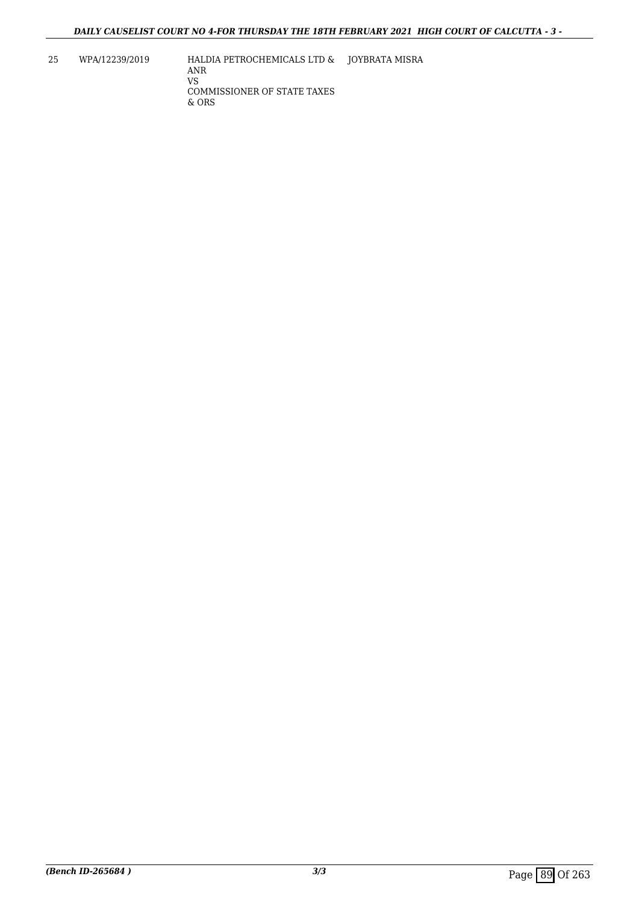25 WPA/12239/2019 HALDIA PETROCHEMICALS LTD & JOYBRATA MISRA ANR VS COMMISSIONER OF STATE TAXES & ORS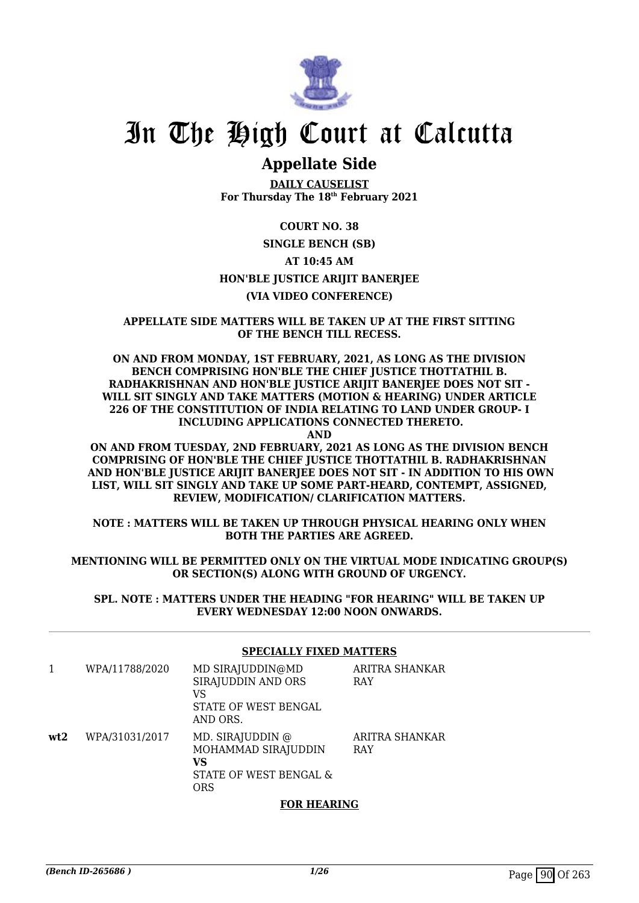

# **Appellate Side**

**DAILY CAUSELIST For Thursday The 18th February 2021**

# **COURT NO. 38**

## **SINGLE BENCH (SB)**

# **AT 10:45 AM**

# **HON'BLE JUSTICE ARIJIT BANERJEE**

# **(VIA VIDEO CONFERENCE)**

### **APPELLATE SIDE MATTERS WILL BE TAKEN UP AT THE FIRST SITTING OF THE BENCH TILL RECESS.**

## **ON AND FROM MONDAY, 1ST FEBRUARY, 2021, AS LONG AS THE DIVISION BENCH COMPRISING HON'BLE THE CHIEF JUSTICE THOTTATHIL B. RADHAKRISHNAN AND HON'BLE JUSTICE ARIJIT BANERJEE DOES NOT SIT - WILL SIT SINGLY AND TAKE MATTERS (MOTION & HEARING) UNDER ARTICLE 226 OF THE CONSTITUTION OF INDIA RELATING TO LAND UNDER GROUP- I INCLUDING APPLICATIONS CONNECTED THERETO.**

**AND**

### **ON AND FROM TUESDAY, 2ND FEBRUARY, 2021 AS LONG AS THE DIVISION BENCH COMPRISING OF HON'BLE THE CHIEF JUSTICE THOTTATHIL B. RADHAKRISHNAN AND HON'BLE JUSTICE ARIJIT BANERJEE DOES NOT SIT - IN ADDITION TO HIS OWN LIST, WILL SIT SINGLY AND TAKE UP SOME PART-HEARD, CONTEMPT, ASSIGNED, REVIEW, MODIFICATION/ CLARIFICATION MATTERS.**

**NOTE : MATTERS WILL BE TAKEN UP THROUGH PHYSICAL HEARING ONLY WHEN BOTH THE PARTIES ARE AGREED.**

## **MENTIONING WILL BE PERMITTED ONLY ON THE VIRTUAL MODE INDICATING GROUP(S) OR SECTION(S) ALONG WITH GROUND OF URGENCY.**

**SPL. NOTE : MATTERS UNDER THE HEADING "FOR HEARING" WILL BE TAKEN UP EVERY WEDNESDAY 12:00 NOON ONWARDS.**

## **SPECIALLY FIXED MATTERS**

|     | WPA/11788/2020 | MD SIRAJUDDIN@MD<br>SIRAJUDDIN AND ORS<br>VS<br>STATE OF WEST BENGAL<br>AND ORS. | ARITRA SHANKAR<br>RAY        |
|-----|----------------|----------------------------------------------------------------------------------|------------------------------|
| wt2 | WPA/31031/2017 | MD. SIRAJUDDIN @<br>MOHAMMAD SIRAJUDDIN<br>VS<br>STATE OF WEST BENGAL &<br>ORS   | ARITRA SHANKAR<br><b>RAY</b> |

### **FOR HEARING**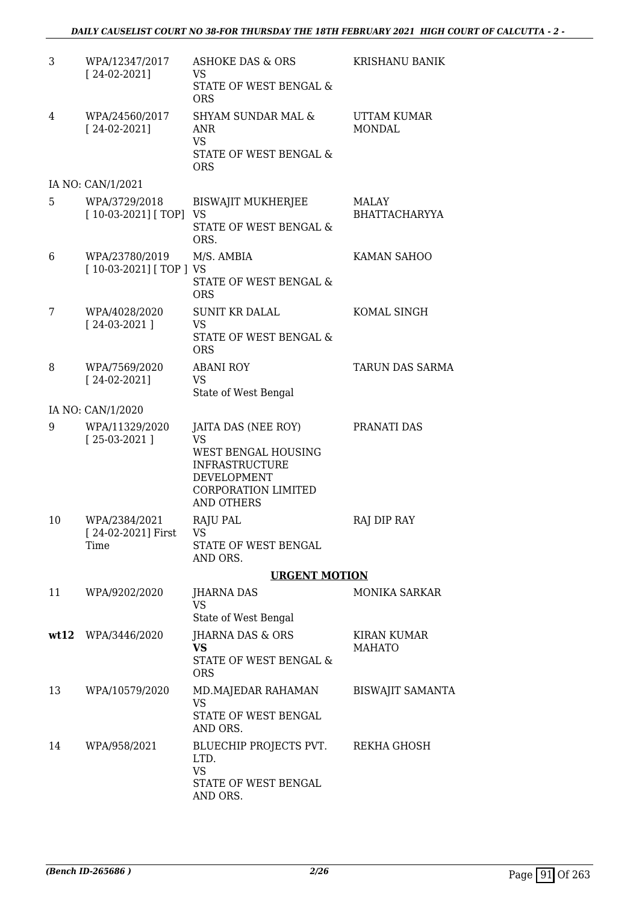| 3  | WPA/12347/2017<br>$[24-02-2021]$             | <b>ASHOKE DAS &amp; ORS</b><br>VS<br>STATE OF WEST BENGAL &                                                                                 | KRISHANU BANIK                |
|----|----------------------------------------------|---------------------------------------------------------------------------------------------------------------------------------------------|-------------------------------|
| 4  | WPA/24560/2017<br>$[24-02-2021]$             | <b>ORS</b><br><b>SHYAM SUNDAR MAL &amp;</b><br>ANR<br><b>VS</b><br>STATE OF WEST BENGAL &                                                   | UTTAM KUMAR<br><b>MONDAL</b>  |
|    |                                              | <b>ORS</b>                                                                                                                                  |                               |
|    | IA NO: CAN/1/2021                            |                                                                                                                                             |                               |
| 5. | WPA/3729/2018<br>$[10-03-2021]$ [TOP]        | <b>BISWAJIT MUKHERJEE</b><br>VS<br>STATE OF WEST BENGAL &<br>ORS.                                                                           | MALAY<br><b>BHATTACHARYYA</b> |
| 6  | WPA/23780/2019<br>$[10-03-2021]$ [TOP ] VS   | M/S. AMBIA                                                                                                                                  | KAMAN SAHOO                   |
|    |                                              | <b>STATE OF WEST BENGAL &amp;</b><br><b>ORS</b>                                                                                             |                               |
| 7  | WPA/4028/2020<br>$[24-03-2021]$              | <b>SUNIT KR DALAL</b><br><b>VS</b>                                                                                                          | KOMAL SINGH                   |
|    |                                              | STATE OF WEST BENGAL &<br><b>ORS</b>                                                                                                        |                               |
| 8  | WPA/7569/2020                                | <b>ABANI ROY</b>                                                                                                                            | TARUN DAS SARMA               |
|    | $[24-02-2021]$                               | <b>VS</b><br>State of West Bengal                                                                                                           |                               |
|    | IA NO: CAN/1/2020                            |                                                                                                                                             |                               |
| 9  | WPA/11329/2020<br>$[25-03-2021]$             | JAITA DAS (NEE ROY)<br><b>VS</b><br>WEST BENGAL HOUSING<br><b>INFRASTRUCTURE</b><br>DEVELOPMENT<br>CORPORATION LIMITED<br><b>AND OTHERS</b> | PRANATI DAS                   |
| 10 | WPA/2384/2021<br>[ 24-02-2021] First<br>Time | <b>RAJU PAL</b><br>VS <b>Sandware</b><br>STATE OF WEST BENGAL<br>AND ORS.                                                                   | RAJ DIP RAY                   |
|    |                                              | <b>URGENT MOTION</b>                                                                                                                        |                               |
| 11 | WPA/9202/2020                                | JHARNA DAS<br><b>VS</b><br>State of West Bengal                                                                                             | <b>MONIKA SARKAR</b>          |
|    | wt12 WPA/3446/2020                           | <b>JHARNA DAS &amp; ORS</b>                                                                                                                 | <b>KIRAN KUMAR</b>            |
|    |                                              | <b>VS</b><br>STATE OF WEST BENGAL &<br><b>ORS</b>                                                                                           | <b>MAHATO</b>                 |
| 13 | WPA/10579/2020                               | MD.MAJEDAR RAHAMAN<br><b>VS</b><br>STATE OF WEST BENGAL<br>AND ORS.                                                                         | <b>BISWAJIT SAMANTA</b>       |
| 14 | WPA/958/2021                                 | BLUECHIP PROJECTS PVT.<br>LTD.<br><b>VS</b><br>STATE OF WEST BENGAL<br>AND ORS.                                                             | REKHA GHOSH                   |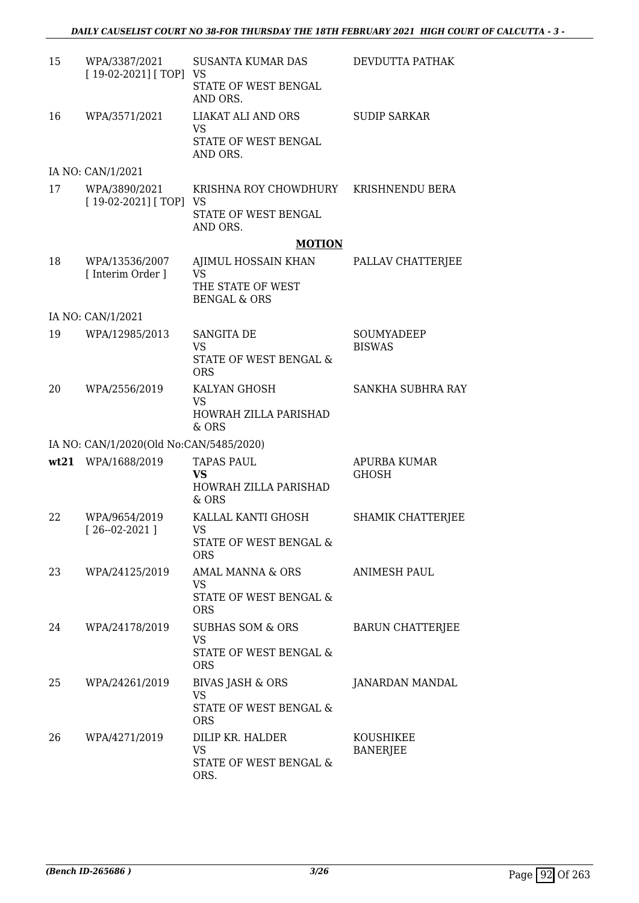| 15 | WPA/3387/2021<br>$[19-02-2021]$ [TOP] VS | <b>SUSANTA KUMAR DAS</b><br>STATE OF WEST BENGAL<br>AND ORS.                     | DEVDUTTA PATHAK                     |
|----|------------------------------------------|----------------------------------------------------------------------------------|-------------------------------------|
| 16 | WPA/3571/2021                            | LIAKAT ALI AND ORS<br>VS<br>STATE OF WEST BENGAL<br>AND ORS.                     | <b>SUDIP SARKAR</b>                 |
|    | IA NO: CAN/1/2021                        |                                                                                  |                                     |
| 17 | WPA/3890/2021<br>$[19-02-2021]$ [TOP] VS | KRISHNA ROY CHOWDHURY KRISHNENDU BERA<br>STATE OF WEST BENGAL                    |                                     |
|    |                                          | AND ORS.<br><b>MOTION</b>                                                        |                                     |
| 18 | WPA/13536/2007<br>[ Interim Order ]      | AJIMUL HOSSAIN KHAN<br><b>VS</b><br>THE STATE OF WEST<br><b>BENGAL &amp; ORS</b> | PALLAV CHATTERJEE                   |
|    | IA NO: CAN/1/2021                        |                                                                                  |                                     |
| 19 | WPA/12985/2013                           | <b>SANGITA DE</b><br><b>VS</b><br>STATE OF WEST BENGAL &<br><b>ORS</b>           | SOUMYADEEP<br><b>BISWAS</b>         |
| 20 | WPA/2556/2019                            | KALYAN GHOSH<br><b>VS</b><br>HOWRAH ZILLA PARISHAD<br>& ORS                      | <b>SANKHA SUBHRA RAY</b>            |
|    | IA NO: CAN/1/2020(Old No:CAN/5485/2020)  |                                                                                  |                                     |
|    | wt21 WPA/1688/2019                       | <b>TAPAS PAUL</b><br><b>VS</b><br>HOWRAH ZILLA PARISHAD<br>& ORS                 | <b>APURBA KUMAR</b><br><b>GHOSH</b> |
| 22 | WPA/9654/2019<br>$[26 - 02 - 2021]$      | KALLAL KANTI GHOSH<br><b>VS</b><br>STATE OF WEST BENGAL &<br><b>ORS</b>          | SHAMIK CHATTERJEE                   |
| 23 | WPA/24125/2019                           | AMAL MANNA & ORS<br>VS<br>STATE OF WEST BENGAL &<br><b>ORS</b>                   | <b>ANIMESH PAUL</b>                 |
| 24 | WPA/24178/2019                           | SUBHAS SOM & ORS<br><b>VS</b><br>STATE OF WEST BENGAL &<br><b>ORS</b>            | <b>BARUN CHATTERJEE</b>             |
| 25 | WPA/24261/2019                           | BIVAS JASH & ORS<br><b>VS</b><br>STATE OF WEST BENGAL &<br><b>ORS</b>            | JANARDAN MANDAL                     |
| 26 | WPA/4271/2019                            | DILIP KR. HALDER<br>VS<br>STATE OF WEST BENGAL &<br>ORS.                         | KOUSHIKEE<br><b>BANERJEE</b>        |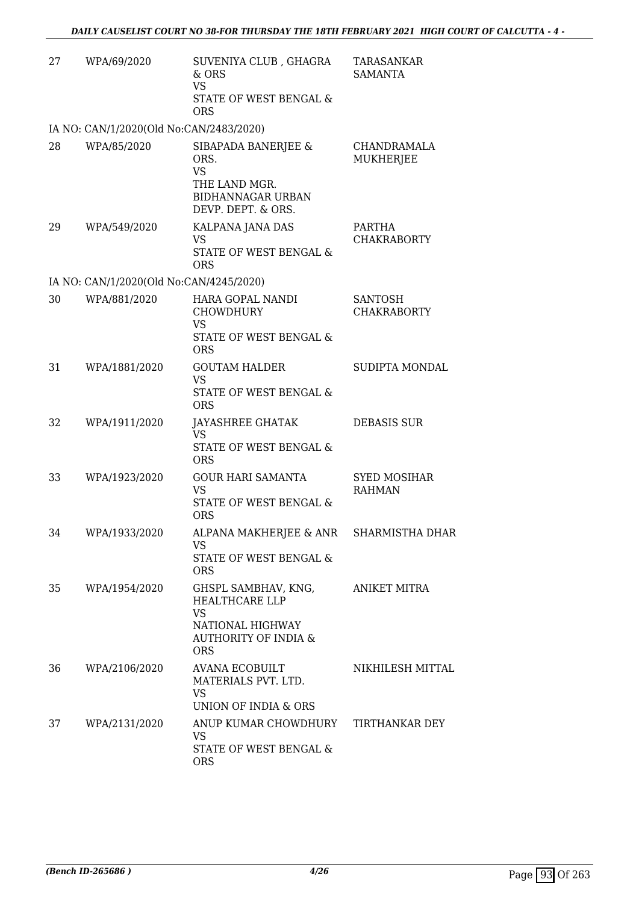| 27 | WPA/69/2020                             | SUVENIYA CLUB, GHAGRA<br>& ORS<br><b>VS</b><br>STATE OF WEST BENGAL &<br><b>ORS</b>                                            | <b>TARASANKAR</b><br><b>SAMANTA</b>  |
|----|-----------------------------------------|--------------------------------------------------------------------------------------------------------------------------------|--------------------------------------|
|    | IA NO: CAN/1/2020(Old No:CAN/2483/2020) |                                                                                                                                |                                      |
| 28 | WPA/85/2020                             | SIBAPADA BANERJEE &<br>ORS.<br><b>VS</b><br>THE LAND MGR.<br><b>BIDHANNAGAR URBAN</b><br>DEVP. DEPT. & ORS.                    | CHANDRAMALA<br>MUKHERJEE             |
| 29 | WPA/549/2020                            | KALPANA JANA DAS<br><b>VS</b><br>STATE OF WEST BENGAL &<br><b>ORS</b>                                                          | PARTHA<br><b>CHAKRABORTY</b>         |
|    | IA NO: CAN/1/2020(Old No:CAN/4245/2020) |                                                                                                                                |                                      |
| 30 | WPA/881/2020                            | HARA GOPAL NANDI<br><b>CHOWDHURY</b><br>VS<br>STATE OF WEST BENGAL &<br><b>ORS</b>                                             | <b>SANTOSH</b><br><b>CHAKRABORTY</b> |
| 31 | WPA/1881/2020                           | <b>GOUTAM HALDER</b><br><b>VS</b><br>STATE OF WEST BENGAL &<br><b>ORS</b>                                                      | SUDIPTA MONDAL                       |
| 32 | WPA/1911/2020                           | JAYASHREE GHATAK<br><b>VS</b><br>STATE OF WEST BENGAL &<br><b>ORS</b>                                                          | <b>DEBASIS SUR</b>                   |
| 33 | WPA/1923/2020                           | <b>GOUR HARI SAMANTA</b><br><b>VS</b><br>STATE OF WEST BENGAL &<br><b>ORS</b>                                                  | <b>SYED MOSIHAR</b><br><b>RAHMAN</b> |
| 34 | WPA/1933/2020                           | ALPANA MAKHERJEE & ANR<br>VS.<br>STATE OF WEST BENGAL &<br><b>ORS</b>                                                          | SHARMISTHA DHAR                      |
| 35 | WPA/1954/2020                           | GHSPL SAMBHAV, KNG,<br><b>HEALTHCARE LLP</b><br><b>VS</b><br>NATIONAL HIGHWAY<br><b>AUTHORITY OF INDIA &amp;</b><br><b>ORS</b> | ANIKET MITRA                         |
| 36 | WPA/2106/2020                           | AVANA ECOBUILT<br>MATERIALS PVT. LTD.<br><b>VS</b><br>UNION OF INDIA & ORS                                                     | NIKHILESH MITTAL                     |
| 37 | WPA/2131/2020                           | ANUP KUMAR CHOWDHURY<br>VS<br>STATE OF WEST BENGAL &<br><b>ORS</b>                                                             | TIRTHANKAR DEY                       |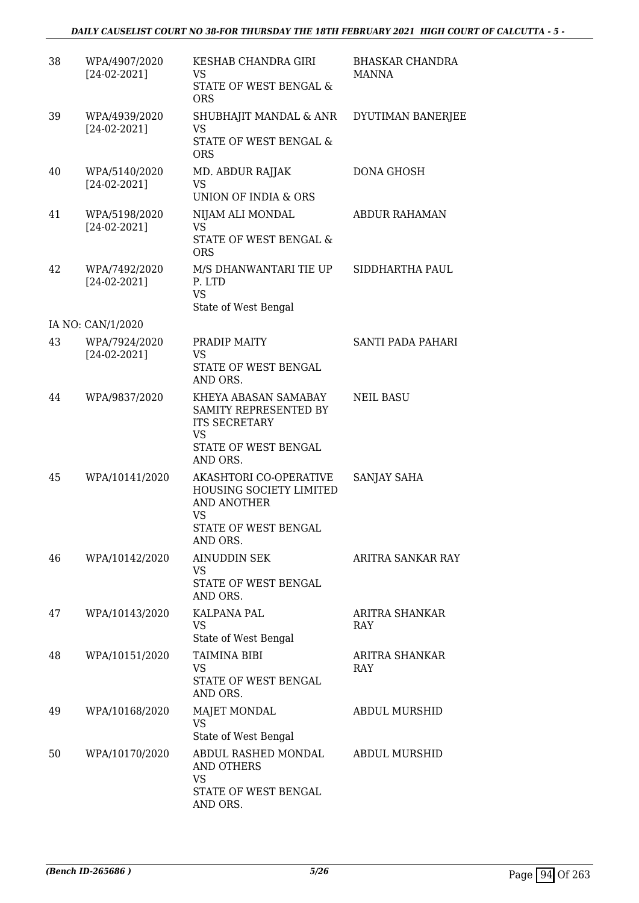# *DAILY CAUSELIST COURT NO 38-FOR THURSDAY THE 18TH FEBRUARY 2021 HIGH COURT OF CALCUTTA - 5 -*

| 38 | WPA/4907/2020<br>$[24-02-2021]$ | KESHAB CHANDRA GIRI<br>VS<br>STATE OF WEST BENGAL &<br><b>ORS</b>                                                      | <b>BHASKAR CHANDRA</b><br><b>MANNA</b> |
|----|---------------------------------|------------------------------------------------------------------------------------------------------------------------|----------------------------------------|
| 39 | WPA/4939/2020<br>$[24-02-2021]$ | SHUBHAJIT MANDAL & ANR<br>VS<br>STATE OF WEST BENGAL &<br><b>ORS</b>                                                   | DYUTIMAN BANERJEE                      |
| 40 | WPA/5140/2020<br>$[24-02-2021]$ | MD. ABDUR RAJJAK<br><b>VS</b><br>UNION OF INDIA & ORS                                                                  | <b>DONA GHOSH</b>                      |
| 41 | WPA/5198/2020<br>$[24-02-2021]$ | NIJAM ALI MONDAL<br><b>VS</b><br>STATE OF WEST BENGAL &<br><b>ORS</b>                                                  | <b>ABDUR RAHAMAN</b>                   |
| 42 | WPA/7492/2020<br>$[24-02-2021]$ | M/S DHANWANTARI TIE UP<br>P. LTD<br><b>VS</b><br>State of West Bengal                                                  | SIDDHARTHA PAUL                        |
|    | IA NO: CAN/1/2020               |                                                                                                                        |                                        |
| 43 | WPA/7924/2020<br>$[24-02-2021]$ | PRADIP MAITY<br>VS<br>STATE OF WEST BENGAL<br>AND ORS.                                                                 | <b>SANTI PADA PAHARI</b>               |
| 44 | WPA/9837/2020                   | KHEYA ABASAN SAMABAY<br>SAMITY REPRESENTED BY<br><b>ITS SECRETARY</b><br><b>VS</b><br>STATE OF WEST BENGAL<br>AND ORS. | <b>NEIL BASU</b>                       |
| 45 | WPA/10141/2020                  | AKASHTORI CO-OPERATIVE<br>HOUSING SOCIETY LIMITED<br>AND ANOTHER<br>VS<br>STATE OF WEST BENGAL<br>AND ORS.             | SANJAY SAHA                            |
| 46 | WPA/10142/2020                  | <b>AINUDDIN SEK</b><br>VS<br>STATE OF WEST BENGAL<br>AND ORS.                                                          | ARITRA SANKAR RAY                      |
| 47 | WPA/10143/2020                  | KALPANA PAL<br>VS<br>State of West Bengal                                                                              | ARITRA SHANKAR<br><b>RAY</b>           |
| 48 | WPA/10151/2020                  | <b>TAIMINA BIBI</b><br>VS<br>STATE OF WEST BENGAL<br>AND ORS.                                                          | ARITRA SHANKAR<br>RAY                  |
| 49 | WPA/10168/2020                  | MAJET MONDAL<br>VS<br>State of West Bengal                                                                             | <b>ABDUL MURSHID</b>                   |
| 50 | WPA/10170/2020                  | ABDUL RASHED MONDAL<br>AND OTHERS<br>VS<br>STATE OF WEST BENGAL                                                        | <b>ABDUL MURSHID</b>                   |
|    |                                 | AND ORS.                                                                                                               |                                        |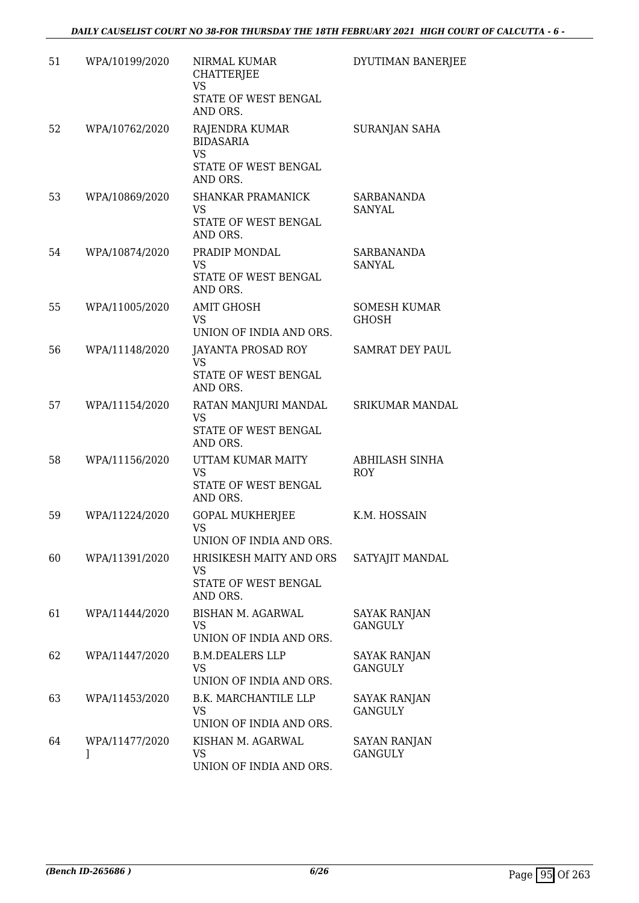| 51 | WPA/10199/2020      | NIRMAL KUMAR<br><b>CHATTERJEE</b><br><b>VS</b><br>STATE OF WEST BENGAL<br>AND ORS. | DYUTIMAN BANERJEE                     |
|----|---------------------|------------------------------------------------------------------------------------|---------------------------------------|
| 52 | WPA/10762/2020      | RAJENDRA KUMAR<br><b>BIDASARIA</b><br><b>VS</b><br>STATE OF WEST BENGAL            | <b>SURANJAN SAHA</b>                  |
|    |                     | AND ORS.                                                                           |                                       |
| 53 | WPA/10869/2020      | <b>SHANKAR PRAMANICK</b><br>VS.<br>STATE OF WEST BENGAL<br>AND ORS.                | SARBANANDA<br>SANYAL                  |
| 54 | WPA/10874/2020      | PRADIP MONDAL<br><b>VS</b><br>STATE OF WEST BENGAL<br>AND ORS.                     | SARBANANDA<br><b>SANYAL</b>           |
| 55 | WPA/11005/2020      | <b>AMIT GHOSH</b><br>VS.<br>UNION OF INDIA AND ORS.                                | <b>SOMESH KUMAR</b><br><b>GHOSH</b>   |
| 56 | WPA/11148/2020      | JAYANTA PROSAD ROY<br>VS<br>STATE OF WEST BENGAL<br>AND ORS.                       | <b>SAMRAT DEY PAUL</b>                |
| 57 | WPA/11154/2020      | RATAN MANJURI MANDAL<br>VS<br>STATE OF WEST BENGAL<br>AND ORS.                     | SRIKUMAR MANDAL                       |
| 58 | WPA/11156/2020      | UTTAM KUMAR MAITY<br><b>VS</b><br>STATE OF WEST BENGAL<br>AND ORS.                 | ABHILASH SINHA<br><b>ROY</b>          |
| 59 | WPA/11224/2020      | <b>GOPAL MUKHERJEE</b><br><b>VS</b><br>UNION OF INDIA AND ORS.                     | K.M. HOSSAIN                          |
| 60 | WPA/11391/2020      | HRISIKESH MAITY AND ORS<br>VS<br>STATE OF WEST BENGAL<br>AND ORS.                  | SATYAJIT MANDAL                       |
| 61 | WPA/11444/2020      | <b>BISHAN M. AGARWAL</b><br>VS<br>UNION OF INDIA AND ORS.                          | <b>SAYAK RANJAN</b><br><b>GANGULY</b> |
| 62 | WPA/11447/2020      | <b>B.M.DEALERS LLP</b><br><b>VS</b><br>UNION OF INDIA AND ORS.                     | <b>SAYAK RANJAN</b><br><b>GANGULY</b> |
| 63 | WPA/11453/2020      | <b>B.K. MARCHANTILE LLP</b><br>VS<br>UNION OF INDIA AND ORS.                       | SAYAK RANJAN<br><b>GANGULY</b>        |
| 64 | WPA/11477/2020<br>J | KISHAN M. AGARWAL<br>VS<br>UNION OF INDIA AND ORS.                                 | SAYAN RANJAN<br><b>GANGULY</b>        |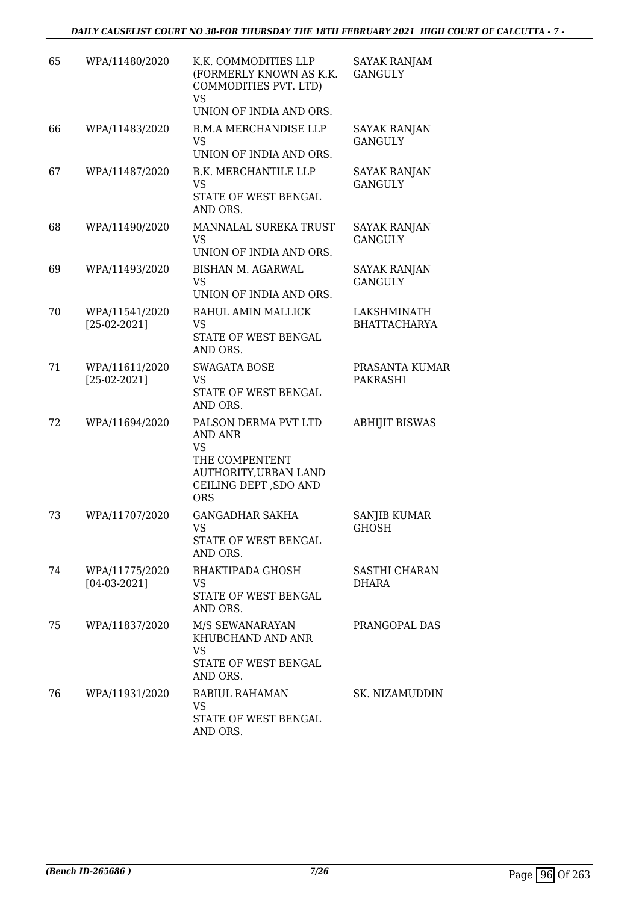*DAILY CAUSELIST COURT NO 38-FOR THURSDAY THE 18TH FEBRUARY 2021 HIGH COURT OF CALCUTTA - 7 -* 

| 65 | WPA/11480/2020                   | K.K. COMMODITIES LLP<br>(FORMERLY KNOWN AS K.K.<br>COMMODITIES PVT. LTD)<br>VS<br>UNION OF INDIA AND ORS.               | SAYAK RANJAM<br><b>GANGULY</b>        |
|----|----------------------------------|-------------------------------------------------------------------------------------------------------------------------|---------------------------------------|
| 66 | WPA/11483/2020                   | <b>B.M.A MERCHANDISE LLP</b><br>VS<br>UNION OF INDIA AND ORS.                                                           | <b>SAYAK RANJAN</b><br><b>GANGULY</b> |
| 67 | WPA/11487/2020                   | <b>B.K. MERCHANTILE LLP</b><br>VS<br>STATE OF WEST BENGAL<br>AND ORS.                                                   | <b>SAYAK RANJAN</b><br><b>GANGULY</b> |
| 68 | WPA/11490/2020                   | MANNALAL SUREKA TRUST<br>VS.<br>UNION OF INDIA AND ORS.                                                                 | SAYAK RANJAN<br><b>GANGULY</b>        |
| 69 | WPA/11493/2020                   | <b>BISHAN M. AGARWAL</b><br><b>VS</b><br>UNION OF INDIA AND ORS.                                                        | <b>SAYAK RANJAN</b><br><b>GANGULY</b> |
| 70 | WPA/11541/2020<br>$[25-02-2021]$ | RAHUL AMIN MALLICK<br>VS<br>STATE OF WEST BENGAL<br>AND ORS.                                                            | LAKSHMINATH<br><b>BHATTACHARYA</b>    |
| 71 | WPA/11611/2020<br>$[25-02-2021]$ | <b>SWAGATA BOSE</b><br>VS<br>STATE OF WEST BENGAL<br>AND ORS.                                                           | PRASANTA KUMAR<br>PAKRASHI            |
| 72 | WPA/11694/2020                   | PALSON DERMA PVT LTD<br>AND ANR<br>VS<br>THE COMPENTENT<br>AUTHORITY, URBAN LAND<br>CEILING DEPT, SDO AND<br><b>ORS</b> | <b>ABHIJIT BISWAS</b>                 |
| 73 | WPA/11707/2020                   | <b>GANGADHAR SAKHA</b><br>VS<br>STATE OF WEST BENGAL<br>AND ORS.                                                        | <b>SANJIB KUMAR</b><br>GHOSH          |
| 74 | WPA/11775/2020<br>$[04-03-2021]$ | BHAKTIPADA GHOSH<br>VS<br>STATE OF WEST BENGAL<br>AND ORS.                                                              | SASTHI CHARAN<br>DHARA                |
| 75 | WPA/11837/2020                   | M/S SEWANARAYAN<br>KHUBCHAND AND ANR<br>VS<br>STATE OF WEST BENGAL<br>AND ORS.                                          | PRANGOPAL DAS                         |
| 76 | WPA/11931/2020                   | RABIUL RAHAMAN<br><b>VS</b><br>STATE OF WEST BENGAL<br>AND ORS.                                                         | SK. NIZAMUDDIN                        |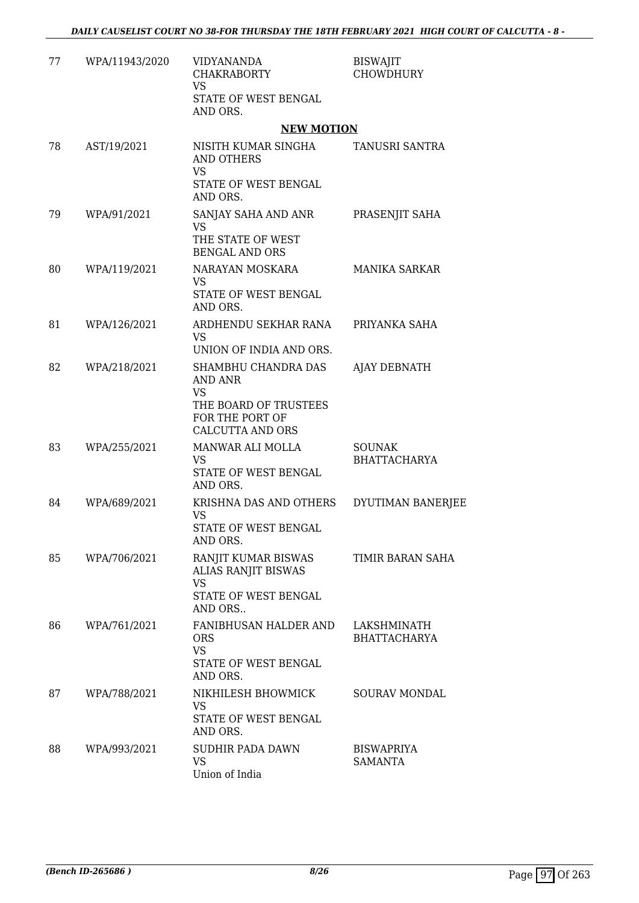| 77 | WPA/11943/2020 | <b>VIDYANANDA</b><br><b>CHAKRABORTY</b><br><b>VS</b><br>STATE OF WEST BENGAL<br>AND ORS.                           | <b>BISWAJIT</b><br><b>CHOWDHURY</b>  |
|----|----------------|--------------------------------------------------------------------------------------------------------------------|--------------------------------------|
|    |                | <b>NEW MOTION</b>                                                                                                  |                                      |
| 78 | AST/19/2021    | NISITH KUMAR SINGHA<br><b>AND OTHERS</b><br>VS                                                                     | TANUSRI SANTRA                       |
|    |                | STATE OF WEST BENGAL<br>AND ORS.                                                                                   |                                      |
| 79 | WPA/91/2021    | SANJAY SAHA AND ANR<br><b>VS</b><br>THE STATE OF WEST<br><b>BENGAL AND ORS</b>                                     | PRASENJIT SAHA                       |
| 80 | WPA/119/2021   | NARAYAN MOSKARA<br><b>VS</b><br>STATE OF WEST BENGAL<br>AND ORS.                                                   | MANIKA SARKAR                        |
| 81 | WPA/126/2021   | ARDHENDU SEKHAR RANA<br><b>VS</b><br>UNION OF INDIA AND ORS.                                                       | PRIYANKA SAHA                        |
| 82 | WPA/218/2021   | SHAMBHU CHANDRA DAS<br>AND ANR<br><b>VS</b><br>THE BOARD OF TRUSTEES<br>FOR THE PORT OF<br><b>CALCUTTA AND ORS</b> | AJAY DEBNATH                         |
| 83 | WPA/255/2021   | MANWAR ALI MOLLA<br>VS<br>STATE OF WEST BENGAL<br>AND ORS.                                                         | <b>SOUNAK</b><br><b>BHATTACHARYA</b> |
| 84 | WPA/689/2021   | KRISHNA DAS AND OTHERS<br><b>VS</b><br>STATE OF WEST BENGAL<br>AND ORS.                                            | DYUTIMAN BANERJEE                    |
| 85 | WPA/706/2021   | RANJIT KUMAR BISWAS<br>ALIAS RANJIT BISWAS<br><b>VS</b><br>STATE OF WEST BENGAL<br>AND ORS                         | TIMIR BARAN SAHA                     |
| 86 | WPA/761/2021   | FANIBHUSAN HALDER AND<br><b>ORS</b><br><b>VS</b><br>STATE OF WEST BENGAL<br>AND ORS.                               | LAKSHMINATH<br><b>BHATTACHARYA</b>   |
| 87 | WPA/788/2021   | NIKHILESH BHOWMICK<br>VS<br>STATE OF WEST BENGAL<br>AND ORS.                                                       | <b>SOURAV MONDAL</b>                 |
| 88 | WPA/993/2021   | <b>SUDHIR PADA DAWN</b><br><b>VS</b><br>Union of India                                                             | <b>BISWAPRIYA</b><br><b>SAMANTA</b>  |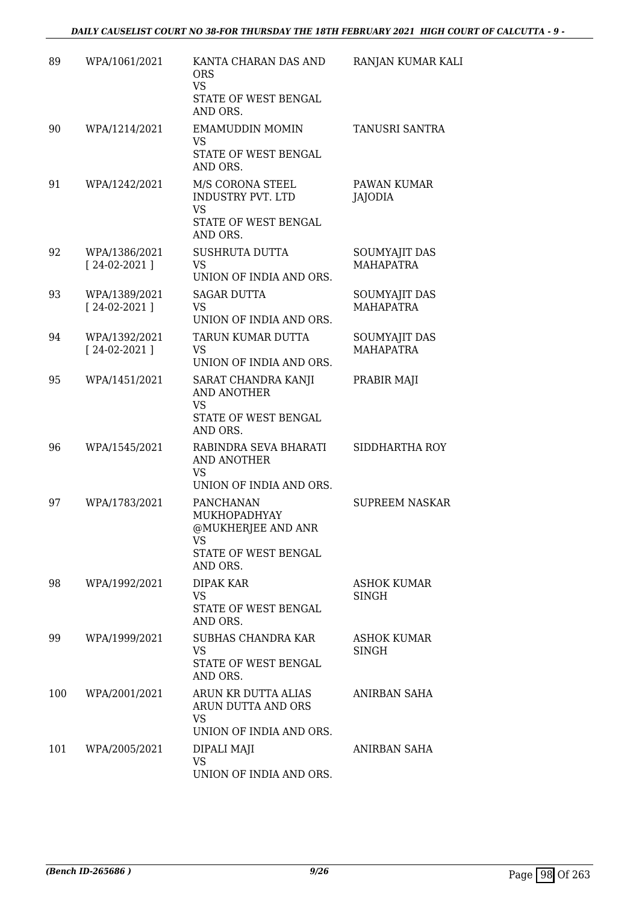| 89  | WPA/1061/2021                   | KANTA CHARAN DAS AND<br><b>ORS</b><br><b>VS</b><br>STATE OF WEST BENGAL<br>AND ORS.              | RANJAN KUMAR KALI                        |
|-----|---------------------------------|--------------------------------------------------------------------------------------------------|------------------------------------------|
| 90  | WPA/1214/2021                   | <b>EMAMUDDIN MOMIN</b><br>VS<br>STATE OF WEST BENGAL<br>AND ORS.                                 | TANUSRI SANTRA                           |
| 91  | WPA/1242/2021                   | M/S CORONA STEEL<br>INDUSTRY PVT. LTD<br><b>VS</b><br>STATE OF WEST BENGAL<br>AND ORS.           | PAWAN KUMAR<br>JAJODIA                   |
| 92  | WPA/1386/2021<br>$[24-02-2021]$ | <b>SUSHRUTA DUTTA</b><br><b>VS</b><br>UNION OF INDIA AND ORS.                                    | SOUMYAJIT DAS<br><b>MAHAPATRA</b>        |
| 93  | WPA/1389/2021<br>$[24-02-2021]$ | <b>SAGAR DUTTA</b><br>VS<br>UNION OF INDIA AND ORS.                                              | <b>SOUMYAJIT DAS</b><br><b>MAHAPATRA</b> |
| 94  | WPA/1392/2021<br>$[24-02-2021]$ | TARUN KUMAR DUTTA<br>VS.<br>UNION OF INDIA AND ORS.                                              | SOUMYAJIT DAS<br><b>MAHAPATRA</b>        |
| 95  | WPA/1451/2021                   | SARAT CHANDRA KANJI<br><b>AND ANOTHER</b><br><b>VS</b><br>STATE OF WEST BENGAL<br>AND ORS.       | PRABIR MAJI                              |
| 96  | WPA/1545/2021                   | RABINDRA SEVA BHARATI<br>AND ANOTHER<br>VS<br>UNION OF INDIA AND ORS.                            | SIDDHARTHA ROY                           |
| 97  | WPA/1783/2021                   | <b>PANCHANAN</b><br>MUKHOPADHYAY<br>@MUKHERJEE AND ANR<br>VS<br>STATE OF WEST BENGAL<br>AND ORS. | <b>SUPREEM NASKAR</b>                    |
| 98  | WPA/1992/2021                   | <b>DIPAK KAR</b><br>VS<br>STATE OF WEST BENGAL<br>AND ORS.                                       | <b>ASHOK KUMAR</b><br>SINGH              |
| 99  | WPA/1999/2021                   | SUBHAS CHANDRA KAR<br>VS<br>STATE OF WEST BENGAL<br>AND ORS.                                     | <b>ASHOK KUMAR</b><br><b>SINGH</b>       |
| 100 | WPA/2001/2021                   | ARUN KR DUTTA ALIAS<br>ARUN DUTTA AND ORS<br><b>VS</b><br>UNION OF INDIA AND ORS.                | ANIRBAN SAHA                             |
| 101 | WPA/2005/2021                   | DIPALI MAJI<br><b>VS</b><br>UNION OF INDIA AND ORS.                                              | ANIRBAN SAHA                             |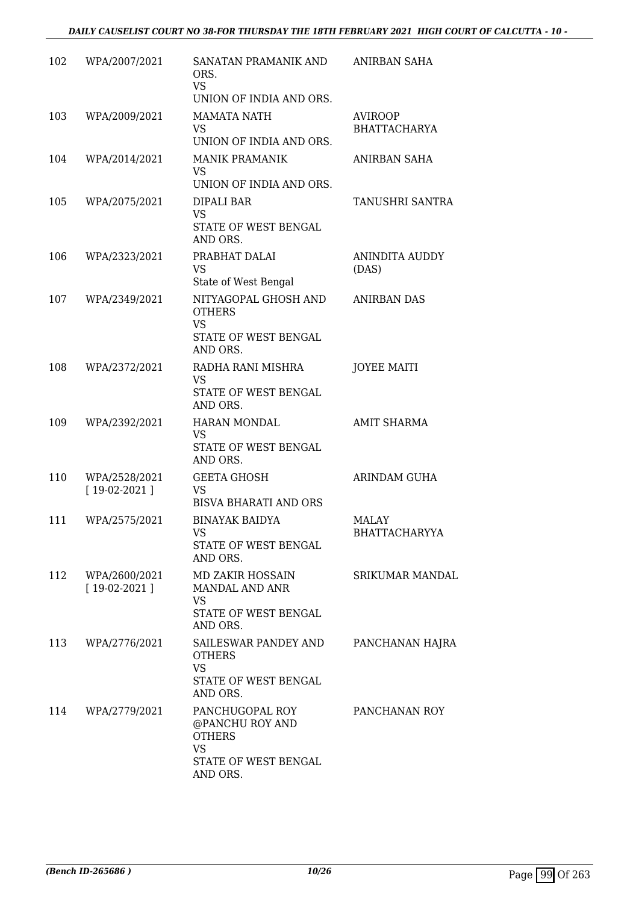| 102 | WPA/2007/2021                   | SANATAN PRAMANIK AND<br>ORS.<br><b>VS</b><br>UNION OF INDIA AND ORS.                     | ANIRBAN SAHA                          |
|-----|---------------------------------|------------------------------------------------------------------------------------------|---------------------------------------|
| 103 | WPA/2009/2021                   | <b>MAMATA NATH</b><br>VS.<br>UNION OF INDIA AND ORS.                                     | <b>AVIROOP</b><br><b>BHATTACHARYA</b> |
| 104 | WPA/2014/2021                   | <b>MANIK PRAMANIK</b><br><b>VS</b>                                                       | ANIRBAN SAHA                          |
|     |                                 | UNION OF INDIA AND ORS.                                                                  |                                       |
| 105 | WPA/2075/2021                   | DIPALI BAR<br><b>VS</b>                                                                  | TANUSHRI SANTRA                       |
|     |                                 | STATE OF WEST BENGAL<br>AND ORS.                                                         |                                       |
| 106 | WPA/2323/2021                   | PRABHAT DALAI<br><b>VS</b><br>State of West Bengal                                       | ANINDITA AUDDY<br>(DAS)               |
| 107 | WPA/2349/2021                   | NITYAGOPAL GHOSH AND<br><b>OTHERS</b><br><b>VS</b>                                       | <b>ANIRBAN DAS</b>                    |
|     |                                 | STATE OF WEST BENGAL<br>AND ORS.                                                         |                                       |
| 108 | WPA/2372/2021                   | RADHA RANI MISHRA<br><b>VS</b><br>STATE OF WEST BENGAL<br>AND ORS.                       | <b>JOYEE MAITI</b>                    |
| 109 | WPA/2392/2021                   | <b>HARAN MONDAL</b><br><b>VS</b><br>STATE OF WEST BENGAL<br>AND ORS.                     | <b>AMIT SHARMA</b>                    |
| 110 | WPA/2528/2021<br>$[19-02-2021]$ | <b>GEETA GHOSH</b><br>VS<br><b>BISVA BHARATI AND ORS</b>                                 | ARINDAM GUHA                          |
| 111 | WPA/2575/2021                   | <b>BINAYAK BAIDYA</b><br><b>VS</b><br>STATE OF WEST BENGAL<br>AND ORS.                   | <b>MALAY</b><br><b>BHATTACHARYYA</b>  |
| 112 | WPA/2600/2021<br>$[19-02-2021]$ | MD ZAKIR HOSSAIN<br>MANDAL AND ANR<br><b>VS</b><br>STATE OF WEST BENGAL<br>AND ORS.      | <b>SRIKUMAR MANDAL</b>                |
| 113 | WPA/2776/2021                   | SAILESWAR PANDEY AND<br><b>OTHERS</b><br><b>VS</b><br>STATE OF WEST BENGAL<br>AND ORS.   | PANCHANAN HAJRA                       |
| 114 | WPA/2779/2021                   | PANCHUGOPAL ROY<br>@PANCHU ROY AND<br><b>OTHERS</b><br><b>VS</b><br>STATE OF WEST BENGAL | PANCHANAN ROY                         |
|     |                                 | AND ORS.                                                                                 |                                       |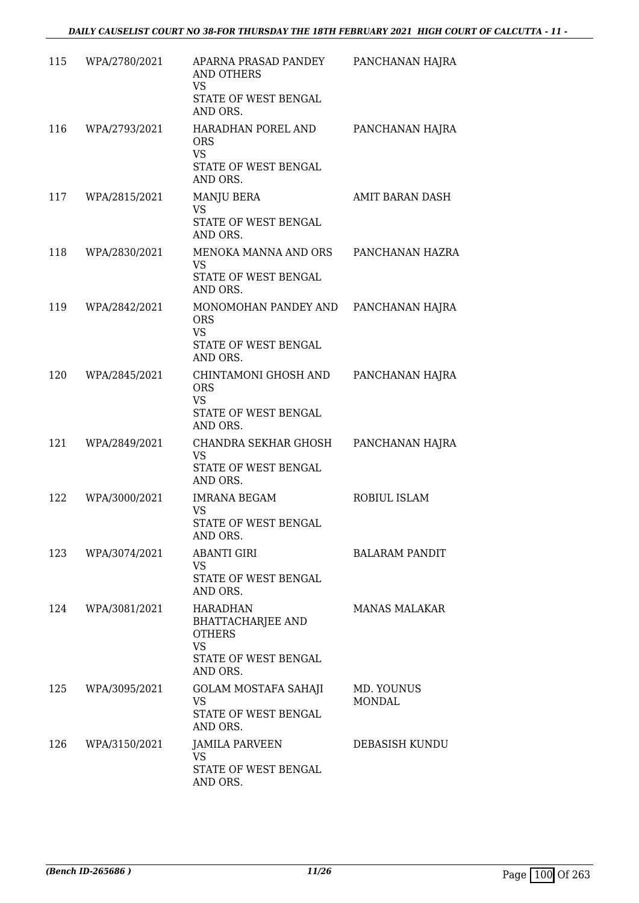| 115 | WPA/2780/2021 | APARNA PRASAD PANDEY<br><b>AND OTHERS</b><br>VS<br>STATE OF WEST BENGAL                                       | PANCHANAN HAJRA             |
|-----|---------------|---------------------------------------------------------------------------------------------------------------|-----------------------------|
| 116 | WPA/2793/2021 | AND ORS.<br>HARADHAN POREL AND<br><b>ORS</b><br><b>VS</b><br>STATE OF WEST BENGAL                             | PANCHANAN HAJRA             |
| 117 | WPA/2815/2021 | AND ORS.<br>MANJU BERA<br><b>VS</b><br>STATE OF WEST BENGAL<br>AND ORS.                                       | <b>AMIT BARAN DASH</b>      |
| 118 | WPA/2830/2021 | MENOKA MANNA AND ORS<br><b>VS</b><br>STATE OF WEST BENGAL<br>AND ORS.                                         | PANCHANAN HAZRA             |
| 119 | WPA/2842/2021 | MONOMOHAN PANDEY AND<br><b>ORS</b><br><b>VS</b><br>STATE OF WEST BENGAL<br>AND ORS.                           | PANCHANAN HAJRA             |
| 120 | WPA/2845/2021 | CHINTAMONI GHOSH AND<br><b>ORS</b><br><b>VS</b><br>STATE OF WEST BENGAL<br>AND ORS.                           | PANCHANAN HAJRA             |
| 121 | WPA/2849/2021 | CHANDRA SEKHAR GHOSH<br>VS<br>STATE OF WEST BENGAL<br>AND ORS.                                                | PANCHANAN HAJRA             |
| 122 | WPA/3000/2021 | <b>IMRANA BEGAM</b><br><b>VS</b><br>STATE OF WEST BENGAL<br>AND ORS.                                          | ROBIUL ISLAM                |
| 123 | WPA/3074/2021 | <b>ABANTI GIRI</b><br>VS<br>STATE OF WEST BENGAL<br>AND ORS.                                                  | <b>BALARAM PANDIT</b>       |
| 124 | WPA/3081/2021 | <b>HARADHAN</b><br><b>BHATTACHARJEE AND</b><br><b>OTHERS</b><br><b>VS</b><br>STATE OF WEST BENGAL<br>AND ORS. | <b>MANAS MALAKAR</b>        |
| 125 | WPA/3095/2021 | <b>GOLAM MOSTAFA SAHAJI</b><br>VS<br>STATE OF WEST BENGAL<br>AND ORS.                                         | MD. YOUNUS<br><b>MONDAL</b> |
| 126 | WPA/3150/2021 | JAMILA PARVEEN<br><b>VS</b><br>STATE OF WEST BENGAL<br>AND ORS.                                               | DEBASISH KUNDU              |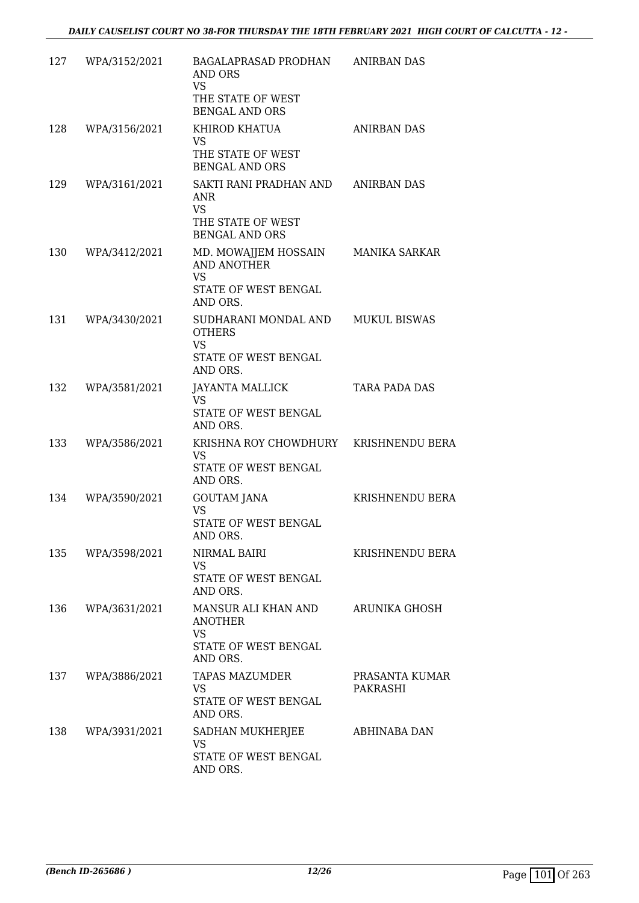| 127 | WPA/3152/2021 | BAGALAPRASAD PRODHAN<br>AND ORS<br><b>VS</b><br>THE STATE OF WEST<br><b>BENGAL AND ORS</b>  | <b>ANIRBAN DAS</b>         |
|-----|---------------|---------------------------------------------------------------------------------------------|----------------------------|
| 128 | WPA/3156/2021 | KHIROD KHATUA<br><b>VS</b><br>THE STATE OF WEST<br><b>BENGAL AND ORS</b>                    | <b>ANIRBAN DAS</b>         |
| 129 | WPA/3161/2021 | SAKTI RANI PRADHAN AND<br>ANR<br><b>VS</b><br>THE STATE OF WEST<br><b>BENGAL AND ORS</b>    | <b>ANIRBAN DAS</b>         |
| 130 | WPA/3412/2021 | MD. MOWAJJEM HOSSAIN<br><b>AND ANOTHER</b><br><b>VS</b><br>STATE OF WEST BENGAL<br>AND ORS. | MANIKA SARKAR              |
| 131 | WPA/3430/2021 | SUDHARANI MONDAL AND<br><b>OTHERS</b><br><b>VS</b><br>STATE OF WEST BENGAL<br>AND ORS.      | <b>MUKUL BISWAS</b>        |
| 132 | WPA/3581/2021 | JAYANTA MALLICK<br><b>VS</b><br>STATE OF WEST BENGAL<br>AND ORS.                            | <b>TARA PADA DAS</b>       |
| 133 | WPA/3586/2021 | KRISHNA ROY CHOWDHURY KRISHNENDU BERA<br><b>VS</b><br>STATE OF WEST BENGAL<br>AND ORS.      |                            |
| 134 | WPA/3590/2021 | <b>GOUTAM JANA</b><br>VS<br>STATE OF WEST BENGAL<br>AND ORS.                                | <b>KRISHNENDU BERA</b>     |
| 135 | WPA/3598/2021 | NIRMAL BAIRI<br>VS<br>STATE OF WEST BENGAL<br>AND ORS.                                      | <b>KRISHNENDU BERA</b>     |
| 136 | WPA/3631/2021 | MANSUR ALI KHAN AND<br><b>ANOTHER</b><br><b>VS</b><br>STATE OF WEST BENGAL<br>AND ORS.      | ARUNIKA GHOSH              |
| 137 | WPA/3886/2021 | <b>TAPAS MAZUMDER</b><br>VS<br>STATE OF WEST BENGAL<br>AND ORS.                             | PRASANTA KUMAR<br>PAKRASHI |
| 138 | WPA/3931/2021 | SADHAN MUKHERJEE<br><b>VS</b><br>STATE OF WEST BENGAL<br>AND ORS.                           | ABHINABA DAN               |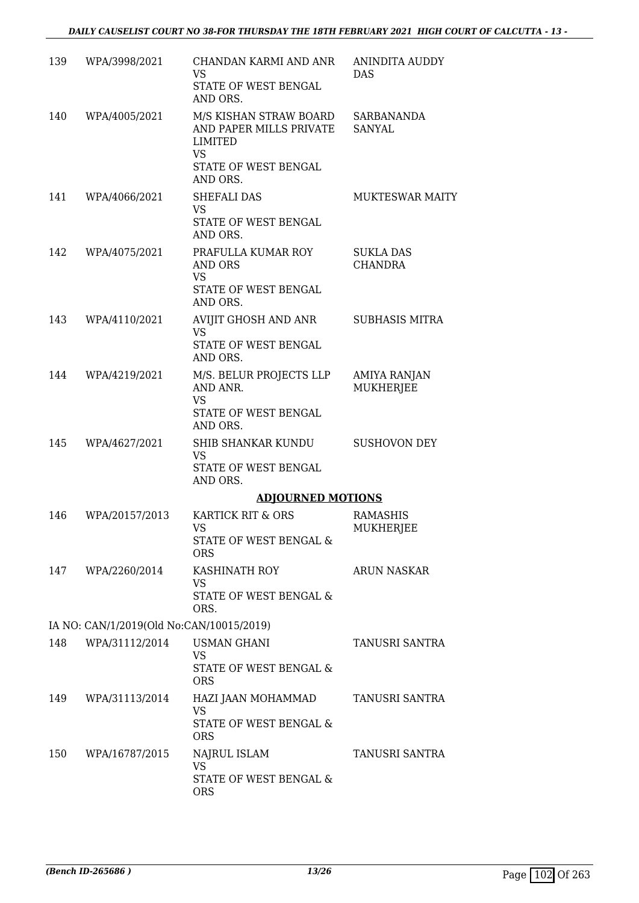| 139 | WPA/3998/2021                            | CHANDAN KARMI AND ANR<br>VS<br>STATE OF WEST BENGAL<br>AND ORS.                                        | <b>ANINDITA AUDDY</b><br><b>DAS</b> |
|-----|------------------------------------------|--------------------------------------------------------------------------------------------------------|-------------------------------------|
| 140 | WPA/4005/2021                            | M/S KISHAN STRAW BOARD<br>AND PAPER MILLS PRIVATE<br>LIMITED<br>VS<br>STATE OF WEST BENGAL<br>AND ORS. | SARBANANDA<br>SANYAL                |
| 141 | WPA/4066/2021                            | SHEFALI DAS<br><b>VS</b><br>STATE OF WEST BENGAL<br>AND ORS.                                           | <b>MUKTESWAR MAITY</b>              |
| 142 | WPA/4075/2021                            | PRAFULLA KUMAR ROY<br>AND ORS<br><b>VS</b><br>STATE OF WEST BENGAL<br>AND ORS.                         | <b>SUKLA DAS</b><br><b>CHANDRA</b>  |
| 143 | WPA/4110/2021                            | AVIJIT GHOSH AND ANR<br><b>VS</b><br>STATE OF WEST BENGAL<br>AND ORS.                                  | <b>SUBHASIS MITRA</b>               |
| 144 | WPA/4219/2021                            | M/S. BELUR PROJECTS LLP<br>AND ANR.<br>VS<br>STATE OF WEST BENGAL<br>AND ORS.                          | AMIYA RANJAN<br><b>MUKHERJEE</b>    |
| 145 | WPA/4627/2021                            | SHIB SHANKAR KUNDU<br><b>VS</b><br>STATE OF WEST BENGAL<br>AND ORS.                                    | <b>SUSHOVON DEY</b>                 |
|     |                                          | <b>ADJOURNED MOTIONS</b>                                                                               |                                     |
| 146 | WPA/20157/2013                           | KARTICK RIT & ORS<br>VS<br>STATE OF WEST BENGAL &<br><b>ORS</b>                                        | <b>RAMASHIS</b><br><b>MUKHERJEE</b> |
|     | 147 WPA/2260/2014                        | KASHINATH ROY<br>VS<br>STATE OF WEST BENGAL &<br>ORS.                                                  | <b>ARUN NASKAR</b>                  |
|     | IA NO: CAN/1/2019(Old No:CAN/10015/2019) |                                                                                                        |                                     |
| 148 | WPA/31112/2014                           | USMAN GHANI<br>VS<br>STATE OF WEST BENGAL &<br><b>ORS</b>                                              | TANUSRI SANTRA                      |
| 149 | WPA/31113/2014                           | HAZI JAAN MOHAMMAD<br>VS<br>STATE OF WEST BENGAL &<br><b>ORS</b>                                       | TANUSRI SANTRA                      |
| 150 | WPA/16787/2015                           | NAJRUL ISLAM<br>VS<br>STATE OF WEST BENGAL &<br><b>ORS</b>                                             | TANUSRI SANTRA                      |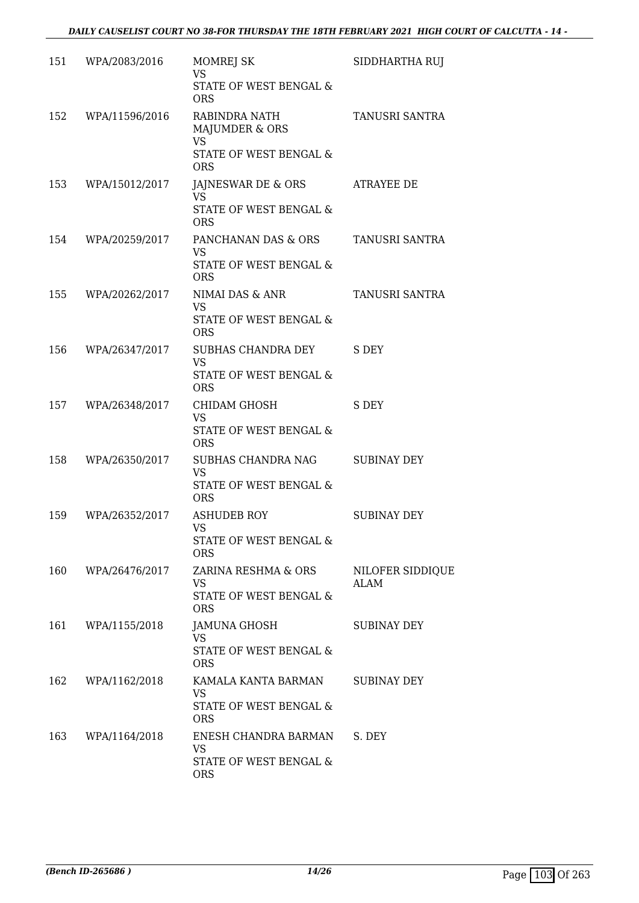| 151 | WPA/2083/2016  | <b>MOMREJ SK</b><br><b>VS</b><br>STATE OF WEST BENGAL & | SIDDHARTHA RUJ           |
|-----|----------------|---------------------------------------------------------|--------------------------|
|     |                | <b>ORS</b>                                              |                          |
| 152 | WPA/11596/2016 | RABINDRA NATH<br>MAJUMDER & ORS                         | TANUSRI SANTRA           |
|     |                | <b>VS</b><br>STATE OF WEST BENGAL &<br><b>ORS</b>       |                          |
| 153 | WPA/15012/2017 | JAJNESWAR DE & ORS<br>VS                                | ATRAYEE DE               |
|     |                | STATE OF WEST BENGAL &<br><b>ORS</b>                    |                          |
| 154 | WPA/20259/2017 | PANCHANAN DAS & ORS<br><b>VS</b>                        | TANUSRI SANTRA           |
|     |                | STATE OF WEST BENGAL &<br><b>ORS</b>                    |                          |
| 155 | WPA/20262/2017 | NIMAI DAS & ANR<br><b>VS</b>                            | TANUSRI SANTRA           |
|     |                | STATE OF WEST BENGAL &<br><b>ORS</b>                    |                          |
| 156 | WPA/26347/2017 | SUBHAS CHANDRA DEY<br><b>VS</b>                         | S DEY                    |
|     |                | STATE OF WEST BENGAL &<br><b>ORS</b>                    |                          |
| 157 | WPA/26348/2017 | <b>CHIDAM GHOSH</b><br><b>VS</b>                        | S DEY                    |
|     |                | STATE OF WEST BENGAL &<br><b>ORS</b>                    |                          |
| 158 | WPA/26350/2017 | SUBHAS CHANDRA NAG<br><b>VS</b>                         | <b>SUBINAY DEY</b>       |
|     |                | STATE OF WEST BENGAL &<br><b>ORS</b>                    |                          |
| 159 | WPA/26352/2017 | <b>ASHUDEB ROY</b><br>VS                                | <b>SUBINAY DEY</b>       |
|     |                | STATE OF WEST BENGAL &<br><b>ORS</b>                    |                          |
| 160 | WPA/26476/2017 | ZARINA RESHMA & ORS<br>VS                               | NILOFER SIDDIQUE<br>ALAM |
|     |                | STATE OF WEST BENGAL &<br><b>ORS</b>                    |                          |
| 161 | WPA/1155/2018  | JAMUNA GHOSH<br><b>VS</b>                               | <b>SUBINAY DEY</b>       |
|     |                | STATE OF WEST BENGAL &<br><b>ORS</b>                    |                          |
| 162 | WPA/1162/2018  | KAMALA KANTA BARMAN<br>VS                               | SUBINAY DEY              |
|     |                | STATE OF WEST BENGAL &<br><b>ORS</b>                    |                          |
| 163 | WPA/1164/2018  | ENESH CHANDRA BARMAN<br><b>VS</b>                       | S. DEY                   |
|     |                | STATE OF WEST BENGAL &<br><b>ORS</b>                    |                          |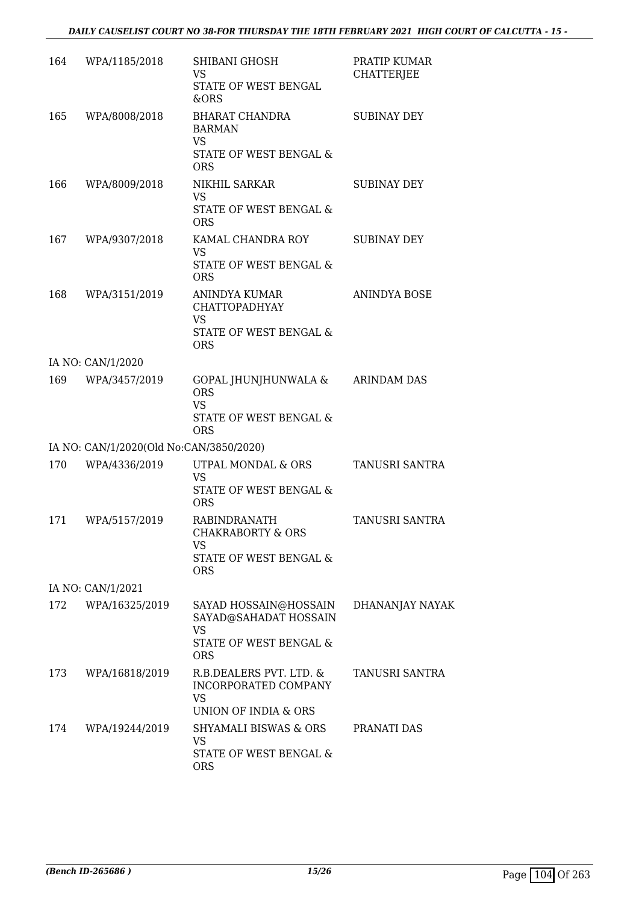| 164 | WPA/1185/2018                           | SHIBANI GHOSH<br>VS                                                     | PRATIP KUMAR<br><b>CHATTERJEE</b> |
|-----|-----------------------------------------|-------------------------------------------------------------------------|-----------------------------------|
|     |                                         | STATE OF WEST BENGAL<br>&ORS                                            |                                   |
| 165 | WPA/8008/2018                           | BHARAT CHANDRA<br><b>BARMAN</b><br><b>VS</b><br>STATE OF WEST BENGAL &  | <b>SUBINAY DEY</b>                |
|     |                                         | <b>ORS</b>                                                              |                                   |
| 166 | WPA/8009/2018                           | NIKHIL SARKAR<br>VS                                                     | <b>SUBINAY DEY</b>                |
|     |                                         | STATE OF WEST BENGAL &<br><b>ORS</b>                                    |                                   |
| 167 | WPA/9307/2018                           | KAMAL CHANDRA ROY<br>VS                                                 | <b>SUBINAY DEY</b>                |
|     |                                         | STATE OF WEST BENGAL &<br><b>ORS</b>                                    |                                   |
| 168 | WPA/3151/2019                           | ANINDYA KUMAR<br><b>CHATTOPADHYAY</b>                                   | ANINDYA BOSE                      |
|     |                                         | <b>VS</b><br><b>STATE OF WEST BENGAL &amp;</b><br><b>ORS</b>            |                                   |
|     | IA NO: CAN/1/2020                       |                                                                         |                                   |
| 169 | WPA/3457/2019                           | GOPAL JHUNJHUNWALA &<br><b>ORS</b><br><b>VS</b>                         | <b>ARINDAM DAS</b>                |
|     |                                         | STATE OF WEST BENGAL &<br><b>ORS</b>                                    |                                   |
|     | IA NO: CAN/1/2020(Old No:CAN/3850/2020) |                                                                         |                                   |
| 170 | WPA/4336/2019                           | UTPAL MONDAL & ORS<br><b>VS</b><br>STATE OF WEST BENGAL &               | TANUSRI SANTRA                    |
|     |                                         | <b>ORS</b>                                                              |                                   |
| 171 | WPA/5157/2019                           | RABINDRANATH<br><b>CHAKRABORTY &amp; ORS</b><br>VS                      | TANUSRI SANTRA                    |
|     |                                         | <b>STATE OF WEST BENGAL &amp;</b><br><b>ORS</b>                         |                                   |
|     | IA NO: CAN/1/2021                       |                                                                         |                                   |
| 172 | WPA/16325/2019                          | SAYAD HOSSAIN@HOSSAIN<br>SAYAD@SAHADAT HOSSAIN<br><b>VS</b>             | DHANANJAY NAYAK                   |
|     |                                         | STATE OF WEST BENGAL &<br><b>ORS</b>                                    |                                   |
| 173 | WPA/16818/2019                          | R.B.DEALERS PVT. LTD. &<br>INCORPORATED COMPANY<br><b>VS</b>            | TANUSRI SANTRA                    |
|     |                                         | UNION OF INDIA & ORS                                                    |                                   |
| 174 | WPA/19244/2019                          | <b>SHYAMALI BISWAS &amp; ORS</b><br><b>VS</b><br>STATE OF WEST BENGAL & | PRANATI DAS                       |
|     |                                         | <b>ORS</b>                                                              |                                   |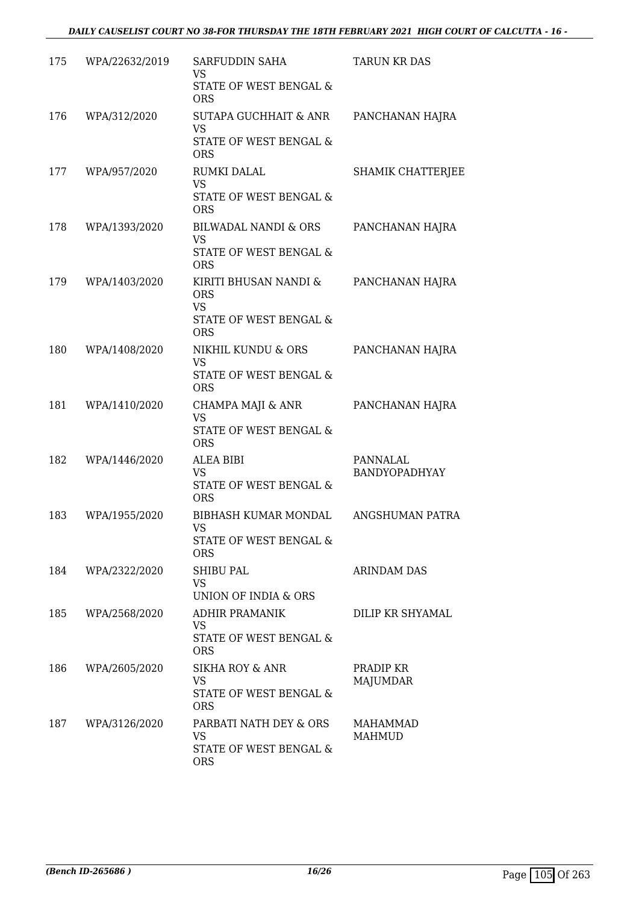| 175 | WPA/22632/2019 | SARFUDDIN SAHA<br>VS<br>STATE OF WEST BENGAL &<br><b>ORS</b>                             | <b>TARUN KR DAS</b>       |
|-----|----------------|------------------------------------------------------------------------------------------|---------------------------|
| 176 | WPA/312/2020   | <b>SUTAPA GUCHHAIT &amp; ANR</b><br>VS<br>STATE OF WEST BENGAL &<br><b>ORS</b>           | PANCHANAN HAJRA           |
| 177 | WPA/957/2020   | RUMKI DALAL<br><b>VS</b><br>STATE OF WEST BENGAL &<br><b>ORS</b>                         | <b>SHAMIK CHATTERJEE</b>  |
| 178 | WPA/1393/2020  | <b>BILWADAL NANDI &amp; ORS</b><br><b>VS</b><br>STATE OF WEST BENGAL &<br><b>ORS</b>     | PANCHANAN HAJRA           |
| 179 | WPA/1403/2020  | KIRITI BHUSAN NANDI &<br><b>ORS</b><br><b>VS</b><br>STATE OF WEST BENGAL &<br><b>ORS</b> | PANCHANAN HAJRA           |
| 180 | WPA/1408/2020  | NIKHIL KUNDU & ORS<br><b>VS</b><br>STATE OF WEST BENGAL &<br><b>ORS</b>                  | PANCHANAN HAJRA           |
| 181 | WPA/1410/2020  | CHAMPA MAJI & ANR<br><b>VS</b><br>STATE OF WEST BENGAL &<br><b>ORS</b>                   | PANCHANAN HAJRA           |
| 182 | WPA/1446/2020  | <b>ALEA BIBI</b><br>VS<br>STATE OF WEST BENGAL &<br><b>ORS</b>                           | PANNALAL<br>BANDYOPADHYAY |
| 183 | WPA/1955/2020  | BIBHASH KUMAR MONDAL<br><b>VS</b><br>STATE OF WEST BENGAL &<br><b>ORS</b>                | ANGSHUMAN PATRA           |
| 184 | WPA/2322/2020  | SHIBU PAL<br>VS.<br>UNION OF INDIA & ORS                                                 | ARINDAM DAS               |
| 185 | WPA/2568/2020  | ADHIR PRAMANIK<br>VS<br>STATE OF WEST BENGAL &<br><b>ORS</b>                             | DILIP KR SHYAMAL          |
| 186 | WPA/2605/2020  | <b>SIKHA ROY &amp; ANR</b><br><b>VS</b><br>STATE OF WEST BENGAL &<br><b>ORS</b>          | PRADIP KR<br>MAJUMDAR     |
| 187 | WPA/3126/2020  | PARBATI NATH DEY & ORS<br>VS<br>STATE OF WEST BENGAL &<br><b>ORS</b>                     | MAHAMMAD<br>MAHMUD        |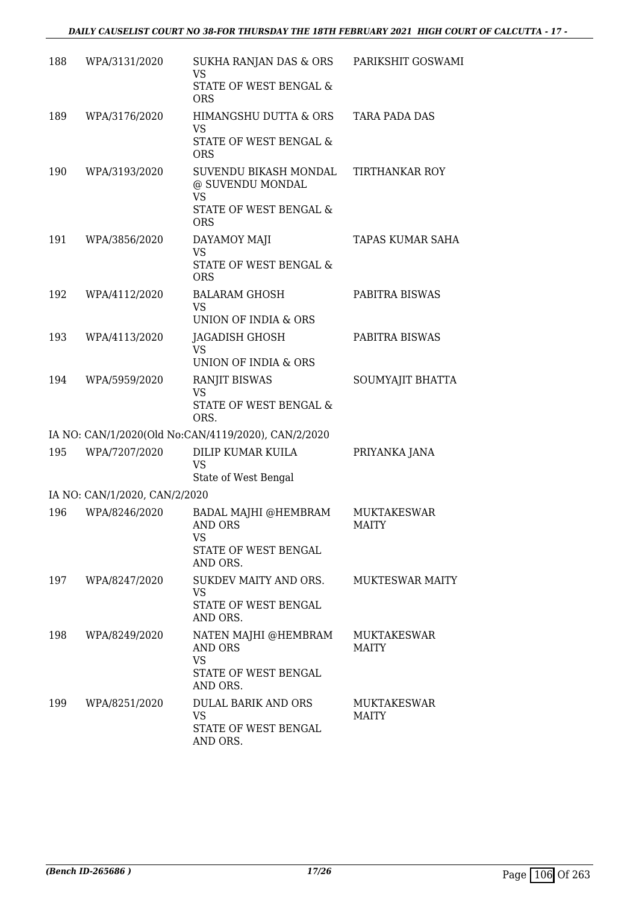| 188 | WPA/3131/2020                 | SUKHA RANJAN DAS & ORS<br>VS                                                                   | PARIKSHIT GOSWAMI                  |
|-----|-------------------------------|------------------------------------------------------------------------------------------------|------------------------------------|
|     |                               | <b>STATE OF WEST BENGAL &amp;</b><br><b>ORS</b>                                                |                                    |
| 189 | WPA/3176/2020                 | HIMANGSHU DUTTA & ORS<br><b>VS</b>                                                             | <b>TARA PADA DAS</b>               |
|     |                               | STATE OF WEST BENGAL &<br><b>ORS</b>                                                           |                                    |
| 190 | WPA/3193/2020                 | SUVENDU BIKASH MONDAL<br>@ SUVENDU MONDAL<br><b>VS</b><br>STATE OF WEST BENGAL &<br><b>ORS</b> | <b>TIRTHANKAR ROY</b>              |
| 191 | WPA/3856/2020                 | DAYAMOY MAJI<br><b>VS</b><br>STATE OF WEST BENGAL &<br><b>ORS</b>                              | TAPAS KUMAR SAHA                   |
| 192 | WPA/4112/2020                 | <b>BALARAM GHOSH</b><br><b>VS</b>                                                              | PABITRA BISWAS                     |
|     |                               | UNION OF INDIA & ORS                                                                           |                                    |
| 193 | WPA/4113/2020                 | <b>JAGADISH GHOSH</b><br><b>VS</b>                                                             | PABITRA BISWAS                     |
|     |                               | UNION OF INDIA & ORS                                                                           |                                    |
| 194 | WPA/5959/2020                 | <b>RANJIT BISWAS</b><br><b>VS</b><br>STATE OF WEST BENGAL &<br>ORS.                            | SOUMYAJIT BHATTA                   |
|     |                               | IA NO: CAN/1/2020(Old No:CAN/4119/2020), CAN/2/2020                                            |                                    |
| 195 | WPA/7207/2020                 | DILIP KUMAR KUILA<br><b>VS</b><br>State of West Bengal                                         | PRIYANKA JANA                      |
|     | IA NO: CAN/1/2020, CAN/2/2020 |                                                                                                |                                    |
| 196 | WPA/8246/2020                 | BADAL MAJHI @HEMBRAM<br><b>AND ORS</b><br>VS<br>STATE OF WEST BENGAL<br>AND ORS.               | MUKTAKESWAR<br><b>MAITY</b>        |
| 197 | WPA/8247/2020                 | SUKDEV MAITY AND ORS.<br><b>VS</b><br>STATE OF WEST BENGAL<br>AND ORS.                         | <b>MUKTESWAR MAITY</b>             |
| 198 | WPA/8249/2020                 | NATEN MAJHI @HEMBRAM<br>AND ORS<br><b>VS</b><br>STATE OF WEST BENGAL<br>AND ORS.               | <b>MUKTAKESWAR</b><br><b>MAITY</b> |
| 199 | WPA/8251/2020                 | DULAL BARIK AND ORS<br><b>VS</b><br>STATE OF WEST BENGAL<br>AND ORS.                           | <b>MUKTAKESWAR</b><br><b>MAITY</b> |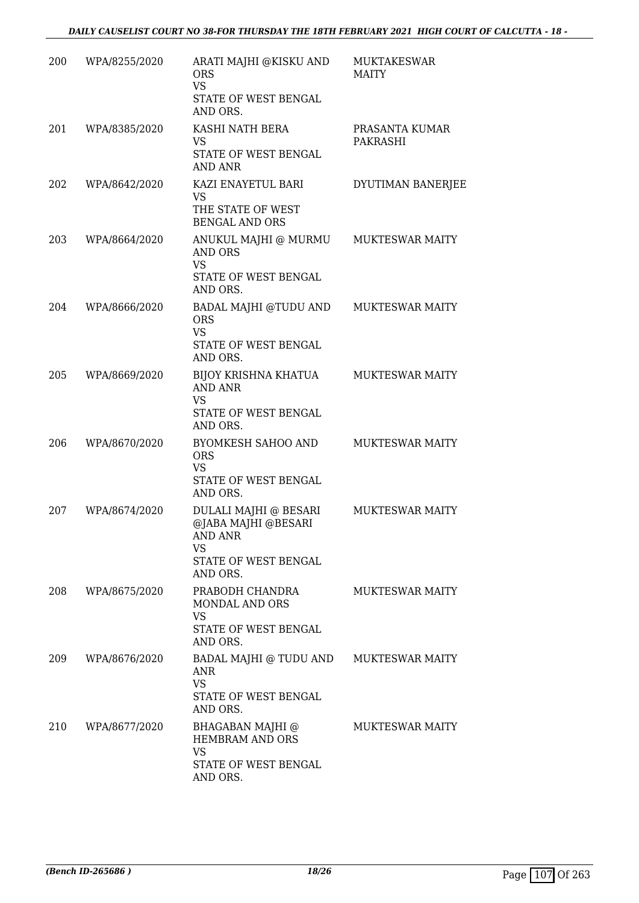#### *DAILY CAUSELIST COURT NO 38-FOR THURSDAY THE 18TH FEBRUARY 2021 HIGH COURT OF CALCUTTA - 18 -*

| 200 | WPA/8255/2020 | ARATI MAJHI @KISKU AND<br><b>ORS</b><br><b>VS</b><br>STATE OF WEST BENGAL<br>AND ORS.                           | <b>MUKTAKESWAR</b><br><b>MAITY</b> |
|-----|---------------|-----------------------------------------------------------------------------------------------------------------|------------------------------------|
| 201 | WPA/8385/2020 | KASHI NATH BERA<br>VS<br>STATE OF WEST BENGAL<br>AND ANR                                                        | PRASANTA KUMAR<br>PAKRASHI         |
| 202 | WPA/8642/2020 | KAZI ENAYETUL BARI<br><b>VS</b><br>THE STATE OF WEST<br><b>BENGAL AND ORS</b>                                   | DYUTIMAN BANERJEE                  |
| 203 | WPA/8664/2020 | ANUKUL MAJHI @ MURMU<br>AND ORS<br><b>VS</b><br>STATE OF WEST BENGAL<br>AND ORS.                                | MUKTESWAR MAITY                    |
| 204 | WPA/8666/2020 | BADAL MAJHI @TUDU AND<br><b>ORS</b><br><b>VS</b><br>STATE OF WEST BENGAL<br>AND ORS.                            | <b>MUKTESWAR MAITY</b>             |
| 205 | WPA/8669/2020 | BIJOY KRISHNA KHATUA<br><b>AND ANR</b><br>VS<br>STATE OF WEST BENGAL<br>AND ORS.                                | <b>MUKTESWAR MAITY</b>             |
| 206 | WPA/8670/2020 | <b>BYOMKESH SAHOO AND</b><br><b>ORS</b><br><b>VS</b><br>STATE OF WEST BENGAL<br>AND ORS.                        | <b>MUKTESWAR MAITY</b>             |
| 207 | WPA/8674/2020 | <b>DULALI MAJHI @ BESARI</b><br>@JABA MAJHI @BESARI<br><b>AND ANR</b><br>VS<br>STATE OF WEST BENGAL<br>AND ORS. | MUKTESWAR MAITY                    |
| 208 | WPA/8675/2020 | PRABODH CHANDRA<br>MONDAL AND ORS<br><b>VS</b><br>STATE OF WEST BENGAL<br>AND ORS.                              | <b>MUKTESWAR MAITY</b>             |
| 209 | WPA/8676/2020 | BADAL MAJHI @ TUDU AND<br>ANR<br><b>VS</b><br>STATE OF WEST BENGAL<br>AND ORS.                                  | MUKTESWAR MAITY                    |
| 210 | WPA/8677/2020 | <b>BHAGABAN MAJHI</b> @<br><b>HEMBRAM AND ORS</b><br>VS<br>STATE OF WEST BENGAL<br>AND ORS.                     | MUKTESWAR MAITY                    |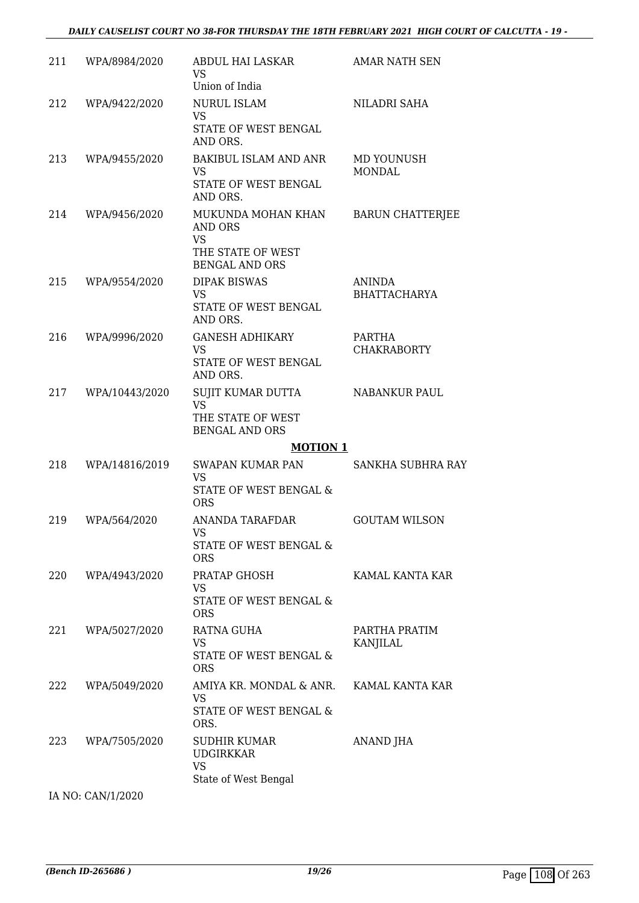| 211 | WPA/8984/2020  | ABDUL HAI LASKAR<br><b>VS</b><br>Union of India                                                 | <b>AMAR NATH SEN</b>                 |
|-----|----------------|-------------------------------------------------------------------------------------------------|--------------------------------------|
| 212 | WPA/9422/2020  | <b>NURUL ISLAM</b><br><b>VS</b><br>STATE OF WEST BENGAL<br>AND ORS.                             | NILADRI SAHA                         |
| 213 | WPA/9455/2020  | <b>BAKIBUL ISLAM AND ANR</b><br><b>VS</b><br>STATE OF WEST BENGAL<br>AND ORS.                   | MD YOUNUSH<br><b>MONDAL</b>          |
| 214 | WPA/9456/2020  | MUKUNDA MOHAN KHAN<br>AND ORS<br><b>VS</b><br>THE STATE OF WEST<br><b>BENGAL AND ORS</b>        | <b>BARUN CHATTERJEE</b>              |
| 215 | WPA/9554/2020  | <b>DIPAK BISWAS</b><br>VS<br>STATE OF WEST BENGAL<br>AND ORS.                                   | <b>ANINDA</b><br><b>BHATTACHARYA</b> |
| 216 | WPA/9996/2020  | <b>GANESH ADHIKARY</b><br><b>VS</b><br>STATE OF WEST BENGAL<br>AND ORS.                         | PARTHA<br><b>CHAKRABORTY</b>         |
| 217 | WPA/10443/2020 | SUJIT KUMAR DUTTA<br><b>VS</b><br>THE STATE OF WEST<br><b>BENGAL AND ORS</b><br><b>MOTION 1</b> | <b>NABANKUR PAUL</b>                 |
| 218 | WPA/14816/2019 | SWAPAN KUMAR PAN<br><b>VS</b><br>STATE OF WEST BENGAL &<br><b>ORS</b>                           | SANKHA SUBHRA RAY                    |
| 219 | WPA/564/2020   | ANANDA TARAFDAR<br>VS —<br>STATE OF WEST BENGAL &<br><b>ORS</b>                                 | <b>GOUTAM WILSON</b>                 |
| 220 | WPA/4943/2020  | PRATAP GHOSH<br>VS.<br>STATE OF WEST BENGAL &<br><b>ORS</b>                                     | KAMAL KANTA KAR                      |
| 221 | WPA/5027/2020  | RATNA GUHA<br><b>VS</b><br>STATE OF WEST BENGAL &<br><b>ORS</b>                                 | PARTHA PRATIM<br>KANJILAL            |
| 222 | WPA/5049/2020  | AMIYA KR. MONDAL & ANR.<br>VS<br>STATE OF WEST BENGAL &<br>ORS.                                 | KAMAL KANTA KAR                      |
| 223 | WPA/7505/2020  | SUDHIR KUMAR<br><b>UDGIRKKAR</b><br>VS<br>State of West Bengal                                  | ANAND JHA                            |

IA NO: CAN/1/2020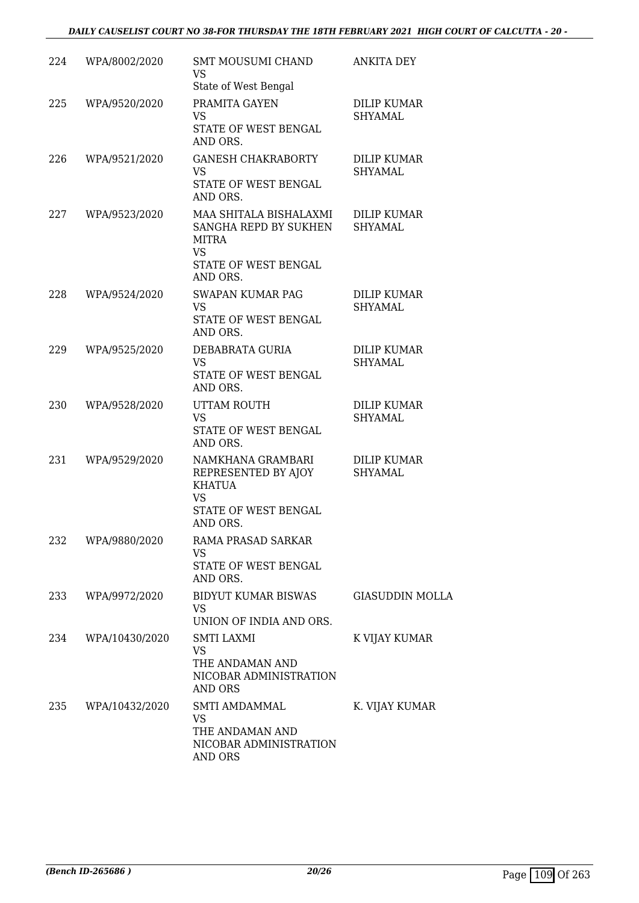| 224 | WPA/8002/2020  | SMT MOUSUMI CHAND<br><b>VS</b><br>State of West Bengal                                                           | <b>ANKITA DEY</b>                    |
|-----|----------------|------------------------------------------------------------------------------------------------------------------|--------------------------------------|
| 225 | WPA/9520/2020  | PRAMITA GAYEN<br>VS<br>STATE OF WEST BENGAL<br>AND ORS.                                                          | DILIP KUMAR<br>SHYAMAL               |
| 226 | WPA/9521/2020  | <b>GANESH CHAKRABORTY</b><br>VS<br>STATE OF WEST BENGAL<br>AND ORS.                                              | <b>DILIP KUMAR</b><br><b>SHYAMAL</b> |
| 227 | WPA/9523/2020  | MAA SHITALA BISHALAXMI<br>SANGHA REPD BY SUKHEN<br><b>MITRA</b><br><b>VS</b><br>STATE OF WEST BENGAL<br>AND ORS. | DILIP KUMAR<br><b>SHYAMAL</b>        |
| 228 | WPA/9524/2020  | <b>SWAPAN KUMAR PAG</b><br><b>VS</b><br>STATE OF WEST BENGAL<br>AND ORS.                                         | <b>DILIP KUMAR</b><br>SHYAMAL        |
| 229 | WPA/9525/2020  | DEBABRATA GURIA<br><b>VS</b><br>STATE OF WEST BENGAL<br>AND ORS.                                                 | <b>DILIP KUMAR</b><br><b>SHYAMAL</b> |
| 230 | WPA/9528/2020  | UTTAM ROUTH<br><b>VS</b><br>STATE OF WEST BENGAL<br>AND ORS.                                                     | <b>DILIP KUMAR</b><br><b>SHYAMAL</b> |
| 231 | WPA/9529/2020  | NAMKHANA GRAMBARI<br>REPRESENTED BY AJOY<br><b>KHATUA</b><br><b>VS</b><br>STATE OF WEST BENGAL<br>AND ORS.       | <b>DILIP KUMAR</b><br>SHYAMAL        |
| 232 | WPA/9880/2020  | RAMA PRASAD SARKAR<br><b>VS</b><br>STATE OF WEST BENGAL<br>AND ORS.                                              |                                      |
| 233 | WPA/9972/2020  | BIDYUT KUMAR BISWAS<br>VS.<br>UNION OF INDIA AND ORS.                                                            | <b>GIASUDDIN MOLLA</b>               |
| 234 | WPA/10430/2020 | <b>SMTI LAXMI</b><br><b>VS</b><br>THE ANDAMAN AND<br>NICOBAR ADMINISTRATION<br>AND ORS                           | K VIJAY KUMAR                        |
| 235 | WPA/10432/2020 | SMTI AMDAMMAL<br><b>VS</b><br>THE ANDAMAN AND<br>NICOBAR ADMINISTRATION<br>AND ORS                               | K. VIJAY KUMAR                       |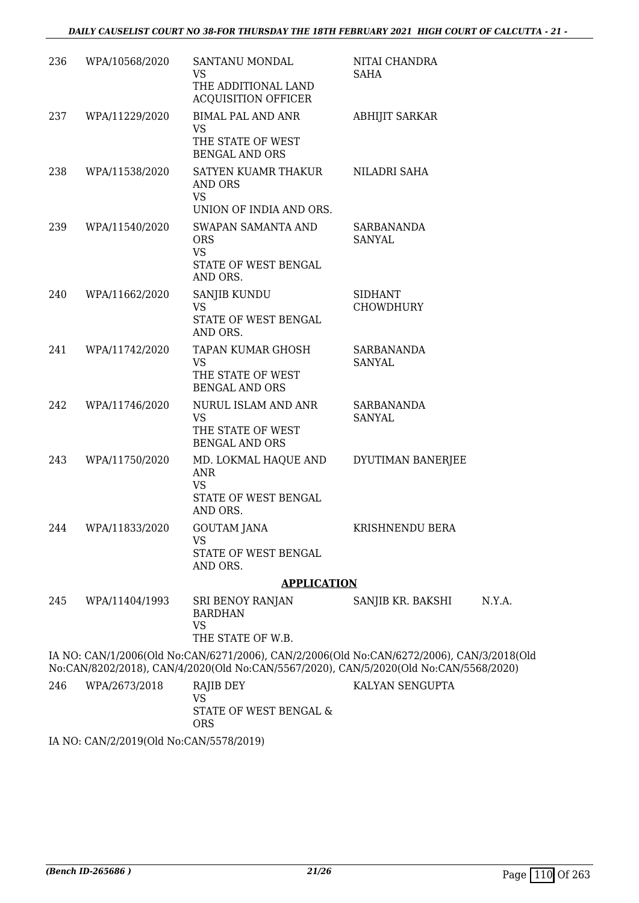| 236 | WPA/10568/2020 | SANTANU MONDAL<br><b>VS</b>                                                                                                                                                        | NITAI CHANDRA<br>SAHA              |        |
|-----|----------------|------------------------------------------------------------------------------------------------------------------------------------------------------------------------------------|------------------------------------|--------|
|     |                | THE ADDITIONAL LAND<br><b>ACQUISITION OFFICER</b>                                                                                                                                  |                                    |        |
| 237 | WPA/11229/2020 | <b>BIMAL PAL AND ANR</b><br>VS                                                                                                                                                     | <b>ABHIJIT SARKAR</b>              |        |
|     |                | THE STATE OF WEST<br><b>BENGAL AND ORS</b>                                                                                                                                         |                                    |        |
| 238 | WPA/11538/2020 | SATYEN KUAMR THAKUR<br><b>AND ORS</b><br><b>VS</b>                                                                                                                                 | NILADRI SAHA                       |        |
|     |                | UNION OF INDIA AND ORS.                                                                                                                                                            |                                    |        |
| 239 | WPA/11540/2020 | SWAPAN SAMANTA AND<br><b>ORS</b><br><b>VS</b><br>STATE OF WEST BENGAL<br>AND ORS.                                                                                                  | SARBANANDA<br><b>SANYAL</b>        |        |
| 240 | WPA/11662/2020 | SANJIB KUNDU<br><b>VS</b><br>STATE OF WEST BENGAL<br>AND ORS.                                                                                                                      | <b>SIDHANT</b><br><b>CHOWDHURY</b> |        |
| 241 | WPA/11742/2020 | TAPAN KUMAR GHOSH<br><b>VS</b><br>THE STATE OF WEST<br><b>BENGAL AND ORS</b>                                                                                                       | SARBANANDA<br>SANYAL               |        |
| 242 | WPA/11746/2020 | NURUL ISLAM AND ANR<br><b>VS</b><br>THE STATE OF WEST<br><b>BENGAL AND ORS</b>                                                                                                     | <b>SARBANANDA</b><br>SANYAL        |        |
| 243 | WPA/11750/2020 | MD. LOKMAL HAQUE AND<br>ANR<br><b>VS</b>                                                                                                                                           | DYUTIMAN BANERJEE                  |        |
|     |                | STATE OF WEST BENGAL<br>AND ORS.                                                                                                                                                   |                                    |        |
| 244 | WPA/11833/2020 | <b>GOUTAM JANA</b><br>VS                                                                                                                                                           | KRISHNENDU BERA                    |        |
|     |                | STATE OF WEST BENGAL<br>AND ORS.                                                                                                                                                   |                                    |        |
|     |                | <b>APPLICATION</b>                                                                                                                                                                 |                                    |        |
| 245 | WPA/11404/1993 | SRI BENOY RANJAN<br><b>BARDHAN</b><br><b>VS</b><br>THE STATE OF W.B.                                                                                                               | SANJIB KR. BAKSHI                  | N.Y.A. |
|     |                | IA NO: CAN/1/2006(Old No:CAN/6271/2006), CAN/2/2006(Old No:CAN/6272/2006), CAN/3/2018(Old<br>No:CAN/8202/2018), CAN/4/2020(Old No:CAN/5567/2020), CAN/5/2020(Old No:CAN/5568/2020) |                                    |        |
| 246 | WPA/2673/2018  | RAJIB DEY<br><b>VS</b><br>STATE OF WEST BENGAL &<br><b>ORS</b>                                                                                                                     | KALYAN SENGUPTA                    |        |

IA NO: CAN/2/2019(Old No:CAN/5578/2019)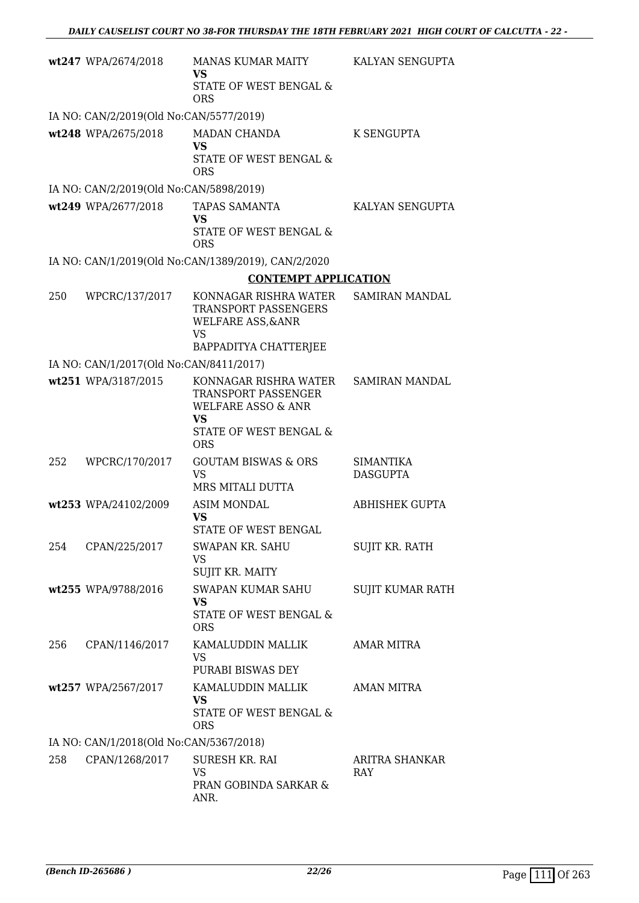|     | wt247 WPA/2674/2018                                            | MANAS KUMAR MAITY<br><b>VS</b><br>STATE OF WEST BENGAL &<br><b>ORS</b>                                    | KALYAN SENGUPTA                     |
|-----|----------------------------------------------------------------|-----------------------------------------------------------------------------------------------------------|-------------------------------------|
|     | IA NO: CAN/2/2019(Old No:CAN/5577/2019)                        |                                                                                                           |                                     |
|     | wt248 WPA/2675/2018                                            | MADAN CHANDA<br><b>VS</b><br>STATE OF WEST BENGAL &<br><b>ORS</b>                                         | K SENGUPTA                          |
|     | IA NO: CAN/2/2019(Old No:CAN/5898/2019)                        |                                                                                                           |                                     |
|     | wt249 WPA/2677/2018                                            | TAPAS SAMANTA<br><b>VS</b><br>STATE OF WEST BENGAL &<br><b>ORS</b>                                        | KALYAN SENGUPTA                     |
|     |                                                                | IA NO: CAN/1/2019(Old No:CAN/1389/2019), CAN/2/2020                                                       |                                     |
|     |                                                                | <b>CONTEMPT APPLICATION</b>                                                                               |                                     |
| 250 | WPCRC/137/2017                                                 | KONNAGAR RISHRA WATER<br>TRANSPORT PASSENGERS<br><b>WELFARE ASS, &amp; ANR</b><br>VS                      | SAMIRAN MANDAL                      |
|     |                                                                | BAPPADITYA CHATTERJEE                                                                                     |                                     |
|     | IA NO: CAN/1/2017(Old No:CAN/8411/2017)<br>wt251 WPA/3187/2015 | KONNAGAR RISHRA WATER                                                                                     | <b>SAMIRAN MANDAL</b>               |
|     |                                                                | TRANSPORT PASSENGER<br><b>WELFARE ASSO &amp; ANR</b><br><b>VS</b><br>STATE OF WEST BENGAL &<br><b>ORS</b> |                                     |
| 252 | WPCRC/170/2017                                                 | <b>GOUTAM BISWAS &amp; ORS</b><br><b>VS</b><br>MRS MITALI DUTTA                                           | <b>SIMANTIKA</b><br><b>DASGUPTA</b> |
|     | wt253 WPA/24102/2009                                           | <b>ASIM MONDAL</b><br><b>VS</b><br>STATE OF WEST BENGAL                                                   | <b>ABHISHEK GUPTA</b>               |
|     | 254 CPAN/225/2017                                              | SWAPAN KR. SAHU<br>VS<br>SUJIT KR. MAITY                                                                  | <b>SUJIT KR. RATH</b>               |
|     | wt255 WPA/9788/2016                                            | SWAPAN KUMAR SAHU<br>VS.<br>STATE OF WEST BENGAL &<br><b>ORS</b>                                          | SUJIT KUMAR RATH                    |
| 256 | CPAN/1146/2017                                                 | KAMALUDDIN MALLIK<br>VS<br>PURABI BISWAS DEY                                                              | AMAR MITRA                          |
|     | wt257 WPA/2567/2017                                            | KAMALUDDIN MALLIK<br>VS<br>STATE OF WEST BENGAL &<br><b>ORS</b>                                           | AMAN MITRA                          |
|     | IA NO: CAN/1/2018(Old No:CAN/5367/2018)                        |                                                                                                           |                                     |
|     | 258 CPAN/1268/2017                                             | SURESH KR. RAI<br><b>VS</b><br>PRAN GOBINDA SARKAR &<br>ANR.                                              | ARITRA SHANKAR<br><b>RAY</b>        |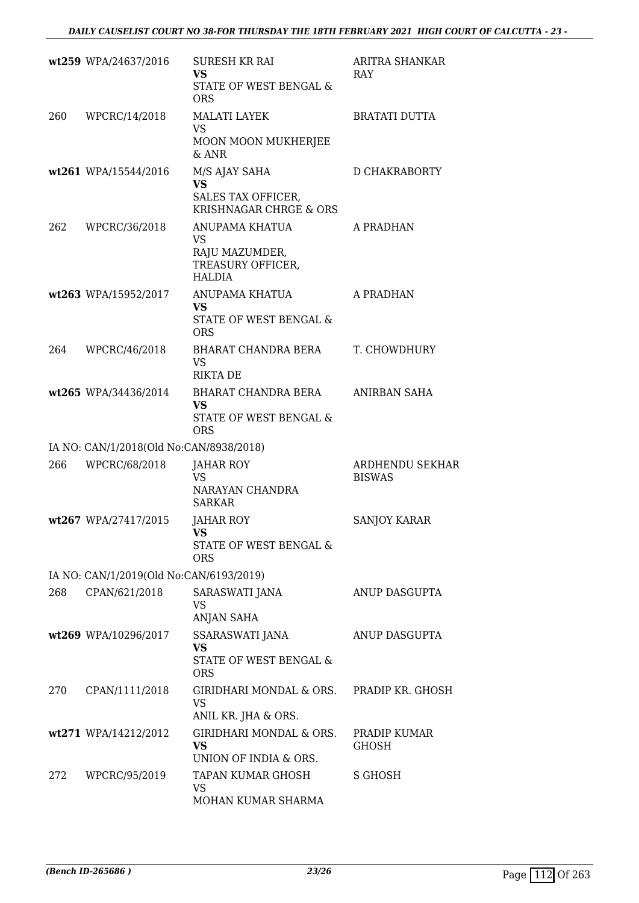|     | wt259 WPA/24637/2016                    | <b>SURESH KR RAI</b><br><b>VS</b><br>STATE OF WEST BENGAL &<br><b>ORS</b>  | ARITRA SHANKAR<br>RAY                   |
|-----|-----------------------------------------|----------------------------------------------------------------------------|-----------------------------------------|
| 260 | WPCRC/14/2018                           | <b>MALATI LAYEK</b><br><b>VS</b><br>MOON MOON MUKHERJEE<br>$&$ ANR         | <b>BRATATI DUTTA</b>                    |
|     | wt261 WPA/15544/2016                    | M/S AJAY SAHA<br><b>VS</b><br>SALES TAX OFFICER,<br>KRISHNAGAR CHRGE & ORS | D CHAKRABORTY                           |
| 262 | WPCRC/36/2018                           | ANUPAMA KHATUA<br>VS<br>RAJU MAZUMDER,<br>TREASURY OFFICER,<br>HALDIA      | A PRADHAN                               |
|     | wt263 WPA/15952/2017                    | ANUPAMA KHATUA<br><b>VS</b><br>STATE OF WEST BENGAL &<br><b>ORS</b>        | A PRADHAN                               |
| 264 | WPCRC/46/2018                           | BHARAT CHANDRA BERA<br><b>VS</b><br><b>RIKTA DE</b>                        | T. CHOWDHURY                            |
|     | wt265 WPA/34436/2014                    | BHARAT CHANDRA BERA<br><b>VS</b><br>STATE OF WEST BENGAL &<br><b>ORS</b>   | ANIRBAN SAHA                            |
|     | IA NO: CAN/1/2018(Old No:CAN/8938/2018) |                                                                            |                                         |
| 266 | WPCRC/68/2018                           | <b>JAHAR ROY</b><br><b>VS</b><br>NARAYAN CHANDRA<br><b>SARKAR</b>          | <b>ARDHENDU SEKHAR</b><br><b>BISWAS</b> |
|     | wt267 WPA/27417/2015                    | JAHAR ROY<br>VS<br>STATE OF WEST BENGAL &<br><b>ORS</b>                    | <b>SANJOY KARAR</b>                     |
|     | IA NO: CAN/1/2019(Old No:CAN/6193/2019) |                                                                            |                                         |
| 268 | CPAN/621/2018                           | SARASWATI JANA<br>VS<br>ANJAN SAHA                                         | ANUP DASGUPTA                           |
|     | wt269 WPA/10296/2017                    | SSARASWATI JANA<br><b>VS</b><br>STATE OF WEST BENGAL &<br><b>ORS</b>       | ANUP DASGUPTA                           |
| 270 | CPAN/1111/2018                          | GIRIDHARI MONDAL & ORS.<br><b>VS</b><br>ANIL KR. JHA & ORS.                | PRADIP KR. GHOSH                        |
|     | wt271 WPA/14212/2012                    | GIRIDHARI MONDAL & ORS.<br><b>VS</b><br>UNION OF INDIA & ORS.              | PRADIP KUMAR<br><b>GHOSH</b>            |
| 272 | WPCRC/95/2019                           | TAPAN KUMAR GHOSH<br>VS<br>MOHAN KUMAR SHARMA                              | S GHOSH                                 |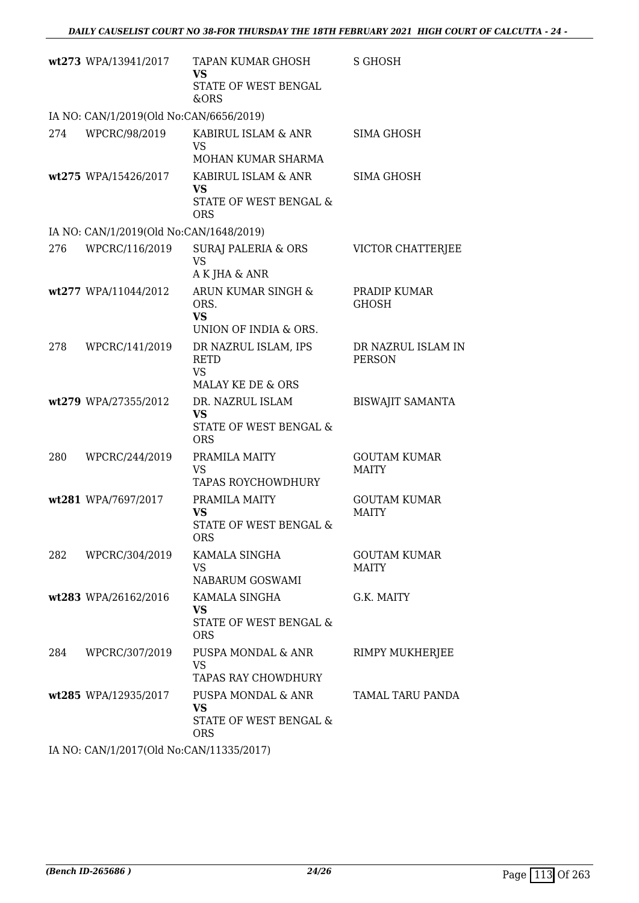|     | wt273 WPA/13941/2017                    | TAPAN KUMAR GHOSH<br><b>VS</b><br>STATE OF WEST BENGAL<br>&ORS          | S GHOSH                             |
|-----|-----------------------------------------|-------------------------------------------------------------------------|-------------------------------------|
|     | IA NO: CAN/1/2019(Old No:CAN/6656/2019) |                                                                         |                                     |
| 274 | WPCRC/98/2019                           | KABIRUL ISLAM & ANR<br><b>VS</b>                                        | SIMA GHOSH                          |
|     |                                         | MOHAN KUMAR SHARMA                                                      |                                     |
|     | wt275 WPA/15426/2017                    | KABIRUL ISLAM & ANR<br><b>VS</b>                                        | <b>SIMA GHOSH</b>                   |
|     |                                         | STATE OF WEST BENGAL &<br><b>ORS</b>                                    |                                     |
|     | IA NO: CAN/1/2019(Old No:CAN/1648/2019) |                                                                         |                                     |
| 276 | WPCRC/116/2019                          | <b>SURAJ PALERIA &amp; ORS</b><br><b>VS</b><br>A K JHA & ANR            | VICTOR CHATTERJEE                   |
|     | wt277 WPA/11044/2012                    | ARUN KUMAR SINGH &<br>ORS.<br><b>VS</b>                                 | PRADIP KUMAR<br><b>GHOSH</b>        |
|     |                                         | UNION OF INDIA & ORS.                                                   |                                     |
| 278 | WPCRC/141/2019                          | DR NAZRUL ISLAM, IPS<br><b>RETD</b><br><b>VS</b><br>MALAY KE DE & ORS   | DR NAZRUL ISLAM IN<br><b>PERSON</b> |
|     | wt279 WPA/27355/2012                    | DR. NAZRUL ISLAM<br><b>VS</b><br>STATE OF WEST BENGAL &<br><b>ORS</b>   | <b>BISWAJIT SAMANTA</b>             |
| 280 | WPCRC/244/2019                          | PRAMILA MAITY<br><b>VS</b><br><b>TAPAS ROYCHOWDHURY</b>                 | <b>GOUTAM KUMAR</b><br><b>MAITY</b> |
|     | wt281 WPA/7697/2017                     | PRAMILA MAITY<br><b>VS</b><br>STATE OF WEST BENGAL &<br>ORS             | <b>GOUTAM KUMAR</b><br><b>MAITY</b> |
| 282 | WPCRC/304/2019                          | KAMALA SINGHA<br>VS<br>NABARUM GOSWAMI                                  | <b>GOUTAM KUMAR</b><br><b>MAITY</b> |
|     | wt283 WPA/26162/2016                    | KAMALA SINGHA<br>VS<br>STATE OF WEST BENGAL &<br><b>ORS</b>             | G.K. MAITY                          |
| 284 | WPCRC/307/2019                          | PUSPA MONDAL & ANR<br><b>VS</b><br>TAPAS RAY CHOWDHURY                  | RIMPY MUKHERJEE                     |
|     | wt285 WPA/12935/2017                    | PUSPA MONDAL & ANR<br><b>VS</b><br>STATE OF WEST BENGAL &<br><b>ORS</b> | TAMAL TARU PANDA                    |

IA NO: CAN/1/2017(Old No:CAN/11335/2017)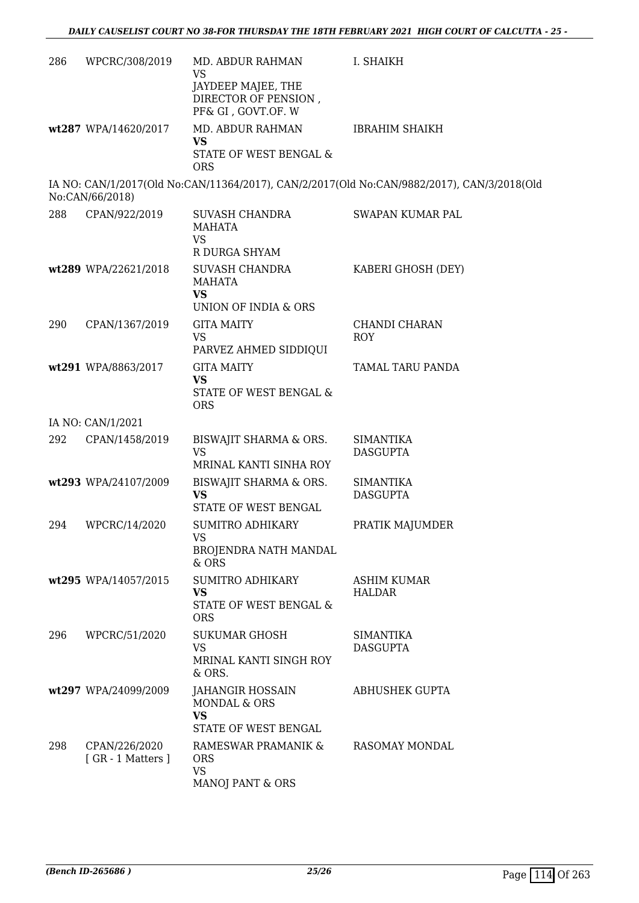| 286 | WPCRC/308/2019                    | MD. ABDUR RAHMAN<br><b>VS</b><br>JAYDEEP MAJEE, THE<br>DIRECTOR OF PENSION,<br>PF& GI, GOVT.OF. W | I. SHAIKH                                                                                  |
|-----|-----------------------------------|---------------------------------------------------------------------------------------------------|--------------------------------------------------------------------------------------------|
|     | wt287 WPA/14620/2017              | MD. ABDUR RAHMAN<br><b>VS</b><br>STATE OF WEST BENGAL &<br><b>ORS</b>                             | <b>IBRAHIM SHAIKH</b>                                                                      |
|     | No:CAN/66/2018)                   |                                                                                                   | IA NO: CAN/1/2017(Old No:CAN/11364/2017), CAN/2/2017(Old No:CAN/9882/2017), CAN/3/2018(Old |
| 288 | CPAN/922/2019                     | SUVASH CHANDRA<br><b>MAHATA</b><br><b>VS</b>                                                      | SWAPAN KUMAR PAL                                                                           |
|     | wt289 WPA/22621/2018              | R DURGA SHYAM<br><b>SUVASH CHANDRA</b><br><b>MAHATA</b><br><b>VS</b>                              | KABERI GHOSH (DEY)                                                                         |
| 290 | CPAN/1367/2019                    | UNION OF INDIA & ORS<br><b>GITA MAITY</b><br>VS<br>PARVEZ AHMED SIDDIQUI                          | CHANDI CHARAN<br>ROY                                                                       |
|     | wt291 WPA/8863/2017               | <b>GITA MAITY</b><br><b>VS</b><br>STATE OF WEST BENGAL &<br><b>ORS</b>                            | TAMAL TARU PANDA                                                                           |
|     | IA NO: CAN/1/2021                 |                                                                                                   |                                                                                            |
| 292 | CPAN/1458/2019                    | BISWAJIT SHARMA & ORS.<br><b>VS</b><br>MRINAL KANTI SINHA ROY                                     | <b>SIMANTIKA</b><br><b>DASGUPTA</b>                                                        |
|     | wt293 WPA/24107/2009              | BISWAJIT SHARMA & ORS.<br><b>VS</b><br>STATE OF WEST BENGAL                                       | <b>SIMANTIKA</b><br><b>DASGUPTA</b>                                                        |
| 294 | WPCRC/14/2020                     | SUMITRO ADHIKARY<br><b>VS</b><br>BROJENDRA NATH MANDAL<br>& ORS                                   | PRATIK MAJUMDER                                                                            |
|     | wt295 WPA/14057/2015              | <b>SUMITRO ADHIKARY</b><br><b>VS</b><br>STATE OF WEST BENGAL &<br><b>ORS</b>                      | <b>ASHIM KUMAR</b><br><b>HALDAR</b>                                                        |
| 296 | WPCRC/51/2020                     | <b>SUKUMAR GHOSH</b><br><b>VS</b><br>MRINAL KANTI SINGH ROY<br>& ORS.                             | SIMANTIKA<br><b>DASGUPTA</b>                                                               |
|     | wt297 WPA/24099/2009              | JAHANGIR HOSSAIN<br>MONDAL & ORS<br><b>VS</b><br>STATE OF WEST BENGAL                             | <b>ABHUSHEK GUPTA</b>                                                                      |
| 298 | CPAN/226/2020<br>[GR - 1 Matters] | RAMESWAR PRAMANIK &<br><b>ORS</b><br>VS<br>MANOJ PANT & ORS                                       | RASOMAY MONDAL                                                                             |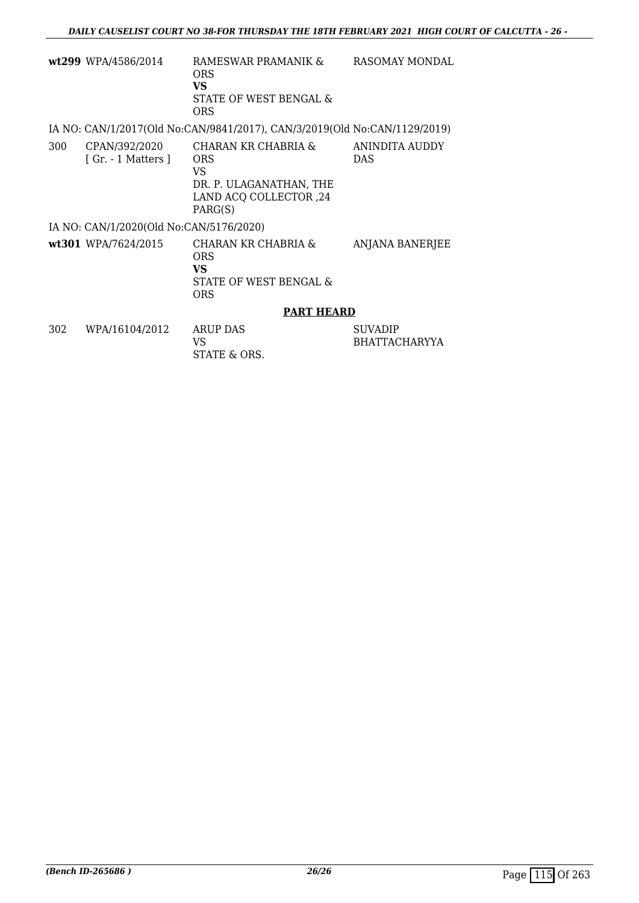|     | wt299 WPA/4586/2014                     | RAMESWAR PRAMANIK &<br>ORS<br>VS<br>STATE OF WEST BENGAL &<br><b>ORS</b>                                | <b>RASOMAY MONDAL</b>                  |
|-----|-----------------------------------------|---------------------------------------------------------------------------------------------------------|----------------------------------------|
|     |                                         | IA NO: CAN/1/2017(Old No:CAN/9841/2017), CAN/3/2019(Old No:CAN/1129/2019)                               |                                        |
| 300 | CPAN/392/2020<br>[Gr. - 1 Matters ]     | CHARAN KR CHABRIA &<br><b>ORS</b><br>VS<br>DR. P. ULAGANATHAN, THE<br>LAND ACQ COLLECTOR, 24<br>PARG(S) | ANINDITA AUDDY<br><b>DAS</b>           |
|     | IA NO: CAN/1/2020(Old No:CAN/5176/2020) |                                                                                                         |                                        |
|     | wt301 WPA/7624/2015                     | CHARAN KR CHABRIA &<br><b>ORS</b><br>VS<br>STATE OF WEST BENGAL &<br><b>ORS</b>                         | ANJANA BANERJEE                        |
|     |                                         | <b>PART HEARD</b>                                                                                       |                                        |
| 302 | WPA/16104/2012                          | <b>ARUP DAS</b><br>VS<br>STATE & ORS.                                                                   | <b>SUVADIP</b><br><b>BHATTACHARYYA</b> |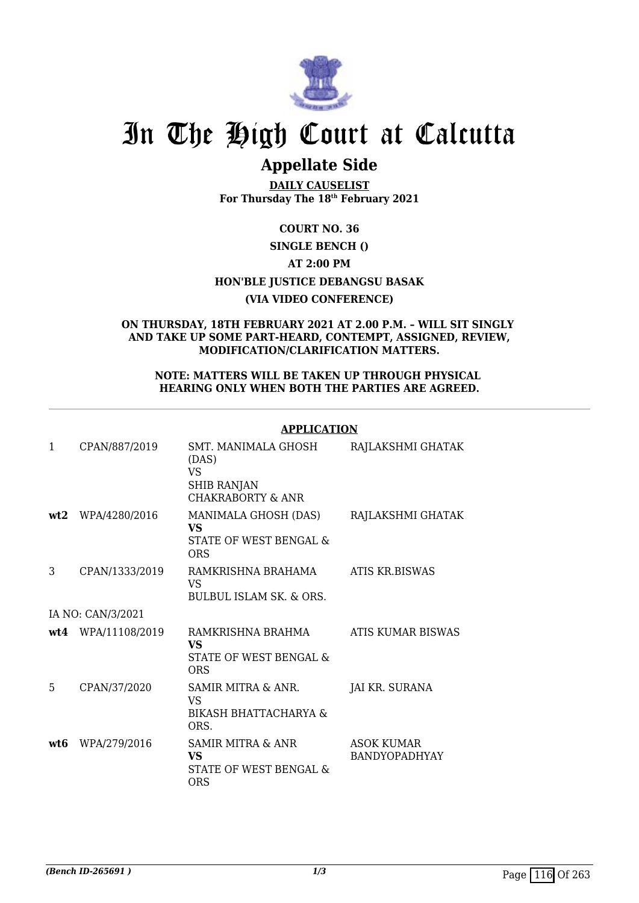

# In The High Court at Calcutta

# **Appellate Side**

**DAILY CAUSELIST For Thursday The 18th February 2021**

# **COURT NO. 36**

# **SINGLE BENCH ()**

# **AT 2:00 PM**

# **HON'BLE JUSTICE DEBANGSU BASAK**

## **(VIA VIDEO CONFERENCE)**

#### **ON THURSDAY, 18TH FEBRUARY 2021 AT 2.00 P.M. – WILL SIT SINGLY AND TAKE UP SOME PART-HEARD, CONTEMPT, ASSIGNED, REVIEW, MODIFICATION/CLARIFICATION MATTERS.**

#### **NOTE: MATTERS WILL BE TAKEN UP THROUGH PHYSICAL HEARING ONLY WHEN BOTH THE PARTIES ARE AGREED.**

#### **APPLICATION**

| 1   | CPAN/887/2019      | SMT. MANIMALA GHOSH<br>(DAS)<br>VS<br><b>SHIB RANJAN</b><br><b>CHAKRABORTY &amp; ANR</b> | RAJLAKSHMI GHATAK                         |
|-----|--------------------|------------------------------------------------------------------------------------------|-------------------------------------------|
| wt2 | WPA/4280/2016      | MANIMALA GHOSH (DAS)<br><b>VS</b><br>STATE OF WEST BENGAL &<br>ORS                       | RAJLAKSHMI GHATAK                         |
| 3   | CPAN/1333/2019     | RAMKRISHNA BRAHAMA<br>VS.<br>BULBUL ISLAM SK & ORS.                                      | <b>ATIS KR.BISWAS</b>                     |
|     | IA NO: CAN/3/2021  |                                                                                          |                                           |
|     | wt4 WPA/11108/2019 | RAMKRISHNA BRAHMA<br>VS<br>STATE OF WEST BENGAL &<br><b>ORS</b>                          | ATIS KUMAR BISWAS                         |
| 5   | CPAN/37/2020       | SAMIR MITRA & ANR.<br>VS<br>BIKASH BHATTACHARYA &<br>ORS.                                | JAI KR. SURANA                            |
| wt6 | WPA/279/2016       | SAMIR MITRA & ANR<br>VS<br>STATE OF WEST BENGAL &<br>ORS                                 | <b>ASOK KUMAR</b><br><b>BANDYOPADHYAY</b> |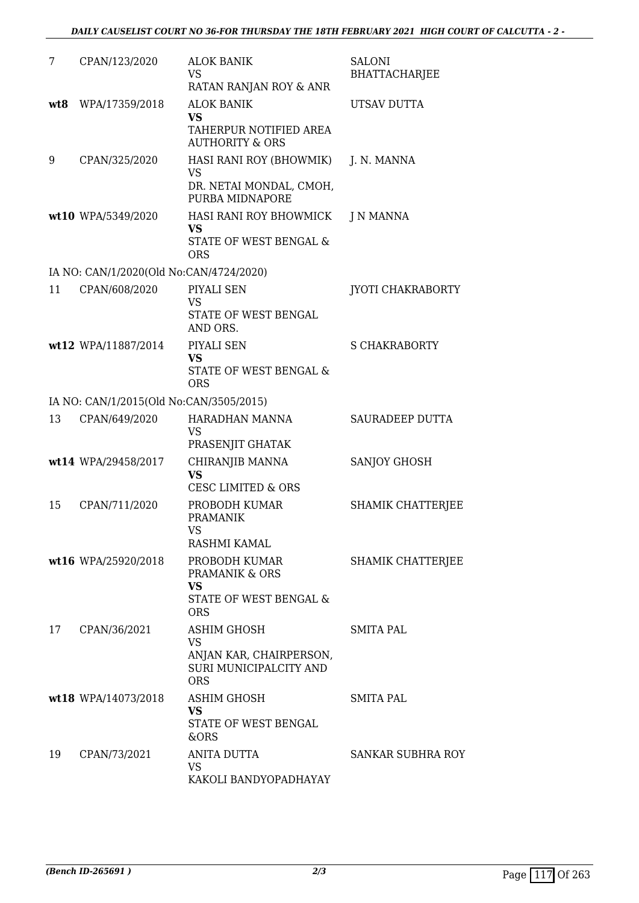| 7   | CPAN/123/2020                           | <b>ALOK BANIK</b><br><b>VS</b><br>RATAN RANJAN ROY & ANR                                    | <b>SALONI</b><br><b>BHATTACHARJEE</b> |
|-----|-----------------------------------------|---------------------------------------------------------------------------------------------|---------------------------------------|
| wt8 | WPA/17359/2018                          | <b>ALOK BANIK</b><br><b>VS</b><br>TAHERPUR NOTIFIED AREA<br><b>AUTHORITY &amp; ORS</b>      | UTSAV DUTTA                           |
| 9   | CPAN/325/2020                           | HASI RANI ROY (BHOWMIK)<br><b>VS</b><br>DR. NETAI MONDAL, CMOH,<br>PURBA MIDNAPORE          | J. N. MANNA                           |
|     | wt10 WPA/5349/2020                      | HASI RANI ROY BHOWMICK<br><b>VS</b><br>STATE OF WEST BENGAL &<br><b>ORS</b>                 | J N MANNA                             |
|     | IA NO: CAN/1/2020(Old No:CAN/4724/2020) |                                                                                             |                                       |
| 11  | CPAN/608/2020                           | PIYALI SEN<br><b>VS</b><br>STATE OF WEST BENGAL<br>AND ORS.                                 | <b>JYOTI CHAKRABORTY</b>              |
|     | wt12 WPA/11887/2014                     | PIYALI SEN<br><b>VS</b><br>STATE OF WEST BENGAL &<br><b>ORS</b>                             | <b>S CHAKRABORTY</b>                  |
|     | IA NO: CAN/1/2015(Old No:CAN/3505/2015) |                                                                                             |                                       |
| 13  | CPAN/649/2020                           | HARADHAN MANNA<br><b>VS</b><br>PRASENJIT GHATAK                                             | SAURADEEP DUTTA                       |
|     | wt14 WPA/29458/2017                     | CHIRANJIB MANNA<br><b>VS</b><br><b>CESC LIMITED &amp; ORS</b>                               | SANJOY GHOSH                          |
| 15  | CPAN/711/2020                           | PROBODH KUMAR<br><b>PRAMANIK</b><br>VS.<br>RASHMI KAMAL                                     | SHAMIK CHATTERJEE                     |
|     | wt16 WPA/25920/2018                     | PROBODH KUMAR<br>PRAMANIK & ORS<br><b>VS</b>                                                | SHAMIK CHATTERJEE                     |
|     |                                         | STATE OF WEST BENGAL &<br><b>ORS</b>                                                        |                                       |
| 17  | CPAN/36/2021                            | ASHIM GHOSH<br><b>VS</b><br>ANJAN KAR, CHAIRPERSON,<br>SURI MUNICIPALCITY AND<br><b>ORS</b> | <b>SMITA PAL</b>                      |
|     | wt18 WPA/14073/2018                     | <b>ASHIM GHOSH</b><br><b>VS</b><br>STATE OF WEST BENGAL<br>&ORS                             | SMITA PAL                             |
| 19  | CPAN/73/2021                            | ANITA DUTTA<br>VS<br>KAKOLI BANDYOPADHAYAY                                                  | SANKAR SUBHRA ROY                     |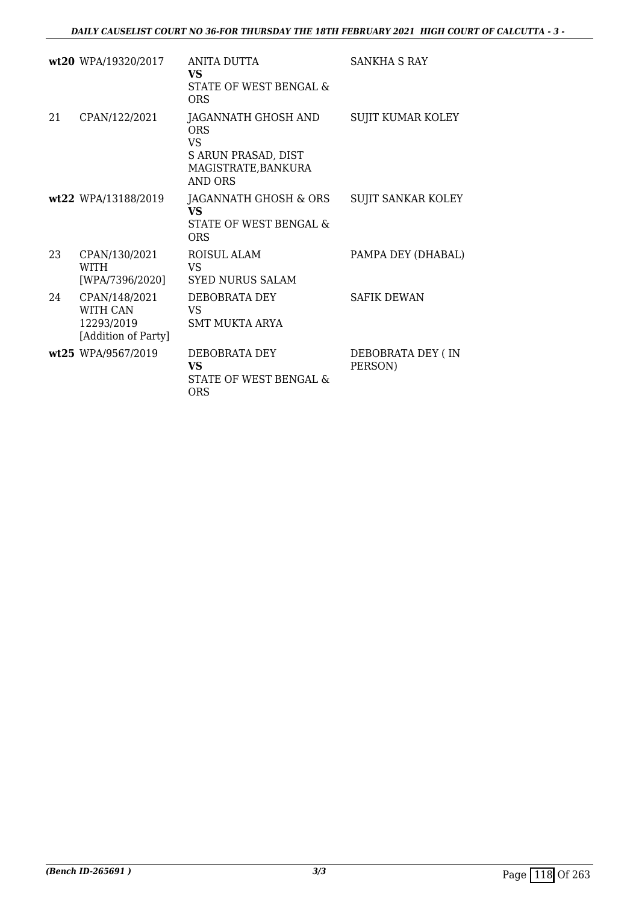|    | wt20 WPA/19320/2017                                            | ANITA DUTTA<br><b>VS</b><br>STATE OF WEST BENGAL &<br>ORS                                               | SANKHA S RAY                 |
|----|----------------------------------------------------------------|---------------------------------------------------------------------------------------------------------|------------------------------|
| 21 | CPAN/122/2021                                                  | JAGANNATH GHOSH AND<br><b>ORS</b><br><b>VS</b><br>S ARUN PRASAD, DIST<br>MAGISTRATE, BANKURA<br>AND ORS | <b>SUJIT KUMAR KOLEY</b>     |
|    | wt22 WPA/13188/2019                                            | JAGANNATH GHOSH & ORS<br><b>VS</b><br>STATE OF WEST BENGAL &<br>ORS                                     | SUJIT SANKAR KOLEY           |
| 23 | CPAN/130/2021<br><b>WITH</b><br>[WPA/7396/2020]                | ROISUL ALAM<br>VS<br><b>SYED NURUS SALAM</b>                                                            | PAMPA DEY (DHABAL)           |
| 24 | CPAN/148/2021<br>WITH CAN<br>12293/2019<br>[Addition of Party] | DEBOBRATA DEY<br><b>VS</b><br><b>SMT MUKTA ARYA</b>                                                     | <b>SAFIK DEWAN</b>           |
|    | wt25 WPA/9567/2019                                             | DEBOBRATA DEY<br><b>VS</b><br>STATE OF WEST BENGAL &<br><b>ORS</b>                                      | DEBOBRATA DEY (IN<br>PERSON) |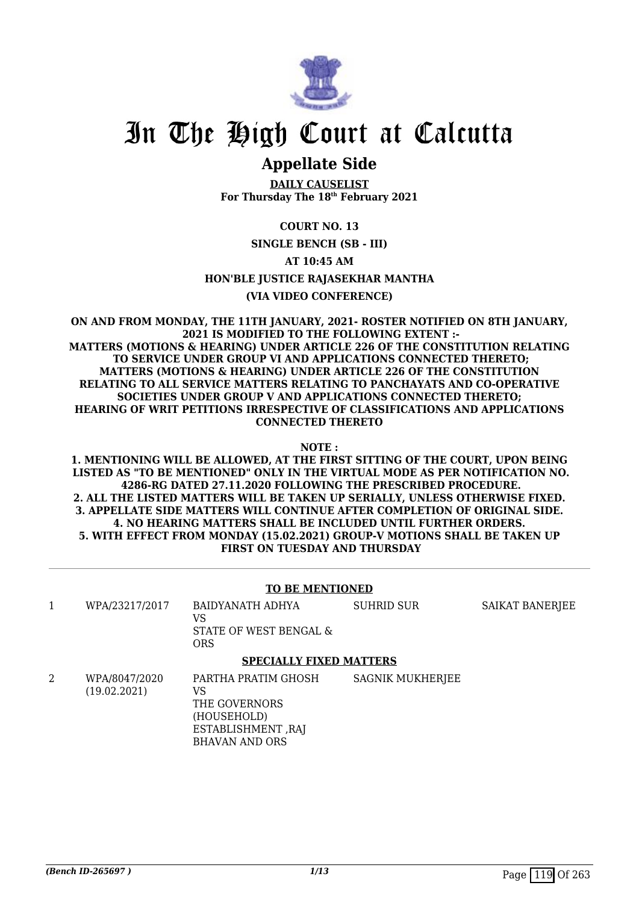

# In The High Court at Calcutta

# **Appellate Side**

**DAILY CAUSELIST For Thursday The 18th February 2021**

# **COURT NO. 13**

**SINGLE BENCH (SB - III)**

## **AT 10:45 AM**

## **HON'BLE JUSTICE RAJASEKHAR MANTHA**

#### **(VIA VIDEO CONFERENCE)**

#### **ON AND FROM MONDAY, THE 11TH JANUARY, 2021- ROSTER NOTIFIED ON 8TH JANUARY, 2021 IS MODIFIED TO THE FOLLOWING EXTENT :- MATTERS (MOTIONS & HEARING) UNDER ARTICLE 226 OF THE CONSTITUTION RELATING TO SERVICE UNDER GROUP VI AND APPLICATIONS CONNECTED THERETO; MATTERS (MOTIONS & HEARING) UNDER ARTICLE 226 OF THE CONSTITUTION RELATING TO ALL SERVICE MATTERS RELATING TO PANCHAYATS AND CO-OPERATIVE SOCIETIES UNDER GROUP V AND APPLICATIONS CONNECTED THERETO; HEARING OF WRIT PETITIONS IRRESPECTIVE OF CLASSIFICATIONS AND APPLICATIONS CONNECTED THERETO**

**NOTE :**

**1. MENTIONING WILL BE ALLOWED, AT THE FIRST SITTING OF THE COURT, UPON BEING LISTED AS "TO BE MENTIONED" ONLY IN THE VIRTUAL MODE AS PER NOTIFICATION NO. 4286-RG DATED 27.11.2020 FOLLOWING THE PRESCRIBED PROCEDURE. 2. ALL THE LISTED MATTERS WILL BE TAKEN UP SERIALLY, UNLESS OTHERWISE FIXED. 3. APPELLATE SIDE MATTERS WILL CONTINUE AFTER COMPLETION OF ORIGINAL SIDE. 4. NO HEARING MATTERS SHALL BE INCLUDED UNTIL FURTHER ORDERS. 5. WITH EFFECT FROM MONDAY (15.02.2021) GROUP-V MOTIONS SHALL BE TAKEN UP FIRST ON TUESDAY AND THURSDAY**

## **TO BE MENTIONED**

| WPA/23217/2017 | BAIDYANATH ADHYA<br>STATE OF WEST BENGAL &<br><b>ORS</b> | SUHRID SUR | <b>SAIKAT BANERJEE</b> |
|----------------|----------------------------------------------------------|------------|------------------------|
|                |                                                          |            |                        |

#### **SPECIALLY FIXED MATTERS**

2 WPA/8047/2020 (19.02.2021) PARTHA PRATIM GHOSH VS THE GOVERNORS (HOUSEHOLD) ESTABLISHMENT ,RAJ BHAVAN AND ORS SAGNIK MUKHERJEE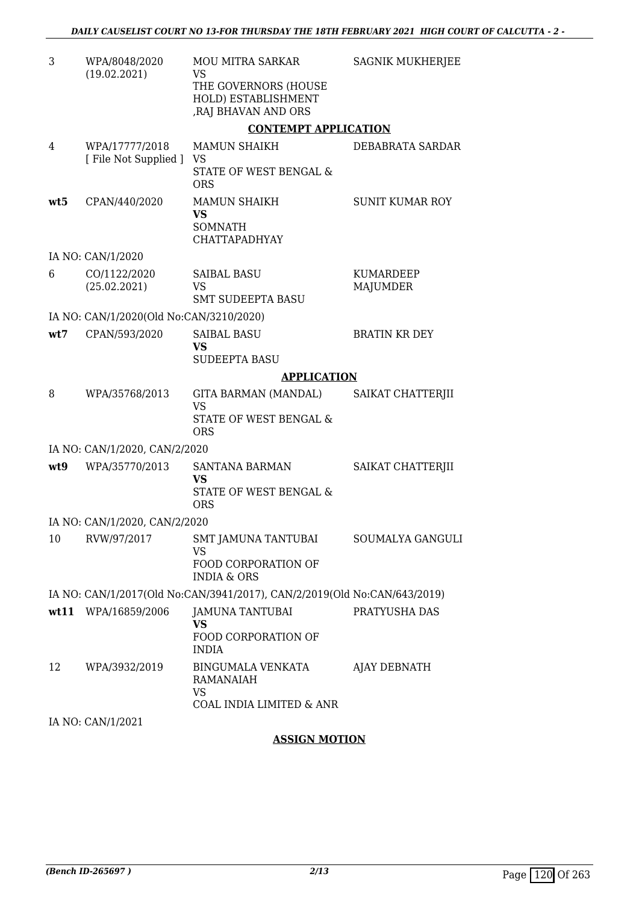| 3   | WPA/8048/2020<br>(19.02.2021)           | <b>MOU MITRA SARKAR</b><br>VS<br>THE GOVERNORS (HOUSE<br>HOLD) ESTABLISHMENT<br>, RAJ BHAVAN AND ORS | <b>SAGNIK MUKHERJEE</b>      |
|-----|-----------------------------------------|------------------------------------------------------------------------------------------------------|------------------------------|
|     |                                         | <b>CONTEMPT APPLICATION</b>                                                                          |                              |
| 4   | WPA/17777/2018<br>[File Not Supplied ]  | <b>MAMUN SHAIKH</b><br>VS<br>STATE OF WEST BENGAL &<br><b>ORS</b>                                    | DEBABRATA SARDAR             |
| wt5 | CPAN/440/2020                           | <b>MAMUN SHAIKH</b><br>VS<br><b>SOMNATH</b><br><b>CHATTAPADHYAY</b>                                  | <b>SUNIT KUMAR ROY</b>       |
|     | IA NO: CAN/1/2020                       |                                                                                                      |                              |
| 6   | CO/1122/2020<br>(25.02.2021)            | <b>SAIBAL BASU</b><br><b>VS</b><br><b>SMT SUDEEPTA BASU</b>                                          | <b>KUMARDEEP</b><br>MAJUMDER |
|     | IA NO: CAN/1/2020(Old No:CAN/3210/2020) |                                                                                                      |                              |
| wt7 | CPAN/593/2020                           | <b>SAIBAL BASU</b><br>VS                                                                             | <b>BRATIN KR DEY</b>         |
|     |                                         | SUDEEPTA BASU<br><b>APPLICATION</b>                                                                  |                              |
| 8   | WPA/35768/2013                          | GITA BARMAN (MANDAL)                                                                                 | SAIKAT CHATTERJII            |
|     |                                         | <b>VS</b><br>STATE OF WEST BENGAL &<br><b>ORS</b>                                                    |                              |
|     | IA NO: CAN/1/2020, CAN/2/2020           |                                                                                                      |                              |
| wt9 | WPA/35770/2013                          | <b>SANTANA BARMAN</b><br>VS<br>STATE OF WEST BENGAL &<br><b>ORS</b>                                  | SAIKAT CHATTERJII            |
|     | IA NO: CAN/1/2020, CAN/2/2020           |                                                                                                      |                              |
| 10  | RVW/97/2017                             | <b>SMT JAMUNA TANTUBAI</b><br><b>VS</b><br>FOOD CORPORATION OF<br><b>INDIA &amp; ORS</b>             | SOUMALYA GANGULI             |
|     |                                         | IA NO: CAN/1/2017(Old No:CAN/3941/2017), CAN/2/2019(Old No:CAN/643/2019)                             |                              |
|     | wt11 WPA/16859/2006                     | JAMUNA TANTUBAI<br>VS<br>FOOD CORPORATION OF<br><b>INDIA</b>                                         | PRATYUSHA DAS                |
| 12  | WPA/3932/2019                           | BINGUMALA VENKATA<br>RAMANAIAH<br><b>VS</b><br>COAL INDIA LIMITED & ANR                              | AJAY DEBNATH                 |
|     | IA NO: CAN/1/2021                       |                                                                                                      |                              |

# **ASSIGN MOTION**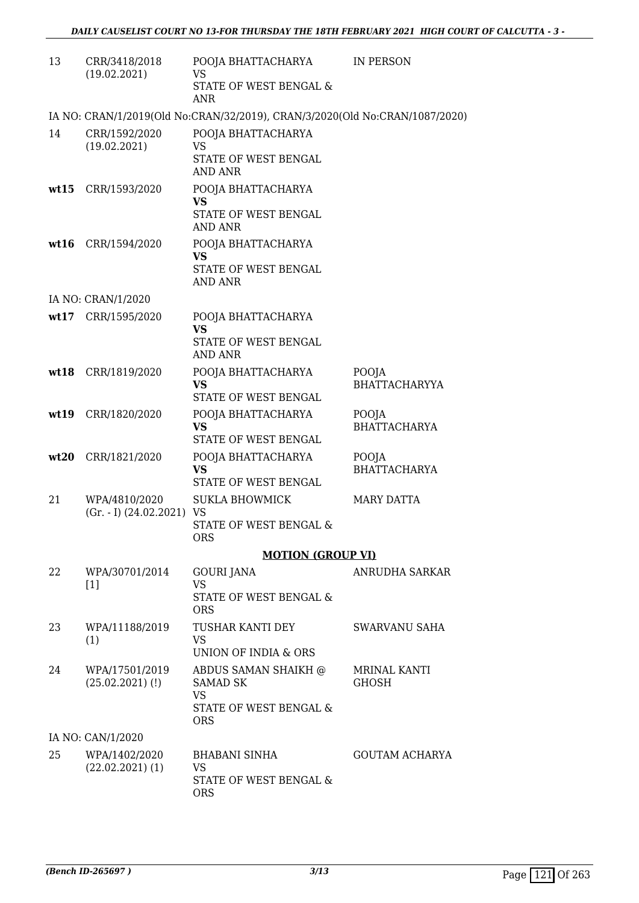| 13   | CRR/3418/2018<br>(19.02.2021)               | POOJA BHATTACHARYA<br><b>VS</b><br>STATE OF WEST BENGAL &<br><b>ANR</b>                      | IN PERSON                     |
|------|---------------------------------------------|----------------------------------------------------------------------------------------------|-------------------------------|
|      |                                             | IA NO: CRAN/1/2019(Old No:CRAN/32/2019), CRAN/3/2020(Old No:CRAN/1087/2020)                  |                               |
| 14   | CRR/1592/2020<br>(19.02.2021)               | POOJA BHATTACHARYA<br><b>VS</b><br>STATE OF WEST BENGAL                                      |                               |
|      |                                             | <b>AND ANR</b>                                                                               |                               |
| wt15 | CRR/1593/2020                               | POOJA BHATTACHARYA<br>VS<br>STATE OF WEST BENGAL<br>AND ANR                                  |                               |
|      | wt16 CRR/1594/2020                          | POOJA BHATTACHARYA<br><b>VS</b><br>STATE OF WEST BENGAL                                      |                               |
|      | IA NO: CRAN/1/2020                          | <b>AND ANR</b>                                                                               |                               |
|      | wt17 CRR/1595/2020                          | POOJA BHATTACHARYA<br><b>VS</b>                                                              |                               |
|      |                                             | STATE OF WEST BENGAL<br><b>AND ANR</b>                                                       |                               |
| wt18 | CRR/1819/2020                               | POOJA BHATTACHARYA<br><b>VS</b><br>STATE OF WEST BENGAL                                      | POOJA<br><b>BHATTACHARYYA</b> |
| wt19 | CRR/1820/2020                               | POOJA BHATTACHARYA<br><b>VS</b><br>STATE OF WEST BENGAL                                      | POOJA<br>BHATTACHARYA         |
| wt20 | CRR/1821/2020                               | POOJA BHATTACHARYA<br><b>VS</b><br>STATE OF WEST BENGAL                                      | POOJA<br><b>BHATTACHARYA</b>  |
| 21   | WPA/4810/2020<br>$(Gr. - I)$ $(24.02.2021)$ | <b>SUKLA BHOWMICK</b><br>VS<br>STATE OF WEST BENGAL &<br><b>ORS</b>                          | MARY DATTA                    |
|      |                                             | <b>MOTION (GROUP VI)</b>                                                                     |                               |
| 22   | WPA/30701/2014<br>$[1]$                     | <b>GOURI JANA</b><br><b>VS</b><br>STATE OF WEST BENGAL &<br><b>ORS</b>                       | ANRUDHA SARKAR                |
| 23   | WPA/11188/2019<br>(1)                       | TUSHAR KANTI DEY<br>VS.<br>UNION OF INDIA & ORS                                              | SWARVANU SAHA                 |
| 24   | WPA/17501/2019<br>$(25.02.2021)$ (!)        | ABDUS SAMAN SHAIKH @<br><b>SAMAD SK</b><br><b>VS</b><br>STATE OF WEST BENGAL &<br><b>ORS</b> | MRINAL KANTI<br><b>GHOSH</b>  |
|      | IA NO: CAN/1/2020                           |                                                                                              |                               |
| 25   | WPA/1402/2020<br>$(22.02.2021)$ (1)         | <b>BHABANI SINHA</b><br>VS<br>STATE OF WEST BENGAL &<br><b>ORS</b>                           | <b>GOUTAM ACHARYA</b>         |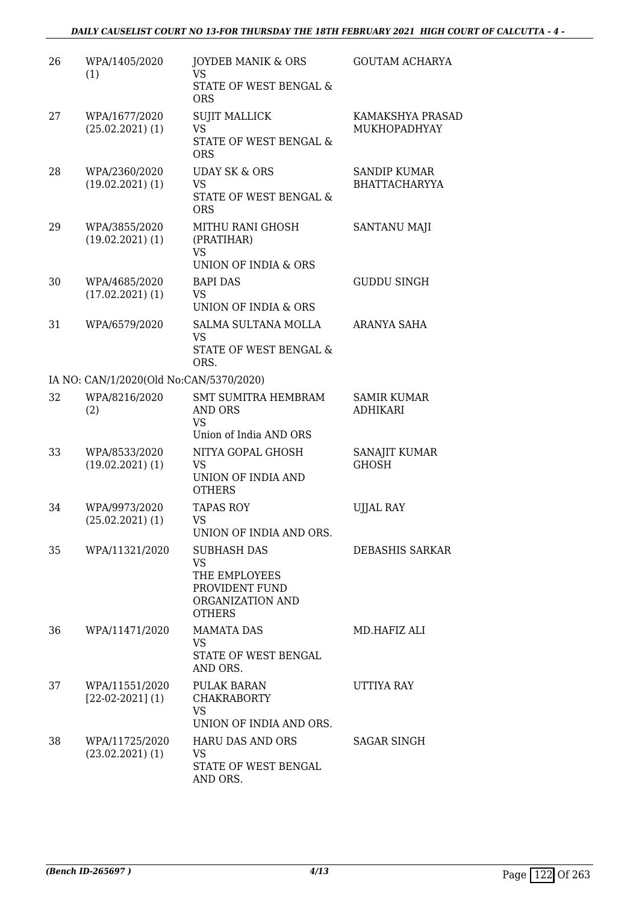# *DAILY CAUSELIST COURT NO 13-FOR THURSDAY THE 18TH FEBRUARY 2021 HIGH COURT OF CALCUTTA - 4 -*

| 26 | WPA/1405/2020<br>(1)                    | <b>JOYDEB MANIK &amp; ORS</b><br><b>VS</b><br>STATE OF WEST BENGAL &<br><b>ORS</b>                      | <b>GOUTAM ACHARYA</b>                       |
|----|-----------------------------------------|---------------------------------------------------------------------------------------------------------|---------------------------------------------|
| 27 | WPA/1677/2020<br>$(25.02.2021)$ (1)     | <b>SUJIT MALLICK</b><br><b>VS</b><br>STATE OF WEST BENGAL &<br><b>ORS</b>                               | KAMAKSHYA PRASAD<br><b>MUKHOPADHYAY</b>     |
| 28 | WPA/2360/2020<br>$(19.02.2021)$ $(1)$   | <b>UDAY SK &amp; ORS</b><br><b>VS</b><br>STATE OF WEST BENGAL &<br><b>ORS</b>                           | <b>SANDIP KUMAR</b><br><b>BHATTACHARYYA</b> |
| 29 | WPA/3855/2020<br>$(19.02.2021)$ $(1)$   | MITHU RANI GHOSH<br>(PRATIHAR)<br>VS<br>UNION OF INDIA & ORS                                            | SANTANU MAJI                                |
| 30 | WPA/4685/2020<br>$(17.02.2021)$ $(1)$   | <b>BAPI DAS</b><br>VS.<br>UNION OF INDIA & ORS                                                          | <b>GUDDU SINGH</b>                          |
| 31 | WPA/6579/2020                           | SALMA SULTANA MOLLA<br><b>VS</b><br>STATE OF WEST BENGAL &<br>ORS.                                      | ARANYA SAHA                                 |
|    | IA NO: CAN/1/2020(Old No:CAN/5370/2020) |                                                                                                         |                                             |
| 32 | WPA/8216/2020<br>(2)                    | <b>SMT SUMITRA HEMBRAM</b><br>AND ORS<br><b>VS</b><br>Union of India AND ORS                            | <b>SAMIR KUMAR</b><br><b>ADHIKARI</b>       |
| 33 | WPA/8533/2020<br>$(19.02.2021)$ $(1)$   | NITYA GOPAL GHOSH<br><b>VS</b><br>UNION OF INDIA AND<br><b>OTHERS</b>                                   | SANAJIT KUMAR<br><b>GHOSH</b>               |
| 34 | WPA/9973/2020<br>$(25.02.2021)$ $(1)$   | <b>TAPAS ROY</b><br>VS<br>UNION OF INDIA AND ORS.                                                       | <b>UJJAL RAY</b>                            |
| 35 | WPA/11321/2020                          | <b>SUBHASH DAS</b><br><b>VS</b><br>THE EMPLOYEES<br>PROVIDENT FUND<br>ORGANIZATION AND<br><b>OTHERS</b> | DEBASHIS SARKAR                             |
| 36 | WPA/11471/2020                          | <b>MAMATA DAS</b><br>VS.<br>STATE OF WEST BENGAL<br>AND ORS.                                            | MD.HAFIZ ALI                                |
| 37 | WPA/11551/2020<br>$[22-02-2021](1)$     | PULAK BARAN<br><b>CHAKRABORTY</b><br><b>VS</b><br>UNION OF INDIA AND ORS.                               | UTTIYA RAY                                  |
| 38 | WPA/11725/2020<br>$(23.02.2021)$ $(1)$  | <b>HARU DAS AND ORS</b><br>VS<br>STATE OF WEST BENGAL<br>AND ORS.                                       | <b>SAGAR SINGH</b>                          |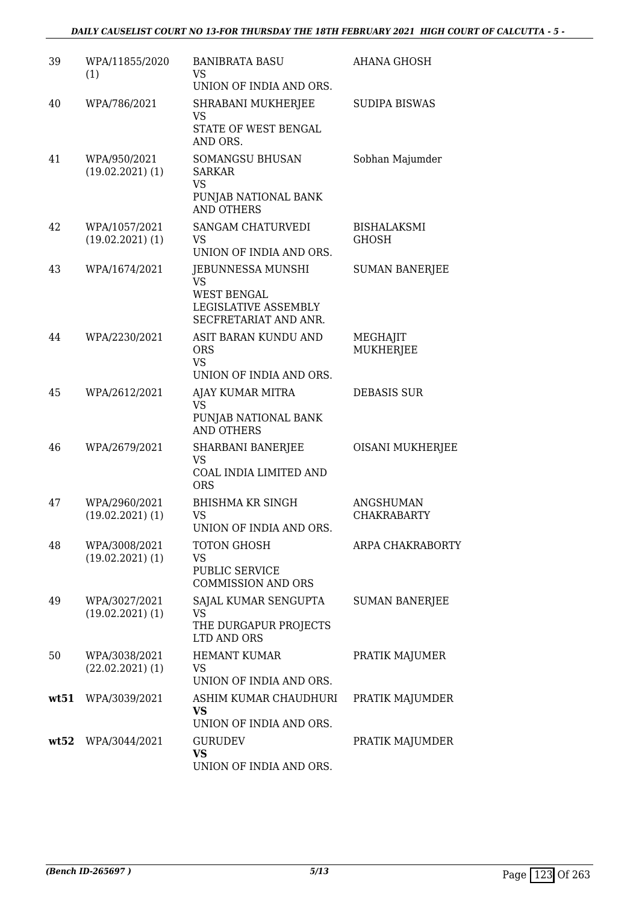| 39   | WPA/11855/2020<br>(1)                 | <b>BANIBRATA BASU</b><br>VS<br>UNION OF INDIA AND ORS.                                         | <b>AHANA GHOSH</b>                     |
|------|---------------------------------------|------------------------------------------------------------------------------------------------|----------------------------------------|
| 40   | WPA/786/2021                          | SHRABANI MUKHERJEE<br>VS<br>STATE OF WEST BENGAL<br>AND ORS.                                   | <b>SUDIPA BISWAS</b>                   |
| 41   | WPA/950/2021<br>$(19.02.2021)$ $(1)$  | SOMANGSU BHUSAN<br><b>SARKAR</b><br><b>VS</b><br>PUNJAB NATIONAL BANK<br><b>AND OTHERS</b>     | Sobhan Majumder                        |
| 42   | WPA/1057/2021<br>$(19.02.2021)$ $(1)$ | <b>SANGAM CHATURVEDI</b><br>VS<br>UNION OF INDIA AND ORS.                                      | <b>BISHALAKSMI</b><br><b>GHOSH</b>     |
| 43   | WPA/1674/2021                         | JEBUNNESSA MUNSHI<br>VS<br><b>WEST BENGAL</b><br>LEGISLATIVE ASSEMBLY<br>SECFRETARIAT AND ANR. | <b>SUMAN BANERJEE</b>                  |
| 44   | WPA/2230/2021                         | ASIT BARAN KUNDU AND<br><b>ORS</b><br><b>VS</b><br>UNION OF INDIA AND ORS.                     | MEGHAJIT<br>MUKHERJEE                  |
| 45   | WPA/2612/2021                         | AJAY KUMAR MITRA<br>VS<br>PUNJAB NATIONAL BANK<br><b>AND OTHERS</b>                            | <b>DEBASIS SUR</b>                     |
| 46   | WPA/2679/2021                         | SHARBANI BANERJEE<br>VS<br>COAL INDIA LIMITED AND<br><b>ORS</b>                                | OISANI MUKHERJEE                       |
| 47   | WPA/2960/2021<br>$(19.02.2021)$ $(1)$ | <b>BHISHMA KR SINGH</b><br>VS<br>UNION OF INDIA AND ORS.                                       | <b>ANGSHUMAN</b><br><b>CHAKRABARTY</b> |
| 48   | WPA/3008/2021<br>$(19.02.2021)$ $(1)$ | TOTON GHOSH<br>VS<br>PUBLIC SERVICE<br><b>COMMISSION AND ORS</b>                               | ARPA CHAKRABORTY                       |
| 49   | WPA/3027/2021<br>$(19.02.2021)$ $(1)$ | SAJAL KUMAR SENGUPTA<br>VS<br>THE DURGAPUR PROJECTS<br>LTD AND ORS                             | <b>SUMAN BANERJEE</b>                  |
| 50   | WPA/3038/2021<br>$(22.02.2021)$ (1)   | <b>HEMANT KUMAR</b><br>VS<br>UNION OF INDIA AND ORS.                                           | PRATIK MAJUMER                         |
| wt51 | WPA/3039/2021                         | ASHIM KUMAR CHAUDHURI<br>VS<br>UNION OF INDIA AND ORS.                                         | PRATIK MAJUMDER                        |
| wt52 | WPA/3044/2021                         | <b>GURUDEV</b><br>VS<br>UNION OF INDIA AND ORS.                                                | PRATIK MAJUMDER                        |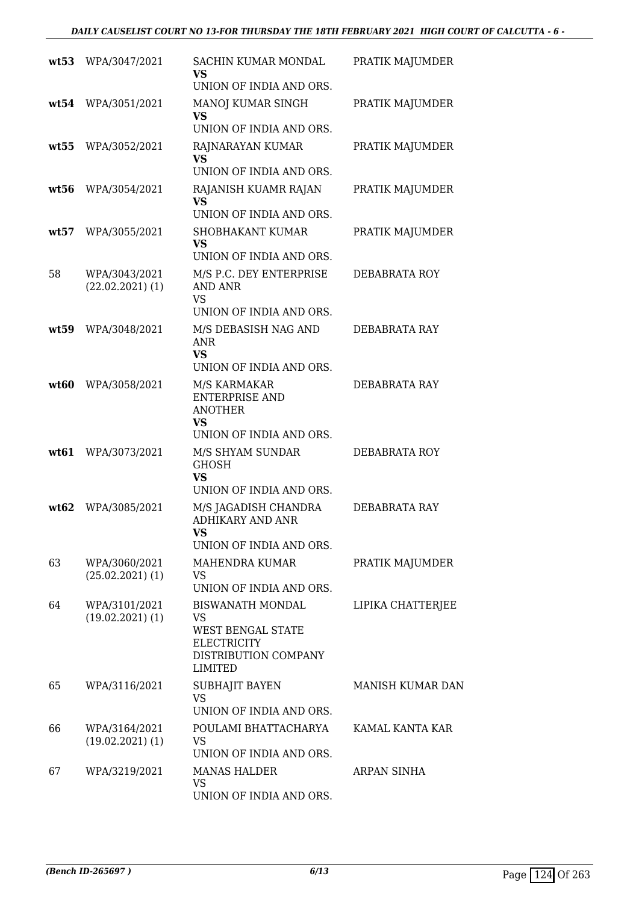|      | wt53 WPA/3047/2021                    | SACHIN KUMAR MONDAL<br><b>VS</b><br>UNION OF INDIA AND ORS.                                                 | PRATIK MAJUMDER         |
|------|---------------------------------------|-------------------------------------------------------------------------------------------------------------|-------------------------|
| wt54 | WPA/3051/2021                         | MANOJ KUMAR SINGH<br><b>VS</b><br>UNION OF INDIA AND ORS.                                                   | PRATIK MAJUMDER         |
| wt55 | WPA/3052/2021                         | RAJNARAYAN KUMAR<br><b>VS</b><br>UNION OF INDIA AND ORS.                                                    | PRATIK MAJUMDER         |
| wt56 | WPA/3054/2021                         | RAJANISH KUAMR RAJAN<br><b>VS</b><br>UNION OF INDIA AND ORS.                                                | PRATIK MAJUMDER         |
| wt57 | WPA/3055/2021                         | <b>SHOBHAKANT KUMAR</b><br>VS.<br>UNION OF INDIA AND ORS.                                                   | PRATIK MAJUMDER         |
| 58   | WPA/3043/2021<br>$(22.02.2021)$ $(1)$ | M/S P.C. DEY ENTERPRISE<br><b>AND ANR</b><br><b>VS</b>                                                      | DEBABRATA ROY           |
| wt59 | WPA/3048/2021                         | UNION OF INDIA AND ORS.<br>M/S DEBASISH NAG AND<br><b>ANR</b><br><b>VS</b><br>UNION OF INDIA AND ORS.       | DEBABRATA RAY           |
| wt60 | WPA/3058/2021                         | M/S KARMAKAR<br><b>ENTERPRISE AND</b><br><b>ANOTHER</b><br><b>VS</b><br>UNION OF INDIA AND ORS.             | DEBABRATA RAY           |
| wt61 | WPA/3073/2021                         | M/S SHYAM SUNDAR<br><b>GHOSH</b><br><b>VS</b><br>UNION OF INDIA AND ORS.                                    | DEBABRATA ROY           |
| wt62 | WPA/3085/2021                         | M/S JAGADISH CHANDRA<br><b>ADHIKARY AND ANR</b><br>VS<br>UNION OF INDIA AND ORS.                            | DEBABRATA RAY           |
| 63   | WPA/3060/2021<br>$(25.02.2021)$ (1)   | <b>MAHENDRA KUMAR</b><br>VS<br>UNION OF INDIA AND ORS.                                                      | PRATIK MAJUMDER         |
| 64   | WPA/3101/2021<br>$(19.02.2021)$ $(1)$ | <b>BISWANATH MONDAL</b><br>VS<br>WEST BENGAL STATE<br><b>ELECTRICITY</b><br>DISTRIBUTION COMPANY<br>LIMITED | LIPIKA CHATTERJEE       |
| 65   | WPA/3116/2021                         | SUBHAJIT BAYEN<br><b>VS</b><br>UNION OF INDIA AND ORS.                                                      | <b>MANISH KUMAR DAN</b> |
| 66   | WPA/3164/2021<br>$(19.02.2021)$ $(1)$ | POULAMI BHATTACHARYA<br><b>VS</b><br>UNION OF INDIA AND ORS.                                                | KAMAL KANTA KAR         |
| 67   | WPA/3219/2021                         | <b>MANAS HALDER</b><br>VS<br>UNION OF INDIA AND ORS.                                                        | ARPAN SINHA             |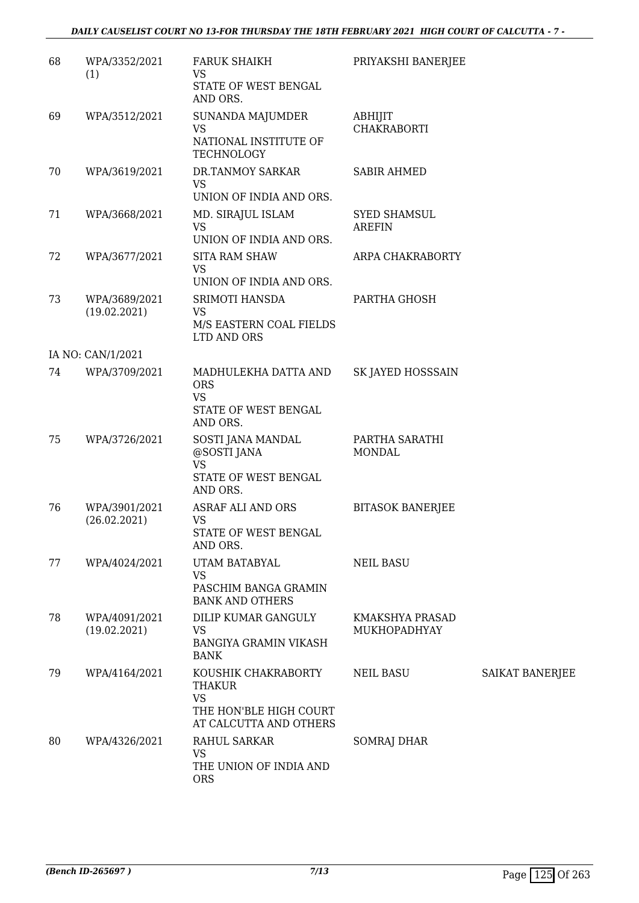| 68 | WPA/3352/2021<br>(1)          | <b>FARUK SHAIKH</b><br><b>VS</b><br>STATE OF WEST BENGAL<br>AND ORS.                                  | PRIYAKSHI BANERJEE                   |                 |
|----|-------------------------------|-------------------------------------------------------------------------------------------------------|--------------------------------------|-----------------|
| 69 | WPA/3512/2021                 | <b>SUNANDA MAJUMDER</b><br><b>VS</b><br>NATIONAL INSTITUTE OF<br>TECHNOLOGY                           | ABHIJIT<br><b>CHAKRABORTI</b>        |                 |
| 70 | WPA/3619/2021                 | DR.TANMOY SARKAR<br><b>VS</b><br>UNION OF INDIA AND ORS.                                              | <b>SABIR AHMED</b>                   |                 |
| 71 | WPA/3668/2021                 | MD. SIRAJUL ISLAM<br><b>VS</b><br>UNION OF INDIA AND ORS.                                             | <b>SYED SHAMSUL</b><br><b>AREFIN</b> |                 |
| 72 | WPA/3677/2021                 | <b>SITA RAM SHAW</b><br><b>VS</b><br>UNION OF INDIA AND ORS.                                          | ARPA CHAKRABORTY                     |                 |
| 73 | WPA/3689/2021<br>(19.02.2021) | SRIMOTI HANSDA<br><b>VS</b><br>M/S EASTERN COAL FIELDS<br>LTD AND ORS                                 | PARTHA GHOSH                         |                 |
|    | IA NO: CAN/1/2021             |                                                                                                       |                                      |                 |
| 74 | WPA/3709/2021                 | MADHULEKHA DATTA AND<br><b>ORS</b><br><b>VS</b><br>STATE OF WEST BENGAL<br>AND ORS.                   | SK JAYED HOSSSAIN                    |                 |
| 75 | WPA/3726/2021                 | SOSTI JANA MANDAL<br>@SOSTI JANA<br><b>VS</b><br>STATE OF WEST BENGAL<br>AND ORS.                     | PARTHA SARATHI<br><b>MONDAL</b>      |                 |
| 76 | WPA/3901/2021<br>(26.02.2021) | ASRAF ALI AND ORS<br><b>VS</b><br>STATE OF WEST BENGAL<br>AND ORS.                                    | <b>BITASOK BANERJEE</b>              |                 |
| 77 | WPA/4024/2021                 | UTAM BATABYAL<br><b>VS</b><br>PASCHIM BANGA GRAMIN<br><b>BANK AND OTHERS</b>                          | <b>NEIL BASU</b>                     |                 |
| 78 | WPA/4091/2021<br>(19.02.2021) | DILIP KUMAR GANGULY<br><b>VS</b><br><b>BANGIYA GRAMIN VIKASH</b><br><b>BANK</b>                       | KMAKSHYA PRASAD<br>MUKHOPADHYAY      |                 |
| 79 | WPA/4164/2021                 | KOUSHIK CHAKRABORTY<br><b>THAKUR</b><br><b>VS</b><br>THE HON'BLE HIGH COURT<br>AT CALCUTTA AND OTHERS | <b>NEIL BASU</b>                     | SAIKAT BANERJEE |
| 80 | WPA/4326/2021                 | RAHUL SARKAR<br>VS<br>THE UNION OF INDIA AND<br><b>ORS</b>                                            | <b>SOMRAJ DHAR</b>                   |                 |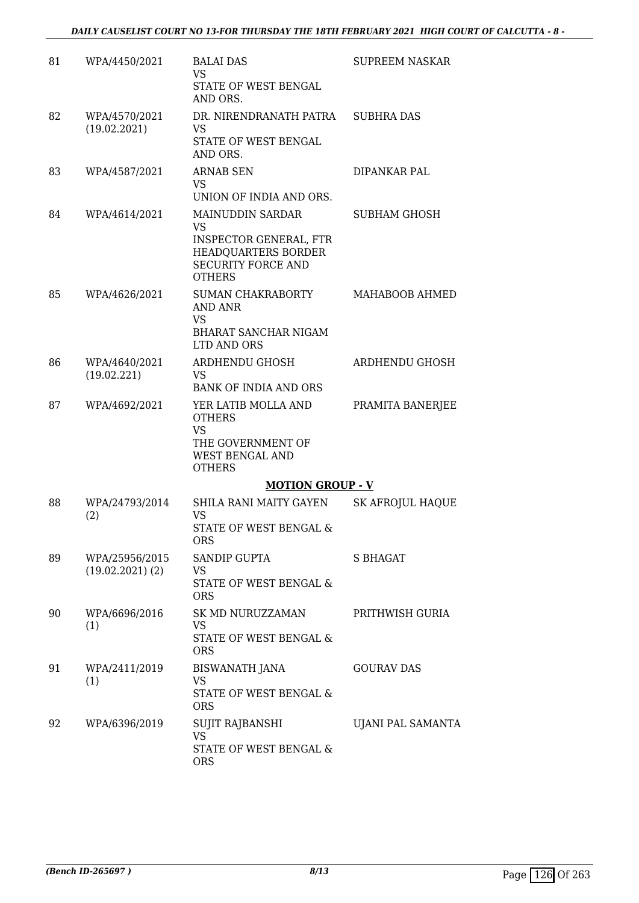| 81 | WPA/4450/2021                          | <b>BALAI DAS</b><br><b>VS</b><br>STATE OF WEST BENGAL<br>AND ORS.                                          | SUPREEM NASKAR           |
|----|----------------------------------------|------------------------------------------------------------------------------------------------------------|--------------------------|
| 82 | WPA/4570/2021<br>(19.02.2021)          | DR. NIRENDRANATH PATRA<br><b>VS</b><br>STATE OF WEST BENGAL                                                | <b>SUBHRA DAS</b>        |
| 83 | WPA/4587/2021                          | AND ORS.<br><b>ARNAB SEN</b><br>VS.                                                                        | DIPANKAR PAL             |
|    |                                        | UNION OF INDIA AND ORS.                                                                                    |                          |
| 84 | WPA/4614/2021                          | <b>MAINUDDIN SARDAR</b><br><b>VS</b>                                                                       | <b>SUBHAM GHOSH</b>      |
|    |                                        | <b>INSPECTOR GENERAL, FTR</b><br>HEADQUARTERS BORDER<br><b>SECURITY FORCE AND</b><br><b>OTHERS</b>         |                          |
| 85 | WPA/4626/2021                          | SUMAN CHAKRABORTY<br>AND ANR<br>VS                                                                         | MAHABOOB AHMED           |
|    |                                        | <b>BHARAT SANCHAR NIGAM</b><br>LTD AND ORS                                                                 |                          |
| 86 | WPA/4640/2021<br>(19.02.221)           | ARDHENDU GHOSH<br><b>VS</b><br><b>BANK OF INDIA AND ORS</b>                                                | ARDHENDU GHOSH           |
| 87 | WPA/4692/2021                          | YER LATIB MOLLA AND<br><b>OTHERS</b><br><b>VS</b><br>THE GOVERNMENT OF<br>WEST BENGAL AND<br><b>OTHERS</b> | PRAMITA BANERJEE         |
|    |                                        | <b>MOTION GROUP - V</b>                                                                                    |                          |
| 88 | WPA/24793/2014<br>(2)                  | SHILA RANI MAITY GAYEN<br><b>VS</b><br>STATE OF WEST BENGAL &<br><b>ORS</b>                                | <b>SK AFROJUL HAQUE</b>  |
| 89 | WPA/25956/2015<br>$(19.02.2021)$ $(2)$ | <b>SANDIP GUPTA</b><br>VS                                                                                  | S BHAGAT                 |
|    |                                        | STATE OF WEST BENGAL &<br><b>ORS</b>                                                                       |                          |
| 90 | WPA/6696/2016<br>(1)                   | SK MD NURUZZAMAN<br>VS.<br>STATE OF WEST BENGAL &<br><b>ORS</b>                                            | PRITHWISH GURIA          |
| 91 | WPA/2411/2019<br>(1)                   | BISWANATH JANA<br><b>VS</b><br>STATE OF WEST BENGAL &<br><b>ORS</b>                                        | <b>GOURAV DAS</b>        |
| 92 | WPA/6396/2019                          | SUJIT RAJBANSHI<br><b>VS</b><br>STATE OF WEST BENGAL &<br><b>ORS</b>                                       | <b>UJANI PAL SAMANTA</b> |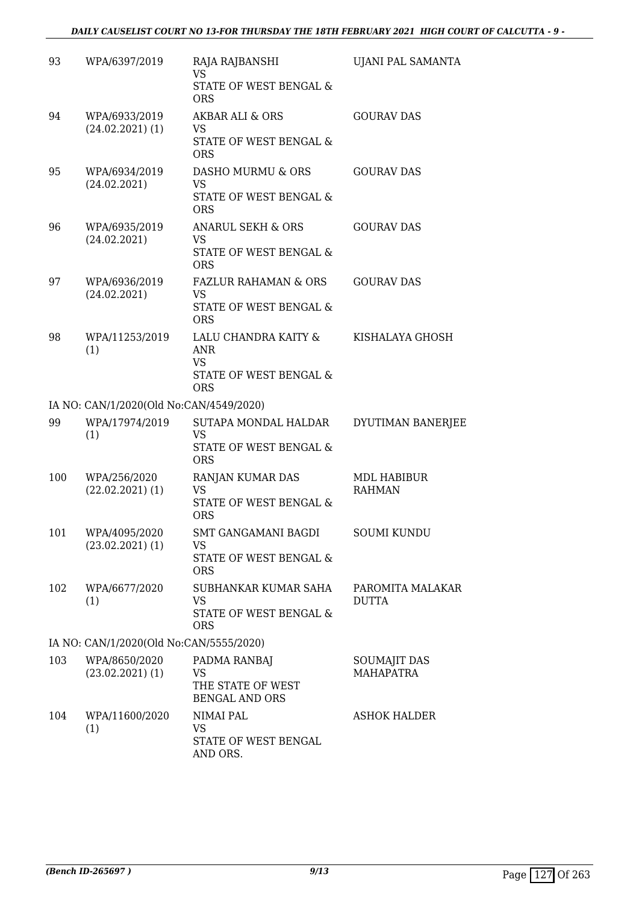| 93  | WPA/6397/2019                           | RAJA RAJBANSHI<br><b>VS</b>                       | UJANI PAL SAMANTA                |
|-----|-----------------------------------------|---------------------------------------------------|----------------------------------|
|     |                                         | STATE OF WEST BENGAL &<br><b>ORS</b>              |                                  |
| 94  | WPA/6933/2019<br>$(24.02.2021)$ (1)     | <b>AKBAR ALI &amp; ORS</b><br>VS                  | <b>GOURAV DAS</b>                |
|     |                                         | STATE OF WEST BENGAL &<br><b>ORS</b>              |                                  |
| 95  | WPA/6934/2019<br>(24.02.2021)           | DASHO MURMU & ORS<br><b>VS</b>                    | <b>GOURAV DAS</b>                |
|     |                                         | STATE OF WEST BENGAL &<br><b>ORS</b>              |                                  |
| 96  | WPA/6935/2019<br>(24.02.2021)           | ANARUL SEKH & ORS<br><b>VS</b>                    | <b>GOURAV DAS</b>                |
|     |                                         | STATE OF WEST BENGAL &<br><b>ORS</b>              |                                  |
| 97  | WPA/6936/2019<br>(24.02.2021)           | <b>FAZLUR RAHAMAN &amp; ORS</b><br>VS             | <b>GOURAV DAS</b>                |
|     |                                         | STATE OF WEST BENGAL &<br><b>ORS</b>              |                                  |
| 98  | WPA/11253/2019<br>(1)                   | LALU CHANDRA KAITY &<br><b>ANR</b>                | KISHALAYA GHOSH                  |
|     |                                         | <b>VS</b><br>STATE OF WEST BENGAL &<br><b>ORS</b> |                                  |
|     | IA NO: CAN/1/2020(Old No:CAN/4549/2020) |                                                   |                                  |
| 99  | WPA/17974/2019<br>(1)                   | SUTAPA MONDAL HALDAR<br><b>VS</b>                 | DYUTIMAN BANERJEE                |
|     |                                         | STATE OF WEST BENGAL &<br><b>ORS</b>              |                                  |
| 100 | WPA/256/2020<br>$(22.02.2021)$ (1)      | RANJAN KUMAR DAS<br><b>VS</b>                     | MDL HABIBUR<br><b>RAHMAN</b>     |
|     |                                         | STATE OF WEST BENGAL &<br><b>ORS</b>              |                                  |
| 101 | WPA/4095/2020<br>$(23.02.2021)$ (1)     | <b>SMT GANGAMANI BAGDI</b><br>VS                  | <b>SOUMI KUNDU</b>               |
|     |                                         | STATE OF WEST BENGAL &<br><b>ORS</b>              |                                  |
| 102 | WPA/6677/2020<br>(1)                    | SUBHANKAR KUMAR SAHA<br><b>VS</b>                 | PAROMITA MALAKAR<br>DUTTA        |
|     |                                         | STATE OF WEST BENGAL &<br><b>ORS</b>              |                                  |
|     | IA NO: CAN/1/2020(Old No:CAN/5555/2020) |                                                   |                                  |
| 103 | WPA/8650/2020<br>$(23.02.2021)$ (1)     | PADMA RANBAJ<br>VS                                | SOUMAJIT DAS<br><b>MAHAPATRA</b> |
|     |                                         | THE STATE OF WEST<br><b>BENGAL AND ORS</b>        |                                  |
| 104 | WPA/11600/2020<br>(1)                   | NIMAI PAL<br><b>VS</b>                            | <b>ASHOK HALDER</b>              |
|     |                                         | STATE OF WEST BENGAL<br>AND ORS.                  |                                  |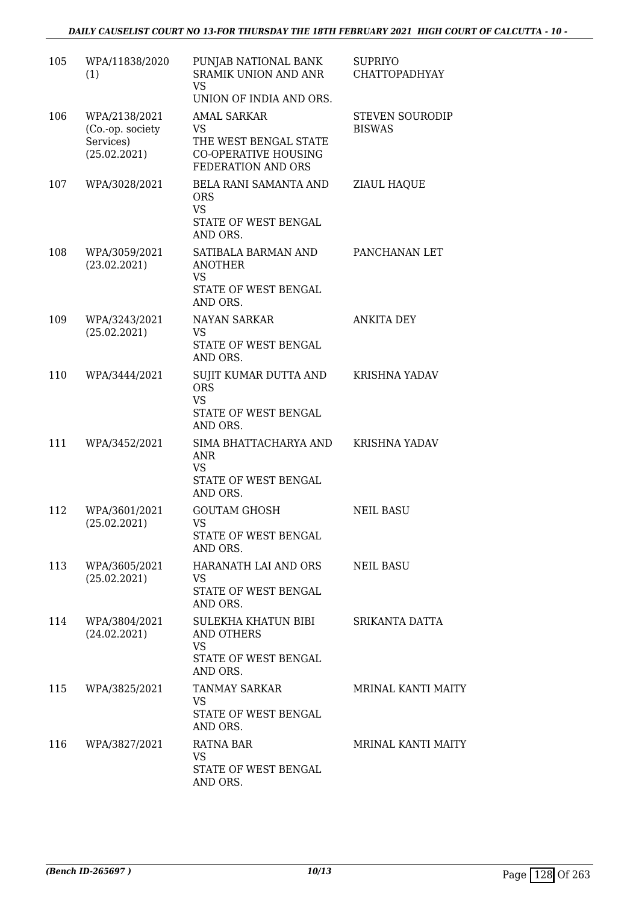| 105 | WPA/11838/2020<br>(1)                                          | PUNJAB NATIONAL BANK<br><b>SRAMIK UNION AND ANR</b><br><b>VS</b><br>UNION OF INDIA AND ORS.     | <b>SUPRIYO</b><br><b>CHATTOPADHYAY</b>  |
|-----|----------------------------------------------------------------|-------------------------------------------------------------------------------------------------|-----------------------------------------|
| 106 | WPA/2138/2021<br>(Co.-op. society<br>Services)<br>(25.02.2021) | AMAL SARKAR<br>VS<br>THE WEST BENGAL STATE<br><b>CO-OPERATIVE HOUSING</b><br>FEDERATION AND ORS | <b>STEVEN SOURODIP</b><br><b>BISWAS</b> |
| 107 | WPA/3028/2021                                                  | BELA RANI SAMANTA AND<br><b>ORS</b><br><b>VS</b><br>STATE OF WEST BENGAL<br>AND ORS.            | <b>ZIAUL HAQUE</b>                      |
| 108 | WPA/3059/2021<br>(23.02.2021)                                  | SATIBALA BARMAN AND<br><b>ANOTHER</b><br><b>VS</b><br>STATE OF WEST BENGAL<br>AND ORS.          | PANCHANAN LET                           |
| 109 | WPA/3243/2021<br>(25.02.2021)                                  | <b>NAYAN SARKAR</b><br><b>VS</b><br>STATE OF WEST BENGAL<br>AND ORS.                            | <b>ANKITA DEY</b>                       |
| 110 | WPA/3444/2021                                                  | SUJIT KUMAR DUTTA AND<br><b>ORS</b><br><b>VS</b><br>STATE OF WEST BENGAL<br>AND ORS.            | <b>KRISHNA YADAV</b>                    |
| 111 | WPA/3452/2021                                                  | SIMA BHATTACHARYA AND<br>ANR<br><b>VS</b><br>STATE OF WEST BENGAL<br>AND ORS.                   | KRISHNA YADAV                           |
| 112 | WPA/3601/2021<br>(25.02.2021)                                  | <b>GOUTAM GHOSH</b><br>VS<br>STATE OF WEST BENGAL<br>AND ORS.                                   | <b>NEIL BASU</b>                        |
| 113 | WPA/3605/2021<br>(25.02.2021)                                  | HARANATH LAI AND ORS<br>VS<br>STATE OF WEST BENGAL<br>AND ORS.                                  | NEIL BASU                               |
| 114 | WPA/3804/2021<br>(24.02.2021)                                  | SULEKHA KHATUN BIBI<br>AND OTHERS<br><b>VS</b><br>STATE OF WEST BENGAL<br>AND ORS.              | SRIKANTA DATTA                          |
| 115 | WPA/3825/2021                                                  | TANMAY SARKAR<br>VS<br>STATE OF WEST BENGAL<br>AND ORS.                                         | <b>MRINAL KANTI MAITY</b>               |
| 116 | WPA/3827/2021                                                  | <b>RATNA BAR</b><br><b>VS</b><br>STATE OF WEST BENGAL<br>AND ORS.                               | <b>MRINAL KANTI MAITY</b>               |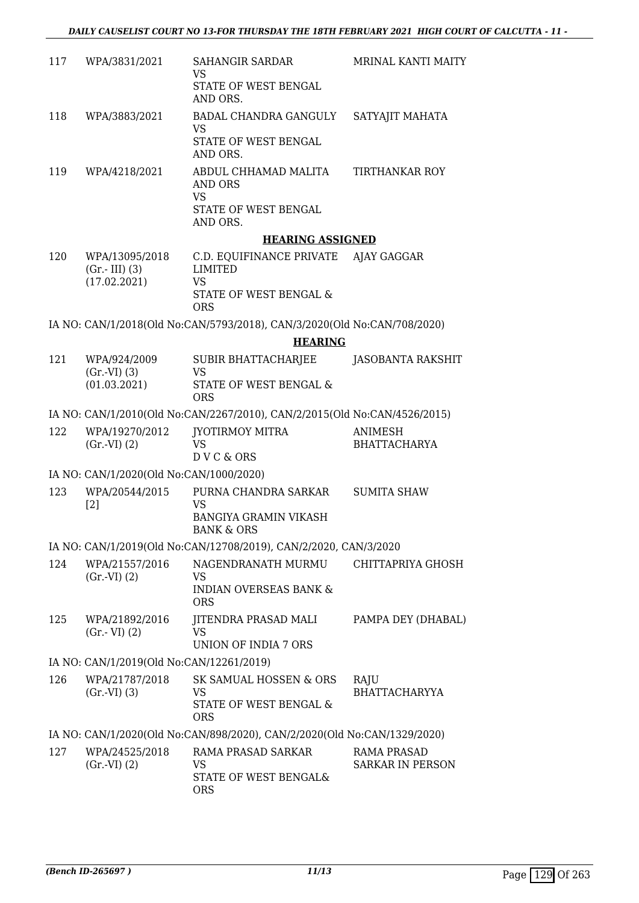| 117 | WPA/3831/2021                                     | SAHANGIR SARDAR<br>VS.<br>STATE OF WEST BENGAL<br>AND ORS.                                                  | <b>MRINAL KANTI MAITY</b> |
|-----|---------------------------------------------------|-------------------------------------------------------------------------------------------------------------|---------------------------|
| 118 | WPA/3883/2021                                     | BADAL CHANDRA GANGULY<br>VS.<br><b>STATE OF WEST BENGAL</b><br>AND ORS.                                     | SATYAJIT MAHATA           |
| 119 | WPA/4218/2021                                     | ABDUL CHHAMAD MALITA<br>AND ORS<br>VS.<br>STATE OF WEST BENGAL<br>AND ORS.                                  | TIRTHANKAR ROY            |
|     |                                                   | <b>HEARING ASSIGNED</b>                                                                                     |                           |
| 120 | WPA/13095/2018<br>$(Gr.-III)$ (3)<br>(17.02.2021) | C.D. EQUIFINANCE PRIVATE AJAY GAGGAR<br><b>LIMITED</b><br><b>VS</b><br>STATE OF WEST BENGAL &<br><b>ORS</b> |                           |
|     |                                                   | IA NO: CAN/1/2018(Old No:CAN/5793/2018), CAN/3/2020(Old No:CAN/708/2020)                                    |                           |
|     |                                                   | <b>HEARING</b>                                                                                              |                           |
| 121 | WPA/924/2009<br>$(Gr.-VI)$ $(3)$<br>(01.03.2021)  | SUBIR BHATTACHARJEE<br>VS<br>STATE OF WEST BENGAL &                                                         | JASOBANTA RAKSHIT         |

# IA NO: CAN/1/2010(Old No:CAN/2267/2010), CAN/2/2015(Old No:CAN/4526/2015)

| 122<br>JYOTIRMOY MITRA<br>WPA/19270/2012<br>ANIMESH<br>VS.<br>(Gr.VI) (2)<br><b>BHATTACHARYA</b><br>D V C & ORS |  |
|-----------------------------------------------------------------------------------------------------------------|--|
|-----------------------------------------------------------------------------------------------------------------|--|

ORS

#### IA NO: CAN/1/2020(Old No:CAN/1000/2020)

(01.03.2021)

| 123 | WPA/20544/2015 | PURNA CHANDRA SARKAR                       | SUMITA SHAW |
|-----|----------------|--------------------------------------------|-------------|
|     | [2]            | VS.<br>BANGIYA GRAMIN VIKASH<br>BANK & ORS |             |

# IA NO: CAN/1/2019(Old No:CAN/12708/2019), CAN/2/2020, CAN/3/2020

| 124 | WPA/21557/2016<br>(Gr.VI) (2)            | NAGENDRANATH MURMU<br>VS<br><b>INDIAN OVERSEAS BANK &amp;</b><br>ORS | CHITTAPRIYA GHOSH  |
|-----|------------------------------------------|----------------------------------------------------------------------|--------------------|
| 125 | WPA/21892/2016<br>$(Gr.-VI)$ $(2)$       | JITENDRA PRASAD MALI<br>VS<br>UNION OF INDIA 7 ORS                   | PAMPA DEY (DHABAL) |
|     | IA NO: CAN/1/2019(Old No:CAN/12261/2019) |                                                                      |                    |
| 126 | WPA/21787/2018<br>$(0.71)$ $(2)$         | SK SAMUAL HOSSEN & ORS<br>17 C                                       | RAJU               |

| 14 U | V11742110114010<br>(Gr.VI) (3) | UR UAMUAL HOUJLIT & ORD<br>VS.<br>STATE OF WEST BENGAL &<br>ORS | טובעי<br><b>BHATTACHARYYA</b> |
|------|--------------------------------|-----------------------------------------------------------------|-------------------------------|
|      |                                |                                                                 |                               |

# IA NO: CAN/1/2020(Old No:CAN/898/2020), CAN/2/2020(Old No:CAN/1329/2020)

| 127 | WPA/24525/2018 | RAMA PRASAD SARKAR    | RAMA PRASAD      |
|-----|----------------|-----------------------|------------------|
|     | (Gr.VI) (2)    | VS.                   | SARKAR IN PERSON |
|     |                | STATE OF WEST BENGAL& |                  |
|     |                | ORS.                  |                  |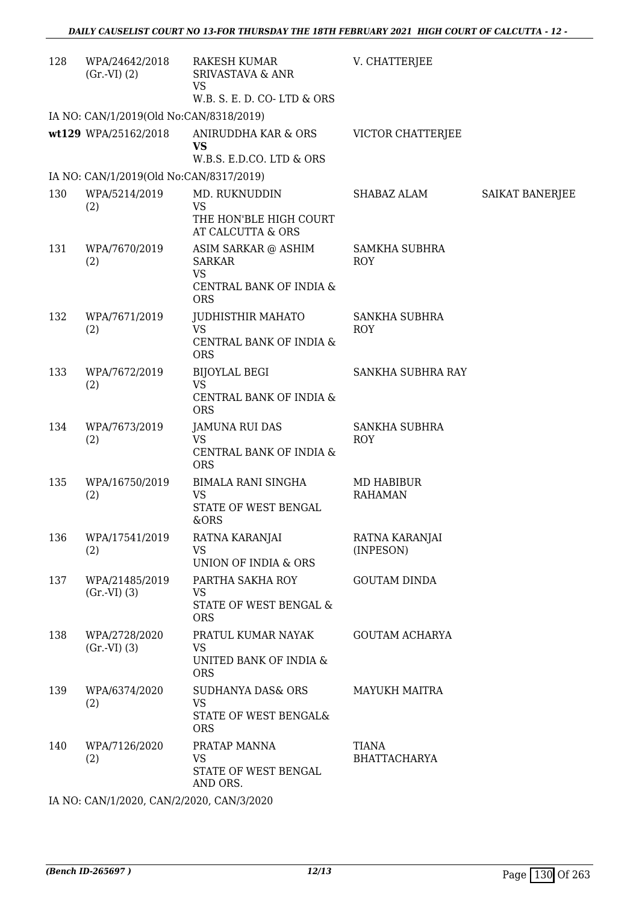| 128 | WPA/24642/2018<br>(Gr.VI) (2)           | <b>RAKESH KUMAR</b><br><b>SRIVASTAVA &amp; ANR</b><br>VS<br>W.B. S. E. D. CO-LTD & ORS     | V. CHATTERJEE                      |                        |
|-----|-----------------------------------------|--------------------------------------------------------------------------------------------|------------------------------------|------------------------|
|     | IA NO: CAN/1/2019(Old No:CAN/8318/2019) |                                                                                            |                                    |                        |
|     | wt129 WPA/25162/2018                    | ANIRUDDHA KAR & ORS<br><b>VS</b><br>W.B.S. E.D.CO. LTD & ORS                               | VICTOR CHATTERJEE                  |                        |
|     | IA NO: CAN/1/2019(Old No:CAN/8317/2019) |                                                                                            |                                    |                        |
| 130 | WPA/5214/2019<br>(2)                    | MD. RUKNUDDIN<br><b>VS</b><br>THE HON'BLE HIGH COURT<br>AT CALCUTTA & ORS                  | SHABAZ ALAM                        | <b>SAIKAT BANERJEE</b> |
| 131 | WPA/7670/2019<br>(2)                    | ASIM SARKAR @ ASHIM<br><b>SARKAR</b><br><b>VS</b><br>CENTRAL BANK OF INDIA &<br><b>ORS</b> | <b>SAMKHA SUBHRA</b><br><b>ROY</b> |                        |
| 132 | WPA/7671/2019<br>(2)                    | JUDHISTHIR MAHATO<br><b>VS</b><br>CENTRAL BANK OF INDIA &<br><b>ORS</b>                    | SANKHA SUBHRA<br><b>ROY</b>        |                        |
| 133 | WPA/7672/2019<br>(2)                    | <b>BIJOYLAL BEGI</b><br><b>VS</b><br>CENTRAL BANK OF INDIA &<br><b>ORS</b>                 | SANKHA SUBHRA RAY                  |                        |
| 134 | WPA/7673/2019<br>(2)                    | JAMUNA RUI DAS<br><b>VS</b><br>CENTRAL BANK OF INDIA &<br><b>ORS</b>                       | SANKHA SUBHRA<br><b>ROY</b>        |                        |
| 135 | WPA/16750/2019<br>(2)                   | <b>BIMALA RANI SINGHA</b><br><b>VS</b><br>STATE OF WEST BENGAL<br>&ORS                     | MD HABIBUR<br><b>RAHAMAN</b>       |                        |
| 136 | WPA/17541/2019<br>(2)                   | RATNA KARANJAI<br><b>VS</b><br>UNION OF INDIA & ORS                                        | RATNA KARANJAI<br>(INPESON)        |                        |
| 137 | WPA/21485/2019<br>(Gr.VI) (3)           | PARTHA SAKHA ROY<br><b>VS</b><br>STATE OF WEST BENGAL &<br><b>ORS</b>                      | <b>GOUTAM DINDA</b>                |                        |
| 138 | WPA/2728/2020<br>(Gr.VI) (3)            | PRATUL KUMAR NAYAK<br><b>VS</b><br>UNITED BANK OF INDIA &<br><b>ORS</b>                    | <b>GOUTAM ACHARYA</b>              |                        |
| 139 | WPA/6374/2020<br>(2)                    | <b>SUDHANYA DAS&amp; ORS</b><br><b>VS</b><br>STATE OF WEST BENGAL&<br><b>ORS</b>           | <b>MAYUKH MAITRA</b>               |                        |
| 140 | WPA/7126/2020<br>(2)                    | PRATAP MANNA<br><b>VS</b><br>STATE OF WEST BENGAL<br>AND ORS.                              | TIANA<br><b>BHATTACHARYA</b>       |                        |

IA NO: CAN/1/2020, CAN/2/2020, CAN/3/2020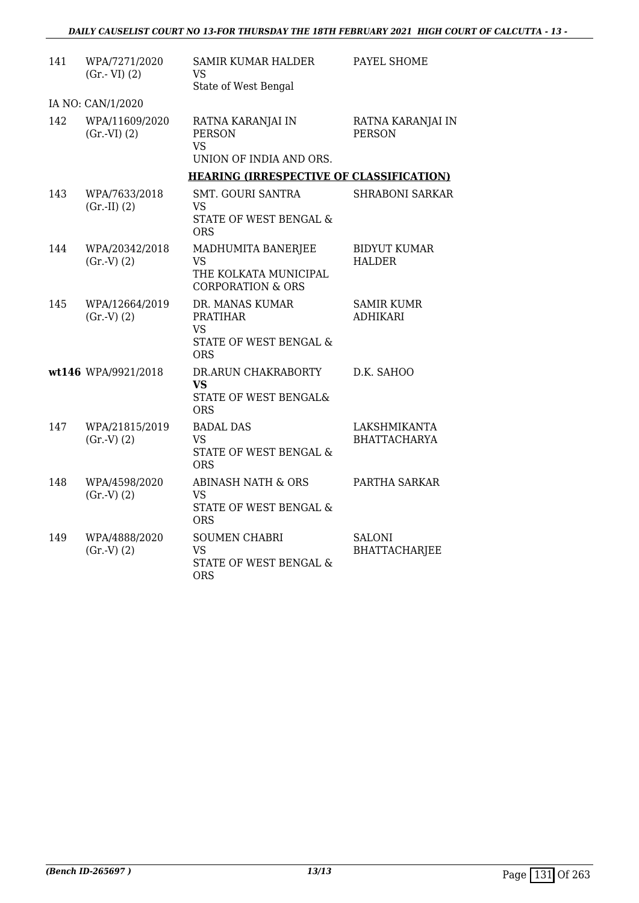| 141 | WPA/7271/2020<br>$(Gr.-VI)$ $(2)$ | <b>SAMIR KUMAR HALDER</b><br>VS.<br>State of West Bengal                          | PAYEL SHOME                           |
|-----|-----------------------------------|-----------------------------------------------------------------------------------|---------------------------------------|
|     | IA NO: CAN/1/2020                 |                                                                                   |                                       |
| 142 | WPA/11609/2020<br>(Gr.VI) (2)     | RATNA KARANJAI IN<br><b>PERSON</b><br><b>VS</b><br>UNION OF INDIA AND ORS.        | RATNA KARANJAI IN<br><b>PERSON</b>    |
|     |                                   | <b>HEARING (IRRESPECTIVE OF CLASSIFICATION)</b>                                   |                                       |
| 143 | WPA/7633/2018<br>$(Gr.-II) (2)$   | <b>SMT. GOURI SANTRA</b><br>VS<br>STATE OF WEST BENGAL &<br>ORS                   | <b>SHRABONI SARKAR</b>                |
| 144 | WPA/20342/2018<br>(Gr.V) (2)      | MADHUMITA BANERJEE<br>VS<br>THE KOLKATA MUNICIPAL<br><b>CORPORATION &amp; ORS</b> | <b>BIDYUT KUMAR</b><br><b>HALDER</b>  |
| 145 | WPA/12664/2019<br>(Gr.V) (2)      | DR. MANAS KUMAR<br><b>PRATIHAR</b><br>VS.<br>STATE OF WEST BENGAL &<br><b>ORS</b> | <b>SAMIR KUMR</b><br><b>ADHIKARI</b>  |
|     | wt146 WPA/9921/2018               | DR.ARUN CHAKRABORTY<br><b>VS</b><br>STATE OF WEST BENGAL&<br><b>ORS</b>           | D.K. SAHOO                            |
| 147 | WPA/21815/2019<br>(Gr.V) (2)      | <b>BADAL DAS</b><br>VS<br>STATE OF WEST BENGAL &<br><b>ORS</b>                    | LAKSHMIKANTA<br><b>BHATTACHARYA</b>   |
| 148 | WPA/4598/2020<br>(Gr.V) (2)       | ABINASH NATH & ORS<br><b>VS</b><br>STATE OF WEST BENGAL &<br><b>ORS</b>           | PARTHA SARKAR                         |
| 149 | WPA/4888/2020<br>(Gr.V) (2)       | <b>SOUMEN CHABRI</b><br><b>VS</b><br>STATE OF WEST BENGAL &<br><b>ORS</b>         | <b>SALONI</b><br><b>BHATTACHARJEE</b> |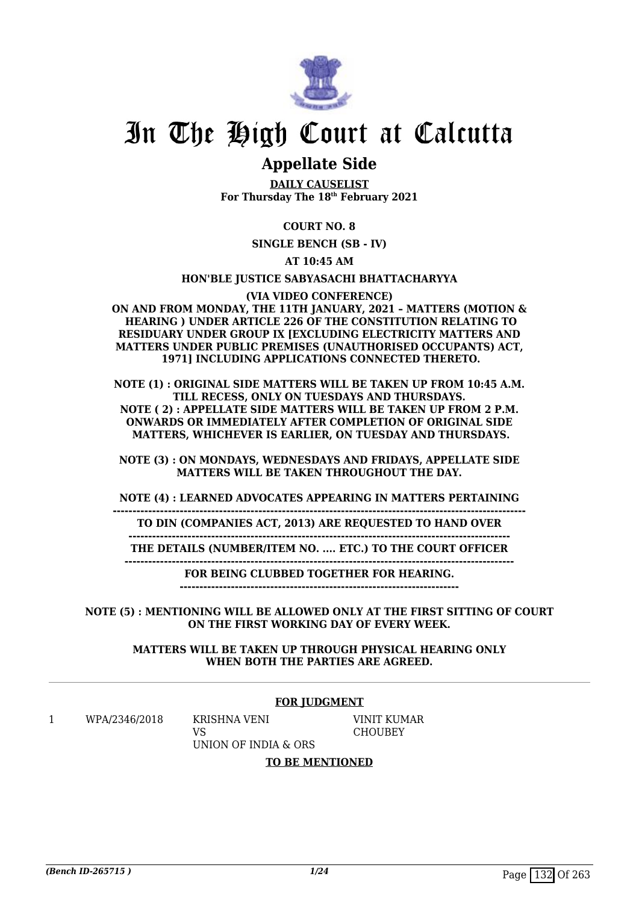

# In The High Court at Calcutta

# **Appellate Side**

**DAILY CAUSELIST For Thursday The 18th February 2021**

# **COURT NO. 8**

**SINGLE BENCH (SB - IV)**

**AT 10:45 AM**

**HON'BLE JUSTICE SABYASACHI BHATTACHARYYA**

**(VIA VIDEO CONFERENCE)**

**ON AND FROM MONDAY, THE 11TH JANUARY, 2021 – MATTERS (MOTION & HEARING ) UNDER ARTICLE 226 OF THE CONSTITUTION RELATING TO RESIDUARY UNDER GROUP IX [EXCLUDING ELECTRICITY MATTERS AND MATTERS UNDER PUBLIC PREMISES (UNAUTHORISED OCCUPANTS) ACT, 1971] INCLUDING APPLICATIONS CONNECTED THERETO.**

**NOTE (1) : ORIGINAL SIDE MATTERS WILL BE TAKEN UP FROM 10:45 A.M. TILL RECESS, ONLY ON TUESDAYS AND THURSDAYS. NOTE ( 2) : APPELLATE SIDE MATTERS WILL BE TAKEN UP FROM 2 P.M. ONWARDS OR IMMEDIATELY AFTER COMPLETION OF ORIGINAL SIDE MATTERS, WHICHEVER IS EARLIER, ON TUESDAY AND THURSDAYS.**

**NOTE (3) : ON MONDAYS, WEDNESDAYS AND FRIDAYS, APPELLATE SIDE MATTERS WILL BE TAKEN THROUGHOUT THE DAY.**

**NOTE (4) : LEARNED ADVOCATES APPEARING IN MATTERS PERTAINING**

**TO DIN (COMPANIES ACT, 2013) ARE REQUESTED TO HAND OVER**

**---------------------------------------------------------------------------------------------------------**

**-------------------------------------------------------------------------------------------------**

**THE DETAILS (NUMBER/ITEM NO. .... ETC.) TO THE COURT OFFICER ---------------------------------------------------------------------------------------------------**

**FOR BEING CLUBBED TOGETHER FOR HEARING.**

**-----------------------------------------------------------------------**

**NOTE (5) : MENTIONING WILL BE ALLOWED ONLY AT THE FIRST SITTING OF COURT ON THE FIRST WORKING DAY OF EVERY WEEK.**

**MATTERS WILL BE TAKEN UP THROUGH PHYSICAL HEARING ONLY WHEN BOTH THE PARTIES ARE AGREED.**

#### **FOR JUDGMENT**

1 WPA/2346/2018 KRISHNA VENI

VS

VINIT KUMAR **CHOUBEY** 

UNION OF INDIA & ORS **TO BE MENTIONED**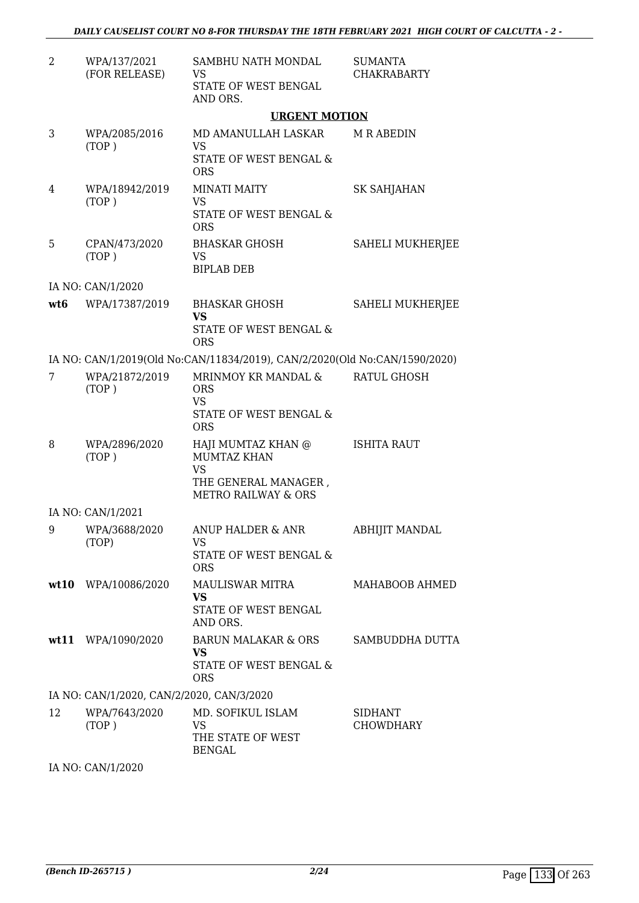| 2   | WPA/137/2021<br>(FOR RELEASE)             | SAMBHU NATH MONDAL<br>VS<br>STATE OF WEST BENGAL<br>AND ORS.                                             | <b>SUMANTA</b><br><b>CHAKRABARTY</b> |
|-----|-------------------------------------------|----------------------------------------------------------------------------------------------------------|--------------------------------------|
|     |                                           | <b>URGENT MOTION</b>                                                                                     |                                      |
| 3   | WPA/2085/2016<br>(TOP)                    | MD AMANULLAH LASKAR<br><b>VS</b><br>STATE OF WEST BENGAL &<br><b>ORS</b>                                 | <b>M R ABEDIN</b>                    |
| 4   | WPA/18942/2019<br>(TOP)                   | <b>MINATI MAITY</b><br><b>VS</b><br>STATE OF WEST BENGAL &<br><b>ORS</b>                                 | SK SAHJAHAN                          |
| 5   | CPAN/473/2020<br>(TOP)                    | <b>BHASKAR GHOSH</b><br><b>VS</b><br><b>BIPLAB DEB</b>                                                   | <b>SAHELI MUKHERJEE</b>              |
|     | IA NO: CAN/1/2020                         |                                                                                                          |                                      |
| wt6 | WPA/17387/2019                            | <b>BHASKAR GHOSH</b><br><b>VS</b><br>STATE OF WEST BENGAL &<br><b>ORS</b>                                | <b>SAHELI MUKHERJEE</b>              |
|     |                                           | IA NO: CAN/1/2019(Old No:CAN/11834/2019), CAN/2/2020(Old No:CAN/1590/2020)                               |                                      |
| 7   | WPA/21872/2019<br>(TOP)                   | MRINMOY KR MANDAL &<br><b>ORS</b><br><b>VS</b><br>STATE OF WEST BENGAL &<br><b>ORS</b>                   | <b>RATUL GHOSH</b>                   |
| 8   | WPA/2896/2020<br>(TOP)                    | HAJI MUMTAZ KHAN @<br><b>MUMTAZ KHAN</b><br>VS<br>THE GENERAL MANAGER,<br><b>METRO RAILWAY &amp; ORS</b> | <b>ISHITA RAUT</b>                   |
|     | IA NO: CAN/1/2021                         |                                                                                                          |                                      |
|     | 9 WPA/3688/2020<br>(TOP)                  | ANUP HALDER & ANR<br>VS<br>STATE OF WEST BENGAL &<br><b>ORS</b>                                          | <b>ABHIJIT MANDAL</b>                |
|     | wt10 WPA/10086/2020                       | <b>MAULISWAR MITRA</b><br><b>VS</b><br>STATE OF WEST BENGAL<br>AND ORS.                                  | MAHABOOB AHMED                       |
|     | wt11 WPA/1090/2020                        | <b>BARUN MALAKAR &amp; ORS</b><br><b>VS</b><br>STATE OF WEST BENGAL &<br><b>ORS</b>                      | <b>SAMBUDDHA DUTTA</b>               |
|     | IA NO: CAN/1/2020, CAN/2/2020, CAN/3/2020 |                                                                                                          |                                      |
| 12  | WPA/7643/2020<br>(TOP)                    | MD. SOFIKUL ISLAM<br>VS<br>THE STATE OF WEST<br><b>BENGAL</b>                                            | <b>SIDHANT</b><br><b>CHOWDHARY</b>   |

IA NO: CAN/1/2020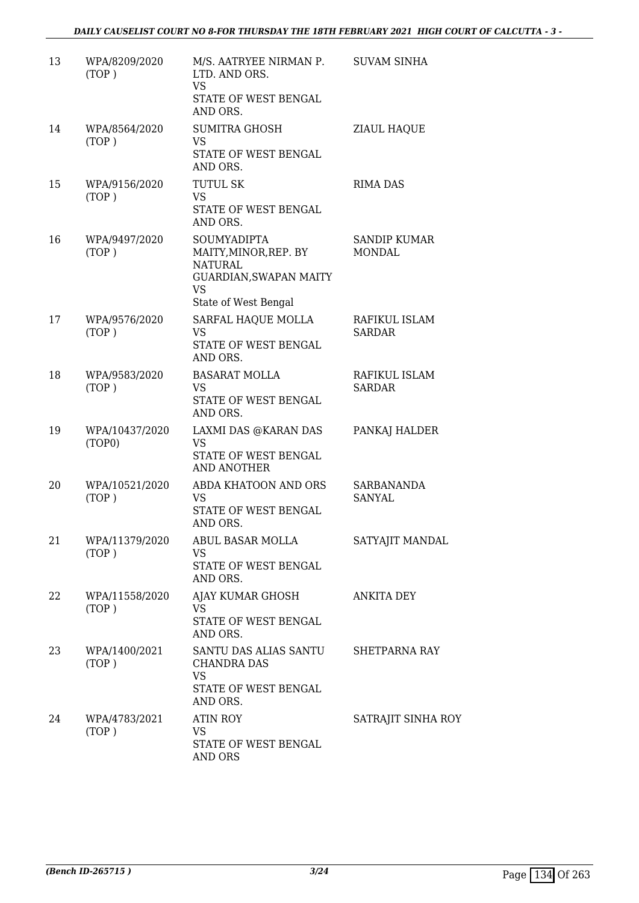| 13 | WPA/8209/2020<br>(TOP)   | M/S. AATRYEE NIRMAN P.<br>LTD. AND ORS.<br>VS<br>STATE OF WEST BENGAL<br>AND ORS.                                                 | <b>SUVAM SINHA</b>                   |
|----|--------------------------|-----------------------------------------------------------------------------------------------------------------------------------|--------------------------------------|
| 14 | WPA/8564/2020<br>(TOP)   | <b>SUMITRA GHOSH</b><br><b>VS</b><br>STATE OF WEST BENGAL<br>AND ORS.                                                             | ZIAUL HAQUE                          |
| 15 | WPA/9156/2020<br>(TOP)   | <b>TUTUL SK</b><br><b>VS</b><br>STATE OF WEST BENGAL<br>AND ORS.                                                                  | <b>RIMA DAS</b>                      |
| 16 | WPA/9497/2020<br>(TOP)   | <b>SOUMYADIPTA</b><br>MAITY,MINOR,REP. BY<br><b>NATURAL</b><br><b>GUARDIAN, SWAPAN MAITY</b><br><b>VS</b><br>State of West Bengal | <b>SANDIP KUMAR</b><br><b>MONDAL</b> |
| 17 | WPA/9576/2020<br>(TOP)   | SARFAL HAQUE MOLLA<br>VS<br>STATE OF WEST BENGAL<br>AND ORS.                                                                      | RAFIKUL ISLAM<br><b>SARDAR</b>       |
| 18 | WPA/9583/2020<br>(TOP)   | <b>BASARAT MOLLA</b><br><b>VS</b><br>STATE OF WEST BENGAL<br>AND ORS.                                                             | RAFIKUL ISLAM<br><b>SARDAR</b>       |
| 19 | WPA/10437/2020<br>(TOP0) | LAXMI DAS @KARAN DAS<br><b>VS</b><br>STATE OF WEST BENGAL<br>AND ANOTHER                                                          | PANKAJ HALDER                        |
| 20 | WPA/10521/2020<br>(TOP)  | ABDA KHATOON AND ORS<br>VS<br>STATE OF WEST BENGAL<br>AND ORS.                                                                    | SARBANANDA<br>SANYAL                 |
| 21 | WPA/11379/2020<br>(TOP)  | ABUL BASAR MOLLA<br><b>VS</b><br>STATE OF WEST BENGAL<br>AND ORS.                                                                 | SATYAJIT MANDAL                      |
| 22 | WPA/11558/2020<br>(TOP)  | AJAY KUMAR GHOSH<br>VS<br>STATE OF WEST BENGAL<br>AND ORS.                                                                        | ANKITA DEY                           |
| 23 | WPA/1400/2021<br>(TOP)   | SANTU DAS ALIAS SANTU<br>CHANDRA DAS<br><b>VS</b><br>STATE OF WEST BENGAL<br>AND ORS.                                             | <b>SHETPARNA RAY</b>                 |
| 24 | WPA/4783/2021<br>(TOP)   | <b>ATIN ROY</b><br>VS<br>STATE OF WEST BENGAL<br>AND ORS                                                                          | SATRAJIT SINHA ROY                   |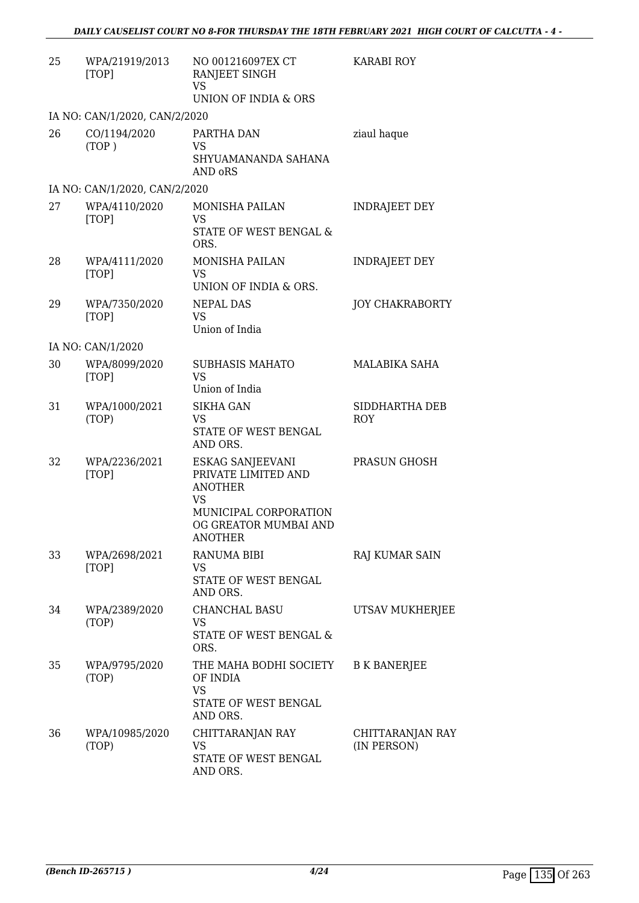| 25 | WPA/21919/2013<br>[TOP]       | NO 001216097EX CT<br>RANJEET SINGH<br><b>VS</b><br>UNION OF INDIA & ORS                                                             | <b>KARABI ROY</b>               |
|----|-------------------------------|-------------------------------------------------------------------------------------------------------------------------------------|---------------------------------|
|    | IA NO: CAN/1/2020, CAN/2/2020 |                                                                                                                                     |                                 |
| 26 | CO/1194/2020<br>(TOP)         | PARTHA DAN<br><b>VS</b><br>SHYUAMANANDA SAHANA<br>AND oRS                                                                           | ziaul haque                     |
|    | IA NO: CAN/1/2020, CAN/2/2020 |                                                                                                                                     |                                 |
| 27 | WPA/4110/2020<br>[TOP]        | <b>MONISHA PAILAN</b><br>VS<br>STATE OF WEST BENGAL &<br>ORS.                                                                       | <b>INDRAJEET DEY</b>            |
| 28 | WPA/4111/2020<br>[TOP]        | <b>MONISHA PAILAN</b><br><b>VS</b><br>UNION OF INDIA & ORS.                                                                         | <b>INDRAJEET DEY</b>            |
| 29 | WPA/7350/2020<br>[TOP]        | NEPAL DAS<br><b>VS</b><br>Union of India                                                                                            | <b>JOY CHAKRABORTY</b>          |
|    | IA NO: CAN/1/2020             |                                                                                                                                     |                                 |
| 30 | WPA/8099/2020<br>[TOP]        | <b>SUBHASIS MAHATO</b><br><b>VS</b><br>Union of India                                                                               | <b>MALABIKA SAHA</b>            |
| 31 | WPA/1000/2021<br>(TOP)        | <b>SIKHA GAN</b><br>VS<br>STATE OF WEST BENGAL<br>AND ORS.                                                                          | SIDDHARTHA DEB<br><b>ROY</b>    |
| 32 | WPA/2236/2021<br>[TOP]        | ESKAG SANJEEVANI<br>PRIVATE LIMITED AND<br><b>ANOTHER</b><br>VS<br>MUNICIPAL CORPORATION<br>OG GREATOR MUMBAI AND<br><b>ANOTHER</b> | PRASUN GHOSH                    |
| 33 | WPA/2698/2021<br>[TOP]        | RANUMA BIBI<br>VS<br>STATE OF WEST BENGAL<br>AND ORS.                                                                               | RAJ KUMAR SAIN                  |
| 34 | WPA/2389/2020<br>(TOP)        | <b>CHANCHAL BASU</b><br>VS<br>STATE OF WEST BENGAL &<br>ORS.                                                                        | UTSAV MUKHERJEE                 |
| 35 | WPA/9795/2020<br>(TOP)        | THE MAHA BODHI SOCIETY<br>OF INDIA<br><b>VS</b><br>STATE OF WEST BENGAL<br>AND ORS.                                                 | <b>B K BANERJEE</b>             |
| 36 | WPA/10985/2020<br>(TOP)       | CHITTARANJAN RAY<br>VS<br>STATE OF WEST BENGAL<br>AND ORS.                                                                          | CHITTARANJAN RAY<br>(IN PERSON) |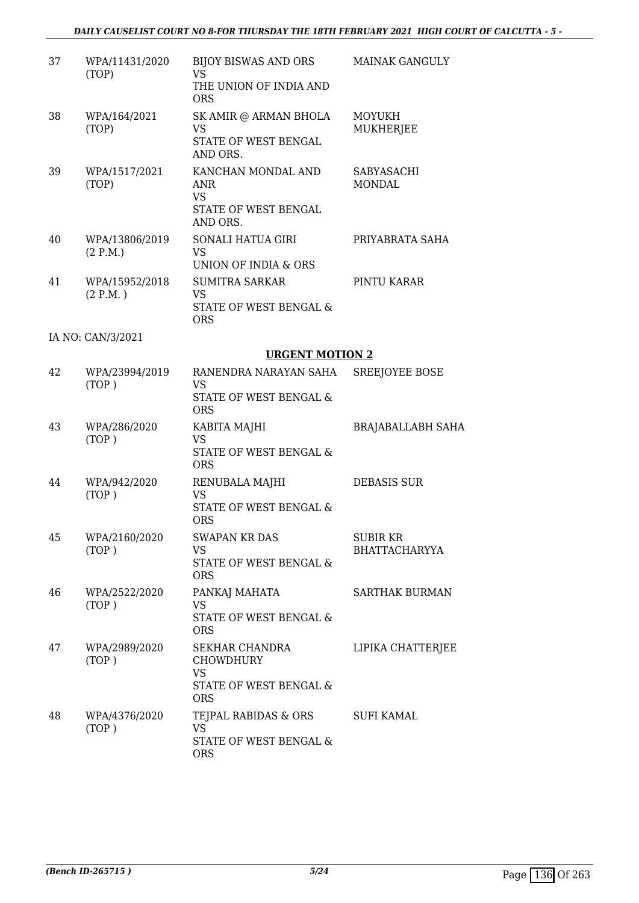# *DAILY CAUSELIST COURT NO 8-FOR THURSDAY THE 18TH FEBRUARY 2021 HIGH COURT OF CALCUTTA - 5 -*

| 37 | WPA/11431/2020<br>(TOP)     | BIJOY BISWAS AND ORS<br>VS.<br>THE UNION OF INDIA AND                                   | <b>MAINAK GANGULY</b>                  |
|----|-----------------------------|-----------------------------------------------------------------------------------------|----------------------------------------|
| 38 | WPA/164/2021<br>(TOP)       | <b>ORS</b><br>SK AMIR @ ARMAN BHOLA<br>VS<br>STATE OF WEST BENGAL<br>AND ORS.           | <b>MOYUKH</b><br>MUKHERJEE             |
| 39 | WPA/1517/2021<br>(TOP)      | KANCHAN MONDAL AND<br>ANR<br>VS.<br>STATE OF WEST BENGAL<br>AND ORS.                    | SABYASACHI<br><b>MONDAL</b>            |
| 40 | WPA/13806/2019<br>(2 P.M.)  | SONALI HATUA GIRI<br>VS.<br>UNION OF INDIA & ORS                                        | PRIYABRATA SAHA                        |
| 41 | WPA/15952/2018<br>(2 P.M. ) | <b>SUMITRA SARKAR</b><br>VS<br>STATE OF WEST BENGAL &<br><b>ORS</b>                     | PINTU KARAR                            |
|    | IA NO: CAN/3/2021           |                                                                                         |                                        |
|    |                             | <b>URGENT MOTION 2</b>                                                                  |                                        |
| 42 | WPA/23994/2019<br>(TOP)     | RANENDRA NARAYAN SAHA<br>VS.<br>STATE OF WEST BENGAL &<br><b>ORS</b>                    | SREEJOYEE BOSE                         |
| 43 | WPA/286/2020<br>(TOP)       | KABITA MAJHI<br><b>VS</b><br>STATE OF WEST BENGAL &<br><b>ORS</b>                       | <b>BRAJABALLABH SAHA</b>               |
| 44 | WPA/942/2020<br>(TOP)       | RENUBALA MAJHI<br>VS<br>STATE OF WEST BENGAL &<br><b>ORS</b>                            | <b>DEBASIS SUR</b>                     |
| 45 | WPA/2160/2020<br>(TOP)      | <b>SWAPAN KR DAS</b><br>VS.<br>STATE OF WEST BENGAL &<br><b>ORS</b>                     | <b>SUBIRKR</b><br><b>BHATTACHARYYA</b> |
| 46 | WPA/2522/2020<br>(TOP)      | PANKAJ MAHATA<br>VS<br>STATE OF WEST BENGAL &<br><b>ORS</b>                             | <b>SARTHAK BURMAN</b>                  |
| 47 | WPA/2989/2020<br>(TOP)      | SEKHAR CHANDRA<br><b>CHOWDHURY</b><br><b>VS</b><br>STATE OF WEST BENGAL &<br><b>ORS</b> | LIPIKA CHATTERJEE                      |
| 48 | WPA/4376/2020<br>(TOP)      | TEJPAL RABIDAS & ORS<br><b>VS</b><br>STATE OF WEST BENGAL &<br><b>ORS</b>               | <b>SUFI KAMAL</b>                      |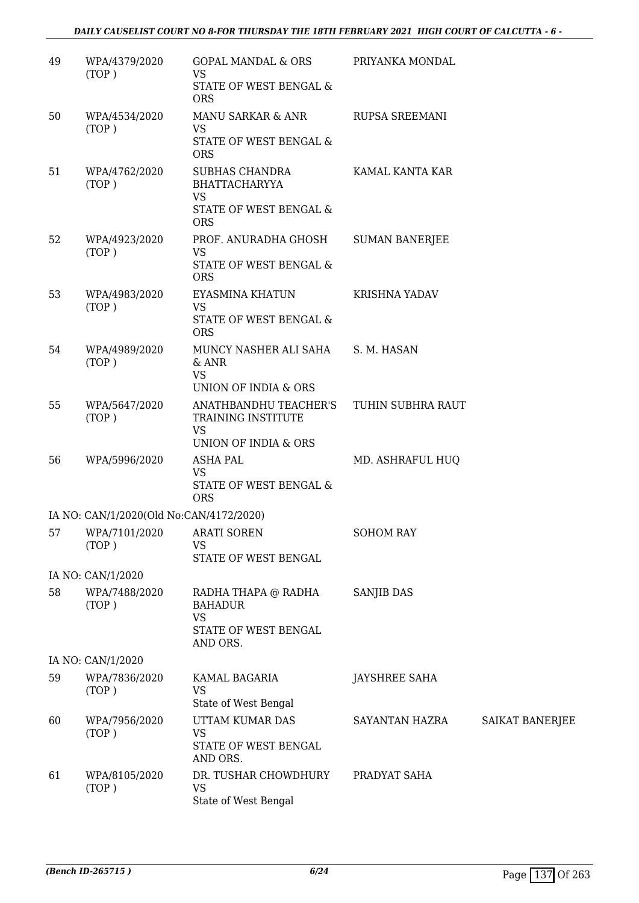# *DAILY CAUSELIST COURT NO 8-FOR THURSDAY THE 18TH FEBRUARY 2021 HIGH COURT OF CALCUTTA - 6 -*

| 49 | WPA/4379/2020<br>(TOP)                  | <b>GOPAL MANDAL &amp; ORS</b><br><b>VS</b><br>STATE OF WEST BENGAL &<br><b>ORS</b>                        | PRIYANKA MONDAL       |                 |
|----|-----------------------------------------|-----------------------------------------------------------------------------------------------------------|-----------------------|-----------------|
| 50 | WPA/4534/2020<br>(TOP)                  | MANU SARKAR & ANR<br><b>VS</b><br>STATE OF WEST BENGAL &                                                  | <b>RUPSA SREEMANI</b> |                 |
| 51 | WPA/4762/2020<br>(TOP)                  | <b>ORS</b><br>SUBHAS CHANDRA<br><b>BHATTACHARYYA</b><br><b>VS</b><br>STATE OF WEST BENGAL &<br><b>ORS</b> | KAMAL KANTA KAR       |                 |
| 52 | WPA/4923/2020<br>(TOP)                  | PROF. ANURADHA GHOSH<br><b>VS</b><br>STATE OF WEST BENGAL &<br><b>ORS</b>                                 | <b>SUMAN BANERJEE</b> |                 |
| 53 | WPA/4983/2020<br>(TOP)                  | EYASMINA KHATUN<br><b>VS</b><br>STATE OF WEST BENGAL &<br><b>ORS</b>                                      | <b>KRISHNA YADAV</b>  |                 |
| 54 | WPA/4989/2020<br>(TOP)                  | MUNCY NASHER ALI SAHA<br>$&$ ANR<br><b>VS</b><br>UNION OF INDIA & ORS                                     | S. M. HASAN           |                 |
| 55 | WPA/5647/2020<br>(TOP)                  | ANATHBANDHU TEACHER'S<br>TRAINING INSTITUTE<br><b>VS</b><br>UNION OF INDIA & ORS                          | TUHIN SUBHRA RAUT     |                 |
| 56 | WPA/5996/2020                           | <b>ASHA PAL</b><br><b>VS</b><br>STATE OF WEST BENGAL &<br><b>ORS</b>                                      | MD. ASHRAFUL HUQ      |                 |
|    | IA NO: CAN/1/2020(Old No:CAN/4172/2020) |                                                                                                           |                       |                 |
|    | 57 WPA/7101/2020 ARATI SOREN<br>(TOP)   | VS<br>STATE OF WEST BENGAL                                                                                | <b>SOHOM RAY</b>      |                 |
|    | IA NO: CAN/1/2020                       |                                                                                                           |                       |                 |
| 58 | WPA/7488/2020<br>(TOP)                  | RADHA THAPA @ RADHA<br><b>BAHADUR</b><br><b>VS</b><br>STATE OF WEST BENGAL<br>AND ORS.                    | <b>SANJIB DAS</b>     |                 |
|    | IA NO: CAN/1/2020                       |                                                                                                           |                       |                 |
| 59 | WPA/7836/2020<br>(TOP)                  | KAMAL BAGARIA<br>VS<br>State of West Bengal                                                               | <b>JAYSHREE SAHA</b>  |                 |
| 60 | WPA/7956/2020<br>(TOP)                  | UTTAM KUMAR DAS<br><b>VS</b><br>STATE OF WEST BENGAL<br>AND ORS.                                          | SAYANTAN HAZRA        | SAIKAT BANERJEE |
| 61 | WPA/8105/2020<br>(TOP)                  | DR. TUSHAR CHOWDHURY<br><b>VS</b><br>State of West Bengal                                                 | PRADYAT SAHA          |                 |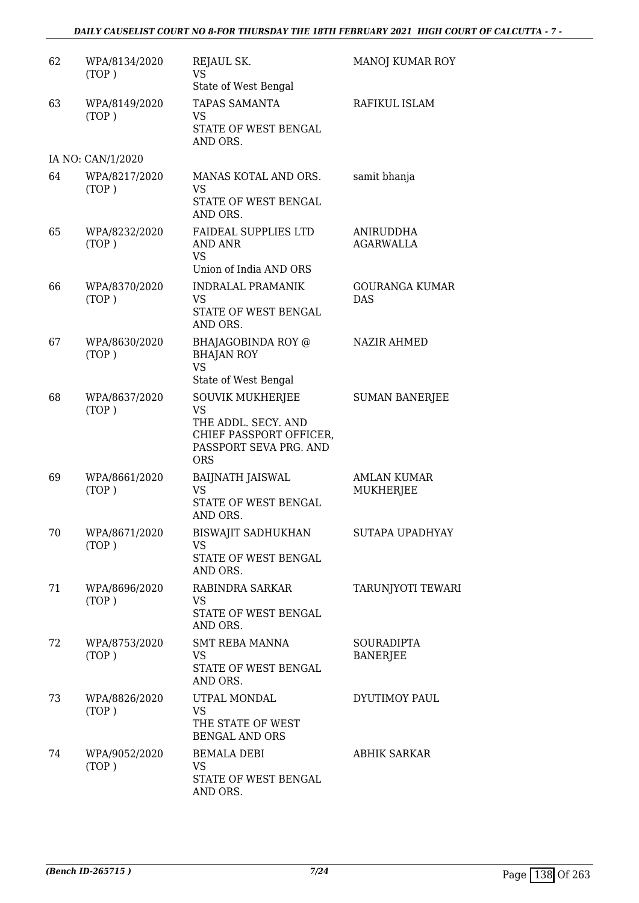# *DAILY CAUSELIST COURT NO 8-FOR THURSDAY THE 18TH FEBRUARY 2021 HIGH COURT OF CALCUTTA - 7 -*

| 62 | WPA/8134/2020<br>(TOP) | REJAUL SK.<br>VS.<br>State of West Bengal                                                                                      | MANOJ KUMAR ROY                      |
|----|------------------------|--------------------------------------------------------------------------------------------------------------------------------|--------------------------------------|
| 63 | WPA/8149/2020<br>(TOP) | <b>TAPAS SAMANTA</b><br>VS.<br>STATE OF WEST BENGAL<br>AND ORS.                                                                | RAFIKUL ISLAM                        |
|    | IA NO: CAN/1/2020      |                                                                                                                                |                                      |
| 64 | WPA/8217/2020<br>(TOP) | MANAS KOTAL AND ORS.<br>VS<br>STATE OF WEST BENGAL<br>AND ORS.                                                                 | samit bhanja                         |
| 65 | WPA/8232/2020<br>(TOP) | <b>FAIDEAL SUPPLIES LTD</b><br>AND ANR<br>VS<br>Union of India AND ORS                                                         | ANIRUDDHA<br><b>AGARWALLA</b>        |
| 66 | WPA/8370/2020<br>(TOP) | <b>INDRALAL PRAMANIK</b><br><b>VS</b><br>STATE OF WEST BENGAL<br>AND ORS.                                                      | GOURANGA KUMAR<br><b>DAS</b>         |
| 67 | WPA/8630/2020<br>(TOP) | BHAJAGOBINDA ROY @<br><b>BHAJAN ROY</b><br><b>VS</b><br>State of West Bengal                                                   | <b>NAZIR AHMED</b>                   |
| 68 | WPA/8637/2020<br>(TOP) | <b>SOUVIK MUKHERJEE</b><br><b>VS</b><br>THE ADDL. SECY. AND<br>CHIEF PASSPORT OFFICER,<br>PASSPORT SEVA PRG. AND<br><b>ORS</b> | <b>SUMAN BANERJEE</b>                |
| 69 | WPA/8661/2020<br>(TOP) | <b>BAIJNATH JAISWAL</b><br><b>VS</b><br>STATE OF WEST BENGAL<br>AND ORS.                                                       | <b>AMLAN KUMAR</b><br>MUKHERJEE      |
| 70 | WPA/8671/2020<br>(TOP) | <b>BISWAJIT SADHUKHAN</b><br>VS<br>STATE OF WEST BENGAL<br>AND ORS.                                                            | SUTAPA UPADHYAY                      |
| 71 | WPA/8696/2020<br>(TOP) | RABINDRA SARKAR<br>VS.<br>STATE OF WEST BENGAL<br>AND ORS.                                                                     | <b>TARUNJYOTI TEWARI</b>             |
| 72 | WPA/8753/2020<br>(TOP) | <b>SMT REBA MANNA</b><br>VS<br>STATE OF WEST BENGAL<br>AND ORS.                                                                | <b>SOURADIPTA</b><br><b>BANERJEE</b> |
| 73 | WPA/8826/2020<br>(TOP) | UTPAL MONDAL<br><b>VS</b><br>THE STATE OF WEST<br><b>BENGAL AND ORS</b>                                                        | DYUTIMOY PAUL                        |
| 74 | WPA/9052/2020<br>(TOP) | <b>BEMALA DEBI</b><br>VS.<br>STATE OF WEST BENGAL<br>AND ORS.                                                                  | <b>ABHIK SARKAR</b>                  |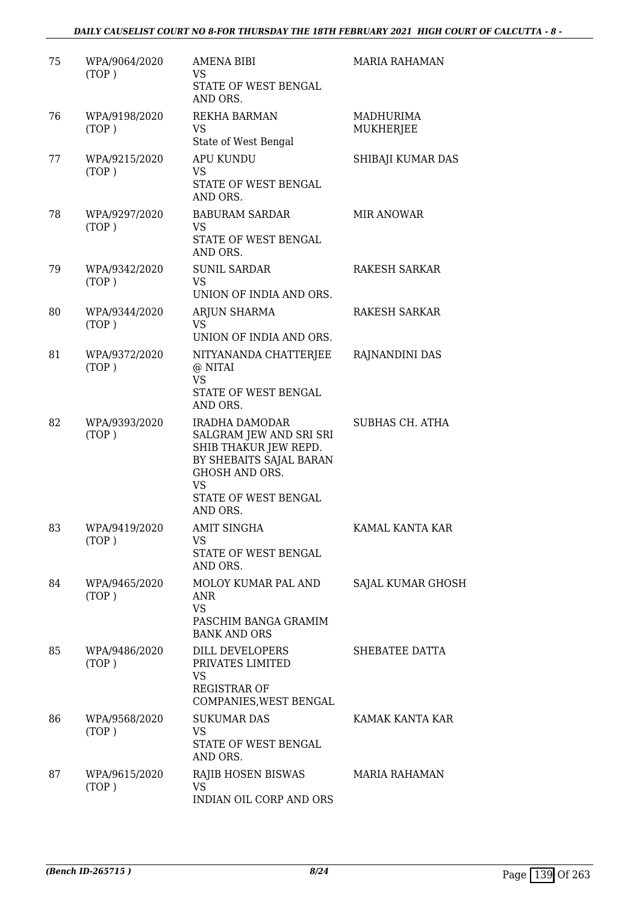# *DAILY CAUSELIST COURT NO 8-FOR THURSDAY THE 18TH FEBRUARY 2021 HIGH COURT OF CALCUTTA - 8 -*

| 75 | WPA/9064/2020<br>(TOP) | <b>AMENA BIBI</b><br>VS<br>STATE OF WEST BENGAL<br>AND ORS.                                                                                                      | <b>MARIA RAHAMAN</b>          |
|----|------------------------|------------------------------------------------------------------------------------------------------------------------------------------------------------------|-------------------------------|
| 76 | WPA/9198/2020<br>(TOP) | <b>REKHA BARMAN</b><br>VS<br>State of West Bengal                                                                                                                | MADHURIMA<br><b>MUKHERJEE</b> |
| 77 | WPA/9215/2020<br>(TOP) | <b>APU KUNDU</b><br><b>VS</b><br>STATE OF WEST BENGAL<br>AND ORS.                                                                                                | SHIBAJI KUMAR DAS             |
| 78 | WPA/9297/2020<br>(TOP) | <b>BABURAM SARDAR</b><br>VS<br>STATE OF WEST BENGAL<br>AND ORS.                                                                                                  | <b>MIR ANOWAR</b>             |
| 79 | WPA/9342/2020<br>(TOP) | <b>SUNIL SARDAR</b><br>VS<br>UNION OF INDIA AND ORS.                                                                                                             | <b>RAKESH SARKAR</b>          |
| 80 | WPA/9344/2020<br>(TOP) | ARJUN SHARMA<br>VS.<br>UNION OF INDIA AND ORS.                                                                                                                   | RAKESH SARKAR                 |
| 81 | WPA/9372/2020<br>(TOP) | NITYANANDA CHATTERJEE<br>@ NITAI<br>VS<br>STATE OF WEST BENGAL<br>AND ORS.                                                                                       | RAJNANDINI DAS                |
| 82 | WPA/9393/2020<br>(TOP) | <b>IRADHA DAMODAR</b><br>SALGRAM JEW AND SRI SRI<br>SHIB THAKUR JEW REPD.<br>BY SHEBAITS SAJAL BARAN<br>GHOSH AND ORS.<br>VS<br>STATE OF WEST BENGAL<br>AND ORS. | <b>SUBHAS CH. ATHA</b>        |
| 83 | WPA/9419/2020<br>(TOP) | AMIT SINGHA<br>VS<br>STATE OF WEST BENGAL<br>AND ORS.                                                                                                            | KAMAL KANTA KAR               |
| 84 | WPA/9465/2020<br>(TOP) | MOLOY KUMAR PAL AND<br>ANR<br><b>VS</b><br>PASCHIM BANGA GRAMIM<br><b>BANK AND ORS</b>                                                                           | SAJAL KUMAR GHOSH             |
| 85 | WPA/9486/2020<br>(TOP) | <b>DILL DEVELOPERS</b><br>PRIVATES LIMITED<br>VS<br><b>REGISTRAR OF</b><br>COMPANIES, WEST BENGAL                                                                | SHEBATEE DATTA                |
| 86 | WPA/9568/2020<br>(TOP) | <b>SUKUMAR DAS</b><br><b>VS</b><br>STATE OF WEST BENGAL<br>AND ORS.                                                                                              | KAMAK KANTA KAR               |
| 87 | WPA/9615/2020<br>(TOP) | RAJIB HOSEN BISWAS<br>VS<br>INDIAN OIL CORP AND ORS                                                                                                              | <b>MARIA RAHAMAN</b>          |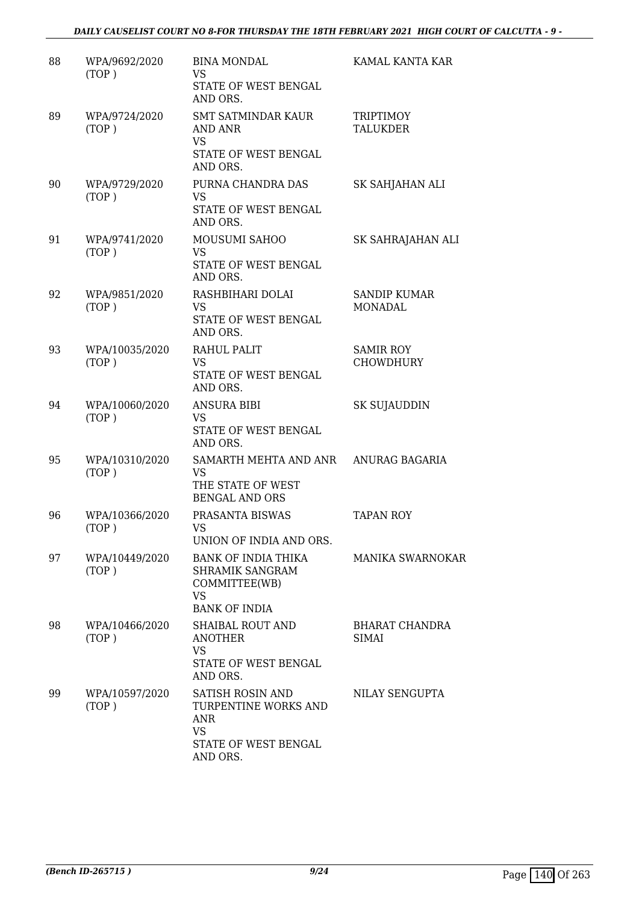# *DAILY CAUSELIST COURT NO 8-FOR THURSDAY THE 18TH FEBRUARY 2021 HIGH COURT OF CALCUTTA - 9 -*

| 88 | WPA/9692/2020<br>(TOP)  | <b>BINA MONDAL</b><br>VS.<br>STATE OF WEST BENGAL<br>AND ORS.                                           | KAMAL KANTA KAR                      |
|----|-------------------------|---------------------------------------------------------------------------------------------------------|--------------------------------------|
| 89 | WPA/9724/2020<br>(TOP)  | <b>SMT SATMINDAR KAUR</b><br><b>AND ANR</b><br><b>VS</b><br>STATE OF WEST BENGAL<br>AND ORS.            | <b>TRIPTIMOY</b><br><b>TALUKDER</b>  |
| 90 | WPA/9729/2020<br>(TOP)  | PURNA CHANDRA DAS<br><b>VS</b><br>STATE OF WEST BENGAL<br>AND ORS.                                      | SK SAHJAHAN ALI                      |
| 91 | WPA/9741/2020<br>(TOP)  | MOUSUMI SAHOO<br><b>VS</b><br>STATE OF WEST BENGAL<br>AND ORS.                                          | SK SAHRAJAHAN ALI                    |
| 92 | WPA/9851/2020<br>(TOP)  | RASHBIHARI DOLAI<br>VS.<br>STATE OF WEST BENGAL<br>AND ORS.                                             | <b>SANDIP KUMAR</b><br>MONADAL       |
| 93 | WPA/10035/2020<br>(TOP) | RAHUL PALIT<br><b>VS</b><br>STATE OF WEST BENGAL<br>AND ORS.                                            | <b>SAMIR ROY</b><br><b>CHOWDHURY</b> |
| 94 | WPA/10060/2020<br>(TOP) | <b>ANSURA BIBI</b><br><b>VS</b><br>STATE OF WEST BENGAL<br>AND ORS.                                     | <b>SK SUJAUDDIN</b>                  |
| 95 | WPA/10310/2020<br>(TOP) | SAMARTH MEHTA AND ANR<br><b>VS</b><br>THE STATE OF WEST<br><b>BENGAL AND ORS</b>                        | ANURAG BAGARIA                       |
| 96 | WPA/10366/2020<br>(TOP) | PRASANTA BISWAS<br>VS<br>UNION OF INDIA AND ORS.                                                        | <b>TAPAN ROY</b>                     |
| 97 | WPA/10449/2020<br>(TOP) | BANK OF INDIA THIKA<br>SHRAMIK SANGRAM<br>COMMITTEE(WB)<br>VS<br><b>BANK OF INDIA</b>                   | <b>MANIKA SWARNOKAR</b>              |
| 98 | WPA/10466/2020<br>(TOP) | SHAIBAL ROUT AND<br><b>ANOTHER</b><br>VS<br>STATE OF WEST BENGAL<br>AND ORS.                            | BHARAT CHANDRA<br><b>SIMAI</b>       |
| 99 | WPA/10597/2020<br>(TOP) | SATISH ROSIN AND<br>TURPENTINE WORKS AND<br><b>ANR</b><br><b>VS</b><br>STATE OF WEST BENGAL<br>AND ORS. | NILAY SENGUPTA                       |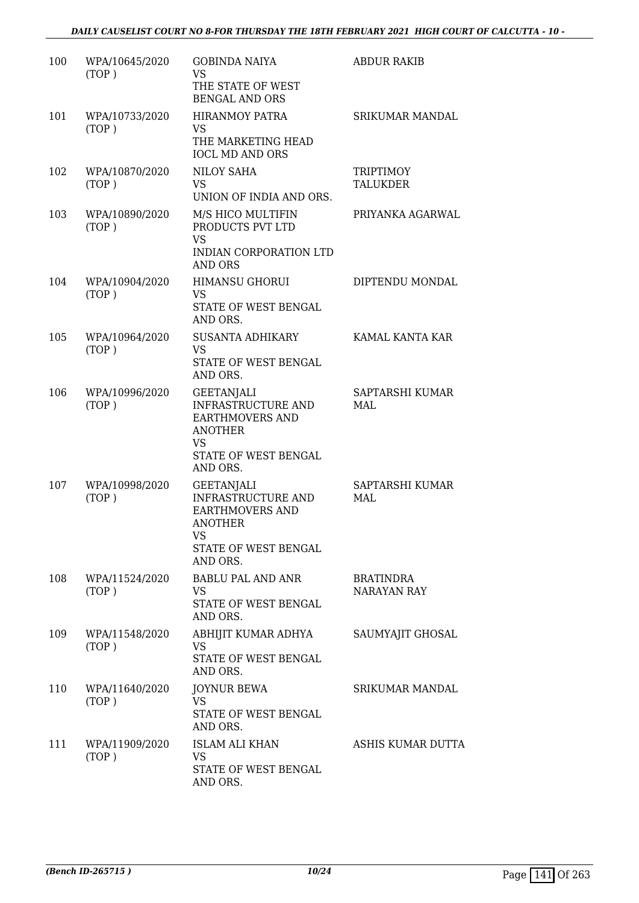| 100 | WPA/10645/2020<br>(TOP) | <b>GOBINDA NAIYA</b><br><b>VS</b><br>THE STATE OF WEST<br><b>BENGAL AND ORS</b>                                                      | <b>ABDUR RAKIB</b>              |
|-----|-------------------------|--------------------------------------------------------------------------------------------------------------------------------------|---------------------------------|
| 101 | WPA/10733/2020<br>(TOP) | <b>HIRANMOY PATRA</b><br>VS<br>THE MARKETING HEAD<br><b>IOCL MD AND ORS</b>                                                          | <b>SRIKUMAR MANDAL</b>          |
| 102 | WPA/10870/2020<br>(TOP) | <b>NILOY SAHA</b><br><b>VS</b><br>UNION OF INDIA AND ORS.                                                                            | <b>TRIPTIMOY</b><br>TALUKDER    |
| 103 | WPA/10890/2020<br>(TOP) | M/S HICO MULTIFIN<br>PRODUCTS PVT LTD<br><b>VS</b><br>INDIAN CORPORATION LTD<br><b>AND ORS</b>                                       | PRIYANKA AGARWAL                |
| 104 | WPA/10904/2020<br>(TOP) | <b>HIMANSU GHORUI</b><br>VS<br>STATE OF WEST BENGAL<br>AND ORS.                                                                      | DIPTENDU MONDAL                 |
| 105 | WPA/10964/2020<br>(TOP) | SUSANTA ADHIKARY<br><b>VS</b><br>STATE OF WEST BENGAL<br>AND ORS.                                                                    | KAMAL KANTA KAR                 |
| 106 | WPA/10996/2020<br>(TOP) | GEETANJALI<br><b>INFRASTRUCTURE AND</b><br><b>EARTHMOVERS AND</b><br><b>ANOTHER</b><br><b>VS</b><br>STATE OF WEST BENGAL<br>AND ORS. | SAPTARSHI KUMAR<br>MAL          |
| 107 | WPA/10998/2020<br>(TOP) | <b>GEETANJALI</b><br><b>INFRASTRUCTURE AND</b><br><b>EARTHMOVERS AND</b><br><b>ANOTHER</b><br>VS<br>STATE OF WEST BENGAL<br>AND ORS. | SAPTARSHI KUMAR<br>MAL          |
| 108 | WPA/11524/2020<br>(TOP) | <b>BABLU PAL AND ANR</b><br><b>VS</b><br>STATE OF WEST BENGAL<br>AND ORS.                                                            | <b>BRATINDRA</b><br>NARAYAN RAY |
| 109 | WPA/11548/2020<br>(TOP) | ABHIJIT KUMAR ADHYA<br>VS.<br>STATE OF WEST BENGAL<br>AND ORS.                                                                       | SAUMYAJIT GHOSAL                |
| 110 | WPA/11640/2020<br>(TOP) | <b>JOYNUR BEWA</b><br>VS<br>STATE OF WEST BENGAL<br>AND ORS.                                                                         | <b>SRIKUMAR MANDAL</b>          |
| 111 | WPA/11909/2020<br>(TOP) | <b>ISLAM ALI KHAN</b><br><b>VS</b><br>STATE OF WEST BENGAL<br>AND ORS.                                                               | ASHIS KUMAR DUTTA               |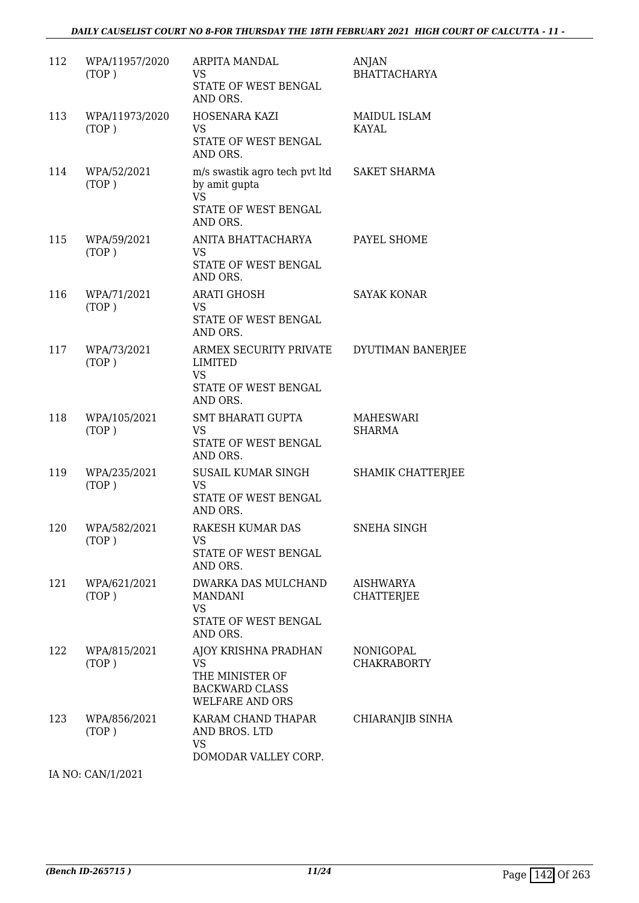| 112 | WPA/11957/2020<br>(TOP) | ARPITA MANDAL<br>VS<br>STATE OF WEST BENGAL<br>AND ORS.                                                 | ANJAN<br>BHATTACHARYA             |
|-----|-------------------------|---------------------------------------------------------------------------------------------------------|-----------------------------------|
| 113 | WPA/11973/2020<br>(TOP) | HOSENARA KAZI<br><b>VS</b><br>STATE OF WEST BENGAL<br>AND ORS.                                          | <b>MAIDUL ISLAM</b><br>KAYAL      |
| 114 | WPA/52/2021<br>(TOP)    | m/s swastik agro tech pvt ltd SAKET SHARMA<br>by amit gupta<br><b>VS</b><br>STATE OF WEST BENGAL        |                                   |
| 115 | WPA/59/2021<br>(TOP)    | AND ORS.<br>ANITA BHATTACHARYA<br>VS<br>STATE OF WEST BENGAL<br>AND ORS.                                | PAYEL SHOME                       |
| 116 | WPA/71/2021<br>(TOP)    | <b>ARATI GHOSH</b><br><b>VS</b><br>STATE OF WEST BENGAL<br>AND ORS.                                     | <b>SAYAK KONAR</b>                |
| 117 | WPA/73/2021<br>(TOP)    | ARMEX SECURITY PRIVATE<br>LIMITED<br><b>VS</b><br>STATE OF WEST BENGAL<br>AND ORS.                      | DYUTIMAN BANERJEE                 |
| 118 | WPA/105/2021<br>(TOP)   | <b>SMT BHARATI GUPTA</b><br>VS<br>STATE OF WEST BENGAL<br>AND ORS.                                      | <b>MAHESWARI</b><br><b>SHARMA</b> |
| 119 | WPA/235/2021<br>(TOP)   | SUSAIL KUMAR SINGH<br><b>VS</b><br>STATE OF WEST BENGAL<br>AND ORS.                                     | SHAMIK CHATTERJEE                 |
| 120 | WPA/582/2021<br>(TOP)   | RAKESH KUMAR DAS<br>VS<br>STATE OF WEST BENGAL<br>AND ORS.                                              | <b>SNEHA SINGH</b>                |
| 121 | WPA/621/2021<br>(TOP)   | DWARKA DAS MULCHAND<br><b>MANDANI</b><br><b>VS</b><br>STATE OF WEST BENGAL<br>AND ORS.                  | AISHWARYA<br><b>CHATTERJEE</b>    |
| 122 | WPA/815/2021<br>(TOP)   | AJOY KRISHNA PRADHAN<br><b>VS</b><br>THE MINISTER OF<br><b>BACKWARD CLASS</b><br><b>WELFARE AND ORS</b> | NONIGOPAL<br><b>CHAKRABORTY</b>   |
| 123 | WPA/856/2021<br>(TOP)   | KARAM CHAND THAPAR<br>AND BROS. LTD<br>VS<br>DOMODAR VALLEY CORP.                                       | CHIARANJIB SINHA                  |

IA NO: CAN/1/2021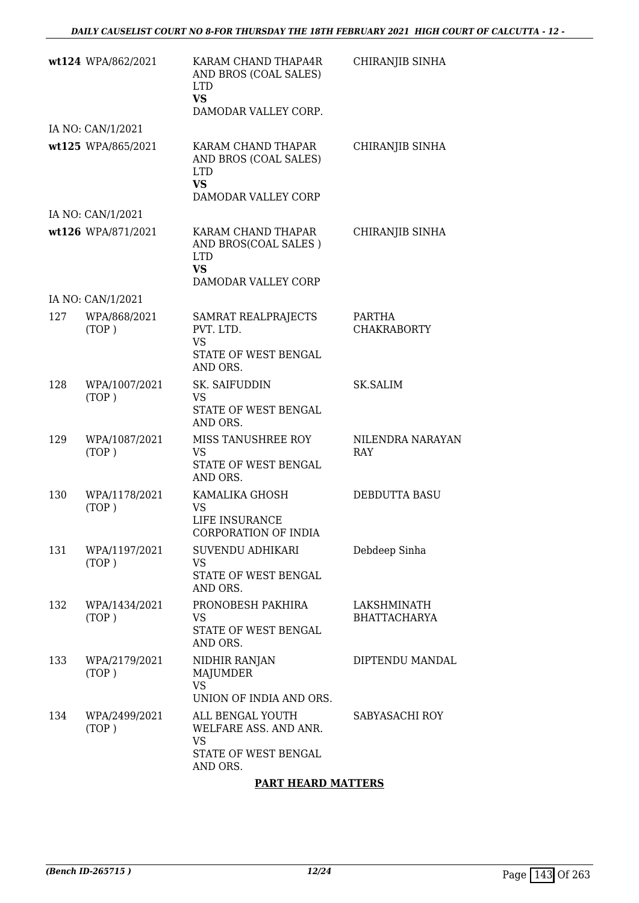|     | wt124 WPA/862/2021     | KARAM CHAND THAPA4R<br>AND BROS (COAL SALES)<br><b>LTD</b><br><b>VS</b><br>DAMODAR VALLEY CORP. | CHIRANJIB SINHA                    |
|-----|------------------------|-------------------------------------------------------------------------------------------------|------------------------------------|
|     | IA NO: CAN/1/2021      |                                                                                                 |                                    |
|     | wt125 WPA/865/2021     | KARAM CHAND THAPAR<br>AND BROS (COAL SALES)<br><b>LTD</b><br><b>VS</b><br>DAMODAR VALLEY CORP   | CHIRANJIB SINHA                    |
|     | IA NO: CAN/1/2021      |                                                                                                 |                                    |
|     | wt126 WPA/871/2021     | KARAM CHAND THAPAR<br>AND BROS(COAL SALES)<br><b>LTD</b><br><b>VS</b><br>DAMODAR VALLEY CORP    | CHIRANJIB SINHA                    |
|     | IA NO: CAN/1/2021      |                                                                                                 |                                    |
| 127 | WPA/868/2021<br>(TOP)  | SAMRAT REALPRAJECTS<br>PVT. LTD.<br>VS.<br>STATE OF WEST BENGAL<br>AND ORS.                     | PARTHA<br><b>CHAKRABORTY</b>       |
| 128 | WPA/1007/2021<br>(TOP) | SK. SAIFUDDIN<br><b>VS</b><br>STATE OF WEST BENGAL<br>AND ORS.                                  | <b>SK.SALIM</b>                    |
| 129 | WPA/1087/2021<br>(TOP) | MISS TANUSHREE ROY<br><b>VS</b><br>STATE OF WEST BENGAL<br>AND ORS.                             | NILENDRA NARAYAN<br><b>RAY</b>     |
| 130 | WPA/1178/2021<br>(TOP) | KAMALIKA GHOSH<br>VS.<br>LIFE INSURANCE<br><b>CORPORATION OF INDIA</b>                          | DEBDUTTA BASU                      |
| 131 | WPA/1197/2021<br>(TOP) | SUVENDU ADHIKARI<br>VS<br>STATE OF WEST BENGAL<br>AND ORS.                                      | Debdeep Sinha                      |
| 132 | WPA/1434/2021<br>(TOP) | PRONOBESH PAKHIRA<br>VS.<br>STATE OF WEST BENGAL<br>AND ORS.                                    | LAKSHMINATH<br><b>BHATTACHARYA</b> |
| 133 | WPA/2179/2021<br>(TOP) | NIDHIR RANJAN<br>MAJUMDER<br><b>VS</b><br>UNION OF INDIA AND ORS.                               | DIPTENDU MANDAL                    |
| 134 | WPA/2499/2021<br>(TOP) | ALL BENGAL YOUTH<br>WELFARE ASS. AND ANR.<br>VS<br>STATE OF WEST BENGAL<br>AND ORS.             | SABYASACHI ROY                     |

## **PART HEARD MATTERS**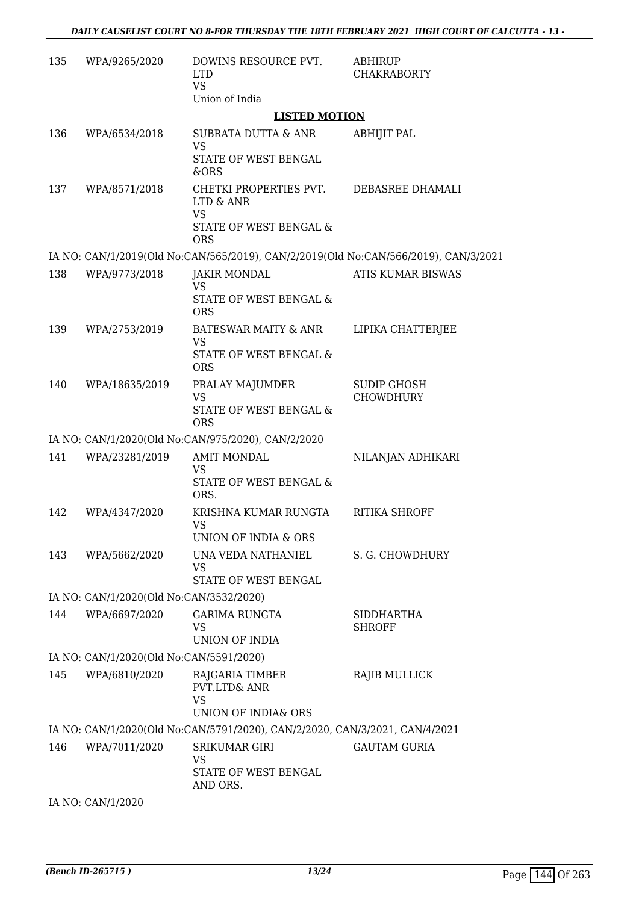| 135 | WPA/9265/2020                           | DOWINS RESOURCE PVT.<br><b>LTD</b><br><b>VS</b>                                     | <b>ABHIRUP</b><br><b>CHAKRABORTY</b>   |
|-----|-----------------------------------------|-------------------------------------------------------------------------------------|----------------------------------------|
|     |                                         | Union of India<br><b>LISTED MOTION</b>                                              |                                        |
| 136 | WPA/6534/2018                           | SUBRATA DUTTA & ANR                                                                 | <b>ABHIJIT PAL</b>                     |
|     |                                         | VS<br>STATE OF WEST BENGAL                                                          |                                        |
|     |                                         | &ORS                                                                                |                                        |
| 137 | WPA/8571/2018                           | CHETKI PROPERTIES PVT. DEBASREE DHAMALI<br>LTD & ANR<br><b>VS</b>                   |                                        |
|     |                                         | STATE OF WEST BENGAL &<br><b>ORS</b>                                                |                                        |
|     |                                         | IA NO: CAN/1/2019(Old No:CAN/565/2019), CAN/2/2019(Old No:CAN/566/2019), CAN/3/2021 |                                        |
| 138 | WPA/9773/2018                           | <b>JAKIR MONDAL</b><br><b>VS</b>                                                    | <b>ATIS KUMAR BISWAS</b>               |
|     |                                         | STATE OF WEST BENGAL &<br><b>ORS</b>                                                |                                        |
| 139 | WPA/2753/2019                           | BATESWAR MAITY & ANR                                                                | LIPIKA CHATTERJEE                      |
|     |                                         | <b>VS</b><br>STATE OF WEST BENGAL &<br><b>ORS</b>                                   |                                        |
| 140 | WPA/18635/2019                          | PRALAY MAJUMDER<br><b>VS</b>                                                        | <b>SUDIP GHOSH</b><br><b>CHOWDHURY</b> |
|     |                                         | STATE OF WEST BENGAL &<br><b>ORS</b>                                                |                                        |
|     |                                         | IA NO: CAN/1/2020(Old No:CAN/975/2020), CAN/2/2020                                  |                                        |
| 141 | WPA/23281/2019                          | <b>AMIT MONDAL</b><br><b>VS</b><br>STATE OF WEST BENGAL &                           | NILANJAN ADHIKARI                      |
|     |                                         | ORS.                                                                                |                                        |
| 142 | WPA/4347/2020                           | KRISHNA KUMAR RUNGTA<br>VS                                                          | <b>RITIKA SHROFF</b>                   |
|     |                                         | <b>UNION OF INDIA &amp; ORS</b>                                                     |                                        |
| 143 | WPA/5662/2020                           | UNA VEDA NATHANIEL<br>VS<br>STATE OF WEST BENGAL                                    | S. G. CHOWDHURY                        |
|     | IA NO: CAN/1/2020(Old No:CAN/3532/2020) |                                                                                     |                                        |
| 144 | WPA/6697/2020                           | <b>GARIMA RUNGTA</b>                                                                | <b>SIDDHARTHA</b>                      |
|     |                                         | VS<br>UNION OF INDIA                                                                | <b>SHROFF</b>                          |
|     | IA NO: CAN/1/2020(Old No:CAN/5591/2020) |                                                                                     |                                        |
| 145 | WPA/6810/2020                           | RAJGARIA TIMBER                                                                     | RAJIB MULLICK                          |
|     |                                         | PVT.LTD& ANR<br><b>VS</b>                                                           |                                        |
|     |                                         | UNION OF INDIA& ORS                                                                 |                                        |
|     |                                         | IA NO: CAN/1/2020(Old No:CAN/5791/2020), CAN/2/2020, CAN/3/2021, CAN/4/2021         |                                        |
| 146 | WPA/7011/2020                           | SRIKUMAR GIRI<br><b>VS</b>                                                          | <b>GAUTAM GURIA</b>                    |
|     |                                         | STATE OF WEST BENGAL<br>AND ORS.                                                    |                                        |
|     | IA NO: CAN/1/2020                       |                                                                                     |                                        |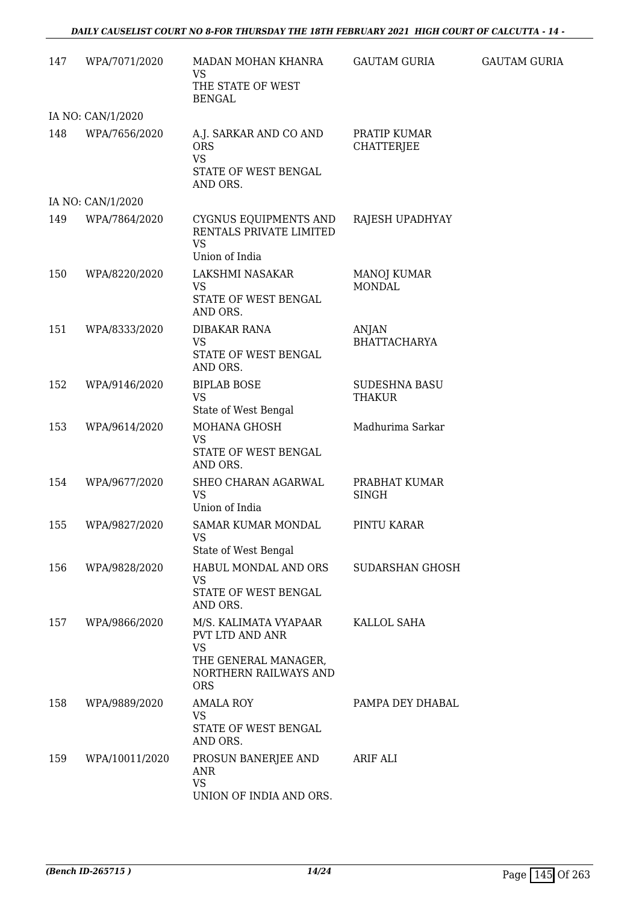| 147 | WPA/7071/2020     | MADAN MOHAN KHANRA<br>VS<br>THE STATE OF WEST<br><b>BENGAL</b>                                                       | <b>GAUTAM GURIA</b>                   | <b>GAUTAM GURIA</b> |
|-----|-------------------|----------------------------------------------------------------------------------------------------------------------|---------------------------------------|---------------------|
|     | IA NO: CAN/1/2020 |                                                                                                                      |                                       |                     |
| 148 | WPA/7656/2020     | A.J. SARKAR AND CO AND<br><b>ORS</b><br><b>VS</b><br>STATE OF WEST BENGAL<br>AND ORS.                                | PRATIP KUMAR<br><b>CHATTERJEE</b>     |                     |
|     | IA NO: CAN/1/2020 |                                                                                                                      |                                       |                     |
| 149 | WPA/7864/2020     | CYGNUS EQUIPMENTS AND<br>RENTALS PRIVATE LIMITED<br><b>VS</b><br>Union of India                                      | RAJESH UPADHYAY                       |                     |
| 150 | WPA/8220/2020     | LAKSHMI NASAKAR<br><b>VS</b><br>STATE OF WEST BENGAL<br>AND ORS.                                                     | <b>MANOJ KUMAR</b><br><b>MONDAL</b>   |                     |
| 151 | WPA/8333/2020     | <b>DIBAKAR RANA</b><br><b>VS</b><br>STATE OF WEST BENGAL<br>AND ORS.                                                 | <b>ANJAN</b><br><b>BHATTACHARYA</b>   |                     |
| 152 | WPA/9146/2020     | <b>BIPLAB BOSE</b><br><b>VS</b><br>State of West Bengal                                                              | <b>SUDESHNA BASU</b><br><b>THAKUR</b> |                     |
| 153 | WPA/9614/2020     | MOHANA GHOSH<br><b>VS</b><br>STATE OF WEST BENGAL<br>AND ORS.                                                        | Madhurima Sarkar                      |                     |
| 154 | WPA/9677/2020     | SHEO CHARAN AGARWAL<br><b>VS</b><br>Union of India                                                                   | PRABHAT KUMAR<br><b>SINGH</b>         |                     |
| 155 | WPA/9827/2020     | <b>SAMAR KUMAR MONDAL</b><br><b>VS</b><br>State of West Bengal                                                       | PINTU KARAR                           |                     |
| 156 | WPA/9828/2020     | HABUL MONDAL AND ORS<br><b>VS</b><br>STATE OF WEST BENGAL<br>AND ORS.                                                | SUDARSHAN GHOSH                       |                     |
| 157 | WPA/9866/2020     | M/S. KALIMATA VYAPAAR<br>PVT LTD AND ANR<br><b>VS</b><br>THE GENERAL MANAGER,<br>NORTHERN RAILWAYS AND<br><b>ORS</b> | KALLOL SAHA                           |                     |
| 158 | WPA/9889/2020     | <b>AMALA ROY</b><br><b>VS</b><br>STATE OF WEST BENGAL<br>AND ORS.                                                    | PAMPA DEY DHABAL                      |                     |
| 159 | WPA/10011/2020    | PROSUN BANERJEE AND<br>ANR<br><b>VS</b><br>UNION OF INDIA AND ORS.                                                   | <b>ARIF ALI</b>                       |                     |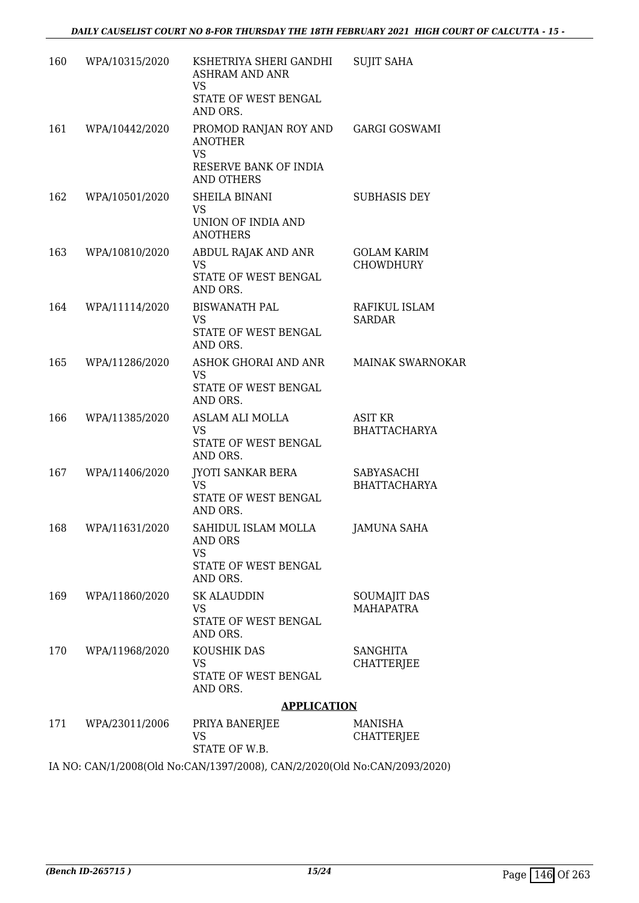| 160 | WPA/10315/2020     | KSHETRIYA SHERI GANDHI<br><b>ASHRAM AND ANR</b><br>VS                                              | <b>SUJIT SAHA</b>                       |
|-----|--------------------|----------------------------------------------------------------------------------------------------|-----------------------------------------|
|     |                    | STATE OF WEST BENGAL<br>AND ORS.                                                                   |                                         |
| 161 | WPA/10442/2020     | PROMOD RANJAN ROY AND<br><b>ANOTHER</b><br><b>VS</b><br>RESERVE BANK OF INDIA<br><b>AND OTHERS</b> | <b>GARGI GOSWAMI</b>                    |
| 162 | WPA/10501/2020     | SHEILA BINANI<br><b>VS</b><br>UNION OF INDIA AND<br><b>ANOTHERS</b>                                | <b>SUBHASIS DEY</b>                     |
| 163 | WPA/10810/2020     | ABDUL RAJAK AND ANR<br><b>VS</b><br>STATE OF WEST BENGAL<br>AND ORS.                               | <b>GOLAM KARIM</b><br><b>CHOWDHURY</b>  |
| 164 | WPA/11114/2020     | <b>BISWANATH PAL</b><br><b>VS</b><br>STATE OF WEST BENGAL<br>AND ORS.                              | RAFIKUL ISLAM<br><b>SARDAR</b>          |
| 165 | WPA/11286/2020     | ASHOK GHORAI AND ANR<br><b>VS</b><br>STATE OF WEST BENGAL<br>AND ORS.                              | MAINAK SWARNOKAR                        |
| 166 | WPA/11385/2020     | ASLAM ALI MOLLA<br><b>VS</b><br>STATE OF WEST BENGAL<br>AND ORS.                                   | <b>ASIT KR</b><br><b>BHATTACHARYA</b>   |
| 167 | WPA/11406/2020     | <b>JYOTI SANKAR BERA</b><br>VS.<br>STATE OF WEST BENGAL<br>AND ORS.                                | SABYASACHI<br><b>BHATTACHARYA</b>       |
| 168 | WPA/11631/2020     | SAHIDUL ISLAM MOLLA<br>AND ORS<br><b>VS</b><br>STATE OF WEST BENGAL<br>AND ORS.                    | <b>JAMUNA SAHA</b>                      |
| 169 | WPA/11860/2020     | <b>SK ALAUDDIN</b><br>VS<br>STATE OF WEST BENGAL<br>AND ORS.                                       | <b>SOUMAJIT DAS</b><br><b>MAHAPATRA</b> |
| 170 | WPA/11968/2020     | KOUSHIK DAS<br><b>VS</b><br>STATE OF WEST BENGAL<br>AND ORS.                                       | <b>SANGHITA</b><br><b>CHATTERJEE</b>    |
|     |                    | <b>APPLICATION</b>                                                                                 |                                         |
|     | 171 WPA/23011/2006 | PRIYA BANERJEE<br><b>VS</b><br>STATE OF W.B.                                                       | MANISHA<br><b>CHATTERJEE</b>            |

IA NO: CAN/1/2008(Old No:CAN/1397/2008), CAN/2/2020(Old No:CAN/2093/2020)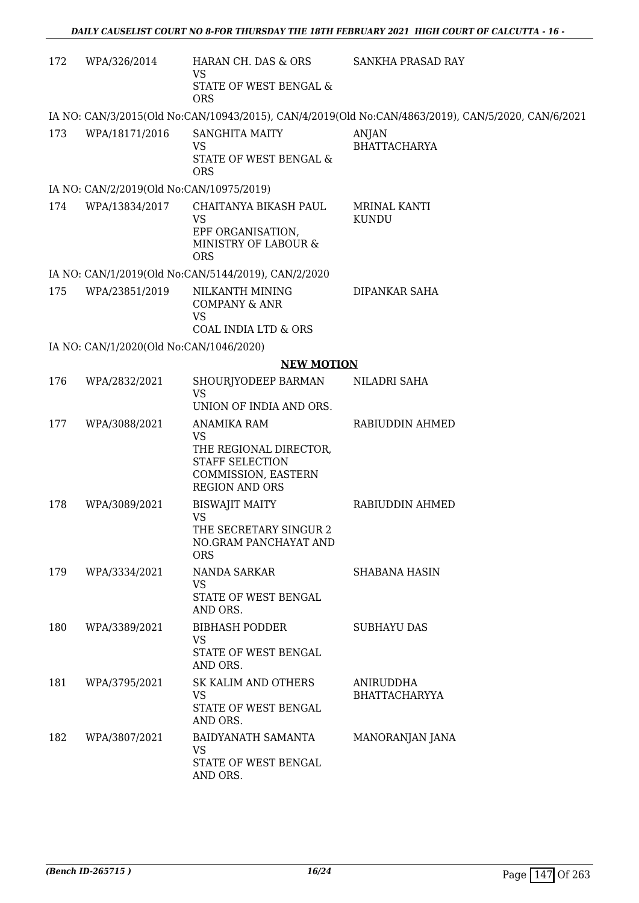| 172 | WPA/326/2014                             | HARAN CH. DAS & ORS<br>VS.                                                                                                   | SANKHA PRASAD RAY                                                                                  |
|-----|------------------------------------------|------------------------------------------------------------------------------------------------------------------------------|----------------------------------------------------------------------------------------------------|
|     |                                          | STATE OF WEST BENGAL &<br><b>ORS</b>                                                                                         |                                                                                                    |
|     |                                          |                                                                                                                              | IA NO: CAN/3/2015(Old No:CAN/10943/2015), CAN/4/2019(Old No:CAN/4863/2019), CAN/5/2020, CAN/6/2021 |
| 173 | WPA/18171/2016                           | <b>SANGHITA MAITY</b><br><b>VS</b><br>STATE OF WEST BENGAL &<br><b>ORS</b>                                                   | <b>ANJAN</b><br><b>BHATTACHARYA</b>                                                                |
|     | IA NO: CAN/2/2019(Old No:CAN/10975/2019) |                                                                                                                              |                                                                                                    |
| 174 | WPA/13834/2017                           | CHAITANYA BIKASH PAUL<br><b>VS</b><br>EPF ORGANISATION,<br>MINISTRY OF LABOUR &<br><b>ORS</b>                                | <b>MRINAL KANTI</b><br><b>KUNDU</b>                                                                |
|     |                                          | IA NO: CAN/1/2019(Old No:CAN/5144/2019), CAN/2/2020                                                                          |                                                                                                    |
| 175 | WPA/23851/2019                           | NILKANTH MINING<br><b>COMPANY &amp; ANR</b><br><b>VS</b><br>COAL INDIA LTD & ORS                                             | <b>DIPANKAR SAHA</b>                                                                               |
|     | IA NO: CAN/1/2020(Old No:CAN/1046/2020)  |                                                                                                                              |                                                                                                    |
|     |                                          | <b>NEW MOTION</b>                                                                                                            |                                                                                                    |
| 176 | WPA/2832/2021                            | SHOURJYODEEP BARMAN<br>VS<br>UNION OF INDIA AND ORS.                                                                         | NILADRI SAHA                                                                                       |
| 177 | WPA/3088/2021                            | ANAMIKA RAM<br><b>VS</b><br>THE REGIONAL DIRECTOR,<br><b>STAFF SELECTION</b><br>COMMISSION, EASTERN<br><b>REGION AND ORS</b> | RABIUDDIN AHMED                                                                                    |
| 178 | WPA/3089/2021                            | <b>BISWAJIT MAITY</b><br><b>VS</b><br>THE SECRETARY SINGUR 2<br>NO.GRAM PANCHAYAT AND<br><b>ORS</b>                          | RABIUDDIN AHMED                                                                                    |
| 179 | WPA/3334/2021                            | NANDA SARKAR<br>VS<br>STATE OF WEST BENGAL<br>AND ORS.                                                                       | <b>SHABANA HASIN</b>                                                                               |
| 180 | WPA/3389/2021                            | <b>BIBHASH PODDER</b><br><b>VS</b><br>STATE OF WEST BENGAL<br>AND ORS.                                                       | <b>SUBHAYU DAS</b>                                                                                 |
| 181 | WPA/3795/2021                            | SK KALIM AND OTHERS<br>VS<br>STATE OF WEST BENGAL<br>AND ORS.                                                                | ANIRUDDHA<br><b>BHATTACHARYYA</b>                                                                  |
| 182 | WPA/3807/2021                            | BAIDYANATH SAMANTA<br><b>VS</b><br>STATE OF WEST BENGAL<br>AND ORS.                                                          | MANORANJAN JANA                                                                                    |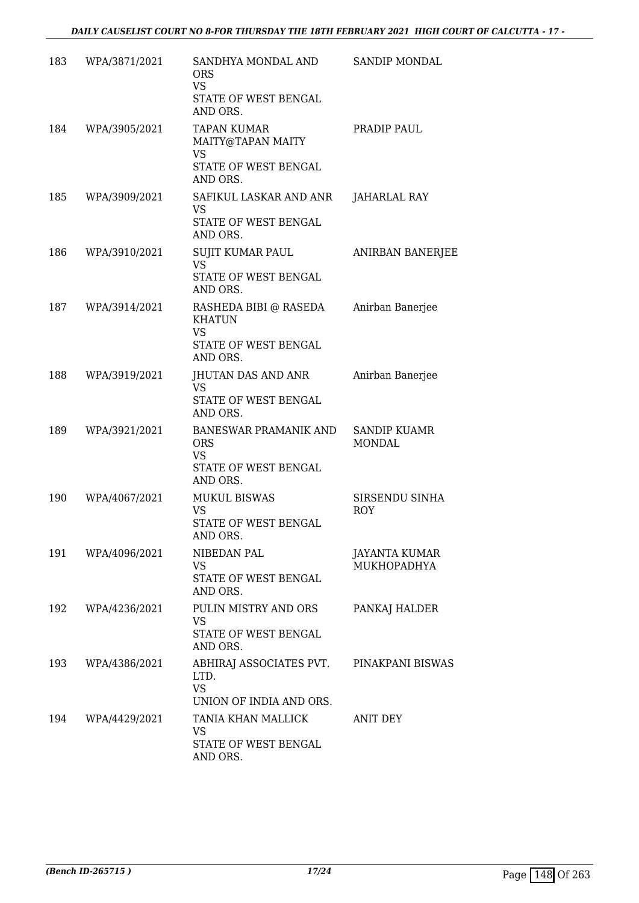| 183 | WPA/3871/2021 | SANDHYA MONDAL AND<br><b>ORS</b><br><b>VS</b><br>STATE OF WEST BENGAL<br>AND ORS.       | <b>SANDIP MONDAL</b>                 |
|-----|---------------|-----------------------------------------------------------------------------------------|--------------------------------------|
| 184 | WPA/3905/2021 | <b>TAPAN KUMAR</b><br>MAITY@TAPAN MAITY<br><b>VS</b><br>STATE OF WEST BENGAL            | PRADIP PAUL                          |
| 185 | WPA/3909/2021 | AND ORS.<br>SAFIKUL LASKAR AND ANR<br><b>VS</b><br>STATE OF WEST BENGAL<br>AND ORS.     | JAHARLAL RAY                         |
| 186 | WPA/3910/2021 | SUJIT KUMAR PAUL<br><b>VS</b><br>STATE OF WEST BENGAL<br>AND ORS.                       | ANIRBAN BANERJEE                     |
| 187 | WPA/3914/2021 | RASHEDA BIBI @ RASEDA<br><b>KHATUN</b><br><b>VS</b><br>STATE OF WEST BENGAL<br>AND ORS. | Anirban Banerjee                     |
| 188 | WPA/3919/2021 | JHUTAN DAS AND ANR<br><b>VS</b><br>STATE OF WEST BENGAL<br>AND ORS.                     | Anirban Banerjee                     |
| 189 | WPA/3921/2021 | BANESWAR PRAMANIK AND<br><b>ORS</b><br><b>VS</b><br>STATE OF WEST BENGAL<br>AND ORS.    | <b>SANDIP KUAMR</b><br><b>MONDAL</b> |
| 190 | WPA/4067/2021 | <b>MUKUL BISWAS</b><br>VS<br>STATE OF WEST BENGAL<br>AND ORS.                           | SIRSENDU SINHA<br><b>ROY</b>         |
| 191 | WPA/4096/2021 | NIBEDAN PAL<br>VS<br>STATE OF WEST BENGAL<br>AND ORS.                                   | JAYANTA KUMAR<br><b>MUKHOPADHYA</b>  |
| 192 | WPA/4236/2021 | PULIN MISTRY AND ORS<br><b>VS</b><br>STATE OF WEST BENGAL<br>AND ORS.                   | PANKAJ HALDER                        |
| 193 | WPA/4386/2021 | ABHIRAJ ASSOCIATES PVT.<br>LTD.<br><b>VS</b><br>UNION OF INDIA AND ORS.                 | PINAKPANI BISWAS                     |
| 194 | WPA/4429/2021 | TANIA KHAN MALLICK<br>VS<br>STATE OF WEST BENGAL<br>AND ORS.                            | ANIT DEY                             |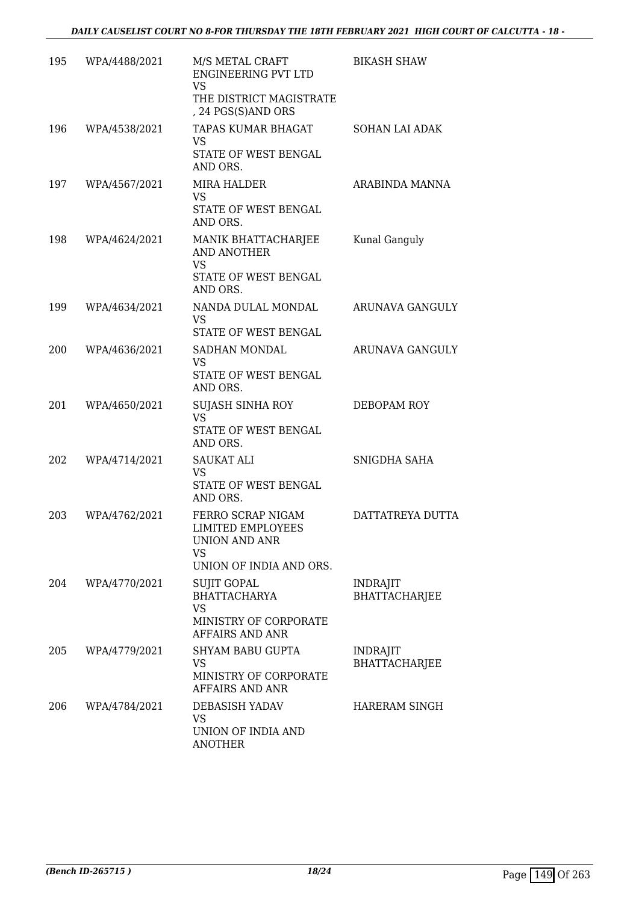| 195 | WPA/4488/2021 | M/S METAL CRAFT<br><b>ENGINEERING PVT LTD</b><br><b>VS</b><br>THE DISTRICT MAGISTRATE<br>, 24 PGS(S)AND ORS | <b>BIKASH SHAW</b>                      |
|-----|---------------|-------------------------------------------------------------------------------------------------------------|-----------------------------------------|
| 196 | WPA/4538/2021 | TAPAS KUMAR BHAGAT<br><b>VS</b><br>STATE OF WEST BENGAL<br>AND ORS.                                         | <b>SOHAN LAI ADAK</b>                   |
| 197 | WPA/4567/2021 | <b>MIRA HALDER</b><br><b>VS</b><br>STATE OF WEST BENGAL<br>AND ORS.                                         | ARABINDA MANNA                          |
| 198 | WPA/4624/2021 | MANIK BHATTACHARJEE<br>AND ANOTHER<br><b>VS</b><br>STATE OF WEST BENGAL<br>AND ORS.                         | Kunal Ganguly                           |
| 199 | WPA/4634/2021 | NANDA DULAL MONDAL<br><b>VS</b><br>STATE OF WEST BENGAL                                                     | <b>ARUNAVA GANGULY</b>                  |
| 200 | WPA/4636/2021 | SADHAN MONDAL<br><b>VS</b><br>STATE OF WEST BENGAL<br>AND ORS.                                              | ARUNAVA GANGULY                         |
| 201 | WPA/4650/2021 | <b>SUJASH SINHA ROY</b><br><b>VS</b><br>STATE OF WEST BENGAL<br>AND ORS.                                    | DEBOPAM ROY                             |
| 202 | WPA/4714/2021 | <b>SAUKAT ALI</b><br>VS<br>STATE OF WEST BENGAL<br>AND ORS.                                                 | SNIGDHA SAHA                            |
| 203 | WPA/4762/2021 | FERRO SCRAP NIGAM<br>LIMITED EMPLOYEES<br>UNION AND ANR<br>VS<br>UNION OF INDIA AND ORS.                    | DATTATREYA DUTTA                        |
| 204 | WPA/4770/2021 | <b>SUJIT GOPAL</b><br><b>BHATTACHARYA</b><br><b>VS</b><br>MINISTRY OF CORPORATE<br>AFFAIRS AND ANR          | <b>INDRAJIT</b><br><b>BHATTACHARJEE</b> |
| 205 | WPA/4779/2021 | <b>SHYAM BABU GUPTA</b><br>VS<br>MINISTRY OF CORPORATE<br>AFFAIRS AND ANR                                   | <b>INDRAJIT</b><br><b>BHATTACHARJEE</b> |
| 206 | WPA/4784/2021 | DEBASISH YADAV<br>VS<br>UNION OF INDIA AND<br><b>ANOTHER</b>                                                | HARERAM SINGH                           |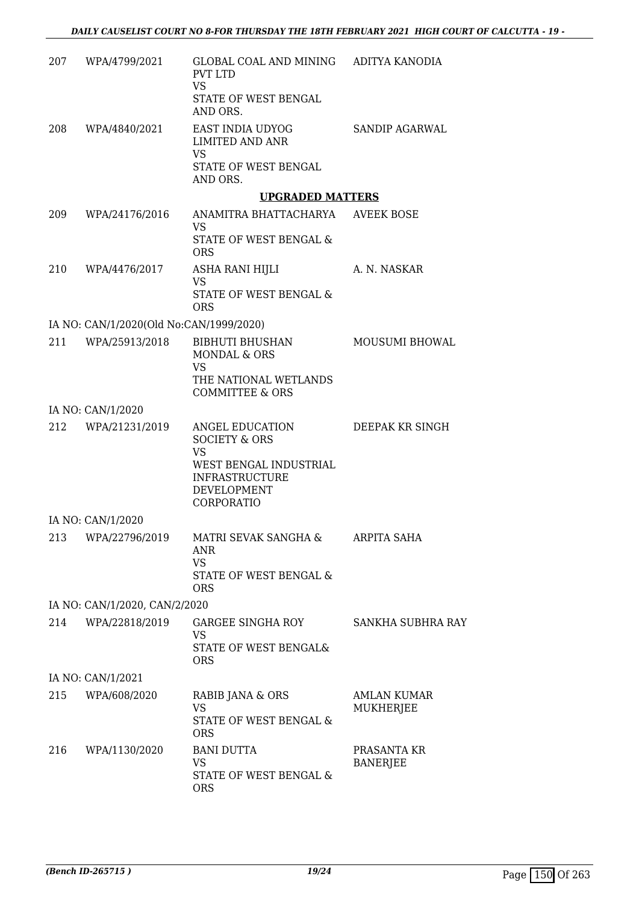|     | 207 WPA/4799/2021                       | GLOBAL COAL AND MINING ADITYA KANODIA<br><b>PVT LTD</b><br><b>VS</b><br>STATE OF WEST BENGAL<br>AND ORS. |                                |
|-----|-----------------------------------------|----------------------------------------------------------------------------------------------------------|--------------------------------|
| 208 | WPA/4840/2021                           | EAST INDIA UDYOG<br>LIMITED AND ANR<br>VS<br>STATE OF WEST BENGAL                                        | SANDIP AGARWAL                 |
|     |                                         | AND ORS.                                                                                                 |                                |
|     |                                         | <b>UPGRADED MATTERS</b>                                                                                  |                                |
| 209 | WPA/24176/2016                          | ANAMITRA BHATTACHARYA AVEEK BOSE<br><b>VS</b><br>STATE OF WEST BENGAL &<br><b>ORS</b>                    |                                |
|     | 210 WPA/4476/2017                       | ASHA RANI HIJLI<br>VS                                                                                    | A. N. NASKAR                   |
|     |                                         | STATE OF WEST BENGAL &<br><b>ORS</b>                                                                     |                                |
|     | IA NO: CAN/1/2020(Old No:CAN/1999/2020) |                                                                                                          |                                |
| 211 | WPA/25913/2018                          | <b>BIBHUTI BHUSHAN</b><br>MONDAL & ORS<br>VS<br>THE NATIONAL WETLANDS                                    | MOUSUMI BHOWAL                 |
|     | IA NO: CAN/1/2020                       | <b>COMMITTEE &amp; ORS</b>                                                                               |                                |
| 212 | WPA/21231/2019                          | ANGEL EDUCATION<br><b>SOCIETY &amp; ORS</b><br><b>VS</b>                                                 | DEEPAK KR SINGH                |
|     |                                         | WEST BENGAL INDUSTRIAL<br><b>INFRASTRUCTURE</b><br>DEVELOPMENT<br>CORPORATIO                             |                                |
|     | IA NO: CAN/1/2020                       |                                                                                                          |                                |
| 213 | WPA/22796/2019                          | MATRI SEVAK SANGHA &<br><b>ANR</b><br>VS                                                                 | ARPITA SAHA                    |
|     |                                         | <b>STATE OF WEST BENGAL &amp;</b><br><b>ORS</b>                                                          |                                |
|     | IA NO: CAN/1/2020, CAN/2/2020           |                                                                                                          |                                |
| 214 | WPA/22818/2019                          | GARGEE SINGHA ROY<br>VS<br>STATE OF WEST BENGAL&                                                         | SANKHA SUBHRA RAY              |
|     |                                         | <b>ORS</b>                                                                                               |                                |
|     | IA NO: CAN/1/2021                       |                                                                                                          |                                |
|     | 215 WPA/608/2020                        | RABIB JANA & ORS<br><b>VS</b><br>STATE OF WEST BENGAL &<br><b>ORS</b>                                    | AMLAN KUMAR<br>MUKHERJEE       |
| 216 | WPA/1130/2020                           | <b>BANI DUTTA</b><br>VS                                                                                  | PRASANTA KR<br><b>BANERJEE</b> |
|     |                                         | STATE OF WEST BENGAL &<br><b>ORS</b>                                                                     |                                |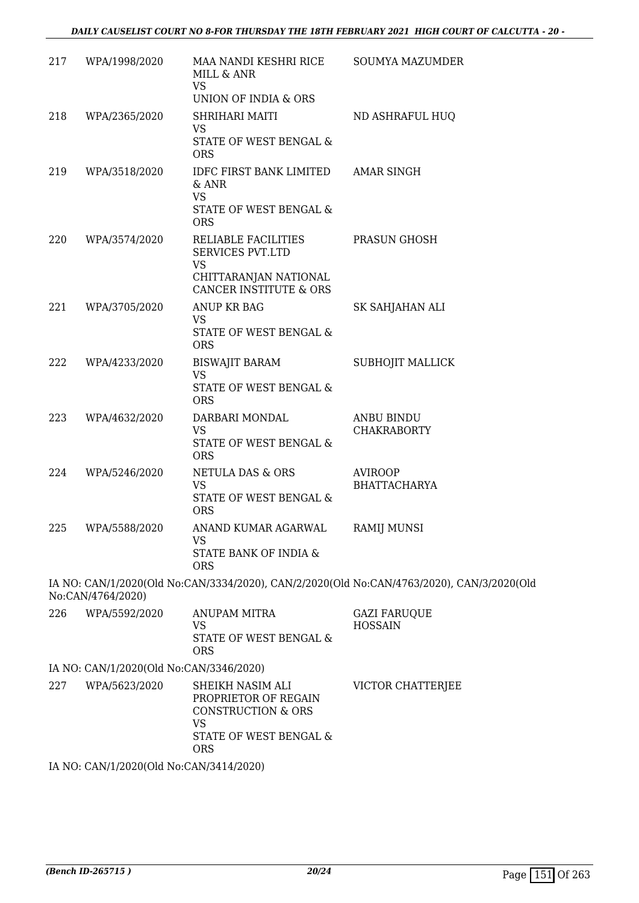| 217 | WPA/1998/2020                           | MAA NANDI KESHRI RICE<br>MILL & ANR<br><b>VS</b>               | <b>SOUMYA MAZUMDER</b>                                                                    |
|-----|-----------------------------------------|----------------------------------------------------------------|-------------------------------------------------------------------------------------------|
|     |                                         | UNION OF INDIA & ORS                                           |                                                                                           |
| 218 | WPA/2365/2020                           | SHRIHARI MAITI                                                 | ND ASHRAFUL HUQ                                                                           |
|     |                                         | <b>VS</b><br>STATE OF WEST BENGAL &<br><b>ORS</b>              |                                                                                           |
| 219 | WPA/3518/2020                           | IDFC FIRST BANK LIMITED AMAR SINGH<br>$&$ ANR<br><b>VS</b>     |                                                                                           |
|     |                                         | STATE OF WEST BENGAL &<br><b>ORS</b>                           |                                                                                           |
| 220 | WPA/3574/2020                           | RELIABLE FACILITIES<br><b>SERVICES PVT.LTD</b><br><b>VS</b>    | PRASUN GHOSH                                                                              |
|     |                                         | CHITTARANJAN NATIONAL<br><b>CANCER INSTITUTE &amp; ORS</b>     |                                                                                           |
| 221 | WPA/3705/2020                           | ANUP KR BAG                                                    | SK SAHJAHAN ALI                                                                           |
|     |                                         | <b>VS</b><br>STATE OF WEST BENGAL &<br><b>ORS</b>              |                                                                                           |
| 222 | WPA/4233/2020                           | <b>BISWAJIT BARAM</b><br><b>VS</b>                             | <b>SUBHOJIT MALLICK</b>                                                                   |
|     |                                         | STATE OF WEST BENGAL &<br><b>ORS</b>                           |                                                                                           |
| 223 | WPA/4632/2020                           | DARBARI MONDAL<br><b>VS</b>                                    | <b>ANBU BINDU</b><br><b>CHAKRABORTY</b>                                                   |
|     |                                         | STATE OF WEST BENGAL &<br><b>ORS</b>                           |                                                                                           |
| 224 | WPA/5246/2020                           | NETULA DAS & ORS<br><b>VS</b>                                  | <b>AVIROOP</b><br><b>BHATTACHARYA</b>                                                     |
|     |                                         | STATE OF WEST BENGAL &<br><b>ORS</b>                           |                                                                                           |
| 225 | WPA/5588/2020                           | ANAND KUMAR AGARWAL RAMIJ MUNSI<br>VS                          |                                                                                           |
|     |                                         | STATE BANK OF INDIA &<br><b>ORS</b>                            |                                                                                           |
|     | No:CAN/4764/2020)                       |                                                                | IA NO: CAN/1/2020(Old No:CAN/3334/2020), CAN/2/2020(Old No:CAN/4763/2020), CAN/3/2020(Old |
| 226 | WPA/5592/2020                           | <b>ANUPAM MITRA</b><br><b>VS</b>                               | <b>GAZI FARUQUE</b><br><b>HOSSAIN</b>                                                     |
|     |                                         | STATE OF WEST BENGAL &<br><b>ORS</b>                           |                                                                                           |
|     | IA NO: CAN/1/2020(Old No:CAN/3346/2020) |                                                                |                                                                                           |
| 227 | WPA/5623/2020                           | SHEIKH NASIM ALI<br>PROPRIETOR OF REGAIN<br>CONSTRUCTION & ORS | VICTOR CHATTERJEE                                                                         |

IA NO: CAN/1/2020(Old No:CAN/3414/2020)

VS

ORS

STATE OF WEST BENGAL &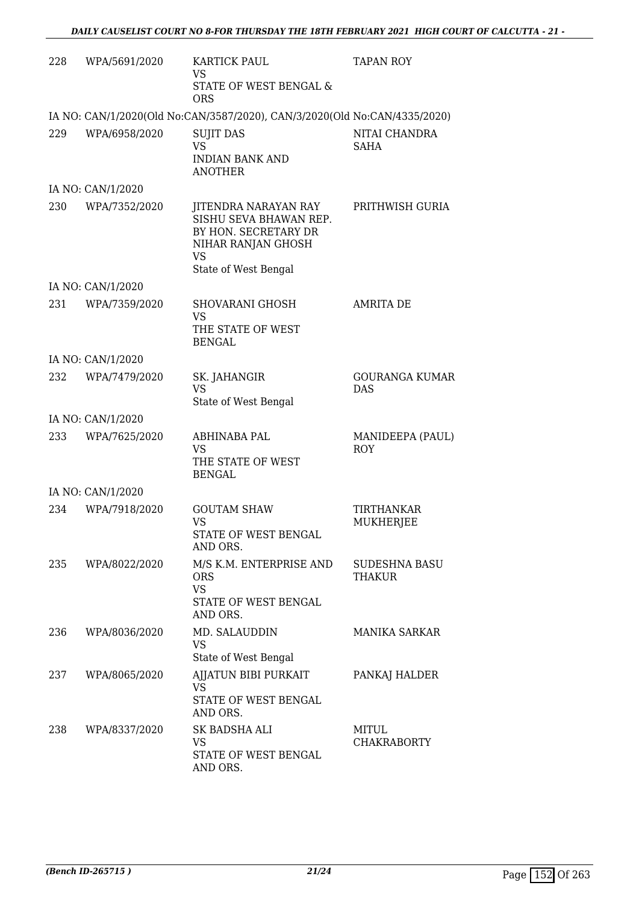| 228 | WPA/5691/2020     | KARTICK PAUL<br><b>VS</b><br>STATE OF WEST BENGAL &<br><b>ORS</b>                                                                 | <b>TAPAN ROY</b>                      |
|-----|-------------------|-----------------------------------------------------------------------------------------------------------------------------------|---------------------------------------|
|     |                   | IA NO: CAN/1/2020(Old No:CAN/3587/2020), CAN/3/2020(Old No:CAN/4335/2020)                                                         |                                       |
| 229 | WPA/6958/2020     | <b>SUJIT DAS</b><br><b>VS</b><br><b>INDIAN BANK AND</b><br><b>ANOTHER</b>                                                         | NITAI CHANDRA<br>SAHA                 |
|     | IA NO: CAN/1/2020 |                                                                                                                                   |                                       |
| 230 | WPA/7352/2020     | JITENDRA NARAYAN RAY<br>SISHU SEVA BHAWAN REP.<br>BY HON. SECRETARY DR<br>NIHAR RANJAN GHOSH<br><b>VS</b><br>State of West Bengal | PRITHWISH GURIA                       |
|     | IA NO: CAN/1/2020 |                                                                                                                                   |                                       |
| 231 | WPA/7359/2020     | SHOVARANI GHOSH<br><b>VS</b><br>THE STATE OF WEST<br><b>BENGAL</b>                                                                | <b>AMRITA DE</b>                      |
|     | IA NO: CAN/1/2020 |                                                                                                                                   |                                       |
| 232 | WPA/7479/2020     | SK. JAHANGIR<br><b>VS</b><br>State of West Bengal                                                                                 | GOURANGA KUMAR<br><b>DAS</b>          |
|     | IA NO: CAN/1/2020 |                                                                                                                                   |                                       |
| 233 | WPA/7625/2020     | ABHINABA PAL<br>VS<br>THE STATE OF WEST<br><b>BENGAL</b>                                                                          | MANIDEEPA (PAUL)<br><b>ROY</b>        |
|     | IA NO: CAN/1/2020 |                                                                                                                                   |                                       |
| 234 | WPA/7918/2020     | <b>GOUTAM SHAW</b><br>VS<br>STATE OF WEST BENGAL<br>AND ORS.                                                                      | <b>TIRTHANKAR</b><br><b>MUKHERJEE</b> |
| 235 | WPA/8022/2020     | M/S K.M. ENTERPRISE AND<br><b>ORS</b><br><b>VS</b><br>STATE OF WEST BENGAL<br>AND ORS.                                            | <b>SUDESHNA BASU</b><br>THAKUR        |
| 236 | WPA/8036/2020     | MD. SALAUDDIN<br><b>VS</b><br>State of West Bengal                                                                                | <b>MANIKA SARKAR</b>                  |
| 237 | WPA/8065/2020     | AJJATUN BIBI PURKAIT<br>VS<br>STATE OF WEST BENGAL<br>AND ORS.                                                                    | PANKAJ HALDER                         |
| 238 | WPA/8337/2020     | SK BADSHA ALI<br>VS<br>STATE OF WEST BENGAL<br>AND ORS.                                                                           | MITUL<br><b>CHAKRABORTY</b>           |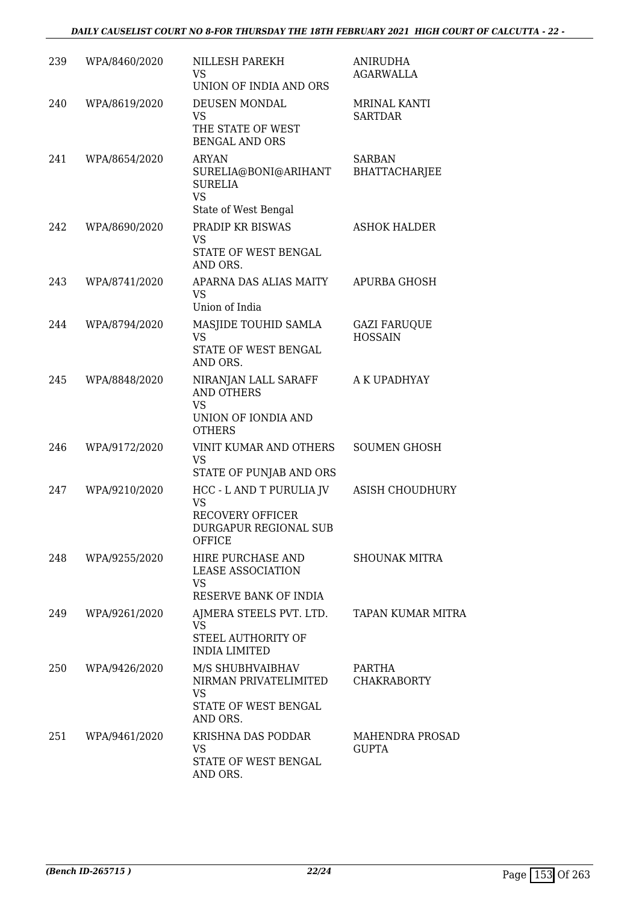| 239 | WPA/8460/2020 | NILLESH PAREKH<br>VS<br>UNION OF INDIA AND ORS                                                 | <b>ANIRUDHA</b><br>AGARWALLA           |
|-----|---------------|------------------------------------------------------------------------------------------------|----------------------------------------|
| 240 | WPA/8619/2020 | DEUSEN MONDAL<br><b>VS</b><br>THE STATE OF WEST<br><b>BENGAL AND ORS</b>                       | MRINAL KANTI<br><b>SARTDAR</b>         |
| 241 | WPA/8654/2020 | <b>ARYAN</b><br>SURELIA@BONI@ARIHANT<br><b>SURELIA</b><br><b>VS</b>                            | <b>SARBAN</b><br><b>BHATTACHARJEE</b>  |
|     |               | State of West Bengal                                                                           |                                        |
| 242 | WPA/8690/2020 | PRADIP KR BISWAS<br><b>VS</b><br>STATE OF WEST BENGAL<br>AND ORS.                              | <b>ASHOK HALDER</b>                    |
| 243 | WPA/8741/2020 | APARNA DAS ALIAS MAITY<br><b>VS</b><br>Union of India                                          | APURBA GHOSH                           |
| 244 | WPA/8794/2020 | MASJIDE TOUHID SAMLA<br><b>VS</b><br>STATE OF WEST BENGAL                                      | <b>GAZI FARUQUE</b><br><b>HOSSAIN</b>  |
|     |               | AND ORS.                                                                                       |                                        |
| 245 | WPA/8848/2020 | NIRANJAN LALL SARAFF<br><b>AND OTHERS</b><br><b>VS</b><br>UNION OF IONDIA AND<br><b>OTHERS</b> | A K UPADHYAY                           |
| 246 | WPA/9172/2020 | VINIT KUMAR AND OTHERS<br>VS                                                                   | <b>SOUMEN GHOSH</b>                    |
| 247 | WPA/9210/2020 | STATE OF PUNJAB AND ORS<br>HCC - L AND T PURULIA JV<br><b>VS</b>                               | <b>ASISH CHOUDHURY</b>                 |
|     |               | RECOVERY OFFICER<br>DURGAPUR REGIONAL SUB<br>OFFICE                                            |                                        |
| 248 | WPA/9255/2020 | HIRE PURCHASE AND<br><b>LEASE ASSOCIATION</b><br>VS                                            | <b>SHOUNAK MITRA</b>                   |
|     |               | RESERVE BANK OF INDIA                                                                          |                                        |
| 249 | WPA/9261/2020 | AJMERA STEELS PVT. LTD. TAPAN KUMAR MITRA<br><b>VS</b>                                         |                                        |
|     |               | STEEL AUTHORITY OF<br><b>INDIA LIMITED</b>                                                     |                                        |
| 250 | WPA/9426/2020 | M/S SHUBHVAIBHAV<br>NIRMAN PRIVATELIMITED<br><b>VS</b><br>STATE OF WEST BENGAL                 | PARTHA<br><b>CHAKRABORTY</b>           |
|     |               | AND ORS.                                                                                       |                                        |
| 251 | WPA/9461/2020 | KRISHNA DAS PODDAR<br>VS<br>STATE OF WEST BENGAL                                               | <b>MAHENDRA PROSAD</b><br><b>GUPTA</b> |
|     |               | AND ORS.                                                                                       |                                        |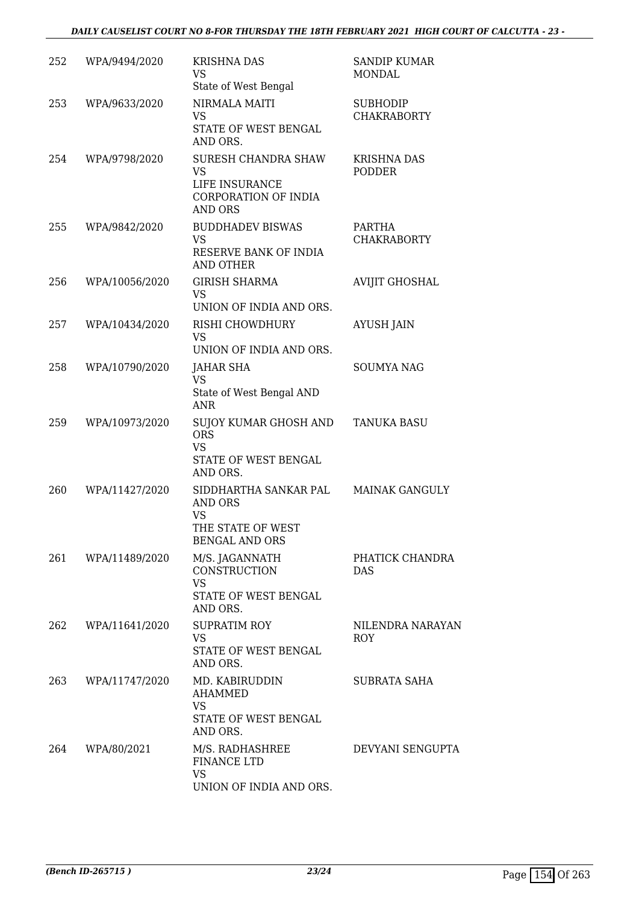| 252 | WPA/9494/2020  | <b>KRISHNA DAS</b><br><b>VS</b><br>State of West Bengal                                            | <b>SANDIP KUMAR</b><br>MONDAL         |
|-----|----------------|----------------------------------------------------------------------------------------------------|---------------------------------------|
| 253 | WPA/9633/2020  | NIRMALA MAITI<br>VS<br>STATE OF WEST BENGAL<br>AND ORS.                                            | <b>SUBHODIP</b><br><b>CHAKRABORTY</b> |
| 254 | WPA/9798/2020  | SURESH CHANDRA SHAW<br><b>VS</b><br>LIFE INSURANCE<br>CORPORATION OF INDIA<br><b>AND ORS</b>       | <b>KRISHNA DAS</b><br><b>PODDER</b>   |
| 255 | WPA/9842/2020  | <b>BUDDHADEV BISWAS</b><br><b>VS</b><br>RESERVE BANK OF INDIA<br><b>AND OTHER</b>                  | <b>PARTHA</b><br><b>CHAKRABORTY</b>   |
| 256 | WPA/10056/2020 | <b>GIRISH SHARMA</b><br><b>VS</b><br>UNION OF INDIA AND ORS.                                       | <b>AVIJIT GHOSHAL</b>                 |
| 257 | WPA/10434/2020 | RISHI CHOWDHURY<br><b>VS</b><br>UNION OF INDIA AND ORS.                                            | <b>AYUSH JAIN</b>                     |
| 258 | WPA/10790/2020 | JAHAR SHA<br><b>VS</b><br>State of West Bengal AND<br><b>ANR</b>                                   | <b>SOUMYA NAG</b>                     |
| 259 | WPA/10973/2020 | SUJOY KUMAR GHOSH AND<br><b>ORS</b><br><b>VS</b><br>STATE OF WEST BENGAL<br>AND ORS.               | <b>TANUKA BASU</b>                    |
| 260 | WPA/11427/2020 | SIDDHARTHA SANKAR PAL<br><b>AND ORS</b><br><b>VS</b><br>THE STATE OF WEST<br><b>BENGAL AND ORS</b> | <b>MAINAK GANGULY</b>                 |
| 261 | WPA/11489/2020 | M/S. JAGANNATH<br>CONSTRUCTION<br><b>VS</b><br>STATE OF WEST BENGAL<br>AND ORS.                    | PHATICK CHANDRA<br><b>DAS</b>         |
| 262 | WPA/11641/2020 | <b>SUPRATIM ROY</b><br><b>VS</b><br>STATE OF WEST BENGAL<br>AND ORS.                               | NILENDRA NARAYAN<br><b>ROY</b>        |
| 263 | WPA/11747/2020 | MD. KABIRUDDIN<br>AHAMMED<br><b>VS</b><br>STATE OF WEST BENGAL<br>AND ORS.                         | SUBRATA SAHA                          |
| 264 | WPA/80/2021    | M/S. RADHASHREE<br><b>FINANCE LTD</b><br><b>VS</b><br>UNION OF INDIA AND ORS.                      | DEVYANI SENGUPTA                      |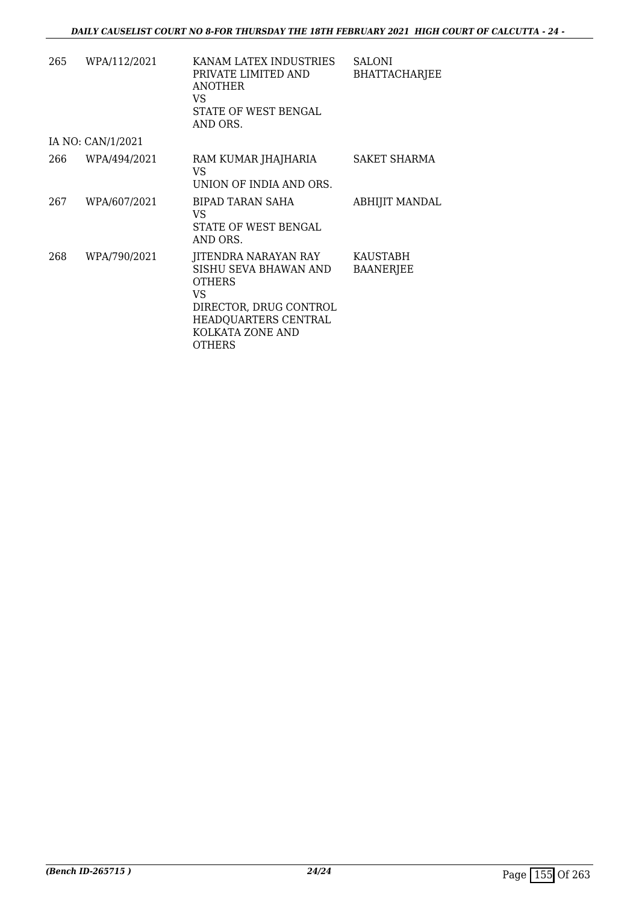| 265 | WPA/112/2021      | KANAM LATEX INDUSTRIES<br>PRIVATE LIMITED AND<br><b>ANOTHER</b><br>VS.<br>STATE OF WEST BENGAL<br>AND ORS.                                                         | <b>SALONI</b><br><b>BHATTACHARJEE</b> |
|-----|-------------------|--------------------------------------------------------------------------------------------------------------------------------------------------------------------|---------------------------------------|
|     | IA NO: CAN/1/2021 |                                                                                                                                                                    |                                       |
| 266 | WPA/494/2021      | RAM KUMAR JHAJHARIA<br>VS<br>UNION OF INDIA AND ORS.                                                                                                               | SAKET SHARMA                          |
| 267 | WPA/607/2021      | BIPAD TARAN SAHA<br>VS<br>STATE OF WEST BENGAL<br>AND ORS.                                                                                                         | ABHIJIT MANDAL                        |
| 268 | WPA/790/2021      | JITENDRA NARAYAN RAY<br>SISHU SEVA BHAWAN AND<br><b>OTHERS</b><br><b>VS</b><br>DIRECTOR, DRUG CONTROL<br>HEADQUARTERS CENTRAL<br>KOLKATA ZONE AND<br><b>OTHERS</b> | KAUSTABH<br><b>BAANERJEE</b>          |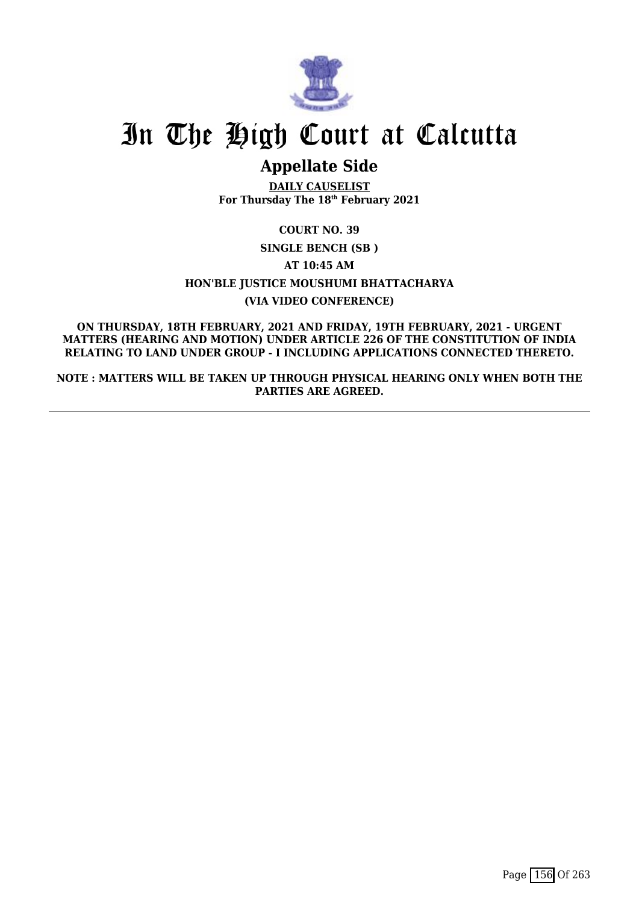

# In The High Court at Calcutta

## **Appellate Side**

**DAILY CAUSELIST For Thursday The 18th February 2021**

## **COURT NO. 39 SINGLE BENCH (SB ) AT 10:45 AM HON'BLE JUSTICE MOUSHUMI BHATTACHARYA (VIA VIDEO CONFERENCE)**

**ON THURSDAY, 18TH FEBRUARY, 2021 AND FRIDAY, 19TH FEBRUARY, 2021 - URGENT MATTERS (HEARING AND MOTION) UNDER ARTICLE 226 OF THE CONSTITUTION OF INDIA RELATING TO LAND UNDER GROUP - I INCLUDING APPLICATIONS CONNECTED THERETO.**

**NOTE : MATTERS WILL BE TAKEN UP THROUGH PHYSICAL HEARING ONLY WHEN BOTH THE PARTIES ARE AGREED.**

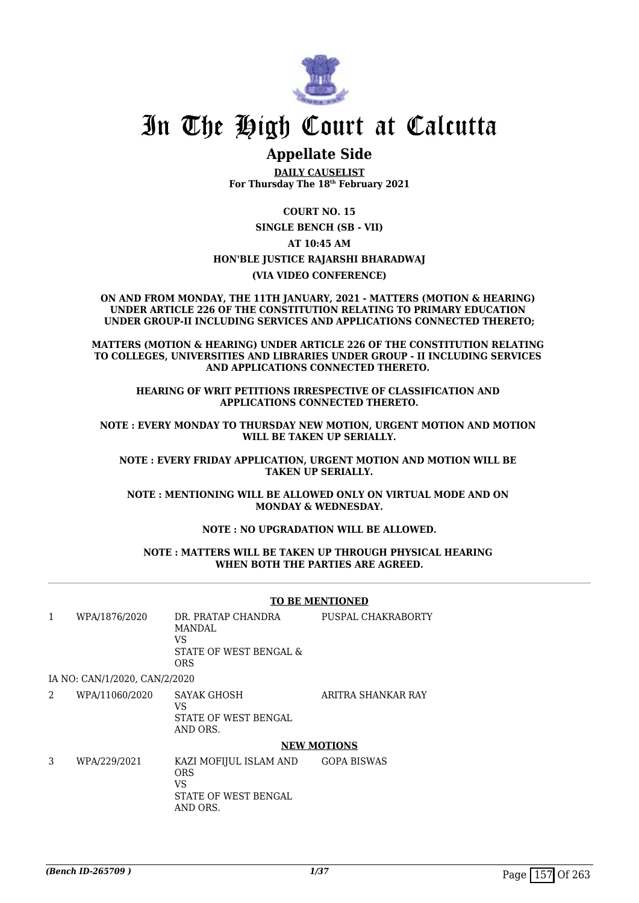

## In The High Court at Calcutta

## **Appellate Side**

**DAILY CAUSELIST For Thursday The 18th February 2021**

**COURT NO. 15 SINGLE BENCH (SB - VII) AT 10:45 AM HON'BLE JUSTICE RAJARSHI BHARADWAJ (VIA VIDEO CONFERENCE)**

**ON AND FROM MONDAY, THE 11TH JANUARY, 2021 - MATTERS (MOTION & HEARING) UNDER ARTICLE 226 OF THE CONSTITUTION RELATING TO PRIMARY EDUCATION UNDER GROUP-II INCLUDING SERVICES AND APPLICATIONS CONNECTED THERETO;**

**MATTERS (MOTION & HEARING) UNDER ARTICLE 226 OF THE CONSTITUTION RELATING TO COLLEGES, UNIVERSITIES AND LIBRARIES UNDER GROUP - II INCLUDING SERVICES AND APPLICATIONS CONNECTED THERETO.** 

**HEARING OF WRIT PETITIONS IRRESPECTIVE OF CLASSIFICATION AND APPLICATIONS CONNECTED THERETO.**

**NOTE : EVERY MONDAY TO THURSDAY NEW MOTION, URGENT MOTION AND MOTION WILL BE TAKEN UP SERIALLY.**

**NOTE : EVERY FRIDAY APPLICATION, URGENT MOTION AND MOTION WILL BE TAKEN UP SERIALLY.**

**NOTE : MENTIONING WILL BE ALLOWED ONLY ON VIRTUAL MODE AND ON MONDAY & WEDNESDAY.**

### **NOTE : NO UPGRADATION WILL BE ALLOWED.**

### **NOTE : MATTERS WILL BE TAKEN UP THROUGH PHYSICAL HEARING WHEN BOTH THE PARTIES ARE AGREED.**

#### **TO BE MENTIONED**

1 WPA/1876/2020 DR. PRATAP CHANDRA MANDAL  $V<sub>S</sub>$ STATE OF WEST BENGAL & ORS PUSPAL CHAKRABORTY IA NO: CAN/1/2020, CAN/2/2020 2 WPA/11060/2020 SAYAK GHOSH ARITRA SHANKAR RAY

 $V<sup>S</sup>$ STATE OF WEST BENGAL AND ORS.

#### **NEW MOTIONS**

3 WPA/229/2021 KAZI MOFIJUL ISLAM AND ORS VS STATE OF WEST BENGAL AND ORS. GOPA BISWAS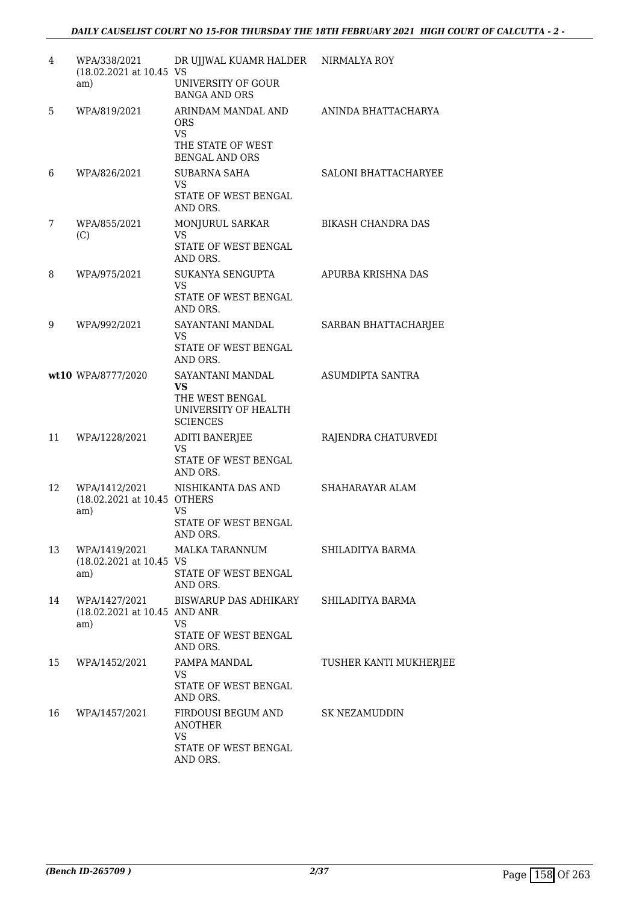| 4  | WPA/338/2021<br>(18.02.2021 at 10.45 VS               | DR UJJWAL KUAMR HALDER NIRMALYA ROY                                                         |                           |
|----|-------------------------------------------------------|---------------------------------------------------------------------------------------------|---------------------------|
|    | am)                                                   | UNIVERSITY OF GOUR<br><b>BANGA AND ORS</b>                                                  |                           |
| 5  | WPA/819/2021                                          | ARINDAM MANDAL AND<br><b>ORS</b><br><b>VS</b><br>THE STATE OF WEST<br><b>BENGAL AND ORS</b> | ANINDA BHATTACHARYA       |
| 6  | WPA/826/2021                                          | <b>SUBARNA SAHA</b><br>VS.<br><b>STATE OF WEST BENGAL</b><br>AND ORS.                       | SALONI BHATTACHARYEE      |
| 7  | WPA/855/2021<br>(C)                                   | MONJURUL SARKAR<br><b>VS</b><br>STATE OF WEST BENGAL<br>AND ORS.                            | <b>BIKASH CHANDRA DAS</b> |
| 8  | WPA/975/2021                                          | SUKANYA SENGUPTA<br><b>VS</b><br>STATE OF WEST BENGAL<br>AND ORS.                           | APURBA KRISHNA DAS        |
| 9  | WPA/992/2021                                          | SAYANTANI MANDAL<br>VS.<br>STATE OF WEST BENGAL<br>AND ORS.                                 | SARBAN BHATTACHARJEE      |
|    | wt10 WPA/8777/2020                                    | SAYANTANI MANDAL<br>VS<br>THE WEST BENGAL<br>UNIVERSITY OF HEALTH<br><b>SCIENCES</b>        | ASUMDIPTA SANTRA          |
| 11 | WPA/1228/2021                                         | <b>ADITI BANERJEE</b><br>VS.<br>STATE OF WEST BENGAL<br>AND ORS.                            | RAJENDRA CHATURVEDI       |
| 12 | WPA/1412/2021<br>(18.02.2021 at 10.45 OTHERS<br>am)   | NISHIKANTA DAS AND<br><b>VS</b><br>STATE OF WEST BENGAL<br>AND ORS.                         | SHAHARAYAR ALAM           |
| 13 | WPA/1419/2021<br>(18.02.2021 at 10.45 VS<br>am)       | MALKA TARANNUM<br>STATE OF WEST BENGAL<br>AND ORS.                                          | SHILADITYA BARMA          |
| 14 | WPA/1427/2021<br>(18.02.2021 at 10.45 AND ANR)<br>am) | BISWARUP DAS ADHIKARY<br><b>VS</b><br>STATE OF WEST BENGAL<br>AND ORS.                      | SHILADITYA BARMA          |
| 15 | WPA/1452/2021                                         | PAMPA MANDAL<br>VS<br>STATE OF WEST BENGAL<br>AND ORS.                                      | TUSHER KANTI MUKHERJEE    |
| 16 | WPA/1457/2021                                         | FIRDOUSI BEGUM AND<br><b>ANOTHER</b><br><b>VS</b><br>STATE OF WEST BENGAL<br>AND ORS.       | <b>SK NEZAMUDDIN</b>      |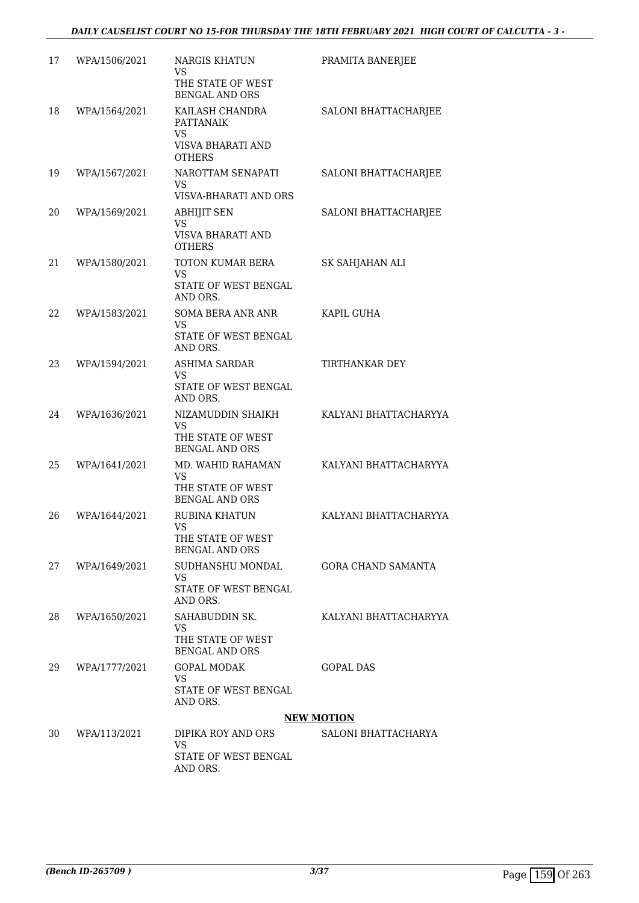| 17 | WPA/1506/2021 | <b>NARGIS KHATUN</b><br>VS<br>THE STATE OF WEST<br><b>BENGAL AND ORS</b>     | PRAMITA BANERJEE          |
|----|---------------|------------------------------------------------------------------------------|---------------------------|
| 18 | WPA/1564/2021 | KAILASH CHANDRA<br>PATTANAIK<br>VS<br>VISVA BHARATI AND<br><b>OTHERS</b>     | SALONI BHATTACHARJEE      |
| 19 | WPA/1567/2021 | NAROTTAM SENAPATI<br>VS<br>VISVA-BHARATI AND ORS                             | SALONI BHATTACHARJEE      |
| 20 | WPA/1569/2021 | <b>ABHIJIT SEN</b><br>VS<br>VISVA BHARATI AND<br><b>OTHERS</b>               | SALONI BHATTACHARJEE      |
| 21 | WPA/1580/2021 | TOTON KUMAR BERA<br><b>VS</b><br>STATE OF WEST BENGAL<br>AND ORS.            | SK SAHJAHAN ALI           |
| 22 | WPA/1583/2021 | <b>SOMA BERA ANR ANR</b><br>VS<br>STATE OF WEST BENGAL<br>AND ORS.           | KAPIL GUHA                |
| 23 | WPA/1594/2021 | ASHIMA SARDAR<br>VS<br>STATE OF WEST BENGAL<br>AND ORS.                      | TIRTHANKAR DEY            |
| 24 | WPA/1636/2021 | NIZAMUDDIN SHAIKH<br>VS<br>THE STATE OF WEST<br><b>BENGAL AND ORS</b>        | KALYANI BHATTACHARYYA     |
| 25 | WPA/1641/2021 | MD. WAHID RAHAMAN<br><b>VS</b><br>THE STATE OF WEST<br><b>BENGAL AND ORS</b> | KALYANI BHATTACHARYYA     |
| 26 | WPA/1644/2021 | <b>RUBINA KHATUN</b><br>VS.<br>THE STATE OF WEST<br><b>BENGAL AND ORS</b>    | KALYANI BHATTACHARYYA     |
| 27 | WPA/1649/2021 | SUDHANSHU MONDAL<br>VS.<br>STATE OF WEST BENGAL<br>AND ORS.                  | <b>GORA CHAND SAMANTA</b> |
| 28 | WPA/1650/2021 | SAHABUDDIN SK.<br><b>VS</b><br>THE STATE OF WEST<br><b>BENGAL AND ORS</b>    | KALYANI BHATTACHARYYA     |
| 29 | WPA/1777/2021 | <b>GOPAL MODAK</b><br>VS.<br>STATE OF WEST BENGAL<br>AND ORS.                | <b>GOPAL DAS</b>          |
|    |               |                                                                              | <b>NEW MOTION</b>         |
| 30 | WPA/113/2021  | DIPIKA ROY AND ORS<br><b>VS</b><br>STATE OF WEST BENGAL<br>AND ORS.          | SALONI BHATTACHARYA       |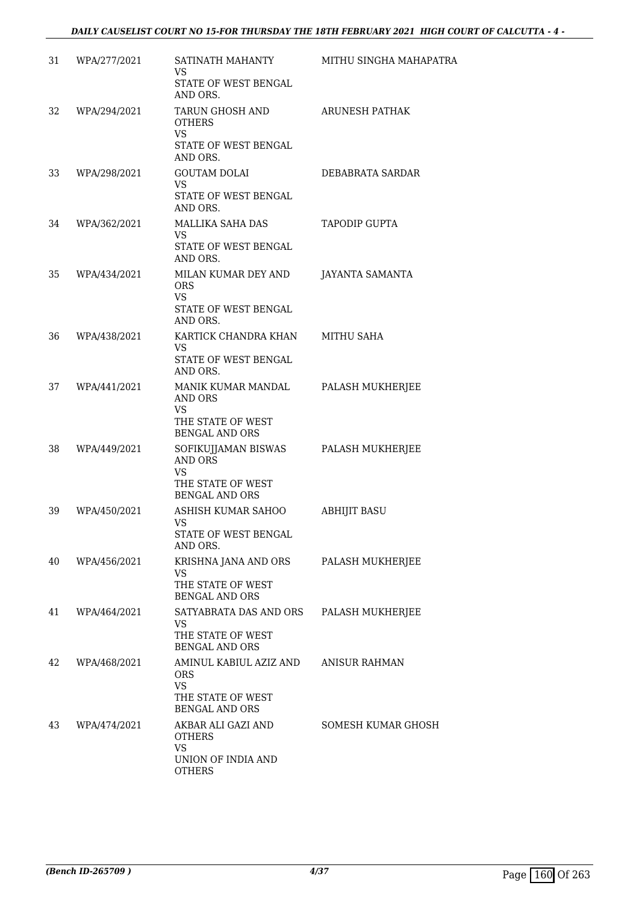| 31 | WPA/277/2021 | SATINATH MAHANTY<br><b>VS</b><br>STATE OF WEST BENGAL<br>AND ORS.                                                | MITHU SINGHA MAHAPATRA |
|----|--------------|------------------------------------------------------------------------------------------------------------------|------------------------|
| 32 | WPA/294/2021 | TARUN GHOSH AND<br><b>OTHERS</b><br><b>VS</b><br>STATE OF WEST BENGAL                                            | ARUNESH PATHAK         |
| 33 | WPA/298/2021 | AND ORS.<br><b>GOUTAM DOLAI</b><br><b>VS</b><br>STATE OF WEST BENGAL                                             | DEBABRATA SARDAR       |
| 34 | WPA/362/2021 | AND ORS.<br>MALLIKA SAHA DAS<br>VS.<br>STATE OF WEST BENGAL<br>AND ORS.                                          | <b>TAPODIP GUPTA</b>   |
| 35 | WPA/434/2021 | MILAN KUMAR DEY AND<br><b>ORS</b><br><b>VS</b><br>STATE OF WEST BENGAL<br>AND ORS.                               | <b>JAYANTA SAMANTA</b> |
| 36 | WPA/438/2021 | KARTICK CHANDRA KHAN<br>VS.<br>STATE OF WEST BENGAL<br>AND ORS.                                                  | <b>MITHU SAHA</b>      |
| 37 | WPA/441/2021 | MANIK KUMAR MANDAL<br><b>AND ORS</b><br><b>VS</b><br>THE STATE OF WEST                                           | PALASH MUKHERJEE       |
| 38 | WPA/449/2021 | <b>BENGAL AND ORS</b><br>SOFIKUJJAMAN BISWAS<br>AND ORS<br><b>VS</b><br>THE STATE OF WEST                        | PALASH MUKHERJEE       |
| 39 | WPA/450/2021 | <b>BENGAL AND ORS</b><br>ASHISH KUMAR SAHOO<br><b>VS</b><br>STATE OF WEST BENGAL<br>AND ORS.                     | ABHIJIT BASU           |
| 40 | WPA/456/2021 | KRISHNA JANA AND ORS<br><b>VS</b><br>THE STATE OF WEST<br><b>BENGAL AND ORS</b>                                  | PALASH MUKHERJEE       |
| 41 | WPA/464/2021 | SATYABRATA DAS AND ORS<br><b>VS</b><br>THE STATE OF WEST<br><b>BENGAL AND ORS</b>                                | PALASH MUKHERJEE       |
| 42 | WPA/468/2021 | AMINUL KABIUL AZIZ AND<br><b>ORS</b><br><b>VS</b><br>THE STATE OF WEST                                           | <b>ANISUR RAHMAN</b>   |
| 43 | WPA/474/2021 | <b>BENGAL AND ORS</b><br>AKBAR ALI GAZI AND<br><b>OTHERS</b><br><b>VS</b><br>UNION OF INDIA AND<br><b>OTHERS</b> | SOMESH KUMAR GHOSH     |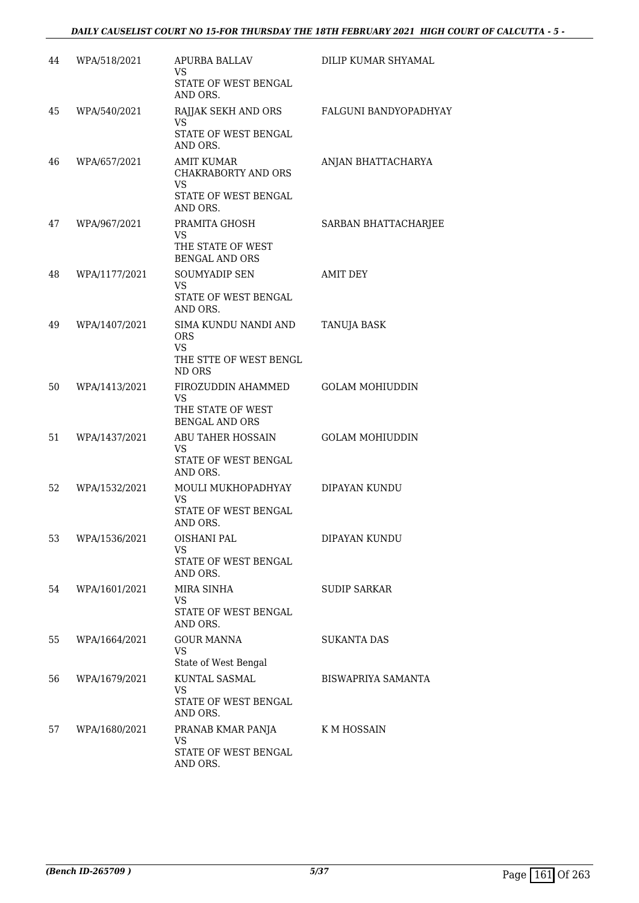| 44 | WPA/518/2021  | APURBA BALLAV<br>VS.                                                      | DILIP KUMAR SHYAMAL       |
|----|---------------|---------------------------------------------------------------------------|---------------------------|
|    |               | STATE OF WEST BENGAL<br>AND ORS.                                          |                           |
| 45 | WPA/540/2021  | RAJJAK SEKH AND ORS<br>VS.                                                | FALGUNI BANDYOPADHYAY     |
|    |               | STATE OF WEST BENGAL<br>AND ORS.                                          |                           |
| 46 | WPA/657/2021  | <b>AMIT KUMAR</b><br><b>CHAKRABORTY AND ORS</b><br><b>VS</b>              | ANJAN BHATTACHARYA        |
|    |               | STATE OF WEST BENGAL<br>AND ORS.                                          |                           |
| 47 | WPA/967/2021  | PRAMITA GHOSH<br>VS.<br>THE STATE OF WEST                                 | SARBAN BHATTACHARJEE      |
|    |               | <b>BENGAL AND ORS</b>                                                     |                           |
| 48 | WPA/1177/2021 | <b>SOUMYADIP SEN</b><br>VS.<br>STATE OF WEST BENGAL<br>AND ORS.           | <b>AMIT DEY</b>           |
| 49 | WPA/1407/2021 | SIMA KUNDU NANDI AND<br><b>ORS</b><br><b>VS</b>                           | <b>TANUJA BASK</b>        |
|    |               | THE STTE OF WEST BENGL<br>ND ORS                                          |                           |
| 50 | WPA/1413/2021 | FIROZUDDIN AHAMMED<br>VS<br>THE STATE OF WEST<br><b>BENGAL AND ORS</b>    | <b>GOLAM MOHIUDDIN</b>    |
| 51 | WPA/1437/2021 | <b>ABU TAHER HOSSAIN</b><br><b>VS</b><br>STATE OF WEST BENGAL<br>AND ORS. | <b>GOLAM MOHIUDDIN</b>    |
| 52 | WPA/1532/2021 | MOULI MUKHOPADHYAY<br><b>VS</b><br>STATE OF WEST BENGAL                   | DIPAYAN KUNDU             |
| 53 | WPA/1536/2021 | AND ORS.<br><b>OISHANI PAL</b>                                            | DIPAYAN KUNDU             |
|    |               | <b>VS</b><br><b>STATE OF WEST BENGAL</b><br>AND ORS.                      |                           |
| 54 | WPA/1601/2021 | MIRA SINHA<br>VS.<br><b>STATE OF WEST BENGAL</b>                          | <b>SUDIP SARKAR</b>       |
|    |               | AND ORS.                                                                  |                           |
| 55 | WPA/1664/2021 | <b>GOUR MANNA</b><br><b>VS</b><br>State of West Bengal                    | <b>SUKANTA DAS</b>        |
| 56 | WPA/1679/2021 | KUNTAL SASMAL<br><b>VS</b><br>STATE OF WEST BENGAL<br>AND ORS.            | <b>BISWAPRIYA SAMANTA</b> |
| 57 | WPA/1680/2021 | PRANAB KMAR PANJA<br><b>VS</b><br>STATE OF WEST BENGAL<br>AND ORS.        | K M HOSSAIN               |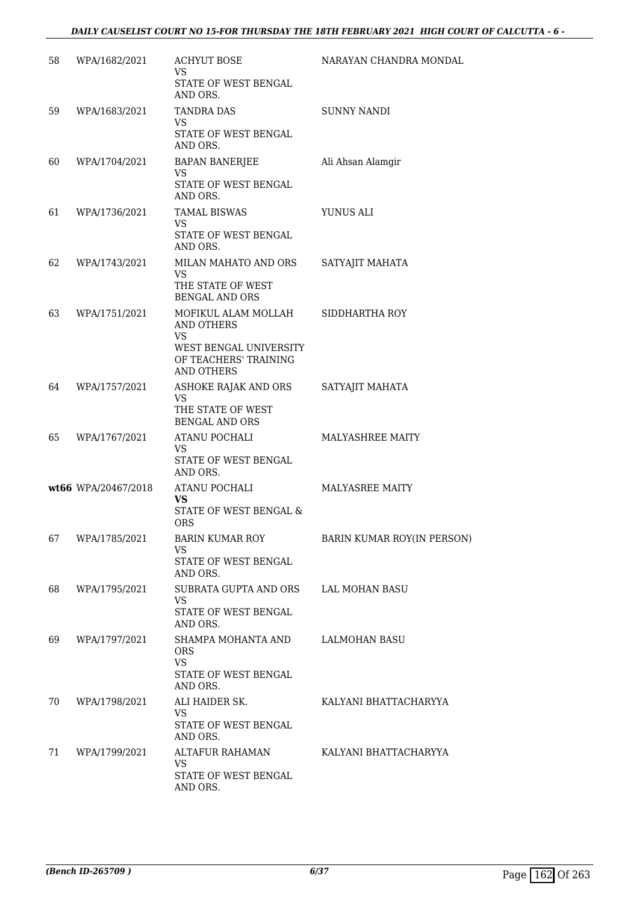| 58 | WPA/1682/2021       | <b>ACHYUT BOSE</b><br><b>VS</b>                                      | NARAYAN CHANDRA MONDAL     |
|----|---------------------|----------------------------------------------------------------------|----------------------------|
|    |                     | STATE OF WEST BENGAL<br>AND ORS.                                     |                            |
| 59 | WPA/1683/2021       | <b>TANDRA DAS</b><br>VS.                                             | <b>SUNNY NANDI</b>         |
|    |                     | STATE OF WEST BENGAL<br>AND ORS.                                     |                            |
| 60 | WPA/1704/2021       | BAPAN BANERJEE<br>VS.                                                | Ali Ahsan Alamgir          |
|    |                     | STATE OF WEST BENGAL<br>AND ORS.                                     |                            |
| 61 | WPA/1736/2021       | TAMAL BISWAS<br>VS.                                                  | YUNUS ALI                  |
|    |                     | STATE OF WEST BENGAL<br>AND ORS.                                     |                            |
| 62 | WPA/1743/2021       | MILAN MAHATO AND ORS<br>VS.                                          | SATYAJIT MAHATA            |
|    |                     | THE STATE OF WEST<br><b>BENGAL AND ORS</b>                           |                            |
| 63 | WPA/1751/2021       | MOFIKUL ALAM MOLLAH<br><b>AND OTHERS</b><br>VS.                      | SIDDHARTHA ROY             |
|    |                     | WEST BENGAL UNIVERSITY<br>OF TEACHERS' TRAINING<br><b>AND OTHERS</b> |                            |
| 64 | WPA/1757/2021       | ASHOKE RAJAK AND ORS<br><b>VS</b>                                    | SATYAJIT MAHATA            |
|    |                     | THE STATE OF WEST<br><b>BENGAL AND ORS</b>                           |                            |
| 65 | WPA/1767/2021       | ATANU POCHALI<br>VS.                                                 | <b>MALYASHREE MAITY</b>    |
|    |                     | STATE OF WEST BENGAL<br>AND ORS.                                     |                            |
|    | wt66 WPA/20467/2018 | ATANU POCHALI<br>VS                                                  | MALYASREE MAITY            |
|    |                     | STATE OF WEST BENGAL &<br><b>ORS</b>                                 |                            |
| 67 | WPA/1785/2021       | <b>BARIN KUMAR ROY</b><br>VS                                         | BARIN KUMAR ROY(IN PERSON) |
|    |                     | STATE OF WEST BENGAL<br>AND ORS.                                     |                            |
| 68 | WPA/1795/2021       | SUBRATA GUPTA AND ORS<br><b>VS</b>                                   | LAL MOHAN BASU             |
|    |                     | STATE OF WEST BENGAL<br>AND ORS.                                     |                            |
| 69 | WPA/1797/2021       | SHAMPA MOHANTA AND<br><b>ORS</b>                                     | LALMOHAN BASU              |
|    |                     | <b>VS</b><br>STATE OF WEST BENGAL<br>AND ORS.                        |                            |
| 70 | WPA/1798/2021       | ALI HAIDER SK.<br>VS.                                                | KALYANI BHATTACHARYYA      |
|    |                     | STATE OF WEST BENGAL<br>AND ORS.                                     |                            |
| 71 | WPA/1799/2021       | ALTAFUR RAHAMAN<br><b>VS</b>                                         | KALYANI BHATTACHARYYA      |
|    |                     | STATE OF WEST BENGAL<br>AND ORS.                                     |                            |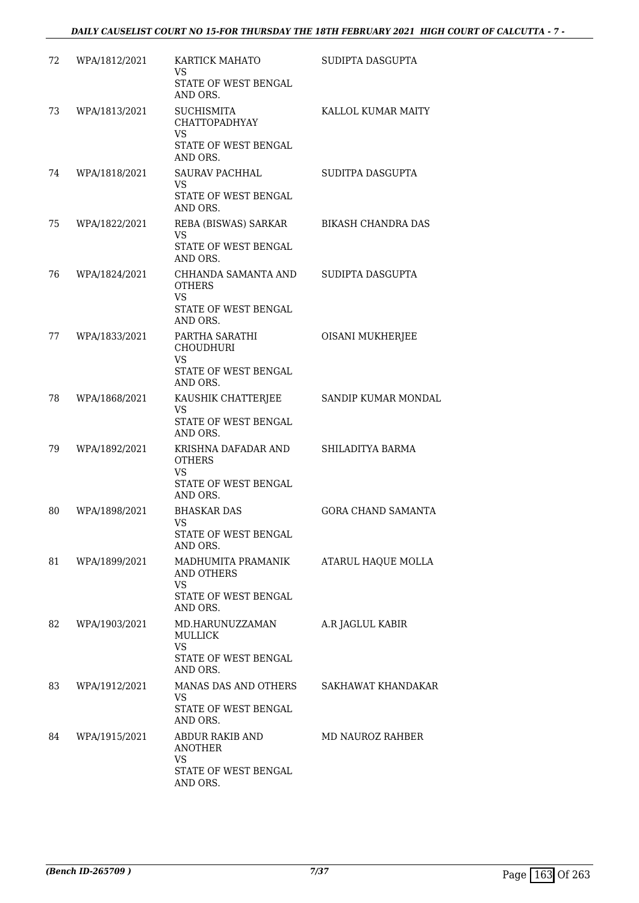| 72 | WPA/1812/2021 | KARTICK MAHATO<br>VS.<br>STATE OF WEST BENGAL<br>AND ORS.                                  | SUDIPTA DASGUPTA          |
|----|---------------|--------------------------------------------------------------------------------------------|---------------------------|
| 73 | WPA/1813/2021 | <b>SUCHISMITA</b><br><b>CHATTOPADHYAY</b><br><b>VS</b><br>STATE OF WEST BENGAL<br>AND ORS. | KALLOL KUMAR MAITY        |
| 74 | WPA/1818/2021 | <b>SAURAV PACHHAL</b><br>VS.<br><b>STATE OF WEST BENGAL</b><br>AND ORS.                    | SUDITPA DASGUPTA          |
| 75 | WPA/1822/2021 | REBA (BISWAS) SARKAR<br><b>VS</b><br>STATE OF WEST BENGAL<br>AND ORS.                      | <b>BIKASH CHANDRA DAS</b> |
| 76 | WPA/1824/2021 | CHHANDA SAMANTA AND<br><b>OTHERS</b><br><b>VS</b><br>STATE OF WEST BENGAL<br>AND ORS.      | SUDIPTA DASGUPTA          |
| 77 | WPA/1833/2021 | PARTHA SARATHI<br><b>CHOUDHURI</b><br>VS<br>STATE OF WEST BENGAL<br>AND ORS.               | <b>OISANI MUKHERJEE</b>   |
| 78 | WPA/1868/2021 | KAUSHIK CHATTERJEE<br><b>VS</b><br>STATE OF WEST BENGAL<br>AND ORS.                        | SANDIP KUMAR MONDAL       |
| 79 | WPA/1892/2021 | KRISHNA DAFADAR AND<br><b>OTHERS</b><br>VS.<br>STATE OF WEST BENGAL<br>AND ORS.            | SHILADITYA BARMA          |
| 80 | WPA/1898/2021 | <b>BHASKAR DAS</b><br><b>VS</b><br>STATE OF WEST BENGAL<br>AND ORS.                        | <b>GORA CHAND SAMANTA</b> |
| 81 | WPA/1899/2021 | MADHUMITA PRAMANIK<br>AND OTHERS<br><b>VS</b><br>STATE OF WEST BENGAL<br>AND ORS.          | ATARUL HAQUE MOLLA        |
| 82 | WPA/1903/2021 | MD.HARUNUZZAMAN<br><b>MULLICK</b><br><b>VS</b><br>STATE OF WEST BENGAL<br>AND ORS.         | A.R JAGLUL KABIR          |
| 83 | WPA/1912/2021 | MANAS DAS AND OTHERS<br>VS.<br>STATE OF WEST BENGAL<br>AND ORS.                            | SAKHAWAT KHANDAKAR        |
| 84 | WPA/1915/2021 | ABDUR RAKIB AND<br><b>ANOTHER</b><br>VS.<br>STATE OF WEST BENGAL<br>AND ORS.               | MD NAUROZ RAHBER          |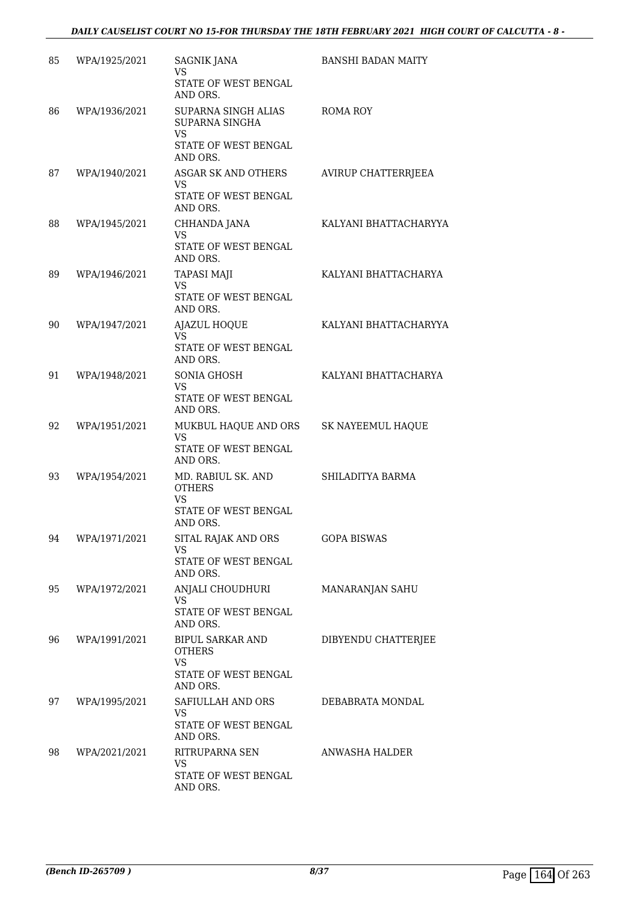| 85 | WPA/1925/2021 | <b>SAGNIK JANA</b><br><b>VS</b><br>STATE OF WEST BENGAL                                            | <b>BANSHI BADAN MAITY</b> |
|----|---------------|----------------------------------------------------------------------------------------------------|---------------------------|
| 86 | WPA/1936/2021 | AND ORS.<br>SUPARNA SINGH ALIAS<br>SUPARNA SINGHA<br><b>VS</b><br>STATE OF WEST BENGAL<br>AND ORS. | ROMA ROY                  |
| 87 | WPA/1940/2021 | ASGAR SK AND OTHERS<br>VS<br><b>STATE OF WEST BENGAL</b><br>AND ORS.                               | AVIRUP CHATTERRJEEA       |
| 88 | WPA/1945/2021 | CHHANDA JANA<br><b>VS</b><br>STATE OF WEST BENGAL<br>AND ORS.                                      | KALYANI BHATTACHARYYA     |
| 89 | WPA/1946/2021 | <b>TAPASI MAJI</b><br><b>VS</b><br>STATE OF WEST BENGAL<br>AND ORS.                                | KALYANI BHATTACHARYA      |
| 90 | WPA/1947/2021 | AJAZUL HOQUE<br><b>VS</b><br>STATE OF WEST BENGAL<br>AND ORS.                                      | KALYANI BHATTACHARYYA     |
| 91 | WPA/1948/2021 | SONIA GHOSH<br>VS.<br>STATE OF WEST BENGAL<br>AND ORS.                                             | KALYANI BHATTACHARYA      |
| 92 | WPA/1951/2021 | MUKBUL HAQUE AND ORS<br><b>VS</b><br>STATE OF WEST BENGAL<br>AND ORS.                              | SK NAYEEMUL HAQUE         |
| 93 | WPA/1954/2021 | MD. RABIUL SK. AND<br><b>OTHERS</b><br><b>VS</b><br>STATE OF WEST BENGAL<br>AND ORS.               | SHILADITYA BARMA          |
| 94 | WPA/1971/2021 | SITAL RAJAK AND ORS<br>VS<br>STATE OF WEST BENGAL<br>AND ORS.                                      | <b>GOPA BISWAS</b>        |
| 95 | WPA/1972/2021 | ANJALI CHOUDHURI<br><b>VS</b><br>STATE OF WEST BENGAL<br>AND ORS.                                  | MANARANJAN SAHU           |
| 96 | WPA/1991/2021 | BIPUL SARKAR AND<br><b>OTHERS</b><br><b>VS</b><br>STATE OF WEST BENGAL<br>AND ORS.                 | DIBYENDU CHATTERJEE       |
| 97 | WPA/1995/2021 | SAFIULLAH AND ORS<br><b>VS</b><br>STATE OF WEST BENGAL<br>AND ORS.                                 | DEBABRATA MONDAL          |
| 98 | WPA/2021/2021 | RITRUPARNA SEN<br><b>VS</b><br>STATE OF WEST BENGAL<br>AND ORS.                                    | ANWASHA HALDER            |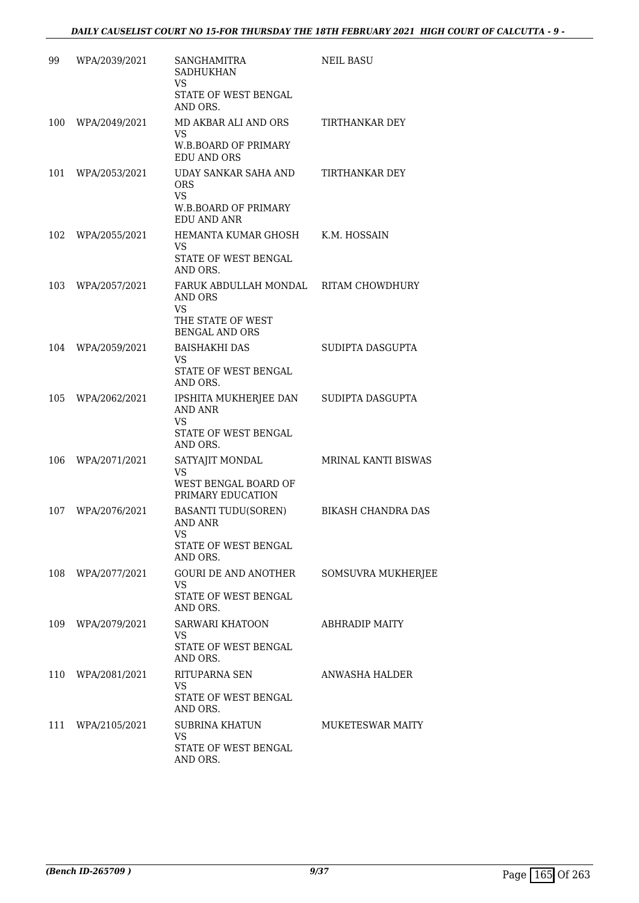| 99  | WPA/2039/2021     | <b>SANGHAMITRA</b><br><b>SADHUKHAN</b><br>VS                                                                | <b>NEIL BASU</b>           |
|-----|-------------------|-------------------------------------------------------------------------------------------------------------|----------------------------|
|     |                   | STATE OF WEST BENGAL<br>AND ORS.                                                                            |                            |
| 100 | WPA/2049/2021     | MD AKBAR ALI AND ORS<br>VS.<br><b>W.B.BOARD OF PRIMARY</b><br><b>EDU AND ORS</b>                            | TIRTHANKAR DEY             |
| 101 | WPA/2053/2021     | UDAY SANKAR SAHA AND<br><b>ORS</b><br><b>VS</b>                                                             | TIRTHANKAR DEY             |
|     |                   | <b>W.B.BOARD OF PRIMARY</b><br><b>EDU AND ANR</b>                                                           |                            |
| 102 | WPA/2055/2021     | HEMANTA KUMAR GHOSH<br>VS.<br>STATE OF WEST BENGAL<br>AND ORS.                                              | K.M. HOSSAIN               |
| 103 | WPA/2057/2021     | FARUK ABDULLAH MONDAL RITAM CHOWDHURY<br><b>AND ORS</b><br>VS<br>THE STATE OF WEST<br><b>BENGAL AND ORS</b> |                            |
| 104 | WPA/2059/2021     | <b>BAISHAKHI DAS</b><br>VS.<br>STATE OF WEST BENGAL<br>AND ORS.                                             | SUDIPTA DASGUPTA           |
| 105 | WPA/2062/2021     | IPSHITA MUKHERJEE DAN<br><b>AND ANR</b><br>VS.<br>STATE OF WEST BENGAL<br>AND ORS.                          | SUDIPTA DASGUPTA           |
| 106 | WPA/2071/2021     | SATYAJIT MONDAL<br>VS<br>WEST BENGAL BOARD OF<br>PRIMARY EDUCATION                                          | <b>MRINAL KANTI BISWAS</b> |
| 107 | WPA/2076/2021     | <b>BASANTI TUDU(SOREN)</b><br><b>AND ANR</b><br>VS<br>STATE OF WEST BENGAL<br>AND ORS.                      | BIKASH CHANDRA DAS         |
|     | 108 WPA/2077/2021 | GOURI DE AND ANOTHER<br>VS.<br>STATE OF WEST BENGAL<br>AND ORS.                                             | SOMSUVRA MUKHERJEE         |
|     | 109 WPA/2079/2021 | SARWARI KHATOON<br>VS.<br>STATE OF WEST BENGAL<br>AND ORS.                                                  | <b>ABHRADIP MAITY</b>      |
|     | 110 WPA/2081/2021 | RITUPARNA SEN<br>VS.<br>STATE OF WEST BENGAL<br>AND ORS.                                                    | ANWASHA HALDER             |
|     | 111 WPA/2105/2021 | SUBRINA KHATUN<br>VS.<br>STATE OF WEST BENGAL<br>AND ORS.                                                   | <b>MUKETESWAR MAITY</b>    |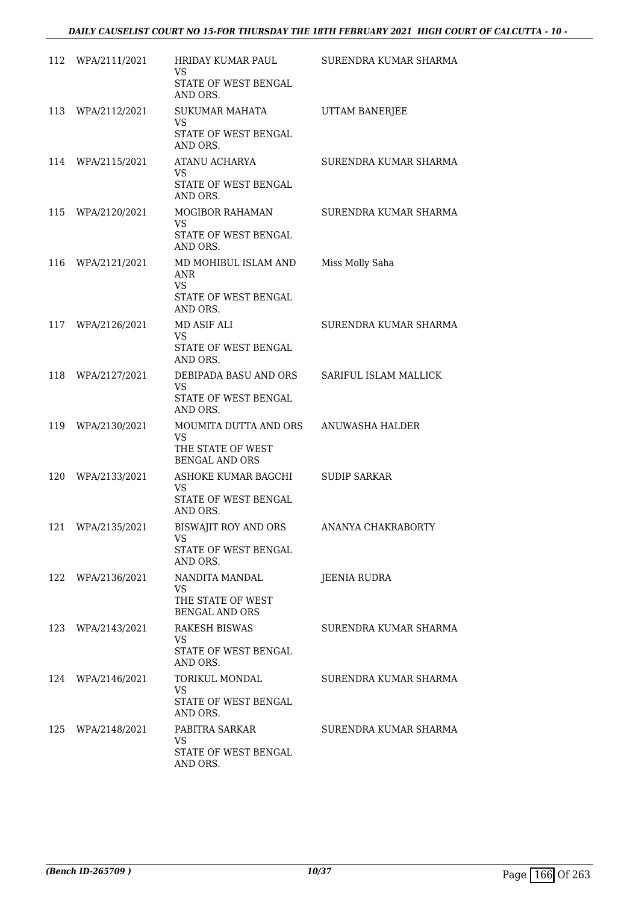| 112 | WPA/2111/2021 | <b>HRIDAY KUMAR PAUL</b><br>VS.<br>STATE OF WEST BENGAL<br>AND ORS.                 | SURENDRA KUMAR SHARMA |
|-----|---------------|-------------------------------------------------------------------------------------|-----------------------|
| 113 | WPA/2112/2021 | <b>SUKUMAR MAHATA</b><br>VS.<br>STATE OF WEST BENGAL<br>AND ORS.                    | UTTAM BANERJEE        |
| 114 | WPA/2115/2021 | ATANU ACHARYA<br>VS<br>STATE OF WEST BENGAL<br>AND ORS.                             | SURENDRA KUMAR SHARMA |
| 115 | WPA/2120/2021 | MOGIBOR RAHAMAN<br><b>VS</b><br>STATE OF WEST BENGAL<br>AND ORS.                    | SURENDRA KUMAR SHARMA |
| 116 | WPA/2121/2021 | MD MOHIBUL ISLAM AND<br><b>ANR</b><br><b>VS</b><br>STATE OF WEST BENGAL<br>AND ORS. | Miss Molly Saha       |
| 117 | WPA/2126/2021 | MD ASIF ALI<br><b>VS</b><br>STATE OF WEST BENGAL<br>AND ORS.                        | SURENDRA KUMAR SHARMA |
| 118 | WPA/2127/2021 | DEBIPADA BASU AND ORS<br><b>VS</b><br>STATE OF WEST BENGAL<br>AND ORS.              | SARIFUL ISLAM MALLICK |
| 119 | WPA/2130/2021 | MOUMITA DUTTA AND ORS<br><b>VS</b><br>THE STATE OF WEST<br><b>BENGAL AND ORS</b>    | ANUWASHA HALDER       |
| 120 | WPA/2133/2021 | ASHOKE KUMAR BAGCHI<br><b>VS</b><br>STATE OF WEST BENGAL<br>AND ORS.                | <b>SUDIP SARKAR</b>   |
| 121 | WPA/2135/2021 | BISWAJIT ROY AND ORS<br>VS<br>STATE OF WEST BENGAL<br>AND ORS.                      | ANANYA CHAKRABORTY    |
| 122 | WPA/2136/2021 | NANDITA MANDAL<br>VS.<br>THE STATE OF WEST<br><b>BENGAL AND ORS</b>                 | JEENIA RUDRA          |
| 123 | WPA/2143/2021 | RAKESH BISWAS<br>VS.<br>STATE OF WEST BENGAL<br>AND ORS.                            | SURENDRA KUMAR SHARMA |
| 124 | WPA/2146/2021 | TORIKUL MONDAL<br><b>VS</b><br>STATE OF WEST BENGAL<br>AND ORS.                     | SURENDRA KUMAR SHARMA |
| 125 | WPA/2148/2021 | PABITRA SARKAR<br>VS.<br>STATE OF WEST BENGAL<br>AND ORS.                           | SURENDRA KUMAR SHARMA |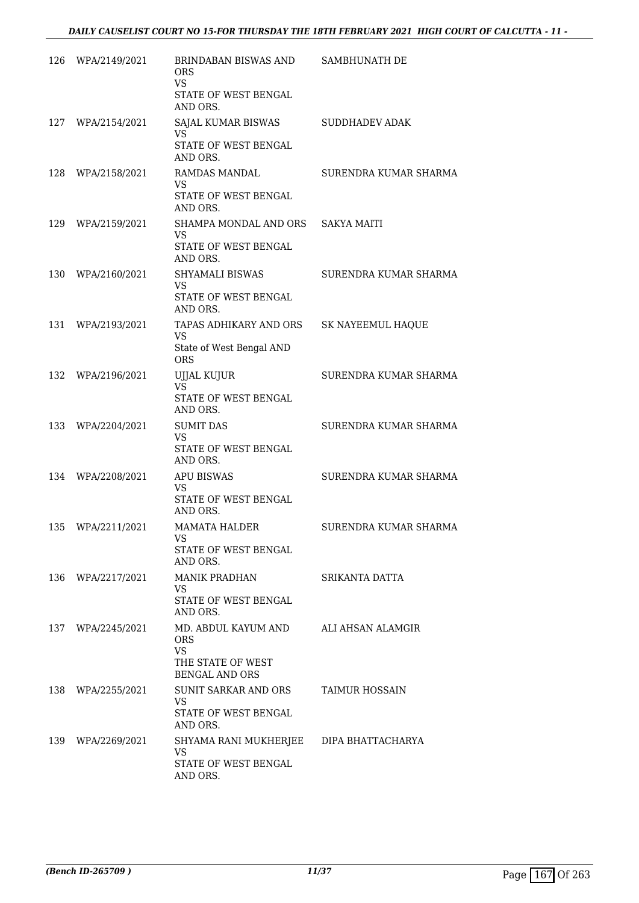| 126 | WPA/2149/2021 | BRINDABAN BISWAS AND<br><b>ORS</b><br><b>VS</b><br>STATE OF WEST BENGAL<br>AND ORS.          | SAMBHUNATH DE         |
|-----|---------------|----------------------------------------------------------------------------------------------|-----------------------|
| 127 | WPA/2154/2021 | SAJAL KUMAR BISWAS<br><b>VS</b><br>STATE OF WEST BENGAL<br>AND ORS.                          | <b>SUDDHADEV ADAK</b> |
| 128 | WPA/2158/2021 | <b>RAMDAS MANDAL</b><br>VS.<br>STATE OF WEST BENGAL<br>AND ORS.                              | SURENDRA KUMAR SHARMA |
| 129 | WPA/2159/2021 | SHAMPA MONDAL AND ORS<br><b>VS</b><br>STATE OF WEST BENGAL<br>AND ORS.                       | <b>SAKYA MAITI</b>    |
| 130 | WPA/2160/2021 | SHYAMALI BISWAS<br>VS<br>STATE OF WEST BENGAL<br>AND ORS.                                    | SURENDRA KUMAR SHARMA |
| 131 | WPA/2193/2021 | TAPAS ADHIKARY AND ORS<br>VS<br>State of West Bengal AND<br><b>ORS</b>                       | SK NAYEEMUL HAQUE     |
| 132 | WPA/2196/2021 | UJJAL KUJUR<br><b>VS</b><br>STATE OF WEST BENGAL<br>AND ORS.                                 | SURENDRA KUMAR SHARMA |
| 133 | WPA/2204/2021 | <b>SUMIT DAS</b><br><b>VS</b><br>STATE OF WEST BENGAL<br>AND ORS.                            | SURENDRA KUMAR SHARMA |
| 134 | WPA/2208/2021 | <b>APU BISWAS</b><br>VS.<br>STATE OF WEST BENGAL<br>AND ORS.                                 | SURENDRA KUMAR SHARMA |
| 135 | WPA/2211/2021 | MAMATA HALDER<br><b>VS</b><br>STATE OF WEST BENGAL<br>AND ORS.                               | SURENDRA KUMAR SHARMA |
| 136 | WPA/2217/2021 | <b>MANIK PRADHAN</b><br><b>VS</b><br>STATE OF WEST BENGAL<br>AND ORS.                        | SRIKANTA DATTA        |
| 137 | WPA/2245/2021 | MD. ABDUL KAYUM AND<br><b>ORS</b><br><b>VS</b><br>THE STATE OF WEST<br><b>BENGAL AND ORS</b> | ALI AHSAN ALAMGIR     |
| 138 | WPA/2255/2021 | SUNIT SARKAR AND ORS<br>VS<br>STATE OF WEST BENGAL<br>AND ORS.                               | TAIMUR HOSSAIN        |
| 139 | WPA/2269/2021 | SHYAMA RANI MUKHERJEE<br><b>VS</b><br>STATE OF WEST BENGAL<br>AND ORS.                       | DIPA BHATTACHARYA     |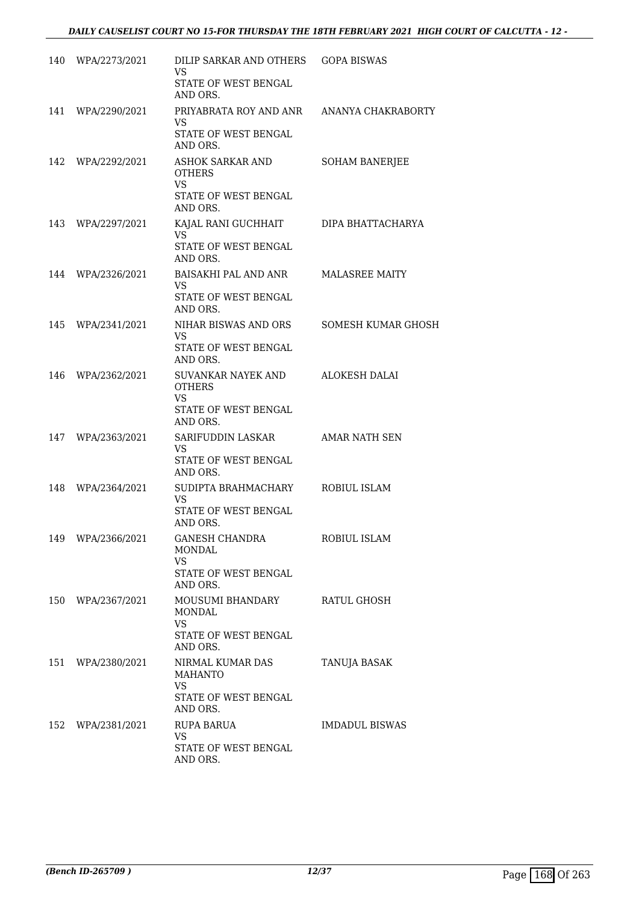|     | 140 WPA/2273/2021 | DILIP SARKAR AND OTHERS<br>VS<br>STATE OF WEST BENGAL<br>AND ORS.                         | <b>GOPA BISWAS</b>    |
|-----|-------------------|-------------------------------------------------------------------------------------------|-----------------------|
| 141 | WPA/2290/2021     | PRIYABRATA ROY AND ANR<br>VS<br>STATE OF WEST BENGAL<br>AND ORS.                          | ANANYA CHAKRABORTY    |
|     | 142 WPA/2292/2021 | ASHOK SARKAR AND<br><b>OTHERS</b><br><b>VS</b><br><b>STATE OF WEST BENGAL</b><br>AND ORS. | SOHAM BANERJEE        |
| 143 | WPA/2297/2021     | KAJAL RANI GUCHHAIT<br><b>VS</b><br>STATE OF WEST BENGAL<br>AND ORS.                      | DIPA BHATTACHARYA     |
| 144 | WPA/2326/2021     | BAISAKHI PAL AND ANR<br>VS<br>STATE OF WEST BENGAL<br>AND ORS.                            | <b>MALASREE MAITY</b> |
| 145 | WPA/2341/2021     | NIHAR BISWAS AND ORS<br>VS<br>STATE OF WEST BENGAL<br>AND ORS.                            | SOMESH KUMAR GHOSH    |
| 146 | WPA/2362/2021     | SUVANKAR NAYEK AND<br><b>OTHERS</b><br>VS<br>STATE OF WEST BENGAL<br>AND ORS.             | <b>ALOKESH DALAI</b>  |
| 147 | WPA/2363/2021     | SARIFUDDIN LASKAR<br>VS.<br>STATE OF WEST BENGAL<br>AND ORS.                              | AMAR NATH SEN         |
| 148 | WPA/2364/2021     | SUDIPTA BRAHMACHARY<br>VS.<br>STATE OF WEST BENGAL<br>AND ORS.                            | ROBIUL ISLAM          |
|     | 149 WPA/2366/2021 | GANESH CHANDRA<br>MONDAL<br>VS.<br>STATE OF WEST BENGAL<br>AND ORS.                       | ROBIUL ISLAM          |
| 150 | WPA/2367/2021     | MOUSUMI BHANDARY<br>MONDAL<br><b>VS</b><br>STATE OF WEST BENGAL<br>AND ORS.               | RATUL GHOSH           |
| 151 | WPA/2380/2021     | NIRMAL KUMAR DAS<br><b>MAHANTO</b><br>VS.<br>STATE OF WEST BENGAL<br>AND ORS.             | TANUJA BASAK          |
|     | 152 WPA/2381/2021 | RUPA BARUA<br><b>VS</b><br>STATE OF WEST BENGAL<br>AND ORS.                               | <b>IMDADUL BISWAS</b> |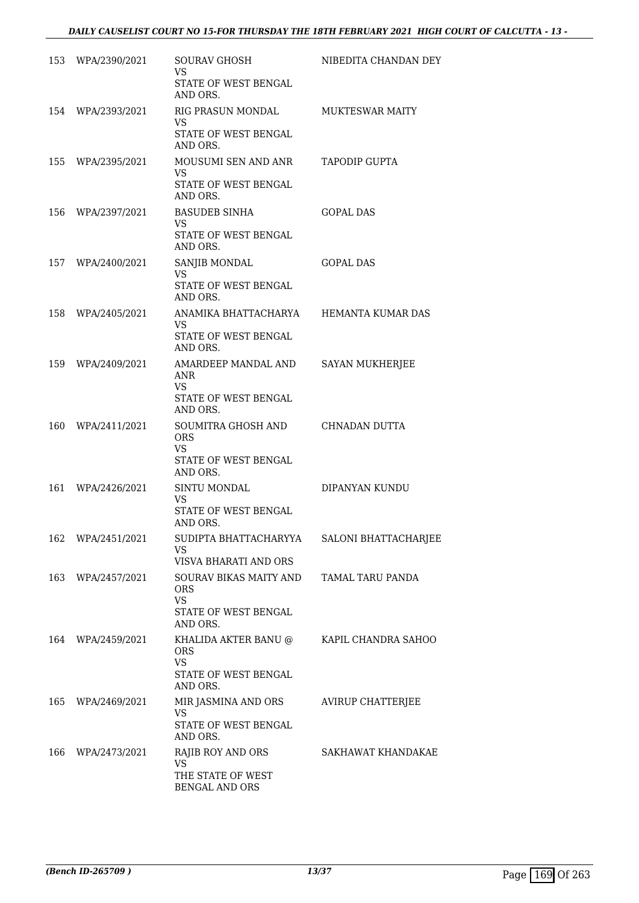|     | 153 WPA/2390/2021 | <b>SOURAV GHOSH</b><br>VS.<br>STATE OF WEST BENGAL<br>AND ORS.                        | NIBEDITA CHANDAN DEY   |
|-----|-------------------|---------------------------------------------------------------------------------------|------------------------|
|     | 154 WPA/2393/2021 | RIG PRASUN MONDAL<br><b>VS</b><br>STATE OF WEST BENGAL<br>AND ORS.                    | <b>MUKTESWAR MAITY</b> |
|     | 155 WPA/2395/2021 | MOUSUMI SEN AND ANR<br>VS.<br>STATE OF WEST BENGAL<br>AND ORS.                        | TAPODIP GUPTA          |
|     | 156 WPA/2397/2021 | <b>BASUDEB SINHA</b><br>VS.<br>STATE OF WEST BENGAL<br>AND ORS.                       | <b>GOPAL DAS</b>       |
|     | 157 WPA/2400/2021 | SANJIB MONDAL<br><b>VS</b><br><b>STATE OF WEST BENGAL</b><br>AND ORS.                 | <b>GOPAL DAS</b>       |
| 158 | WPA/2405/2021     | ANAMIKA BHATTACHARYA<br>VS.<br>STATE OF WEST BENGAL<br>AND ORS.                       | HEMANTA KUMAR DAS      |
| 159 | WPA/2409/2021     | AMARDEEP MANDAL AND<br><b>ANR</b><br>VS<br>STATE OF WEST BENGAL<br>AND ORS.           | <b>SAYAN MUKHERJEE</b> |
| 160 | WPA/2411/2021     | SOUMITRA GHOSH AND<br><b>ORS</b><br>VS.<br>STATE OF WEST BENGAL<br>AND ORS.           | CHNADAN DUTTA          |
| 161 | WPA/2426/2021     | SINTU MONDAL<br><b>VS</b><br>STATE OF WEST BENGAL<br>AND ORS.                         | DIPANYAN KUNDU         |
| 162 | WPA/2451/2021     | SUDIPTA BHATTACHARYYA<br>VS.<br>VISVA BHARATI AND ORS                                 | SALONI BHATTACHARJEE   |
| 163 | WPA/2457/2021     | SOURAV BIKAS MAITY AND<br><b>ORS</b><br><b>VS</b><br>STATE OF WEST BENGAL<br>AND ORS. | TAMAL TARU PANDA       |
| 164 | WPA/2459/2021     | KHALIDA AKTER BANU @<br><b>ORS</b><br><b>VS</b><br>STATE OF WEST BENGAL<br>AND ORS.   | KAPIL CHANDRA SAHOO    |
| 165 | WPA/2469/2021     | MIR JASMINA AND ORS<br>VS.<br>STATE OF WEST BENGAL<br>AND ORS.                        | AVIRUP CHATTERJEE      |
| 166 | WPA/2473/2021     | RAJIB ROY AND ORS<br>VS.<br>THE STATE OF WEST<br>BENGAL AND ORS                       | SAKHAWAT KHANDAKAE     |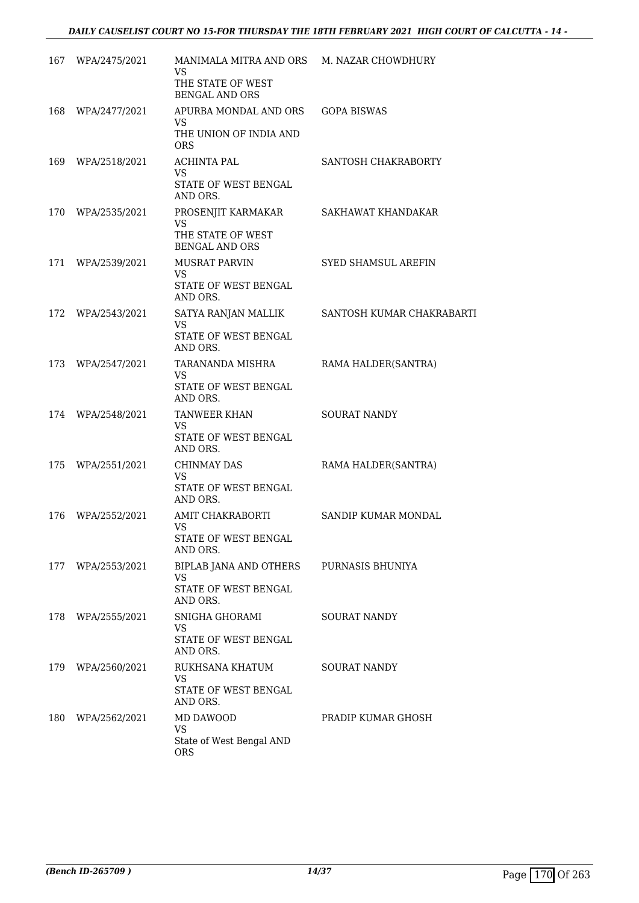| 167 | WPA/2475/2021     | MANIMALA MITRA AND ORS<br>VS.              | M. NAZAR CHOWDHURY        |
|-----|-------------------|--------------------------------------------|---------------------------|
|     |                   | THE STATE OF WEST<br><b>BENGAL AND ORS</b> |                           |
| 168 | WPA/2477/2021     | APURBA MONDAL AND ORS<br>VS.               | <b>GOPA BISWAS</b>        |
|     |                   | THE UNION OF INDIA AND<br><b>ORS</b>       |                           |
| 169 | WPA/2518/2021     | <b>ACHINTA PAL</b><br>VS.                  | SANTOSH CHAKRABORTY       |
|     |                   | STATE OF WEST BENGAL<br>AND ORS.           |                           |
| 170 | WPA/2535/2021     | PROSENJIT KARMAKAR<br><b>VS</b>            | SAKHAWAT KHANDAKAR        |
|     |                   | THE STATE OF WEST<br><b>BENGAL AND ORS</b> |                           |
| 171 | WPA/2539/2021     | MUSRAT PARVIN<br>VS.                       | SYED SHAMSUL AREFIN       |
|     |                   | STATE OF WEST BENGAL<br>AND ORS.           |                           |
| 172 | WPA/2543/2021     | SATYA RANJAN MALLIK<br><b>VS</b>           | SANTOSH KUMAR CHAKRABARTI |
|     |                   | STATE OF WEST BENGAL<br>AND ORS.           |                           |
| 173 | WPA/2547/2021     | TARANANDA MISHRA<br>VS.                    | RAMA HALDER(SANTRA)       |
|     |                   | STATE OF WEST BENGAL<br>AND ORS.           |                           |
| 174 | WPA/2548/2021     | <b>TANWEER KHAN</b><br>VS                  | <b>SOURAT NANDY</b>       |
|     |                   | STATE OF WEST BENGAL<br>AND ORS.           |                           |
| 175 | WPA/2551/2021     | <b>CHINMAY DAS</b><br>VS                   | RAMA HALDER(SANTRA)       |
|     |                   | STATE OF WEST BENGAL<br>AND ORS.           |                           |
| 176 | WPA/2552/2021     | AMIT CHAKRABORTI<br>VS                     | SANDIP KUMAR MONDAL       |
|     |                   | STATE OF WEST BENGAL<br>AND ORS.           |                           |
|     | 177 WPA/2553/2021 | BIPLAB JANA AND OTHERS<br>VS               | PURNASIS BHUNIYA          |
|     |                   | STATE OF WEST BENGAL<br>AND ORS.           |                           |
| 178 | WPA/2555/2021     | SNIGHA GHORAMI<br>VS.                      | <b>SOURAT NANDY</b>       |
|     |                   | STATE OF WEST BENGAL<br>AND ORS.           |                           |
| 179 | WPA/2560/2021     | RUKHSANA KHATUM<br>VS.                     | <b>SOURAT NANDY</b>       |
|     |                   | STATE OF WEST BENGAL<br>AND ORS.           |                           |
| 180 | WPA/2562/2021     | MD DAWOOD<br>VS.                           | PRADIP KUMAR GHOSH        |
|     |                   | State of West Bengal AND<br><b>ORS</b>     |                           |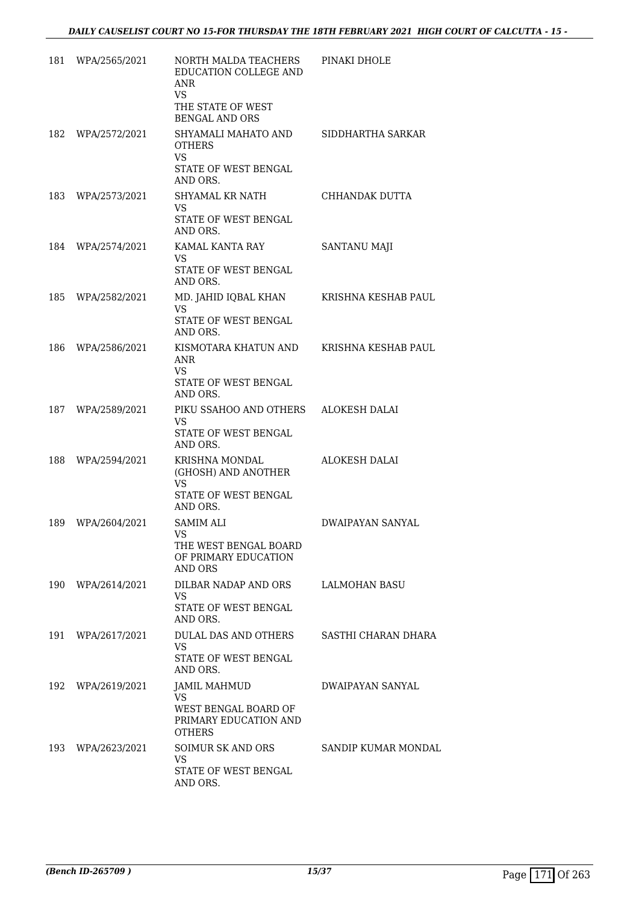| 181 | WPA/2565/2021     | NORTH MALDA TEACHERS<br>EDUCATION COLLEGE AND<br><b>ANR</b><br>VS.<br>THE STATE OF WEST<br><b>BENGAL AND ORS</b> | PINAKI DHOLE         |
|-----|-------------------|------------------------------------------------------------------------------------------------------------------|----------------------|
| 182 | WPA/2572/2021     | SHYAMALI MAHATO AND<br><b>OTHERS</b><br><b>VS</b><br>STATE OF WEST BENGAL<br>AND ORS.                            | SIDDHARTHA SARKAR    |
| 183 | WPA/2573/2021     | SHYAMAL KR NATH<br>VS.<br>STATE OF WEST BENGAL<br>AND ORS.                                                       | CHHANDAK DUTTA       |
| 184 | WPA/2574/2021     | KAMAL KANTA RAY<br>VS.<br>STATE OF WEST BENGAL<br>AND ORS.                                                       | <b>SANTANU MAJI</b>  |
| 185 | WPA/2582/2021     | MD. JAHID IQBAL KHAN<br>VS.<br>STATE OF WEST BENGAL<br>AND ORS.                                                  | KRISHNA KESHAB PAUL  |
| 186 | WPA/2586/2021     | KISMOTARA KHATUN AND<br><b>ANR</b><br>VS.<br>STATE OF WEST BENGAL<br>AND ORS.                                    | KRISHNA KESHAB PAUL  |
| 187 | WPA/2589/2021     | PIKU SSAHOO AND OTHERS<br><b>VS</b><br>STATE OF WEST BENGAL<br>AND ORS.                                          | ALOKESH DALAI        |
| 188 | WPA/2594/2021     | KRISHNA MONDAL<br>(GHOSH) AND ANOTHER<br>VS.<br>STATE OF WEST BENGAL<br>AND ORS.                                 | <b>ALOKESH DALAI</b> |
| 189 | WPA/2604/2021     | <b>SAMIM ALI</b><br>VS FOR THE VS<br>THE WEST BENGAL BOARD<br>OF PRIMARY EDUCATION<br>AND ORS                    | DWAIPAYAN SANYAL     |
|     | 190 WPA/2614/2021 | DILBAR NADAP AND ORS<br>VS.<br>STATE OF WEST BENGAL<br>AND ORS.                                                  | LALMOHAN BASU        |
|     | 191 WPA/2617/2021 | DULAL DAS AND OTHERS<br><b>VS</b><br>STATE OF WEST BENGAL<br>AND ORS.                                            | SASTHI CHARAN DHARA  |
|     | 192 WPA/2619/2021 | <b>JAMIL MAHMUD</b><br>VS.<br>WEST BENGAL BOARD OF<br>PRIMARY EDUCATION AND<br><b>OTHERS</b>                     | DWAIPAYAN SANYAL     |
|     | 193 WPA/2623/2021 | SOIMUR SK AND ORS<br>VS.<br>STATE OF WEST BENGAL<br>AND ORS.                                                     | SANDIP KUMAR MONDAL  |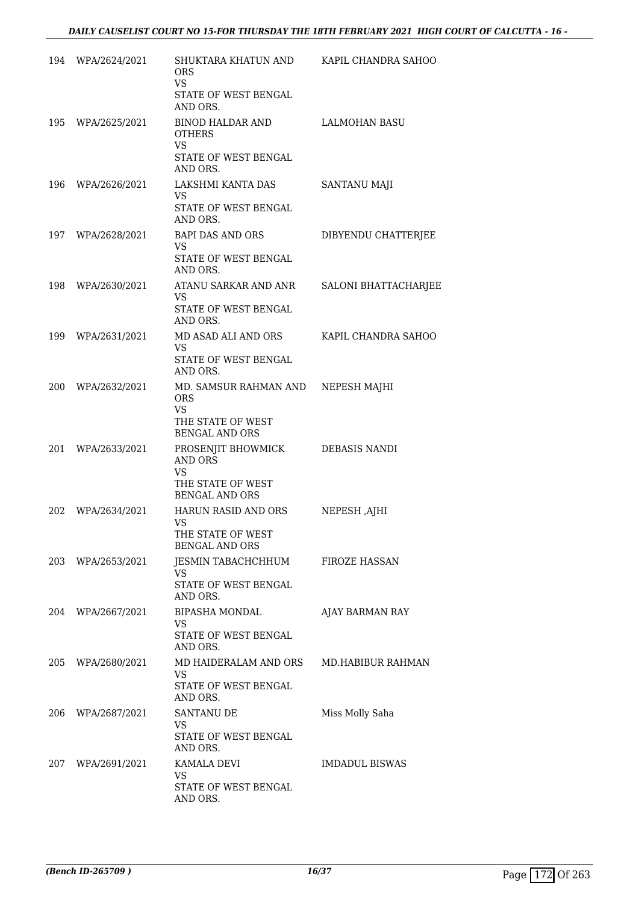| 194 | WPA/2624/2021     | SHUKTARA KHATUN AND<br><b>ORS</b><br><b>VS</b>                                                 | KAPIL CHANDRA SAHOO   |
|-----|-------------------|------------------------------------------------------------------------------------------------|-----------------------|
|     |                   | STATE OF WEST BENGAL<br>AND ORS.                                                               |                       |
| 195 | WPA/2625/2021     | <b>BINOD HALDAR AND</b><br><b>OTHERS</b><br><b>VS</b>                                          | <b>LALMOHAN BASU</b>  |
|     |                   | STATE OF WEST BENGAL<br>AND ORS.                                                               |                       |
| 196 | WPA/2626/2021     | LAKSHMI KANTA DAS<br>VS.<br>STATE OF WEST BENGAL<br>AND ORS.                                   | <b>SANTANU MAJI</b>   |
| 197 | WPA/2628/2021     | BAPI DAS AND ORS<br><b>VS</b><br>STATE OF WEST BENGAL<br>AND ORS.                              | DIBYENDU CHATTERJEE   |
| 198 | WPA/2630/2021     | ATANU SARKAR AND ANR<br>VS.<br>STATE OF WEST BENGAL<br>AND ORS.                                | SALONI BHATTACHARJEE  |
| 199 | WPA/2631/2021     | MD ASAD ALI AND ORS<br>VS.<br>STATE OF WEST BENGAL<br>AND ORS.                                 | KAPIL CHANDRA SAHOO   |
|     | 200 WPA/2632/2021 | MD. SAMSUR RAHMAN AND<br><b>ORS</b><br><b>VS</b><br>THE STATE OF WEST<br><b>BENGAL AND ORS</b> | NEPESH MAJHI          |
| 201 | WPA/2633/2021     | PROSENJIT BHOWMICK<br>AND ORS<br><b>VS</b><br>THE STATE OF WEST<br><b>BENGAL AND ORS</b>       | DEBASIS NANDI         |
| 202 | WPA/2634/2021     | HARUN RASID AND ORS<br>VS<br>THE STATE OF WEST<br><b>BENGAL AND ORS</b>                        | NEPESH, AJHI          |
|     | 203 WPA/2653/2021 | JESMIN TABACHCHHUM<br>VS.<br>STATE OF WEST BENGAL<br>AND ORS.                                  | <b>FIROZE HASSAN</b>  |
|     | 204 WPA/2667/2021 | <b>BIPASHA MONDAL</b><br>VS.<br>STATE OF WEST BENGAL<br>AND ORS.                               | AJAY BARMAN RAY       |
|     | 205 WPA/2680/2021 | MD HAIDERALAM AND ORS<br>VS.<br>STATE OF WEST BENGAL<br>AND ORS.                               | MD.HABIBUR RAHMAN     |
| 206 | WPA/2687/2021     | SANTANU DE<br>VS<br>STATE OF WEST BENGAL<br>AND ORS.                                           | Miss Molly Saha       |
|     | 207 WPA/2691/2021 | KAMALA DEVI<br>VS.<br>STATE OF WEST BENGAL<br>AND ORS.                                         | <b>IMDADUL BISWAS</b> |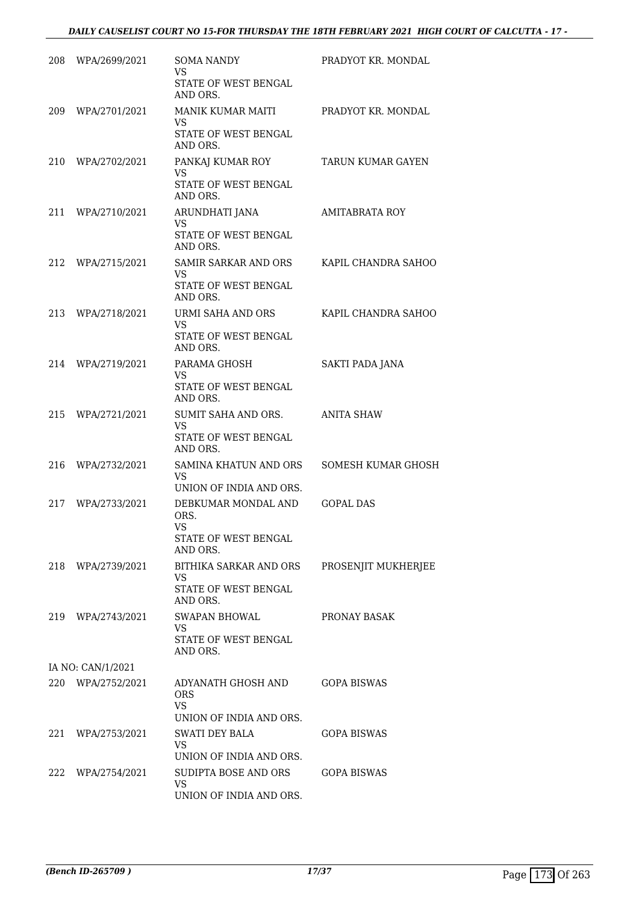| 208 | WPA/2699/2021     | <b>SOMA NANDY</b><br>VS<br>STATE OF WEST BENGAL<br>AND ORS.                        | PRADYOT KR. MONDAL        |
|-----|-------------------|------------------------------------------------------------------------------------|---------------------------|
| 209 | WPA/2701/2021     | MANIK KUMAR MAITI<br>VS<br>STATE OF WEST BENGAL<br>AND ORS.                        | PRADYOT KR. MONDAL        |
| 210 | WPA/2702/2021     | PANKAJ KUMAR ROY<br>VS<br><b>STATE OF WEST BENGAL</b>                              | TARUN KUMAR GAYEN         |
| 211 | WPA/2710/2021     | AND ORS.<br>ARUNDHATI JANA<br>VS<br>STATE OF WEST BENGAL<br>AND ORS.               | <b>AMITABRATA ROY</b>     |
| 212 | WPA/2715/2021     | <b>SAMIR SARKAR AND ORS</b><br>VS.<br>STATE OF WEST BENGAL<br>AND ORS.             | KAPIL CHANDRA SAHOO       |
| 213 | WPA/2718/2021     | URMI SAHA AND ORS<br><b>VS</b><br>STATE OF WEST BENGAL<br>AND ORS.                 | KAPIL CHANDRA SAHOO       |
| 214 | WPA/2719/2021     | PARAMA GHOSH<br>VS.<br>STATE OF WEST BENGAL<br>AND ORS.                            | <b>SAKTI PADA JANA</b>    |
| 215 | WPA/2721/2021     | SUMIT SAHA AND ORS.<br>VS<br>STATE OF WEST BENGAL<br>AND ORS.                      | <b>ANITA SHAW</b>         |
| 216 | WPA/2732/2021     | SAMINA KHATUN AND ORS<br>VS<br>UNION OF INDIA AND ORS.                             | <b>SOMESH KUMAR GHOSH</b> |
| 217 | WPA/2733/2021     | DEBKUMAR MONDAL AND<br>ORS.<br>VS<br>STATE OF WEST BENGAL<br>AND ORS.              | <b>GOPAL DAS</b>          |
|     | 218 WPA/2739/2021 | BITHIKA SARKAR AND ORS<br>VS.<br><b>STATE OF WEST BENGAL</b><br>AND ORS.           | PROSENJIT MUKHERJEE       |
|     | 219 WPA/2743/2021 | SWAPAN BHOWAL<br>VS.<br><b>STATE OF WEST BENGAL</b><br>AND ORS.                    | PRONAY BASAK              |
|     | IA NO: CAN/1/2021 |                                                                                    |                           |
|     | 220 WPA/2752/2021 | ADYANATH GHOSH AND<br><b>ORS</b><br><b>VS</b>                                      | <b>GOPA BISWAS</b>        |
| 221 | WPA/2753/2021     | UNION OF INDIA AND ORS.<br><b>SWATI DEY BALA</b><br>VS.<br>UNION OF INDIA AND ORS. | GOPA BISWAS               |
|     | 222 WPA/2754/2021 | SUDIPTA BOSE AND ORS<br><b>VS</b><br>UNION OF INDIA AND ORS.                       | <b>GOPA BISWAS</b>        |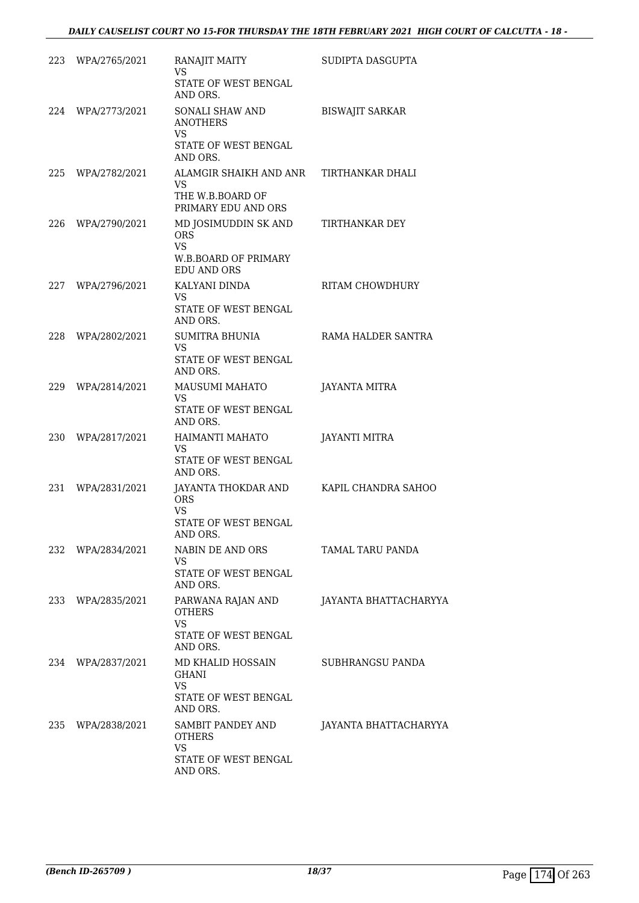|     | 223 WPA/2765/2021 | RANAJIT MAITY<br>VS<br>STATE OF WEST BENGAL<br>AND ORS.                                                                     | SUDIPTA DASGUPTA       |
|-----|-------------------|-----------------------------------------------------------------------------------------------------------------------------|------------------------|
|     | 224 WPA/2773/2021 | SONALI SHAW AND<br><b>ANOTHERS</b><br>VS.<br>STATE OF WEST BENGAL<br>AND ORS.                                               | <b>BISWAJIT SARKAR</b> |
| 225 | WPA/2782/2021     | ALAMGIR SHAIKH AND ANR<br>VS.<br>THE W.B.BOARD OF                                                                           | TIRTHANKAR DHALI       |
| 226 | WPA/2790/2021     | PRIMARY EDU AND ORS<br>MD JOSIMUDDIN SK AND<br><b>ORS</b><br><b>VS</b><br><b>W.B.BOARD OF PRIMARY</b><br><b>EDU AND ORS</b> | TIRTHANKAR DEY         |
| 227 | WPA/2796/2021     | KALYANI DINDA<br>VS.<br><b>STATE OF WEST BENGAL</b><br>AND ORS.                                                             | <b>RITAM CHOWDHURY</b> |
| 228 | WPA/2802/2021     | SUMITRA BHUNIA<br>VS.<br>STATE OF WEST BENGAL<br>AND ORS.                                                                   | RAMA HALDER SANTRA     |
| 229 | WPA/2814/2021     | MAUSUMI MAHATO<br>VS<br>STATE OF WEST BENGAL<br>AND ORS.                                                                    | JAYANTA MITRA          |
| 230 | WPA/2817/2021     | HAIMANTI MAHATO<br><b>VS</b><br>STATE OF WEST BENGAL<br>AND ORS.                                                            | <b>JAYANTI MITRA</b>   |
| 231 | WPA/2831/2021     | JAYANTA THOKDAR AND<br><b>ORS</b><br>VS<br><b>STATE OF WEST BENGAL</b><br>AND ORS.                                          | KAPIL CHANDRA SAHOO    |
|     | 232 WPA/2834/2021 | NABIN DE AND ORS<br>VS.<br>STATE OF WEST BENGAL                                                                             | TAMAL TARU PANDA       |
|     | 233 WPA/2835/2021 | AND ORS.<br>PARWANA RAJAN AND<br><b>OTHERS</b><br><b>VS</b>                                                                 | JAYANTA BHATTACHARYYA  |
|     |                   | STATE OF WEST BENGAL<br>AND ORS.                                                                                            |                        |
|     | 234 WPA/2837/2021 | MD KHALID HOSSAIN<br><b>GHANI</b><br><b>VS</b><br>STATE OF WEST BENGAL<br>AND ORS.                                          | SUBHRANGSU PANDA       |
|     | 235 WPA/2838/2021 | SAMBIT PANDEY AND<br><b>OTHERS</b><br><b>VS</b><br>STATE OF WEST BENGAL<br>AND ORS.                                         | JAYANTA BHATTACHARYYA  |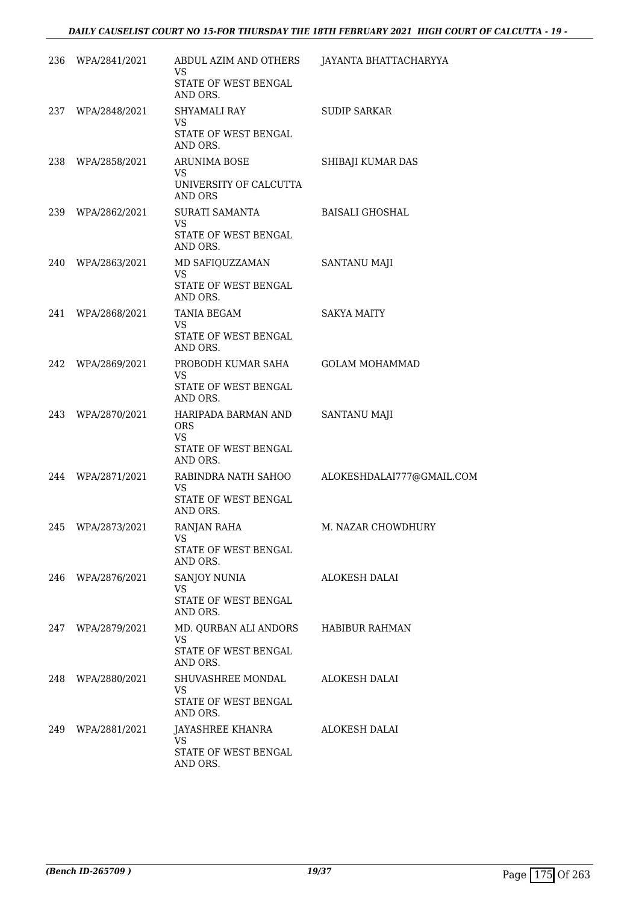|     | 236 WPA/2841/2021 | ABDUL AZIM AND OTHERS<br>VS                    | JAYANTA BHATTACHARYYA     |
|-----|-------------------|------------------------------------------------|---------------------------|
|     |                   | STATE OF WEST BENGAL<br>AND ORS.               |                           |
|     | 237 WPA/2848/2021 | SHYAMALI RAY<br><b>VS</b>                      | <b>SUDIP SARKAR</b>       |
|     |                   | STATE OF WEST BENGAL<br>AND ORS.               |                           |
|     | 238 WPA/2858/2021 | <b>ARUNIMA BOSE</b>                            | SHIBAJI KUMAR DAS         |
|     |                   | <b>VS</b><br>UNIVERSITY OF CALCUTTA<br>AND ORS |                           |
|     | 239 WPA/2862/2021 | SURATI SAMANTA                                 | BAISALI GHOSHAL           |
|     |                   | VS<br>STATE OF WEST BENGAL<br>AND ORS.         |                           |
|     | 240 WPA/2863/2021 | MD SAFIQUZZAMAN<br><b>VS</b>                   | <b>SANTANU MAJI</b>       |
|     |                   | STATE OF WEST BENGAL<br>AND ORS.               |                           |
| 241 | WPA/2868/2021     | TANIA BEGAM                                    | <b>SAKYA MAITY</b>        |
|     |                   | VS.<br>STATE OF WEST BENGAL<br>AND ORS.        |                           |
| 242 | WPA/2869/2021     | PROBODH KUMAR SAHA<br>VS.                      | <b>GOLAM MOHAMMAD</b>     |
|     |                   | STATE OF WEST BENGAL<br>AND ORS.               |                           |
|     | 243 WPA/2870/2021 | HARIPADA BARMAN AND<br>ORS<br>VS               | <b>SANTANU MAJI</b>       |
|     |                   | STATE OF WEST BENGAL<br>AND ORS.               |                           |
| 244 | WPA/2871/2021     | RABINDRA NATH SAHOO<br><b>VS</b>               | ALOKESHDALAI777@GMAIL.COM |
|     |                   | STATE OF WEST BENGAL<br>AND ORS.               |                           |
| 245 | WPA/2873/2021     | <b>RANJAN RAHA</b><br>VS                       | M. NAZAR CHOWDHURY        |
|     |                   | STATE OF WEST BENGAL<br>AND ORS.               |                           |
| 246 | WPA/2876/2021     | SANJOY NUNIA<br><b>VS</b>                      | ALOKESH DALAI             |
|     |                   | STATE OF WEST BENGAL<br>AND ORS.               |                           |
| 247 | WPA/2879/2021     | MD. QURBAN ALI ANDORS<br>VS.                   | HABIBUR RAHMAN            |
|     |                   | STATE OF WEST BENGAL<br>AND ORS.               |                           |
| 248 | WPA/2880/2021     | SHUVASHREE MONDAL<br><b>VS</b>                 | ALOKESH DALAI             |
|     |                   | STATE OF WEST BENGAL<br>AND ORS.               |                           |
| 249 | WPA/2881/2021     | JAYASHREE KHANRA<br>VS                         | ALOKESH DALAI             |
|     |                   | STATE OF WEST BENGAL<br>AND ORS.               |                           |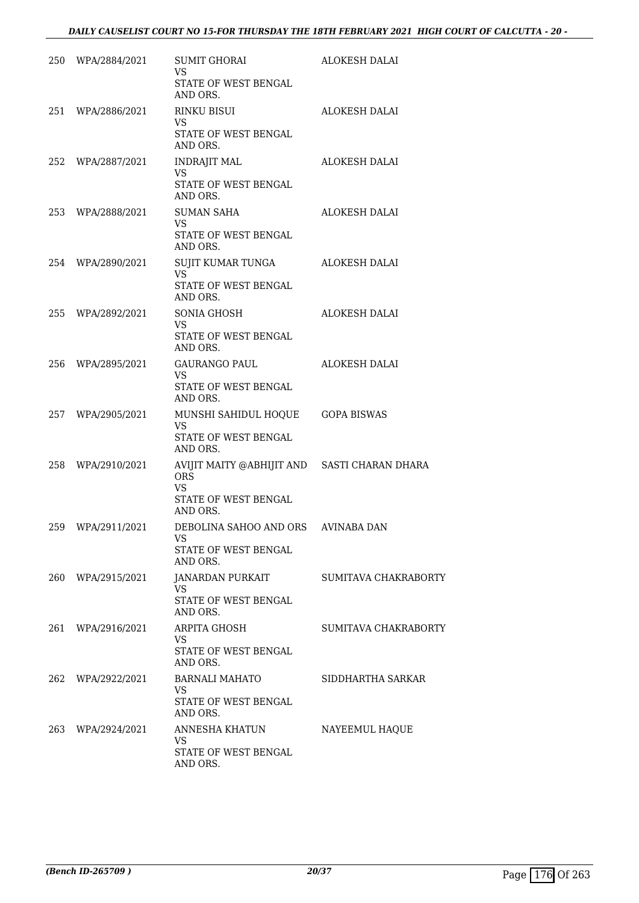|     | 250 WPA/2884/2021 | SUMIT GHORAI<br>VS<br>STATE OF WEST BENGAL                                                                  | ALOKESH DALAI        |
|-----|-------------------|-------------------------------------------------------------------------------------------------------------|----------------------|
|     | 251 WPA/2886/2021 | AND ORS.<br>RINKU BISUI<br>VS<br>STATE OF WEST BENGAL                                                       | ALOKESH DALAI        |
|     | 252 WPA/2887/2021 | AND ORS.<br><b>INDRAJIT MAL</b><br>VS<br>STATE OF WEST BENGAL                                               | ALOKESH DALAI        |
|     | 253 WPA/2888/2021 | AND ORS.<br><b>SUMAN SAHA</b><br><b>VS</b><br>STATE OF WEST BENGAL<br>AND ORS.                              | ALOKESH DALAI        |
|     | 254 WPA/2890/2021 | SUJIT KUMAR TUNGA<br><b>VS</b><br>STATE OF WEST BENGAL<br>AND ORS.                                          | ALOKESH DALAI        |
|     | 255 WPA/2892/2021 | SONIA GHOSH<br><b>VS</b><br>STATE OF WEST BENGAL<br>AND ORS.                                                | <b>ALOKESH DALAI</b> |
|     | 256 WPA/2895/2021 | GAURANGO PAUL<br><b>VS</b><br>STATE OF WEST BENGAL<br>AND ORS.                                              | ALOKESH DALAI        |
|     | 257 WPA/2905/2021 | MUNSHI SAHIDUL HOQUE GOPA BISWAS<br><b>VS</b><br>STATE OF WEST BENGAL<br>AND ORS.                           |                      |
|     | 258 WPA/2910/2021 | AVIJIT MAITY @ABHIJIT AND SASTI CHARAN DHARA<br><b>ORS</b><br><b>VS</b><br>STATE OF WEST BENGAL<br>AND ORS. |                      |
| 259 | WPA/2911/2021     | DEBOLINA SAHOO AND ORS<br><b>VS</b><br><b>STATE OF WEST BENGAL</b><br>AND ORS.                              | <b>AVINABA DAN</b>   |
| 260 | WPA/2915/2021     | JANARDAN PURKAIT<br><b>VS</b><br>STATE OF WEST BENGAL<br>AND ORS.                                           | SUMITAVA CHAKRABORTY |
| 261 | WPA/2916/2021     | <b>ARPITA GHOSH</b><br><b>VS</b><br>STATE OF WEST BENGAL<br>AND ORS.                                        | SUMITAVA CHAKRABORTY |
| 262 | WPA/2922/2021     | <b>BARNALI MAHATO</b><br>VS<br>STATE OF WEST BENGAL<br>AND ORS.                                             | SIDDHARTHA SARKAR    |
| 263 | WPA/2924/2021     | ANNESHA KHATUN<br><b>VS</b><br>STATE OF WEST BENGAL<br>AND ORS.                                             | NAYEEMUL HAQUE       |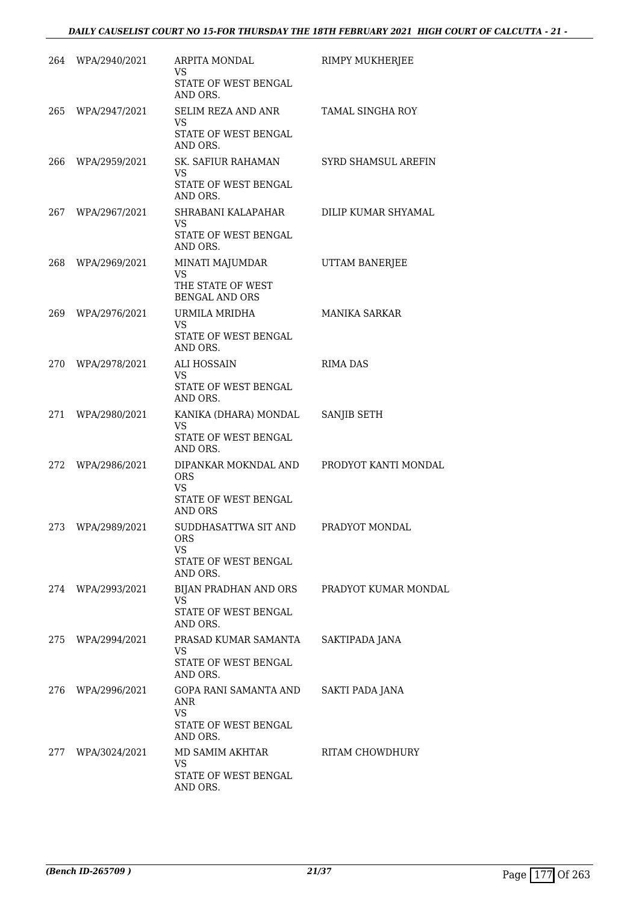|     | 264 WPA/2940/2021 | ARPITA MONDAL<br>VS.<br>STATE OF WEST BENGAL     | RIMPY MUKHERJEE        |
|-----|-------------------|--------------------------------------------------|------------------------|
|     |                   | AND ORS.                                         |                        |
|     | 265 WPA/2947/2021 | SELIM REZA AND ANR<br>VS                         | TAMAL SINGHA ROY       |
|     |                   | STATE OF WEST BENGAL<br>AND ORS.                 |                        |
| 266 | WPA/2959/2021     | SK. SAFIUR RAHAMAN<br><b>VS</b>                  | SYRD SHAMSUL AREFIN    |
|     |                   | STATE OF WEST BENGAL<br>AND ORS.                 |                        |
| 267 | WPA/2967/2021     | SHRABANI KALAPAHAR<br>VS.                        | DILIP KUMAR SHYAMAL    |
|     |                   | STATE OF WEST BENGAL<br>AND ORS.                 |                        |
| 268 | WPA/2969/2021     | MINATI MAJUMDAR<br><b>VS</b>                     | UTTAM BANERJEE         |
|     |                   | THE STATE OF WEST<br><b>BENGAL AND ORS</b>       |                        |
|     | 269 WPA/2976/2021 | URMILA MRIDHA<br>VS.                             | MANIKA SARKAR          |
|     |                   | STATE OF WEST BENGAL<br>AND ORS.                 |                        |
|     | 270 WPA/2978/2021 | ALI HOSSAIN<br><b>VS</b>                         | <b>RIMA DAS</b>        |
|     |                   | STATE OF WEST BENGAL<br>AND ORS.                 |                        |
| 271 | WPA/2980/2021     | KANIKA (DHARA) MONDAL<br><b>VS</b>               | SANJIB SETH            |
|     |                   | STATE OF WEST BENGAL<br>AND ORS.                 |                        |
| 272 | WPA/2986/2021     | DIPANKAR MOKNDAL AND<br><b>ORS</b>               | PRODYOT KANTI MONDAL   |
|     |                   | <b>VS</b><br>STATE OF WEST BENGAL                |                        |
|     |                   | <b>AND ORS</b>                                   |                        |
| 273 | WPA/2989/2021     | SUDDHASATTWA SIT AND<br>ORS<br>VS.               | PRADYOT MONDAL         |
|     |                   | <b>STATE OF WEST BENGAL</b><br>AND ORS.          |                        |
| 274 | WPA/2993/2021     | BIJAN PRADHAN AND ORS<br><b>VS</b>               | PRADYOT KUMAR MONDAL   |
|     |                   | STATE OF WEST BENGAL<br>AND ORS.                 |                        |
| 275 | WPA/2994/2021     | PRASAD KUMAR SAMANTA<br>VS                       | SAKTIPADA JANA         |
|     |                   | STATE OF WEST BENGAL<br>AND ORS.                 |                        |
| 276 | WPA/2996/2021     | GOPA RANI SAMANTA AND<br><b>ANR</b><br><b>VS</b> | <b>SAKTI PADA JANA</b> |
|     |                   | STATE OF WEST BENGAL<br>AND ORS.                 |                        |
| 277 | WPA/3024/2021     | MD SAMIM AKHTAR<br><b>VS</b>                     | RITAM CHOWDHURY        |
|     |                   | STATE OF WEST BENGAL<br>AND ORS.                 |                        |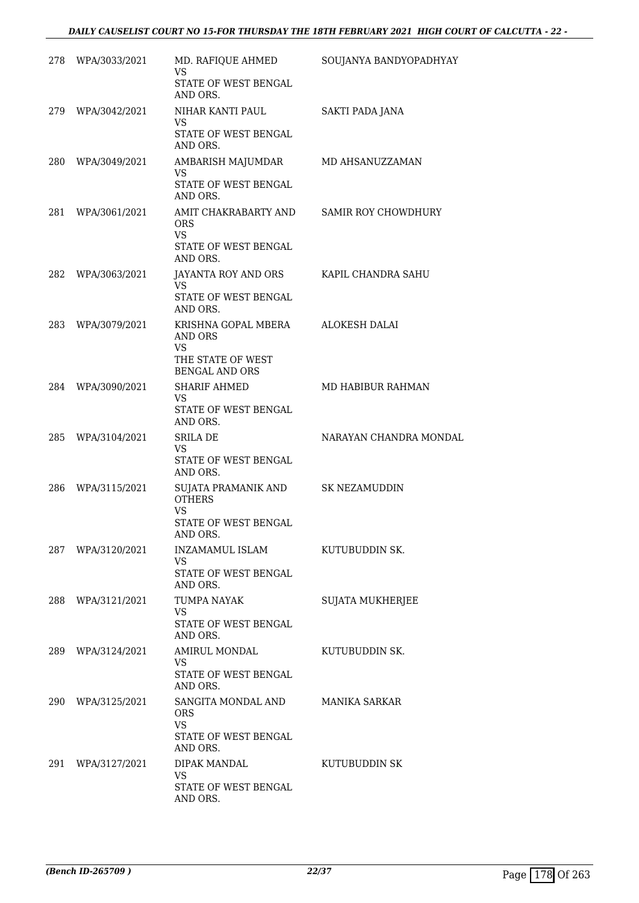| 278 | WPA/3033/2021 | MD. RAFIQUE AHMED<br><b>VS</b>                     | SOUJANYA BANDYOPADHYAY     |
|-----|---------------|----------------------------------------------------|----------------------------|
|     |               | STATE OF WEST BENGAL<br>AND ORS.                   |                            |
| 279 | WPA/3042/2021 | NIHAR KANTI PAUL<br><b>VS</b>                      | SAKTI PADA JANA            |
|     |               | STATE OF WEST BENGAL<br>AND ORS.                   |                            |
| 280 | WPA/3049/2021 | AMBARISH MAJUMDAR<br><b>VS</b>                     | MD AHSANUZZAMAN            |
|     |               | STATE OF WEST BENGAL<br>AND ORS.                   |                            |
| 281 | WPA/3061/2021 | AMIT CHAKRABARTY AND<br>ORS.<br><b>VS</b>          | <b>SAMIR ROY CHOWDHURY</b> |
|     |               | STATE OF WEST BENGAL<br>AND ORS.                   |                            |
| 282 | WPA/3063/2021 | JAYANTA ROY AND ORS<br><b>VS</b>                   | KAPIL CHANDRA SAHU         |
|     |               | STATE OF WEST BENGAL<br>AND ORS.                   |                            |
| 283 | WPA/3079/2021 | KRISHNA GOPAL MBERA<br><b>AND ORS</b><br><b>VS</b> | <b>ALOKESH DALAI</b>       |
|     |               | THE STATE OF WEST<br><b>BENGAL AND ORS</b>         |                            |
| 284 | WPA/3090/2021 | <b>SHARIF AHMED</b><br><b>VS</b>                   | MD HABIBUR RAHMAN          |
|     |               | STATE OF WEST BENGAL<br>AND ORS.                   |                            |
| 285 | WPA/3104/2021 | <b>SRILA DE</b><br><b>VS</b>                       | NARAYAN CHANDRA MONDAL     |
|     |               | STATE OF WEST BENGAL<br>AND ORS.                   |                            |
| 286 | WPA/3115/2021 | SUJATA PRAMANIK AND<br><b>OTHERS</b>               | <b>SK NEZAMUDDIN</b>       |
|     |               | VS<br>STATE OF WEST BENGAL<br>AND ORS.             |                            |
| 287 | WPA/3120/2021 | INZAMAMUL ISLAM<br><b>VS</b>                       | KUTUBUDDIN SK.             |
|     |               | STATE OF WEST BENGAL<br>AND ORS.                   |                            |
| 288 | WPA/3121/2021 | <b>TUMPA NAYAK</b><br><b>VS</b>                    | <b>SUJATA MUKHERJEE</b>    |
|     |               | STATE OF WEST BENGAL<br>AND ORS.                   |                            |
| 289 | WPA/3124/2021 | AMIRUL MONDAL<br><b>VS</b>                         | KUTUBUDDIN SK.             |
|     |               | STATE OF WEST BENGAL<br>AND ORS.                   |                            |
| 290 | WPA/3125/2021 | SANGITA MONDAL AND<br>ORS.<br><b>VS</b>            | <b>MANIKA SARKAR</b>       |
|     |               | STATE OF WEST BENGAL<br>AND ORS.                   |                            |
| 291 | WPA/3127/2021 | DIPAK MANDAL<br><b>VS</b>                          | KUTUBUDDIN SK              |
|     |               | STATE OF WEST BENGAL<br>AND ORS.                   |                            |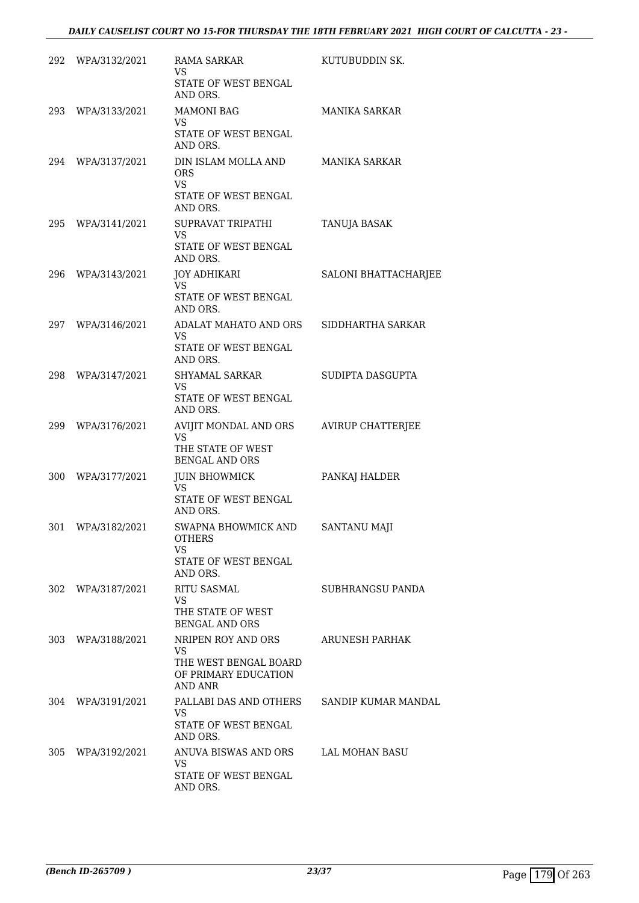| 292 | WPA/3132/2021     | <b>RAMA SARKAR</b><br>VS<br>STATE OF WEST BENGAL                                            | KUTUBUDDIN SK.           |
|-----|-------------------|---------------------------------------------------------------------------------------------|--------------------------|
| 293 | WPA/3133/2021     | AND ORS.<br><b>MAMONI BAG</b>                                                               | <b>MANIKA SARKAR</b>     |
|     |                   | VS.<br>STATE OF WEST BENGAL<br>AND ORS.                                                     |                          |
|     | 294 WPA/3137/2021 | DIN ISLAM MOLLA AND<br><b>ORS</b><br><b>VS</b><br>STATE OF WEST BENGAL<br>AND ORS.          | <b>MANIKA SARKAR</b>     |
| 295 | WPA/3141/2021     | SUPRAVAT TRIPATHI<br>VS.<br>STATE OF WEST BENGAL<br>AND ORS.                                | TANUJA BASAK             |
| 296 | WPA/3143/2021     | JOY ADHIKARI<br><b>VS</b><br>STATE OF WEST BENGAL<br>AND ORS.                               | SALONI BHATTACHARJEE     |
| 297 | WPA/3146/2021     | ADALAT MAHATO AND ORS<br>VS.<br>STATE OF WEST BENGAL<br>AND ORS.                            | SIDDHARTHA SARKAR        |
| 298 | WPA/3147/2021     | SHYAMAL SARKAR<br><b>VS</b><br>STATE OF WEST BENGAL<br>AND ORS.                             | SUDIPTA DASGUPTA         |
| 299 | WPA/3176/2021     | AVIJIT MONDAL AND ORS<br>VS.<br>THE STATE OF WEST<br><b>BENGAL AND ORS</b>                  | <b>AVIRUP CHATTERJEE</b> |
| 300 | WPA/3177/2021     | <b>JUIN BHOWMICK</b><br>VS.<br>STATE OF WEST BENGAL<br>AND ORS.                             | PANKAJ HALDER            |
| 301 | WPA/3182/2021     | SWAPNA BHOWMICK AND<br><b>OTHERS</b><br>VS<br>STATE OF WEST BENGAL<br>AND ORS.              | SANTANU MAJI             |
| 302 | WPA/3187/2021     | <b>RITU SASMAL</b><br><b>VS</b><br>THE STATE OF WEST<br><b>BENGAL AND ORS</b>               | SUBHRANGSU PANDA         |
| 303 | WPA/3188/2021     | NRIPEN ROY AND ORS<br>VS<br>THE WEST BENGAL BOARD<br>OF PRIMARY EDUCATION<br><b>AND ANR</b> | <b>ARUNESH PARHAK</b>    |
| 304 | WPA/3191/2021     | PALLABI DAS AND OTHERS<br>VS.<br>STATE OF WEST BENGAL<br>AND ORS.                           | SANDIP KUMAR MANDAL      |
| 305 | WPA/3192/2021     | ANUVA BISWAS AND ORS<br>VS<br>STATE OF WEST BENGAL<br>AND ORS.                              | LAL MOHAN BASU           |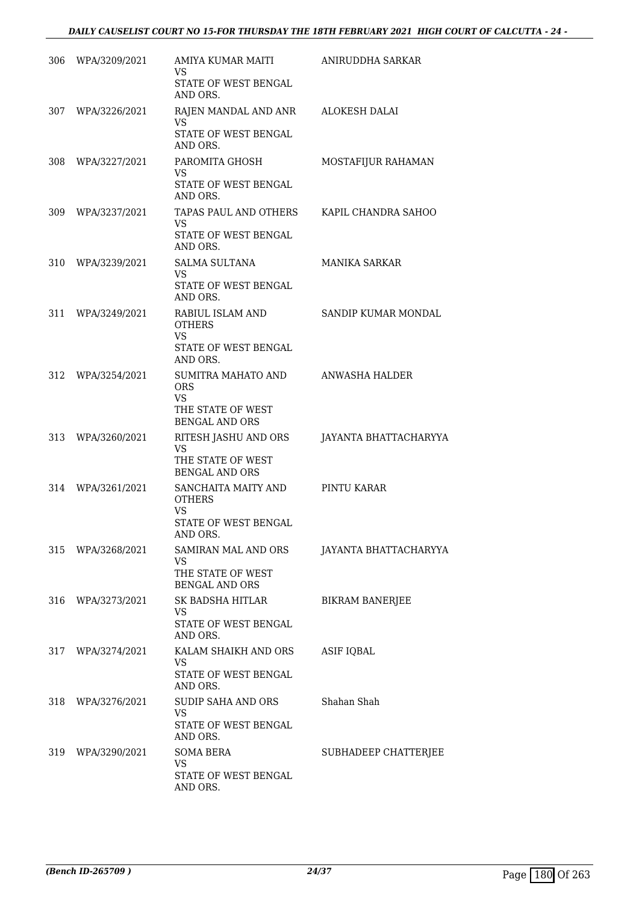| 306 | WPA/3209/2021     | AMIYA KUMAR MAITI<br>VS.<br>STATE OF WEST BENGAL                                            | ANIRUDDHA SARKAR       |
|-----|-------------------|---------------------------------------------------------------------------------------------|------------------------|
|     | 307 WPA/3226/2021 | AND ORS.<br>RAJEN MANDAL AND ANR<br>VS<br>STATE OF WEST BENGAL<br>AND ORS.                  | ALOKESH DALAI          |
| 308 | WPA/3227/2021     | PAROMITA GHOSH<br>VS.<br><b>STATE OF WEST BENGAL</b><br>AND ORS.                            | MOSTAFIJUR RAHAMAN     |
| 309 | WPA/3237/2021     | TAPAS PAUL AND OTHERS<br><b>VS</b><br>STATE OF WEST BENGAL<br>AND ORS.                      | KAPIL CHANDRA SAHOO    |
| 310 | WPA/3239/2021     | <b>SALMA SULTANA</b><br>VS.<br>STATE OF WEST BENGAL<br>AND ORS.                             | <b>MANIKA SARKAR</b>   |
| 311 | WPA/3249/2021     | RABIUL ISLAM AND<br><b>OTHERS</b><br><b>VS</b><br><b>STATE OF WEST BENGAL</b><br>AND ORS.   | SANDIP KUMAR MONDAL    |
| 312 | WPA/3254/2021     | SUMITRA MAHATO AND<br><b>ORS</b><br><b>VS</b><br>THE STATE OF WEST<br><b>BENGAL AND ORS</b> | ANWASHA HALDER         |
| 313 | WPA/3260/2021     | RITESH JASHU AND ORS<br>VS.<br>THE STATE OF WEST<br><b>BENGAL AND ORS</b>                   | JAYANTA BHATTACHARYYA  |
| 314 | WPA/3261/2021     | SANCHAITA MAITY AND<br><b>OTHERS</b><br><b>VS</b><br>STATE OF WEST BENGAL<br>AND ORS.       | PINTU KARAR            |
| 315 | WPA/3268/2021     | SAMIRAN MAL AND ORS<br><b>VS</b><br>THE STATE OF WEST<br><b>BENGAL AND ORS</b>              | JAYANTA BHATTACHARYYA  |
| 316 | WPA/3273/2021     | SK BADSHA HITLAR<br>VS<br>STATE OF WEST BENGAL<br>AND ORS.                                  | <b>BIKRAM BANERJEE</b> |
| 317 | WPA/3274/2021     | KALAM SHAIKH AND ORS<br>VS<br>STATE OF WEST BENGAL<br>AND ORS.                              | <b>ASIF IQBAL</b>      |
| 318 | WPA/3276/2021     | <b>SUDIP SAHA AND ORS</b><br>VS<br>STATE OF WEST BENGAL<br>AND ORS.                         | Shahan Shah            |
| 319 | WPA/3290/2021     | <b>SOMA BERA</b><br><b>VS</b><br>STATE OF WEST BENGAL<br>AND ORS.                           | SUBHADEEP CHATTERJEE   |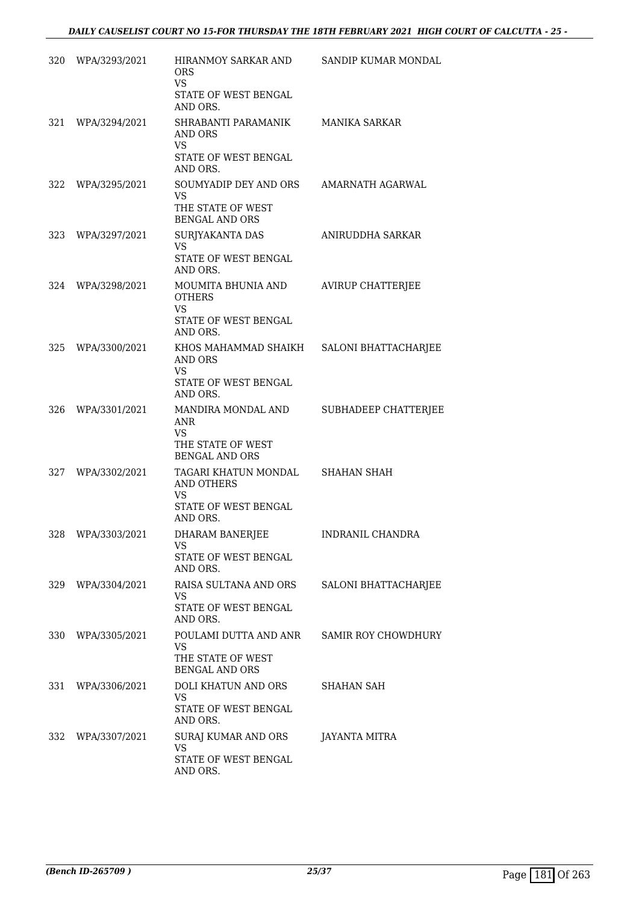| 320 | WPA/3293/2021     | HIRANMOY SARKAR AND<br><b>ORS</b><br><b>VS</b><br>STATE OF WEST BENGAL                      | SANDIP KUMAR MONDAL      |
|-----|-------------------|---------------------------------------------------------------------------------------------|--------------------------|
|     |                   | AND ORS.                                                                                    |                          |
| 321 | WPA/3294/2021     | SHRABANTI PARAMANIK<br>AND ORS<br><b>VS</b><br>STATE OF WEST BENGAL                         | MANIKA SARKAR            |
| 322 | WPA/3295/2021     | AND ORS.<br>SOUMYADIP DEY AND ORS AMARNATH AGARWAL                                          |                          |
|     |                   | <b>VS</b><br>THE STATE OF WEST<br><b>BENGAL AND ORS</b>                                     |                          |
| 323 | WPA/3297/2021     | SURJYAKANTA DAS                                                                             | ANIRUDDHA SARKAR         |
|     |                   | VS<br>STATE OF WEST BENGAL<br>AND ORS.                                                      |                          |
| 324 | WPA/3298/2021     | MOUMITA BHUNIA AND<br><b>OTHERS</b><br><b>VS</b>                                            | <b>AVIRUP CHATTERJEE</b> |
|     |                   | STATE OF WEST BENGAL<br>AND ORS.                                                            |                          |
|     | 325 WPA/3300/2021 | KHOS MAHAMMAD SHAIKH SALONI BHATTACHARJEE<br><b>AND ORS</b><br><b>VS</b>                    |                          |
|     |                   | STATE OF WEST BENGAL<br>AND ORS.                                                            |                          |
|     | 326 WPA/3301/2021 | MANDIRA MONDAL AND<br><b>ANR</b><br><b>VS</b><br>THE STATE OF WEST<br><b>BENGAL AND ORS</b> | SUBHADEEP CHATTERJEE     |
|     | 327 WPA/3302/2021 | TAGARI KHATUN MONDAL<br><b>AND OTHERS</b><br><b>VS</b><br>STATE OF WEST BENGAL<br>AND ORS.  | <b>SHAHAN SHAH</b>       |
|     | 328 WPA/3303/2021 | DHARAM BANERJEE<br>VS.<br>STATE OF WEST BENGAL<br>AND ORS.                                  | INDRANIL CHANDRA         |
|     | 329 WPA/3304/2021 | RAISA SULTANA AND ORS<br>VS.<br>STATE OF WEST BENGAL                                        | SALONI BHATTACHARJEE     |
|     |                   | AND ORS.                                                                                    |                          |
|     | 330 WPA/3305/2021 | POULAMI DUTTA AND ANR<br>VS.<br>THE STATE OF WEST<br><b>BENGAL AND ORS</b>                  | SAMIR ROY CHOWDHURY      |
|     | 331 WPA/3306/2021 | DOLI KHATUN AND ORS<br>VS.<br>STATE OF WEST BENGAL<br>AND ORS.                              | SHAHAN SAH               |
|     | 332 WPA/3307/2021 | SURAJ KUMAR AND ORS                                                                         | JAYANTA MITRA            |
|     |                   | <b>VS</b><br>STATE OF WEST BENGAL<br>AND ORS.                                               |                          |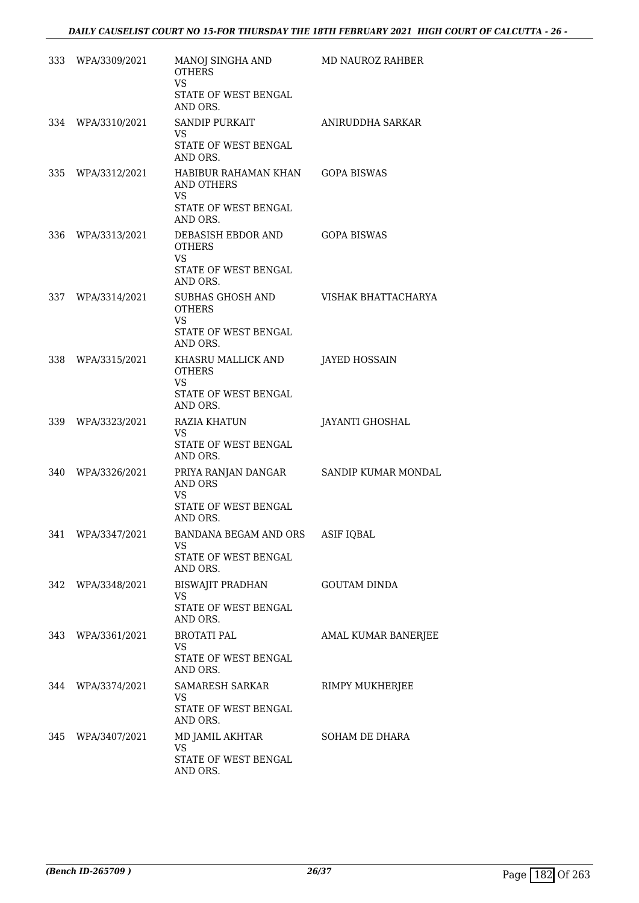|     | 333 WPA/3309/2021 | MANOJ SINGHA AND<br><b>OTHERS</b>                                                        | MD NAUROZ RAHBER       |
|-----|-------------------|------------------------------------------------------------------------------------------|------------------------|
|     |                   | <b>VS</b><br>STATE OF WEST BENGAL<br>AND ORS.                                            |                        |
|     | 334 WPA/3310/2021 | <b>SANDIP PURKAIT</b><br>VS.<br>STATE OF WEST BENGAL<br>AND ORS.                         | ANIRUDDHA SARKAR       |
|     | 335 WPA/3312/2021 | HABIBUR RAHAMAN KHAN GOPA BISWAS<br>AND OTHERS<br>VS<br>STATE OF WEST BENGAL<br>AND ORS. |                        |
|     | 336 WPA/3313/2021 | DEBASISH EBDOR AND<br><b>OTHERS</b><br><b>VS</b><br>STATE OF WEST BENGAL                 | GOPA BISWAS            |
| 337 | WPA/3314/2021     | AND ORS.<br>SUBHAS GHOSH AND<br><b>OTHERS</b><br>VS.<br>STATE OF WEST BENGAL             | VISHAK BHATTACHARYA    |
|     | 338 WPA/3315/2021 | AND ORS.<br>KHASRU MALLICK AND<br><b>OTHERS</b>                                          | <b>JAYED HOSSAIN</b>   |
|     |                   | <b>VS</b><br>STATE OF WEST BENGAL<br>AND ORS.                                            |                        |
|     | 339 WPA/3323/2021 | RAZIA KHATUN<br>VS.<br>STATE OF WEST BENGAL<br>AND ORS.                                  | <b>JAYANTI GHOSHAL</b> |
|     | 340 WPA/3326/2021 | PRIYA RANJAN DANGAR<br><b>AND ORS</b><br><b>VS</b><br>STATE OF WEST BENGAL<br>AND ORS.   | SANDIP KUMAR MONDAL    |
|     | 341 WPA/3347/2021 | BANDANA BEGAM AND ORS<br>VS.<br>STATE OF WEST BENGAL<br>AND ORS.                         | <b>ASIF IQBAL</b>      |
|     | 342 WPA/3348/2021 | BISWAJIT PRADHAN<br>VS.<br>STATE OF WEST BENGAL<br>AND ORS.                              | <b>GOUTAM DINDA</b>    |
|     | 343 WPA/3361/2021 | <b>BROTATI PAL</b><br>VS.<br>STATE OF WEST BENGAL<br>AND ORS.                            | AMAL KUMAR BANERJEE    |
|     | 344 WPA/3374/2021 | SAMARESH SARKAR<br>VS.<br>STATE OF WEST BENGAL<br>AND ORS.                               | RIMPY MUKHERJEE        |
|     | 345 WPA/3407/2021 | MD JAMIL AKHTAR<br>VS.<br>STATE OF WEST BENGAL<br>AND ORS.                               | SOHAM DE DHARA         |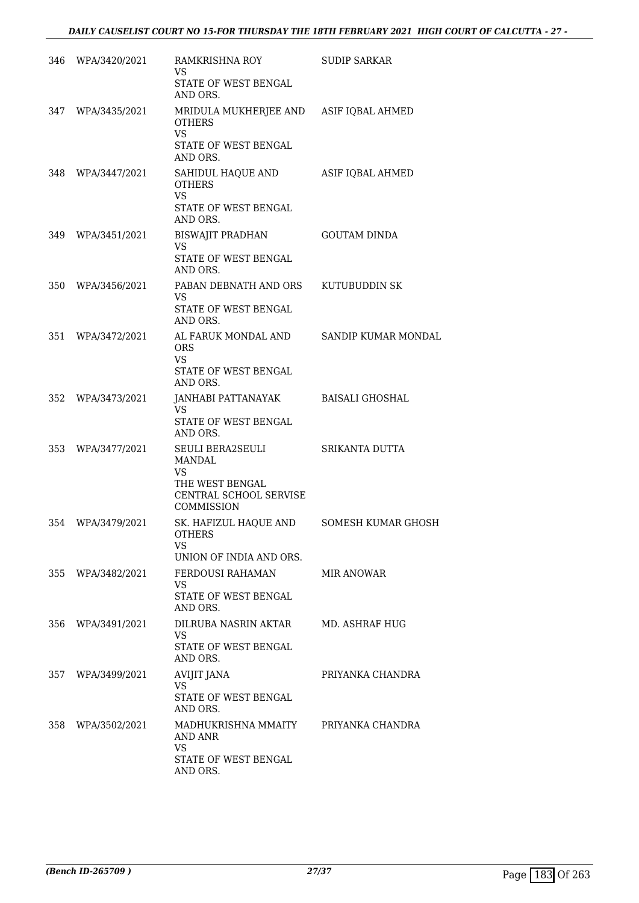|     | 346 WPA/3420/2021 | RAMKRISHNA ROY<br>VS<br>STATE OF WEST BENGAL<br>AND ORS.                                       | <b>SUDIP SARKAR</b>   |
|-----|-------------------|------------------------------------------------------------------------------------------------|-----------------------|
|     | 347 WPA/3435/2021 | MRIDULA MUKHERJEE AND ASIF IQBAL AHMED<br><b>OTHERS</b><br><b>VS</b>                           |                       |
|     |                   | STATE OF WEST BENGAL<br>AND ORS.                                                               |                       |
| 348 | WPA/3447/2021     | SAHIDUL HAQUE AND<br><b>OTHERS</b><br><b>VS</b><br>STATE OF WEST BENGAL                        | ASIF IQBAL AHMED      |
|     |                   | AND ORS.                                                                                       |                       |
|     | 349 WPA/3451/2021 | BISWAJIT PRADHAN<br><b>VS</b>                                                                  | <b>GOUTAM DINDA</b>   |
|     |                   | STATE OF WEST BENGAL<br>AND ORS.                                                               |                       |
| 350 | WPA/3456/2021     | PABAN DEBNATH AND ORS<br>VS.<br>STATE OF WEST BENGAL                                           | KUTUBUDDIN SK         |
| 351 | WPA/3472/2021     | AND ORS.<br>AL FARUK MONDAL AND<br><b>ORS</b><br><b>VS</b><br>STATE OF WEST BENGAL<br>AND ORS. | SANDIP KUMAR MONDAL   |
| 352 | WPA/3473/2021     | JANHABI PATTANAYAK<br>VS.                                                                      | BAISALI GHOSHAL       |
|     |                   | STATE OF WEST BENGAL<br>AND ORS.                                                               |                       |
| 353 | WPA/3477/2021     | SEULI BERA2SEULI<br>MANDAL<br><b>VS</b>                                                        | SRIKANTA DUTTA        |
|     |                   | THE WEST BENGAL<br>CENTRAL SCHOOL SERVISE<br>COMMISSION                                        |                       |
|     | 354 WPA/3479/2021 | SK. HAFIZUL HAQUE AND<br><b>OTHERS</b><br>VS                                                   | SOMESH KUMAR GHOSH    |
|     | 355 WPA/3482/2021 | UNION OF INDIA AND ORS.<br>FERDOUSI RAHAMAN                                                    | MIR ANOWAR            |
|     |                   | VS<br><b>STATE OF WEST BENGAL</b><br>AND ORS.                                                  |                       |
| 356 | WPA/3491/2021     | DILRUBA NASRIN AKTAR<br><b>VS</b><br>STATE OF WEST BENGAL<br>AND ORS.                          | <b>MD. ASHRAF HUG</b> |
| 357 | WPA/3499/2021     | <b>AVIJIT JANA</b><br>VS                                                                       | PRIYANKA CHANDRA      |
|     |                   | STATE OF WEST BENGAL<br>AND ORS.                                                               |                       |
|     | 358 WPA/3502/2021 | MADHUKRISHNA MMAITY<br>AND ANR<br>VS.                                                          | PRIYANKA CHANDRA      |
|     |                   | STATE OF WEST BENGAL<br>AND ORS.                                                               |                       |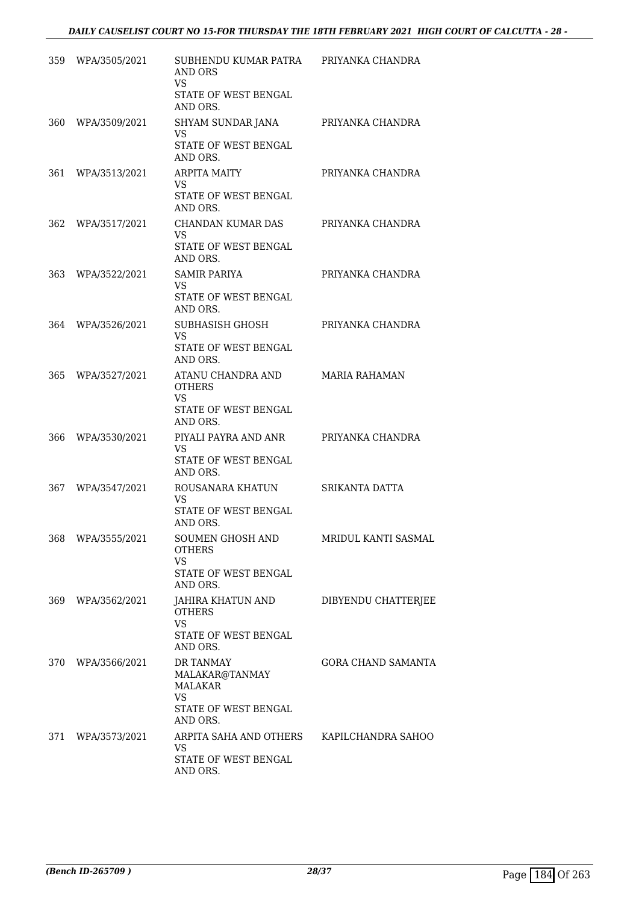| 359 | WPA/3505/2021 | SUBHENDU KUMAR PATRA<br>AND ORS<br>VS<br>STATE OF WEST BENGAL<br>AND ORS.          | PRIYANKA CHANDRA          |
|-----|---------------|------------------------------------------------------------------------------------|---------------------------|
| 360 | WPA/3509/2021 | SHYAM SUNDAR JANA<br>VS<br>STATE OF WEST BENGAL<br>AND ORS.                        | PRIYANKA CHANDRA          |
| 361 | WPA/3513/2021 | <b>ARPITA MAITY</b><br>VS<br>STATE OF WEST BENGAL<br>AND ORS.                      | PRIYANKA CHANDRA          |
| 362 | WPA/3517/2021 | CHANDAN KUMAR DAS<br>VS.<br>STATE OF WEST BENGAL<br>AND ORS.                       | PRIYANKA CHANDRA          |
| 363 | WPA/3522/2021 | <b>SAMIR PARIYA</b><br>VS.<br>STATE OF WEST BENGAL<br>AND ORS.                     | PRIYANKA CHANDRA          |
| 364 | WPA/3526/2021 | SUBHASISH GHOSH<br>VS.<br><b>STATE OF WEST BENGAL</b><br>AND ORS.                  | PRIYANKA CHANDRA          |
| 365 | WPA/3527/2021 | ATANU CHANDRA AND<br><b>OTHERS</b><br><b>VS</b><br>STATE OF WEST BENGAL            | <b>MARIA RAHAMAN</b>      |
| 366 | WPA/3530/2021 | AND ORS.<br>PIYALI PAYRA AND ANR<br>VS.<br>STATE OF WEST BENGAL<br>AND ORS.        | PRIYANKA CHANDRA          |
| 367 | WPA/3547/2021 | ROUSANARA KHATUN<br>VS.<br>STATE OF WEST BENGAL<br>AND ORS.                        | <b>SRIKANTA DATTA</b>     |
| 368 | WPA/3555/2021 | SOUMEN GHOSH AND<br><b>OTHERS</b><br>VS<br>STATE OF WEST BENGAL                    | MRIDUL KANTI SASMAL       |
| 369 | WPA/3562/2021 | AND ORS.<br>JAHIRA KHATUN AND<br><b>OTHERS</b><br><b>VS</b>                        | DIBYENDU CHATTERJEE       |
|     |               | STATE OF WEST BENGAL<br>AND ORS.                                                   |                           |
| 370 | WPA/3566/2021 | <b>DR TANMAY</b><br>MALAKAR@TANMAY<br>MALAKAR<br><b>VS</b><br>STATE OF WEST BENGAL | <b>GORA CHAND SAMANTA</b> |
| 371 | WPA/3573/2021 | AND ORS.<br>ARPITA SAHA AND OTHERS<br>VS.<br>STATE OF WEST BENGAL<br>AND ORS.      | KAPILCHANDRA SAHOO        |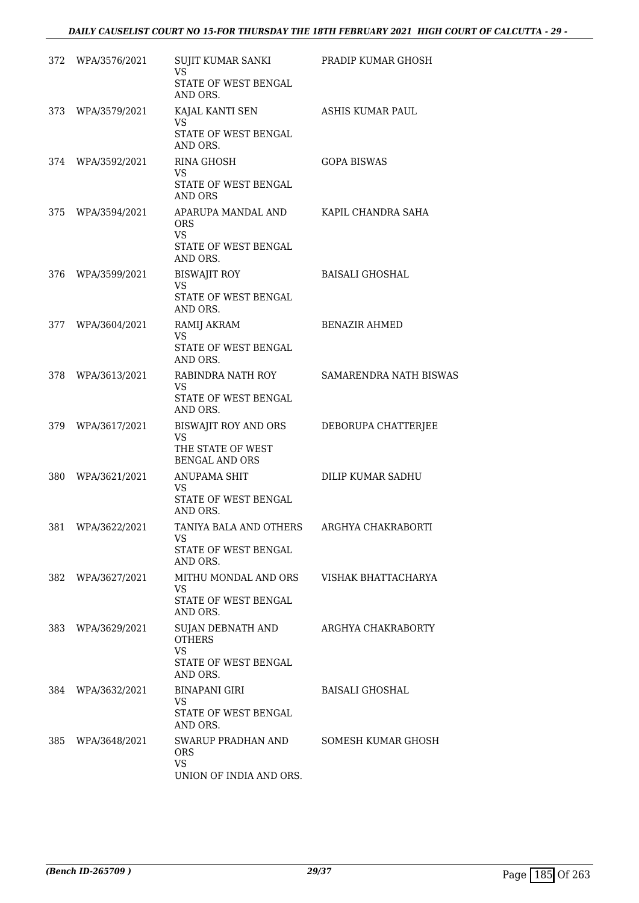| 372 | WPA/3576/2021 | SUJIT KUMAR SANKI<br>VS<br>STATE OF WEST BENGAL<br>AND ORS.                         | PRADIP KUMAR GHOSH     |
|-----|---------------|-------------------------------------------------------------------------------------|------------------------|
| 373 | WPA/3579/2021 | KAJAL KANTI SEN<br>VS<br>STATE OF WEST BENGAL<br>AND ORS.                           | ASHIS KUMAR PAUL       |
| 374 | WPA/3592/2021 | <b>RINA GHOSH</b><br>VS<br>STATE OF WEST BENGAL<br><b>AND ORS</b>                   | <b>GOPA BISWAS</b>     |
| 375 | WPA/3594/2021 | APARUPA MANDAL AND<br><b>ORS</b><br><b>VS</b><br>STATE OF WEST BENGAL<br>AND ORS.   | KAPIL CHANDRA SAHA     |
| 376 | WPA/3599/2021 | <b>BISWAJIT ROY</b><br><b>VS</b><br>STATE OF WEST BENGAL<br>AND ORS.                | <b>BAISALI GHOSHAL</b> |
| 377 | WPA/3604/2021 | RAMIJ AKRAM<br>VS<br>STATE OF WEST BENGAL<br>AND ORS.                               | <b>BENAZIR AHMED</b>   |
| 378 | WPA/3613/2021 | RABINDRA NATH ROY<br>VS<br>STATE OF WEST BENGAL<br>AND ORS.                         | SAMARENDRA NATH BISWAS |
| 379 | WPA/3617/2021 | BISWAJIT ROY AND ORS<br><b>VS</b><br>THE STATE OF WEST<br><b>BENGAL AND ORS</b>     | DEBORUPA CHATTERJEE    |
| 380 | WPA/3621/2021 | <b>ANUPAMA SHIT</b><br>VS.<br>STATE OF WEST BENGAL<br>AND ORS.                      | DILIP KUMAR SADHU      |
| 381 | WPA/3622/2021 | TANIYA BALA AND OTHERS<br><b>VS</b><br>STATE OF WEST BENGAL<br>AND ORS.             | ARGHYA CHAKRABORTI     |
| 382 | WPA/3627/2021 | MITHU MONDAL AND ORS<br><b>VS</b><br>STATE OF WEST BENGAL<br>AND ORS.               | VISHAK BHATTACHARYA    |
| 383 | WPA/3629/2021 | SUJAN DEBNATH AND<br><b>OTHERS</b><br><b>VS</b><br>STATE OF WEST BENGAL<br>AND ORS. | ARGHYA CHAKRABORTY     |
| 384 | WPA/3632/2021 | BINAPANI GIRI<br>VS<br>STATE OF WEST BENGAL<br>AND ORS.                             | <b>BAISALI GHOSHAL</b> |
| 385 | WPA/3648/2021 | SWARUP PRADHAN AND<br><b>ORS</b><br><b>VS</b><br>UNION OF INDIA AND ORS.            | SOMESH KUMAR GHOSH     |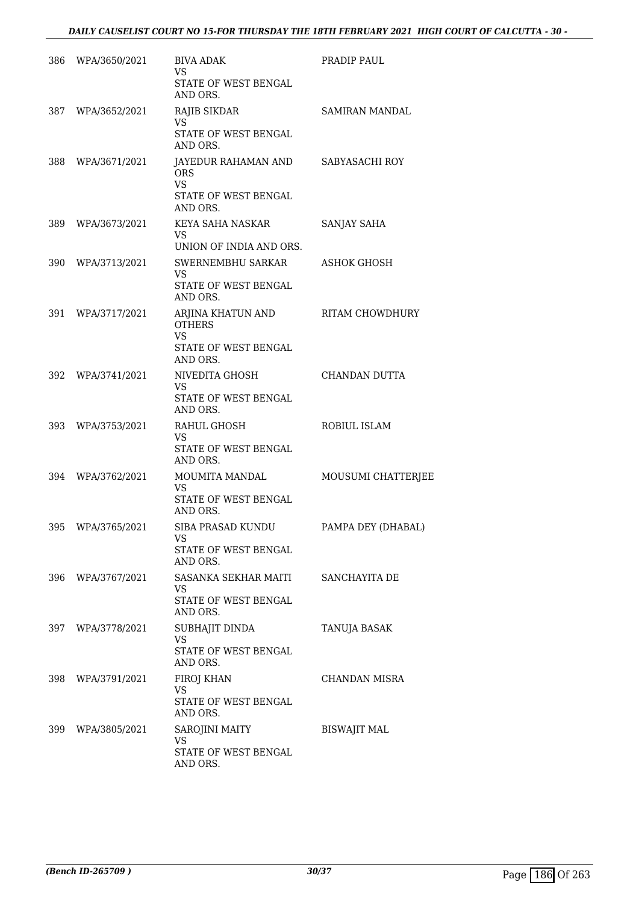| 386 | WPA/3650/2021     | <b>BIVA ADAK</b><br>VS<br>STATE OF WEST BENGAL<br>AND ORS.                          | PRADIP PAUL            |
|-----|-------------------|-------------------------------------------------------------------------------------|------------------------|
|     | 387 WPA/3652/2021 | RAJIB SIKDAR<br><b>VS</b><br>STATE OF WEST BENGAL<br>AND ORS.                       | SAMIRAN MANDAL         |
| 388 | WPA/3671/2021     | JAYEDUR RAHAMAN AND<br><b>ORS</b><br><b>VS</b><br>STATE OF WEST BENGAL<br>AND ORS.  | SABYASACHI ROY         |
| 389 | WPA/3673/2021     | KEYA SAHA NASKAR<br><b>VS</b><br>UNION OF INDIA AND ORS.                            | SANJAY SAHA            |
|     | 390 WPA/3713/2021 | SWERNEMBHU SARKAR<br><b>VS</b><br>STATE OF WEST BENGAL<br>AND ORS.                  | <b>ASHOK GHOSH</b>     |
| 391 | WPA/3717/2021     | ARJINA KHATUN AND<br><b>OTHERS</b><br><b>VS</b><br>STATE OF WEST BENGAL<br>AND ORS. | <b>RITAM CHOWDHURY</b> |
| 392 | WPA/3741/2021     | NIVEDITA GHOSH<br>VS.<br>STATE OF WEST BENGAL<br>AND ORS.                           | CHANDAN DUTTA          |
| 393 | WPA/3753/2021     | RAHUL GHOSH<br><b>VS</b><br>STATE OF WEST BENGAL<br>AND ORS.                        | ROBIUL ISLAM           |
| 394 | WPA/3762/2021     | MOUMITA MANDAL<br>VS.<br>STATE OF WEST BENGAL<br>AND ORS.                           | MOUSUMI CHATTERJEE     |
| 395 | WPA/3765/2021     | SIBA PRASAD KUNDU<br>VS<br>STATE OF WEST BENGAL<br>AND ORS.                         | PAMPA DEY (DHABAL)     |
| 396 | WPA/3767/2021     | SASANKA SEKHAR MAITI<br><b>VS</b><br>STATE OF WEST BENGAL<br>AND ORS.               | SANCHAYITA DE          |
| 397 | WPA/3778/2021     | SUBHAJIT DINDA<br>VS<br><b>STATE OF WEST BENGAL</b><br>AND ORS.                     | TANUJA BASAK           |
| 398 | WPA/3791/2021     | FIROJ KHAN<br>VS<br>STATE OF WEST BENGAL<br>AND ORS.                                | CHANDAN MISRA          |
| 399 | WPA/3805/2021     | SAROJINI MAITY<br><b>VS</b><br>STATE OF WEST BENGAL<br>AND ORS.                     | <b>BISWAJIT MAL</b>    |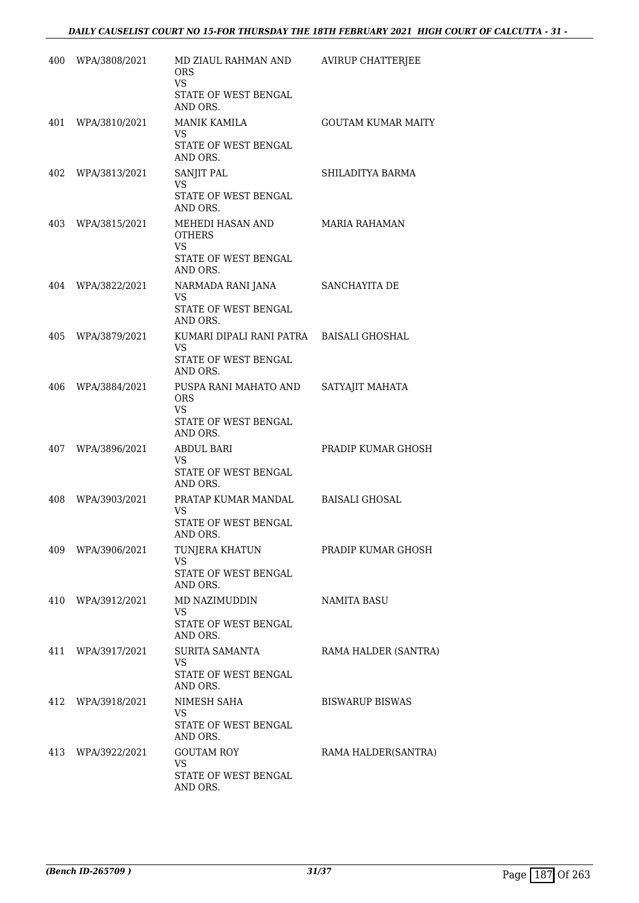|     | 400 WPA/3808/2021 | MD ZIAUL RAHMAN AND<br>ORS<br><b>VS</b>        | <b>AVIRUP CHATTERJEE</b>  |
|-----|-------------------|------------------------------------------------|---------------------------|
|     |                   | STATE OF WEST BENGAL<br>AND ORS.               |                           |
| 401 | WPA/3810/2021     | <b>MANIK KAMILA</b><br>VS.                     | <b>GOUTAM KUMAR MAITY</b> |
|     |                   | STATE OF WEST BENGAL<br>AND ORS.               |                           |
|     | 402 WPA/3813/2021 | SANJIT PAL<br><b>VS</b>                        | SHILADITYA BARMA          |
|     |                   | STATE OF WEST BENGAL<br>AND ORS.               |                           |
| 403 | WPA/3815/2021     | MEHEDI HASAN AND<br><b>OTHERS</b><br><b>VS</b> | <b>MARIA RAHAMAN</b>      |
|     |                   | STATE OF WEST BENGAL<br>AND ORS.               |                           |
| 404 | WPA/3822/2021     | NARMADA RANI JANA<br>VS                        | SANCHAYITA DE             |
|     |                   | STATE OF WEST BENGAL<br>AND ORS.               |                           |
| 405 | WPA/3879/2021     | KUMARI DIPALI RANI PATRA<br>VS.                | <b>BAISALI GHOSHAL</b>    |
|     |                   | STATE OF WEST BENGAL<br>AND ORS.               |                           |
| 406 | WPA/3884/2021     | PUSPA RANI MAHATO AND<br><b>ORS</b>            | SATYAJIT MAHATA           |
|     |                   | VS<br>STATE OF WEST BENGAL<br>AND ORS.         |                           |
| 407 | WPA/3896/2021     | ABDUL BARI<br>VS.                              | PRADIP KUMAR GHOSH        |
|     |                   | STATE OF WEST BENGAL<br>AND ORS.               |                           |
| 408 | WPA/3903/2021     | PRATAP KUMAR MANDAL<br>VS.                     | <b>BAISALI GHOSAL</b>     |
|     |                   | STATE OF WEST BENGAL<br>AND ORS.               |                           |
|     | 409 WPA/3906/2021 | TUNJERA KHATUN<br><b>VS</b>                    | PRADIP KUMAR GHOSH        |
|     |                   | STATE OF WEST BENGAL<br>AND ORS.               |                           |
|     | 410 WPA/3912/2021 | MD NAZIMUDDIN<br>VS                            | <b>NAMITA BASU</b>        |
|     |                   | STATE OF WEST BENGAL<br>AND ORS.               |                           |
|     | 411 WPA/3917/2021 | <b>SURITA SAMANTA</b><br>VS                    | RAMA HALDER (SANTRA)      |
|     |                   | STATE OF WEST BENGAL<br>AND ORS.               |                           |
| 412 | WPA/3918/2021     | NIMESH SAHA<br>VS.                             | <b>BISWARUP BISWAS</b>    |
|     |                   | STATE OF WEST BENGAL<br>AND ORS.               |                           |
|     | 413 WPA/3922/2021 | <b>GOUTAM ROY</b><br><b>VS</b>                 | RAMA HALDER(SANTRA)       |
|     |                   | STATE OF WEST BENGAL<br>AND ORS.               |                           |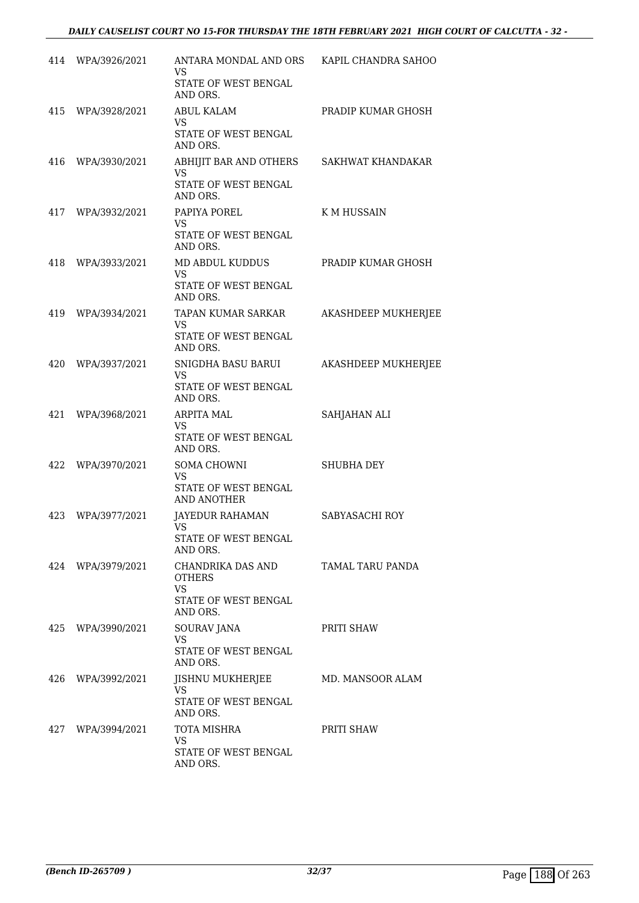|     | 414 WPA/3926/2021 | ANTARA MONDAL AND ORS KAPIL CHANDRA SAHOO<br>VS. |                            |
|-----|-------------------|--------------------------------------------------|----------------------------|
|     |                   | STATE OF WEST BENGAL<br>AND ORS.                 |                            |
|     | 415 WPA/3928/2021 | <b>ABUL KALAM</b><br>VS.                         | PRADIP KUMAR GHOSH         |
|     |                   | STATE OF WEST BENGAL<br>AND ORS.                 |                            |
|     | 416 WPA/3930/2021 | ABHIJIT BAR AND OTHERS<br>VS                     | SAKHWAT KHANDAKAR          |
|     |                   | <b>STATE OF WEST BENGAL</b><br>AND ORS.          |                            |
|     | 417 WPA/3932/2021 | PAPIYA POREL<br><b>VS</b>                        | K M HUSSAIN                |
|     |                   | STATE OF WEST BENGAL<br>AND ORS.                 |                            |
|     | 418 WPA/3933/2021 | MD ABDUL KUDDUS<br>VS.                           | PRADIP KUMAR GHOSH         |
|     |                   | STATE OF WEST BENGAL<br>AND ORS.                 |                            |
|     | 419 WPA/3934/2021 | TAPAN KUMAR SARKAR<br><b>VS</b>                  | AKASHDEEP MUKHERJEE        |
|     |                   | STATE OF WEST BENGAL<br>AND ORS.                 |                            |
| 420 | WPA/3937/2021     | SNIGDHA BASU BARUI<br>VS.                        | <b>AKASHDEEP MUKHERJEE</b> |
|     |                   | STATE OF WEST BENGAL<br>AND ORS.                 |                            |
| 421 | WPA/3968/2021     | <b>ARPITA MAL</b><br>VS.                         | SAHJAHAN ALI               |
|     |                   | STATE OF WEST BENGAL<br>AND ORS.                 |                            |
| 422 | WPA/3970/2021     | SOMA CHOWNI<br>VS.                               | <b>SHUBHA DEY</b>          |
|     |                   | STATE OF WEST BENGAL<br>AND ANOTHER              |                            |
| 423 | WPA/3977/2021     | JAYEDUR RAHAMAN<br><b>VS</b>                     | SABYASACHI ROY             |
|     |                   | STATE OF WEST BENGAL<br>AND ORS.                 |                            |
|     | 424 WPA/3979/2021 | CHANDRIKA DAS AND<br><b>OTHERS</b>               | TAMAL TARU PANDA           |
|     |                   | VS.<br>STATE OF WEST BENGAL<br>AND ORS.          |                            |
| 425 | WPA/3990/2021     | <b>SOURAV JANA</b><br><b>VS</b>                  | PRITI SHAW                 |
|     |                   | <b>STATE OF WEST BENGAL</b><br>AND ORS.          |                            |
|     | 426 WPA/3992/2021 | JISHNU MUKHERJEE<br>VS.                          | MD. MANSOOR ALAM           |
|     |                   | STATE OF WEST BENGAL<br>AND ORS.                 |                            |
| 427 | WPA/3994/2021     | TOTA MISHRA<br><b>VS</b>                         | PRITI SHAW                 |
|     |                   | STATE OF WEST BENGAL<br>AND ORS.                 |                            |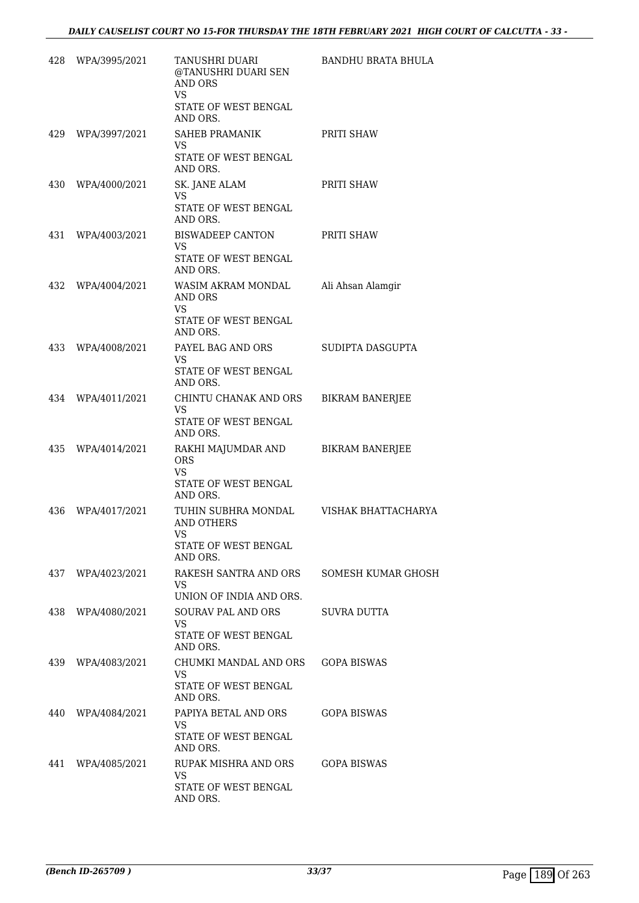| 428 | WPA/3995/2021     | TANUSHRI DUARI<br>@TANUSHRI DUARI SEN<br><b>AND ORS</b><br>VS.                            | BANDHU BRATA BHULA     |
|-----|-------------------|-------------------------------------------------------------------------------------------|------------------------|
|     |                   | STATE OF WEST BENGAL<br>AND ORS.                                                          |                        |
|     | 429 WPA/3997/2021 | SAHEB PRAMANIK<br>VS.                                                                     | PRITI SHAW             |
|     |                   | STATE OF WEST BENGAL<br>AND ORS.                                                          |                        |
| 430 | WPA/4000/2021     | SK. JANE ALAM<br>VS.<br>STATE OF WEST BENGAL<br>AND ORS.                                  | PRITI SHAW             |
| 431 | WPA/4003/2021     | BISWADEEP CANTON<br>VS<br>STATE OF WEST BENGAL<br>AND ORS.                                | PRITI SHAW             |
| 432 | WPA/4004/2021     | WASIM AKRAM MONDAL<br>AND ORS<br><b>VS</b><br>STATE OF WEST BENGAL<br>AND ORS.            | Ali Ahsan Alamgir      |
|     | 433 WPA/4008/2021 | PAYEL BAG AND ORS<br>VS<br>STATE OF WEST BENGAL<br>AND ORS.                               | SUDIPTA DASGUPTA       |
|     | 434 WPA/4011/2021 | CHINTU CHANAK AND ORS<br>VS.<br>STATE OF WEST BENGAL<br>AND ORS.                          | <b>BIKRAM BANERJEE</b> |
|     | 435 WPA/4014/2021 | RAKHI MAJUMDAR AND<br><b>ORS</b><br>VS<br>STATE OF WEST BENGAL<br>AND ORS.                | <b>BIKRAM BANERJEE</b> |
| 436 | WPA/4017/2021     | TUHIN SUBHRA MONDAL<br><b>AND OTHERS</b><br><b>VS</b><br>STATE OF WEST BENGAL<br>AND ORS. | VISHAK BHATTACHARYA    |
|     | 437 WPA/4023/2021 | RAKESH SANTRA AND ORS<br>VS.<br>UNION OF INDIA AND ORS.                                   | SOMESH KUMAR GHOSH     |
|     | 438 WPA/4080/2021 | <b>SOURAV PAL AND ORS</b><br>VS.<br>STATE OF WEST BENGAL<br>AND ORS.                      | SUVRA DUTTA            |
|     | 439 WPA/4083/2021 | CHUMKI MANDAL AND ORS GOPA BISWAS<br>VS.<br>STATE OF WEST BENGAL<br>AND ORS.              |                        |
|     | 440 WPA/4084/2021 | PAPIYA BETAL AND ORS<br>VS.<br>STATE OF WEST BENGAL<br>AND ORS.                           | <b>GOPA BISWAS</b>     |
|     | 441 WPA/4085/2021 | RUPAK MISHRA AND ORS<br>VS.<br>STATE OF WEST BENGAL<br>AND ORS.                           | <b>GOPA BISWAS</b>     |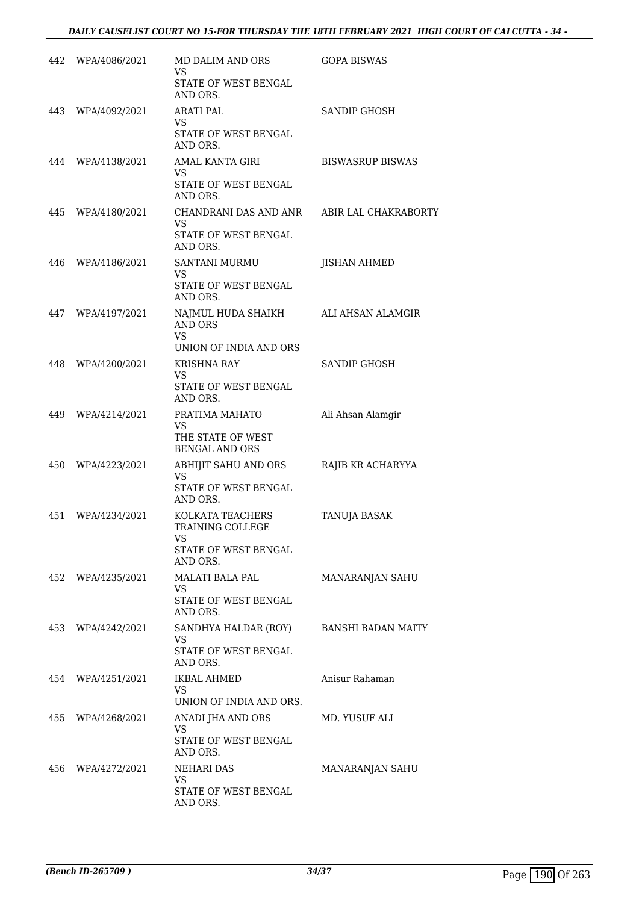| 442 | WPA/4086/2021     | MD DALIM AND ORS<br>VS.                              | <b>GOPA BISWAS</b>      |
|-----|-------------------|------------------------------------------------------|-------------------------|
|     |                   | STATE OF WEST BENGAL<br>AND ORS.                     |                         |
|     | 443 WPA/4092/2021 | <b>ARATI PAL</b><br>VS.                              | <b>SANDIP GHOSH</b>     |
|     |                   | STATE OF WEST BENGAL<br>AND ORS.                     |                         |
|     | 444 WPA/4138/2021 | AMAL KANTA GIRI<br>VS.                               | <b>BISWASRUP BISWAS</b> |
|     |                   | STATE OF WEST BENGAL<br>AND ORS.                     |                         |
|     | 445 WPA/4180/2021 | CHANDRANI DAS AND ANR<br><b>VS</b>                   | ABIR LAL CHAKRABORTY    |
|     |                   | STATE OF WEST BENGAL<br>AND ORS.                     |                         |
| 446 | WPA/4186/2021     | <b>SANTANI MURMU</b><br>VS                           | <b>JISHAN AHMED</b>     |
|     |                   | STATE OF WEST BENGAL<br>AND ORS.                     |                         |
| 447 | WPA/4197/2021     | NAJMUL HUDA SHAIKH<br><b>AND ORS</b><br><b>VS</b>    | ALI AHSAN ALAMGIR       |
|     |                   | UNION OF INDIA AND ORS                               |                         |
| 448 | WPA/4200/2021     | <b>KRISHNA RAY</b><br>VS.                            | SANDIP GHOSH            |
|     |                   | STATE OF WEST BENGAL<br>AND ORS.                     |                         |
| 449 | WPA/4214/2021     | PRATIMA MAHATO                                       | Ali Ahsan Alamgir       |
|     |                   | VS.<br>THE STATE OF WEST<br><b>BENGAL AND ORS</b>    |                         |
| 450 | WPA/4223/2021     | ABHIJIT SAHU AND ORS<br>VS.                          | RAJIB KR ACHARYYA       |
|     |                   | STATE OF WEST BENGAL<br>AND ORS.                     |                         |
| 451 | WPA/4234/2021     | KOLKATA TEACHERS<br>TRAINING COLLEGE<br><b>VS</b>    | TANUJA BASAK            |
|     |                   | STATE OF WEST BENGAL<br>AND ORS.                     |                         |
| 452 | WPA/4235/2021     | <b>MALATI BALA PAL</b><br>VS.                        | MANARANJAN SAHU         |
|     |                   | <b>STATE OF WEST BENGAL</b><br>AND ORS.              |                         |
| 453 | WPA/4242/2021     | SANDHYA HALDAR (ROY)<br>VS.                          | BANSHI BADAN MAITY      |
|     |                   | STATE OF WEST BENGAL<br>AND ORS.                     |                         |
| 454 | WPA/4251/2021     | <b>IKBAL AHMED</b><br>VS.<br>UNION OF INDIA AND ORS. | Anisur Rahaman          |
| 455 | WPA/4268/2021     | ANADI JHA AND ORS                                    | MD. YUSUF ALI           |
|     |                   | VS.<br>STATE OF WEST BENGAL<br>AND ORS.              |                         |
| 456 | WPA/4272/2021     | <b>NEHARI DAS</b>                                    | MANARANJAN SAHU         |
|     |                   | VS.<br>STATE OF WEST BENGAL<br>AND ORS.              |                         |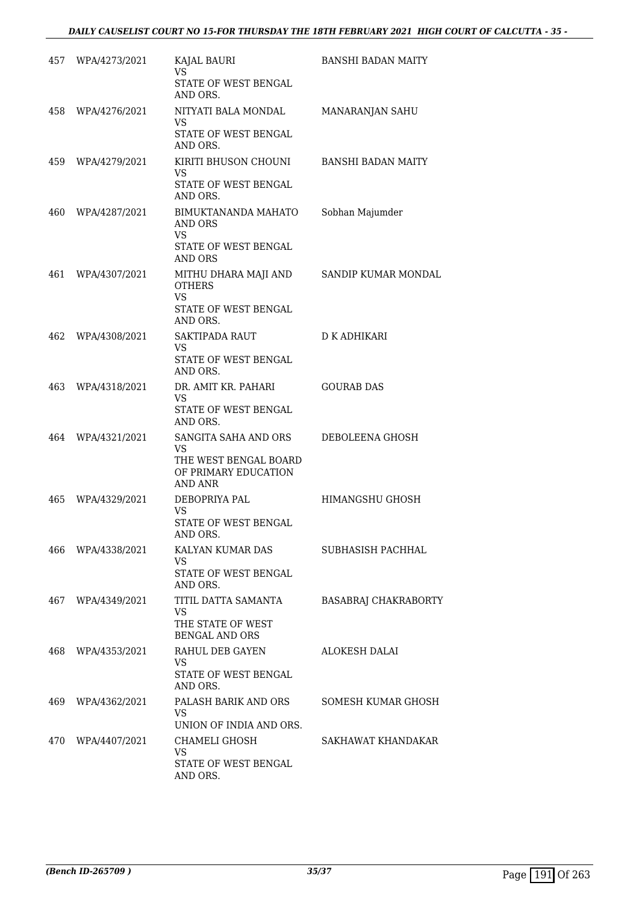|     | 457 WPA/4273/2021 | KAJAL BAURI<br>VS.                                              | <b>BANSHI BADAN MAITY</b>   |
|-----|-------------------|-----------------------------------------------------------------|-----------------------------|
|     |                   | STATE OF WEST BENGAL<br>AND ORS.                                |                             |
|     | 458 WPA/4276/2021 | NITYATI BALA MONDAL<br>VS                                       | MANARANJAN SAHU             |
|     |                   | STATE OF WEST BENGAL<br>AND ORS.                                |                             |
|     | 459 WPA/4279/2021 | KIRITI BHUSON CHOUNI<br>VS                                      | <b>BANSHI BADAN MAITY</b>   |
|     |                   | STATE OF WEST BENGAL<br>AND ORS.                                |                             |
| 460 | WPA/4287/2021     | BIMUKTANANDA MAHATO<br>AND ORS<br><b>VS</b>                     | Sobhan Majumder             |
|     |                   | STATE OF WEST BENGAL<br><b>AND ORS</b>                          |                             |
| 461 | WPA/4307/2021     | MITHU DHARA MAJI AND<br><b>OTHERS</b>                           | SANDIP KUMAR MONDAL         |
|     |                   | <b>VS</b><br>STATE OF WEST BENGAL<br>AND ORS.                   |                             |
| 462 | WPA/4308/2021     | SAKTIPADA RAUT                                                  | D K ADHIKARI                |
|     |                   | VS<br>STATE OF WEST BENGAL<br>AND ORS.                          |                             |
| 463 | WPA/4318/2021     | DR. AMIT KR. PAHARI<br><b>VS</b>                                | <b>GOURAB DAS</b>           |
|     |                   | STATE OF WEST BENGAL<br>AND ORS.                                |                             |
| 464 | WPA/4321/2021     | SANGITA SAHA AND ORS<br>VS.                                     | DEBOLEENA GHOSH             |
|     |                   | THE WEST BENGAL BOARD<br>OF PRIMARY EDUCATION<br><b>AND ANR</b> |                             |
| 465 | WPA/4329/2021     | DEBOPRIYA PAL<br><b>VS</b>                                      | HIMANGSHU GHOSH             |
|     |                   | STATE OF WEST BENGAL<br>AND ORS.                                |                             |
| 466 | WPA/4338/2021     | KALYAN KUMAR DAS<br>VS                                          | SUBHASISH PACHHAL           |
|     |                   | STATE OF WEST BENGAL<br>AND ORS.                                |                             |
| 467 | WPA/4349/2021     | TITIL DATTA SAMANTA<br><b>VS</b>                                | <b>BASABRAJ CHAKRABORTY</b> |
|     |                   | THE STATE OF WEST<br><b>BENGAL AND ORS</b>                      |                             |
| 468 | WPA/4353/2021     | RAHUL DEB GAYEN<br>VS                                           | <b>ALOKESH DALAI</b>        |
|     |                   | STATE OF WEST BENGAL<br>AND ORS.                                |                             |
| 469 | WPA/4362/2021     | PALASH BARIK AND ORS<br><b>VS</b>                               | SOMESH KUMAR GHOSH          |
|     |                   | UNION OF INDIA AND ORS.                                         |                             |
| 470 | WPA/4407/2021     | CHAMELI GHOSH<br>VS                                             | SAKHAWAT KHANDAKAR          |
|     |                   | STATE OF WEST BENGAL<br>AND ORS.                                |                             |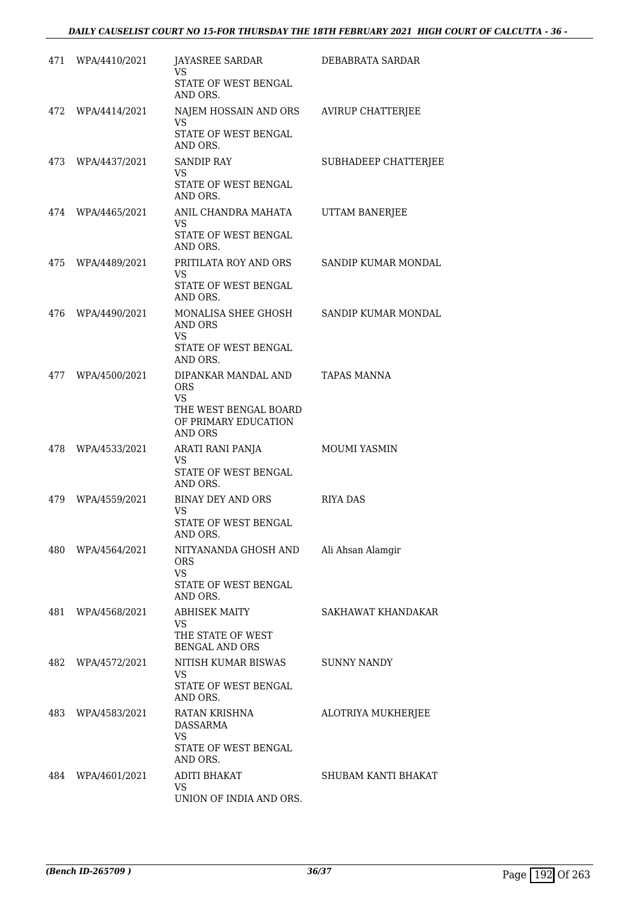|      | 471 WPA/4410/2021 | JAYASREE SARDAR<br>VS.                                                       | DEBABRATA SARDAR           |
|------|-------------------|------------------------------------------------------------------------------|----------------------------|
|      |                   | STATE OF WEST BENGAL<br>AND ORS.                                             |                            |
|      | 472 WPA/4414/2021 | NAJEM HOSSAIN AND ORS<br>VS.                                                 | <b>AVIRUP CHATTERJEE</b>   |
|      |                   | STATE OF WEST BENGAL<br>AND ORS.                                             |                            |
|      | 473 WPA/4437/2021 | <b>SANDIP RAY</b><br><b>VS</b>                                               | SUBHADEEP CHATTERJEE       |
|      |                   | STATE OF WEST BENGAL<br>AND ORS.                                             |                            |
|      | 474 WPA/4465/2021 | ANIL CHANDRA MAHATA<br>VS.                                                   | UTTAM BANERJEE             |
|      |                   | STATE OF WEST BENGAL<br>AND ORS.                                             |                            |
|      | 475 WPA/4489/2021 | PRITILATA ROY AND ORS<br>VS                                                  | SANDIP KUMAR MONDAL        |
|      |                   | <b>STATE OF WEST BENGAL</b><br>AND ORS.                                      |                            |
|      | 476 WPA/4490/2021 | MONALISA SHEE GHOSH<br>AND ORS                                               | <b>SANDIP KUMAR MONDAL</b> |
|      |                   | <b>VS</b><br>STATE OF WEST BENGAL<br>AND ORS.                                |                            |
| 477  | WPA/4500/2021     | DIPANKAR MANDAL AND<br><b>ORS</b>                                            | TAPAS MANNA                |
|      |                   | <b>VS</b><br>THE WEST BENGAL BOARD<br>OF PRIMARY EDUCATION<br><b>AND ORS</b> |                            |
| 478  | WPA/4533/2021     | ARATI RANI PANJA<br><b>VS</b>                                                | <b>MOUMI YASMIN</b>        |
|      |                   | STATE OF WEST BENGAL<br>AND ORS.                                             |                            |
|      | 479 WPA/4559/2021 | BINAY DEY AND ORS<br><b>VS</b>                                               | <b>RIYA DAS</b>            |
|      |                   | STATE OF WEST BENGAL<br>AND ORS.                                             |                            |
| 480  | WPA/4564/2021     | NITYANANDA GHOSH AND<br><b>ORS</b>                                           | Ali Ahsan Alamgir          |
|      |                   | <b>VS</b><br>STATE OF WEST BENGAL<br>AND ORS.                                |                            |
| 481  | WPA/4568/2021     | <b>ABHISEK MAITY</b><br>VS                                                   | SAKHAWAT KHANDAKAR         |
|      |                   | THE STATE OF WEST<br><b>BENGAL AND ORS</b>                                   |                            |
| 482  | WPA/4572/2021     | NITISH KUMAR BISWAS<br><b>VS</b>                                             | <b>SUNNY NANDY</b>         |
|      |                   | STATE OF WEST BENGAL<br>AND ORS.                                             |                            |
| 483. | WPA/4583/2021     | RATAN KRISHNA<br>DASSARMA                                                    | ALOTRIYA MUKHERJEE         |
|      |                   | <b>VS</b><br>STATE OF WEST BENGAL<br>AND ORS.                                |                            |
|      | 484 WPA/4601/2021 | <b>ADITI BHAKAT</b>                                                          | SHUBAM KANTI BHAKAT        |
|      |                   | <b>VS</b><br>UNION OF INDIA AND ORS.                                         |                            |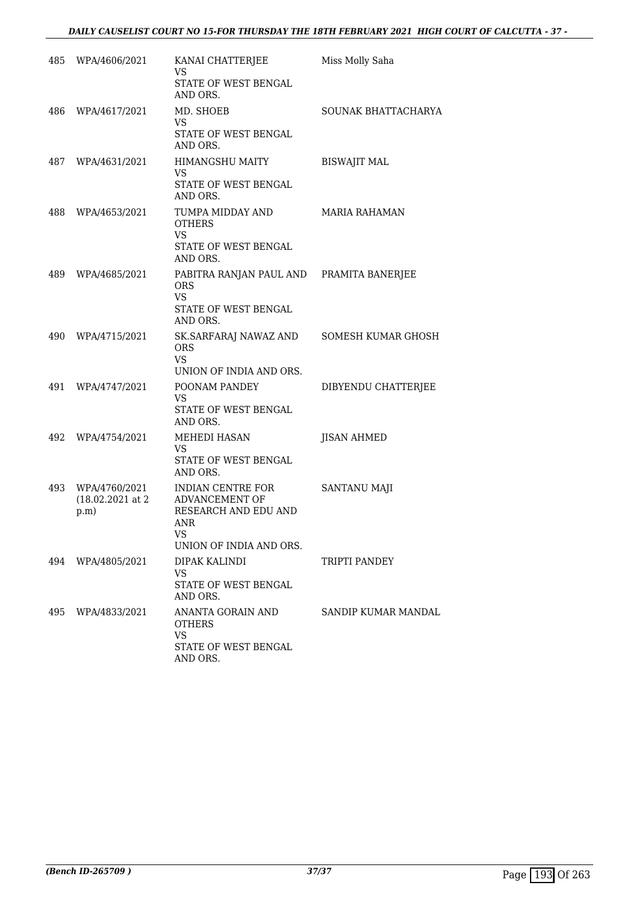| 485 | WPA/4606/2021                               | KANAI CHATTERJEE<br>VS.<br>STATE OF WEST BENGAL<br>AND ORS.                                             | Miss Molly Saha     |
|-----|---------------------------------------------|---------------------------------------------------------------------------------------------------------|---------------------|
| 486 | WPA/4617/2021                               | MD. SHOEB<br>VS.<br>STATE OF WEST BENGAL<br>AND ORS.                                                    | SOUNAK BHATTACHARYA |
| 487 | WPA/4631/2021                               | <b>HIMANGSHU MAITY</b><br><b>VS</b><br>STATE OF WEST BENGAL<br>AND ORS.                                 | <b>BISWAJIT MAL</b> |
| 488 | WPA/4653/2021                               | TUMPA MIDDAY AND<br><b>OTHERS</b><br><b>VS</b><br>STATE OF WEST BENGAL<br>AND ORS.                      | MARIA RAHAMAN       |
| 489 | WPA/4685/2021                               | PABITRA RANJAN PAUL AND PRAMITA BANERJEE<br><b>ORS</b><br><b>VS</b><br>STATE OF WEST BENGAL<br>AND ORS. |                     |
| 490 | WPA/4715/2021                               | SK.SARFARAJ NAWAZ AND<br><b>ORS</b><br><b>VS</b><br>UNION OF INDIA AND ORS.                             | SOMESH KUMAR GHOSH  |
| 491 | WPA/4747/2021                               | POONAM PANDEY<br>VS.<br>STATE OF WEST BENGAL<br>AND ORS.                                                | DIBYENDU CHATTERJEE |
| 492 | WPA/4754/2021                               | MEHEDI HASAN<br><b>VS</b><br>STATE OF WEST BENGAL<br>AND ORS.                                           | <b>JISAN AHMED</b>  |
| 493 | WPA/4760/2021<br>$(18.02.2021$ at 2<br>p.m) | INDIAN CENTRE FOR<br>ADVANCEMENT OF<br>RESEARCH AND EDU AND<br>ANR<br>VS<br>UNION OF INDIA AND ORS.     | SANTANU MAJI        |
| 494 | WPA/4805/2021                               | DIPAK KALINDI<br><b>VS</b><br>STATE OF WEST BENGAL<br>AND ORS.                                          | TRIPTI PANDEY       |
| 495 | WPA/4833/2021                               | ANANTA GORAIN AND<br>OTHERS<br><b>VS</b><br>STATE OF WEST BENGAL<br>AND ORS.                            | SANDIP KUMAR MANDAL |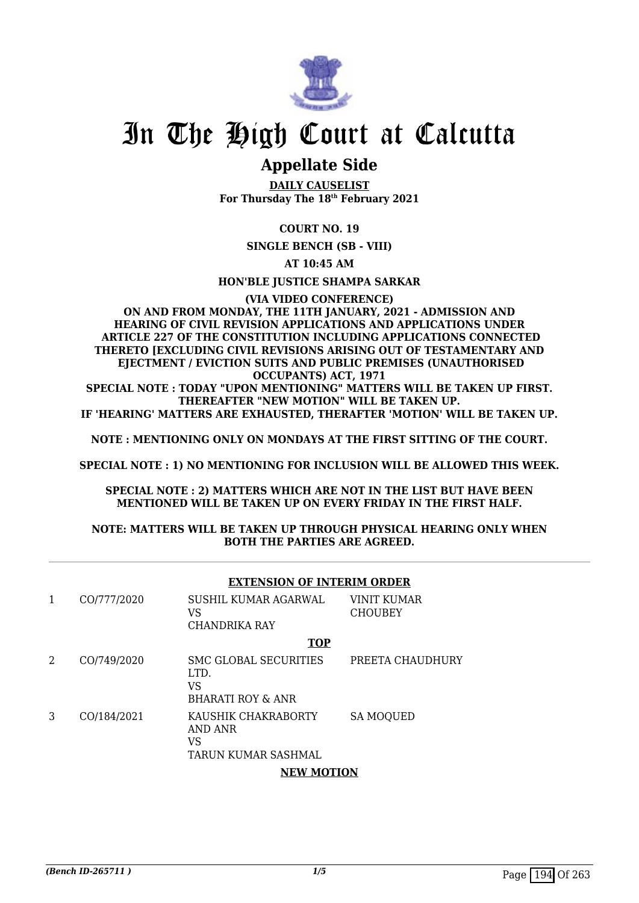

### **Appellate Side**

**DAILY CAUSELIST For Thursday The 18th February 2021**

#### **COURT NO. 19**

**SINGLE BENCH (SB - VIII)**

#### **AT 10:45 AM**

**HON'BLE JUSTICE SHAMPA SARKAR**

#### **(VIA VIDEO CONFERENCE) ON AND FROM MONDAY, THE 11TH JANUARY, 2021 - ADMISSION AND HEARING OF CIVIL REVISION APPLICATIONS AND APPLICATIONS UNDER ARTICLE 227 OF THE CONSTITUTION INCLUDING APPLICATIONS CONNECTED**

**THERETO [EXCLUDING CIVIL REVISIONS ARISING OUT OF TESTAMENTARY AND EJECTMENT / EVICTION SUITS AND PUBLIC PREMISES (UNAUTHORISED OCCUPANTS) ACT, 1971**

**SPECIAL NOTE : TODAY "UPON MENTIONING" MATTERS WILL BE TAKEN UP FIRST. THEREAFTER "NEW MOTION" WILL BE TAKEN UP.**

**IF 'HEARING' MATTERS ARE EXHAUSTED, THERAFTER 'MOTION' WILL BE TAKEN UP.**

**NOTE : MENTIONING ONLY ON MONDAYS AT THE FIRST SITTING OF THE COURT.**

**SPECIAL NOTE : 1) NO MENTIONING FOR INCLUSION WILL BE ALLOWED THIS WEEK.**

**SPECIAL NOTE : 2) MATTERS WHICH ARE NOT IN THE LIST BUT HAVE BEEN MENTIONED WILL BE TAKEN UP ON EVERY FRIDAY IN THE FIRST HALF.**

#### **NOTE: MATTERS WILL BE TAKEN UP THROUGH PHYSICAL HEARING ONLY WHEN BOTH THE PARTIES ARE AGREED.**

|                | <b>EXTENSION OF INTERIM ORDER</b> |                                                                            |                               |
|----------------|-----------------------------------|----------------------------------------------------------------------------|-------------------------------|
| 1              | CO/777/2020                       | SUSHIL KUMAR AGARWAL<br>VS<br>CHANDRIKA RAY                                | VINIT KUMAR<br><b>CHOUBEY</b> |
|                |                                   | <b>TOP</b>                                                                 |                               |
| $\overline{2}$ | CO/749/2020                       | <b>SMC GLOBAL SECURITIES</b><br>LTD.<br>VS<br><b>BHARATI ROY &amp; ANR</b> | PREETA CHAUDHURY              |
| 3              | CO/184/2021                       | KAUSHIK CHAKRABORTY<br>AND ANR<br><b>VS</b><br>TARUN KUMAR SASHMAL         | <b>SA MOQUED</b>              |
|                |                                   | <b>NEW MOTION</b>                                                          |                               |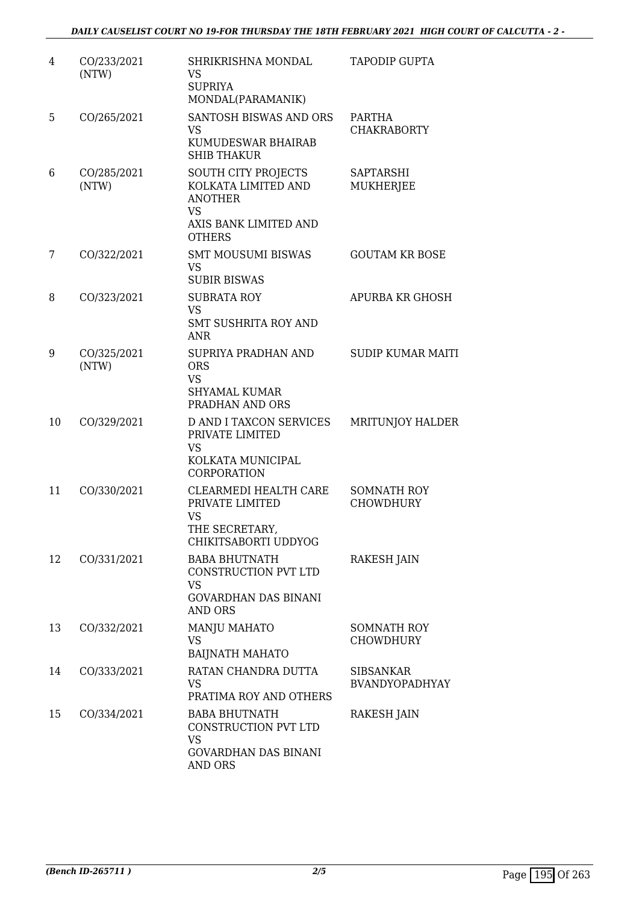| 4  | CO/233/2021<br>(NTW) | SHRIKRISHNA MONDAL<br>VS.<br><b>SUPRIYA</b><br>MONDAL(PARAMANIK)                                                    | TAPODIP GUPTA                             |
|----|----------------------|---------------------------------------------------------------------------------------------------------------------|-------------------------------------------|
| 5  | CO/265/2021          | <b>SANTOSH BISWAS AND ORS</b><br><b>VS</b><br>KUMUDESWAR BHAIRAB<br><b>SHIB THAKUR</b>                              | PARTHA<br><b>CHAKRABORTY</b>              |
| 6  | CO/285/2021<br>(NTW) | SOUTH CITY PROJECTS<br>KOLKATA LIMITED AND<br><b>ANOTHER</b><br><b>VS</b><br>AXIS BANK LIMITED AND<br><b>OTHERS</b> | <b>SAPTARSHI</b><br><b>MUKHERJEE</b>      |
| 7  | CO/322/2021          | <b>SMT MOUSUMI BISWAS</b><br>VS<br><b>SUBIR BISWAS</b>                                                              | <b>GOUTAM KR BOSE</b>                     |
| 8  | CO/323/2021          | <b>SUBRATA ROY</b><br><b>VS</b><br><b>SMT SUSHRITA ROY AND</b><br><b>ANR</b>                                        | <b>APURBA KR GHOSH</b>                    |
| 9  | CO/325/2021<br>(NTW) | SUPRIYA PRADHAN AND<br><b>ORS</b><br><b>VS</b><br><b>SHYAMAL KUMAR</b><br>PRADHAN AND ORS                           | <b>SUDIP KUMAR MAITI</b>                  |
| 10 | CO/329/2021          | <b>D AND I TAXCON SERVICES</b><br>PRIVATE LIMITED<br><b>VS</b><br>KOLKATA MUNICIPAL<br><b>CORPORATION</b>           | <b>MRITUNJOY HALDER</b>                   |
| 11 | CO/330/2021          | CLEARMEDI HEALTH CARE<br>PRIVATE LIMITED<br><b>VS</b><br>THE SECRETARY,<br>CHIKITSABORTI UDDYOG                     | <b>SOMNATH ROY</b><br><b>CHOWDHURY</b>    |
| 12 | CO/331/2021          | <b>BABA BHUTNATH</b><br>CONSTRUCTION PVT LTD<br>VS<br><b>GOVARDHAN DAS BINANI</b><br><b>AND ORS</b>                 | <b>RAKESH JAIN</b>                        |
| 13 | CO/332/2021          | <b>MANJU MAHATO</b><br><b>VS</b><br><b>BAIJNATH MAHATO</b>                                                          | SOMNATH ROY<br><b>CHOWDHURY</b>           |
| 14 | CO/333/2021          | RATAN CHANDRA DUTTA<br><b>VS</b><br>PRATIMA ROY AND OTHERS                                                          | <b>SIBSANKAR</b><br><b>BVANDYOPADHYAY</b> |
| 15 | CO/334/2021          | <b>BABA BHUTNATH</b><br>CONSTRUCTION PVT LTD<br>VS<br><b>GOVARDHAN DAS BINANI</b><br>AND ORS                        | <b>RAKESH JAIN</b>                        |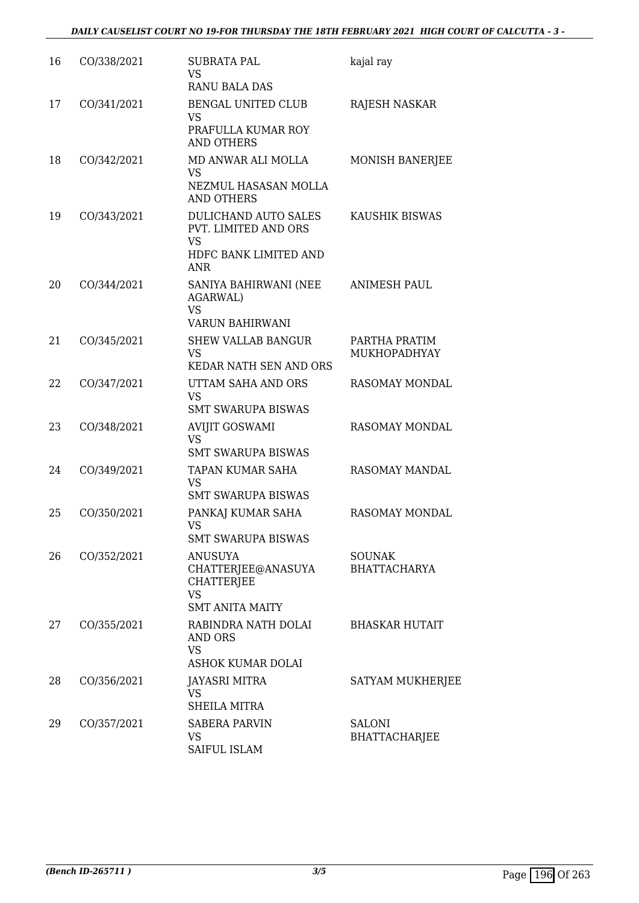| 16 | CO/338/2021 | <b>SUBRATA PAL</b><br><b>VS</b><br><b>RANU BALA DAS</b>                                          | kajal ray                            |
|----|-------------|--------------------------------------------------------------------------------------------------|--------------------------------------|
| 17 | CO/341/2021 | BENGAL UNITED CLUB<br><b>VS</b><br>PRAFULLA KUMAR ROY<br>AND OTHERS                              | <b>RAJESH NASKAR</b>                 |
| 18 | CO/342/2021 | MD ANWAR ALI MOLLA<br><b>VS</b><br>NEZMUL HASASAN MOLLA<br><b>AND OTHERS</b>                     | MONISH BANERJEE                      |
| 19 | CO/343/2021 | DULICHAND AUTO SALES<br>PVT. LIMITED AND ORS<br><b>VS</b><br>HDFC BANK LIMITED AND<br><b>ANR</b> | KAUSHIK BISWAS                       |
| 20 | CO/344/2021 | SANIYA BAHIRWANI (NEE<br><b>AGARWAL)</b><br><b>VS</b><br><b>VARUN BAHIRWANI</b>                  | ANIMESH PAUL                         |
| 21 | CO/345/2021 | <b>SHEW VALLAB BANGUR</b><br><b>VS</b><br>KEDAR NATH SEN AND ORS                                 | PARTHA PRATIM<br><b>MUKHOPADHYAY</b> |
| 22 | CO/347/2021 | UTTAM SAHA AND ORS<br><b>VS</b><br><b>SMT SWARUPA BISWAS</b>                                     | RASOMAY MONDAL                       |
| 23 | CO/348/2021 | <b>AVIJIT GOSWAMI</b><br><b>VS</b><br><b>SMT SWARUPA BISWAS</b>                                  | RASOMAY MONDAL                       |
| 24 | CO/349/2021 | TAPAN KUMAR SAHA<br><b>VS</b><br><b>SMT SWARUPA BISWAS</b>                                       | RASOMAY MANDAL                       |
| 25 | CO/350/2021 | PANKAJ KUMAR SAHA<br><b>VS</b><br><b>SMT SWARUPA BISWAS</b>                                      | <b>RASOMAY MONDAL</b>                |
| 26 | CO/352/2021 | <b>ANUSUYA</b><br>CHATTERJEE@ANASUYA<br><b>CHATTERIEE</b><br><b>VS</b><br><b>SMT ANITA MAITY</b> | <b>SOUNAK</b><br><b>BHATTACHARYA</b> |
| 27 | CO/355/2021 | RABINDRA NATH DOLAI<br><b>AND ORS</b><br><b>VS</b><br>ASHOK KUMAR DOLAI                          | <b>BHASKAR HUTAIT</b>                |
| 28 | CO/356/2021 | <b>JAYASRI MITRA</b><br><b>VS</b><br><b>SHEILA MITRA</b>                                         | SATYAM MUKHERJEE                     |
| 29 | CO/357/2021 | <b>SABERA PARVIN</b><br>VS<br>SAIFUL ISLAM                                                       | SALONI<br><b>BHATTACHARJEE</b>       |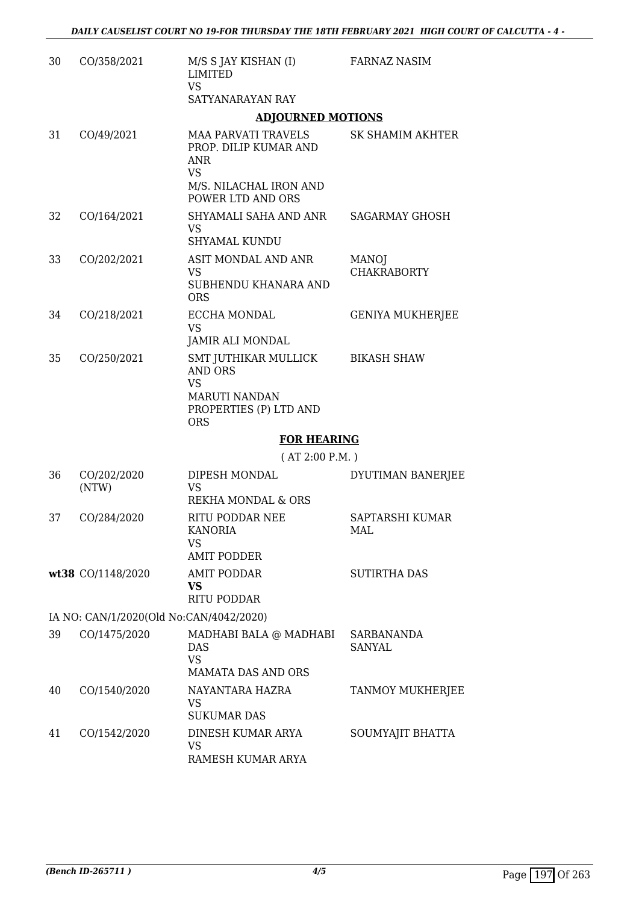| 30 | CO/358/2021                             | M/S S JAY KISHAN (I)<br><b>LIMITED</b><br><b>VS</b><br>SATYANARAYAN RAY                                                | <b>FARNAZ NASIM</b>                |
|----|-----------------------------------------|------------------------------------------------------------------------------------------------------------------------|------------------------------------|
|    |                                         | <b>ADJOURNED MOTIONS</b>                                                                                               |                                    |
| 31 | CO/49/2021                              | <b>MAA PARVATI TRAVELS</b><br>PROP. DILIP KUMAR AND<br>ANR<br><b>VS</b><br>M/S. NILACHAL IRON AND<br>POWER LTD AND ORS | <b>SK SHAMIM AKHTER</b>            |
| 32 | CO/164/2021                             | SHYAMALI SAHA AND ANR<br><b>VS</b><br>SHYAMAL KUNDU                                                                    | <b>SAGARMAY GHOSH</b>              |
| 33 | CO/202/2021                             | ASIT MONDAL AND ANR<br><b>VS</b><br>SUBHENDU KHANARA AND<br><b>ORS</b>                                                 | <b>MANOJ</b><br><b>CHAKRABORTY</b> |
| 34 | CO/218/2021                             | ECCHA MONDAL<br><b>VS</b><br><b>JAMIR ALI MONDAL</b>                                                                   | <b>GENIYA MUKHERJEE</b>            |
| 35 | CO/250/2021                             | SMT JUTHIKAR MULLICK<br><b>AND ORS</b><br><b>VS</b><br><b>MARUTI NANDAN</b><br>PROPERTIES (P) LTD AND<br><b>ORS</b>    | <b>BIKASH SHAW</b>                 |
|    |                                         | <b>FOR HEARING</b>                                                                                                     |                                    |
|    |                                         | (AT 2:00 P.M.)                                                                                                         |                                    |
| 36 | CO/202/2020<br>(NTW)                    | DIPESH MONDAL<br><b>VS</b><br><b>REKHA MONDAL &amp; ORS</b>                                                            | DYUTIMAN BANERJEE                  |
| 37 | CO/284/2020                             | <b>RITU PODDAR NEE</b><br><b>KANORIA</b><br>VS<br><b>AMIT PODDER</b>                                                   | SAPTARSHI KUMAR<br>MAL             |
|    | wt38 CO/1148/2020                       | <b>AMIT PODDAR</b><br>VS<br><b>RITU PODDAR</b>                                                                         | <b>SUTIRTHA DAS</b>                |
|    | IA NO: CAN/1/2020(Old No:CAN/4042/2020) |                                                                                                                        |                                    |
| 39 | CO/1475/2020                            | MADHABI BALA @ MADHABI<br><b>DAS</b><br><b>VS</b><br><b>MAMATA DAS AND ORS</b>                                         | <b>SARBANANDA</b><br><b>SANYAL</b> |
| 40 | CO/1540/2020                            | NAYANTARA HAZRA<br>VS<br><b>SUKUMAR DAS</b>                                                                            | TANMOY MUKHERJEE                   |
| 41 | CO/1542/2020                            | DINESH KUMAR ARYA<br><b>VS</b><br>RAMESH KUMAR ARYA                                                                    | SOUMYAJIT BHATTA                   |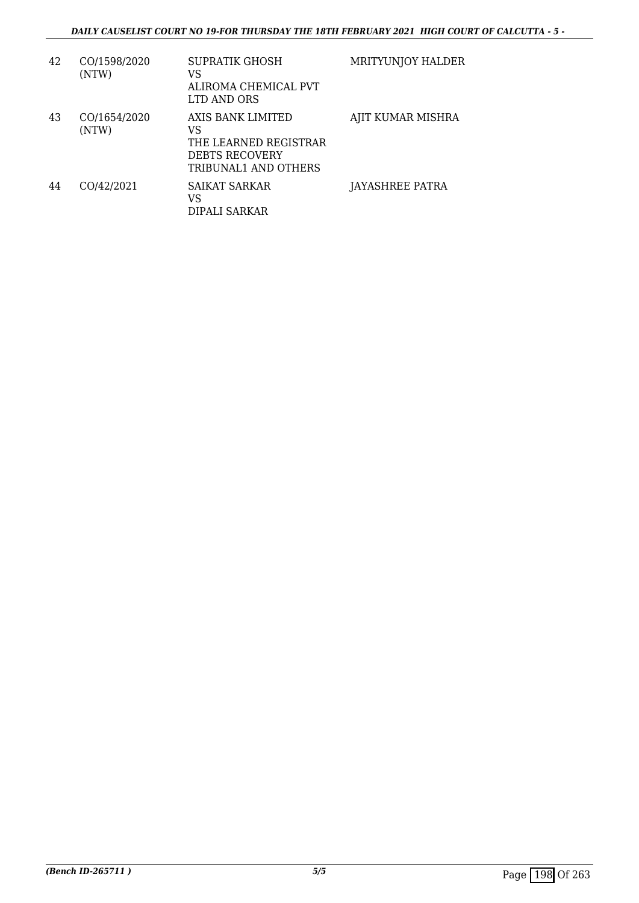| 42 | CO/1598/2020<br>(NTW) | SUPRATIK GHOSH<br>VS<br>ALIROMA CHEMICAL PVT<br>LTD AND ORS                                       | MRITYUNJOY HALDER |
|----|-----------------------|---------------------------------------------------------------------------------------------------|-------------------|
| 43 | CO/1654/2020<br>(NTW) | AXIS BANK LIMITED<br>VS<br>THE LEARNED REGISTRAR<br><b>DEBTS RECOVERY</b><br>TRIBUNAL1 AND OTHERS | AJIT KUMAR MISHRA |
| 44 | CO/42/2021            | SAIKAT SARKAR<br>VS<br>DIPALI SARKAR                                                              | JAYASHREE PATRA   |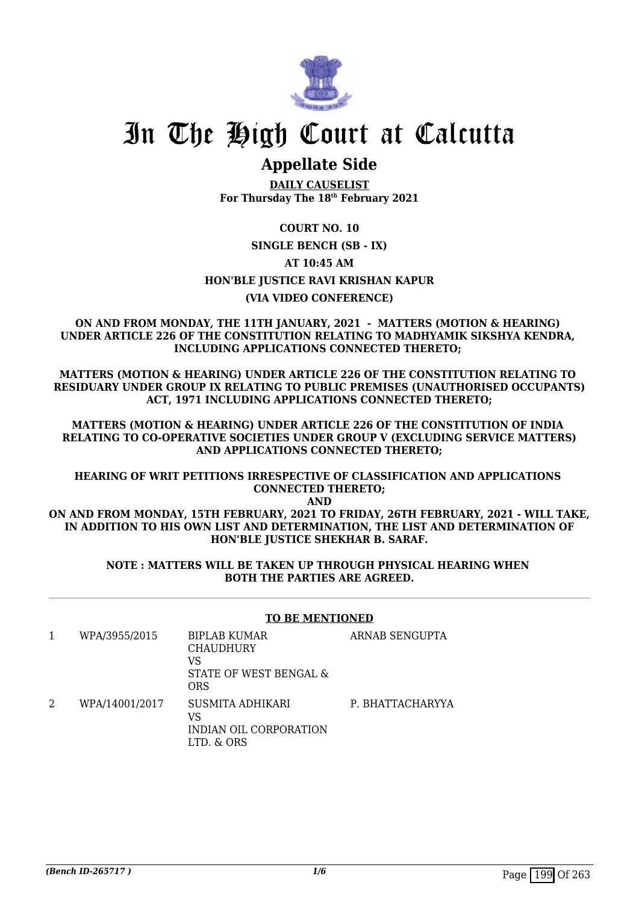

### **Appellate Side**

**DAILY CAUSELIST For Thursday The 18th February 2021**

#### **COURT NO. 10**

#### **SINGLE BENCH (SB - IX)**

#### **AT 10:45 AM**

#### **HON'BLE JUSTICE RAVI KRISHAN KAPUR**

#### **(VIA VIDEO CONFERENCE)**

#### **ON AND FROM MONDAY, THE 11TH JANUARY, 2021 - MATTERS (MOTION & HEARING) UNDER ARTICLE 226 OF THE CONSTITUTION RELATING TO MADHYAMIK SIKSHYA KENDRA, INCLUDING APPLICATIONS CONNECTED THERETO;**

**MATTERS (MOTION & HEARING) UNDER ARTICLE 226 OF THE CONSTITUTION RELATING TO RESIDUARY UNDER GROUP IX RELATING TO PUBLIC PREMISES (UNAUTHORISED OCCUPANTS) ACT, 1971 INCLUDING APPLICATIONS CONNECTED THERETO;**

**MATTERS (MOTION & HEARING) UNDER ARTICLE 226 OF THE CONSTITUTION OF INDIA RELATING TO CO-OPERATIVE SOCIETIES UNDER GROUP V (EXCLUDING SERVICE MATTERS) AND APPLICATIONS CONNECTED THERETO;**

#### **HEARING OF WRIT PETITIONS IRRESPECTIVE OF CLASSIFICATION AND APPLICATIONS CONNECTED THERETO;**

**AND**

#### **ON AND FROM MONDAY, 15TH FEBRUARY, 2021 TO FRIDAY, 26TH FEBRUARY, 2021 - WILL TAKE, IN ADDITION TO HIS OWN LIST AND DETERMINATION, THE LIST AND DETERMINATION OF HON'BLE JUSTICE SHEKHAR B. SARAF.**

#### **NOTE : MATTERS WILL BE TAKEN UP THROUGH PHYSICAL HEARING WHEN BOTH THE PARTIES ARE AGREED.**

#### **TO BE MENTIONED**

|   | WPA/3955/2015  | <b>BIPLAB KUMAR</b><br><b>CHAUDHURY</b><br>VS<br>STATE OF WEST BENGAL &<br>ORS | ARNAB SENGUPTA   |
|---|----------------|--------------------------------------------------------------------------------|------------------|
| 2 | WPA/14001/2017 | SUSMITA ADHIKARI<br>VS<br>INDIAN OIL CORPORATION<br>LTD. & ORS                 | P. BHATTACHARYYA |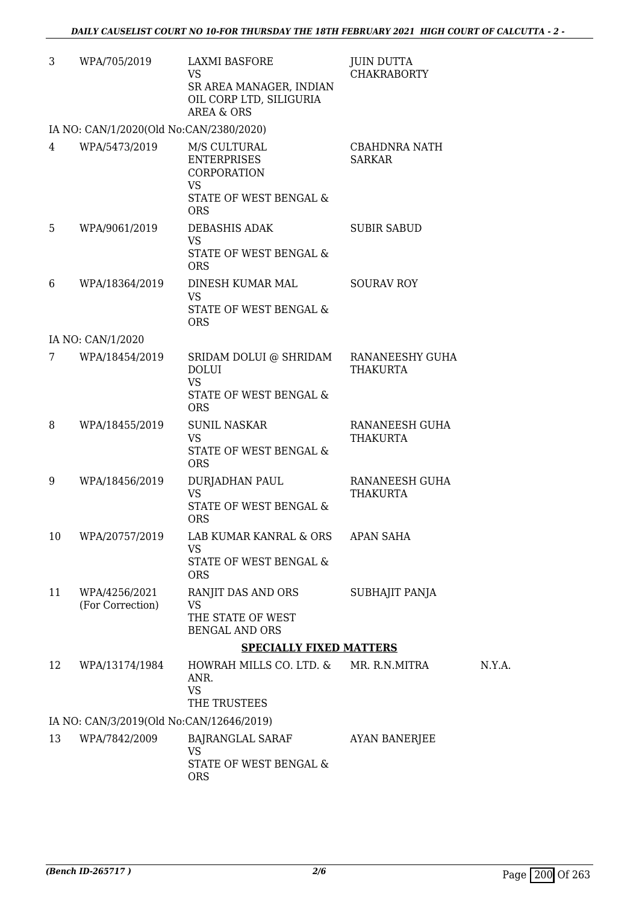| 3  | WPA/705/2019                             | <b>LAXMI BASFORE</b><br>VS<br>SR AREA MANAGER, INDIAN<br>OIL CORP LTD, SILIGURIA<br><b>AREA &amp; ORS</b> | <b>JUIN DUTTA</b><br><b>CHAKRABORTY</b> |
|----|------------------------------------------|-----------------------------------------------------------------------------------------------------------|-----------------------------------------|
|    | IA NO: CAN/1/2020(Old No:CAN/2380/2020)  |                                                                                                           |                                         |
| 4  | WPA/5473/2019                            | M/S CULTURAL<br><b>ENTERPRISES</b><br>CORPORATION<br>VS.<br>STATE OF WEST BENGAL &<br><b>ORS</b>          | <b>CBAHDNRA NATH</b><br><b>SARKAR</b>   |
| 5  | WPA/9061/2019                            | DEBASHIS ADAK<br><b>VS</b><br>STATE OF WEST BENGAL &<br><b>ORS</b>                                        | <b>SUBIR SABUD</b>                      |
| 6  | WPA/18364/2019                           | DINESH KUMAR MAL<br><b>VS</b><br>STATE OF WEST BENGAL &<br><b>ORS</b>                                     | <b>SOURAV ROY</b>                       |
|    | IA NO: CAN/1/2020                        |                                                                                                           |                                         |
| 7  | WPA/18454/2019                           | SRIDAM DOLUI @ SHRIDAM RANANEESHY GUHA<br><b>DOLUI</b><br><b>VS</b>                                       | THAKURTA                                |
|    |                                          | STATE OF WEST BENGAL &<br><b>ORS</b>                                                                      |                                         |
| 8  | WPA/18455/2019                           | <b>SUNIL NASKAR</b><br><b>VS</b><br>STATE OF WEST BENGAL &<br><b>ORS</b>                                  | RANANEESH GUHA<br><b>THAKURTA</b>       |
| 9  | WPA/18456/2019                           | <b>DURJADHAN PAUL</b><br><b>VS</b><br><b>STATE OF WEST BENGAL &amp;</b><br><b>ORS</b>                     | RANANEESH GUHA<br><b>THAKURTA</b>       |
| 10 | WPA/20757/2019                           | LAB KUMAR KANRAL & ORS<br><b>VS</b><br>STATE OF WEST BENGAL &<br><b>ORS</b>                               | APAN SAHA                               |
| 11 | WPA/4256/2021<br>(For Correction)        | RANJIT DAS AND ORS<br>VS<br>THE STATE OF WEST<br><b>BENGAL AND ORS</b>                                    | SUBHAJIT PANJA                          |
|    |                                          | <b>SPECIALLY FIXED MATTERS</b>                                                                            |                                         |
| 12 | WPA/13174/1984                           | HOWRAH MILLS CO. LTD. & MR. R.N.MITRA<br>ANR.<br><b>VS</b><br>THE TRUSTEES                                |                                         |
|    | IA NO: CAN/3/2019(Old No:CAN/12646/2019) |                                                                                                           |                                         |
| 13 | WPA/7842/2009                            | BAJRANGLAL SARAF<br><b>VS</b><br>STATE OF WEST BENGAL &<br><b>ORS</b>                                     | <b>AYAN BANERJEE</b>                    |

 $N.Y.A.$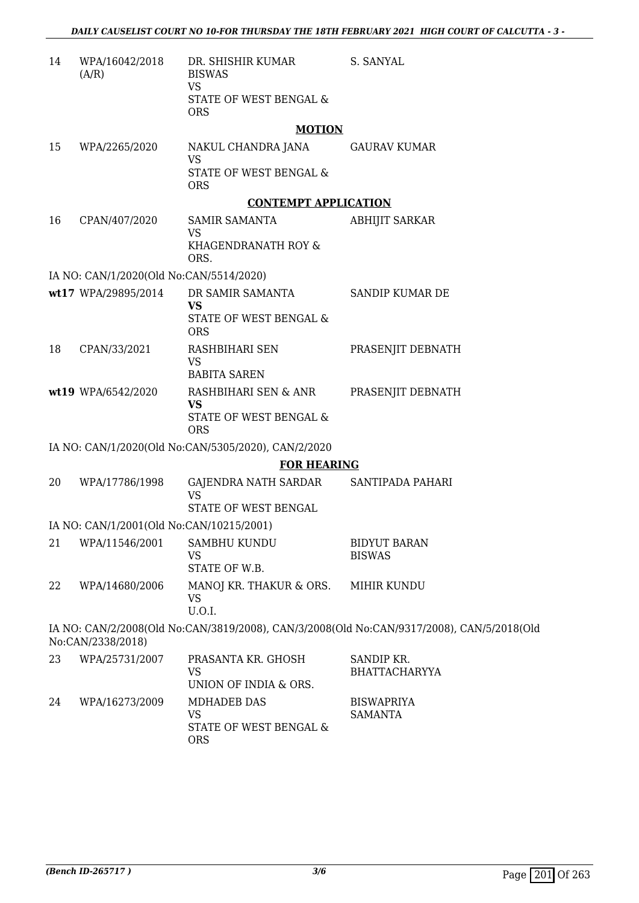| 14 | WPA/16042/2018<br>(A/R)                  | DR. SHISHIR KUMAR<br><b>BISWAS</b>                  | S. SANYAL                                                                                 |
|----|------------------------------------------|-----------------------------------------------------|-------------------------------------------------------------------------------------------|
|    |                                          | <b>VS</b><br>STATE OF WEST BENGAL &<br><b>ORS</b>   |                                                                                           |
|    |                                          | <b>MOTION</b>                                       |                                                                                           |
| 15 | WPA/2265/2020                            | NAKUL CHANDRA JANA<br><b>VS</b>                     | <b>GAURAV KUMAR</b>                                                                       |
|    |                                          | STATE OF WEST BENGAL &<br><b>ORS</b>                |                                                                                           |
|    |                                          | <b>CONTEMPT APPLICATION</b>                         |                                                                                           |
| 16 | CPAN/407/2020                            | <b>SAMIR SAMANTA</b><br><b>VS</b>                   | <b>ABHIJIT SARKAR</b>                                                                     |
|    |                                          | KHAGENDRANATH ROY &<br>ORS.                         |                                                                                           |
|    | IA NO: CAN/1/2020(Old No:CAN/5514/2020)  |                                                     |                                                                                           |
|    | wt17 WPA/29895/2014                      | DR SAMIR SAMANTA                                    | SANDIP KUMAR DE                                                                           |
|    |                                          | <b>VS</b><br>STATE OF WEST BENGAL &<br><b>ORS</b>   |                                                                                           |
| 18 | CPAN/33/2021                             | RASHBIHARI SEN<br><b>VS</b>                         | PRASENJIT DEBNATH                                                                         |
|    |                                          | <b>BABITA SAREN</b>                                 |                                                                                           |
|    | wt19 WPA/6542/2020                       | RASHBIHARI SEN & ANR<br><b>VS</b>                   | PRASENJIT DEBNATH                                                                         |
|    |                                          | STATE OF WEST BENGAL &<br><b>ORS</b>                |                                                                                           |
|    |                                          | IA NO: CAN/1/2020(Old No:CAN/5305/2020), CAN/2/2020 |                                                                                           |
|    |                                          | <b>FOR HEARING</b>                                  |                                                                                           |
| 20 | WPA/17786/1998                           | GAJENDRA NATH SARDAR<br><b>VS</b>                   | SANTIPADA PAHARI                                                                          |
|    |                                          | STATE OF WEST BENGAL                                |                                                                                           |
|    | IA NO: CAN/1/2001(Old No:CAN/10215/2001) |                                                     |                                                                                           |
| 21 | WPA/11546/2001                           | SAMBHU KUNDU<br>VS                                  | <b>BIDYUT BARAN</b><br><b>BISWAS</b>                                                      |
|    |                                          | STATE OF W.B.                                       |                                                                                           |
| 22 | WPA/14680/2006                           | MANOJ KR. THAKUR & ORS.<br><b>VS</b><br>U.O.I.      | MIHIR KUNDU                                                                               |
|    | No:CAN/2338/2018)                        |                                                     | IA NO: CAN/2/2008(Old No:CAN/3819/2008), CAN/3/2008(Old No:CAN/9317/2008), CAN/5/2018(Old |
| 23 | WPA/25731/2007                           | PRASANTA KR. GHOSH<br><b>VS</b>                     | SANDIP KR.<br><b>BHATTACHARYYA</b>                                                        |
|    |                                          | UNION OF INDIA & ORS.                               |                                                                                           |
| 24 | WPA/16273/2009                           | <b>MDHADEB DAS</b>                                  | <b>BISWAPRIYA</b>                                                                         |
|    |                                          | <b>VS</b><br>STATE OF WEST BENGAL &<br><b>ORS</b>   | <b>SAMANTA</b>                                                                            |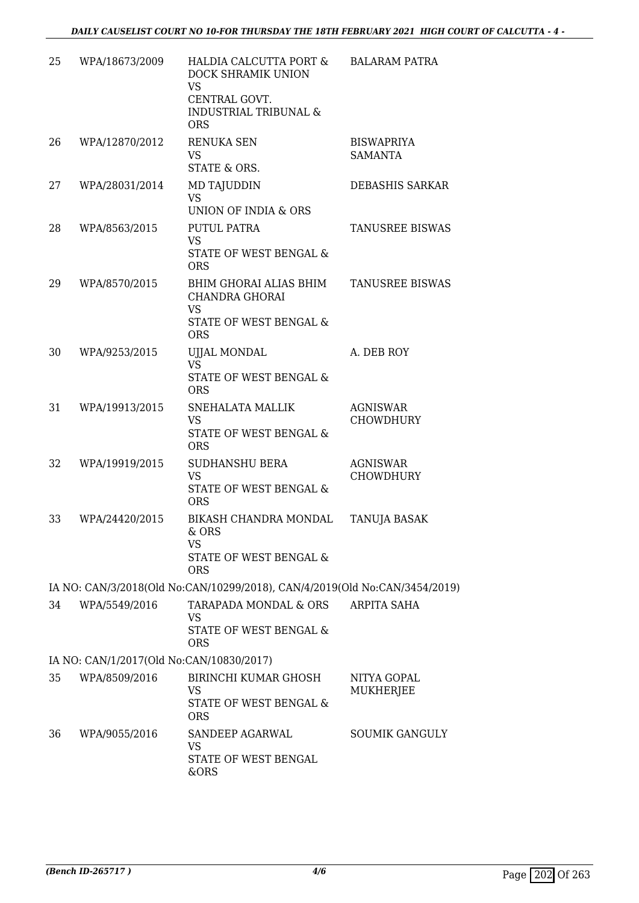| 25 | WPA/18673/2009                           | HALDIA CALCUTTA PORT &<br>DOCK SHRAMIK UNION<br><b>VS</b><br>CENTRAL GOVT.<br><b>INDUSTRIAL TRIBUNAL &amp;</b><br><b>ORS</b> | <b>BALARAM PATRA</b>                |
|----|------------------------------------------|------------------------------------------------------------------------------------------------------------------------------|-------------------------------------|
| 26 | WPA/12870/2012                           | RENUKA SEN<br>VS<br>STATE & ORS.                                                                                             | <b>BISWAPRIYA</b><br><b>SAMANTA</b> |
| 27 | WPA/28031/2014                           | <b>MD TAJUDDIN</b><br><b>VS</b><br>UNION OF INDIA & ORS                                                                      | DEBASHIS SARKAR                     |
| 28 | WPA/8563/2015                            | PUTUL PATRA<br><b>VS</b><br>STATE OF WEST BENGAL &<br><b>ORS</b>                                                             | <b>TANUSREE BISWAS</b>              |
| 29 | WPA/8570/2015                            | BHIM GHORAI ALIAS BHIM<br><b>CHANDRA GHORAI</b><br>VS<br>STATE OF WEST BENGAL &                                              | <b>TANUSREE BISWAS</b>              |
| 30 | WPA/9253/2015                            | <b>ORS</b><br><b>UJJAL MONDAL</b><br><b>VS</b><br>STATE OF WEST BENGAL &<br><b>ORS</b>                                       | A. DEB ROY                          |
| 31 | WPA/19913/2015                           | SNEHALATA MALLIK<br><b>VS</b><br>STATE OF WEST BENGAL &<br><b>ORS</b>                                                        | <b>AGNISWAR</b><br><b>CHOWDHURY</b> |
| 32 | WPA/19919/2015                           | <b>SUDHANSHU BERA</b><br><b>VS</b><br><b>STATE OF WEST BENGAL &amp;</b><br><b>ORS</b>                                        | <b>AGNISWAR</b><br><b>CHOWDHURY</b> |
| 33 | WPA/24420/2015                           | BIKASH CHANDRA MONDAL<br>& ORS<br><b>VS</b><br>STATE OF WEST BENGAL &<br><b>ORS</b>                                          | <b>TANUJA BASAK</b>                 |
|    |                                          | IA NO: CAN/3/2018(Old No:CAN/10299/2018), CAN/4/2019(Old No:CAN/3454/2019)                                                   |                                     |
| 34 | WPA/5549/2016                            | TARAPADA MONDAL & ORS<br>VS<br>STATE OF WEST BENGAL &<br><b>ORS</b>                                                          | <b>ARPITA SAHA</b>                  |
|    | IA NO: CAN/1/2017(Old No:CAN/10830/2017) |                                                                                                                              |                                     |
| 35 | WPA/8509/2016                            | <b>BIRINCHI KUMAR GHOSH</b><br><b>VS</b><br>STATE OF WEST BENGAL &<br><b>ORS</b>                                             | NITYA GOPAL<br>MUKHERJEE            |
| 36 | WPA/9055/2016                            | SANDEEP AGARWAL<br>VS<br>STATE OF WEST BENGAL<br>&ORS                                                                        | <b>SOUMIK GANGULY</b>               |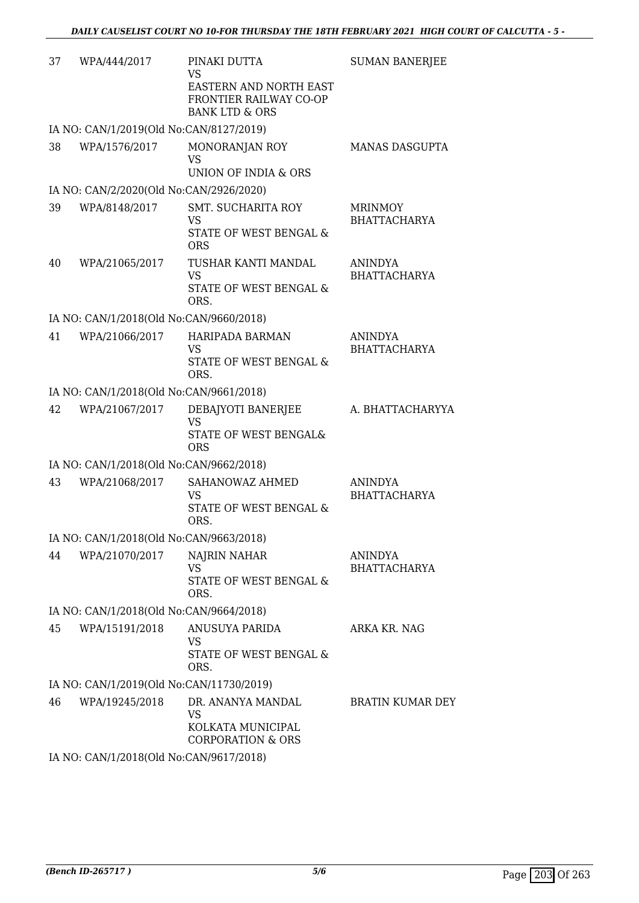| 37 | WPA/444/2017                             | PINAKI DUTTA<br><b>VS</b><br>EASTERN AND NORTH EAST<br>FRONTIER RAILWAY CO-OP<br><b>BANK LTD &amp; ORS</b> | <b>SUMAN BANERJEE</b>                 |
|----|------------------------------------------|------------------------------------------------------------------------------------------------------------|---------------------------------------|
|    | IA NO: CAN/1/2019(Old No:CAN/8127/2019)  |                                                                                                            |                                       |
| 38 | WPA/1576/2017                            | MONORANJAN ROY<br><b>VS</b><br>UNION OF INDIA & ORS                                                        | MANAS DASGUPTA                        |
|    | IA NO: CAN/2/2020(Old No:CAN/2926/2020)  |                                                                                                            |                                       |
| 39 | WPA/8148/2017                            | <b>SMT. SUCHARITA ROY</b><br>VS<br>STATE OF WEST BENGAL &<br><b>ORS</b>                                    | <b>MRINMOY</b><br><b>BHATTACHARYA</b> |
| 40 | WPA/21065/2017                           | TUSHAR KANTI MANDAL<br><b>VS</b><br>STATE OF WEST BENGAL &<br>ORS.                                         | <b>ANINDYA</b><br><b>BHATTACHARYA</b> |
|    | IA NO: CAN/1/2018(Old No:CAN/9660/2018)  |                                                                                                            |                                       |
| 41 | WPA/21066/2017                           | HARIPADA BARMAN<br>VS<br>STATE OF WEST BENGAL &<br>ORS.                                                    | <b>ANINDYA</b><br><b>BHATTACHARYA</b> |
|    | IA NO: CAN/1/2018(Old No:CAN/9661/2018)  |                                                                                                            |                                       |
| 42 | WPA/21067/2017                           | DEBAJYOTI BANERJEE<br><b>VS</b><br>STATE OF WEST BENGAL&<br><b>ORS</b>                                     | A. BHATTACHARYYA                      |
|    | IA NO: CAN/1/2018(Old No:CAN/9662/2018)  |                                                                                                            |                                       |
| 43 | WPA/21068/2017                           | SAHANOWAZ AHMED<br><b>VS</b><br><b>STATE OF WEST BENGAL &amp;</b><br>ORS.                                  | <b>ANINDYA</b><br><b>BHATTACHARYA</b> |
|    | IA NO: CAN/1/2018(Old No:CAN/9663/2018)  |                                                                                                            |                                       |
| 44 | WPA/21070/2017                           | NAJRIN NAHAR<br>VS<br>STATE OF WEST BENGAL &<br>ORS.                                                       | ANINDYA<br><b>BHATTACHARYA</b>        |
|    | IA NO: CAN/1/2018(Old No:CAN/9664/2018)  |                                                                                                            |                                       |
| 45 | WPA/15191/2018                           | ANUSUYA PARIDA<br>VS<br><b>STATE OF WEST BENGAL &amp;</b><br>ORS.                                          | ARKA KR. NAG                          |
|    | IA NO: CAN/1/2019(Old No:CAN/11730/2019) |                                                                                                            |                                       |
| 46 | WPA/19245/2018                           | DR. ANANYA MANDAL<br><b>VS</b><br>KOLKATA MUNICIPAL<br><b>CORPORATION &amp; ORS</b>                        | BRATIN KUMAR DEY                      |
|    | IA NO: CAN/1/2018(Old No:CAN/9617/2018)  |                                                                                                            |                                       |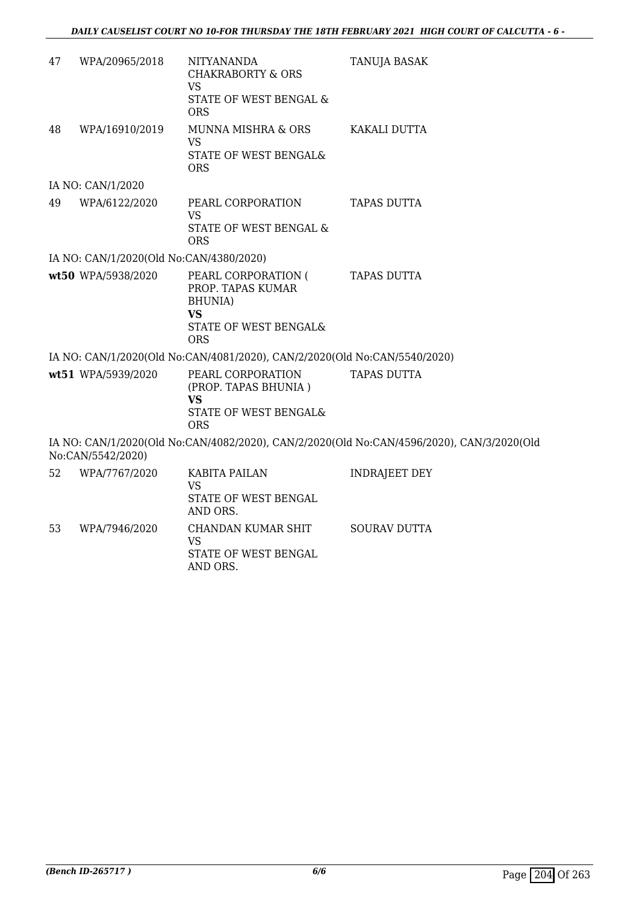| 47 | WPA/20965/2018                          | NITYANANDA<br><b>CHAKRABORTY &amp; ORS</b><br><b>VS</b>                                                         | <b>TANUJA BASAK</b>                                                                       |
|----|-----------------------------------------|-----------------------------------------------------------------------------------------------------------------|-------------------------------------------------------------------------------------------|
|    |                                         | STATE OF WEST BENGAL &<br><b>ORS</b>                                                                            |                                                                                           |
| 48 | WPA/16910/2019                          | MUNNA MISHRA & ORS<br><b>VS</b><br>STATE OF WEST BENGAL&<br><b>ORS</b>                                          | KAKALI DUTTA                                                                              |
|    | IA NO: CAN/1/2020                       |                                                                                                                 |                                                                                           |
| 49 | WPA/6122/2020                           | PEARL CORPORATION<br><b>VS</b><br>STATE OF WEST BENGAL &<br><b>ORS</b>                                          | <b>TAPAS DUTTA</b>                                                                        |
|    | IA NO: CAN/1/2020(Old No:CAN/4380/2020) |                                                                                                                 |                                                                                           |
|    | wt50 WPA/5938/2020                      | PEARL CORPORATION (<br>PROP. TAPAS KUMAR<br><b>BHUNIA</b> )<br><b>VS</b><br>STATE OF WEST BENGAL&<br><b>ORS</b> | <b>TAPAS DUTTA</b>                                                                        |
|    |                                         | IA NO: CAN/1/2020(Old No:CAN/4081/2020), CAN/2/2020(Old No:CAN/5540/2020)                                       |                                                                                           |
|    | wt51 WPA/5939/2020                      | PEARL CORPORATION<br>(PROP. TAPAS BHUNIA)<br><b>VS</b><br>STATE OF WEST BENGAL&                                 | <b>TAPAS DUTTA</b>                                                                        |
|    | No:CAN/5542/2020)                       | <b>ORS</b>                                                                                                      | IA NO: CAN/1/2020(Old No:CAN/4082/2020), CAN/2/2020(Old No:CAN/4596/2020), CAN/3/2020(Old |
| 52 | WPA/7767/2020                           | KABITA PAILAN<br><b>VS</b><br>STATE OF WEST BENGAL<br>AND ORS.                                                  | <b>INDRAJEET DEY</b>                                                                      |
| 53 | WPA/7946/2020                           | CHANDAN KUMAR SHIT<br><b>VS</b>                                                                                 | <b>SOURAV DUTTA</b>                                                                       |

STATE OF WEST BENGAL

AND ORS.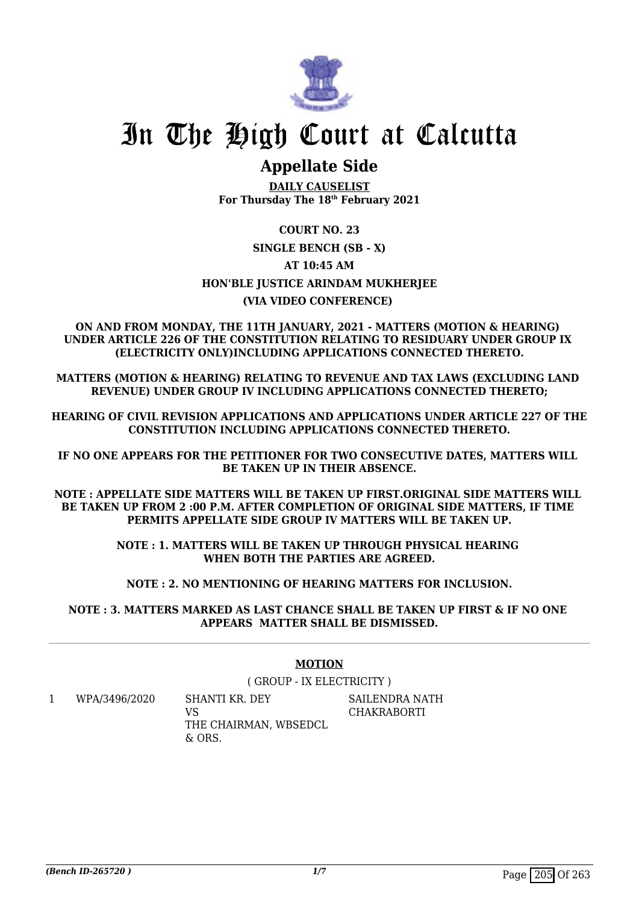

## **Appellate Side**

**DAILY CAUSELIST For Thursday The 18th February 2021**

### **COURT NO. 23 SINGLE BENCH (SB - X) AT 10:45 AM HON'BLE JUSTICE ARINDAM MUKHERJEE (VIA VIDEO CONFERENCE)**

#### **ON AND FROM MONDAY, THE 11TH JANUARY, 2021 - MATTERS (MOTION & HEARING) UNDER ARTICLE 226 OF THE CONSTITUTION RELATING TO RESIDUARY UNDER GROUP IX (ELECTRICITY ONLY)INCLUDING APPLICATIONS CONNECTED THERETO.**

**MATTERS (MOTION & HEARING) RELATING TO REVENUE AND TAX LAWS (EXCLUDING LAND REVENUE) UNDER GROUP IV INCLUDING APPLICATIONS CONNECTED THERETO;**

**HEARING OF CIVIL REVISION APPLICATIONS AND APPLICATIONS UNDER ARTICLE 227 OF THE CONSTITUTION INCLUDING APPLICATIONS CONNECTED THERETO.**

**IF NO ONE APPEARS FOR THE PETITIONER FOR TWO CONSECUTIVE DATES, MATTERS WILL BE TAKEN UP IN THEIR ABSENCE.**

**NOTE : APPELLATE SIDE MATTERS WILL BE TAKEN UP FIRST.ORIGINAL SIDE MATTERS WILL BE TAKEN UP FROM 2 :00 P.M. AFTER COMPLETION OF ORIGINAL SIDE MATTERS, IF TIME PERMITS APPELLATE SIDE GROUP IV MATTERS WILL BE TAKEN UP.**

> **NOTE : 1. MATTERS WILL BE TAKEN UP THROUGH PHYSICAL HEARING WHEN BOTH THE PARTIES ARE AGREED.**

**NOTE : 2. NO MENTIONING OF HEARING MATTERS FOR INCLUSION.**

**NOTE : 3. MATTERS MARKED AS LAST CHANCE SHALL BE TAKEN UP FIRST & IF NO ONE APPEARS MATTER SHALL BE DISMISSED.**

#### **MOTION**

( GROUP - IX ELECTRICITY )

1 WPA/3496/2020 SHANTI KR. DEY  $V<sup>Q</sup>$ THE CHAIRMAN, WBSEDCL  $\&$  ORS.

SAILENDRA NATH **CHAKRABORTI**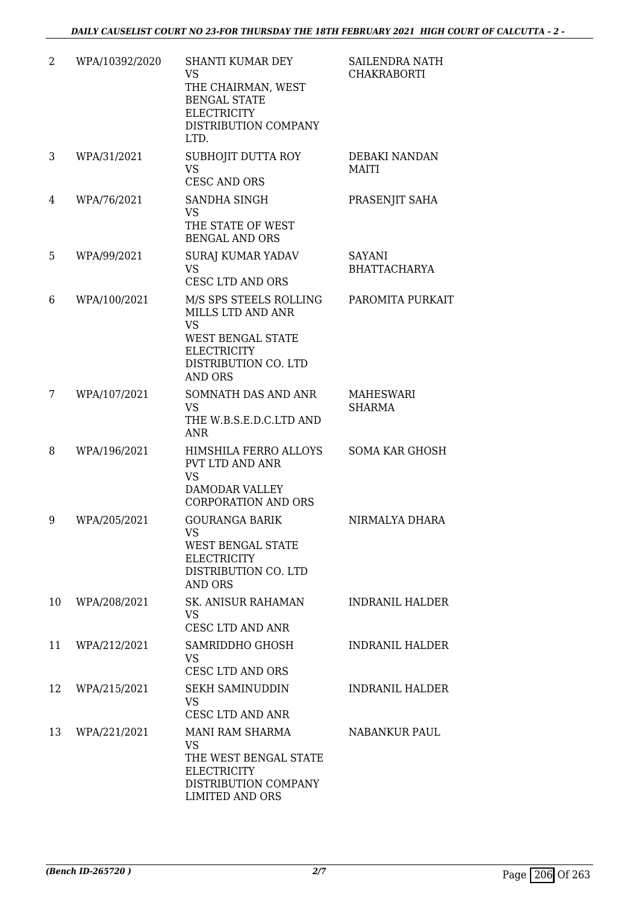| $\overline{2}$ | WPA/10392/2020 | SHANTI KUMAR DEY<br><b>VS</b><br>THE CHAIRMAN, WEST<br><b>BENGAL STATE</b><br><b>ELECTRICITY</b><br>DISTRIBUTION COMPANY<br>LTD.                     | <b>SAILENDRA NATH</b><br><b>CHAKRABORTI</b> |
|----------------|----------------|------------------------------------------------------------------------------------------------------------------------------------------------------|---------------------------------------------|
| 3              | WPA/31/2021    | SUBHOJIT DUTTA ROY<br><b>VS</b><br><b>CESC AND ORS</b>                                                                                               | DEBAKI NANDAN<br><b>MAITI</b>               |
| 4              | WPA/76/2021    | SANDHA SINGH<br><b>VS</b><br>THE STATE OF WEST<br><b>BENGAL AND ORS</b>                                                                              | PRASENJIT SAHA                              |
| 5              | WPA/99/2021    | <b>SURAJ KUMAR YADAV</b><br><b>VS</b><br><b>CESC LTD AND ORS</b>                                                                                     | <b>SAYANI</b><br><b>BHATTACHARYA</b>        |
| 6              | WPA/100/2021   | M/S SPS STEELS ROLLING<br>MILLS LTD AND ANR<br><b>VS</b><br><b>WEST BENGAL STATE</b><br><b>ELECTRICITY</b><br>DISTRIBUTION CO. LTD<br><b>AND ORS</b> | PAROMITA PURKAIT                            |
| 7              | WPA/107/2021   | SOMNATH DAS AND ANR<br><b>VS</b><br>THE W.B.S.E.D.C.LTD AND<br><b>ANR</b>                                                                            | <b>MAHESWARI</b><br><b>SHARMA</b>           |
| 8              | WPA/196/2021   | HIMSHILA FERRO ALLOYS<br><b>PVT LTD AND ANR</b><br><b>VS</b><br><b>DAMODAR VALLEY</b><br><b>CORPORATION AND ORS</b>                                  | <b>SOMA KAR GHOSH</b>                       |
| 9              | WPA/205/2021   | <b>GOURANGA BARIK</b><br>VS.<br>WEST BENGAL STATE<br><b>ELECTRICITY</b><br>DISTRIBUTION CO. LTD<br><b>AND ORS</b>                                    | NIRMALYA DHARA                              |
| 10             | WPA/208/2021   | <b>SK. ANISUR RAHAMAN</b><br><b>VS</b><br>CESC LTD AND ANR                                                                                           | <b>INDRANIL HALDER</b>                      |
| 11             | WPA/212/2021   | SAMRIDDHO GHOSH<br><b>VS</b><br><b>CESC LTD AND ORS</b>                                                                                              | <b>INDRANIL HALDER</b>                      |
| 12             | WPA/215/2021   | <b>SEKH SAMINUDDIN</b><br><b>VS</b><br>CESC LTD AND ANR                                                                                              | INDRANIL HALDER                             |
| 13             | WPA/221/2021   | MANI RAM SHARMA<br><b>VS</b><br>THE WEST BENGAL STATE<br><b>ELECTRICITY</b><br>DISTRIBUTION COMPANY<br><b>LIMITED AND ORS</b>                        | <b>NABANKUR PAUL</b>                        |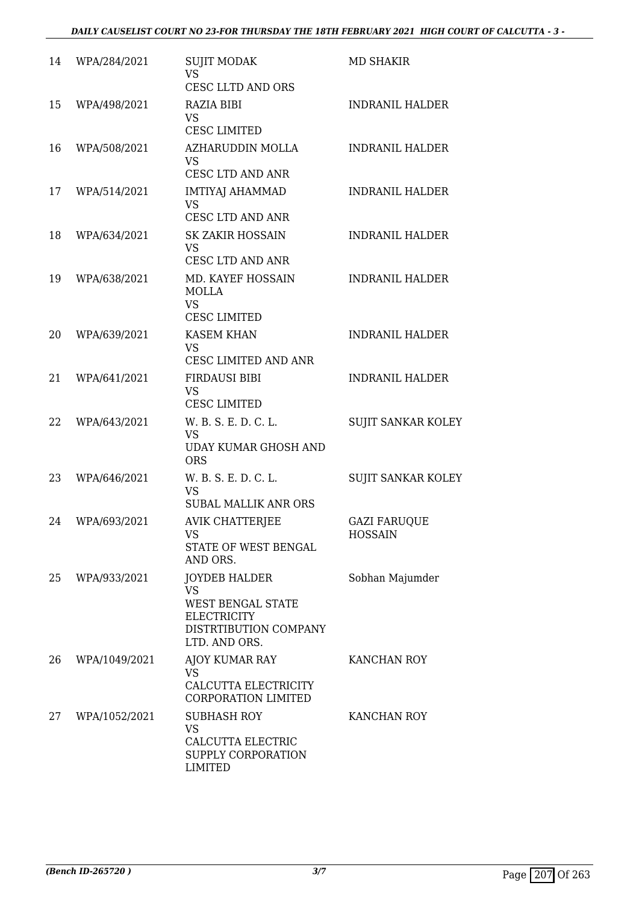| 14 | WPA/284/2021  | <b>SUJIT MODAK</b><br><b>VS</b><br>CESC LLTD AND ORS                                                                          | <b>MD SHAKIR</b>                      |
|----|---------------|-------------------------------------------------------------------------------------------------------------------------------|---------------------------------------|
| 15 | WPA/498/2021  | <b>RAZIA BIBI</b><br><b>VS</b><br><b>CESC LIMITED</b>                                                                         | <b>INDRANIL HALDER</b>                |
| 16 | WPA/508/2021  | AZHARUDDIN MOLLA<br><b>VS</b><br>CESC LTD AND ANR                                                                             | <b>INDRANIL HALDER</b>                |
| 17 | WPA/514/2021  | <b>IMTIYAJ AHAMMAD</b><br><b>VS</b><br><b>CESC LTD AND ANR</b>                                                                | <b>INDRANIL HALDER</b>                |
| 18 | WPA/634/2021  | SK ZAKIR HOSSAIN<br><b>VS</b><br>CESC LTD AND ANR                                                                             | <b>INDRANIL HALDER</b>                |
| 19 | WPA/638/2021  | MD. KAYEF HOSSAIN<br><b>MOLLA</b><br><b>VS</b>                                                                                | <b>INDRANIL HALDER</b>                |
|    |               | <b>CESC LIMITED</b>                                                                                                           |                                       |
| 20 | WPA/639/2021  | <b>KASEM KHAN</b><br><b>VS</b><br>CESC LIMITED AND ANR                                                                        | <b>INDRANIL HALDER</b>                |
| 21 | WPA/641/2021  | <b>FIRDAUSI BIBI</b><br><b>VS</b><br><b>CESC LIMITED</b>                                                                      | <b>INDRANIL HALDER</b>                |
| 22 | WPA/643/2021  | W. B. S. E. D. C. L.<br><b>VS</b><br><b>UDAY KUMAR GHOSH AND</b><br><b>ORS</b>                                                | <b>SUJIT SANKAR KOLEY</b>             |
| 23 | WPA/646/2021  | W. B. S. E. D. C. L.<br><b>VS</b><br><b>SUBAL MALLIK ANR ORS</b>                                                              | <b>SUJIT SANKAR KOLEY</b>             |
| 24 | WPA/693/2021  | <b>AVIK CHATTERJEE</b><br><b>VS</b><br><b>STATE OF WEST BENGAL</b><br>AND ORS.                                                | <b>GAZI FARUQUE</b><br><b>HOSSAIN</b> |
| 25 | WPA/933/2021  | <b>JOYDEB HALDER</b><br><b>VS</b><br><b>WEST BENGAL STATE</b><br><b>ELECTRICITY</b><br>DISTRTIBUTION COMPANY<br>LTD. AND ORS. | Sobhan Majumder                       |
| 26 | WPA/1049/2021 | <b>AJOY KUMAR RAY</b><br><b>VS</b><br>CALCUTTA ELECTRICITY<br><b>CORPORATION LIMITED</b>                                      | KANCHAN ROY                           |
| 27 | WPA/1052/2021 | <b>SUBHASH ROY</b><br><b>VS</b><br>CALCUTTA ELECTRIC<br>SUPPLY CORPORATION<br><b>LIMITED</b>                                  | KANCHAN ROY                           |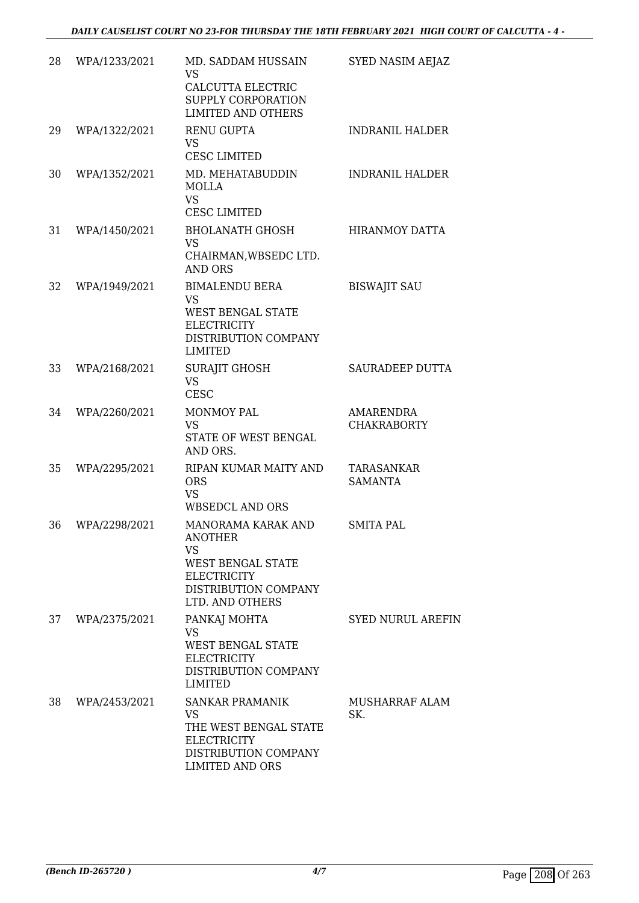| 28 | WPA/1233/2021 | MD. SADDAM HUSSAIN<br><b>VS</b><br>CALCUTTA ELECTRIC<br>SUPPLY CORPORATION<br><b>LIMITED AND OTHERS</b>                                        | SYED NASIM AEJAZ                       |
|----|---------------|------------------------------------------------------------------------------------------------------------------------------------------------|----------------------------------------|
| 29 | WPA/1322/2021 | <b>RENU GUPTA</b><br><b>VS</b><br><b>CESC LIMITED</b>                                                                                          | <b>INDRANIL HALDER</b>                 |
| 30 | WPA/1352/2021 | MD. MEHATABUDDIN<br><b>MOLLA</b><br><b>VS</b><br><b>CESC LIMITED</b>                                                                           | <b>INDRANIL HALDER</b>                 |
| 31 | WPA/1450/2021 | <b>BHOLANATH GHOSH</b><br><b>VS</b><br>CHAIRMAN, WBSEDC LTD.<br><b>AND ORS</b>                                                                 | <b>HIRANMOY DATTA</b>                  |
| 32 | WPA/1949/2021 | <b>BIMALENDU BERA</b><br><b>VS</b><br><b>WEST BENGAL STATE</b><br><b>ELECTRICITY</b><br>DISTRIBUTION COMPANY<br><b>LIMITED</b>                 | <b>BISWAJIT SAU</b>                    |
| 33 | WPA/2168/2021 | <b>SURAJIT GHOSH</b><br><b>VS</b><br><b>CESC</b>                                                                                               | <b>SAURADEEP DUTTA</b>                 |
| 34 | WPA/2260/2021 | MONMOY PAL<br><b>VS</b><br>STATE OF WEST BENGAL<br>AND ORS.                                                                                    | <b>AMARENDRA</b><br><b>CHAKRABORTY</b> |
| 35 | WPA/2295/2021 | RIPAN KUMAR MAITY AND<br><b>ORS</b><br><b>VS</b><br>WBSEDCL AND ORS                                                                            | TARASANKAR<br><b>SAMANTA</b>           |
| 36 | WPA/2298/2021 | MANORAMA KARAK AND<br><b>ANOTHER</b><br><b>VS</b><br><b>WEST BENGAL STATE</b><br><b>ELECTRICITY</b><br>DISTRIBUTION COMPANY<br>LTD. AND OTHERS | SMITA PAL                              |
| 37 | WPA/2375/2021 | PANKAJ MOHTA<br><b>VS</b><br><b>WEST BENGAL STATE</b><br><b>ELECTRICITY</b><br>DISTRIBUTION COMPANY<br><b>LIMITED</b>                          | <b>SYED NURUL AREFIN</b>               |
| 38 | WPA/2453/2021 | <b>SANKAR PRAMANIK</b><br><b>VS</b><br>THE WEST BENGAL STATE<br><b>ELECTRICITY</b><br>DISTRIBUTION COMPANY<br><b>LIMITED AND ORS</b>           | MUSHARRAF ALAM<br>SK.                  |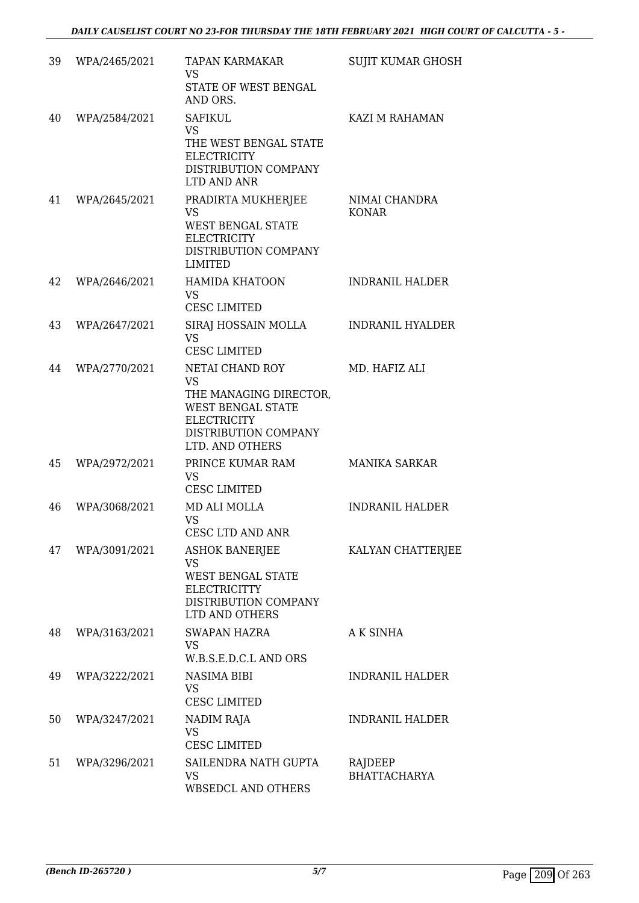| 39 | WPA/2465/2021 | <b>TAPAN KARMAKAR</b><br><b>VS</b><br>STATE OF WEST BENGAL<br>AND ORS.                                                                              | <b>SUJIT KUMAR GHOSH</b>       |
|----|---------------|-----------------------------------------------------------------------------------------------------------------------------------------------------|--------------------------------|
| 40 | WPA/2584/2021 | <b>SAFIKUL</b><br><b>VS</b><br>THE WEST BENGAL STATE<br><b>ELECTRICITY</b><br>DISTRIBUTION COMPANY<br>LTD AND ANR                                   | KAZI M RAHAMAN                 |
| 41 | WPA/2645/2021 | PRADIRTA MUKHERJEE<br>VS<br><b>WEST BENGAL STATE</b><br><b>ELECTRICITY</b><br>DISTRIBUTION COMPANY<br><b>LIMITED</b>                                | NIMAI CHANDRA<br><b>KONAR</b>  |
| 42 | WPA/2646/2021 | <b>HAMIDA KHATOON</b><br>VS<br><b>CESC LIMITED</b>                                                                                                  | <b>INDRANIL HALDER</b>         |
| 43 | WPA/2647/2021 | SIRAJ HOSSAIN MOLLA<br><b>VS</b><br><b>CESC LIMITED</b>                                                                                             | <b>INDRANIL HYALDER</b>        |
| 44 | WPA/2770/2021 | NETAI CHAND ROY<br><b>VS</b><br>THE MANAGING DIRECTOR,<br><b>WEST BENGAL STATE</b><br><b>ELECTRICITY</b><br>DISTRIBUTION COMPANY<br>LTD. AND OTHERS | MD. HAFIZ ALI                  |
| 45 | WPA/2972/2021 | PRINCE KUMAR RAM<br><b>VS</b><br><b>CESC LIMITED</b>                                                                                                | <b>MANIKA SARKAR</b>           |
| 46 | WPA/3068/2021 | MD ALI MOLLA<br>VS<br>CESC LTD AND ANR                                                                                                              | <b>INDRANIL HALDER</b>         |
| 47 | WPA/3091/2021 | <b>ASHOK BANERJEE</b><br><b>VS</b><br><b>WEST BENGAL STATE</b><br><b>ELECTRICITTY</b><br>DISTRIBUTION COMPANY<br>LTD AND OTHERS                     | KALYAN CHATTERJEE              |
| 48 | WPA/3163/2021 | SWAPAN HAZRA<br><b>VS</b><br>W.B.S.E.D.C.L AND ORS                                                                                                  | A K SINHA                      |
| 49 | WPA/3222/2021 | NASIMA BIBI<br>VS<br><b>CESC LIMITED</b>                                                                                                            | <b>INDRANIL HALDER</b>         |
| 50 | WPA/3247/2021 | NADIM RAJA<br><b>VS</b><br><b>CESC LIMITED</b>                                                                                                      | <b>INDRANIL HALDER</b>         |
| 51 | WPA/3296/2021 | SAILENDRA NATH GUPTA<br><b>VS</b><br>WBSEDCL AND OTHERS                                                                                             | RAJDEEP<br><b>BHATTACHARYA</b> |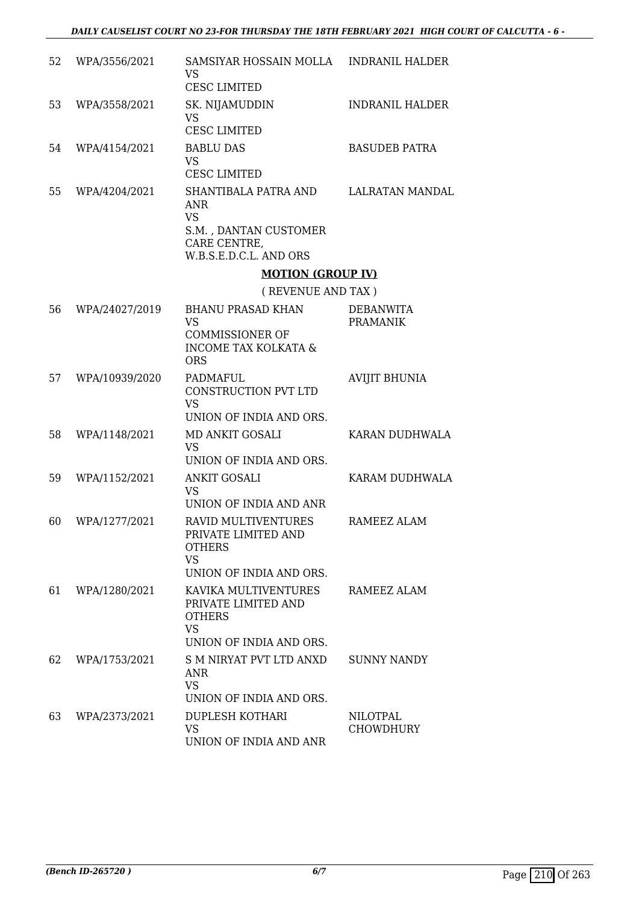| 52 | WPA/3556/2021  | SAMSIYAR HOSSAIN MOLLA<br><b>VS</b><br><b>CESC LIMITED</b>                                                         | <b>INDRANIL HALDER</b>              |
|----|----------------|--------------------------------------------------------------------------------------------------------------------|-------------------------------------|
| 53 | WPA/3558/2021  | SK. NIJAMUDDIN<br>VS<br><b>CESC LIMITED</b>                                                                        | <b>INDRANIL HALDER</b>              |
| 54 | WPA/4154/2021  | <b>BABLU DAS</b><br><b>VS</b><br><b>CESC LIMITED</b>                                                               | <b>BASUDEB PATRA</b>                |
| 55 | WPA/4204/2021  | SHANTIBALA PATRA AND<br><b>ANR</b><br><b>VS</b><br>S.M., DANTAN CUSTOMER<br>CARE CENTRE,<br>W.B.S.E.D.C.L. AND ORS | <b>LALRATAN MANDAL</b>              |
|    |                | <b>MOTION (GROUP IV)</b>                                                                                           |                                     |
|    |                | (REVENUE AND TAX)                                                                                                  |                                     |
| 56 | WPA/24027/2019 | <b>BHANU PRASAD KHAN</b><br>VS<br><b>COMMISSIONER OF</b><br><b>INCOME TAX KOLKATA &amp;</b><br><b>ORS</b>          | <b>DEBANWITA</b><br><b>PRAMANIK</b> |
| 57 | WPA/10939/2020 | <b>PADMAFUL</b><br>CONSTRUCTION PVT LTD<br>VS<br>UNION OF INDIA AND ORS.                                           | <b>AVIJIT BHUNIA</b>                |
| 58 | WPA/1148/2021  | MD ANKIT GOSALI<br><b>VS</b><br>UNION OF INDIA AND ORS.                                                            | KARAN DUDHWALA                      |
| 59 | WPA/1152/2021  | <b>ANKIT GOSALI</b><br><b>VS</b><br>UNION OF INDIA AND ANR                                                         | KARAM DUDHWALA                      |
| 60 | WPA/1277/2021  | <b>RAVID MULTIVENTURES</b><br>PRIVATE LIMITED AND<br><b>OTHERS</b><br><b>VS</b><br>UNION OF INDIA AND ORS.         | RAMEEZ ALAM                         |
| 61 | WPA/1280/2021  | KAVIKA MULTIVENTURES<br>PRIVATE LIMITED AND<br><b>OTHERS</b><br><b>VS</b><br>UNION OF INDIA AND ORS.               | RAMEEZ ALAM                         |
| 62 | WPA/1753/2021  | S M NIRYAT PVT LTD ANXD<br><b>ANR</b><br><b>VS</b><br>UNION OF INDIA AND ORS.                                      | <b>SUNNY NANDY</b>                  |
| 63 | WPA/2373/2021  | <b>DUPLESH KOTHARI</b><br><b>VS</b><br>UNION OF INDIA AND ANR                                                      | NILOTPAL<br><b>CHOWDHURY</b>        |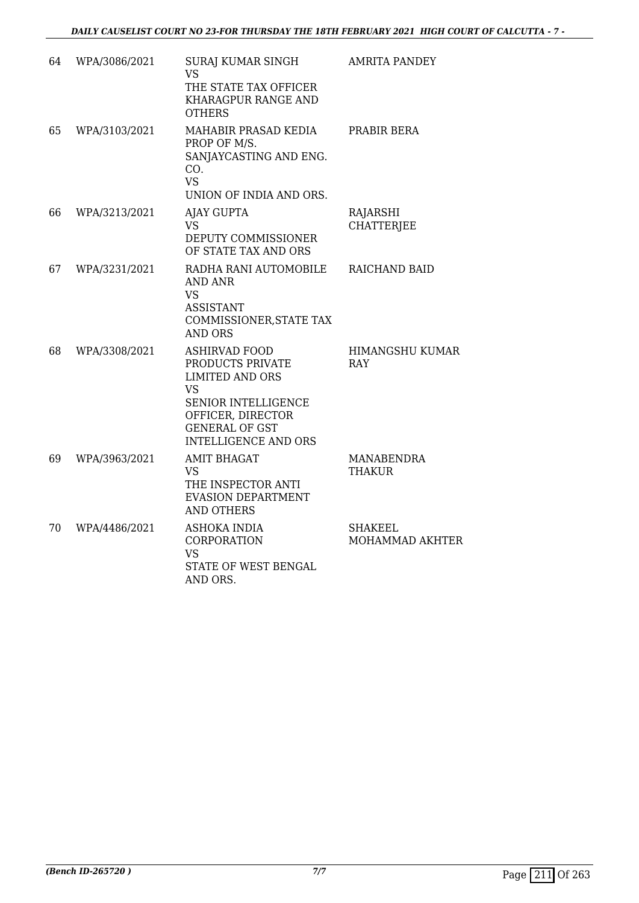| 64 | WPA/3086/2021 | SURAJ KUMAR SINGH<br><b>VS</b><br>THE STATE TAX OFFICER<br>KHARAGPUR RANGE AND<br><b>OTHERS</b>                                                                                     | <b>AMRITA PANDEY</b>                 |
|----|---------------|-------------------------------------------------------------------------------------------------------------------------------------------------------------------------------------|--------------------------------------|
| 65 | WPA/3103/2021 | MAHABIR PRASAD KEDIA<br>PROP OF M/S.<br>SANJAYCASTING AND ENG.<br>CO.<br><b>VS</b><br>UNION OF INDIA AND ORS.                                                                       | PRABIR BERA                          |
| 66 | WPA/3213/2021 | <b>AJAY GUPTA</b><br>VS.<br>DEPUTY COMMISSIONER<br>OF STATE TAX AND ORS                                                                                                             | RAJARSHI<br><b>CHATTERJEE</b>        |
| 67 | WPA/3231/2021 | RADHA RANI AUTOMOBILE<br><b>AND ANR</b><br><b>VS</b><br><b>ASSISTANT</b><br>COMMISSIONER, STATE TAX<br><b>AND ORS</b>                                                               | RAICHAND BAID                        |
| 68 | WPA/3308/2021 | <b>ASHIRVAD FOOD</b><br>PRODUCTS PRIVATE<br><b>LIMITED AND ORS</b><br><b>VS</b><br>SENIOR INTELLIGENCE<br>OFFICER, DIRECTOR<br><b>GENERAL OF GST</b><br><b>INTELLIGENCE AND ORS</b> | <b>HIMANGSHU KUMAR</b><br><b>RAY</b> |
| 69 | WPA/3963/2021 | <b>AMIT BHAGAT</b><br><b>VS</b><br>THE INSPECTOR ANTI<br><b>EVASION DEPARTMENT</b><br><b>AND OTHERS</b>                                                                             | <b>MANABENDRA</b><br><b>THAKUR</b>   |
| 70 | WPA/4486/2021 | <b>ASHOKA INDIA</b><br>CORPORATION<br><b>VS</b><br>STATE OF WEST BENGAL<br>AND ORS.                                                                                                 | SHAKEEL<br>MOHAMMAD AKHTER           |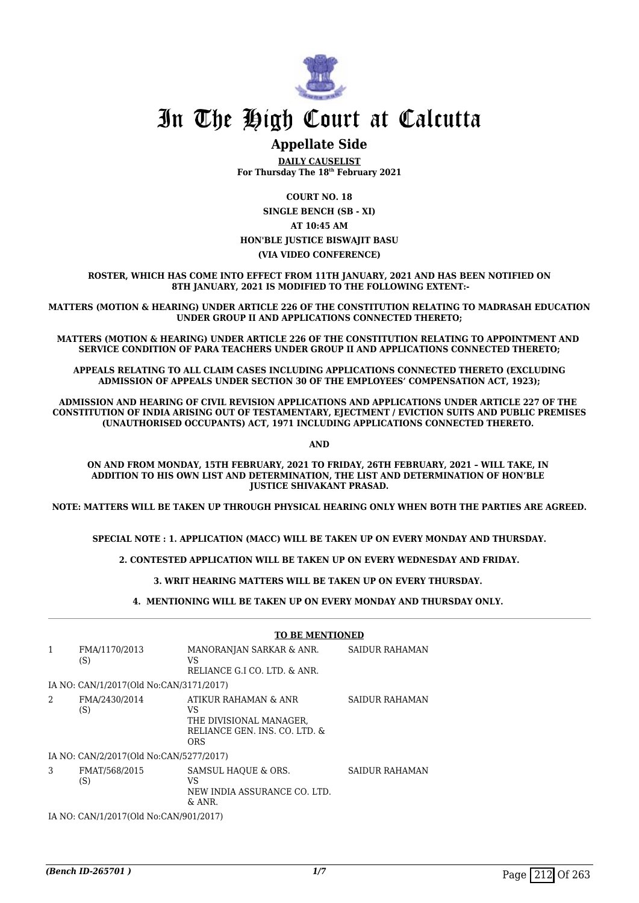

### **Appellate Side**

**DAILY CAUSELIST For Thursday The 18th February 2021**

**COURT NO. 18 SINGLE BENCH (SB - XI) AT 10:45 AM HON'BLE JUSTICE BISWAJIT BASU (VIA VIDEO CONFERENCE)**

**ROSTER, WHICH HAS COME INTO EFFECT FROM 11TH JANUARY, 2021 AND HAS BEEN NOTIFIED ON 8TH JANUARY, 2021 IS MODIFIED TO THE FOLLOWING EXTENT:-**

**MATTERS (MOTION & HEARING) UNDER ARTICLE 226 OF THE CONSTITUTION RELATING TO MADRASAH EDUCATION UNDER GROUP II AND APPLICATIONS CONNECTED THERETO;**

**MATTERS (MOTION & HEARING) UNDER ARTICLE 226 OF THE CONSTITUTION RELATING TO APPOINTMENT AND SERVICE CONDITION OF PARA TEACHERS UNDER GROUP II AND APPLICATIONS CONNECTED THERETO;**

**APPEALS RELATING TO ALL CLAIM CASES INCLUDING APPLICATIONS CONNECTED THERETO (EXCLUDING ADMISSION OF APPEALS UNDER SECTION 30 OF THE EMPLOYEES' COMPENSATION ACT, 1923);**

**ADMISSION AND HEARING OF CIVIL REVISION APPLICATIONS AND APPLICATIONS UNDER ARTICLE 227 OF THE CONSTITUTION OF INDIA ARISING OUT OF TESTAMENTARY, EJECTMENT / EVICTION SUITS AND PUBLIC PREMISES (UNAUTHORISED OCCUPANTS) ACT, 1971 INCLUDING APPLICATIONS CONNECTED THERETO.** 

**AND**

**ON AND FROM MONDAY, 15TH FEBRUARY, 2021 TO FRIDAY, 26TH FEBRUARY, 2021 – WILL TAKE, IN ADDITION TO HIS OWN LIST AND DETERMINATION, THE LIST AND DETERMINATION OF HON'BLE JUSTICE SHIVAKANT PRASAD.**

**NOTE: MATTERS WILL BE TAKEN UP THROUGH PHYSICAL HEARING ONLY WHEN BOTH THE PARTIES ARE AGREED.**

**SPECIAL NOTE : 1. APPLICATION (MACC) WILL BE TAKEN UP ON EVERY MONDAY AND THURSDAY.**

**2. CONTESTED APPLICATION WILL BE TAKEN UP ON EVERY WEDNESDAY AND FRIDAY.**

**3. WRIT HEARING MATTERS WILL BE TAKEN UP ON EVERY THURSDAY.** 

**4. MENTIONING WILL BE TAKEN UP ON EVERY MONDAY AND THURSDAY ONLY.** 

|                |                                         | <b>TO BE MENTIONED</b>                                                                               |                       |
|----------------|-----------------------------------------|------------------------------------------------------------------------------------------------------|-----------------------|
| $\mathbf{1}$   | FMA/1170/2013<br>(S)                    | MANORANJAN SARKAR & ANR.<br>VS<br>RELIANCE G.I CO. LTD. & ANR.                                       | <b>SAIDUR RAHAMAN</b> |
|                | IA NO: CAN/1/2017(Old No:CAN/3171/2017) |                                                                                                      |                       |
| $\mathfrak{D}$ | FMA/2430/2014<br>(S)                    | ATIKUR RAHAMAN & ANR<br>VS<br>THE DIVISIONAL MANAGER,<br>RELIANCE GEN. INS. CO. LTD. &<br><b>ORS</b> | <b>SAIDUR RAHAMAN</b> |
|                | IA NO: CAN/2/2017(Old No:CAN/5277/2017) |                                                                                                      |                       |
| 3              | FMAT/568/2015<br>(S)                    | SAMSUL HAOUE & ORS.<br>VS<br>NEW INDIA ASSURANCE CO. LTD.<br>$&$ ANR.                                | SAIDUR RAHAMAN        |
|                | IA NO: CAN/1/2017(Old No:CAN/901/2017)  |                                                                                                      |                       |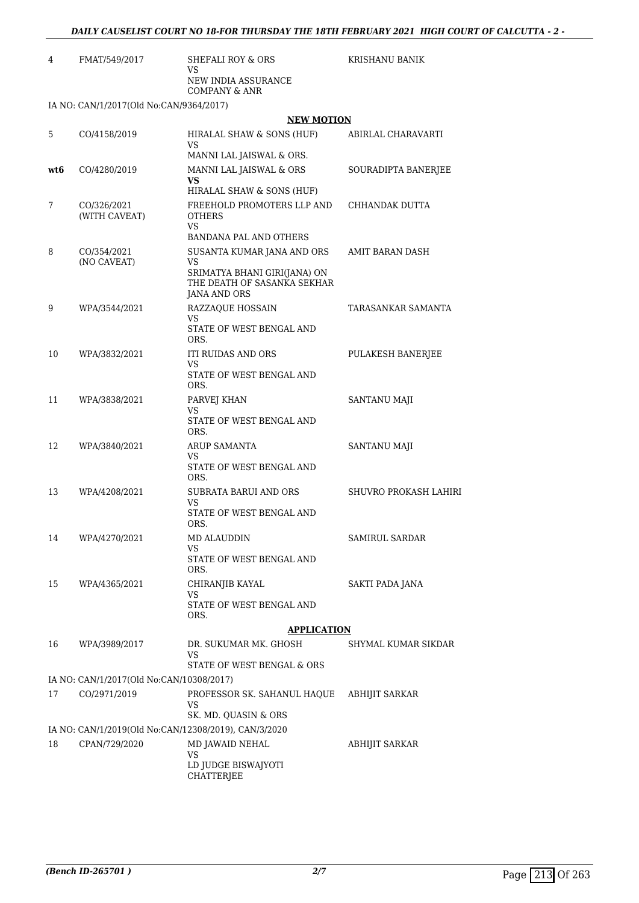| 4   | FMAT/549/2017                                        | SHEFALI ROY & ORS<br>VS                                                                  | <b>KRISHANU BANIK</b> |
|-----|------------------------------------------------------|------------------------------------------------------------------------------------------|-----------------------|
|     |                                                      | NEW INDIA ASSURANCE<br><b>COMPANY &amp; ANR</b>                                          |                       |
|     | IA NO: CAN/1/2017(Old No:CAN/9364/2017)              |                                                                                          |                       |
|     |                                                      | <b>NEW MOTION</b>                                                                        |                       |
| 5   | CO/4158/2019                                         | HIRALAL SHAW & SONS (HUF)<br>VS                                                          | ABIRLAL CHARAVARTI    |
|     |                                                      | MANNI LAL JAISWAL & ORS.                                                                 |                       |
| wt6 | CO/4280/2019                                         | MANNI LAL JAISWAL & ORS<br>VS<br>HIRALAL SHAW & SONS (HUF)                               | SOURADIPTA BANERJEE   |
| 7   | CO/326/2021<br>(WITH CAVEAT)                         | FREEHOLD PROMOTERS LLP AND<br><b>OTHERS</b><br>VS.<br>BANDANA PAL AND OTHERS             | CHHANDAK DUTTA        |
| 8   | CO/354/2021                                          | SUSANTA KUMAR JANA AND ORS                                                               | AMIT BARAN DASH       |
|     | (NO CAVEAT)                                          | VS<br>SRIMATYA BHANI GIRI(JANA) ON<br>THE DEATH OF SASANKA SEKHAR<br><b>JANA AND ORS</b> |                       |
| 9   | WPA/3544/2021                                        | RAZZAQUE HOSSAIN<br>VS                                                                   | TARASANKAR SAMANTA    |
|     |                                                      | STATE OF WEST BENGAL AND<br>ORS.                                                         |                       |
| 10  | WPA/3832/2021                                        | ITI RUIDAS AND ORS<br>VS                                                                 | PULAKESH BANERJEE     |
|     |                                                      | STATE OF WEST BENGAL AND<br>ORS.                                                         |                       |
| 11  | WPA/3838/2021                                        | PARVEJ KHAN<br>VS                                                                        | <b>SANTANU MAJI</b>   |
|     |                                                      | STATE OF WEST BENGAL AND<br>ORS.                                                         |                       |
| 12  | WPA/3840/2021                                        | ARUP SAMANTA<br>VS                                                                       | SANTANU MAJI          |
|     |                                                      | STATE OF WEST BENGAL AND<br>ORS.                                                         |                       |
| 13  | WPA/4208/2021                                        | SUBRATA BARUI AND ORS<br>VS                                                              | SHUVRO PROKASH LAHIRI |
|     |                                                      | STATE OF WEST BENGAL AND<br>ORS.                                                         |                       |
| 14  | WPA/4270/2021                                        | MD ALAUDDIN<br>VS                                                                        | SAMIRUL SARDAR        |
|     |                                                      | STATE OF WEST BENGAL AND<br>ORS.                                                         |                       |
| 15  | WPA/4365/2021                                        | CHIRANJIB KAYAL<br>VS                                                                    | SAKTI PADA JANA       |
|     |                                                      | STATE OF WEST BENGAL AND<br>ORS.                                                         |                       |
|     |                                                      | <b>APPLICATION</b>                                                                       |                       |
| 16  | WPA/3989/2017                                        | DR. SUKUMAR MK. GHOSH<br>VS                                                              | SHYMAL KUMAR SIKDAR   |
|     | IA NO: CAN/1/2017(Old No:CAN/10308/2017)             | STATE OF WEST BENGAL & ORS                                                               |                       |
| 17  | CO/2971/2019                                         | PROFESSOR SK. SAHANUL HAQUE                                                              | <b>ABHIJIT SARKAR</b> |
|     |                                                      | VS<br>SK. MD. QUASIN & ORS                                                               |                       |
|     | IA NO: CAN/1/2019(Old No:CAN/12308/2019), CAN/3/2020 |                                                                                          |                       |
| 18  | CPAN/729/2020                                        | MD JAWAID NEHAL                                                                          | ABHIJIT SARKAR        |

VS

LD JUDGE BISWAJYOTI

CHATTERJEE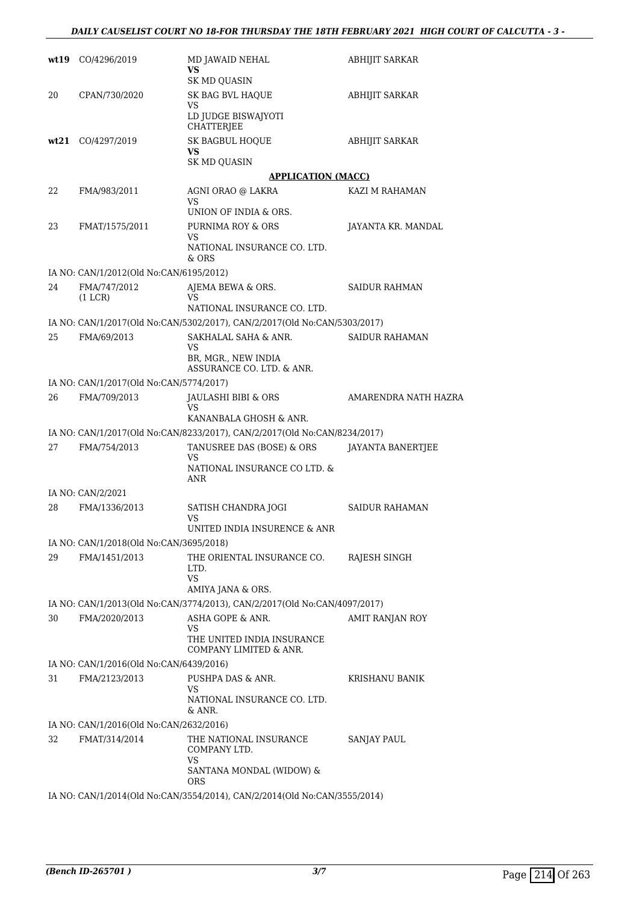| wt 19 | CO/4296/2019                            | MD JAWAID NEHAL<br>VS<br>SK MD QUASIN                                                          | <b>ABHIJIT SARKAR</b>  |
|-------|-----------------------------------------|------------------------------------------------------------------------------------------------|------------------------|
| 20    | CPAN/730/2020                           | SK BAG BVL HAQUE<br>VS<br>LD JUDGE BISWAJYOTI                                                  | <b>ABHIJIT SARKAR</b>  |
|       | wt21 CO/4297/2019                       | <b>CHATTERJEE</b><br>SK BAGBUL HOQUE<br>VS<br><b>SK MD QUASIN</b>                              | <b>ABHIJIT SARKAR</b>  |
|       |                                         | <b>APPLICATION (MACC)</b>                                                                      |                        |
| 22    | FMA/983/2011                            | AGNI ORAO @ LAKRA                                                                              | KAZI M RAHAMAN         |
|       |                                         | VS<br>UNION OF INDIA & ORS.                                                                    |                        |
| 23    | FMAT/1575/2011                          | PURNIMA ROY & ORS                                                                              | JAYANTA KR. MANDAL     |
|       |                                         | VS<br>NATIONAL INSURANCE CO. LTD.<br>$&$ ORS                                                   |                        |
|       | IA NO: CAN/1/2012(Old No:CAN/6195/2012) |                                                                                                |                        |
| 24    | FMA/747/2012<br>(1 LCR)                 | AJEMA BEWA & ORS.<br>VS                                                                        | <b>SAIDUR RAHMAN</b>   |
|       |                                         | NATIONAL INSURANCE CO. LTD.                                                                    |                        |
|       |                                         | IA NO: CAN/1/2017(Old No:CAN/5302/2017), CAN/2/2017(Old No:CAN/5303/2017)                      |                        |
| 25    | FMA/69/2013                             | SAKHALAL SAHA & ANR.                                                                           | <b>SAIDUR RAHAMAN</b>  |
|       |                                         | VS<br>BR, MGR., NEW INDIA<br>ASSURANCE CO. LTD. & ANR.                                         |                        |
|       | IA NO: CAN/1/2017(Old No:CAN/5774/2017) |                                                                                                |                        |
| 26    | FMA/709/2013                            | JAULASHI BIBI & ORS<br>VS<br>KANANBALA GHOSH & ANR.                                            | AMARENDRA NATH HAZRA   |
|       |                                         | IA NO: CAN/1/2017(Old No:CAN/8233/2017), CAN/2/2017(Old No:CAN/8234/2017)                      |                        |
| 27    | FMA/754/2013                            | TANUSREE DAS (BOSE) & ORS                                                                      | JAYANTA BANERTJEE      |
|       |                                         | VS<br>NATIONAL INSURANCE CO LTD. &<br>ANR                                                      |                        |
|       | IA NO: CAN/2/2021                       |                                                                                                |                        |
| 28    | FMA/1336/2013                           | SATISH CHANDRA JOGI<br>VS<br>UNITED INDIA INSURENCE $\&$ ANR                                   | SAIDUR RAHAMAN         |
|       | IA NO: CAN/1/2018(Old No:CAN/3695/2018) |                                                                                                |                        |
| 29    | FMA/1451/2013                           | THE ORIENTAL INSURANCE CO.<br>LTD.<br><b>VS</b>                                                | RAJESH SINGH           |
|       |                                         | AMIYA JANA & ORS.<br>IA NO: CAN/1/2013(Old No:CAN/3774/2013), CAN/2/2017(Old No:CAN/4097/2017) |                        |
| 30    | FMA/2020/2013                           | ASHA GOPE & ANR.                                                                               | <b>AMIT RANJAN ROY</b> |
|       |                                         | VS                                                                                             |                        |
|       |                                         | THE UNITED INDIA INSURANCE<br>COMPANY LIMITED & ANR.                                           |                        |
|       | IA NO: CAN/1/2016(Old No:CAN/6439/2016) |                                                                                                |                        |
| 31    | FMA/2123/2013                           | PUSHPA DAS & ANR.<br>VS<br>NATIONAL INSURANCE CO. LTD.<br>& ANR.                               | KRISHANU BANIK         |
|       | IA NO: CAN/1/2016(Old No:CAN/2632/2016) |                                                                                                |                        |
| 32    | FMAT/314/2014                           | THE NATIONAL INSURANCE<br>COMPANY LTD.<br>VS<br>SANTANA MONDAL (WIDOW) &                       | <b>SANJAY PAUL</b>     |
|       |                                         | <b>ORS</b><br>IA NO: CAN/1/2014(Old No:CAN/3554/2014), CAN/2/2014(Old No:CAN/3555/2014)        |                        |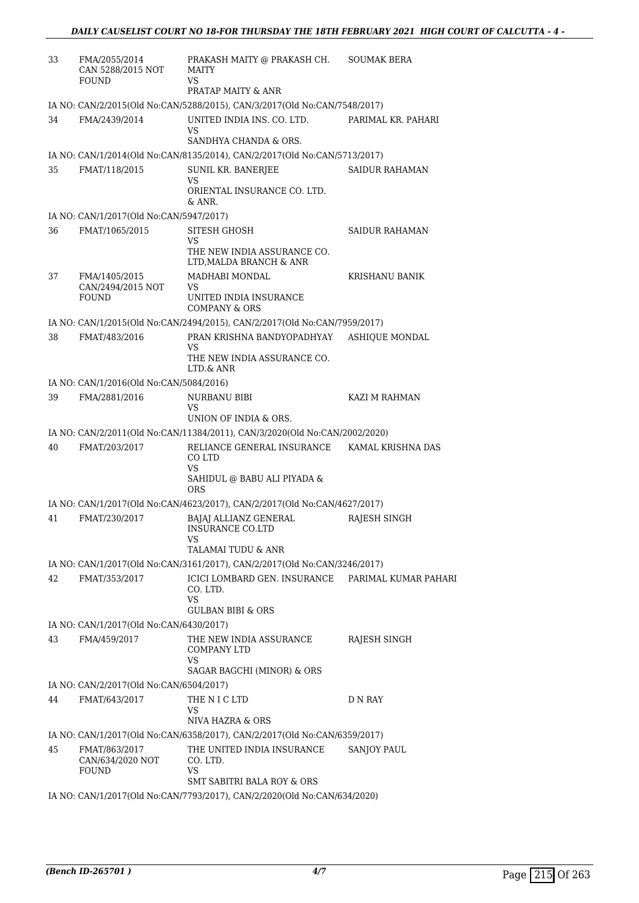| 33 | FMA/2055/2014<br>CAN 5288/2015 NOT<br>FOUND | PRAKASH MAITY @ PRAKASH CH.<br><b>MAITY</b><br>VS<br>PRATAP MAITY & ANR                       | <b>SOUMAK BERA</b>    |
|----|---------------------------------------------|-----------------------------------------------------------------------------------------------|-----------------------|
|    |                                             | IA NO: CAN/2/2015(Old No:CAN/5288/2015), CAN/3/2017(Old No:CAN/7548/2017)                     |                       |
| 34 | FMA/2439/2014                               | UNITED INDIA INS. CO. LTD.<br>VS                                                              | PARIMAL KR. PAHARI    |
|    |                                             | SANDHYA CHANDA & ORS.                                                                         |                       |
|    |                                             | IA NO: CAN/1/2014(Old No:CAN/8135/2014), CAN/2/2017(Old No:CAN/5713/2017)                     |                       |
| 35 | FMAT/118/2015                               | SUNIL KR. BANERJEE<br>VS                                                                      | <b>SAIDUR RAHAMAN</b> |
|    |                                             | ORIENTAL INSURANCE CO. LTD.<br>& ANR.                                                         |                       |
|    | IA NO: CAN/1/2017(Old No:CAN/5947/2017)     |                                                                                               |                       |
| 36 | FMAT/1065/2015                              | SITESH GHOSH                                                                                  | SAIDUR RAHAMAN        |
|    |                                             | VS<br>THE NEW INDIA ASSURANCE CO.<br>LTD, MALDA BRANCH & ANR                                  |                       |
| 37 | FMA/1405/2015                               | MADHABI MONDAL                                                                                | KRISHANU BANIK        |
|    | CAN/2494/2015 NOT<br><b>FOUND</b>           | VS<br>UNITED INDIA INSURANCE<br><b>COMPANY &amp; ORS</b>                                      |                       |
|    |                                             | IA NO: CAN/1/2015(Old No:CAN/2494/2015), CAN/2/2017(Old No:CAN/7959/2017)                     |                       |
| 38 | FMAT/483/2016                               | PRAN KRISHNA BANDYOPADHYAY                                                                    | <b>ASHIOUE MONDAL</b> |
|    |                                             | VS<br>THE NEW INDIA ASSURANCE CO.<br>LTD.& ANR                                                |                       |
|    | IA NO: CAN/1/2016(Old No:CAN/5084/2016)     |                                                                                               |                       |
| 39 | FMA/2881/2016                               | NURBANU BIBI<br>VS                                                                            | KAZI M RAHMAN         |
|    |                                             | UNION OF INDIA & ORS.                                                                         |                       |
|    |                                             | IA NO: CAN/2/2011(Old No:CAN/11384/2011), CAN/3/2020(Old No:CAN/2002/2020)                    |                       |
| 40 | FMAT/203/2017                               | RELIANCE GENERAL INSURANCE<br>CO LTD<br>VS                                                    | KAMAL KRISHNA DAS     |
|    |                                             | SAHIDUL @ BABU ALI PIYADA &<br><b>ORS</b>                                                     |                       |
|    |                                             | IA NO: CAN/1/2017(Old No:CAN/4623/2017), CAN/2/2017(Old No:CAN/4627/2017)                     |                       |
| 41 | FMAT/230/2017                               | <b>BAJAJ ALLIANZ GENERAL</b><br>INSURANCE CO.LTD<br>VS                                        | RAJESH SINGH          |
|    |                                             | TALAMAI TUDU & ANR                                                                            |                       |
|    |                                             | IA NO: CAN/1/2017(Old No:CAN/3161/2017), CAN/2/2017(Old No:CAN/3246/2017)                     |                       |
| 42 | FMAT/353/2017                               | ICICI LOMBARD GEN. INSURANCE PARIMAL KUMAR PAHARI<br>CO. LTD.<br>VS                           |                       |
|    |                                             | <b>GULBAN BIBI &amp; ORS</b>                                                                  |                       |
|    | IA NO: CAN/1/2017(Old No:CAN/6430/2017)     |                                                                                               |                       |
| 43 | FMA/459/2017                                | THE NEW INDIA ASSURANCE<br><b>COMPANY LTD</b><br>VS                                           | RAJESH SINGH          |
|    |                                             | SAGAR BAGCHI (MINOR) & ORS                                                                    |                       |
|    | IA NO: CAN/2/2017(Old No:CAN/6504/2017)     |                                                                                               |                       |
| 44 | FMAT/643/2017                               | THE N I C LTD<br>VS                                                                           | D N RAY               |
|    |                                             | NIVA HAZRA & ORS<br>IA NO: CAN/1/2017(Old No:CAN/6358/2017), CAN/2/2017(Old No:CAN/6359/2017) |                       |
| 45 | FMAT/863/2017                               | THE UNITED INDIA INSURANCE                                                                    | <b>SANJOY PAUL</b>    |
|    | CAN/634/2020 NOT<br>FOUND                   | CO. LTD.<br>VS.                                                                               |                       |
|    |                                             | SMT SABITRI BALA ROY & ORS                                                                    |                       |
|    |                                             | IA NO: CAN/1/2017(Old No:CAN/7793/2017), CAN/2/2020(Old No:CAN/634/2020)                      |                       |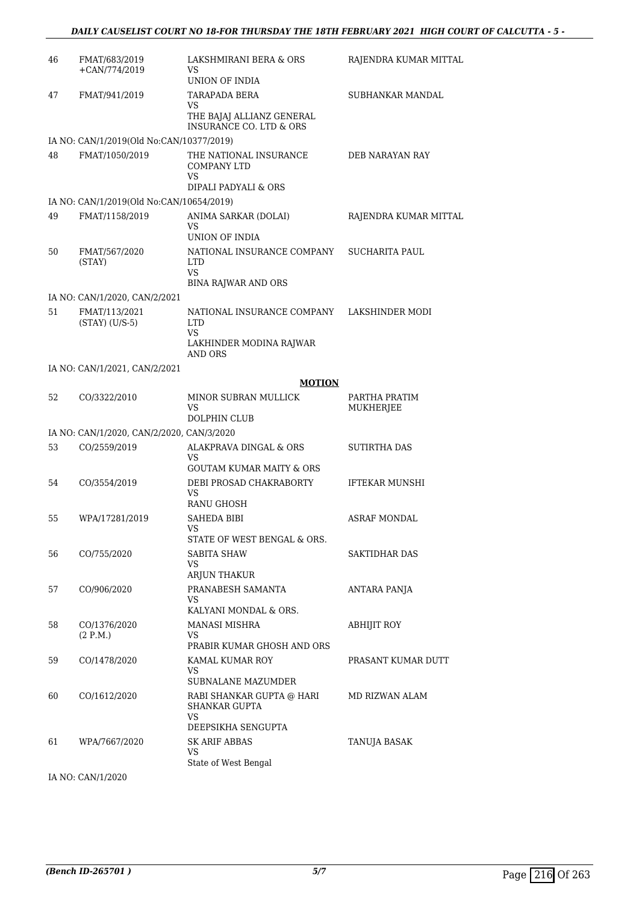| 46 | FMAT/683/2019<br>$+CAN/774/2019$          | LAKSHMIRANI BERA & ORS<br>VS<br>UNION OF INDIA                                       | RAJENDRA KUMAR MITTAL             |
|----|-------------------------------------------|--------------------------------------------------------------------------------------|-----------------------------------|
| 47 | FMAT/941/2019                             | TARAPADA BERA<br>VS<br>THE BAJAJ ALLIANZ GENERAL<br>INSURANCE CO. LTD & ORS          | SUBHANKAR MANDAL                  |
|    | IA NO: CAN/1/2019(Old No:CAN/10377/2019)  |                                                                                      |                                   |
| 48 | FMAT/1050/2019                            | THE NATIONAL INSURANCE<br><b>COMPANY LTD</b><br>VS<br>DIPALI PADYALI & ORS           | DEB NARAYAN RAY                   |
|    | IA NO: CAN/1/2019(Old No:CAN/10654/2019)  |                                                                                      |                                   |
| 49 | FMAT/1158/2019                            | ANIMA SARKAR (DOLAI)<br>VS<br>UNION OF INDIA                                         | RAJENDRA KUMAR MITTAL             |
| 50 | FMAT/567/2020<br>(STAY)                   | NATIONAL INSURANCE COMPANY<br><b>LTD</b><br><b>VS</b><br><b>BINA RAJWAR AND ORS</b>  | <b>SUCHARITA PAUL</b>             |
|    | IA NO: CAN/1/2020, CAN/2/2021             |                                                                                      |                                   |
| 51 | FMAT/113/2021<br>$(STAY)$ $(U/S-5)$       | NATIONAL INSURANCE COMPANY<br><b>LTD</b><br>VS<br>LAKHINDER MODINA RAJWAR<br>AND ORS | LAKSHINDER MODI                   |
|    | IA NO: CAN/1/2021, CAN/2/2021             |                                                                                      |                                   |
|    |                                           | <b>MOTION</b>                                                                        |                                   |
| 52 | CO/3322/2010                              | MINOR SUBRAN MULLICK<br>VS<br>DOLPHIN CLUB                                           | PARTHA PRATIM<br><b>MUKHERJEE</b> |
|    | IA NO: CAN/1/2020, CAN/2/2020, CAN/3/2020 |                                                                                      |                                   |
| 53 | CO/2559/2019                              | ALAKPRAVA DINGAL & ORS<br>VS<br><b>GOUTAM KUMAR MAITY &amp; ORS</b>                  | SUTIRTHA DAS                      |
| 54 | CO/3554/2019                              | DEBI PROSAD CHAKRABORTY<br>VS<br>RANU GHOSH                                          | <b>IFTEKAR MUNSHI</b>             |
| 55 | WPA/17281/2019                            | <b>SAHEDA BIBI</b><br>VS<br>STATE OF WEST BENGAL & ORS.                              | ASRAF MONDAL                      |
| 56 | CO/755/2020                               | SABITA SHAW<br>VS<br>ARJUN THAKUR                                                    | <b>SAKTIDHAR DAS</b>              |
| 57 | CO/906/2020                               | PRANABESH SAMANTA<br>VS<br>KALYANI MONDAL & ORS.                                     | ANTARA PANJA                      |
| 58 | CO/1376/2020<br>(2 P.M.)                  | MANASI MISHRA<br>VS<br>PRABIR KUMAR GHOSH AND ORS                                    | ABHIJIT ROY                       |
| 59 | CO/1478/2020                              | KAMAL KUMAR ROY<br>VS<br>SUBNALANE MAZUMDER                                          | PRASANT KUMAR DUTT                |
| 60 | CO/1612/2020                              | RABI SHANKAR GUPTA @ HARI<br>SHANKAR GUPTA<br>VS<br>DEEPSIKHA SENGUPTA               | MD RIZWAN ALAM                    |
| 61 | WPA/7667/2020                             | <b>SK ARIF ABBAS</b><br>VS<br>State of West Bengal                                   | TANUJA BASAK                      |

IA NO: CAN/1/2020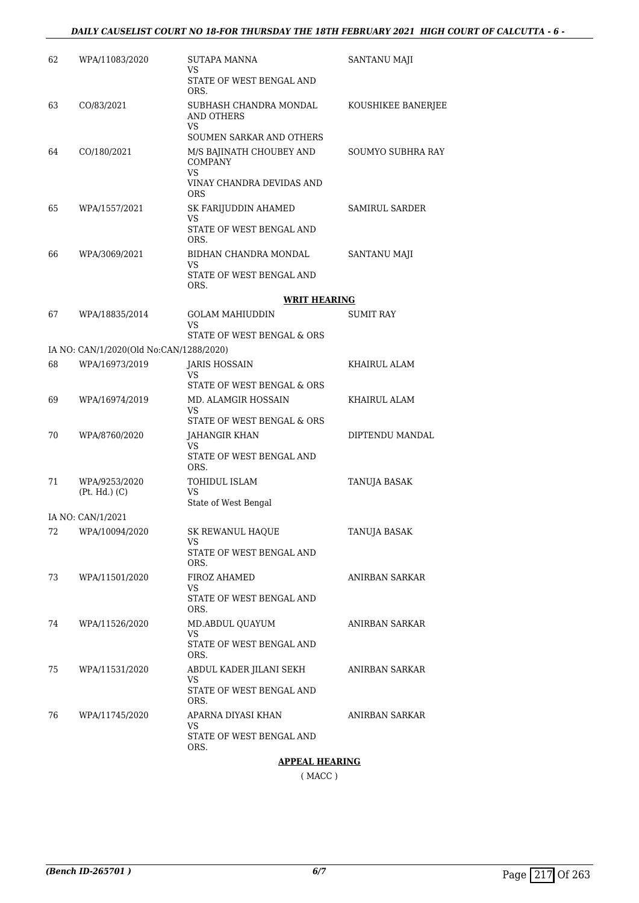| 62 | WPA/11083/2020                          | <b>SUTAPA MANNA</b><br>VS<br>STATE OF WEST BENGAL AND                                              | SANTANU MAJI        |
|----|-----------------------------------------|----------------------------------------------------------------------------------------------------|---------------------|
|    |                                         | ORS.                                                                                               |                     |
| 63 | CO/83/2021                              | SUBHASH CHANDRA MONDAL<br>AND OTHERS<br>VS                                                         | KOUSHIKEE BANERJEE  |
|    |                                         | SOUMEN SARKAR AND OTHERS                                                                           |                     |
| 64 | CO/180/2021                             | M/S BAJINATH CHOUBEY AND<br><b>COMPANY</b><br><b>VS</b><br>VINAY CHANDRA DEVIDAS AND<br><b>ORS</b> | SOUMYO SUBHRA RAY   |
| 65 | WPA/1557/2021                           | SK FARIJUDDIN AHAMED                                                                               | SAMIRUL SARDER      |
|    |                                         | VS<br>STATE OF WEST BENGAL AND<br>ORS.                                                             |                     |
| 66 | WPA/3069/2021                           | BIDHAN CHANDRA MONDAL<br>VS                                                                        | <b>SANTANU MAJI</b> |
|    |                                         | STATE OF WEST BENGAL AND<br>ORS.                                                                   |                     |
|    |                                         | <b>WRIT HEARING</b>                                                                                |                     |
| 67 | WPA/18835/2014                          | <b>GOLAM MAHIUDDIN</b><br>VS.<br>STATE OF WEST BENGAL & ORS                                        | SUMIT RAY           |
|    | IA NO: CAN/1/2020(Old No:CAN/1288/2020) |                                                                                                    |                     |
| 68 | WPA/16973/2019                          | <b>JARIS HOSSAIN</b>                                                                               | KHAIRUL ALAM        |
|    |                                         | VS<br>STATE OF WEST BENGAL & ORS                                                                   |                     |
| 69 | WPA/16974/2019                          | MD. ALAMGIR HOSSAIN                                                                                | KHAIRUL ALAM        |
|    |                                         | VS<br>STATE OF WEST BENGAL & ORS                                                                   |                     |
| 70 | WPA/8760/2020                           | JAHANGIR KHAN<br>VS                                                                                | DIPTENDU MANDAL     |
|    |                                         | STATE OF WEST BENGAL AND<br>ORS.                                                                   |                     |
| 71 | WPA/9253/2020<br>(Pt. Hd.) (C)          | <b>TOHIDUL ISLAM</b><br>VS                                                                         | <b>TANUJA BASAK</b> |
|    |                                         | State of West Bengal                                                                               |                     |
|    | IA NO: CAN/1/2021                       |                                                                                                    |                     |
|    | 72 WPA/10094/2020                       | SK REWANUL HAQUE<br>VS.                                                                            | TANUJA BASAK        |
|    |                                         | STATE OF WEST BENGAL AND<br>ORS.                                                                   |                     |
| 73 | WPA/11501/2020                          | FIROZ AHAMED<br>VS.                                                                                | ANIRBAN SARKAR      |
|    |                                         | STATE OF WEST BENGAL AND<br>ORS.                                                                   |                     |
| 74 | WPA/11526/2020                          | MD.ABDUL QUAYUM<br>VS.                                                                             | ANIRBAN SARKAR      |
|    |                                         | STATE OF WEST BENGAL AND<br>ORS.                                                                   |                     |
| 75 | WPA/11531/2020                          | ABDUL KADER JILANI SEKH<br>VS                                                                      | ANIRBAN SARKAR      |
|    |                                         | STATE OF WEST BENGAL AND<br>ORS.                                                                   |                     |
| 76 | WPA/11745/2020                          | APARNA DIYASI KHAN                                                                                 | ANIRBAN SARKAR      |
|    |                                         | VS<br>STATE OF WEST BENGAL AND<br>ORS.                                                             |                     |
|    |                                         | <u>APPEAL HEARING</u>                                                                              |                     |

( MACC )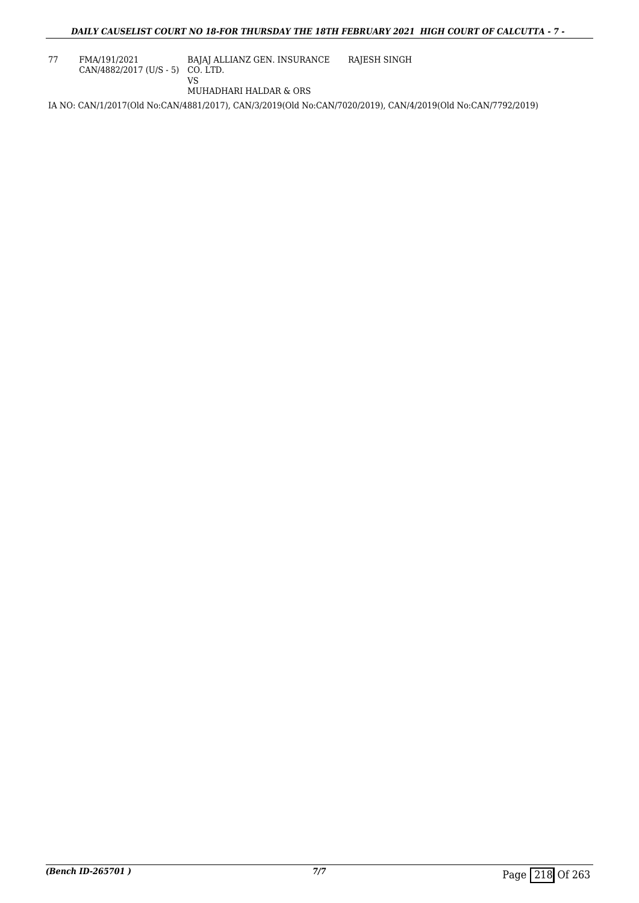| 77 | FMA/191/2021                       | BAJAJ ALLIANZ GEN. INSURANCE | RAJESH SINGH |
|----|------------------------------------|------------------------------|--------------|
|    | $CAN/4882/2017$ (U/S - 5) CO. LTD. |                              |              |
|    |                                    |                              |              |

MUHADHARI HALDAR & ORS

IA NO: CAN/1/2017(Old No:CAN/4881/2017), CAN/3/2019(Old No:CAN/7020/2019), CAN/4/2019(Old No:CAN/7792/2019)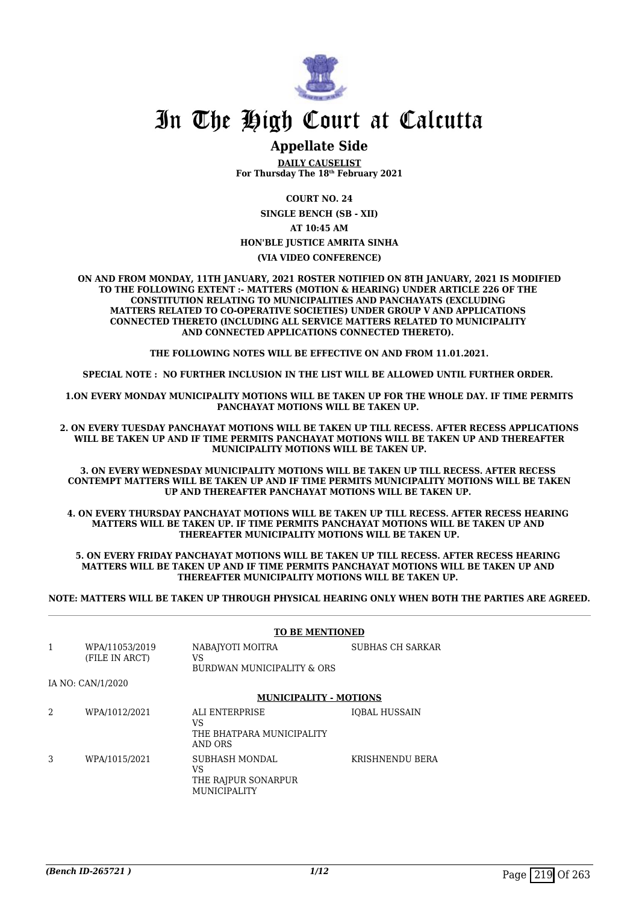

## In The High Court at Calcutta

### **Appellate Side**

**DAILY CAUSELIST For Thursday The 18th February 2021**

**COURT NO. 24**

**SINGLE BENCH (SB - XII)**

**AT 10:45 AM**

### **HON'BLE JUSTICE AMRITA SINHA**

**(VIA VIDEO CONFERENCE)**

**ON AND FROM MONDAY, 11TH JANUARY, 2021 ROSTER NOTIFIED ON 8TH JANUARY, 2021 IS MODIFIED TO THE FOLLOWING EXTENT :- MATTERS (MOTION & HEARING) UNDER ARTICLE 226 OF THE CONSTITUTION RELATING TO MUNICIPALITIES AND PANCHAYATS (EXCLUDING MATTERS RELATED TO CO-OPERATIVE SOCIETIES) UNDER GROUP V AND APPLICATIONS CONNECTED THERETO (INCLUDING ALL SERVICE MATTERS RELATED TO MUNICIPALITY AND CONNECTED APPLICATIONS CONNECTED THERETO).** 

**THE FOLLOWING NOTES WILL BE EFFECTIVE ON AND FROM 11.01.2021.**

**SPECIAL NOTE : NO FURTHER INCLUSION IN THE LIST WILL BE ALLOWED UNTIL FURTHER ORDER.** 

**1.ON EVERY MONDAY MUNICIPALITY MOTIONS WILL BE TAKEN UP FOR THE WHOLE DAY. IF TIME PERMITS PANCHAYAT MOTIONS WILL BE TAKEN UP.** 

**2. ON EVERY TUESDAY PANCHAYAT MOTIONS WILL BE TAKEN UP TILL RECESS. AFTER RECESS APPLICATIONS WILL BE TAKEN UP AND IF TIME PERMITS PANCHAYAT MOTIONS WILL BE TAKEN UP AND THEREAFTER MUNICIPALITY MOTIONS WILL BE TAKEN UP.**

**3. ON EVERY WEDNESDAY MUNICIPALITY MOTIONS WILL BE TAKEN UP TILL RECESS. AFTER RECESS CONTEMPT MATTERS WILL BE TAKEN UP AND IF TIME PERMITS MUNICIPALITY MOTIONS WILL BE TAKEN UP AND THEREAFTER PANCHAYAT MOTIONS WILL BE TAKEN UP.** 

**4. ON EVERY THURSDAY PANCHAYAT MOTIONS WILL BE TAKEN UP TILL RECESS. AFTER RECESS HEARING MATTERS WILL BE TAKEN UP. IF TIME PERMITS PANCHAYAT MOTIONS WILL BE TAKEN UP AND THEREAFTER MUNICIPALITY MOTIONS WILL BE TAKEN UP.**

**5. ON EVERY FRIDAY PANCHAYAT MOTIONS WILL BE TAKEN UP TILL RECESS. AFTER RECESS HEARING MATTERS WILL BE TAKEN UP AND IF TIME PERMITS PANCHAYAT MOTIONS WILL BE TAKEN UP AND THEREAFTER MUNICIPALITY MOTIONS WILL BE TAKEN UP.** 

**NOTE: MATTERS WILL BE TAKEN UP THROUGH PHYSICAL HEARING ONLY WHEN BOTH THE PARTIES ARE AGREED.**

|   |                                  | <b>TO BE MENTIONED</b>                                             |                      |  |
|---|----------------------------------|--------------------------------------------------------------------|----------------------|--|
| 1 | WPA/11053/2019<br>(FILE IN ARCT) | NABAJYOTI MOITRA<br>VS<br>BURDWAN MUNICIPALITY & ORS               | SUBHAS CH SARKAR     |  |
|   | IA NO: CAN/1/2020                |                                                                    |                      |  |
|   |                                  | <b>MUNICIPALITY - MOTIONS</b>                                      |                      |  |
| 2 | WPA/1012/2021                    | ALI ENTERPRISE<br>VS<br>THE BHATPARA MUNICIPALITY<br>AND ORS       | <b>IOBAL HUSSAIN</b> |  |
| 3 | WPA/1015/2021                    | SUBHASH MONDAL<br>VS<br>THE RAJPUR SONARPUR<br><b>MUNICIPALITY</b> | KRISHNENDU BERA      |  |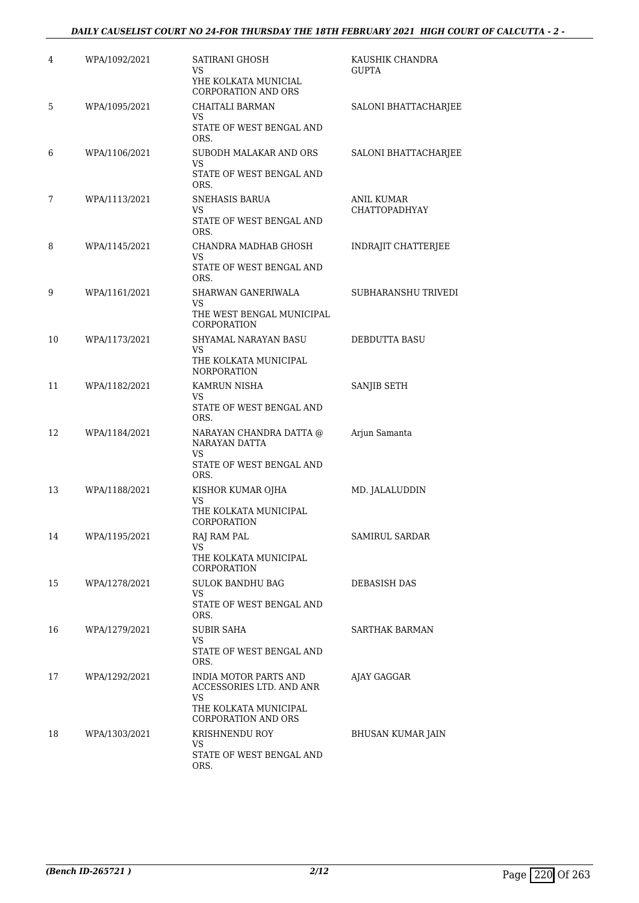### *DAILY CAUSELIST COURT NO 24-FOR THURSDAY THE 18TH FEBRUARY 2021 HIGH COURT OF CALCUTTA - 2 -*

| 4  | WPA/1092/2021 | SATIRANI GHOSH<br>VS<br>YHE KOLKATA MUNICIAL              | KAUSHIK CHANDRA<br><b>GUPTA</b>    |
|----|---------------|-----------------------------------------------------------|------------------------------------|
| 5  | WPA/1095/2021 | CORPORATION AND ORS<br><b>CHAITALI BARMAN</b><br>VS       | SALONI BHATTACHARJEE               |
|    |               | STATE OF WEST BENGAL AND<br>ORS.                          |                                    |
| 6  | WPA/1106/2021 | SUBODH MALAKAR AND ORS<br>VS                              | SALONI BHATTACHARJEE               |
|    |               | STATE OF WEST BENGAL AND<br>ORS.                          |                                    |
| 7  | WPA/1113/2021 | SNEHASIS BARUA<br>VS                                      | ANIL KUMAR<br><b>CHATTOPADHYAY</b> |
|    |               | STATE OF WEST BENGAL AND<br>ORS.                          |                                    |
| 8  | WPA/1145/2021 | CHANDRA MADHAB GHOSH<br>VS                                | INDRAJIT CHATTERJEE                |
|    |               | STATE OF WEST BENGAL AND<br>ORS.                          |                                    |
| 9  | WPA/1161/2021 | SHARWAN GANERIWALA<br>VS                                  | SUBHARANSHU TRIVEDI                |
|    |               | THE WEST BENGAL MUNICIPAL<br>CORPORATION                  |                                    |
| 10 | WPA/1173/2021 | SHYAMAL NARAYAN BASU<br>VS                                | DEBDUTTA BASU                      |
|    |               | THE KOLKATA MUNICIPAL<br><b>NORPORATION</b>               |                                    |
| 11 | WPA/1182/2021 | KAMRUN NISHA<br>VS                                        | SANJIB SETH                        |
|    |               | STATE OF WEST BENGAL AND<br>ORS.                          |                                    |
| 12 | WPA/1184/2021 | NARAYAN CHANDRA DATTA @<br>NARAYAN DATTA<br>VS            | Arjun Samanta                      |
|    |               | STATE OF WEST BENGAL AND<br>ORS.                          |                                    |
| 13 | WPA/1188/2021 | KISHOR KUMAR OJHA<br>VS                                   | MD. JALALUDDIN                     |
|    |               | THE KOLKATA MUNICIPAL<br>CORPORATION                      |                                    |
| 14 | WPA/1195/2021 | RAJ RAM PAL<br>VS                                         | SAMIRUL SARDAR                     |
|    |               | THE KOLKATA MUNICIPAL<br>CORPORATION                      |                                    |
| 15 | WPA/1278/2021 | <b>SULOK BANDHU BAG</b><br>VS                             | DEBASISH DAS                       |
|    |               | STATE OF WEST BENGAL AND<br>ORS.                          |                                    |
| 16 | WPA/1279/2021 | SUBIR SAHA<br>VS                                          | SARTHAK BARMAN                     |
|    |               | STATE OF WEST BENGAL AND<br>ORS.                          |                                    |
| 17 | WPA/1292/2021 | INDIA MOTOR PARTS AND<br>ACCESSORIES LTD. AND ANR         | AJAY GAGGAR                        |
|    |               | VS<br>THE KOLKATA MUNICIPAL<br><b>CORPORATION AND ORS</b> |                                    |
| 18 | WPA/1303/2021 | KRISHNENDU ROY                                            | BHUSAN KUMAR JAIN                  |
|    |               | VS.<br>STATE OF WEST BENGAL AND<br>ORS.                   |                                    |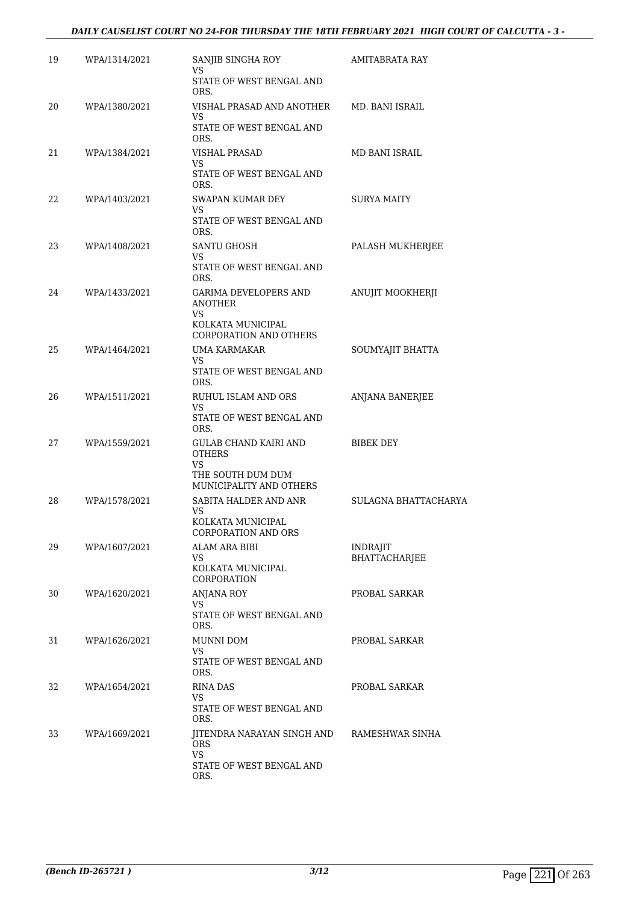#### *DAILY CAUSELIST COURT NO 24-FOR THURSDAY THE 18TH FEBRUARY 2021 HIGH COURT OF CALCUTTA - 3 -*

| 19 | WPA/1314/2021 | SANJIB SINGHA ROY<br>VS                                   | AMITABRATA RAY       |
|----|---------------|-----------------------------------------------------------|----------------------|
|    |               | STATE OF WEST BENGAL AND<br>ORS.                          |                      |
| 20 | WPA/1380/2021 | VISHAL PRASAD AND ANOTHER<br>VS                           | MD. BANI ISRAIL      |
|    |               | STATE OF WEST BENGAL AND<br>ORS.                          |                      |
| 21 | WPA/1384/2021 | VISHAL PRASAD<br>VS                                       | MD BANI ISRAIL       |
|    |               | STATE OF WEST BENGAL AND<br>ORS.                          |                      |
| 22 | WPA/1403/2021 | SWAPAN KUMAR DEY<br>VS                                    | SURYA MAITY          |
|    |               | STATE OF WEST BENGAL AND<br>ORS.                          |                      |
| 23 | WPA/1408/2021 | SANTU GHOSH<br>VS                                         | PALASH MUKHERJEE     |
|    |               | STATE OF WEST BENGAL AND<br>ORS.                          |                      |
| 24 | WPA/1433/2021 | <b>GARIMA DEVELOPERS AND</b><br><b>ANOTHER</b>            | ANUJIT MOOKHERJI     |
|    |               | VS.<br>KOLKATA MUNICIPAL<br>CORPORATION AND OTHERS        |                      |
| 25 | WPA/1464/2021 | UMA KARMAKAR<br>VS.                                       | SOUMYAJIT BHATTA     |
|    |               | STATE OF WEST BENGAL AND<br>ORS.                          |                      |
| 26 | WPA/1511/2021 | RUHUL ISLAM AND ORS<br>VS.                                | ANJANA BANERJEE      |
|    |               | STATE OF WEST BENGAL AND<br>ORS.                          |                      |
| 27 | WPA/1559/2021 | GULAB CHAND KAIRI AND<br><b>OTHERS</b>                    | BIBEK DEY            |
|    |               | <b>VS</b><br>THE SOUTH DUM DUM<br>MUNICIPALITY AND OTHERS |                      |
| 28 | WPA/1578/2021 | SABITA HALDER AND ANR                                     | SULAGNA BHATTACHARYA |
|    |               | VS.<br>KOLKATA MUNICIPAL<br>CORPORATION AND ORS           |                      |
| 29 | WPA/1607/2021 | ALAM ARA BIBI                                             | <b>INDRAJIT</b>      |
|    |               | VS<br>KOLKATA MUNICIPAL<br>CORPORATION                    | BHATTACHARJEE        |
| 30 | WPA/1620/2021 | <b>ANJANA ROY</b><br>VS.                                  | PROBAL SARKAR        |
|    |               | STATE OF WEST BENGAL AND<br>ORS.                          |                      |
| 31 | WPA/1626/2021 | MUNNI DOM<br>VS.                                          | PROBAL SARKAR        |
|    |               | STATE OF WEST BENGAL AND<br>ORS.                          |                      |
| 32 | WPA/1654/2021 | RINA DAS<br>VS                                            | PROBAL SARKAR        |
|    |               | STATE OF WEST BENGAL AND<br>ORS.                          |                      |
| 33 | WPA/1669/2021 | JITENDRA NARAYAN SINGH AND<br>ORS.<br><b>VS</b>           | RAMESHWAR SINHA      |
|    |               | STATE OF WEST BENGAL AND<br>ORS.                          |                      |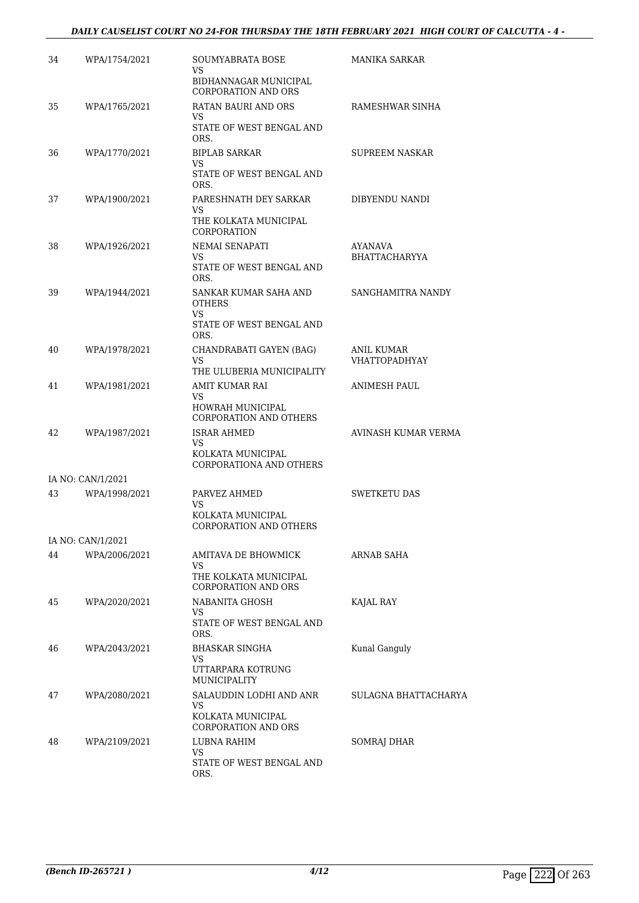### *DAILY CAUSELIST COURT NO 24-FOR THURSDAY THE 18TH FEBRUARY 2021 HIGH COURT OF CALCUTTA - 4 -*

| 34 | WPA/1754/2021     | SOUMYABRATA BOSE<br>VS                                   | MANIKA SARKAR                             |
|----|-------------------|----------------------------------------------------------|-------------------------------------------|
|    |                   | BIDHANNAGAR MUNICIPAL<br><b>CORPORATION AND ORS</b>      |                                           |
| 35 | WPA/1765/2021     | <b>RATAN BAURI AND ORS</b><br>VS.                        | RAMESHWAR SINHA                           |
|    |                   | STATE OF WEST BENGAL AND<br>ORS.                         |                                           |
| 36 | WPA/1770/2021     | <b>BIPLAB SARKAR</b><br>VS                               | <b>SUPREEM NASKAR</b>                     |
|    |                   | STATE OF WEST BENGAL AND<br>ORS.                         |                                           |
| 37 | WPA/1900/2021     | PARESHNATH DEY SARKAR<br>VS                              | DIBYENDU NANDI                            |
|    |                   | THE KOLKATA MUNICIPAL<br>CORPORATION                     |                                           |
| 38 | WPA/1926/2021     | NEMAI SENAPATI<br>VS                                     | AYANAVA<br><b>BHATTACHARYYA</b>           |
|    |                   | STATE OF WEST BENGAL AND<br>ORS.                         |                                           |
| 39 | WPA/1944/2021     | SANKAR KUMAR SAHA AND<br><b>OTHERS</b><br>VS             | SANGHAMITRA NANDY                         |
|    |                   | STATE OF WEST BENGAL AND<br>ORS.                         |                                           |
| 40 | WPA/1978/2021     | CHANDRABATI GAYEN (BAG)<br>VS                            | <b>ANIL KUMAR</b><br><b>VHATTOPADHYAY</b> |
|    |                   | THE ULUBERIA MUNICIPALITY                                |                                           |
| 41 | WPA/1981/2021     | AMIT KUMAR RAI<br>VS                                     | ANIMESH PAUL                              |
|    |                   | <b>HOWRAH MUNICIPAL</b><br><b>CORPORATION AND OTHERS</b> |                                           |
| 42 | WPA/1987/2021     | ISRAR AHMED<br>VS.                                       | AVINASH KUMAR VERMA                       |
|    |                   | KOLKATA MUNICIPAL<br>CORPORATIONA AND OTHERS             |                                           |
|    | IA NO: CAN/1/2021 |                                                          |                                           |
| 43 | WPA/1998/2021     | PARVEZ AHMED<br>VS                                       | <b>SWETKETU DAS</b>                       |
|    |                   | KOLKATA MUNICIPAL<br>CORPORATION AND OTHERS              |                                           |
|    | IA NO: CAN/1/2021 |                                                          |                                           |
| 44 | WPA/2006/2021     | AMITAVA DE BHOWMICK<br>VS.                               | ARNAB SAHA                                |
|    |                   | THE KOLKATA MUNICIPAL<br><b>CORPORATION AND ORS</b>      |                                           |
| 45 | WPA/2020/2021     | NABANITA GHOSH<br>VS                                     | KAJAL RAY                                 |
|    |                   | STATE OF WEST BENGAL AND<br>ORS.                         |                                           |
| 46 | WPA/2043/2021     | BHASKAR SINGHA<br>VS                                     | Kunal Ganguly                             |
|    |                   | UTTARPARA KOTRUNG<br>MUNICIPALITY                        |                                           |
| 47 | WPA/2080/2021     | SALAUDDIN LODHI AND ANR<br>VS                            | SULAGNA BHATTACHARYA                      |
|    |                   | KOLKATA MUNICIPAL<br><b>CORPORATION AND ORS</b>          |                                           |
| 48 | WPA/2109/2021     | LUBNA RAHIM<br>VS.                                       | SOMRAJ DHAR                               |
|    |                   | STATE OF WEST BENGAL AND<br>ORS.                         |                                           |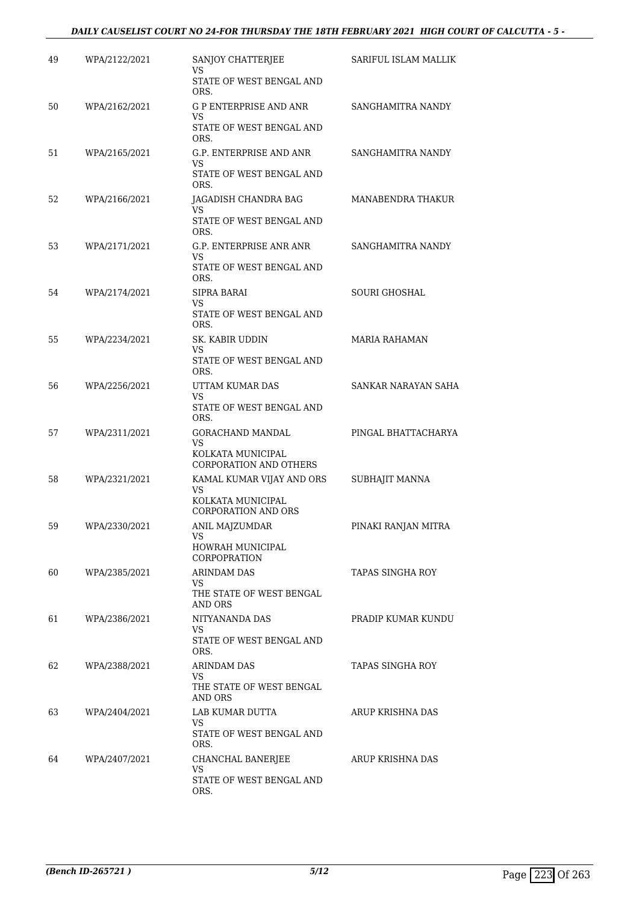### *DAILY CAUSELIST COURT NO 24-FOR THURSDAY THE 18TH FEBRUARY 2021 HIGH COURT OF CALCUTTA - 5 -*

| 49 | WPA/2122/2021 | SANJOY CHATTERJEE<br>VS.                                         | SARIFUL ISLAM MALLIK |
|----|---------------|------------------------------------------------------------------|----------------------|
|    |               | STATE OF WEST BENGAL AND<br>ORS.                                 |                      |
| 50 | WPA/2162/2021 | <b>G P ENTERPRISE AND ANR</b><br>VS.<br>STATE OF WEST BENGAL AND | SANGHAMITRA NANDY    |
|    |               | ORS.                                                             |                      |
| 51 | WPA/2165/2021 | G.P. ENTERPRISE AND ANR<br>VS.<br>STATE OF WEST BENGAL AND       | SANGHAMITRA NANDY    |
|    |               | ORS.                                                             |                      |
| 52 | WPA/2166/2021 | JAGADISH CHANDRA BAG<br>VS<br>STATE OF WEST BENGAL AND           | MANABENDRA THAKUR    |
|    |               | ORS.                                                             |                      |
| 53 | WPA/2171/2021 | G.P. ENTERPRISE ANR ANR<br>VS<br>STATE OF WEST BENGAL AND        | SANGHAMITRA NANDY    |
|    |               | ORS.                                                             |                      |
| 54 | WPA/2174/2021 | SIPRA BARAI<br>VS.                                               | <b>SOURI GHOSHAL</b> |
|    |               | STATE OF WEST BENGAL AND<br>ORS.                                 |                      |
| 55 | WPA/2234/2021 | SK. KABIR UDDIN<br>VS                                            | MARIA RAHAMAN        |
|    |               | STATE OF WEST BENGAL AND<br>ORS.                                 |                      |
| 56 | WPA/2256/2021 | UTTAM KUMAR DAS<br>VS.                                           | SANKAR NARAYAN SAHA  |
|    |               | STATE OF WEST BENGAL AND<br>ORS.                                 |                      |
| 57 | WPA/2311/2021 | GORACHAND MANDAL                                                 | PINGAL BHATTACHARYA  |
|    |               | VS<br>KOLKATA MUNICIPAL<br>CORPORATION AND OTHERS                |                      |
| 58 | WPA/2321/2021 | KAMAL KUMAR VIJAY AND ORS                                        | SUBHAJIT MANNA       |
|    |               | VS.<br>KOLKATA MUNICIPAL<br><b>CORPORATION AND ORS</b>           |                      |
| 59 | WPA/2330/2021 | ANIL MAJZUMDAR                                                   | PINAKI RANJAN MITRA  |
|    |               | VS<br>HOWRAH MUNICIPAL<br>CORPOPRATION                           |                      |
| 60 | WPA/2385/2021 | ARINDAM DAS                                                      | TAPAS SINGHA ROY     |
|    |               | VS.<br>THE STATE OF WEST BENGAL<br>AND ORS                       |                      |
| 61 | WPA/2386/2021 | NITYANANDA DAS                                                   | PRADIP KUMAR KUNDU   |
|    |               | VS<br>STATE OF WEST BENGAL AND<br>ORS.                           |                      |
| 62 | WPA/2388/2021 | ARINDAM DAS                                                      | TAPAS SINGHA ROY     |
|    |               | VS<br>THE STATE OF WEST BENGAL<br>AND ORS                        |                      |
| 63 | WPA/2404/2021 | LAB KUMAR DUTTA                                                  | ARUP KRISHNA DAS     |
|    |               | VS<br>STATE OF WEST BENGAL AND<br>ORS.                           |                      |
| 64 | WPA/2407/2021 | CHANCHAL BANERJEE                                                | ARUP KRISHNA DAS     |
|    |               | VS<br>STATE OF WEST BENGAL AND<br>ORS.                           |                      |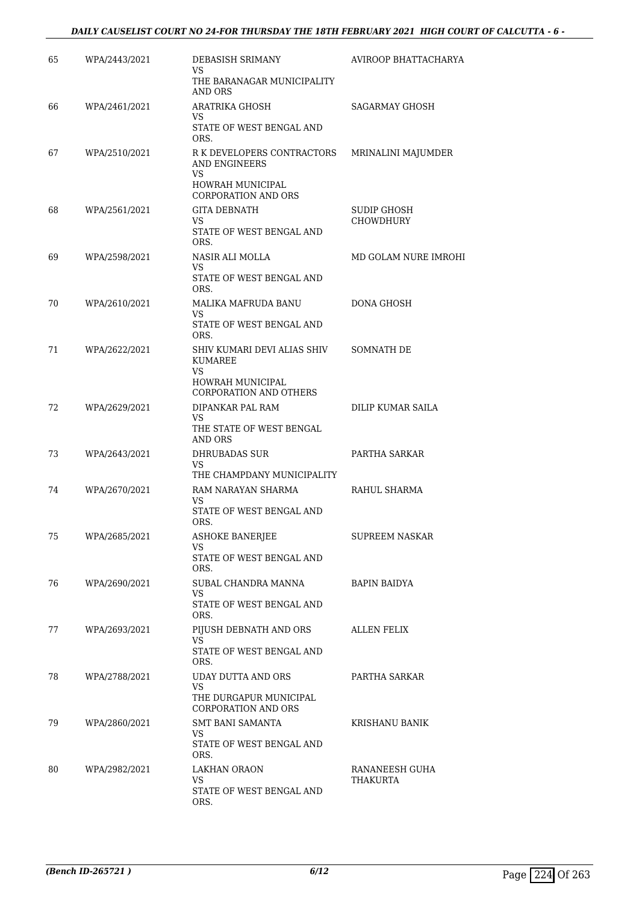### *DAILY CAUSELIST COURT NO 24-FOR THURSDAY THE 18TH FEBRUARY 2021 HIGH COURT OF CALCUTTA - 6 -*

| 65 | WPA/2443/2021 | DEBASISH SRIMANY<br>VS.                                        | AVIROOP BHATTACHARYA            |
|----|---------------|----------------------------------------------------------------|---------------------------------|
|    |               | THE BARANAGAR MUNICIPALITY<br>AND ORS                          |                                 |
| 66 | WPA/2461/2021 | ARATRIKA GHOSH<br>VS.                                          | SAGARMAY GHOSH                  |
|    |               | STATE OF WEST BENGAL AND<br>ORS.                               |                                 |
| 67 | WPA/2510/2021 | R K DEVELOPERS CONTRACTORS<br><b>AND ENGINEERS</b><br>VS.      | MRINALINI MAJUMDER              |
|    |               | <b>HOWRAH MUNICIPAL</b><br><b>CORPORATION AND ORS</b>          |                                 |
| 68 | WPA/2561/2021 | <b>GITA DEBNATH</b><br>VS.                                     | SUDIP GHOSH<br><b>CHOWDHURY</b> |
|    |               | STATE OF WEST BENGAL AND<br>ORS.                               |                                 |
| 69 | WPA/2598/2021 | NASIR ALI MOLLA<br>VS.                                         | MD GOLAM NURE IMROHI            |
|    |               | STATE OF WEST BENGAL AND<br>ORS.                               |                                 |
| 70 | WPA/2610/2021 | MALIKA MAFRUDA BANU<br>VS.                                     | <b>DONA GHOSH</b>               |
|    |               | STATE OF WEST BENGAL AND<br>ORS.                               |                                 |
| 71 | WPA/2622/2021 | SHIV KUMARI DEVI ALIAS SHIV<br>KUMAREE<br>VS                   | <b>SOMNATH DE</b>               |
|    |               | <b>HOWRAH MUNICIPAL</b><br><b>CORPORATION AND OTHERS</b>       |                                 |
| 72 | WPA/2629/2021 | DIPANKAR PAL RAM<br>VS.<br>THE STATE OF WEST BENGAL<br>AND ORS | DILIP KUMAR SAILA               |
| 73 | WPA/2643/2021 | DHRUBADAS SUR                                                  | PARTHA SARKAR                   |
|    |               | <b>VS</b><br>THE CHAMPDANY MUNICIPALITY                        |                                 |
| 74 | WPA/2670/2021 | RAM NARAYAN SHARMA<br>VS                                       | RAHUL SHARMA                    |
|    |               | STATE OF WEST BENGAL AND<br>ORS.                               |                                 |
| 75 | WPA/2685/2021 | <b>ASHOKE BANERJEE</b><br>VS                                   | <b>SUPREEM NASKAR</b>           |
|    |               | STATE OF WEST BENGAL AND<br>ORS.                               |                                 |
| 76 | WPA/2690/2021 | SUBAL CHANDRA MANNA<br>VS                                      | <b>BAPIN BAIDYA</b>             |
|    |               | STATE OF WEST BENGAL AND<br>ORS.                               |                                 |
| 77 | WPA/2693/2021 | PIJUSH DEBNATH AND ORS<br>VS                                   | ALLEN FELIX                     |
|    |               | STATE OF WEST BENGAL AND<br>ORS.                               |                                 |
| 78 | WPA/2788/2021 | UDAY DUTTA AND ORS<br>VS                                       | PARTHA SARKAR                   |
|    |               | THE DURGAPUR MUNICIPAL<br><b>CORPORATION AND ORS</b>           |                                 |
| 79 | WPA/2860/2021 | SMT BANI SAMANTA<br>VS.                                        | KRISHANU BANIK                  |
|    |               | STATE OF WEST BENGAL AND<br>ORS.                               |                                 |
| 80 | WPA/2982/2021 | <b>LAKHAN ORAON</b><br>VS                                      | RANANEESH GUHA<br>THAKURTA      |
|    |               | STATE OF WEST BENGAL AND<br>ORS.                               |                                 |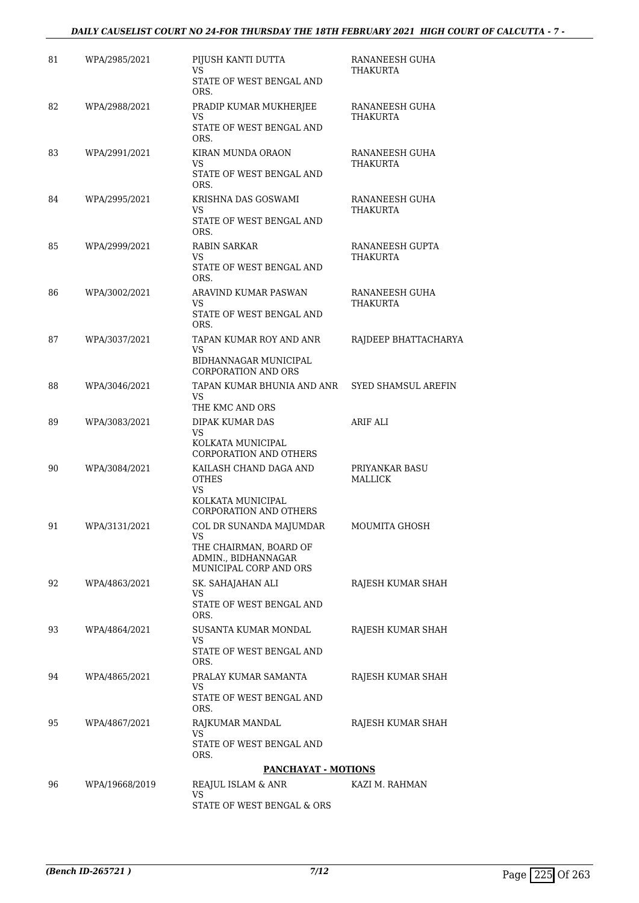### *DAILY CAUSELIST COURT NO 24-FOR THURSDAY THE 18TH FEBRUARY 2021 HIGH COURT OF CALCUTTA - 7 -*

| 81 | WPA/2985/2021  | PIJUSH KANTI DUTTA<br>VS.                                                    | RANANEESH GUHA<br>THAKURTA        |
|----|----------------|------------------------------------------------------------------------------|-----------------------------------|
|    |                | STATE OF WEST BENGAL AND<br>ORS.                                             |                                   |
| 82 | WPA/2988/2021  | PRADIP KUMAR MUKHERJEE<br>VS                                                 | RANANEESH GUHA<br><b>THAKURTA</b> |
|    |                | STATE OF WEST BENGAL AND<br>ORS.                                             |                                   |
| 83 | WPA/2991/2021  | KIRAN MUNDA ORAON<br>VS                                                      | RANANEESH GUHA<br>THAKURTA        |
|    |                | STATE OF WEST BENGAL AND<br>ORS.                                             |                                   |
| 84 | WPA/2995/2021  | KRISHNA DAS GOSWAMI<br>VS                                                    | RANANEESH GUHA<br>THAKURTA        |
|    |                | STATE OF WEST BENGAL AND<br>ORS.                                             |                                   |
| 85 | WPA/2999/2021  | RABIN SARKAR<br>VS.                                                          | RANANEESH GUPTA<br>THAKURTA       |
|    |                | STATE OF WEST BENGAL AND<br>ORS.                                             |                                   |
| 86 | WPA/3002/2021  | ARAVIND KUMAR PASWAN<br>VS.                                                  | RANANEESH GUHA<br>THAKURTA        |
|    |                | STATE OF WEST BENGAL AND<br>ORS.                                             |                                   |
| 87 | WPA/3037/2021  | TAPAN KUMAR ROY AND ANR<br><b>VS</b>                                         | RAJDEEP BHATTACHARYA              |
|    |                | BIDHANNAGAR MUNICIPAL<br><b>CORPORATION AND ORS</b>                          |                                   |
| 88 | WPA/3046/2021  | TAPAN KUMAR BHUNIA AND ANR<br>VS.                                            | SYED SHAMSUL AREFIN               |
|    |                | THE KMC AND ORS                                                              |                                   |
| 89 | WPA/3083/2021  | DIPAK KUMAR DAS<br>VS.<br>KOLKATA MUNICIPAL<br><b>CORPORATION AND OTHERS</b> | ARIF ALI                          |
| 90 | WPA/3084/2021  | KAILASH CHAND DAGA AND<br><b>OTHES</b>                                       | PRIYANKAR BASU<br>MALLICK         |
|    |                | VS.<br>KOLKATA MUNICIPAL<br><b>CORPORATION AND OTHERS</b>                    |                                   |
| 91 | WPA/3131/2021  | COL DR SUNANDA MAJUMDAR<br><b>VS</b>                                         | MOUMITA GHOSH                     |
|    |                | THE CHAIRMAN, BOARD OF<br>ADMIN., BIDHANNAGAR<br>MUNICIPAL CORP AND ORS      |                                   |
| 92 | WPA/4863/2021  | SK. SAHAJAHAN ALI                                                            | RAJESH KUMAR SHAH                 |
|    |                | VS.<br>STATE OF WEST BENGAL AND<br>ORS.                                      |                                   |
| 93 | WPA/4864/2021  | SUSANTA KUMAR MONDAL                                                         | RAJESH KUMAR SHAH                 |
|    |                | VS.<br>STATE OF WEST BENGAL AND<br>ORS.                                      |                                   |
| 94 | WPA/4865/2021  | PRALAY KUMAR SAMANTA                                                         | RAJESH KUMAR SHAH                 |
|    |                | VS<br>STATE OF WEST BENGAL AND<br>ORS.                                       |                                   |
| 95 | WPA/4867/2021  | RAJKUMAR MANDAL                                                              | RAJESH KUMAR SHAH                 |
|    |                | VS<br>STATE OF WEST BENGAL AND<br>ORS.                                       |                                   |
|    |                | <b>PANCHAYAT - MOTIONS</b>                                                   |                                   |
| 96 | WPA/19668/2019 | REAJUL ISLAM & ANR<br>VS                                                     | KAZI M. RAHMAN                    |
|    |                | STATE OF WEST BENGAL & ORS                                                   |                                   |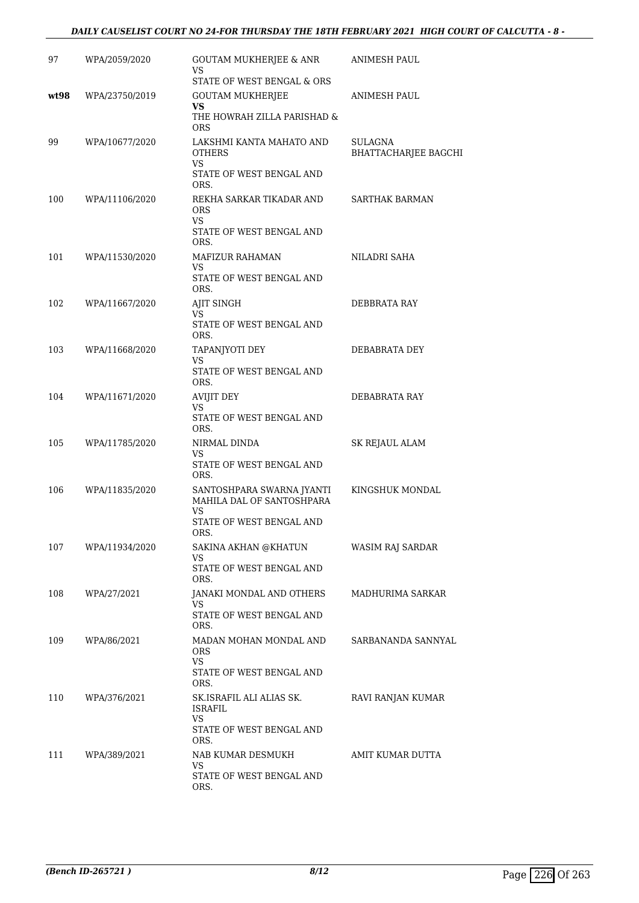### *DAILY CAUSELIST COURT NO 24-FOR THURSDAY THE 18TH FEBRUARY 2021 HIGH COURT OF CALCUTTA - 8 -*

| 97   | WPA/2059/2020  | GOUTAM MUKHERJEE & ANR<br>VS                                                                     | ANIMESH PAUL                    |
|------|----------------|--------------------------------------------------------------------------------------------------|---------------------------------|
| wt98 | WPA/23750/2019 | STATE OF WEST BENGAL & ORS<br><b>GOUTAM MUKHERJEE</b><br>VS                                      | <b>ANIMESH PAUL</b>             |
| 99   | WPA/10677/2020 | THE HOWRAH ZILLA PARISHAD &<br><b>ORS</b><br>LAKSHMI KANTA MAHATO AND<br><b>OTHERS</b>           | SULAGNA<br>BHATTACHARJEE BAGCHI |
|      |                | VS<br>STATE OF WEST BENGAL AND<br>ORS.                                                           |                                 |
| 100  | WPA/11106/2020 | REKHA SARKAR TIKADAR AND<br>ORS<br>VS.<br>STATE OF WEST BENGAL AND<br>ORS.                       | SARTHAK BARMAN                  |
| 101  | WPA/11530/2020 | <b>MAFIZUR RAHAMAN</b><br>VS<br>STATE OF WEST BENGAL AND<br>ORS.                                 | NILADRI SAHA                    |
| 102  | WPA/11667/2020 | AJIT SINGH<br>VS<br>STATE OF WEST BENGAL AND<br>ORS.                                             | DEBBRATA RAY                    |
| 103  | WPA/11668/2020 | TAPANJYOTI DEY<br><b>VS</b><br>STATE OF WEST BENGAL AND<br>ORS.                                  | DEBABRATA DEY                   |
| 104  | WPA/11671/2020 | AVIJIT DEY<br>VS<br>STATE OF WEST BENGAL AND<br>ORS.                                             | DEBABRATA RAY                   |
| 105  | WPA/11785/2020 | NIRMAL DINDA<br>VS<br>STATE OF WEST BENGAL AND<br>ORS.                                           | SK REJAUL ALAM                  |
| 106  | WPA/11835/2020 | SANTOSHPARA SWARNA JYANTI<br>MAHILA DAL OF SANTOSHPARA<br>VS<br>STATE OF WEST BENGAL AND<br>ORS. | KINGSHUK MONDAL                 |
| 107  | WPA/11934/2020 | SAKINA AKHAN @KHATUN<br>VS<br>STATE OF WEST BENGAL AND<br>ORS.                                   | WASIM RAJ SARDAR                |
| 108  | WPA/27/2021    | JANAKI MONDAL AND OTHERS<br>VS.<br>STATE OF WEST BENGAL AND<br>ORS.                              | MADHURIMA SARKAR                |
| 109  | WPA/86/2021    | MADAN MOHAN MONDAL AND<br><b>ORS</b><br>VS.<br>STATE OF WEST BENGAL AND<br>ORS.                  | SARBANANDA SANNYAL              |
| 110  | WPA/376/2021   | SK.ISRAFIL ALI ALIAS SK.<br>ISRAFIL<br>VS<br>STATE OF WEST BENGAL AND<br>ORS.                    | RAVI RANJAN KUMAR               |
| 111  | WPA/389/2021   | NAB KUMAR DESMUKH<br>VS<br>STATE OF WEST BENGAL AND<br>ORS.                                      | AMIT KUMAR DUTTA                |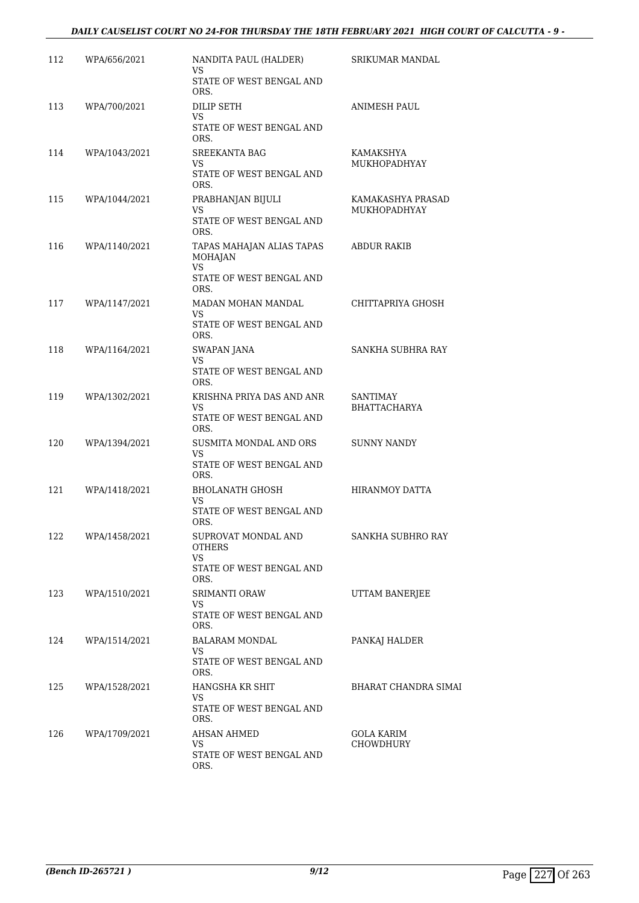### *DAILY CAUSELIST COURT NO 24-FOR THURSDAY THE 18TH FEBRUARY 2021 HIGH COURT OF CALCUTTA - 9 -*

| 112 | WPA/656/2021  | NANDITA PAUL (HALDER)<br>VS.                                                                 | SRIKUMAR MANDAL                          |
|-----|---------------|----------------------------------------------------------------------------------------------|------------------------------------------|
|     |               | STATE OF WEST BENGAL AND<br>ORS.                                                             |                                          |
| 113 | WPA/700/2021  | DILIP SETH<br>VS<br>STATE OF WEST BENGAL AND<br>ORS.                                         | ANIMESH PAUL                             |
| 114 | WPA/1043/2021 | <b>SREEKANTA BAG</b><br>VS.<br>STATE OF WEST BENGAL AND<br>ORS.                              | KAMAKSHYA<br>MUKHOPADHYAY                |
| 115 | WPA/1044/2021 | PRABHANJAN BIJULI<br>VS<br>STATE OF WEST BENGAL AND<br>ORS.                                  | KAMAKASHYA PRASAD<br><b>MUKHOPADHYAY</b> |
| 116 | WPA/1140/2021 | TAPAS MAHAJAN ALIAS TAPAS<br><b>MOHAJAN</b><br><b>VS</b><br>STATE OF WEST BENGAL AND<br>ORS. | ABDUR RAKIB                              |
| 117 | WPA/1147/2021 | MADAN MOHAN MANDAL<br>VS.<br>STATE OF WEST BENGAL AND<br>ORS.                                | CHITTAPRIYA GHOSH                        |
| 118 | WPA/1164/2021 | SWAPAN JANA<br>VS.<br>STATE OF WEST BENGAL AND<br>ORS.                                       | SANKHA SUBHRA RAY                        |
| 119 | WPA/1302/2021 | KRISHNA PRIYA DAS AND ANR<br>VS.<br>STATE OF WEST BENGAL AND<br>ORS.                         | SANTIMAY<br><b>BHATTACHARYA</b>          |
| 120 | WPA/1394/2021 | SUSMITA MONDAL AND ORS<br>VS.<br>STATE OF WEST BENGAL AND<br>ORS.                            | SUNNY NANDY                              |
| 121 | WPA/1418/2021 | BHOLANATH GHOSH<br>VS.<br>STATE OF WEST BENGAL AND<br>ORS.                                   | <b>HIRANMOY DATTA</b>                    |
| 122 | WPA/1458/2021 | SUPROVAT MONDAL AND<br>OTHERS<br>VS.<br>STATE OF WEST BENGAL AND                             | SANKHA SUBHRO RAY                        |
| 123 | WPA/1510/2021 | ORS.<br><b>SRIMANTI ORAW</b><br>VS.<br>STATE OF WEST BENGAL AND<br>ORS.                      | UTTAM BANERJEE                           |
| 124 | WPA/1514/2021 | <b>BALARAM MONDAL</b><br>VS.<br>STATE OF WEST BENGAL AND<br>ORS.                             | PANKAJ HALDER                            |
| 125 | WPA/1528/2021 | HANGSHA KR SHIT<br>VS.<br>STATE OF WEST BENGAL AND<br>ORS.                                   | BHARAT CHANDRA SIMAI                     |
| 126 | WPA/1709/2021 | <b>AHSAN AHMED</b><br>VS.<br>STATE OF WEST BENGAL AND<br>ORS.                                | GOLA KARIM<br><b>CHOWDHURY</b>           |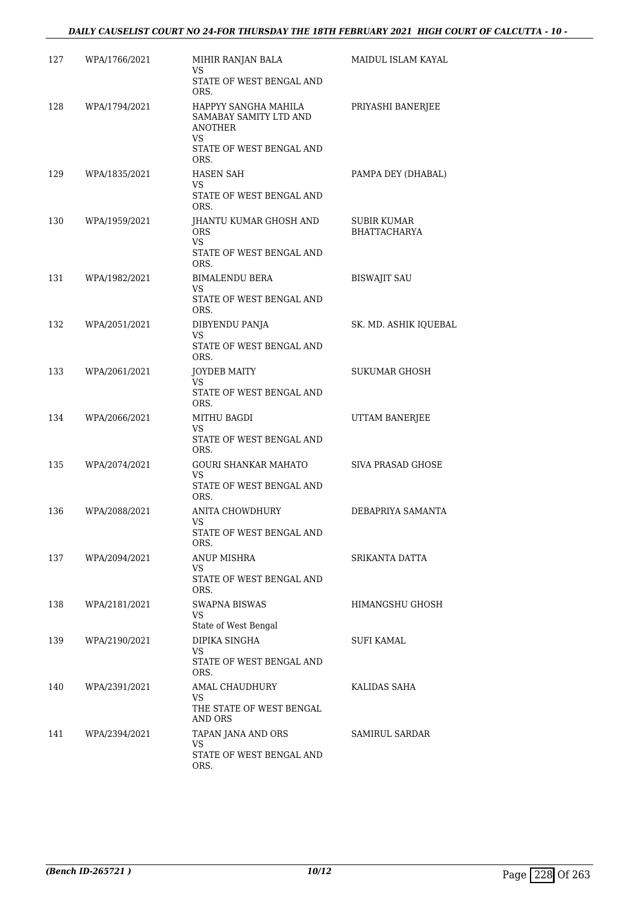### *DAILY CAUSELIST COURT NO 24-FOR THURSDAY THE 18TH FEBRUARY 2021 HIGH COURT OF CALCUTTA - 10 -*

| 127 | WPA/1766/2021 | MIHIR RANJAN BALA<br>VS                                                 | MAIDUL ISLAM KAYAL                 |
|-----|---------------|-------------------------------------------------------------------------|------------------------------------|
|     |               | STATE OF WEST BENGAL AND<br>ORS.                                        |                                    |
| 128 | WPA/1794/2021 | HAPPYY SANGHA MAHILA<br>SAMABAY SAMITY LTD AND<br><b>ANOTHER</b><br>VS. | PRIYASHI BANERJEE                  |
|     |               | STATE OF WEST BENGAL AND<br>ORS.                                        |                                    |
| 129 | WPA/1835/2021 | HASEN SAH<br>VS                                                         | PAMPA DEY (DHABAL)                 |
|     |               | STATE OF WEST BENGAL AND<br>ORS.                                        |                                    |
| 130 | WPA/1959/2021 | JHANTU KUMAR GHOSH AND<br><b>ORS</b><br>VS.                             | SUBIR KUMAR<br><b>BHATTACHARYA</b> |
|     |               | STATE OF WEST BENGAL AND<br>ORS.                                        |                                    |
| 131 | WPA/1982/2021 | BIMALENDU BERA<br>VS                                                    | <b>BISWAJIT SAU</b>                |
|     |               | STATE OF WEST BENGAL AND<br>ORS.                                        |                                    |
| 132 | WPA/2051/2021 | DIBYENDU PANJA<br>VS                                                    | SK. MD. ASHIK IQUEBAL              |
|     |               | STATE OF WEST BENGAL AND<br>ORS.                                        |                                    |
| 133 | WPA/2061/2021 | JOYDEB MAITY<br>VS.                                                     | <b>SUKUMAR GHOSH</b>               |
|     |               | STATE OF WEST BENGAL AND<br>ORS.                                        |                                    |
| 134 | WPA/2066/2021 | MITHU BAGDI<br>VS                                                       | UTTAM BANERJEE                     |
|     |               | STATE OF WEST BENGAL AND<br>ORS.                                        |                                    |
| 135 | WPA/2074/2021 | <b>GOURI SHANKAR MAHATO</b><br>VS                                       | <b>SIVA PRASAD GHOSE</b>           |
|     |               | STATE OF WEST BENGAL AND<br>ORS.                                        |                                    |
| 136 | WPA/2088/2021 | ANITA CHOWDHURY<br>VS                                                   | DEBAPRIYA SAMANTA                  |
|     |               | STATE OF WEST BENGAL AND<br>ORS.                                        |                                    |
| 137 | WPA/2094/2021 | ANUP MISHRA<br>VS.                                                      | SRIKANTA DATTA                     |
|     |               | STATE OF WEST BENGAL AND<br>ORS.                                        |                                    |
| 138 | WPA/2181/2021 | SWAPNA BISWAS<br>VS.                                                    | HIMANGSHU GHOSH                    |
|     |               | State of West Bengal                                                    |                                    |
| 139 | WPA/2190/2021 | DIPIKA SINGHA<br>VS.                                                    | SUFI KAMAL                         |
|     |               | STATE OF WEST BENGAL AND<br>ORS.                                        |                                    |
| 140 | WPA/2391/2021 | AMAL CHAUDHURY<br>VS.                                                   | KALIDAS SAHA                       |
|     |               | THE STATE OF WEST BENGAL<br>AND ORS                                     |                                    |
| 141 | WPA/2394/2021 | TAPAN JANA AND ORS<br>VS.                                               | SAMIRUL SARDAR                     |
|     |               | STATE OF WEST BENGAL AND<br>ORS.                                        |                                    |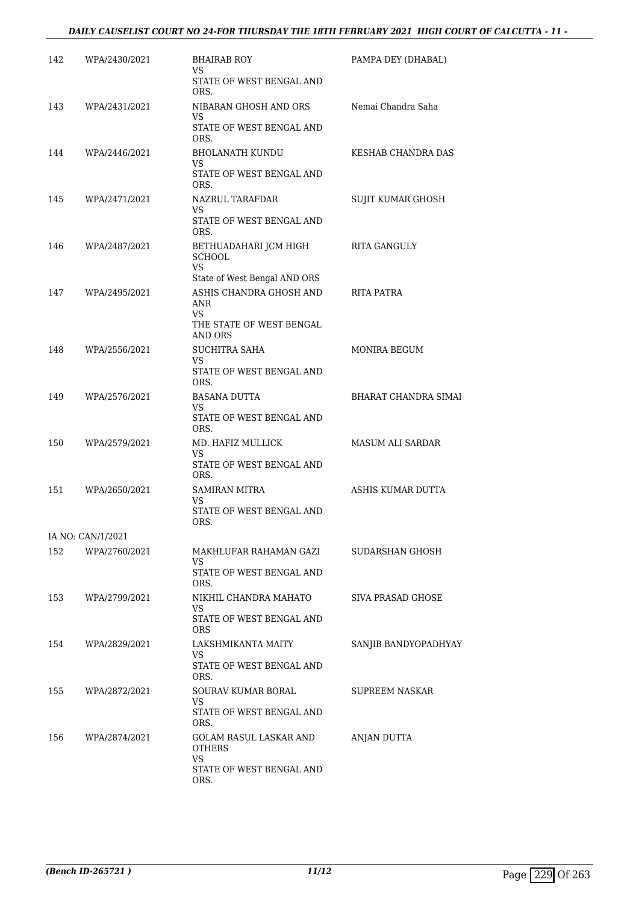### *DAILY CAUSELIST COURT NO 24-FOR THURSDAY THE 18TH FEBRUARY 2021 HIGH COURT OF CALCUTTA - 11 -*

| 142 | WPA/2430/2021     | <b>BHAIRAB ROY</b><br>VS.                               | PAMPA DEY (DHABAL)   |
|-----|-------------------|---------------------------------------------------------|----------------------|
|     |                   | STATE OF WEST BENGAL AND<br>ORS.                        |                      |
| 143 | WPA/2431/2021     | NIBARAN GHOSH AND ORS<br>VS                             | Nemai Chandra Saha   |
|     |                   | STATE OF WEST BENGAL AND<br>ORS.                        |                      |
| 144 | WPA/2446/2021     | BHOLANATH KUNDU<br>VS.                                  | KESHAB CHANDRA DAS   |
|     |                   | STATE OF WEST BENGAL AND<br>ORS.                        |                      |
| 145 | WPA/2471/2021     | NAZRUL TARAFDAR<br>VS.                                  | SUJIT KUMAR GHOSH    |
|     |                   | STATE OF WEST BENGAL AND<br>ORS.                        |                      |
| 146 | WPA/2487/2021     | BETHUADAHARI JCM HIGH<br><b>SCHOOL</b><br><b>VS</b>     | RITA GANGULY         |
| 147 | WPA/2495/2021     | State of West Bengal AND ORS<br>ASHIS CHANDRA GHOSH AND | RITA PATRA           |
|     |                   | ANR<br>VS.                                              |                      |
|     |                   | THE STATE OF WEST BENGAL<br>AND ORS                     |                      |
| 148 | WPA/2556/2021     | SUCHITRA SAHA                                           | MONIRA BEGUM         |
|     |                   | VS<br>STATE OF WEST BENGAL AND<br>ORS.                  |                      |
| 149 | WPA/2576/2021     | BASANA DUTTA                                            | BHARAT CHANDRA SIMAI |
|     |                   | VS<br>STATE OF WEST BENGAL AND<br>ORS.                  |                      |
| 150 | WPA/2579/2021     | MD. HAFIZ MULLICK<br>VS.                                | MASUM ALI SARDAR     |
|     |                   | STATE OF WEST BENGAL AND<br>ORS.                        |                      |
| 151 | WPA/2650/2021     | SAMIRAN MITRA<br>VS.                                    | ASHIS KUMAR DUTTA    |
|     |                   | STATE OF WEST BENGAL AND<br>ORS.                        |                      |
|     | IA NO: CAN/1/2021 |                                                         |                      |
| 152 | WPA/2760/2021     | MAKHLUFAR RAHAMAN GAZI<br>VS                            | SUDARSHAN GHOSH      |
|     |                   | STATE OF WEST BENGAL AND<br>ORS.                        |                      |
| 153 | WPA/2799/2021     | NIKHIL CHANDRA MAHATO                                   | SIVA PRASAD GHOSE    |
|     |                   | VS.<br>STATE OF WEST BENGAL AND<br>ORS                  |                      |
| 154 | WPA/2829/2021     | LAKSHMIKANTA MAITY                                      | SANJIB BANDYOPADHYAY |
|     |                   | VS<br>STATE OF WEST BENGAL AND<br>ORS.                  |                      |
| 155 | WPA/2872/2021     | SOURAV KUMAR BORAL                                      | SUPREEM NASKAR       |
|     |                   | VS.<br>STATE OF WEST BENGAL AND<br>ORS.                 |                      |
| 156 | WPA/2874/2021     | GOLAM RASUL LASKAR AND<br>OTHERS                        | ANJAN DUTTA          |
|     |                   | VS<br>STATE OF WEST BENGAL AND<br>ORS.                  |                      |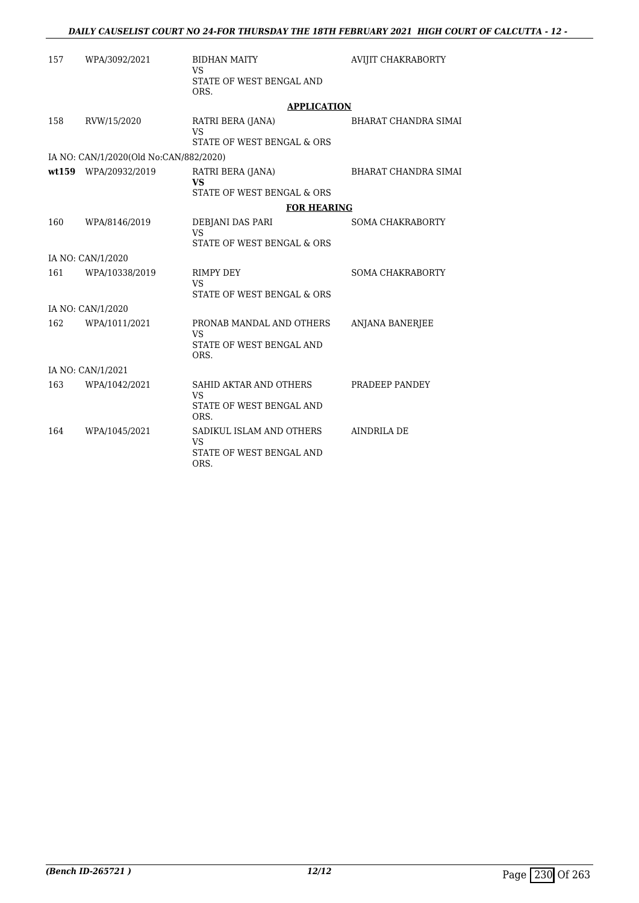| 157 | WPA/3092/2021                          | <b>BIDHAN MAITY</b><br><b>VS</b>                                          | <b>AVIJIT CHAKRABORTY</b>   |
|-----|----------------------------------------|---------------------------------------------------------------------------|-----------------------------|
|     |                                        | STATE OF WEST BENGAL AND<br>ORS.                                          |                             |
|     |                                        | <b>APPLICATION</b>                                                        |                             |
| 158 | RVW/15/2020                            | RATRI BERA (JANA)<br><b>VS</b><br>STATE OF WEST BENGAL & ORS              | <b>BHARAT CHANDRA SIMAI</b> |
|     | IA NO: CAN/1/2020(Old No:CAN/882/2020) |                                                                           |                             |
|     | wt159 WPA/20932/2019                   | RATRI BERA (JANA)<br><b>VS</b>                                            | <b>BHARAT CHANDRA SIMAI</b> |
|     |                                        | STATE OF WEST BENGAL & ORS                                                |                             |
|     |                                        | <b>FOR HEARING</b>                                                        |                             |
| 160 | WPA/8146/2019                          | DEBJANI DAS PARI<br>VS.<br>STATE OF WEST BENGAL & ORS                     | <b>SOMA CHAKRABORTY</b>     |
|     | IA NO: CAN/1/2020                      |                                                                           |                             |
| 161 | WPA/10338/2019                         | RIMPY DEY<br>VS.                                                          | <b>SOMA CHAKRABORTY</b>     |
|     |                                        | STATE OF WEST BENGAL & ORS                                                |                             |
|     | IA NO: CAN/1/2020                      |                                                                           |                             |
| 162 | WPA/1011/2021                          | PRONAB MANDAL AND OTHERS<br><b>VS</b>                                     | ANJANA BANERJEE             |
|     |                                        | STATE OF WEST BENGAL AND<br>ORS.                                          |                             |
|     | IA NO: CAN/1/2021                      |                                                                           |                             |
| 163 | WPA/1042/2021                          | SAHID AKTAR AND OTHERS<br><b>VS</b><br>STATE OF WEST BENGAL AND<br>ORS.   | PRADEEP PANDEY              |
| 164 | WPA/1045/2021                          | SADIKUL ISLAM AND OTHERS<br><b>VS</b><br>STATE OF WEST BENGAL AND<br>ORS. | <b>AINDRILA DE</b>          |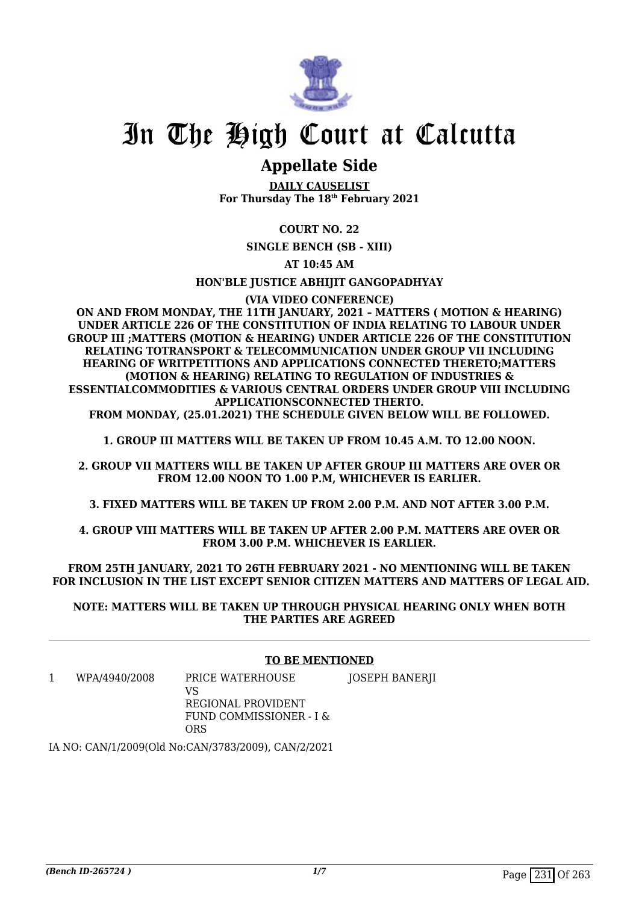

## In The High Court at Calcutta

## **Appellate Side**

**DAILY CAUSELIST For Thursday The 18th February 2021**

**COURT NO. 22**

**SINGLE BENCH (SB - XIII)**

**AT 10:45 AM**

**HON'BLE JUSTICE ABHIJIT GANGOPADHYAY**

**(VIA VIDEO CONFERENCE)**

**ON AND FROM MONDAY, THE 11TH JANUARY, 2021 – MATTERS ( MOTION & HEARING) UNDER ARTICLE 226 OF THE CONSTITUTION OF INDIA RELATING TO LABOUR UNDER GROUP III ;MATTERS (MOTION & HEARING) UNDER ARTICLE 226 OF THE CONSTITUTION RELATING TOTRANSPORT & TELECOMMUNICATION UNDER GROUP VII INCLUDING HEARING OF WRITPETITIONS AND APPLICATIONS CONNECTED THERETO;MATTERS (MOTION & HEARING) RELATING TO REGULATION OF INDUSTRIES & ESSENTIALCOMMODITIES & VARIOUS CENTRAL ORDERS UNDER GROUP VIII INCLUDING APPLICATIONSCONNECTED THERTO. FROM MONDAY, (25.01.2021) THE SCHEDULE GIVEN BELOW WILL BE FOLLOWED.**

**1. GROUP III MATTERS WILL BE TAKEN UP FROM 10.45 A.M. TO 12.00 NOON.**

**2. GROUP VII MATTERS WILL BE TAKEN UP AFTER GROUP III MATTERS ARE OVER OR FROM 12.00 NOON TO 1.00 P.M, WHICHEVER IS EARLIER.**

**3. FIXED MATTERS WILL BE TAKEN UP FROM 2.00 P.M. AND NOT AFTER 3.00 P.M.**

**4. GROUP VIII MATTERS WILL BE TAKEN UP AFTER 2.00 P.M. MATTERS ARE OVER OR FROM 3.00 P.M. WHICHEVER IS EARLIER.**

**FROM 25TH JANUARY, 2021 TO 26TH FEBRUARY 2021 - NO MENTIONING WILL BE TAKEN FOR INCLUSION IN THE LIST EXCEPT SENIOR CITIZEN MATTERS AND MATTERS OF LEGAL AID.**

**NOTE: MATTERS WILL BE TAKEN UP THROUGH PHYSICAL HEARING ONLY WHEN BOTH THE PARTIES ARE AGREED**

### **TO BE MENTIONED**

1 WPA/4940/2008 PRICE WATERHOUSE  $V<sub>S</sub>$ JOSEPH BANERJI

REGIONAL PROVIDENT FUND COMMISSIONER - I & ORS

IA NO: CAN/1/2009(Old No:CAN/3783/2009), CAN/2/2021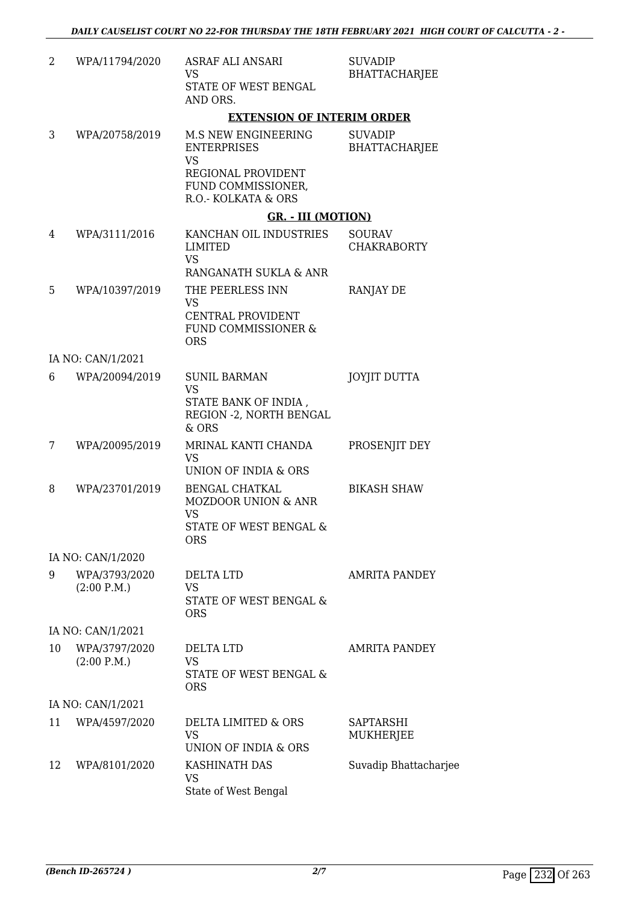| 2  | WPA/11794/2020               | ASRAF ALI ANSARI<br><b>VS</b><br>STATE OF WEST BENGAL<br>AND ORS.                                                                | <b>SUVADIP</b><br><b>BHATTACHARJEE</b> |
|----|------------------------------|----------------------------------------------------------------------------------------------------------------------------------|----------------------------------------|
|    |                              | <b>EXTENSION OF INTERIM ORDER</b>                                                                                                |                                        |
| 3  | WPA/20758/2019               | <b>M.S NEW ENGINEERING</b><br><b>ENTERPRISES</b><br><b>VS</b><br>REGIONAL PROVIDENT<br>FUND COMMISSIONER,<br>R.O.- KOLKATA & ORS | <b>SUVADIP</b><br><b>BHATTACHARJEE</b> |
|    |                              | <b>GR. - III (MOTION)</b>                                                                                                        |                                        |
| 4  | WPA/3111/2016                | KANCHAN OIL INDUSTRIES<br><b>LIMITED</b><br><b>VS</b><br>RANGANATH SUKLA & ANR                                                   | <b>SOURAV</b><br><b>CHAKRABORTY</b>    |
| 5  | WPA/10397/2019               | THE PEERLESS INN<br><b>VS</b><br>CENTRAL PROVIDENT<br><b>FUND COMMISSIONER &amp;</b><br><b>ORS</b>                               | <b>RANJAY DE</b>                       |
|    | IA NO: CAN/1/2021            |                                                                                                                                  |                                        |
| 6  | WPA/20094/2019               | <b>SUNIL BARMAN</b><br><b>VS</b><br>STATE BANK OF INDIA,<br>REGION - 2, NORTH BENGAL<br>& ORS                                    | <b>JOYJIT DUTTA</b>                    |
| 7  | WPA/20095/2019               | MRINAL KANTI CHANDA<br>VS<br>UNION OF INDIA & ORS                                                                                | PROSENJIT DEY                          |
| 8  | WPA/23701/2019               | <b>BENGAL CHATKAL</b><br><b>MOZDOOR UNION &amp; ANR</b><br><b>VS</b><br>STATE OF WEST BENGAL &<br><b>ORS</b>                     | <b>BIKASH SHAW</b>                     |
|    | IA NO: CAN/1/2020            |                                                                                                                                  |                                        |
| 9  | WPA/3793/2020<br>(2:00 P.M.) | DELTA LTD<br><b>VS</b><br>STATE OF WEST BENGAL &<br><b>ORS</b>                                                                   | <b>AMRITA PANDEY</b>                   |
|    | IA NO: CAN/1/2021            |                                                                                                                                  |                                        |
| 10 | WPA/3797/2020<br>(2:00 P.M.) | DELTA LTD<br>VS.<br>STATE OF WEST BENGAL &<br><b>ORS</b>                                                                         | AMRITA PANDEY                          |
|    | IA NO: CAN/1/2021            |                                                                                                                                  |                                        |
| 11 | WPA/4597/2020                | DELTA LIMITED & ORS<br><b>VS</b><br>UNION OF INDIA & ORS                                                                         | SAPTARSHI<br>MUKHERJEE                 |
| 12 | WPA/8101/2020                | KASHINATH DAS<br>VS<br>State of West Bengal                                                                                      | Suvadip Bhattacharjee                  |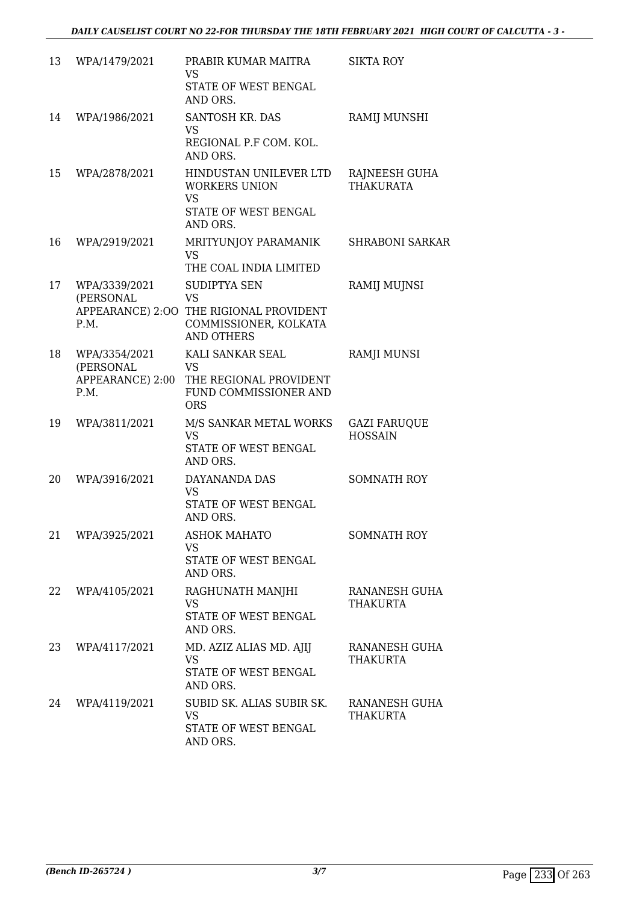| 13 | WPA/1479/2021                                          | PRABIR KUMAR MAITRA<br><b>VS</b><br>STATE OF WEST BENGAL<br>AND ORS.                                                      | <b>SIKTA ROY</b>                      |
|----|--------------------------------------------------------|---------------------------------------------------------------------------------------------------------------------------|---------------------------------------|
| 14 | WPA/1986/2021                                          | SANTOSH KR. DAS<br><b>VS</b><br>REGIONAL P.F COM. KOL.<br>AND ORS.                                                        | RAMIJ MUNSHI                          |
| 15 | WPA/2878/2021                                          | HINDUSTAN UNILEVER LTD<br><b>WORKERS UNION</b><br><b>VS</b><br>STATE OF WEST BENGAL<br>AND ORS.                           | RAJNEESH GUHA<br><b>THAKURATA</b>     |
| 16 | WPA/2919/2021                                          | MRITYUNJOY PARAMANIK<br><b>VS</b><br>THE COAL INDIA LIMITED                                                               | <b>SHRABONI SARKAR</b>                |
| 17 | WPA/3339/2021<br>(PERSONAL<br>P.M.                     | <b>SUDIPTYA SEN</b><br><b>VS</b><br>APPEARANCE) 2:00 THE RIGIONAL PROVIDENT<br>COMMISSIONER, KOLKATA<br><b>AND OTHERS</b> | RAMIJ MUJNSI                          |
| 18 | WPA/3354/2021<br>(PERSONAL<br>APPEARANCE) 2:00<br>P.M. | KALI SANKAR SEAL<br><b>VS</b><br>THE REGIONAL PROVIDENT<br>FUND COMMISSIONER AND<br><b>ORS</b>                            | <b>RAMJI MUNSI</b>                    |
| 19 | WPA/3811/2021                                          | M/S SANKAR METAL WORKS<br><b>VS</b><br>STATE OF WEST BENGAL<br>AND ORS.                                                   | <b>GAZI FARUQUE</b><br><b>HOSSAIN</b> |
| 20 | WPA/3916/2021                                          | DAYANANDA DAS<br><b>VS</b><br>STATE OF WEST BENGAL<br>AND ORS.                                                            | <b>SOMNATH ROY</b>                    |
| 21 | WPA/3925/2021                                          | <b>ASHOK MAHATO</b><br><b>VS</b><br>STATE OF WEST BENGAL<br>AND ORS.                                                      | <b>SOMNATH ROY</b>                    |
| 22 | WPA/4105/2021                                          | RAGHUNATH MANJHI<br><b>VS</b><br>STATE OF WEST BENGAL<br>AND ORS.                                                         | RANANESH GUHA<br>THAKURTA             |
| 23 | WPA/4117/2021                                          | MD. AZIZ ALIAS MD. AJIJ<br>VS<br>STATE OF WEST BENGAL<br>AND ORS.                                                         | RANANESH GUHA<br>THAKURTA             |
| 24 | WPA/4119/2021                                          | SUBID SK. ALIAS SUBIR SK.<br><b>VS</b><br>STATE OF WEST BENGAL<br>AND ORS.                                                | RANANESH GUHA<br><b>THAKURTA</b>      |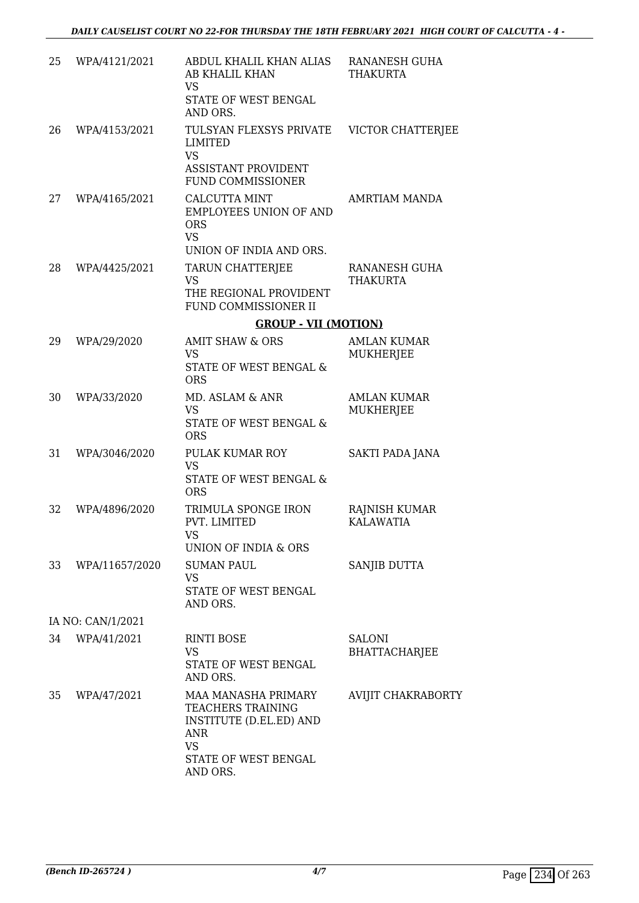| 25 | WPA/4121/2021     | ABDUL KHALIL KHAN ALIAS<br>AB KHALIL KHAN<br><b>VS</b><br>STATE OF WEST BENGAL                        | RANANESH GUHA<br><b>THAKURTA</b>      |
|----|-------------------|-------------------------------------------------------------------------------------------------------|---------------------------------------|
| 26 | WPA/4153/2021     | AND ORS.<br>TULSYAN FLEXSYS PRIVATE<br><b>LIMITED</b><br><b>VS</b>                                    | VICTOR CHATTERJEE                     |
|    |                   | <b>ASSISTANT PROVIDENT</b><br><b>FUND COMMISSIONER</b>                                                |                                       |
| 27 | WPA/4165/2021     | CALCUTTA MINT<br><b>EMPLOYEES UNION OF AND</b><br><b>ORS</b><br><b>VS</b><br>UNION OF INDIA AND ORS.  | AMRTIAM MANDA                         |
| 28 | WPA/4425/2021     | TARUN CHATTERJEE                                                                                      | RANANESH GUHA                         |
|    |                   | <b>VS</b><br>THE REGIONAL PROVIDENT<br>FUND COMMISSIONER II                                           | THAKURTA                              |
|    |                   | <b>GROUP - VII (MOTION)</b>                                                                           |                                       |
| 29 | WPA/29/2020       | <b>AMIT SHAW &amp; ORS</b>                                                                            | <b>AMLAN KUMAR</b>                    |
|    |                   | <b>VS</b><br>STATE OF WEST BENGAL &<br><b>ORS</b>                                                     | MUKHERJEE                             |
| 30 | WPA/33/2020       | MD. ASLAM & ANR                                                                                       | <b>AMLAN KUMAR</b>                    |
|    |                   | <b>VS</b><br>STATE OF WEST BENGAL &<br><b>ORS</b>                                                     | MUKHERJEE                             |
| 31 | WPA/3046/2020     | PULAK KUMAR ROY                                                                                       | SAKTI PADA JANA                       |
|    |                   | <b>VS</b><br>STATE OF WEST BENGAL &<br><b>ORS</b>                                                     |                                       |
| 32 | WPA/4896/2020     | TRIMULA SPONGE IRON<br>PVT. LIMITED                                                                   | RAJNISH KUMAR<br><b>KALAWATIA</b>     |
|    |                   | VS<br>UNION OF INDIA & ORS                                                                            |                                       |
| 33 | WPA/11657/2020    | <b>SUMAN PAUL</b><br><b>VS</b>                                                                        | <b>SANJIB DUTTA</b>                   |
|    |                   | STATE OF WEST BENGAL<br>AND ORS.                                                                      |                                       |
|    | IA NO: CAN/1/2021 |                                                                                                       |                                       |
| 34 | WPA/41/2021       | <b>RINTI BOSE</b><br><b>VS</b><br>STATE OF WEST BENGAL<br>AND ORS.                                    | <b>SALONI</b><br><b>BHATTACHARJEE</b> |
| 35 | WPA/47/2021       | MAA MANASHA PRIMARY<br><b>TEACHERS TRAINING</b><br>INSTITUTE (D.EL.ED) AND<br><b>ANR</b><br><b>VS</b> | AVIJIT CHAKRABORTY                    |
|    |                   | STATE OF WEST BENGAL<br>AND ORS.                                                                      |                                       |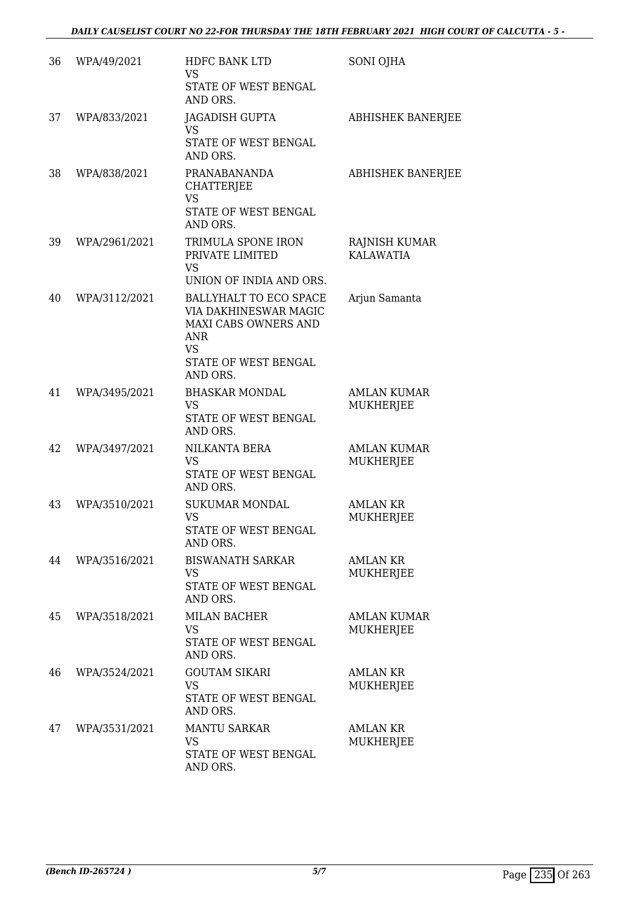| 36 | WPA/49/2021   | HDFC BANK LTD<br><b>VS</b>                                                                                                                    | SONI OJHA                              |
|----|---------------|-----------------------------------------------------------------------------------------------------------------------------------------------|----------------------------------------|
|    |               | STATE OF WEST BENGAL<br>AND ORS.                                                                                                              |                                        |
| 37 | WPA/833/2021  | JAGADISH GUPTA<br><b>VS</b>                                                                                                                   | <b>ABHISHEK BANERJEE</b>               |
|    |               | STATE OF WEST BENGAL<br>AND ORS.                                                                                                              |                                        |
| 38 | WPA/838/2021  | PRANABANANDA<br><b>CHATTERJEE</b><br><b>VS</b>                                                                                                | <b>ABHISHEK BANERJEE</b>               |
|    |               | STATE OF WEST BENGAL<br>AND ORS.                                                                                                              |                                        |
| 39 | WPA/2961/2021 | TRIMULA SPONE IRON<br>PRIVATE LIMITED<br><b>VS</b><br>UNION OF INDIA AND ORS.                                                                 | RAJNISH KUMAR<br><b>KALAWATIA</b>      |
| 40 | WPA/3112/2021 | BALLYHALT TO ECO SPACE<br>VIA DAKHINESWAR MAGIC<br><b>MAXI CABS OWNERS AND</b><br><b>ANR</b><br><b>VS</b><br>STATE OF WEST BENGAL<br>AND ORS. | Arjun Samanta                          |
| 41 | WPA/3495/2021 | <b>BHASKAR MONDAL</b><br><b>VS</b><br>STATE OF WEST BENGAL<br>AND ORS.                                                                        | <b>AMLAN KUMAR</b><br>MUKHERJEE        |
| 42 | WPA/3497/2021 | NILKANTA BERA<br><b>VS</b><br>STATE OF WEST BENGAL<br>AND ORS.                                                                                | <b>AMLAN KUMAR</b><br><b>MUKHERJEE</b> |
| 43 | WPA/3510/2021 | <b>SUKUMAR MONDAL</b><br>VS<br>STATE OF WEST BENGAL<br>AND ORS.                                                                               | AMLAN KR<br>MUKHERJEE                  |
| 44 | WPA/3516/2021 | <b>BISWANATH SARKAR</b><br><b>VS</b><br>STATE OF WEST BENGAL<br>AND ORS.                                                                      | <b>AMLAN KR</b><br>MUKHERJEE           |
| 45 | WPA/3518/2021 | <b>MILAN BACHER</b><br><b>VS</b><br>STATE OF WEST BENGAL<br>AND ORS.                                                                          | <b>AMLAN KUMAR</b><br>MUKHERJEE        |
| 46 | WPA/3524/2021 | <b>GOUTAM SIKARI</b><br><b>VS</b><br>STATE OF WEST BENGAL<br>AND ORS.                                                                         | <b>AMLAN KR</b><br><b>MUKHERJEE</b>    |
| 47 | WPA/3531/2021 | <b>MANTU SARKAR</b><br><b>VS</b><br>STATE OF WEST BENGAL<br>AND ORS.                                                                          | <b>AMLAN KR</b><br>MUKHERJEE           |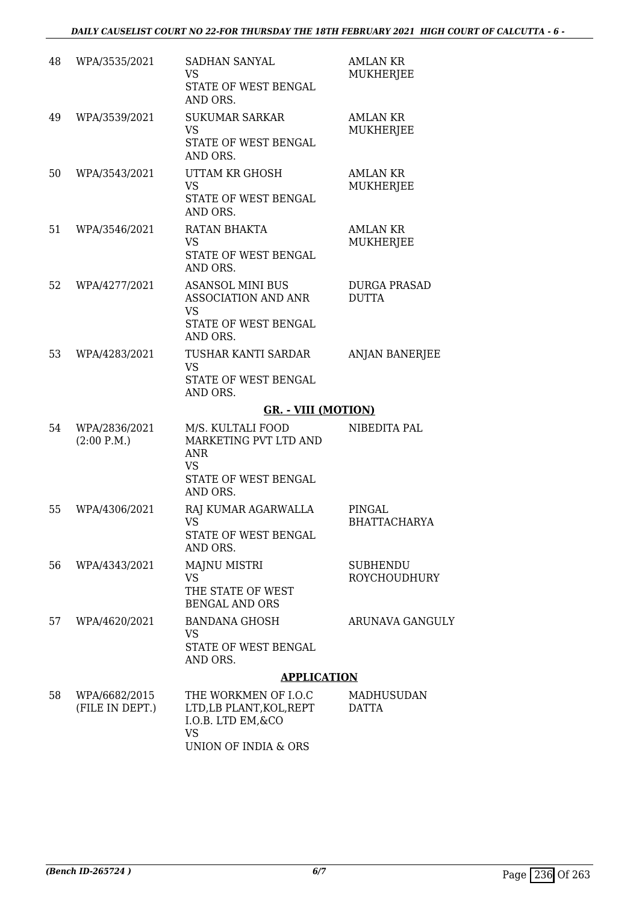| 48 | WPA/3535/2021                    | <b>SADHAN SANYAL</b><br><b>VS</b><br>STATE OF WEST BENGAL                                  | AMLAN KR<br>MUKHERJEE                  |
|----|----------------------------------|--------------------------------------------------------------------------------------------|----------------------------------------|
|    |                                  | AND ORS.                                                                                   |                                        |
| 49 | WPA/3539/2021                    | <b>SUKUMAR SARKAR</b><br><b>VS</b><br>STATE OF WEST BENGAL                                 | AMLAN KR<br>MUKHERJEE                  |
|    |                                  | AND ORS.                                                                                   |                                        |
| 50 | WPA/3543/2021                    | UTTAM KR GHOSH<br><b>VS</b><br>STATE OF WEST BENGAL<br>AND ORS.                            | <b>AMLAN KR</b><br><b>MUKHERJEE</b>    |
| 51 | WPA/3546/2021                    | RATAN BHAKTA<br><b>VS</b><br>STATE OF WEST BENGAL<br>AND ORS.                              | <b>AMLAN KR</b><br><b>MUKHERJEE</b>    |
| 52 | WPA/4277/2021                    | <b>ASANSOL MINI BUS</b><br><b>ASSOCIATION AND ANR</b><br><b>VS</b><br>STATE OF WEST BENGAL | <b>DURGA PRASAD</b><br><b>DUTTA</b>    |
|    |                                  | AND ORS.                                                                                   |                                        |
| 53 | WPA/4283/2021                    | TUSHAR KANTI SARDAR<br><b>VS</b><br>STATE OF WEST BENGAL<br>AND ORS.                       | <b>ANJAN BANERJEE</b>                  |
|    |                                  | <b>GR. - VIII (MOTION)</b>                                                                 |                                        |
| 54 | WPA/2836/2021<br>(2:00 P.M.)     | M/S. KULTALI FOOD<br>MARKETING PVT LTD AND<br><b>ANR</b><br><b>VS</b>                      | NIBEDITA PAL                           |
|    |                                  | STATE OF WEST BENGAL<br>AND ORS.                                                           |                                        |
| 55 | WPA/4306/2021                    | RAJ KUMAR AGARWALLA<br><b>VS</b><br>STATE OF WEST BENGAL                                   | PINGAL<br><b>BHATTACHARYA</b>          |
|    |                                  | AND ORS.                                                                                   |                                        |
| 56 | WPA/4343/2021                    | <b>MAJNU MISTRI</b><br><b>VS</b><br>THE STATE OF WEST                                      | <b>SUBHENDU</b><br><b>ROYCHOUDHURY</b> |
|    |                                  | <b>BENGAL AND ORS</b>                                                                      |                                        |
| 57 | WPA/4620/2021                    | <b>BANDANA GHOSH</b><br><b>VS</b><br>STATE OF WEST BENGAL<br>AND ORS.                      | ARUNAVA GANGULY                        |
|    |                                  | <b>APPLICATION</b>                                                                         |                                        |
| 58 | WPA/6682/2015<br>(FILE IN DEPT.) | THE WORKMEN OF I.O.C<br>LTD, LB PLANT, KOL, REPT<br>I.O.B. LTD EM, & CO<br><b>VS</b>       | MADHUSUDAN<br><b>DATTA</b>             |

UNION OF INDIA & ORS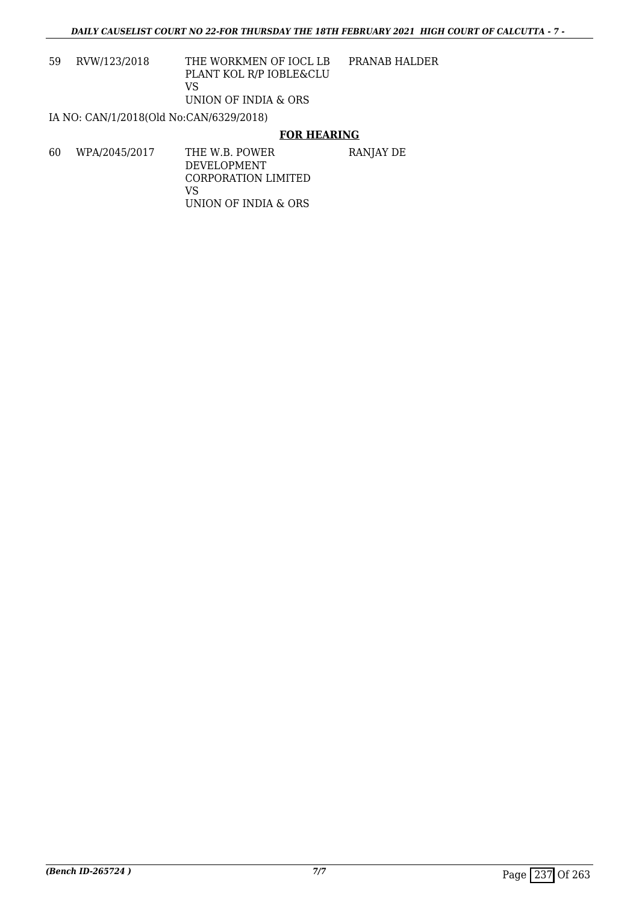59 RVW/123/2018 THE WORKMEN OF IOCL LB PLANT KOL R/P IOBLE&CLU VS UNION OF INDIA & ORS PRANAB HALDER

IA NO: CAN/1/2018(Old No:CAN/6329/2018)

### **FOR HEARING**

60 WPA/2045/2017 THE W.B. POWER DEVELOPMENT CORPORATION LIMITED VS UNION OF INDIA & ORS RANJAY DE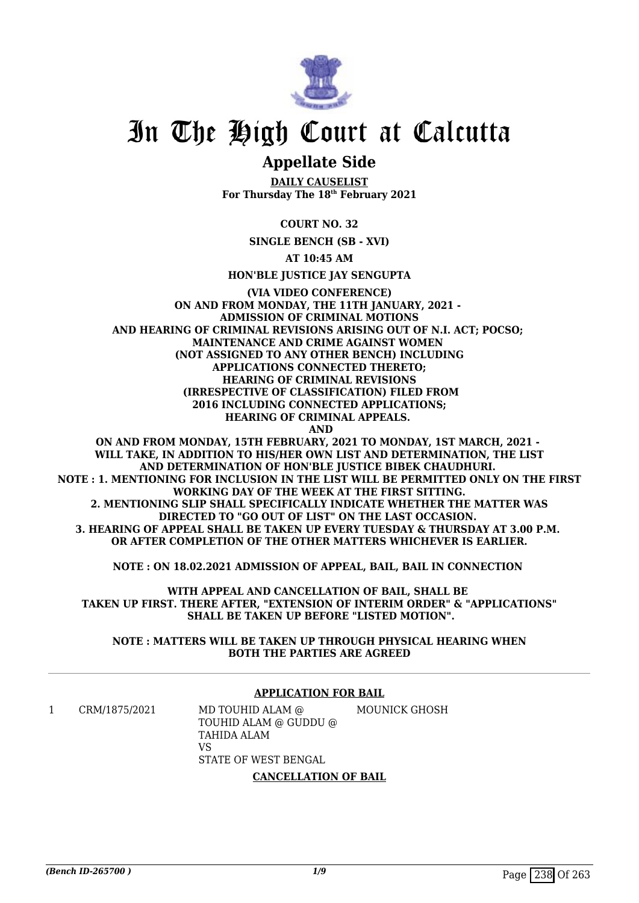

## In The High Court at Calcutta

### **Appellate Side**

**DAILY CAUSELIST For Thursday The 18th February 2021**

**COURT NO. 32**

**SINGLE BENCH (SB - XVI)**

**AT 10:45 AM**

**HON'BLE JUSTICE JAY SENGUPTA**

**(VIA VIDEO CONFERENCE) ON AND FROM MONDAY, THE 11TH JANUARY, 2021 - ADMISSION OF CRIMINAL MOTIONS AND HEARING OF CRIMINAL REVISIONS ARISING OUT OF N.I. ACT; POCSO; MAINTENANCE AND CRIME AGAINST WOMEN (NOT ASSIGNED TO ANY OTHER BENCH) INCLUDING APPLICATIONS CONNECTED THERETO; HEARING OF CRIMINAL REVISIONS (IRRESPECTIVE OF CLASSIFICATION) FILED FROM 2016 INCLUDING CONNECTED APPLICATIONS; HEARING OF CRIMINAL APPEALS. AND**

**ON AND FROM MONDAY, 15TH FEBRUARY, 2021 TO MONDAY, 1ST MARCH, 2021 - WILL TAKE, IN ADDITION TO HIS/HER OWN LIST AND DETERMINATION, THE LIST AND DETERMINATION OF HON'BLE JUSTICE BIBEK CHAUDHURI. NOTE : 1. MENTIONING FOR INCLUSION IN THE LIST WILL BE PERMITTED ONLY ON THE FIRST WORKING DAY OF THE WEEK AT THE FIRST SITTING. 2. MENTIONING SLIP SHALL SPECIFICALLY INDICATE WHETHER THE MATTER WAS DIRECTED TO "GO OUT OF LIST" ON THE LAST OCCASION. 3. HEARING OF APPEAL SHALL BE TAKEN UP EVERY TUESDAY & THURSDAY AT 3.00 P.M. OR AFTER COMPLETION OF THE OTHER MATTERS WHICHEVER IS EARLIER.**

**NOTE : ON 18.02.2021 ADMISSION OF APPEAL, BAIL, BAIL IN CONNECTION** 

**WITH APPEAL AND CANCELLATION OF BAIL, SHALL BE TAKEN UP FIRST. THERE AFTER, "EXTENSION OF INTERIM ORDER" & "APPLICATIONS" SHALL BE TAKEN UP BEFORE "LISTED MOTION".**

**NOTE : MATTERS WILL BE TAKEN UP THROUGH PHYSICAL HEARING WHEN BOTH THE PARTIES ARE AGREED**

### **APPLICATION FOR BAIL**

1 CRM/1875/2021 MD TOUHID ALAM @ TOUHID ALAM @ GUDDU @ TAHIDA ALAM VS STATE OF WEST BENGAL MOUNICK GHOSH

**CANCELLATION OF BAIL**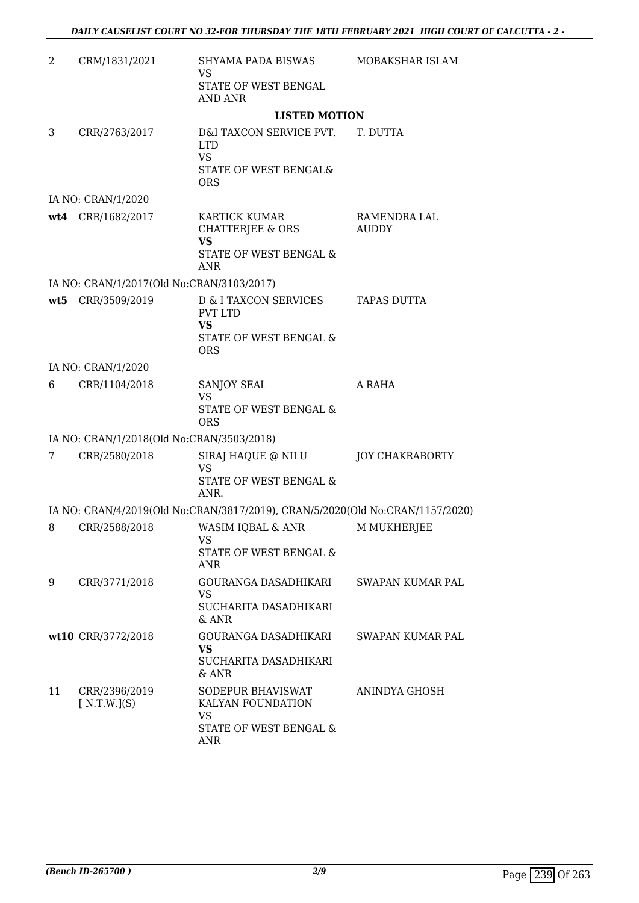| 2  | CRM/1831/2021                             | SHYAMA PADA BISWAS<br>VS                                                                                           | MOBAKSHAR ISLAM        |
|----|-------------------------------------------|--------------------------------------------------------------------------------------------------------------------|------------------------|
|    |                                           | STATE OF WEST BENGAL<br>AND ANR                                                                                    |                        |
|    |                                           | <b>LISTED MOTION</b>                                                                                               |                        |
| 3  | CRR/2763/2017                             | D&I TAXCON SERVICE PVT. T. DUTTA<br><b>LTD</b><br><b>VS</b><br>STATE OF WEST BENGAL&<br><b>ORS</b>                 |                        |
|    | IA NO: CRAN/1/2020                        |                                                                                                                    |                        |
|    | wt4 CRR/1682/2017                         | KARTICK KUMAR<br>CHATTERJEE & ORS<br><b>VS</b><br>STATE OF WEST BENGAL &<br><b>ANR</b>                             | RAMENDRA LAL<br>AUDDY  |
|    | IA NO: CRAN/1/2017(Old No:CRAN/3103/2017) |                                                                                                                    |                        |
|    | wt5 CRR/3509/2019                         | <b>D &amp; I TAXCON SERVICES</b><br><b>PVT LTD</b><br><b>VS</b><br><b>STATE OF WEST BENGAL &amp;</b><br><b>ORS</b> | TAPAS DUTTA            |
|    | IA NO: CRAN/1/2020                        |                                                                                                                    |                        |
| 6  | CRR/1104/2018                             | SANJOY SEAL<br><b>VS</b><br>STATE OF WEST BENGAL &<br><b>ORS</b>                                                   | A RAHA                 |
|    | IA NO: CRAN/1/2018(Old No:CRAN/3503/2018) |                                                                                                                    |                        |
| 7  | CRR/2580/2018                             | SIRAJ HAQUE @ NILU<br>VS<br><b>STATE OF WEST BENGAL &amp;</b><br>ANR.                                              | <b>JOY CHAKRABORTY</b> |
|    |                                           | IA NO: CRAN/4/2019(Old No:CRAN/3817/2019), CRAN/5/2020(Old No:CRAN/1157/2020)                                      |                        |
| 8  | CRR/2588/2018                             | WASIM IQBAL & ANR<br>VS<br>STATE OF WEST BENGAL &<br>ANR                                                           | <b>M MUKHERJEE</b>     |
| 9  | CRR/3771/2018                             | GOURANGA DASADHIKARI<br>VS<br>SUCHARITA DASADHIKARI<br>$&$ ANR                                                     | SWAPAN KUMAR PAL       |
|    | wt10 CRR/3772/2018                        | GOURANGA DASADHIKARI<br>VS.<br>SUCHARITA DASADHIKARI<br>$&$ ANR                                                    | SWAPAN KUMAR PAL       |
| 11 | CRR/2396/2019<br>[N.T.W.](S)              | SODEPUR BHAVISWAT<br>KALYAN FOUNDATION<br>VS<br>STATE OF WEST BENGAL &<br><b>ANR</b>                               | ANINDYA GHOSH          |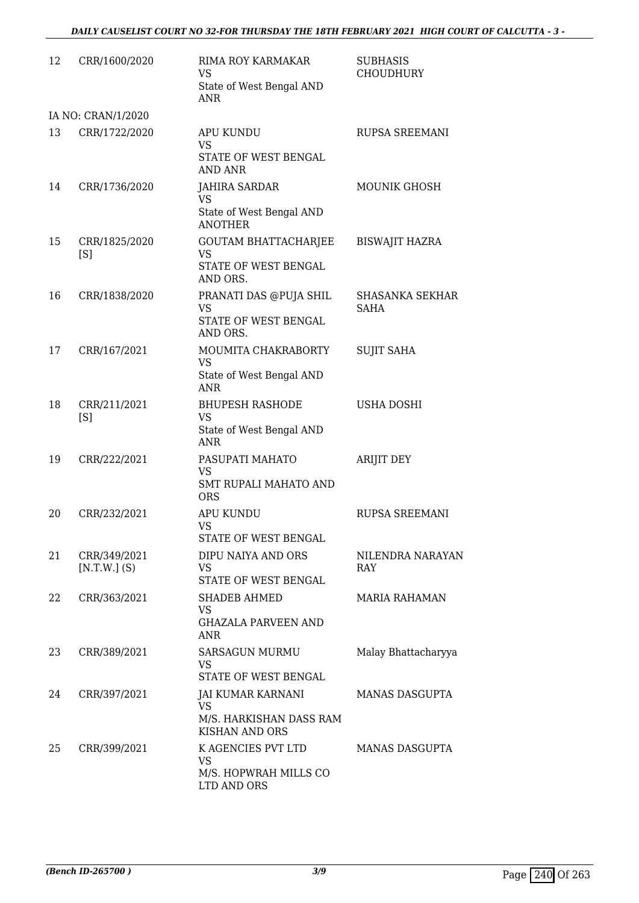| 12 | CRR/1600/2020                  | RIMA ROY KARMAKAR<br><b>VS</b><br>State of West Bengal AND<br>ANR                  | <b>SUBHASIS</b><br><b>CHOUDHURY</b>   |
|----|--------------------------------|------------------------------------------------------------------------------------|---------------------------------------|
|    | IA NO: CRAN/1/2020             |                                                                                    |                                       |
| 13 | CRR/1722/2020                  | <b>APU KUNDU</b><br><b>VS</b><br>STATE OF WEST BENGAL<br><b>AND ANR</b>            | <b>RUPSA SREEMANI</b>                 |
| 14 | CRR/1736/2020                  | <b>JAHIRA SARDAR</b><br><b>VS</b><br>State of West Bengal AND<br><b>ANOTHER</b>    | <b>MOUNIK GHOSH</b>                   |
| 15 | CRR/1825/2020<br>[S]           | <b>GOUTAM BHATTACHARJEE</b><br><b>VS</b><br>STATE OF WEST BENGAL<br>AND ORS.       | <b>BISWAJIT HAZRA</b>                 |
| 16 | CRR/1838/2020                  | PRANATI DAS @PUJA SHIL<br><b>VS</b><br>STATE OF WEST BENGAL<br>AND ORS.            | <b>SHASANKA SEKHAR</b><br><b>SAHA</b> |
| 17 | CRR/167/2021                   | MOUMITA CHAKRABORTY<br><b>VS</b><br>State of West Bengal AND<br><b>ANR</b>         | <b>SUJIT SAHA</b>                     |
| 18 | CRR/211/2021<br>[S]            | <b>BHUPESH RASHODE</b><br><b>VS</b><br>State of West Bengal AND<br><b>ANR</b>      | <b>USHA DOSHI</b>                     |
| 19 | CRR/222/2021                   | PASUPATI MAHATO<br><b>VS</b><br><b>SMT RUPALI MAHATO AND</b><br><b>ORS</b>         | <b>ARIJIT DEY</b>                     |
| 20 | CRR/232/2021                   | <b>APU KUNDU</b><br>VS<br>STATE OF WEST BENGAL                                     | <b>RUPSA SREEMANI</b>                 |
| 21 | CRR/349/2021<br>$[N.T.W.]$ (S) | DIPU NAIYA AND ORS<br><b>VS</b><br>STATE OF WEST BENGAL                            | NILENDRA NARAYAN<br><b>RAY</b>        |
| 22 | CRR/363/2021                   | <b>SHADEB AHMED</b><br>VS<br><b>GHAZALA PARVEEN AND</b><br>ANR                     | <b>MARIA RAHAMAN</b>                  |
| 23 | CRR/389/2021                   | <b>SARSAGUN MURMU</b><br><b>VS</b><br>STATE OF WEST BENGAL                         | Malay Bhattacharyya                   |
| 24 | CRR/397/2021                   | JAI KUMAR KARNANI<br><b>VS</b><br>M/S. HARKISHAN DASS RAM<br><b>KISHAN AND ORS</b> | <b>MANAS DASGUPTA</b>                 |
| 25 | CRR/399/2021                   | K AGENCIES PVT LTD<br><b>VS</b><br>M/S. HOPWRAH MILLS CO<br>LTD AND ORS            | MANAS DASGUPTA                        |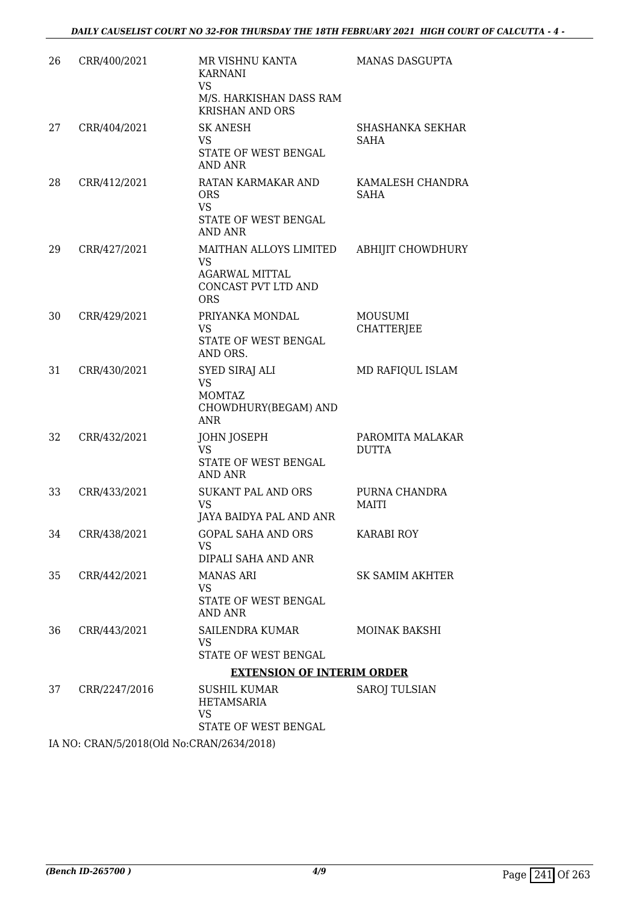| 26 | CRR/400/2021  | MR VISHNU KANTA<br><b>KARNANI</b><br>VS<br>M/S. HARKISHAN DASS RAM<br><b>KRISHAN AND ORS</b> | MANAS DASGUPTA                      |
|----|---------------|----------------------------------------------------------------------------------------------|-------------------------------------|
| 27 | CRR/404/2021  | <b>SK ANESH</b><br>VS<br>STATE OF WEST BENGAL<br>AND ANR                                     | SHASHANKA SEKHAR<br>SAHA            |
| 28 | CRR/412/2021  | RATAN KARMAKAR AND<br><b>ORS</b><br><b>VS</b><br>STATE OF WEST BENGAL<br>AND ANR             | KAMALESH CHANDRA<br><b>SAHA</b>     |
| 29 | CRR/427/2021  | MAITHAN ALLOYS LIMITED<br>VS<br><b>AGARWAL MITTAL</b><br>CONCAST PVT LTD AND<br><b>ORS</b>   | ABHIJIT CHOWDHURY                   |
| 30 | CRR/429/2021  | PRIYANKA MONDAL<br>VS.<br>STATE OF WEST BENGAL<br>AND ORS.                                   | <b>MOUSUMI</b><br><b>CHATTERJEE</b> |
| 31 | CRR/430/2021  | <b>SYED SIRAJ ALI</b><br>VS<br><b>MOMTAZ</b><br>CHOWDHURY(BEGAM) AND<br>ANR                  | MD RAFIQUL ISLAM                    |
| 32 | CRR/432/2021  | JOHN JOSEPH<br><b>VS</b><br>STATE OF WEST BENGAL<br>AND ANR                                  | PAROMITA MALAKAR<br><b>DUTTA</b>    |
| 33 | CRR/433/2021  | <b>SUKANT PAL AND ORS</b><br>VS<br>JAYA BAIDYA PAL AND ANR                                   | PURNA CHANDRA<br><b>MAITI</b>       |
| 34 | CRR/438/2021  | <b>GOPAL SAHA AND ORS</b><br>VS<br>DIPALI SAHA AND ANR                                       | <b>KARABI ROY</b>                   |
| 35 | CRR/442/2021  | <b>MANAS ARI</b><br>VS.<br>STATE OF WEST BENGAL<br><b>AND ANR</b>                            | SK SAMIM AKHTER                     |
| 36 | CRR/443/2021  | SAILENDRA KUMAR<br>VS.<br>STATE OF WEST BENGAL                                               | <b>MOINAK BAKSHI</b>                |
|    |               | <b>EXTENSION OF INTERIM ORDER</b>                                                            |                                     |
| 37 | CRR/2247/2016 | SUSHIL KUMAR<br>HETAMSARIA<br>VS<br>STATE OF WEST BENGAL                                     | <b>SAROJ TULSIAN</b>                |

IA NO: CRAN/5/2018(Old No:CRAN/2634/2018)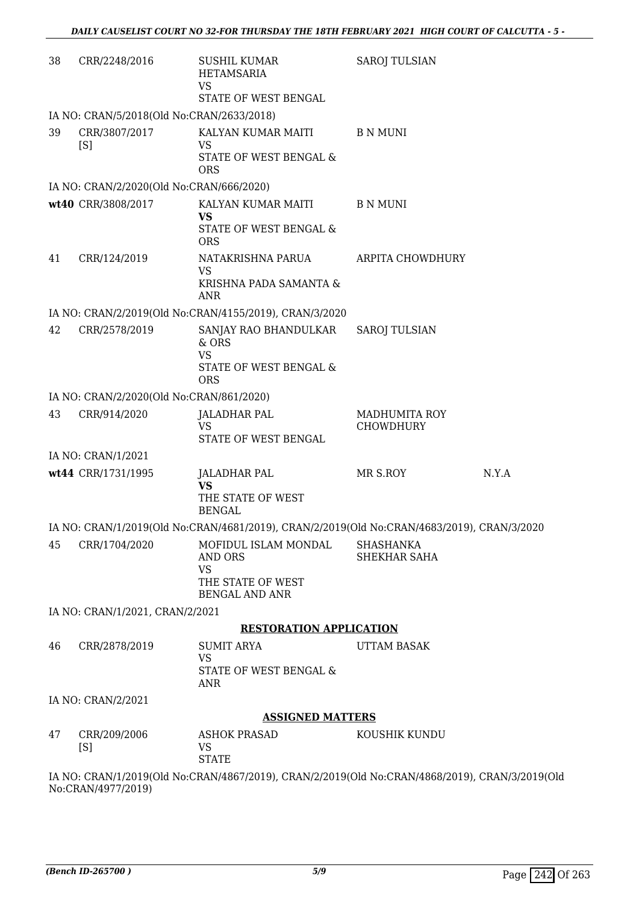| 38 | CRR/2248/2016                             | SUSHIL KUMAR<br>HETAMSARIA<br><b>VS</b><br>STATE OF WEST BENGAL                                | <b>SAROJ TULSIAN</b>                     |       |
|----|-------------------------------------------|------------------------------------------------------------------------------------------------|------------------------------------------|-------|
|    | IA NO: CRAN/5/2018(Old No:CRAN/2633/2018) |                                                                                                |                                          |       |
| 39 | CRR/3807/2017                             | KALYAN KUMAR MAITI                                                                             | <b>B N MUNI</b>                          |       |
|    | [S]                                       | <b>VS</b><br>STATE OF WEST BENGAL &<br><b>ORS</b>                                              |                                          |       |
|    | IA NO: CRAN/2/2020(Old No:CRAN/666/2020)  |                                                                                                |                                          |       |
|    | wt40 CRR/3808/2017                        | KALYAN KUMAR MAITI<br><b>VS</b>                                                                | <b>B N MUNI</b>                          |       |
|    |                                           | STATE OF WEST BENGAL &<br><b>ORS</b>                                                           |                                          |       |
| 41 | CRR/124/2019                              | NATAKRISHNA PARUA<br><b>VS</b>                                                                 | ARPITA CHOWDHURY                         |       |
|    |                                           | KRISHNA PADA SAMANTA &<br>ANR                                                                  |                                          |       |
|    |                                           | IA NO: CRAN/2/2019(Old No:CRAN/4155/2019), CRAN/3/2020                                         |                                          |       |
| 42 | CRR/2578/2019                             | SANJAY RAO BHANDULKAR<br>$&$ ORS                                                               | <b>SAROJ TULSIAN</b>                     |       |
|    |                                           | <b>VS</b><br>STATE OF WEST BENGAL &<br><b>ORS</b>                                              |                                          |       |
|    | IA NO: CRAN/2/2020(Old No:CRAN/861/2020)  |                                                                                                |                                          |       |
| 43 | CRR/914/2020                              | <b>JALADHAR PAL</b><br><b>VS</b><br>STATE OF WEST BENGAL                                       | <b>MADHUMITA ROY</b><br><b>CHOWDHURY</b> |       |
|    | IA NO: CRAN/1/2021                        |                                                                                                |                                          |       |
|    | wt44 CRR/1731/1995                        | <b>JALADHAR PAL</b>                                                                            | MR S.ROY                                 | N.Y.A |
|    |                                           | <b>VS</b><br>THE STATE OF WEST<br><b>BENGAL</b>                                                |                                          |       |
|    |                                           | IA NO: CRAN/1/2019(Old No:CRAN/4681/2019), CRAN/2/2019(Old No:CRAN/4683/2019), CRAN/3/2020     |                                          |       |
| 45 | CRR/1704/2020                             | MOFIDUL ISLAM MONDAL<br><b>AND ORS</b><br><b>VS</b>                                            | SHASHANKA<br>SHEKHAR SAHA                |       |
|    |                                           | THE STATE OF WEST<br><b>BENGAL AND ANR</b>                                                     |                                          |       |
|    | IA NO: CRAN/1/2021, CRAN/2/2021           |                                                                                                |                                          |       |
|    |                                           | <b>RESTORATION APPLICATION</b>                                                                 |                                          |       |
| 46 | CRR/2878/2019                             | <b>SUMIT ARYA</b><br>VS                                                                        | <b>UTTAM BASAK</b>                       |       |
|    |                                           | STATE OF WEST BENGAL &<br>ANR                                                                  |                                          |       |
|    | IA NO: CRAN/2/2021                        |                                                                                                |                                          |       |
|    | <b>ASSIGNED MATTERS</b>                   |                                                                                                |                                          |       |
| 47 | CRR/209/2006<br>[S]                       | ASHOK PRASAD<br>VS<br><b>STATE</b>                                                             | KOUSHIK KUNDU                            |       |
|    | $N_0$ . $CDAM14077/2010$                  | IA NO: CRAN/1/2019(Old No:CRAN/4867/2019), CRAN/2/2019(Old No:CRAN/4868/2019), CRAN/3/2019(Old |                                          |       |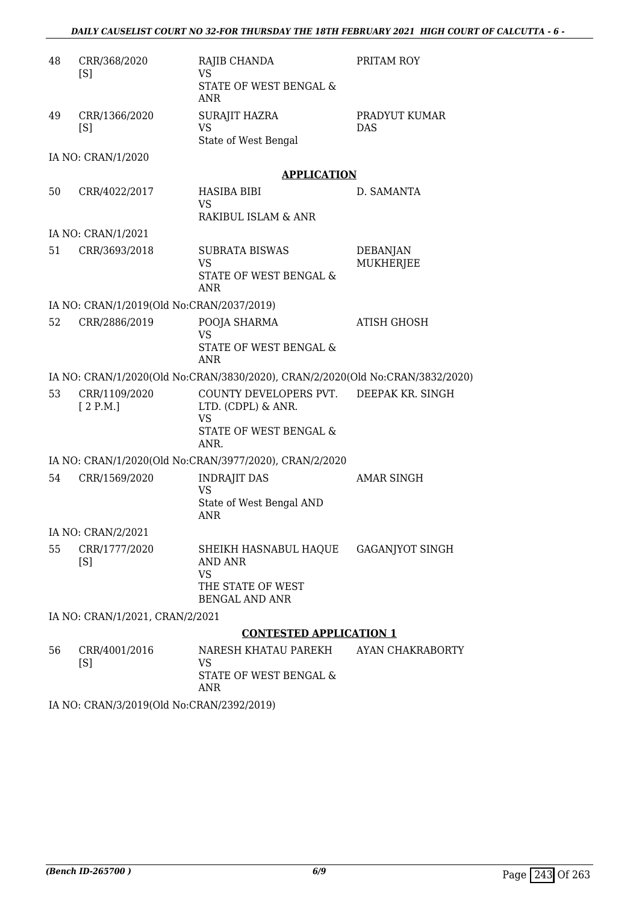| 48 | CRR/368/2020<br>[S]                       | RAJIB CHANDA<br>VS                                                            | PRITAM ROY                   |
|----|-------------------------------------------|-------------------------------------------------------------------------------|------------------------------|
|    |                                           | STATE OF WEST BENGAL &<br><b>ANR</b>                                          |                              |
| 49 | CRR/1366/2020<br>[S]                      | <b>SURAJIT HAZRA</b><br><b>VS</b>                                             | PRADYUT KUMAR<br><b>DAS</b>  |
|    |                                           | State of West Bengal                                                          |                              |
|    | IA NO: CRAN/1/2020                        | <b>APPLICATION</b>                                                            |                              |
| 50 | CRR/4022/2017                             | <b>HASIBA BIBI</b><br><b>VS</b>                                               | D. SAMANTA                   |
|    |                                           | RAKIBUL ISLAM & ANR                                                           |                              |
|    | IA NO: CRAN/1/2021                        |                                                                               |                              |
| 51 | CRR/3693/2018                             | <b>SUBRATA BISWAS</b><br>VS                                                   | DEBANJAN<br><b>MUKHERJEE</b> |
|    |                                           | STATE OF WEST BENGAL &<br>ANR                                                 |                              |
|    | IA NO: CRAN/1/2019(Old No:CRAN/2037/2019) |                                                                               |                              |
| 52 | CRR/2886/2019                             | POOJA SHARMA<br><b>VS</b>                                                     | ATISH GHOSH                  |
|    |                                           | STATE OF WEST BENGAL &<br>ANR                                                 |                              |
|    |                                           | IA NO: CRAN/1/2020(Old No:CRAN/3830/2020), CRAN/2/2020(Old No:CRAN/3832/2020) |                              |
| 53 | CRR/1109/2020<br>[2 P.M.]                 | COUNTY DEVELOPERS PVT.<br>LTD. (CDPL) & ANR.<br><b>VS</b>                     | DEEPAK KR. SINGH             |
|    |                                           | STATE OF WEST BENGAL &<br>ANR.                                                |                              |
|    |                                           | IA NO: CRAN/1/2020(Old No:CRAN/3977/2020), CRAN/2/2020                        |                              |
| 54 | CRR/1569/2020                             | <b>INDRAJIT DAS</b><br><b>VS</b>                                              | <b>AMAR SINGH</b>            |
|    |                                           | State of West Bengal AND<br><b>ANR</b>                                        |                              |
|    | IA NO: CRAN/2/2021                        |                                                                               |                              |
| 55 | CRR/1777/2020<br>[S]                      | SHEIKH HASNABUL HAQUE GAGANJYOT SINGH<br><b>AND ANR</b><br><b>VS</b>          |                              |
|    |                                           | THE STATE OF WEST<br><b>BENGAL AND ANR</b>                                    |                              |
|    | IA NO: CRAN/1/2021, CRAN/2/2021           |                                                                               |                              |
|    |                                           | <b>CONTESTED APPLICATION 1</b>                                                |                              |
| 56 | CRR/4001/2016<br>[S]                      | NARESH KHATAU PAREKH<br>VS                                                    | AYAN CHAKRABORTY             |
|    |                                           | STATE OF WEST BENGAL &<br>ANR                                                 |                              |

IA NO: CRAN/3/2019(Old No:CRAN/2392/2019)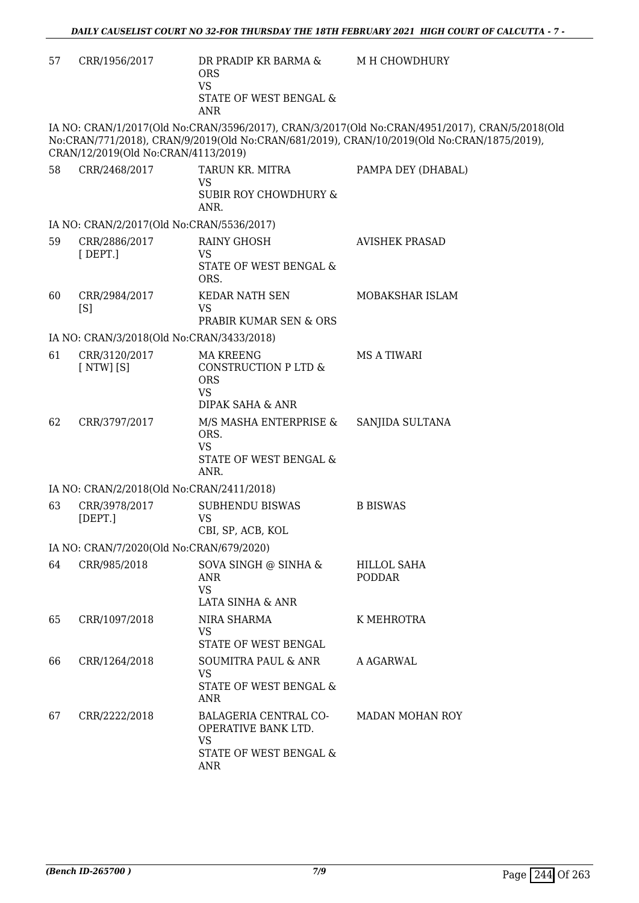| 57 | CRR/1956/2017                             | DR PRADIP KR BARMA &<br><b>ORS</b><br><b>VS</b><br>STATE OF WEST BENGAL &<br><b>ANR</b>           | M H CHOWDHURY                                                                                                                                                                                |
|----|-------------------------------------------|---------------------------------------------------------------------------------------------------|----------------------------------------------------------------------------------------------------------------------------------------------------------------------------------------------|
|    | CRAN/12/2019(Old No:CRAN/4113/2019)       |                                                                                                   | IA NO: CRAN/1/2017(Old No:CRAN/3596/2017), CRAN/3/2017(Old No:CRAN/4951/2017), CRAN/5/2018(Old<br>No:CRAN/771/2018), CRAN/9/2019(Old No:CRAN/681/2019), CRAN/10/2019(Old No:CRAN/1875/2019), |
| 58 | CRR/2468/2017                             | TARUN KR. MITRA<br>VS<br><b>SUBIR ROY CHOWDHURY &amp;</b><br>ANR.                                 | PAMPA DEY (DHABAL)                                                                                                                                                                           |
|    | IA NO: CRAN/2/2017(Old No:CRAN/5536/2017) |                                                                                                   |                                                                                                                                                                                              |
| 59 | CRR/2886/2017<br>$[$ DEPT.]               | <b>RAINY GHOSH</b><br><b>VS</b><br>STATE OF WEST BENGAL &<br>ORS.                                 | <b>AVISHEK PRASAD</b>                                                                                                                                                                        |
| 60 | CRR/2984/2017<br>[S]                      | <b>KEDAR NATH SEN</b><br><b>VS</b><br>PRABIR KUMAR SEN & ORS                                      | MOBAKSHAR ISLAM                                                                                                                                                                              |
|    | IA NO: CRAN/3/2018(Old No:CRAN/3433/2018) |                                                                                                   |                                                                                                                                                                                              |
| 61 | CRR/3120/2017<br>[NTW][S]                 | <b>MA KREENG</b><br>CONSTRUCTION P LTD &<br><b>ORS</b><br>VS.                                     | <b>MS A TIWARI</b>                                                                                                                                                                           |
| 62 | CRR/3797/2017                             | DIPAK SAHA & ANR<br>M/S MASHA ENTERPRISE &<br>ORS.<br><b>VS</b><br>STATE OF WEST BENGAL &<br>ANR. | SANJIDA SULTANA                                                                                                                                                                              |
|    | IA NO: CRAN/2/2018(Old No:CRAN/2411/2018) |                                                                                                   |                                                                                                                                                                                              |
| 63 | CRR/3978/2017<br>[DEFI.]                  | <b>SUBHENDU BISWAS</b><br><b>VS</b><br>CBI. SP. ACB. KOL                                          | <b>B BISWAS</b>                                                                                                                                                                              |
|    | IA NO: CRAN/7/2020(Old No:CRAN/679/2020)  |                                                                                                   |                                                                                                                                                                                              |
| 64 | CRR/985/2018                              | SOVA SINGH @ SINHA &<br>ANR<br><b>VS</b><br><b>LATA SINHA &amp; ANR</b>                           | <b>HILLOL SAHA</b><br><b>PODDAR</b>                                                                                                                                                          |
| 65 | CRR/1097/2018                             | NIRA SHARMA<br>VS<br>STATE OF WEST BENGAL                                                         | K MEHROTRA                                                                                                                                                                                   |
| 66 | CRR/1264/2018                             | <b>SOUMITRA PAUL &amp; ANR</b><br><b>VS</b><br>STATE OF WEST BENGAL &<br>ANR                      | A AGARWAL                                                                                                                                                                                    |
| 67 | CRR/2222/2018                             | BALAGERIA CENTRAL CO-<br>OPERATIVE BANK LTD.<br><b>VS</b><br>STATE OF WEST BENGAL &<br>ANR        | <b>MADAN MOHAN ROY</b>                                                                                                                                                                       |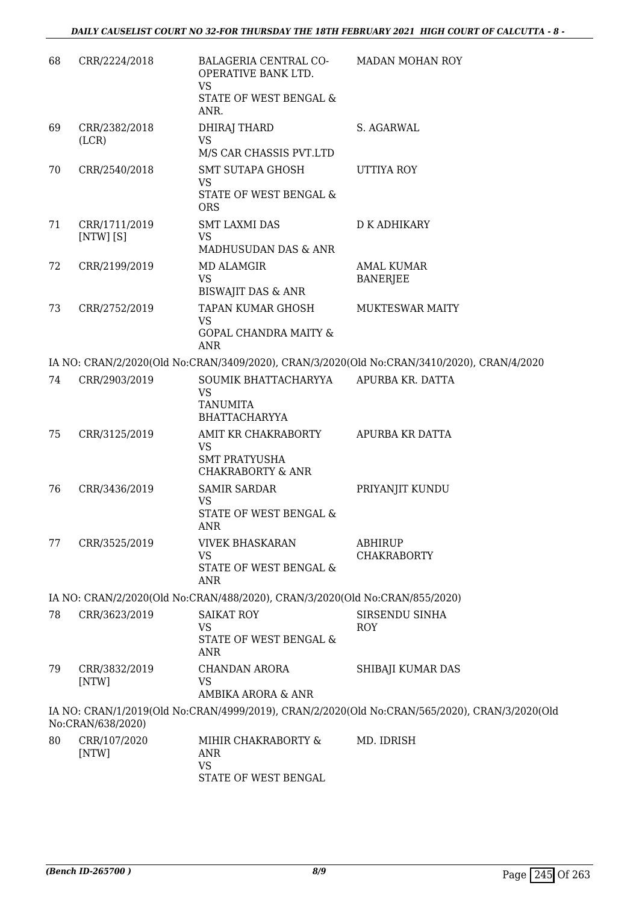| CRR/2224/2018                | BALAGERIA CENTRAL CO-<br>OPERATIVE BANK LTD.                     | <b>MADAN MOHAN ROY</b>                                                                                                                                                                                                                                                                                                                                                                                                                                                                                                                                                                                |
|------------------------------|------------------------------------------------------------------|-------------------------------------------------------------------------------------------------------------------------------------------------------------------------------------------------------------------------------------------------------------------------------------------------------------------------------------------------------------------------------------------------------------------------------------------------------------------------------------------------------------------------------------------------------------------------------------------------------|
|                              | STATE OF WEST BENGAL &<br>ANR.                                   |                                                                                                                                                                                                                                                                                                                                                                                                                                                                                                                                                                                                       |
| CRR/2382/2018<br>(LCR)       | DHIRAJ THARD<br><b>VS</b>                                        | S. AGARWAL                                                                                                                                                                                                                                                                                                                                                                                                                                                                                                                                                                                            |
|                              |                                                                  |                                                                                                                                                                                                                                                                                                                                                                                                                                                                                                                                                                                                       |
|                              | <b>VS</b><br>STATE OF WEST BENGAL &                              | UTTIYA ROY                                                                                                                                                                                                                                                                                                                                                                                                                                                                                                                                                                                            |
| CRR/1711/2019<br>$[NTW]$ [S] | <b>SMT LAXMI DAS</b><br><b>VS</b>                                | D K ADHIKARY                                                                                                                                                                                                                                                                                                                                                                                                                                                                                                                                                                                          |
|                              |                                                                  |                                                                                                                                                                                                                                                                                                                                                                                                                                                                                                                                                                                                       |
|                              | <b>VS</b>                                                        | <b>AMAL KUMAR</b><br><b>BANERJEE</b>                                                                                                                                                                                                                                                                                                                                                                                                                                                                                                                                                                  |
|                              |                                                                  | <b>MUKTESWAR MAITY</b>                                                                                                                                                                                                                                                                                                                                                                                                                                                                                                                                                                                |
|                              | <b>VS</b><br><b>GOPAL CHANDRA MAITY &amp;</b>                    |                                                                                                                                                                                                                                                                                                                                                                                                                                                                                                                                                                                                       |
|                              |                                                                  |                                                                                                                                                                                                                                                                                                                                                                                                                                                                                                                                                                                                       |
|                              |                                                                  | APURBA KR. DATTA                                                                                                                                                                                                                                                                                                                                                                                                                                                                                                                                                                                      |
|                              | <b>VS</b><br><b>TANUMITA</b><br><b>BHATTACHARYYA</b>             |                                                                                                                                                                                                                                                                                                                                                                                                                                                                                                                                                                                                       |
| CRR/3125/2019                | AMIT KR CHAKRABORTY<br><b>VS</b><br><b>SMT PRATYUSHA</b>         | APURBA KR DATTA                                                                                                                                                                                                                                                                                                                                                                                                                                                                                                                                                                                       |
| CRR/3436/2019                | <b>SAMIR SARDAR</b><br>VS<br>STATE OF WEST BENGAL &              | PRIYANJIT KUNDU                                                                                                                                                                                                                                                                                                                                                                                                                                                                                                                                                                                       |
|                              | <b>ANR</b>                                                       |                                                                                                                                                                                                                                                                                                                                                                                                                                                                                                                                                                                                       |
| CRR/3525/2019                | <b>VIVEK BHASKARAN</b><br><b>VS</b>                              | ABHIRUP<br><b>CHAKRABORTY</b>                                                                                                                                                                                                                                                                                                                                                                                                                                                                                                                                                                         |
|                              |                                                                  |                                                                                                                                                                                                                                                                                                                                                                                                                                                                                                                                                                                                       |
|                              |                                                                  |                                                                                                                                                                                                                                                                                                                                                                                                                                                                                                                                                                                                       |
| CRR/3623/2019                | <b>SAIKAT ROY</b>                                                | SIRSENDU SINHA                                                                                                                                                                                                                                                                                                                                                                                                                                                                                                                                                                                        |
|                              | <b>VS</b><br>STATE OF WEST BENGAL &<br>ANR                       | ROY                                                                                                                                                                                                                                                                                                                                                                                                                                                                                                                                                                                                   |
| CRR/3832/2019<br>[NTW]       | CHANDAN ARORA<br>VS                                              | SHIBAJI KUMAR DAS                                                                                                                                                                                                                                                                                                                                                                                                                                                                                                                                                                                     |
|                              |                                                                  |                                                                                                                                                                                                                                                                                                                                                                                                                                                                                                                                                                                                       |
| No:CRAN/638/2020)            |                                                                  |                                                                                                                                                                                                                                                                                                                                                                                                                                                                                                                                                                                                       |
| CRR/107/2020<br>[NTW]        | MIHIR CHAKRABORTY &<br>ANR<br><b>VS</b>                          | MD. IDRISH                                                                                                                                                                                                                                                                                                                                                                                                                                                                                                                                                                                            |
|                              | CRR/2540/2018<br>CRR/2199/2019<br>CRR/2752/2019<br>CRR/2903/2019 | <b>VS</b><br>M/S CAR CHASSIS PVT.LTD<br>SMT SUTAPA GHOSH<br><b>ORS</b><br>MADHUSUDAN DAS & ANR<br><b>MD ALAMGIR</b><br><b>BISWAJIT DAS &amp; ANR</b><br>TAPAN KUMAR GHOSH<br>ANR<br>IA NO: CRAN/2/2020(Old No:CRAN/3409/2020), CRAN/3/2020(Old No:CRAN/3410/2020), CRAN/4/2020<br>SOUMIK BHATTACHARYYA<br><b>CHAKRABORTY &amp; ANR</b><br>STATE OF WEST BENGAL &<br>ANR<br>IA NO: CRAN/2/2020(Old No:CRAN/488/2020), CRAN/3/2020(Old No:CRAN/855/2020)<br>AMBIKA ARORA & ANR<br>IA NO: CRAN/1/2019(Old No:CRAN/4999/2019), CRAN/2/2020(Old No:CRAN/565/2020), CRAN/3/2020(Old<br>STATE OF WEST BENGAL |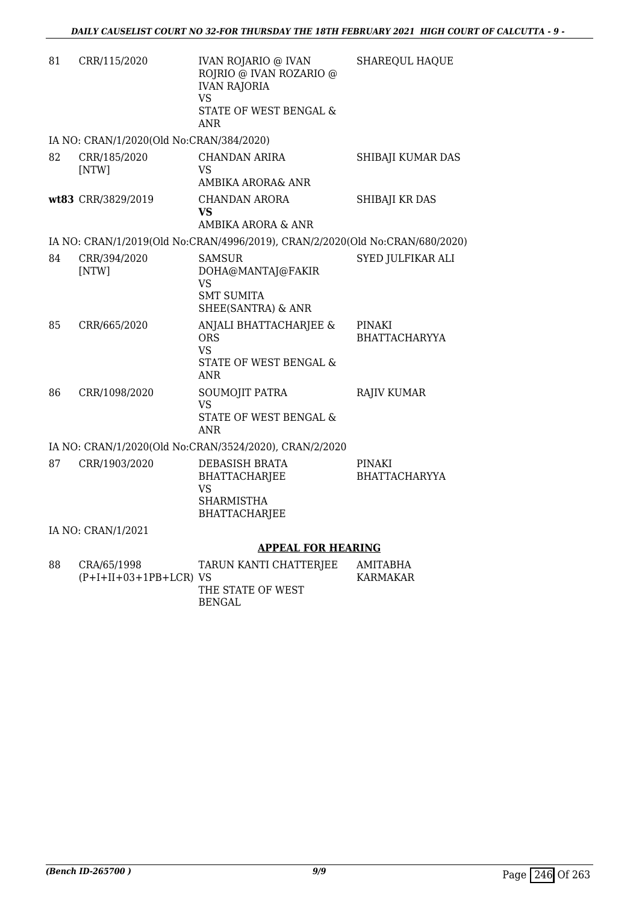| 81 | CRR/115/2020                             | <b>IVAN ROJARIO @ IVAN</b><br>ROJRIO @ IVAN ROZARIO @<br><b>IVAN RAJORIA</b><br>VS<br>STATE OF WEST BENGAL &<br><b>ANR</b> | SHAREQUL HAQUE                        |
|----|------------------------------------------|----------------------------------------------------------------------------------------------------------------------------|---------------------------------------|
|    | IA NO: CRAN/1/2020(Old No:CRAN/384/2020) |                                                                                                                            |                                       |
| 82 | CRR/185/2020<br>[NTW]                    | <b>CHANDAN ARIRA</b><br>VS.<br>AMBIKA ARORA& ANR                                                                           | SHIBAJI KUMAR DAS                     |
|    | wt83 CRR/3829/2019                       | CHANDAN ARORA<br><b>VS</b><br>AMBIKA ARORA & ANR                                                                           | SHIBAJI KR DAS                        |
|    |                                          | IA NO: CRAN/1/2019(Old No:CRAN/4996/2019), CRAN/2/2020(Old No:CRAN/680/2020)                                               |                                       |
| 84 | CRR/394/2020<br>[NTW]                    | <b>SAMSUR</b><br>DOHA@MANTAJ@FAKIR<br>VS<br><b>SMT SUMITA</b><br>SHEE(SANTRA) & ANR                                        | <b>SYED JULFIKAR ALI</b>              |
| 85 | CRR/665/2020                             | ANJALI BHATTACHARJEE &<br><b>ORS</b><br>VS<br>STATE OF WEST BENGAL &<br><b>ANR</b>                                         | PINAKI<br><b>BHATTACHARYYA</b>        |
| 86 | CRR/1098/2020                            | SOUMOJIT PATRA<br>VS<br>STATE OF WEST BENGAL &<br><b>ANR</b>                                                               | <b>RAJIV KUMAR</b>                    |
|    |                                          | IA NO: CRAN/1/2020(Old No:CRAN/3524/2020), CRAN/2/2020                                                                     |                                       |
| 87 | CRR/1903/2020                            | <b>DEBASISH BRATA</b><br><b>BHATTACHARJEE</b><br>VS<br><b>SHARMISTHA</b><br><b>BHATTACHARJEE</b>                           | <b>PINAKI</b><br><b>BHATTACHARYYA</b> |
|    | IA NO: CRAN/1/2021                       |                                                                                                                            |                                       |
|    |                                          | <b>APPEAL FOR HEARING</b>                                                                                                  |                                       |
| 88 | CRA/65/1998<br>$(P+I+II+03+1PB+LCR)$ VS  | TARUN KANTI CHATTERJEE                                                                                                     | AMITABHA<br><b>KARMAKAR</b>           |

THE STATE OF WEST

BENGAL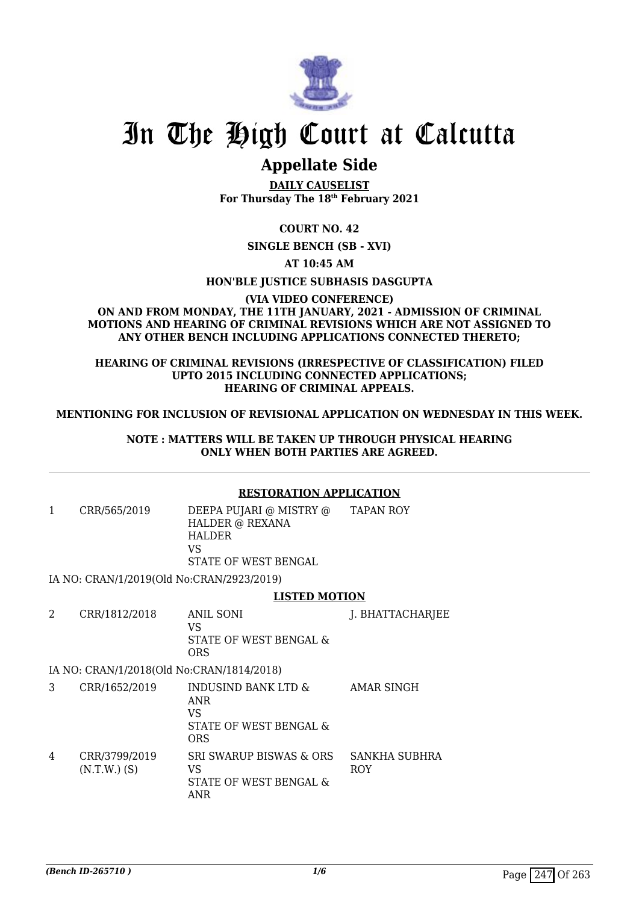

# In The High Court at Calcutta

### **Appellate Side**

**DAILY CAUSELIST For Thursday The 18th February 2021**

### **COURT NO. 42**

**SINGLE BENCH (SB - XVI)**

### **AT 10:45 AM**

### **HON'BLE JUSTICE SUBHASIS DASGUPTA**

### **(VIA VIDEO CONFERENCE) ON AND FROM MONDAY, THE 11TH JANUARY, 2021 - ADMISSION OF CRIMINAL MOTIONS AND HEARING OF CRIMINAL REVISIONS WHICH ARE NOT ASSIGNED TO ANY OTHER BENCH INCLUDING APPLICATIONS CONNECTED THERETO;**

### **HEARING OF CRIMINAL REVISIONS (IRRESPECTIVE OF CLASSIFICATION) FILED UPTO 2015 INCLUDING CONNECTED APPLICATIONS; HEARING OF CRIMINAL APPEALS.**

### **MENTIONING FOR INCLUSION OF REVISIONAL APPLICATION ON WEDNESDAY IN THIS WEEK.**

### **NOTE : MATTERS WILL BE TAKEN UP THROUGH PHYSICAL HEARING ONLY WHEN BOTH PARTIES ARE AGREED.**

### **RESTORATION APPLICATION**

1 CRR/565/2019 DEEPA PUJARI @ MISTRY @ HALDER @ REXANA HALDER  $V<sup>Q</sup>$ STATE OF WEST BENGAL TAPAN ROY

IA NO: CRAN/1/2019(Old No:CRAN/2923/2019)

### **LISTED MOTION**

| CRR/1812/2018 | ANIL SONI<br>VS.<br>STATE OF WEST BENGAL &<br>ORS | J. BHATTACHARJEE |
|---------------|---------------------------------------------------|------------------|
|               |                                                   |                  |

IA NO: CRAN/1/2018(Old No:CRAN/1814/2018)

|   | CRR/1652/2019                   | INDUSIND BANK LTD &<br>ANR<br>VS<br>STATE OF WEST BENGAL &<br><b>ORS</b> | AMAR SINGH                  |
|---|---------------------------------|--------------------------------------------------------------------------|-----------------------------|
| 4 | CRR/3799/2019<br>$(N.T.W.)$ (S) | SRI SWARUP BISWAS & ORS<br>VS<br>STATE OF WEST BENGAL &<br>ANR           | SANKHA SUBHRA<br><b>ROY</b> |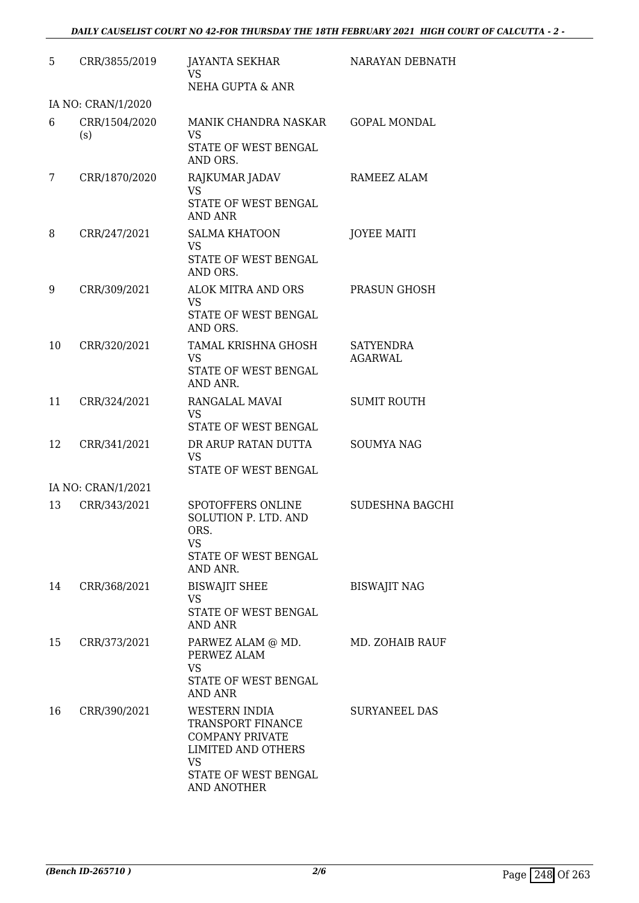| 5  | CRR/3855/2019        | <b>JAYANTA SEKHAR</b><br>VS.<br>NEHA GUPTA & ANR                                                                                              | NARAYAN DEBNATH                    |
|----|----------------------|-----------------------------------------------------------------------------------------------------------------------------------------------|------------------------------------|
|    | IA NO: CRAN/1/2020   |                                                                                                                                               |                                    |
| 6  | CRR/1504/2020<br>(s) | MANIK CHANDRA NASKAR<br>VS.<br>STATE OF WEST BENGAL<br>AND ORS.                                                                               | <b>GOPAL MONDAL</b>                |
| 7  | CRR/1870/2020        | RAJKUMAR JADAV<br><b>VS</b><br>STATE OF WEST BENGAL<br><b>AND ANR</b>                                                                         | RAMEEZ ALAM                        |
| 8  | CRR/247/2021         | <b>SALMA KHATOON</b><br><b>VS</b><br>STATE OF WEST BENGAL<br>AND ORS.                                                                         | <b>JOYEE MAITI</b>                 |
| 9  | CRR/309/2021         | <b>ALOK MITRA AND ORS</b><br><b>VS</b><br>STATE OF WEST BENGAL<br>AND ORS.                                                                    | PRASUN GHOSH                       |
| 10 | CRR/320/2021         | <b>TAMAL KRISHNA GHOSH</b><br><b>VS</b><br>STATE OF WEST BENGAL<br>AND ANR.                                                                   | <b>SATYENDRA</b><br><b>AGARWAL</b> |
| 11 | CRR/324/2021         | RANGALAL MAVAI<br><b>VS</b><br>STATE OF WEST BENGAL                                                                                           | <b>SUMIT ROUTH</b>                 |
| 12 | CRR/341/2021         | DR ARUP RATAN DUTTA<br><b>VS</b><br>STATE OF WEST BENGAL                                                                                      | <b>SOUMYA NAG</b>                  |
|    | IA NO: CRAN/1/2021   |                                                                                                                                               |                                    |
| 13 | CRR/343/2021         | SPOTOFFERS ONLINE<br>SOLUTION P. LTD. AND<br>ORS.<br>VS.<br>STATE OF WEST BENGAL<br>AND ANR.                                                  | SUDESHNA BAGCHI                    |
| 14 | CRR/368/2021         | <b>BISWAJIT SHEE</b><br><b>VS</b><br>STATE OF WEST BENGAL<br><b>AND ANR</b>                                                                   | <b>BISWAJIT NAG</b>                |
| 15 | CRR/373/2021         | PARWEZ ALAM @ MD.<br>PERWEZ ALAM<br><b>VS</b><br>STATE OF WEST BENGAL<br><b>AND ANR</b>                                                       | MD. ZOHAIB RAUF                    |
| 16 | CRR/390/2021         | <b>WESTERN INDIA</b><br>TRANSPORT FINANCE<br><b>COMPANY PRIVATE</b><br><b>LIMITED AND OTHERS</b><br>VS<br>STATE OF WEST BENGAL<br>AND ANOTHER | <b>SURYANEEL DAS</b>               |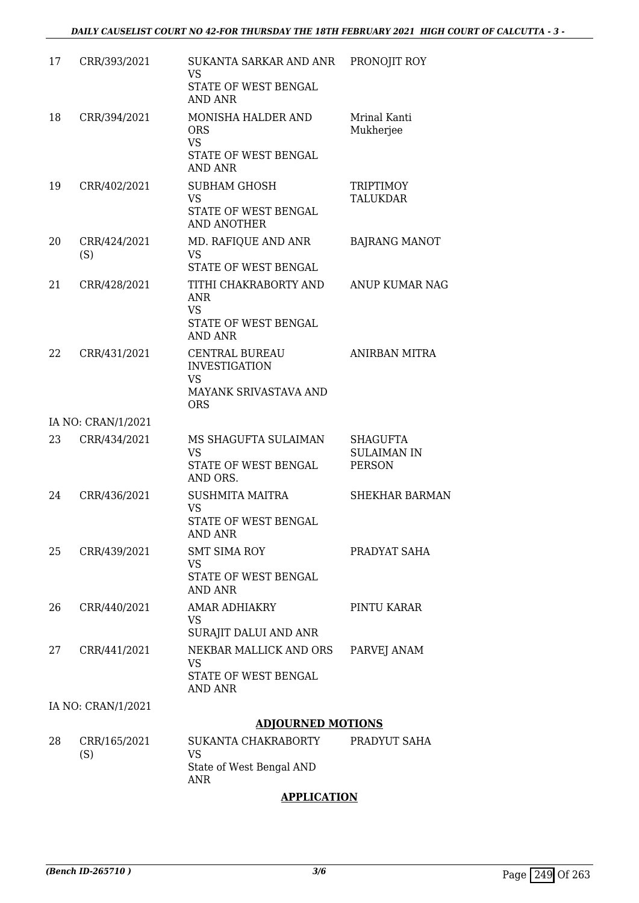| 17 | CRR/393/2021        | SUKANTA SARKAR AND ANR PRONOJIT ROY                                                               |                                                        |
|----|---------------------|---------------------------------------------------------------------------------------------------|--------------------------------------------------------|
|    |                     | VS<br>STATE OF WEST BENGAL                                                                        |                                                        |
|    |                     | <b>AND ANR</b>                                                                                    |                                                        |
| 18 | CRR/394/2021        | MONISHA HALDER AND<br><b>ORS</b><br><b>VS</b><br>STATE OF WEST BENGAL<br><b>AND ANR</b>           | Mrinal Kanti<br>Mukherjee                              |
| 19 | CRR/402/2021        | <b>SUBHAM GHOSH</b><br><b>VS</b><br>STATE OF WEST BENGAL<br><b>AND ANOTHER</b>                    | <b>TRIPTIMOY</b><br><b>TALUKDAR</b>                    |
| 20 | CRR/424/2021<br>(S) | MD. RAFIQUE AND ANR<br><b>VS</b><br>STATE OF WEST BENGAL                                          | <b>BAJRANG MANOT</b>                                   |
| 21 | CRR/428/2021        | TITHI CHAKRABORTY AND<br>ANR<br><b>VS</b><br>STATE OF WEST BENGAL<br><b>AND ANR</b>               | ANUP KUMAR NAG                                         |
| 22 | CRR/431/2021        | <b>CENTRAL BUREAU</b><br><b>INVESTIGATION</b><br><b>VS</b><br>MAYANK SRIVASTAVA AND<br><b>ORS</b> | <b>ANIRBAN MITRA</b>                                   |
|    | IA NO: CRAN/1/2021  |                                                                                                   |                                                        |
| 23 | CRR/434/2021        | MS SHAGUFTA SULAIMAN<br><b>VS</b><br>STATE OF WEST BENGAL<br>AND ORS.                             | <b>SHAGUFTA</b><br><b>SULAIMAN IN</b><br><b>PERSON</b> |
| 24 | CRR/436/2021        | SUSHMITA MAITRA<br>VS<br>STATE OF WEST BENGAL<br>AND ANR                                          | <b>SHEKHAR BARMAN</b>                                  |
| 25 | CRR/439/2021        | <b>SMT SIMA ROY</b><br><b>VS</b><br>STATE OF WEST BENGAL<br><b>AND ANR</b>                        | PRADYAT SAHA                                           |
| 26 | CRR/440/2021        | <b>AMAR ADHIAKRY</b><br>VS.<br>SURAJIT DALUI AND ANR                                              | PINTU KARAR                                            |
| 27 | CRR/441/2021        | NEKBAR MALLICK AND ORS<br><b>VS</b><br>STATE OF WEST BENGAL<br><b>AND ANR</b>                     | PARVEJ ANAM                                            |
|    | IA NO: CRAN/1/2021  |                                                                                                   |                                                        |
|    |                     | <b>ADJOURNED MOTIONS</b>                                                                          |                                                        |
| 28 | CRR/165/2021<br>(S) | SUKANTA CHAKRABORTY<br><b>VS</b>                                                                  | PRADYUT SAHA                                           |

### **APPLICATION**

State of West Bengal AND

ANR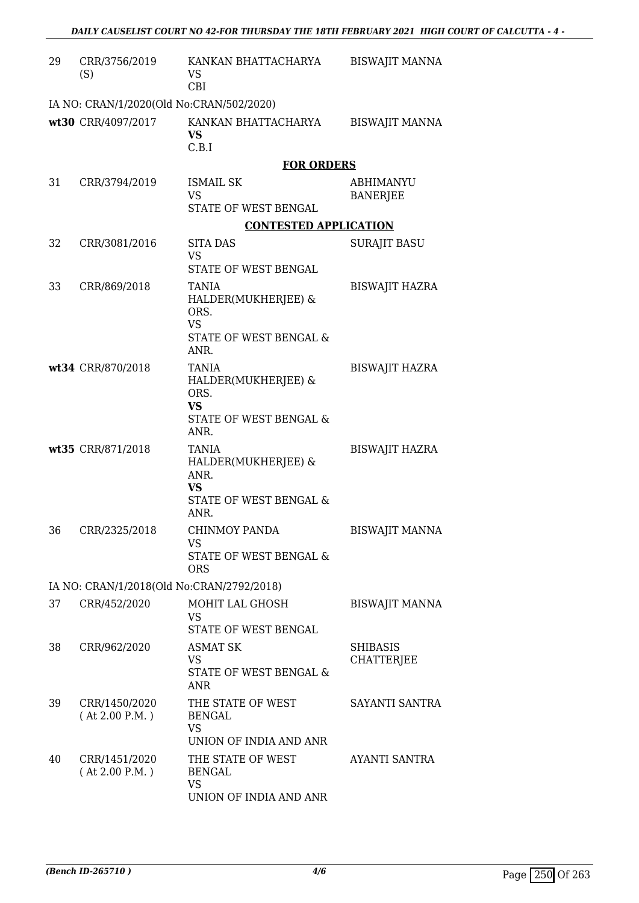| 29 | CRR/3756/2019<br>(S)                      | KANKAN BHATTACHARYA<br>VS.<br><b>CBI</b>                                                              | <b>BISWAJIT MANNA</b>                |
|----|-------------------------------------------|-------------------------------------------------------------------------------------------------------|--------------------------------------|
|    | IA NO: CRAN/1/2020(Old No:CRAN/502/2020)  |                                                                                                       |                                      |
|    | wt30 CRR/4097/2017                        | KANKAN BHATTACHARYA<br><b>VS</b><br>C.B.I                                                             | <b>BISWAJIT MANNA</b>                |
|    |                                           | <b>FOR ORDERS</b>                                                                                     |                                      |
| 31 | CRR/3794/2019                             | <b>ISMAIL SK</b><br><b>VS</b><br><b>STATE OF WEST BENGAL</b>                                          | <b>ABHIMANYU</b><br><b>BANERJEE</b>  |
|    |                                           | <b>CONTESTED APPLICATION</b>                                                                          |                                      |
| 32 | CRR/3081/2016                             | SITA DAS<br><b>VS</b><br>STATE OF WEST BENGAL                                                         | <b>SURAJIT BASU</b>                  |
| 33 | CRR/869/2018                              | <b>TANIA</b><br>HALDER(MUKHERJEE) &<br>ORS.<br><b>VS</b><br><b>STATE OF WEST BENGAL &amp;</b><br>ANR. | <b>BISWAJIT HAZRA</b>                |
|    | wt34 CRR/870/2018                         | <b>TANIA</b><br>HALDER(MUKHERJEE) &<br>ORS.<br><b>VS</b><br>STATE OF WEST BENGAL &<br>ANR.            | <b>BISWAJIT HAZRA</b>                |
|    | wt35 CRR/871/2018                         | <b>TANIA</b><br>HALDER(MUKHERJEE) &<br>ANR.<br><b>VS</b><br><b>STATE OF WEST BENGAL &amp;</b><br>ANR. | <b>BISWAJIT HAZRA</b>                |
| 36 | CRR/2325/2018                             | CHINMOY PANDA<br><b>VS</b><br><b>STATE OF WEST BENGAL &amp;</b><br><b>ORS</b>                         | <b>BISWAJIT MANNA</b>                |
|    | IA NO: CRAN/1/2018(Old No:CRAN/2792/2018) |                                                                                                       |                                      |
| 37 | CRR/452/2020                              | MOHIT LAL GHOSH<br><b>VS</b><br>STATE OF WEST BENGAL                                                  | <b>BISWAJIT MANNA</b>                |
| 38 | CRR/962/2020                              | ASMAT SK<br>VS<br>STATE OF WEST BENGAL &<br>ANR                                                       | <b>SHIBASIS</b><br><b>CHATTERJEE</b> |
| 39 | CRR/1450/2020<br>(At 2.00 P.M.)           | THE STATE OF WEST<br><b>BENGAL</b><br><b>VS</b><br>UNION OF INDIA AND ANR                             | SAYANTI SANTRA                       |
| 40 | CRR/1451/2020<br>(At 2.00 P.M.)           | THE STATE OF WEST<br><b>BENGAL</b><br><b>VS</b><br>UNION OF INDIA AND ANR                             | AYANTI SANTRA                        |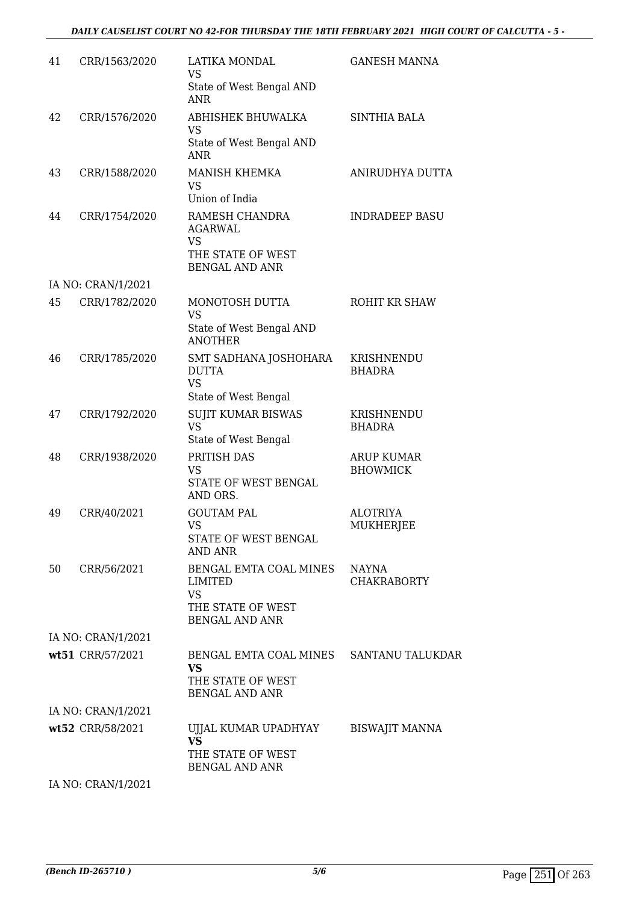| 41 | CRR/1563/2020                          | LATIKA MONDAL<br><b>VS</b>                                                           | <b>GANESH MANNA</b>         |
|----|----------------------------------------|--------------------------------------------------------------------------------------|-----------------------------|
|    |                                        | State of West Bengal AND<br><b>ANR</b>                                               |                             |
| 42 | CRR/1576/2020                          | ABHISHEK BHUWALKA<br><b>VS</b>                                                       | <b>SINTHIA BALA</b>         |
|    |                                        | State of West Bengal AND<br><b>ANR</b>                                               |                             |
| 43 | CRR/1588/2020                          | MANISH KHEMKA<br><b>VS</b>                                                           | ANIRUDHYA DUTTA             |
|    |                                        | Union of India                                                                       |                             |
| 44 | CRR/1754/2020                          | RAMESH CHANDRA<br>AGARWAL<br><b>VS</b><br>THE STATE OF WEST<br><b>BENGAL AND ANR</b> | <b>INDRADEEP BASU</b>       |
|    | IA NO: CRAN/1/2021                     |                                                                                      |                             |
| 45 | CRR/1782/2020                          | MONOTOSH DUTTA<br><b>VS</b><br>State of West Bengal AND                              | ROHIT KR SHAW               |
|    |                                        | <b>ANOTHER</b>                                                                       |                             |
| 46 | CRR/1785/2020                          | SMT SADHANA JOSHOHARA<br><b>DUTTA</b><br><b>VS</b>                                   | KRISHNENDU<br><b>BHADRA</b> |
|    |                                        | State of West Bengal                                                                 |                             |
| 47 | CRR/1792/2020                          | <b>SUJIT KUMAR BISWAS</b><br><b>VS</b><br>State of West Bengal                       | KRISHNENDU<br><b>BHADRA</b> |
| 48 | CRR/1938/2020                          | PRITISH DAS                                                                          | <b>ARUP KUMAR</b>           |
|    |                                        | VS<br>STATE OF WEST BENGAL<br>AND ORS.                                               | <b>BHOWMICK</b>             |
| 49 | CRR/40/2021                            | <b>GOUTAM PAL</b>                                                                    | <b>ALOTRIYA</b>             |
|    |                                        | <b>VS</b><br><b>STATE OF WEST BENGAL</b><br><b>AND ANR</b>                           | <b>MUKHERJEE</b>            |
| 50 | CRR/56/2021                            | BENGAL EMTA COAL MINES<br><b>LIMITED</b><br><b>VS</b><br>THE STATE OF WEST           | NAYNA<br><b>CHAKRABORTY</b> |
|    | IA NO: CRAN/1/2021                     | <b>BENGAL AND ANR</b>                                                                |                             |
|    | wt51 CRR/57/2021                       | BENGAL EMTA COAL MINES SANTANU TALUKDAR                                              |                             |
|    |                                        | VS<br>THE STATE OF WEST                                                              |                             |
|    |                                        | <b>BENGAL AND ANR</b>                                                                |                             |
|    | IA NO: CRAN/1/2021<br>wt52 CRR/58/2021 | UJJAL KUMAR UPADHYAY                                                                 | <b>BISWAJIT MANNA</b>       |
|    |                                        | <b>VS</b><br>THE STATE OF WEST                                                       |                             |
|    | IA NO: CRAN/1/2021                     | <b>BENGAL AND ANR</b>                                                                |                             |
|    |                                        |                                                                                      |                             |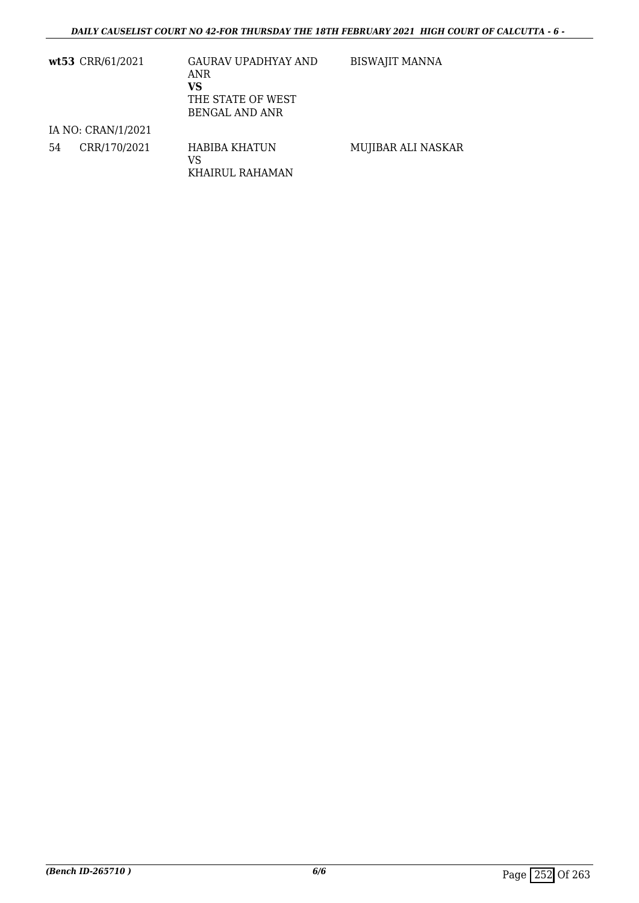|    | wt53 CRR/61/2021   | <b>GAURAV UPADHYAY AND</b><br>ANR<br>VS<br>THE STATE OF WEST<br>BENGAL AND ANR | <b>BISWAJIT MANNA</b> |
|----|--------------------|--------------------------------------------------------------------------------|-----------------------|
|    | IA NO: CRAN/1/2021 |                                                                                |                       |
| 54 | CRR/170/2021       | HABIBA KHATUN<br>VS<br>KHAIRUL RAHAMAN                                         | MUJIBAR ALI NASKAR    |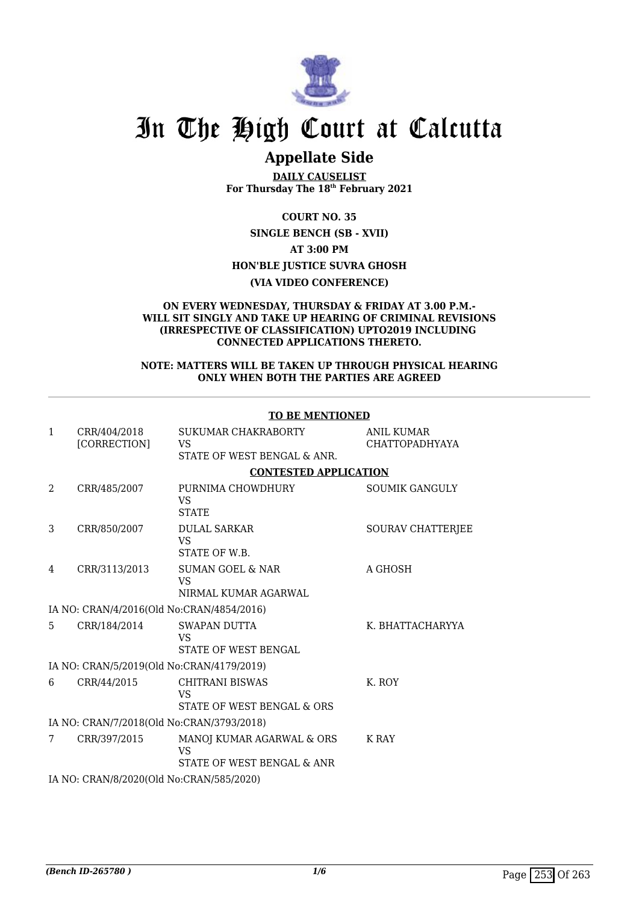

# In The High Court at Calcutta

## **Appellate Side**

**DAILY CAUSELIST For Thursday The 18th February 2021**

**COURT NO. 35**

**SINGLE BENCH (SB - XVII) AT 3:00 PM HON'BLE JUSTICE SUVRA GHOSH**

**(VIA VIDEO CONFERENCE)**

#### **ON EVERY WEDNESDAY, THURSDAY & FRIDAY AT 3.00 P.M.- WILL SIT SINGLY AND TAKE UP HEARING OF CRIMINAL REVISIONS (IRRESPECTIVE OF CLASSIFICATION) UPTO2019 INCLUDING CONNECTED APPLICATIONS THERETO.**

#### **NOTE: MATTERS WILL BE TAKEN UP THROUGH PHYSICAL HEARING ONLY WHEN BOTH THE PARTIES ARE AGREED**

| $\mathbf{1}$   | CRR/404/2018<br>[CORRECTION]              | SUKUMAR CHAKRABORTY<br><b>VS</b>                                 | <b>ANIL KUMAR</b><br><b>CHATTOPADHYAYA</b> |  |  |  |
|----------------|-------------------------------------------|------------------------------------------------------------------|--------------------------------------------|--|--|--|
|                |                                           | STATE OF WEST BENGAL & ANR.                                      |                                            |  |  |  |
|                |                                           | <b>CONTESTED APPLICATION</b>                                     |                                            |  |  |  |
| $\overline{a}$ | CRR/485/2007                              | PURNIMA CHOWDHURY<br>VS<br><b>STATE</b>                          | <b>SOUMIK GANGULY</b>                      |  |  |  |
| 3              | CRR/850/2007                              | <b>DULAL SARKAR</b><br><b>VS</b><br>STATE OF W.B.                | SOURAV CHATTERJEE                          |  |  |  |
| 4              | CRR/3113/2013                             | <b>SUMAN GOEL &amp; NAR</b><br><b>VS</b><br>NIRMAL KUMAR AGARWAL | A GHOSH                                    |  |  |  |
|                | IA NO: CRAN/4/2016(Old No:CRAN/4854/2016) |                                                                  |                                            |  |  |  |
| 5.             | CRR/184/2014                              | <b>SWAPAN DUTTA</b><br>VS<br>STATE OF WEST BENGAL                | K. BHATTACHARYYA                           |  |  |  |
|                | IA NO: CRAN/5/2019(Old No:CRAN/4179/2019) |                                                                  |                                            |  |  |  |
| 6              | CRR/44/2015                               | <b>CHITRANI BISWAS</b><br>VS<br>STATE OF WEST BENGAL & ORS       | K. ROY                                     |  |  |  |
|                | IA NO: CRAN/7/2018(Old No:CRAN/3793/2018) |                                                                  |                                            |  |  |  |
| 7              | CRR/397/2015                              | MANOJ KUMAR AGARWAL & ORS<br>VS<br>STATE OF WEST BENGAL & ANR    | K RAY                                      |  |  |  |
|                | IA NO: CRAN/8/2020(Old No:CRAN/585/2020)  |                                                                  |                                            |  |  |  |
|                |                                           |                                                                  |                                            |  |  |  |

#### **TO BE MENTIONED**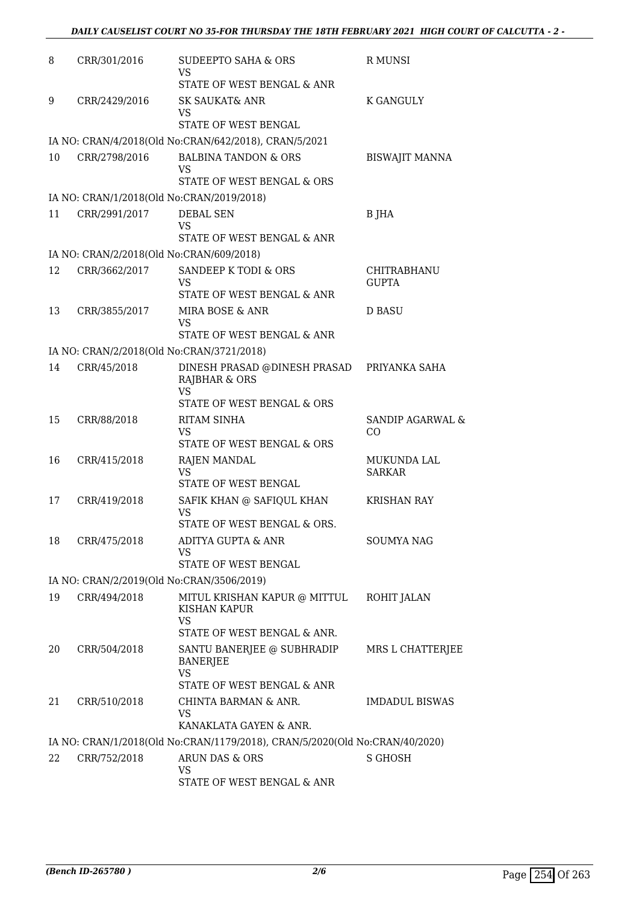| 8  | CRR/301/2016                             | <b>SUDEEPTO SAHA &amp; ORS</b><br>VS                                              | R MUNSI                      |
|----|------------------------------------------|-----------------------------------------------------------------------------------|------------------------------|
|    |                                          | STATE OF WEST BENGAL & ANR                                                        |                              |
| 9  | CRR/2429/2016                            | SK SAUKAT& ANR<br>VS                                                              | K GANGULY                    |
|    |                                          | STATE OF WEST BENGAL                                                              |                              |
|    |                                          | IA NO: CRAN/4/2018(Old No:CRAN/642/2018), CRAN/5/2021                             |                              |
| 10 | CRR/2798/2016                            | <b>BALBINA TANDON &amp; ORS</b><br>VS<br>STATE OF WEST BENGAL & ORS               | <b>BISWAJIT MANNA</b>        |
|    |                                          | IA NO: CRAN/1/2018(Old No:CRAN/2019/2018)                                         |                              |
| 11 | CRR/2991/2017                            | DEBAL SEN<br><b>VS</b>                                                            | B JHA                        |
|    |                                          | STATE OF WEST BENGAL & ANR                                                        |                              |
|    | IA NO: CRAN/2/2018(Old No:CRAN/609/2018) |                                                                                   |                              |
| 12 | CRR/3662/2017                            | SANDEEP K TODI & ORS<br>VS                                                        | CHITRABHANU<br><b>GUPTA</b>  |
|    |                                          | STATE OF WEST BENGAL & ANR                                                        |                              |
| 13 | CRR/3855/2017                            | MIRA BOSE & ANR<br>VS<br>STATE OF WEST BENGAL & ANR                               | <b>D BASU</b>                |
|    |                                          | IA NO: CRAN/2/2018(Old No:CRAN/3721/2018)                                         |                              |
| 14 | CRR/45/2018                              | DINESH PRASAD @DINESH PRASAD<br><b>RAJBHAR &amp; ORS</b>                          | PRIYANKA SAHA                |
|    |                                          | <b>VS</b><br>STATE OF WEST BENGAL & ORS                                           |                              |
| 15 | CRR/88/2018                              | <b>RITAM SINHA</b><br><b>VS</b>                                                   | SANDIP AGARWAL &<br>CO       |
|    |                                          | STATE OF WEST BENGAL & ORS                                                        |                              |
| 16 | CRR/415/2018                             | RAJEN MANDAL<br><b>VS</b><br><b>STATE OF WEST BENGAL</b>                          | MUKUNDA LAL<br><b>SARKAR</b> |
| 17 | CRR/419/2018                             | SAFIK KHAN @ SAFIQUL KHAN                                                         | KRISHAN RAY                  |
|    |                                          | <b>VS</b><br>STATE OF WEST BENGAL & ORS.                                          |                              |
| 18 | CRR/475/2018                             | ADITYA GUPTA & ANR<br>VS<br>STATE OF WEST BENGAL                                  | <b>SOUMYA NAG</b>            |
|    |                                          | IA NO: CRAN/2/2019(Old No:CRAN/3506/2019)                                         |                              |
| 19 | CRR/494/2018                             | MITUL KRISHAN KAPUR @ MITTUL<br>KISHAN KAPUR                                      | ROHIT JALAN                  |
|    |                                          | <b>VS</b><br>STATE OF WEST BENGAL & ANR.                                          |                              |
| 20 | CRR/504/2018                             | SANTU BANERJEE @ SUBHRADIP<br>BANERJEE<br><b>VS</b><br>STATE OF WEST BENGAL & ANR | MRS L CHATTERJEE             |
| 21 | CRR/510/2018                             | CHINTA BARMAN & ANR.                                                              | <b>IMDADUL BISWAS</b>        |
|    |                                          | VS<br>KANAKLATA GAYEN & ANR.                                                      |                              |
|    |                                          | IA NO: CRAN/1/2018(Old No:CRAN/1179/2018), CRAN/5/2020(Old No:CRAN/40/2020)       |                              |
| 22 | CRR/752/2018                             | ARUN DAS & ORS<br>VS                                                              | <b>S GHOSH</b>               |
|    |                                          | STATE OF WEST BENGAL & ANR                                                        |                              |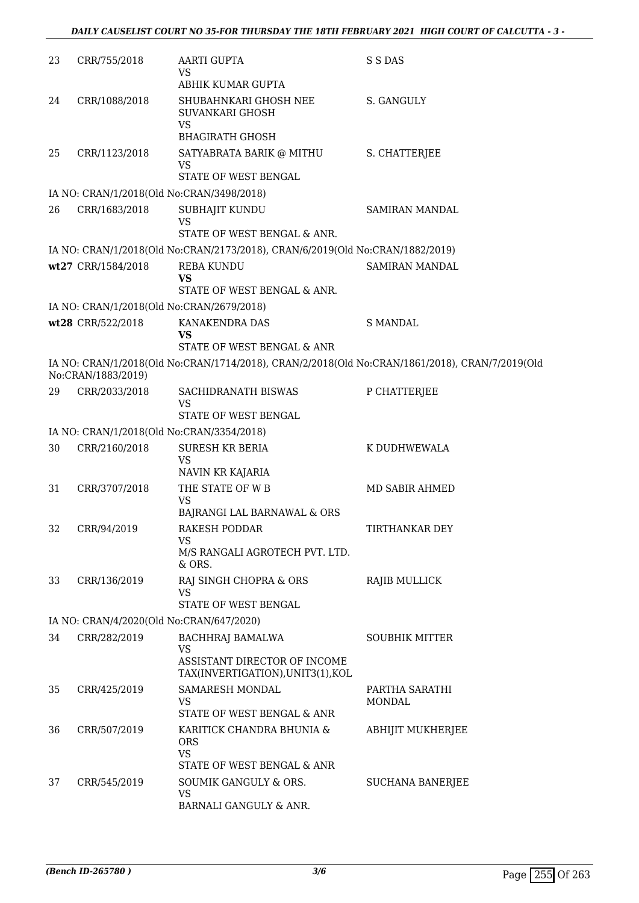| 23 | CRR/755/2018                             | AARTI GUPTA<br>VS                                                                              | S S DAS                  |
|----|------------------------------------------|------------------------------------------------------------------------------------------------|--------------------------|
| 24 | CRR/1088/2018                            | ABHIK KUMAR GUPTA<br>SHUBAHNKARI GHOSH NEE<br>SUVANKARI GHOSH                                  | S. GANGULY               |
|    |                                          | VS<br><b>BHAGIRATH GHOSH</b>                                                                   |                          |
| 25 | CRR/1123/2018                            | SATYABRATA BARIK @ MITHU                                                                       | S. CHATTERJEE            |
|    |                                          | VS<br>STATE OF WEST BENGAL                                                                     |                          |
|    |                                          | IA NO: CRAN/1/2018(Old No:CRAN/3498/2018)                                                      |                          |
| 26 | CRR/1683/2018                            | SUBHAJIT KUNDU<br>VS                                                                           | SAMIRAN MANDAL           |
|    |                                          | STATE OF WEST BENGAL & ANR.                                                                    |                          |
|    |                                          | IA NO: CRAN/1/2018(Old No:CRAN/2173/2018), CRAN/6/2019(Old No:CRAN/1882/2019)                  |                          |
|    | wt27 CRR/1584/2018                       | REBA KUNDU<br><b>VS</b><br>STATE OF WEST BENGAL & ANR.                                         | <b>SAMIRAN MANDAL</b>    |
|    |                                          | IA NO: CRAN/1/2018(Old No:CRAN/2679/2018)                                                      |                          |
|    | wt28 CRR/522/2018                        | KANAKENDRA DAS                                                                                 | <b>S MANDAL</b>          |
|    |                                          | VS<br>STATE OF WEST BENGAL & ANR                                                               |                          |
|    | No:CRAN/1883/2019)                       | IA NO: CRAN/1/2018(Old No:CRAN/1714/2018), CRAN/2/2018(Old No:CRAN/1861/2018), CRAN/7/2019(Old |                          |
| 29 | CRR/2033/2018                            | SACHIDRANATH BISWAS<br><b>VS</b>                                                               | P CHATTERJEE             |
|    |                                          | STATE OF WEST BENGAL                                                                           |                          |
|    |                                          | IA NO: CRAN/1/2018(Old No:CRAN/3354/2018)                                                      |                          |
| 30 | CRR/2160/2018                            | <b>SURESH KR BERIA</b><br><b>VS</b>                                                            | K DUDHWEWALA             |
|    |                                          | NAVIN KR KAJARIA                                                                               |                          |
| 31 | CRR/3707/2018                            | THE STATE OF W B<br><b>VS</b><br>BAJRANGI LAL BARNAWAL & ORS                                   | MD SABIR AHMED           |
| 32 | CRR/94/2019                              | <b>RAKESH PODDAR</b>                                                                           | TIRTHANKAR DEY           |
|    |                                          | <b>VS</b>                                                                                      |                          |
|    |                                          | M/S RANGALI AGROTECH PVT. LTD.<br>& ORS.                                                       |                          |
| 33 | CRR/136/2019                             | RAJ SINGH CHOPRA & ORS<br>VS                                                                   | <b>RAJIB MULLICK</b>     |
|    |                                          | STATE OF WEST BENGAL                                                                           |                          |
|    | IA NO: CRAN/4/2020(Old No:CRAN/647/2020) |                                                                                                |                          |
| 34 | CRR/282/2019                             | <b>BACHHRAJ BAMALWA</b><br><b>VS</b><br>ASSISTANT DIRECTOR OF INCOME                           | <b>SOUBHIK MITTER</b>    |
|    |                                          | TAX(INVERTIGATION),UNIT3(1),KOL                                                                |                          |
| 35 | CRR/425/2019                             | SAMARESH MONDAL<br>VS                                                                          | PARTHA SARATHI<br>MONDAL |
|    |                                          | STATE OF WEST BENGAL & ANR                                                                     |                          |
| 36 | CRR/507/2019                             | KARITICK CHANDRA BHUNIA &<br><b>ORS</b><br>VS                                                  | ABHIJIT MUKHERJEE        |
|    |                                          | STATE OF WEST BENGAL & ANR                                                                     |                          |
| 37 | CRR/545/2019                             | SOUMIK GANGULY & ORS.<br>VS<br>BARNALI GANGULY & ANR.                                          | <b>SUCHANA BANERJEE</b>  |
|    |                                          |                                                                                                |                          |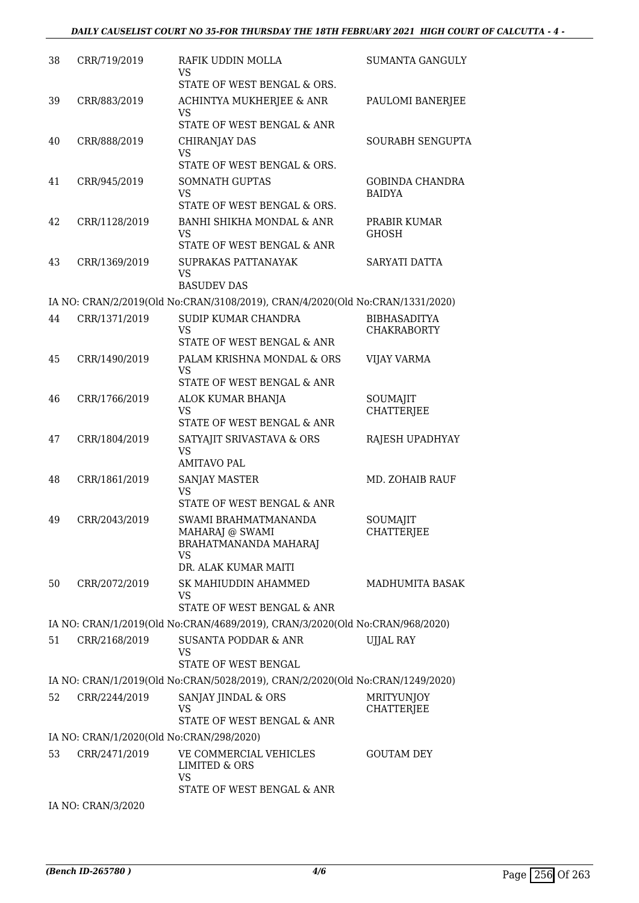| 38 | CRR/719/2019                             | RAFIK UDDIN MOLLA<br><b>VS</b>                                                                 | <b>SUMANTA GANGULY</b>                    |
|----|------------------------------------------|------------------------------------------------------------------------------------------------|-------------------------------------------|
|    |                                          | STATE OF WEST BENGAL & ORS.                                                                    |                                           |
| 39 | CRR/883/2019                             | ACHINTYA MUKHERJEE & ANR<br><b>VS</b>                                                          | PAULOMI BANERJEE                          |
|    |                                          | STATE OF WEST BENGAL & ANR                                                                     |                                           |
| 40 | CRR/888/2019                             | CHIRANJAY DAS<br>VS<br>STATE OF WEST BENGAL & ORS.                                             | <b>SOURABH SENGUPTA</b>                   |
| 41 | CRR/945/2019                             | <b>SOMNATH GUPTAS</b>                                                                          | <b>GOBINDA CHANDRA</b>                    |
|    |                                          | <b>VS</b><br>STATE OF WEST BENGAL & ORS.                                                       | <b>BAIDYA</b>                             |
| 42 | CRR/1128/2019                            | BANHI SHIKHA MONDAL & ANR<br><b>VS</b><br>STATE OF WEST BENGAL & ANR                           | PRABIR KUMAR<br><b>GHOSH</b>              |
| 43 | CRR/1369/2019                            | SUPRAKAS PATTANAYAK<br><b>VS</b><br><b>BASUDEV DAS</b>                                         | SARYATI DATTA                             |
|    |                                          |                                                                                                |                                           |
|    |                                          | IA NO: CRAN/2/2019(Old No:CRAN/3108/2019), CRAN/4/2020(Old No:CRAN/1331/2020)                  |                                           |
| 44 | CRR/1371/2019                            | SUDIP KUMAR CHANDRA<br><b>VS</b><br>STATE OF WEST BENGAL & ANR                                 | <b>BIBHASADITYA</b><br><b>CHAKRABORTY</b> |
| 45 | CRR/1490/2019                            | PALAM KRISHNA MONDAL & ORS                                                                     | <b>VIJAY VARMA</b>                        |
|    |                                          | <b>VS</b><br>STATE OF WEST BENGAL & ANR                                                        |                                           |
| 46 | CRR/1766/2019                            | ALOK KUMAR BHANJA<br>VS                                                                        | SOUMAJIT<br><b>CHATTERJEE</b>             |
|    |                                          | STATE OF WEST BENGAL & ANR                                                                     |                                           |
| 47 | CRR/1804/2019                            | SATYAJIT SRIVASTAVA & ORS<br><b>VS</b><br><b>AMITAVO PAL</b>                                   | RAJESH UPADHYAY                           |
| 48 | CRR/1861/2019                            | <b>SANJAY MASTER</b>                                                                           | MD. ZOHAIB RAUF                           |
|    |                                          | VS<br>STATE OF WEST BENGAL & ANR                                                               |                                           |
| 49 | CRR/2043/2019                            | SWAMI BRAHMATMANANDA<br>MAHARAJ @ SWAMI<br>BRAHATMANANDA MAHARAJ<br>VS<br>DR. ALAK KUMAR MAITI | SOUMAJIT<br>CHATTERJEE                    |
| 50 | CRR/2072/2019                            | SK MAHIUDDIN AHAMMED<br>VS                                                                     | <b>MADHUMITA BASAK</b>                    |
|    |                                          | STATE OF WEST BENGAL & ANR                                                                     |                                           |
|    |                                          | IA NO: CRAN/1/2019(Old No:CRAN/4689/2019), CRAN/3/2020(Old No:CRAN/968/2020)                   |                                           |
| 51 | CRR/2168/2019                            | SUSANTA PODDAR & ANR<br><b>VS</b><br><b>STATE OF WEST BENGAL</b>                               | <b>UJJAL RAY</b>                          |
|    |                                          | IA NO: CRAN/1/2019(Old No:CRAN/5028/2019), CRAN/2/2020(Old No:CRAN/1249/2020)                  |                                           |
| 52 | CRR/2244/2019                            | SANJAY JINDAL & ORS                                                                            | <b>MRITYUNJOY</b>                         |
|    |                                          | VS<br>STATE OF WEST BENGAL & ANR                                                               | CHATTERJEE                                |
|    | IA NO: CRAN/1/2020(Old No:CRAN/298/2020) |                                                                                                |                                           |
| 53 | CRR/2471/2019                            | VE COMMERCIAL VEHICLES<br><b>LIMITED &amp; ORS</b><br><b>VS</b>                                | <b>GOUTAM DEY</b>                         |
|    |                                          | STATE OF WEST BENGAL & ANR                                                                     |                                           |
|    | IA NO: CRAN/3/2020                       |                                                                                                |                                           |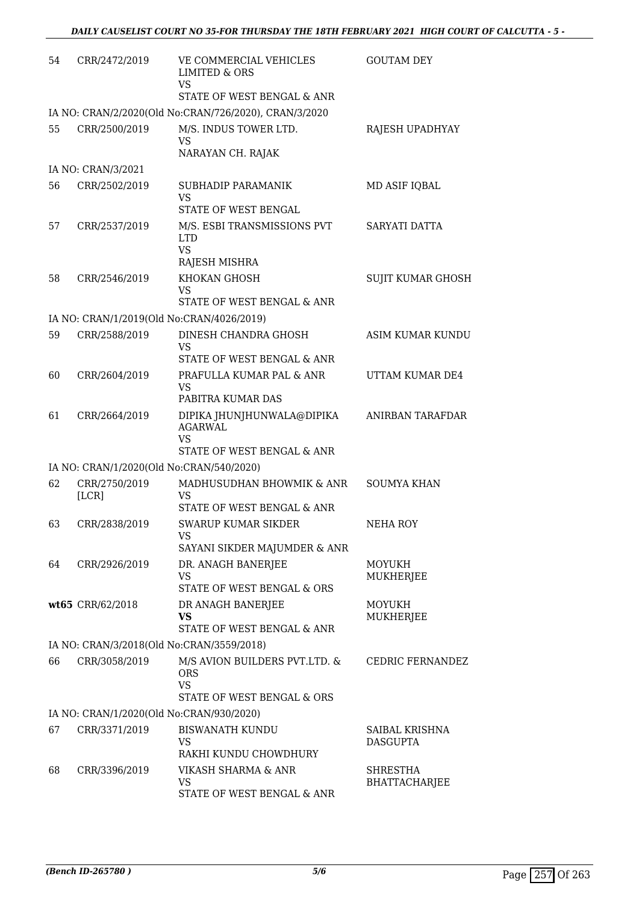| CRR/2472/2019    | VE COMMERCIAL VEHICLES<br><b>LIMITED &amp; ORS</b>                                                                                                         | <b>GOUTAM DEY</b>                                                                                                                                                                                                                                                                                                                                                                                                                                                                                                                                                                                                                                                                        |
|------------------|------------------------------------------------------------------------------------------------------------------------------------------------------------|------------------------------------------------------------------------------------------------------------------------------------------------------------------------------------------------------------------------------------------------------------------------------------------------------------------------------------------------------------------------------------------------------------------------------------------------------------------------------------------------------------------------------------------------------------------------------------------------------------------------------------------------------------------------------------------|
|                  | STATE OF WEST BENGAL & ANR                                                                                                                                 |                                                                                                                                                                                                                                                                                                                                                                                                                                                                                                                                                                                                                                                                                          |
|                  |                                                                                                                                                            |                                                                                                                                                                                                                                                                                                                                                                                                                                                                                                                                                                                                                                                                                          |
| CRR/2500/2019    | M/S. INDUS TOWER LTD.<br><b>VS</b>                                                                                                                         | RAJESH UPADHYAY                                                                                                                                                                                                                                                                                                                                                                                                                                                                                                                                                                                                                                                                          |
|                  |                                                                                                                                                            |                                                                                                                                                                                                                                                                                                                                                                                                                                                                                                                                                                                                                                                                                          |
|                  |                                                                                                                                                            | MD ASIF IQBAL                                                                                                                                                                                                                                                                                                                                                                                                                                                                                                                                                                                                                                                                            |
|                  | <b>VS</b><br>STATE OF WEST BENGAL                                                                                                                          |                                                                                                                                                                                                                                                                                                                                                                                                                                                                                                                                                                                                                                                                                          |
| CRR/2537/2019    | M/S. ESBI TRANSMISSIONS PVT<br><b>LTD</b><br><b>VS</b>                                                                                                     | SARYATI DATTA                                                                                                                                                                                                                                                                                                                                                                                                                                                                                                                                                                                                                                                                            |
|                  |                                                                                                                                                            |                                                                                                                                                                                                                                                                                                                                                                                                                                                                                                                                                                                                                                                                                          |
|                  | <b>VS</b>                                                                                                                                                  | <b>SUJIT KUMAR GHOSH</b>                                                                                                                                                                                                                                                                                                                                                                                                                                                                                                                                                                                                                                                                 |
|                  |                                                                                                                                                            |                                                                                                                                                                                                                                                                                                                                                                                                                                                                                                                                                                                                                                                                                          |
|                  |                                                                                                                                                            | <b>ASIM KUMAR KUNDU</b>                                                                                                                                                                                                                                                                                                                                                                                                                                                                                                                                                                                                                                                                  |
|                  | <b>VS</b>                                                                                                                                                  |                                                                                                                                                                                                                                                                                                                                                                                                                                                                                                                                                                                                                                                                                          |
|                  | STATE OF WEST BENGAL & ANR                                                                                                                                 |                                                                                                                                                                                                                                                                                                                                                                                                                                                                                                                                                                                                                                                                                          |
|                  | <b>VS</b>                                                                                                                                                  | UTTAM KUMAR DE4                                                                                                                                                                                                                                                                                                                                                                                                                                                                                                                                                                                                                                                                          |
| CRR/2664/2019    | DIPIKA JHUNJHUNWALA@DIPIKA<br><b>AGARWAL</b>                                                                                                               | ANIRBAN TARAFDAR                                                                                                                                                                                                                                                                                                                                                                                                                                                                                                                                                                                                                                                                         |
|                  |                                                                                                                                                            |                                                                                                                                                                                                                                                                                                                                                                                                                                                                                                                                                                                                                                                                                          |
|                  |                                                                                                                                                            |                                                                                                                                                                                                                                                                                                                                                                                                                                                                                                                                                                                                                                                                                          |
|                  |                                                                                                                                                            | <b>SOUMYA KHAN</b>                                                                                                                                                                                                                                                                                                                                                                                                                                                                                                                                                                                                                                                                       |
| [LCR]            | VS                                                                                                                                                         |                                                                                                                                                                                                                                                                                                                                                                                                                                                                                                                                                                                                                                                                                          |
|                  |                                                                                                                                                            |                                                                                                                                                                                                                                                                                                                                                                                                                                                                                                                                                                                                                                                                                          |
|                  | VS                                                                                                                                                         | NEHA ROY                                                                                                                                                                                                                                                                                                                                                                                                                                                                                                                                                                                                                                                                                 |
|                  |                                                                                                                                                            | MOYUKH                                                                                                                                                                                                                                                                                                                                                                                                                                                                                                                                                                                                                                                                                   |
|                  | <b>VS</b><br>STATE OF WEST BENGAL & ORS                                                                                                                    | MUKHERJEE                                                                                                                                                                                                                                                                                                                                                                                                                                                                                                                                                                                                                                                                                |
| wt65 CRR/62/2018 |                                                                                                                                                            | MOYUKH                                                                                                                                                                                                                                                                                                                                                                                                                                                                                                                                                                                                                                                                                   |
|                  | <b>VS</b><br>STATE OF WEST BENGAL & ANR                                                                                                                    | MUKHERJEE                                                                                                                                                                                                                                                                                                                                                                                                                                                                                                                                                                                                                                                                                |
|                  |                                                                                                                                                            |                                                                                                                                                                                                                                                                                                                                                                                                                                                                                                                                                                                                                                                                                          |
| CRR/3058/2019    | M/S AVION BUILDERS PVT.LTD. &<br><b>ORS</b><br><b>VS</b><br>STATE OF WEST BENGAL & ORS                                                                     | CEDRIC FERNANDEZ                                                                                                                                                                                                                                                                                                                                                                                                                                                                                                                                                                                                                                                                         |
|                  |                                                                                                                                                            |                                                                                                                                                                                                                                                                                                                                                                                                                                                                                                                                                                                                                                                                                          |
| CRR/3371/2019    | <b>BISWANATH KUNDU</b>                                                                                                                                     | SAIBAL KRISHNA                                                                                                                                                                                                                                                                                                                                                                                                                                                                                                                                                                                                                                                                           |
|                  | VS                                                                                                                                                         | <b>DASGUPTA</b>                                                                                                                                                                                                                                                                                                                                                                                                                                                                                                                                                                                                                                                                          |
|                  |                                                                                                                                                            |                                                                                                                                                                                                                                                                                                                                                                                                                                                                                                                                                                                                                                                                                          |
|                  | VS<br>STATE OF WEST BENGAL & ANR                                                                                                                           | <b>SHRESTHA</b><br><b>BHATTACHARJEE</b>                                                                                                                                                                                                                                                                                                                                                                                                                                                                                                                                                                                                                                                  |
|                  | IA NO: CRAN/3/2021<br>CRR/2502/2019<br>CRR/2546/2019<br>CRR/2588/2019<br>CRR/2604/2019<br>CRR/2750/2019<br>CRR/2838/2019<br>CRR/2926/2019<br>CRR/3396/2019 | <b>VS</b><br>IA NO: CRAN/2/2020(Old No:CRAN/726/2020), CRAN/3/2020<br>NARAYAN CH. RAJAK<br>SUBHADIP PARAMANIK<br>RAJESH MISHRA<br>KHOKAN GHOSH<br>STATE OF WEST BENGAL & ANR<br>IA NO: CRAN/1/2019(Old No:CRAN/4026/2019)<br>DINESH CHANDRA GHOSH<br>PRAFULLA KUMAR PAL & ANR<br>PABITRA KUMAR DAS<br>VS<br>STATE OF WEST BENGAL & ANR<br>IA NO: CRAN/1/2020(Old No:CRAN/540/2020)<br>MADHUSUDHAN BHOWMIK & ANR<br>STATE OF WEST BENGAL & ANR<br>SWARUP KUMAR SIKDER<br>SAYANI SIKDER MAJUMDER & ANR<br>DR. ANAGH BANERJEE<br>DR ANAGH BANERJEE<br>IA NO: CRAN/3/2018(Old No:CRAN/3559/2018)<br>IA NO: CRAN/1/2020(Old No:CRAN/930/2020)<br>RAKHI KUNDU CHOWDHURY<br>VIKASH SHARMA & ANR |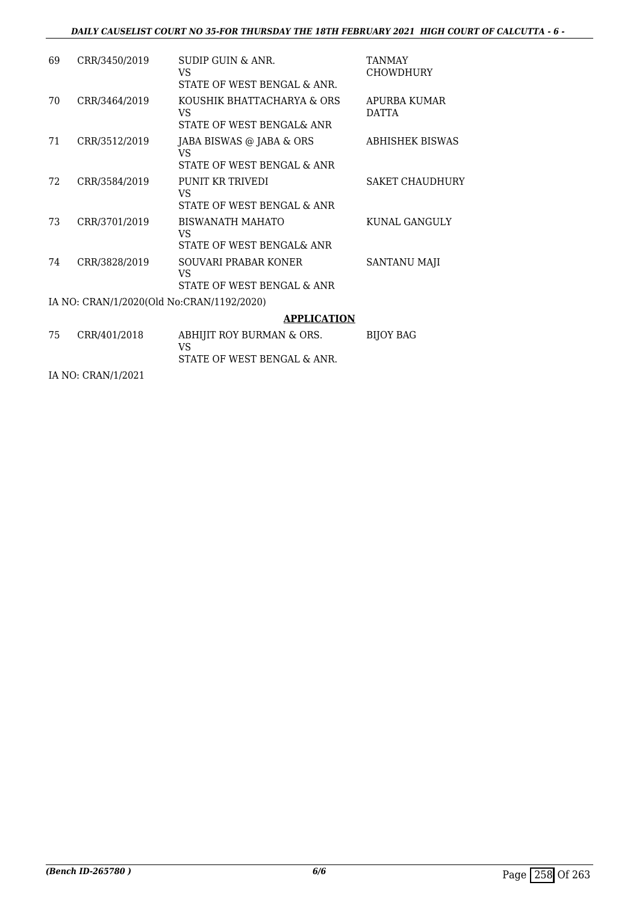## *DAILY CAUSELIST COURT NO 35-FOR THURSDAY THE 18TH FEBRUARY 2021 HIGH COURT OF CALCUTTA - 6 -*

| 69  | CRR/3450/2019                             | SUDIP GUIN & ANR.<br>VS<br>STATE OF WEST BENGAL & ANR.        | TANMAY<br>CHOWDHURY          |
|-----|-------------------------------------------|---------------------------------------------------------------|------------------------------|
| 70  | CRR/3464/2019                             | KOUSHIK BHATTACHARYA & ORS<br>VS<br>STATE OF WEST BENGAL& ANR | APURBA KUMAR<br><b>DATTA</b> |
| 71  | CRR/3512/2019                             | JABA BISWAS @ JABA & ORS<br>VS<br>STATE OF WEST BENGAL & ANR  | <b>ABHISHEK BISWAS</b>       |
| 72. | CRR/3584/2019                             | PUNIT KR TRIVEDI<br>VS<br>STATE OF WEST BENGAL & ANR          | <b>SAKET CHAUDHURY</b>       |
| 73  | CRR/3701/2019                             | <b>BISWANATH MAHATO</b><br>VS<br>STATE OF WEST BENGAL& ANR    | KUNAL GANGULY                |
| 74  | CRR/3828/2019                             | SOUVARI PRABAR KONER<br>VS<br>STATE OF WEST BENGAL & ANR      | <b>SANTANU MAJI</b>          |
|     | IA NO: CRAN/1/2020(Old No:CRAN/1192/2020) |                                                               |                              |
|     |                                           | <b>APPLICATION</b>                                            |                              |
| 75  | CRR/401/2018                              | ABHIJIT ROY BURMAN & ORS.<br>VS                               | <b>BIJOY BAG</b>             |

STATE OF WEST BENGAL & ANR.

IA NO: CRAN/1/2021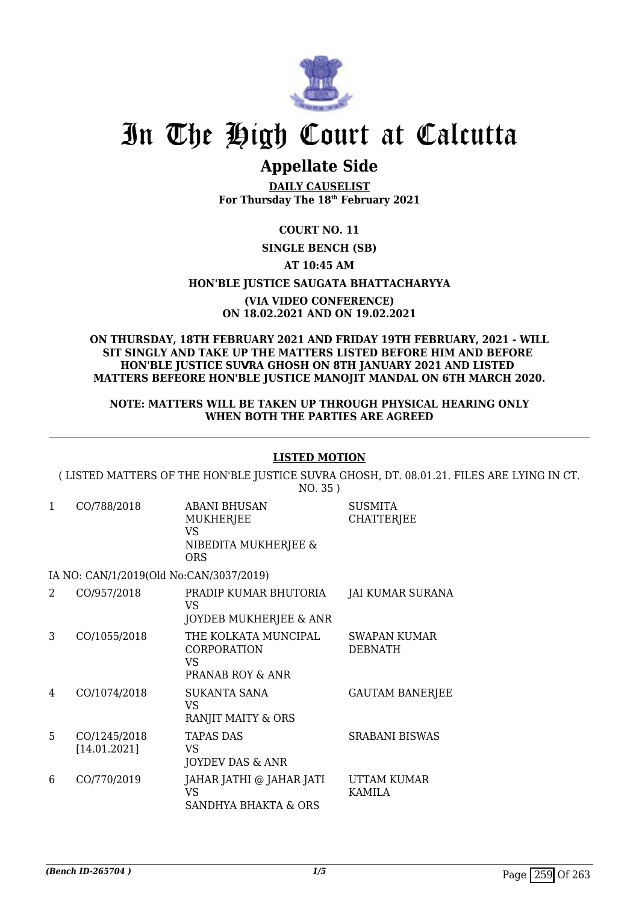

# In The High Court at Calcutta

## **Appellate Side**

**DAILY CAUSELIST For Thursday The 18th February 2021**

## **COURT NO. 11**

## **SINGLE BENCH (SB)**

## **AT 10:45 AM**

### **HON'BLE JUSTICE SAUGATA BHATTACHARYYA**

#### **(VIA VIDEO CONFERENCE) ON 18.02.2021 AND ON 19.02.2021**

#### **ON THURSDAY, 18TH FEBRUARY 2021 AND FRIDAY 19TH FEBRUARY, 2021 - WILL SIT SINGLY AND TAKE UP THE MATTERS LISTED BEFORE HIM AND BEFORE HON'BLE JUSTICE SUVRA GHOSH ON 8TH JANUARY 2021 AND LISTED MATTERS BEFEORE HON'BLE JUSTICE MANOJIT MANDAL ON 6TH MARCH 2020.**

#### **NOTE: MATTERS WILL BE TAKEN UP THROUGH PHYSICAL HEARING ONLY WHEN BOTH THE PARTIES ARE AGREED**

## **LISTED MOTION**

( LISTED MATTERS OF THE HON'BLE JUSTICE SUVRA GHOSH, DT. 08.01.21. FILES ARE LYING IN CT. NO. 35 )

> **SUSMITA CHATTERJEE**

1 CO/788/2018 ABANI BHUSAN MUKHERJEE VS NIBEDITA MUKHERJEE & ORS

IA NO: CAN/1/2019(Old No:CAN/3037/2019)

|    | CO/957/2018                  | PRADIP KUMAR BHUTORIA<br>VS<br>JOYDEB MUKHERJEE & ANR         | JAI KUMAR SURANA               |
|----|------------------------------|---------------------------------------------------------------|--------------------------------|
| 3  | CO/1055/2018                 | THE KOLKATA MUNCIPAL<br>CORPORATION<br>VS<br>PRANAB ROY & ANR | SWAPAN KUMAR<br><b>DEBNATH</b> |
| 4  | CO/1074/2018                 | SUKANTA SANA<br>VS<br>RANJIT MAITY & ORS                      | <b>GAUTAM BANERJEE</b>         |
| 5. | CO/1245/2018<br>[14.01.2021] | <b>TAPAS DAS</b><br>VS<br>JOYDEV DAS & ANR                    | <b>SRABANI BISWAS</b>          |
| 6  | CO/770/2019                  | JAHAR JATHI @ JAHAR JATI<br>VS<br>SANDHYA BHAKTA & ORS        | UTTAM KUMAR<br>KAMILA          |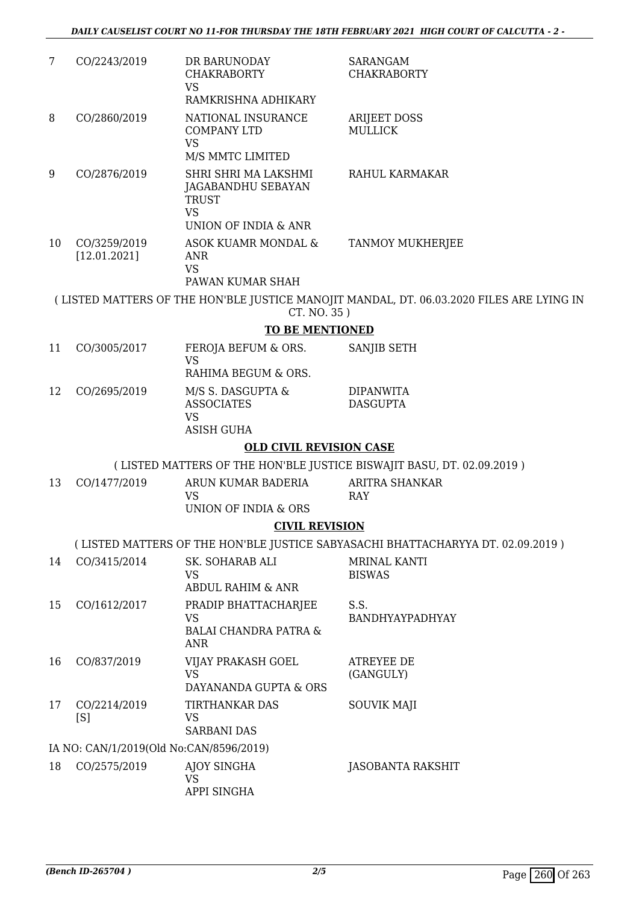| 7  | CO/2243/2019                            | DR BARUNODAY<br><b>CHAKRABORTY</b><br><b>VS</b>                                                 | <b>SARANGAM</b><br><b>CHAKRABORTY</b>                                                    |  |  |
|----|-----------------------------------------|-------------------------------------------------------------------------------------------------|------------------------------------------------------------------------------------------|--|--|
|    |                                         | RAMKRISHNA ADHIKARY                                                                             |                                                                                          |  |  |
| 8  | CO/2860/2019                            | NATIONAL INSURANCE<br><b>COMPANY LTD</b><br><b>VS</b><br>M/S MMTC LIMITED                       | <b>ARIJEET DOSS</b><br><b>MULLICK</b>                                                    |  |  |
| 9  | CO/2876/2019                            | SHRI SHRI MA LAKSHMI<br>JAGABANDHU SEBAYAN<br><b>TRUST</b><br><b>VS</b><br>UNION OF INDIA & ANR | RAHUL KARMAKAR                                                                           |  |  |
| 10 | CO/3259/2019<br>[12.01.2021]            | ASOK KUAMR MONDAL &<br><b>ANR</b><br><b>VS</b><br>PAWAN KUMAR SHAH                              | <b>TANMOY MUKHERJEE</b>                                                                  |  |  |
|    |                                         |                                                                                                 | (LISTED MATTERS OF THE HON'BLE JUSTICE MANOJIT MANDAL, DT. 06.03.2020 FILES ARE LYING IN |  |  |
|    |                                         | CT. NO. 35)<br><b>TO BE MENTIONED</b>                                                           |                                                                                          |  |  |
| 11 | CO/3005/2017                            | FEROJA BEFUM & ORS.                                                                             | SANJIB SETH                                                                              |  |  |
|    |                                         | <b>VS</b><br>RAHIMA BEGUM & ORS.                                                                |                                                                                          |  |  |
| 12 | CO/2695/2019                            | M/S S. DASGUPTA &<br><b>ASSOCIATES</b><br><b>VS</b>                                             | <b>DIPANWITA</b><br><b>DASGUPTA</b>                                                      |  |  |
|    |                                         | <b>ASISH GUHA</b>                                                                               |                                                                                          |  |  |
|    | <b>OLD CIVIL REVISION CASE</b>          |                                                                                                 |                                                                                          |  |  |
|    |                                         |                                                                                                 | (LISTED MATTERS OF THE HON'BLE JUSTICE BISWAJIT BASU, DT. 02.09.2019)                    |  |  |
| 13 | CO/1477/2019                            | ARUN KUMAR BADERIA<br><b>VS</b><br>UNION OF INDIA & ORS                                         | <b>ARITRA SHANKAR</b><br>RAY                                                             |  |  |
|    |                                         | <b>CIVIL REVISION</b>                                                                           |                                                                                          |  |  |
|    |                                         |                                                                                                 | (LISTED MATTERS OF THE HON'BLE JUSTICE SABYASACHI BHATTACHARYYA DT. 02.09.2019)          |  |  |
| 14 | CO/3415/2014                            | SK. SOHARAB ALI<br><b>VS</b><br><b>ABDUL RAHIM &amp; ANR</b>                                    | MRINAL KANTI<br><b>BISWAS</b>                                                            |  |  |
| 15 | CO/1612/2017                            | PRADIP BHATTACHARJEE<br>VS<br><b>BALAI CHANDRA PATRA &amp;</b><br>ANR                           | S.S.<br>BANDHYAYPADHYAY                                                                  |  |  |
| 16 | CO/837/2019                             | VIJAY PRAKASH GOEL<br><b>VS</b><br>DAYANANDA GUPTA & ORS                                        | <b>ATREYEE DE</b><br>(GANGULY)                                                           |  |  |
| 17 | CO/2214/2019<br>[S]                     | TIRTHANKAR DAS<br>VS<br><b>SARBANI DAS</b>                                                      | <b>SOUVIK MAJI</b>                                                                       |  |  |
|    | IA NO: CAN/1/2019(Old No:CAN/8596/2019) |                                                                                                 |                                                                                          |  |  |
| 18 | CO/2575/2019                            | AJOY SINGHA<br>VS<br>APPI SINGHA                                                                | <b>JASOBANTA RAKSHIT</b>                                                                 |  |  |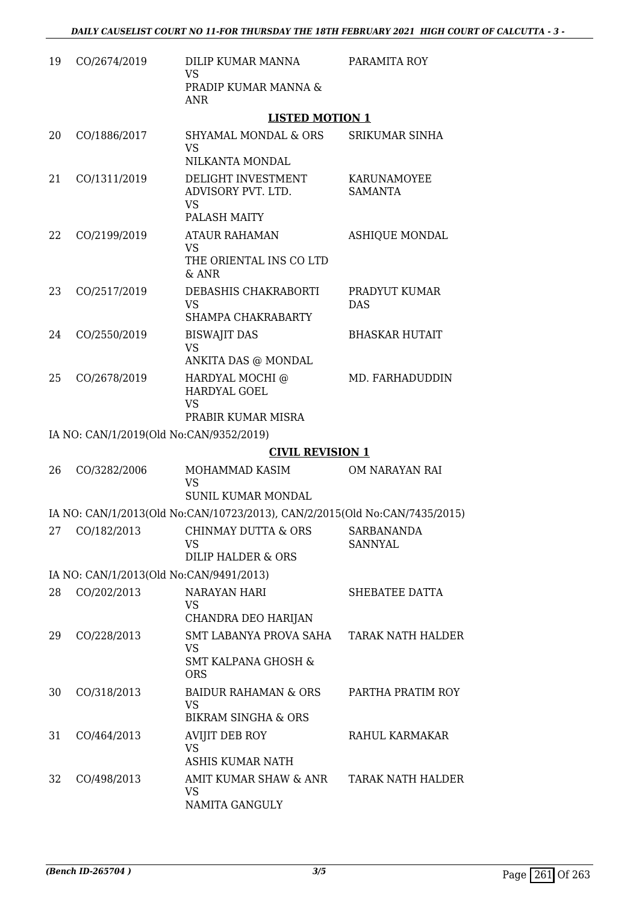| 19 | CO/2674/2019 | DILIP KUMAR MANNA<br><b>VS</b><br>PRADIP KUMAR MANNA &                                                     | PARAMITA ROY                  |
|----|--------------|------------------------------------------------------------------------------------------------------------|-------------------------------|
|    |              | <b>ANR</b>                                                                                                 |                               |
|    |              | <b>LISTED MOTION 1</b>                                                                                     |                               |
| 20 | CO/1886/2017 | <b>SHYAMAL MONDAL &amp; ORS</b><br><b>VS</b><br>NILKANTA MONDAL                                            | SRIKUMAR SINHA                |
| 21 | CO/1311/2019 | DELIGHT INVESTMENT<br>ADVISORY PVT. LTD.<br><b>VS</b><br>PALASH MAITY                                      | KARUNAMOYEE<br><b>SAMANTA</b> |
| 22 | CO/2199/2019 | <b>ATAUR RAHAMAN</b><br><b>VS</b><br>THE ORIENTAL INS CO LTD<br>$&$ ANR                                    | <b>ASHIQUE MONDAL</b>         |
| 23 | CO/2517/2019 | DEBASHIS CHAKRABORTI<br><b>VS</b><br>SHAMPA CHAKRABARTY                                                    | PRADYUT KUMAR<br><b>DAS</b>   |
| 24 | CO/2550/2019 | <b>BISWAJIT DAS</b><br><b>VS</b><br>ANKITA DAS @ MONDAL                                                    | <b>BHASKAR HUTAIT</b>         |
| 25 | CO/2678/2019 | HARDYAL MOCHI @<br>HARDYAL GOEL<br><b>VS</b><br>PRABIR KUMAR MISRA                                         | MD. FARHADUDDIN               |
|    |              | IA NO: CAN/1/2019(Old No:CAN/9352/2019)                                                                    |                               |
|    |              | <b>CIVIL REVISION 1</b>                                                                                    |                               |
|    | CO/3282/2006 | MOHAMMAD KASIM                                                                                             |                               |
| 26 |              | <b>VS</b><br>SUNIL KUMAR MONDAL                                                                            | OM NARAYAN RAI                |
|    |              | IA NO: CAN/1/2013(Old No:CAN/10723/2013), CAN/2/2015(Old No:CAN/7435/2015)                                 |                               |
|    |              | 27 CO/182/2013 CHINMAY DUTTA & ORS<br><b>VS</b><br><b>DILIP HALDER &amp; ORS</b>                           | SARBANANDA<br><b>SANNYAL</b>  |
|    |              | IA NO: CAN/1/2013(Old No:CAN/9491/2013)                                                                    |                               |
| 28 | CO/202/2013  | <b>NARAYAN HARI</b><br><b>VS</b>                                                                           | SHEBATEE DATTA                |
| 29 | CO/228/2013  | CHANDRA DEO HARIJAN<br>SMT LABANYA PROVA SAHA<br><b>VS</b><br><b>SMT KALPANA GHOSH &amp;</b><br><b>ORS</b> | <b>TARAK NATH HALDER</b>      |
| 30 | CO/318/2013  | BAIDUR RAHAMAN & ORS<br><b>VS</b><br><b>BIKRAM SINGHA &amp; ORS</b>                                        | PARTHA PRATIM ROY             |
| 31 | CO/464/2013  | AVIJIT DEB ROY<br><b>VS</b><br><b>ASHIS KUMAR NATH</b>                                                     | RAHUL KARMAKAR                |
| 32 | CO/498/2013  | AMIT KUMAR SHAW & ANR<br><b>VS</b><br>NAMITA GANGULY                                                       | <b>TARAK NATH HALDER</b>      |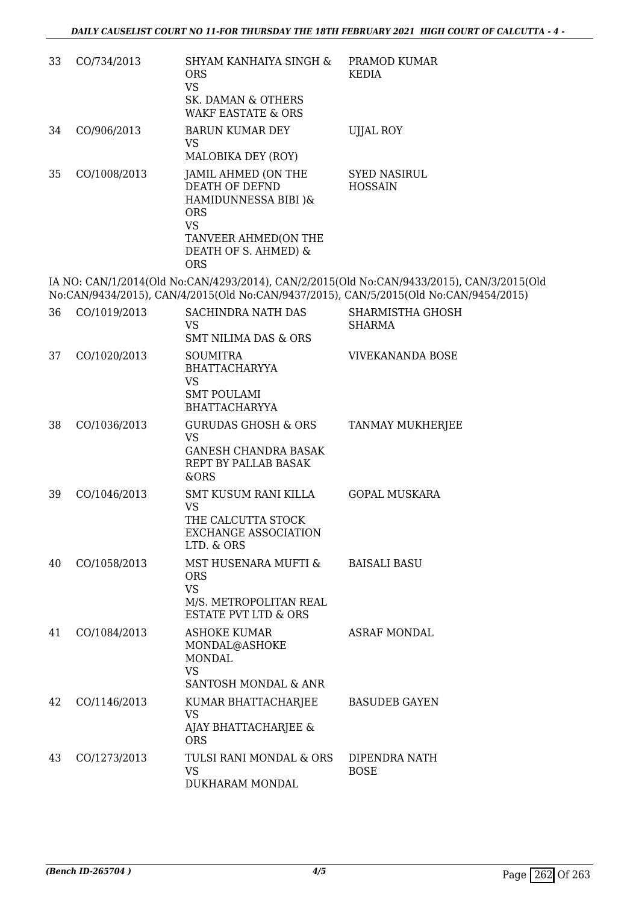| 33 | CO/734/2013  | SHYAM KANHAIYA SINGH &<br><b>ORS</b><br><b>VS</b><br>SK. DAMAN & OTHERS<br><b>WAKF EASTATE &amp; ORS</b>                                                                     | PRAMOD KUMAR<br><b>KEDIA</b>                                                                                                                                                       |
|----|--------------|------------------------------------------------------------------------------------------------------------------------------------------------------------------------------|------------------------------------------------------------------------------------------------------------------------------------------------------------------------------------|
| 34 | CO/906/2013  | <b>BARUN KUMAR DEY</b><br><b>VS</b>                                                                                                                                          | <b>UJJAL ROY</b>                                                                                                                                                                   |
| 35 | CO/1008/2013 | MALOBIKA DEY (ROY)<br>JAMIL AHMED (ON THE<br>DEATH OF DEFND<br>HAMIDUNNESSA BIBI )&<br><b>ORS</b><br><b>VS</b><br>TANVEER AHMED(ON THE<br>DEATH OF S. AHMED) &<br><b>ORS</b> | <b>SYED NASIRUL</b><br><b>HOSSAIN</b>                                                                                                                                              |
|    |              |                                                                                                                                                                              | IA NO: CAN/1/2014(Old No:CAN/4293/2014), CAN/2/2015(Old No:CAN/9433/2015), CAN/3/2015(Old<br>No:CAN/9434/2015), CAN/4/2015(Old No:CAN/9437/2015), CAN/5/2015(Old No:CAN/9454/2015) |
| 36 | CO/1019/2013 | <b>SACHINDRA NATH DAS</b><br><b>VS</b><br><b>SMT NILIMA DAS &amp; ORS</b>                                                                                                    | SHARMISTHA GHOSH<br><b>SHARMA</b>                                                                                                                                                  |
| 37 | CO/1020/2013 | <b>SOUMITRA</b><br><b>BHATTACHARYYA</b><br><b>VS</b><br><b>SMT POULAMI</b><br><b>BHATTACHARYYA</b>                                                                           | <b>VIVEKANANDA BOSE</b>                                                                                                                                                            |
| 38 | CO/1036/2013 | <b>GURUDAS GHOSH &amp; ORS</b><br><b>VS</b><br><b>GANESH CHANDRA BASAK</b><br>REPT BY PALLAB BASAK<br>&ORS                                                                   | TANMAY MUKHERJEE                                                                                                                                                                   |
| 39 | CO/1046/2013 | SMT KUSUM RANI KILLA<br><b>VS</b><br>THE CALCUTTA STOCK<br><b>EXCHANGE ASSOCIATION</b><br>LTD. & ORS                                                                         | <b>GOPAL MUSKARA</b>                                                                                                                                                               |
| 40 | CO/1058/2013 | MST HUSENARA MUFTI &<br><b>ORS</b><br><b>VS</b><br>M/S. METROPOLITAN REAL<br><b>ESTATE PVT LTD &amp; ORS</b>                                                                 | <b>BAISALI BASU</b>                                                                                                                                                                |
| 41 | CO/1084/2013 | <b>ASHOKE KUMAR</b><br>MONDAL@ASHOKE<br><b>MONDAL</b><br><b>VS</b><br>SANTOSH MONDAL & ANR                                                                                   | <b>ASRAF MONDAL</b>                                                                                                                                                                |
| 42 | CO/1146/2013 | KUMAR BHATTACHARJEE<br><b>VS</b><br>AJAY BHATTACHARJEE &<br><b>ORS</b>                                                                                                       | <b>BASUDEB GAYEN</b>                                                                                                                                                               |
| 43 | CO/1273/2013 | TULSI RANI MONDAL & ORS<br><b>VS</b><br>DUKHARAM MONDAL                                                                                                                      | DIPENDRA NATH<br><b>BOSE</b>                                                                                                                                                       |